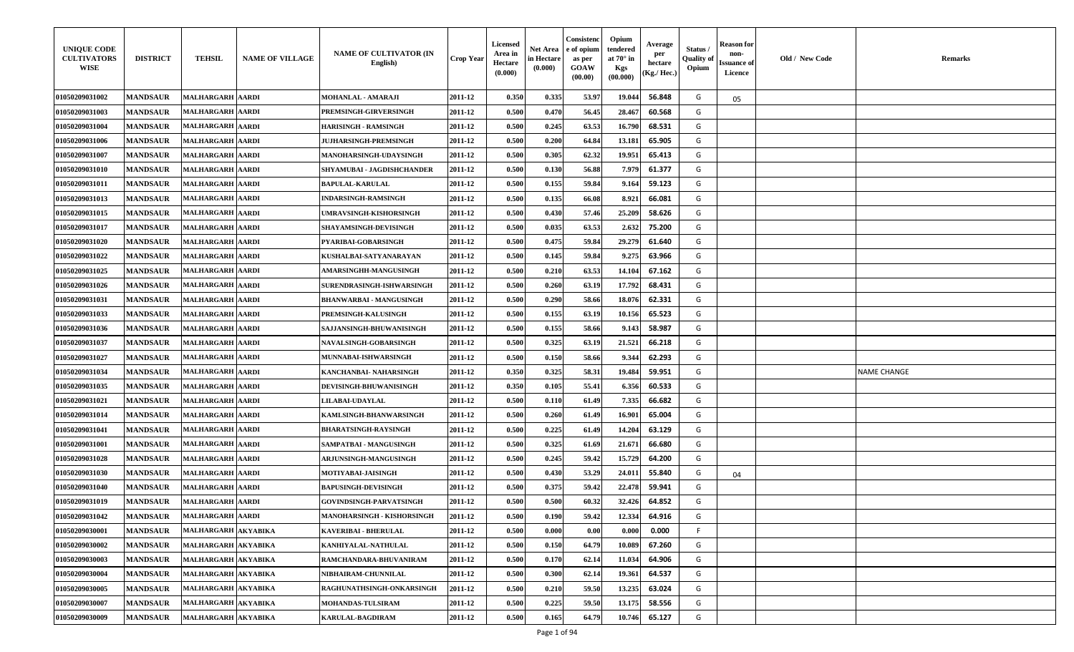| <b>UNIQUE CODE</b><br><b>CULTIVATORS</b><br>WISE | <b>DISTRICT</b> | <b>TEHSIL</b>           | <b>NAME OF VILLAGE</b> | <b>NAME OF CULTIVATOR (IN</b><br>English) | <b>Crop Year</b> | Licensed<br>Area in<br>Hectare<br>(0.000) | Net Area<br>in Hectare<br>(0.000) | Consistenc<br>e of opium<br>as per<br><b>GOAW</b><br>(00.00) | Opium<br>tendered<br>at $70^\circ$ in<br><b>Kgs</b><br>(00.000) | Average<br>per<br>hectare<br>(Kg./ Hec.) | Status<br><b>Quality of</b><br>Opium | <b>Reason</b> for<br>non-<br><b>Issuance of</b><br>Licence | Old / New Code | <b>Remarks</b>     |
|--------------------------------------------------|-----------------|-------------------------|------------------------|-------------------------------------------|------------------|-------------------------------------------|-----------------------------------|--------------------------------------------------------------|-----------------------------------------------------------------|------------------------------------------|--------------------------------------|------------------------------------------------------------|----------------|--------------------|
| 01050209031002                                   | <b>MANDSAUR</b> | <b>MALHARGARH AARDI</b> |                        | MOHANLAL - AMARAJI                        | 2011-12          | 0.350                                     | 0.335                             | 53.97                                                        | 19.044                                                          | 56.848                                   | G                                    | 05                                                         |                |                    |
| 01050209031003                                   | <b>MANDSAUR</b> | <b>MALHARGARH AARDI</b> |                        | PREMSINGH-GIRVERSINGH                     | 2011-12          | 0.500                                     | 0.470                             | 56.45                                                        | 28.467                                                          | 60.568                                   | G                                    |                                                            |                |                    |
| 01050209031004                                   | <b>MANDSAUR</b> | <b>MALHARGARH AARDI</b> |                        | HARISINGH - RAMSINGH                      | 2011-12          | 0.500                                     | 0.245                             | 63.53                                                        | 16.790                                                          | 68.531                                   | G                                    |                                                            |                |                    |
| 01050209031006                                   | <b>MANDSAUR</b> | MALHARGARH   AARDI      |                        | <b>JUJHARSINGH-PREMSINGH</b>              | 2011-12          | 0.500                                     | 0.200                             | 64.84                                                        | 13.181                                                          | 65.905                                   | G                                    |                                                            |                |                    |
| 01050209031007                                   | <b>MANDSAUR</b> | <b>MALHARGARH AARDI</b> |                        | <b>MANOHARSINGH-UDAYSINGH</b>             | 2011-12          | 0.500                                     | 0.305                             | 62.32                                                        | 19.951                                                          | 65.413                                   | G                                    |                                                            |                |                    |
| 01050209031010                                   | <b>MANDSAUR</b> | <b>MALHARGARH AARDI</b> |                        | SHYAMUBAI - JAGDISHCHANDER                | 2011-12          | 0.500                                     | 0.130                             | 56.88                                                        | 7.979                                                           | 61.377                                   | G                                    |                                                            |                |                    |
| 01050209031011                                   | <b>MANDSAUR</b> | <b>MALHARGARH AARDI</b> |                        | <b>BAPULAL-KARULAL</b>                    | 2011-12          | 0.500                                     | 0.155                             | 59.84                                                        | 9.164                                                           | 59.123                                   | G                                    |                                                            |                |                    |
| 01050209031013                                   | <b>MANDSAUR</b> | <b>MALHARGARH AARDI</b> |                        | INDARSINGH-RAMSINGH                       | 2011-12          | 0.500                                     | 0.135                             | 66.08                                                        | 8.921                                                           | 66.081                                   | G                                    |                                                            |                |                    |
| 01050209031015                                   | <b>MANDSAUR</b> | <b>MALHARGARH AARDI</b> |                        | <b>JMRAVSINGH-KISHORSINGH</b>             | 2011-12          | 0.500                                     | 0.430                             | 57.46                                                        | 25.209                                                          | 58.626                                   | G                                    |                                                            |                |                    |
| 01050209031017                                   | <b>MANDSAUR</b> | MALHARGARH  AARDI       |                        | <b>SHAYAMSINGH-DEVISINGH</b>              | 2011-12          | 0.500                                     | 0.035                             | 63.53                                                        | 2.632                                                           | 75.200                                   | G                                    |                                                            |                |                    |
| 01050209031020                                   | <b>MANDSAUR</b> | <b>MALHARGARH AARDI</b> |                        | PYARIBAI-GOBARSINGH                       | 2011-12          | 0.500                                     | 0.475                             | 59.84                                                        | 29.279                                                          | 61.640                                   | G                                    |                                                            |                |                    |
| 01050209031022                                   | <b>MANDSAUR</b> | <b>MALHARGARH AARDI</b> |                        | KUSHALBAI-SATYANARAYAN                    | 2011-12          | 0.500                                     | 0.145                             | 59.84                                                        | 9.275                                                           | 63.966                                   | G                                    |                                                            |                |                    |
| <b>01050209031025</b>                            | <b>MANDSAUR</b> | MALHARGARH  AARDI       |                        | <b>AMARSINGHH-MANGUSINGH</b>              | 2011-12          | 0.500                                     | 0.210                             | 63.53                                                        | 14.10                                                           | 67.162                                   | G                                    |                                                            |                |                    |
| <b>01050209031026</b>                            | <b>MANDSAUR</b> | <b>MALHARGARH AARDI</b> |                        | SURENDRASINGH-ISHWARSINGH                 | 2011-12          | 0.500                                     | 0.260                             | 63.19                                                        | 17.792                                                          | 68.431                                   | G                                    |                                                            |                |                    |
| 01050209031031                                   | <b>MANDSAUR</b> | <b>MALHARGARH AARDI</b> |                        | BHANWARBAI - MANGUSINGH                   | 2011-12          | 0.500                                     | 0.290                             | 58.66                                                        | 18.076                                                          | 62.331                                   | G                                    |                                                            |                |                    |
| 01050209031033                                   | <b>MANDSAUR</b> | <b>MALHARGARH AARDI</b> |                        | <b>PREMSINGH-KALUSINGH</b>                | 2011-12          | 0.500                                     | 0.155                             | 63.19                                                        | 10.156                                                          | 65.523                                   | G                                    |                                                            |                |                    |
| <b>01050209031036</b>                            | <b>MANDSAUR</b> | MALHARGARH  AARDI       |                        | SAJJANSINGH-BHUWANISINGH                  | 2011-12          | 0.500                                     | 0.155                             | 58.66                                                        | 9.143                                                           | 58.987                                   | G                                    |                                                            |                |                    |
| 01050209031037                                   | <b>MANDSAUR</b> | <b>MALHARGARH AARDI</b> |                        | <b>NAVALSINGH-GOBARSINGH</b>              | 2011-12          | 0.500                                     | 0.325                             | 63.19                                                        | 21.521                                                          | 66.218                                   | G                                    |                                                            |                |                    |
| 01050209031027                                   | <b>MANDSAUR</b> | MALHARGARH  AARDI       |                        | MUNNABAI-ISHWARSINGH                      | 2011-12          | 0.500                                     | 0.150                             | 58.66                                                        | 9.344                                                           | 62.293                                   | G                                    |                                                            |                |                    |
| 01050209031034                                   | <b>MANDSAUR</b> | <b>MALHARGARH AARDI</b> |                        | KANCHANBAI- NAHARSINGH                    | 2011-12          | 0.350                                     | 0.325                             | 58.31                                                        | 19.484                                                          | 59.951                                   | G                                    |                                                            |                | <b>NAME CHANGE</b> |
| 01050209031035                                   | <b>MANDSAUR</b> | MALHARGARH  AARDI       |                        | <b>DEVISINGH-BHUWANISINGH</b>             | 2011-12          | 0.350                                     | 0.105                             | 55.41                                                        | 6.356                                                           | 60.533                                   | G                                    |                                                            |                |                    |
| 01050209031021                                   | <b>MANDSAUR</b> | MALHARGARH AARDI        |                        | <b>LILABAI-UDAYLAL</b>                    | 2011-12          | 0.500                                     | 0.110                             | 61.49                                                        | 7.335                                                           | 66.682                                   | G                                    |                                                            |                |                    |
| 01050209031014                                   | <b>MANDSAUR</b> | <b>MALHARGARH AARDI</b> |                        | KAMLSINGH-BHANWARSINGH                    | 2011-12          | 0.500                                     | 0.260                             | 61.49                                                        | 16.901                                                          | 65.004                                   | G                                    |                                                            |                |                    |
| 01050209031041                                   | <b>MANDSAUR</b> | <b>MALHARGARH AARDI</b> |                        | <b>BHARATSINGH-RAYSINGH</b>               | 2011-12          | 0.500                                     | 0.225                             | 61.49                                                        | 14.204                                                          | 63.129                                   | G                                    |                                                            |                |                    |
| 01050209031001                                   | <b>MANDSAUR</b> | <b>MALHARGARH AARDI</b> |                        | SAMPATBAI - MANGUSINGH                    | 2011-12          | 0.500                                     | 0.325                             | 61.69                                                        | 21.671                                                          | 66.680                                   | G                                    |                                                            |                |                    |
| 01050209031028                                   | <b>MANDSAUR</b> | <b>MALHARGARH AARDI</b> |                        | <b>ARJUNSINGH-MANGUSINGH</b>              | 2011-12          | 0.500                                     | 0.245                             | 59.42                                                        | 15.729                                                          | 64.200                                   | G                                    |                                                            |                |                    |
| 01050209031030                                   | <b>MANDSAUR</b> | MALHARGARH   AARDI      |                        | <b>MOTIYABAI-JAISINGH</b>                 | 2011-12          | 0.500                                     | 0.430                             | 53.29                                                        | 24.011                                                          | 55.840                                   | G                                    | 04                                                         |                |                    |
| 01050209031040                                   | <b>MANDSAUR</b> | <b>MALHARGARH AARDI</b> |                        | <b>BAPUSINGH-DEVISINGH</b>                | 2011-12          | 0.500                                     | 0.375                             | 59.42                                                        | 22.478                                                          | 59.941                                   | G                                    |                                                            |                |                    |
| 01050209031019                                   | <b>MANDSAUR</b> | <b>MALHARGARH AARDI</b> |                        | <b>GOVINDSINGH-PARVATSINGH</b>            | 2011-12          | 0.500                                     | 0.500                             | 60.32                                                        | 32.426                                                          | 64.852                                   | G                                    |                                                            |                |                    |
| 01050209031042                                   | <b>MANDSAUR</b> | <b>MALHARGARH AARDI</b> |                        | MANOHARSINGH - KISHORSINGH                | 2011-12          | 0.500                                     | 0.190                             | 59.42                                                        | 12.334                                                          | 64.916                                   | G                                    |                                                            |                |                    |
| 01050209030001                                   | <b>MANDSAUR</b> | MALHARGARH AKYABIKA     |                        | <b>KAVERIBAI - BHERULAL</b>               | 2011-12          | 0.500                                     | 0.000                             | 0.00                                                         | 0.000                                                           | 0.000                                    | F                                    |                                                            |                |                    |
| 01050209030002                                   | <b>MANDSAUR</b> | MALHARGARH AKYABIKA     |                        | KANHIYALAL-NATHULAL                       | 2011-12          | 0.500                                     | 0.150                             | 64.79                                                        | 10.089                                                          | 67.260                                   | G                                    |                                                            |                |                    |
| 01050209030003                                   | <b>MANDSAUR</b> | MALHARGARH AKYABIKA     |                        | RAMCHANDARA-BHUVANIRAM                    | 2011-12          | 0.500                                     | 0.170                             | 62.14                                                        | 11.034                                                          | 64.906                                   | G                                    |                                                            |                |                    |
| 01050209030004                                   | <b>MANDSAUR</b> | MALHARGARH AKYABIKA     |                        | NIBHAIRAM-CHUNNILAL                       | 2011-12          | 0.500                                     | 0.300                             | 62.14                                                        | 19.361                                                          | 64.537                                   | G                                    |                                                            |                |                    |
| 01050209030005                                   | <b>MANDSAUR</b> | MALHARGARH AKYABIKA     |                        | RAGHUNATHSINGH-ONKARSINGH                 | 2011-12          | 0.500                                     | 0.210                             | 59.50                                                        | 13.235                                                          | 63.024                                   | G                                    |                                                            |                |                    |
| 01050209030007                                   | <b>MANDSAUR</b> | MALHARGARH AKYABIKA     |                        | MOHANDAS-TULSIRAM                         | 2011-12          | 0.500                                     | 0.225                             | 59.50                                                        | 13.175                                                          | 58.556                                   | G                                    |                                                            |                |                    |
| 01050209030009                                   | <b>MANDSAUR</b> | MALHARGARH AKYABIKA     |                        | <b>KARULAL-BAGDIRAM</b>                   | 2011-12          | 0.500                                     | 0.165                             | 64.79                                                        | 10.746                                                          | 65.127                                   | G                                    |                                                            |                |                    |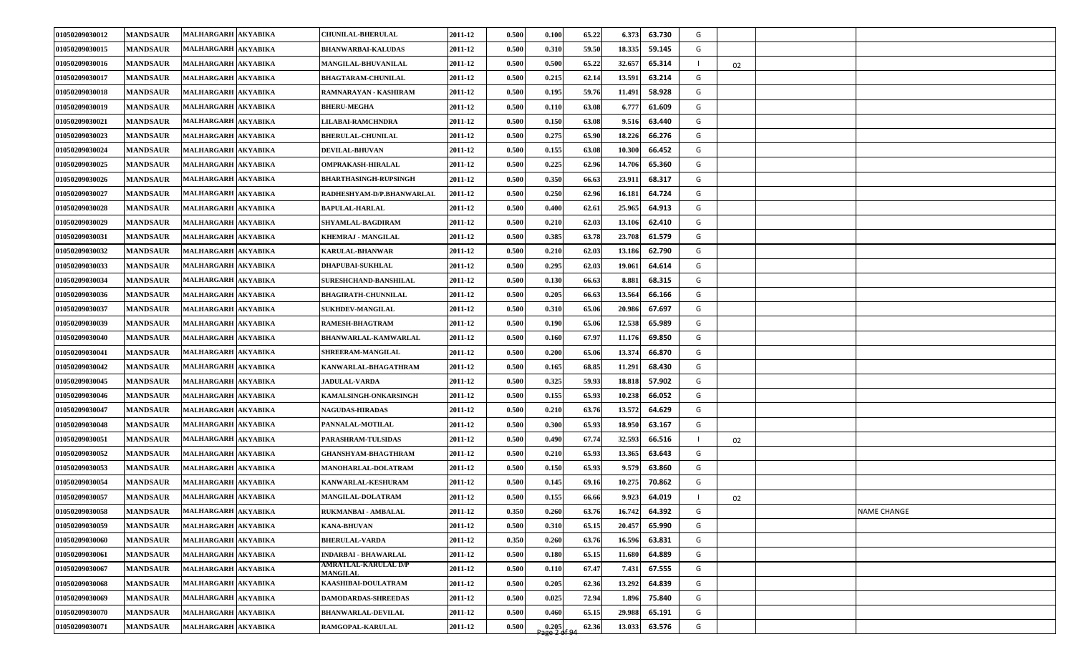| 01050209030012 | <b>MANDSAUR</b> | MALHARGARH AKYABIKA | <b>CHUNILAL-BHERULAL</b>                       | 2011-12 | 0.500 | 0.100                   | 65.22 | 63.730<br>6.373  | G |    |                    |
|----------------|-----------------|---------------------|------------------------------------------------|---------|-------|-------------------------|-------|------------------|---|----|--------------------|
| 01050209030015 | <b>MANDSAUR</b> | MALHARGARH AKYABIKA | <b>BHANWARBAI-KALUDAS</b>                      | 2011-12 | 0.500 | 0.310                   | 59.50 | 18.335<br>59.145 | G |    |                    |
| 01050209030016 | <b>MANDSAUR</b> | MALHARGARH AKYABIKA | MANGILAL-BHUVANILAL                            | 2011-12 | 0.500 | 0.500                   | 65.22 | 65.314<br>32.657 |   | 02 |                    |
| 01050209030017 | <b>MANDSAUR</b> | MALHARGARH AKYABIKA | <b>BHAGTARAM-CHUNILAL</b>                      | 2011-12 | 0.500 | 0.215                   | 62.14 | 13.591<br>63.214 | G |    |                    |
| 01050209030018 | <b>MANDSAUR</b> | MALHARGARH AKYABIKA | RAMNARAYAN - KASHIRAM                          | 2011-12 | 0.500 | 0.195                   | 59.76 | 58.928<br>11.491 | G |    |                    |
| 01050209030019 | <b>MANDSAUR</b> | MALHARGARH AKYABIKA | <b>BHERU-MEGHA</b>                             | 2011-12 | 0.500 | 0.110                   | 63.08 | 61.609<br>6.777  | G |    |                    |
| 01050209030021 | <b>MANDSAUR</b> | MALHARGARH AKYABIKA | LILABAI-RAMCHNDRA                              | 2011-12 | 0.500 | 0.150                   | 63.08 | 9.516<br>63.440  | G |    |                    |
| 01050209030023 | <b>MANDSAUR</b> | MALHARGARH AKYABIKA | <b>BHERULAL-CHUNILAL</b>                       | 2011-12 | 0.500 | 0.275                   | 65.90 | 66.276<br>18.226 | G |    |                    |
| 01050209030024 | <b>MANDSAUR</b> | MALHARGARH AKYABIKA | <b>DEVILAL-BHUVAN</b>                          | 2011-12 | 0.500 | 0.155                   | 63.08 | 66.452<br>10.300 | G |    |                    |
| 01050209030025 | <b>MANDSAUR</b> | MALHARGARH AKYABIKA | <b>OMPRAKASH-HIRALAL</b>                       | 2011-12 | 0.500 | 0.225                   | 62.96 | 65.360<br>14.706 | G |    |                    |
| 01050209030026 | <b>MANDSAUR</b> | MALHARGARH AKYABIKA | <b>BHARTHASINGH-RUPSINGH</b>                   | 2011-12 | 0.500 | 0.350                   | 66.63 | 68.317<br>23.911 | G |    |                    |
| 01050209030027 | <b>MANDSAUR</b> | MALHARGARH AKYABIKA | RADHESHYAM-D/P.BHANWARLAL                      | 2011-12 | 0.500 | 0.250                   | 62.96 | 64.724<br>16.181 | G |    |                    |
| 01050209030028 | <b>MANDSAUR</b> | MALHARGARH AKYABIKA | <b>BAPULAL-HARLAL</b>                          | 2011-12 | 0.500 | 0.400                   | 62.61 | 64.913<br>25.965 | G |    |                    |
| 01050209030029 | <b>MANDSAUR</b> | MALHARGARH AKYABIKA | SHYAMLAL-BAGDIRAM                              | 2011-12 | 0.500 | 0.210                   | 62.03 | 13.106<br>62.410 | G |    |                    |
| 01050209030031 | <b>MANDSAUR</b> | MALHARGARH AKYABIKA | <b>KHEMRAJ - MANGILAL</b>                      | 2011-12 | 0.500 | 0.385                   | 63.78 | 23.708<br>61.579 | G |    |                    |
| 01050209030032 | <b>MANDSAUR</b> | MALHARGARH AKYABIKA | KARULAL-BHANWAR                                | 2011-12 | 0.500 | 0.210                   | 62.03 | 62.790<br>13.186 | G |    |                    |
| 01050209030033 | <b>MANDSAUR</b> | MALHARGARH AKYABIKA | <b>DHAPUBAI-SUKHLAL</b>                        | 2011-12 | 0.500 | 0.295                   | 62.03 | 64.614<br>19.061 | G |    |                    |
| 01050209030034 | <b>MANDSAUR</b> | MALHARGARH AKYABIKA | <b>SURESHCHAND-BANSHILAL</b>                   | 2011-12 | 0.500 | 0.130                   | 66.63 | 68.315<br>8.881  | G |    |                    |
| 01050209030036 | <b>MANDSAUR</b> | MALHARGARH AKYABIKA | <b>BHAGIRATH-CHUNNILAL</b>                     | 2011-12 | 0.500 | 0.205                   | 66.63 | 13.564<br>66.166 | G |    |                    |
| 01050209030037 | <b>MANDSAUR</b> | MALHARGARH AKYABIKA | <b>SUKHDEV-MANGILAL</b>                        | 2011-12 | 0.500 | 0.310                   | 65.06 | 67.697<br>20.986 | G |    |                    |
| 01050209030039 | <b>MANDSAUR</b> | MALHARGARH AKYABIKA | <b>RAMESH-BHAGTRAM</b>                         | 2011-12 | 0.500 | 0.190                   | 65.06 | 12.538<br>65.989 | G |    |                    |
| 01050209030040 | <b>MANDSAUR</b> | MALHARGARH AKYABIKA | BHANWARLAL-KAMWARLAL                           | 2011-12 | 0.500 | 0.160                   | 67.97 | 69.850<br>11.176 | G |    |                    |
| 01050209030041 | <b>MANDSAUR</b> | MALHARGARH AKYABIKA | SHREERAM-MANGILAL                              | 2011-12 | 0.500 | 0.200                   | 65.06 | 66.870<br>13.374 | G |    |                    |
| 01050209030042 | <b>MANDSAUR</b> | MALHARGARH AKYABIKA | KANWARLAL-BHAGATHRAM                           | 2011-12 | 0.500 | 0.165                   | 68.85 | 68.430<br>11.291 | G |    |                    |
| 01050209030045 | <b>MANDSAUR</b> | MALHARGARH AKYABIKA | <b>JADULAL-VARDA</b>                           | 2011-12 | 0.500 | 0.325                   | 59.93 | 57.902<br>18.818 | G |    |                    |
| 01050209030046 | <b>MANDSAUR</b> | MALHARGARH AKYABIKA | KAMALSINGH-ONKARSINGH                          | 2011-12 | 0.500 | 0.155                   | 65.93 | 10.238<br>66.052 | G |    |                    |
| 01050209030047 | <b>MANDSAUR</b> | MALHARGARH AKYABIKA | <b>NAGUDAS-HIRADAS</b>                         | 2011-12 | 0.500 | 0.210                   | 63.76 | 64.629<br>13.572 | G |    |                    |
| 01050209030048 | <b>MANDSAUR</b> | MALHARGARH AKYABIKA | PANNALAL-MOTILAL                               | 2011-12 | 0.500 | 0.300                   | 65.93 | 18.950<br>63.167 | G |    |                    |
| 01050209030051 | <b>MANDSAUR</b> | MALHARGARH AKYABIKA | PARASHRAM-TULSIDAS                             | 2011-12 | 0.500 | 0.490                   | 67.74 | 32.593<br>66.516 |   | 02 |                    |
| 01050209030052 | <b>MANDSAUR</b> | MALHARGARH AKYABIKA | <b>GHANSHYAM-BHAGTHRAM</b>                     | 2011-12 | 0.500 | 0.210                   | 65.93 | 13.365<br>63.643 | G |    |                    |
| 01050209030053 | <b>MANDSAUR</b> | MALHARGARH AKYABIKA | MANOHARLAL-DOLATRAM                            | 2011-12 | 0.500 | 0.150                   | 65.93 | 9.579<br>63.860  | G |    |                    |
| 01050209030054 | <b>MANDSAUR</b> | MALHARGARH AKYABIKA | KANWARLAL-KESHURAM                             | 2011-12 | 0.500 | 0.145                   | 69.16 | 10.275<br>70.862 | G |    |                    |
| 01050209030057 | <b>MANDSAUR</b> | MALHARGARH AKYABIKA | <b>MANGILAL-DOLATRAM</b>                       | 2011-12 | 0.500 | 0.155                   | 66.66 | 64.019<br>9.923  |   | 02 |                    |
| 01050209030058 | <b>MANDSAUR</b> | MALHARGARH AKYABIKA | RUKMANBAI - AMBALAL                            | 2011-12 | 0.350 | 0.260                   | 63.76 | 16.742<br>64.392 | G |    | <b>NAME CHANGE</b> |
| 01050209030059 | <b>MANDSAUR</b> | MALHARGARH AKYABIKA | <b>KANA-BHUVAN</b>                             | 2011-12 | 0.500 | 0.310                   | 65.15 | 20.457<br>65.990 | G |    |                    |
| 01050209030060 | <b>MANDSAUR</b> | MALHARGARH AKYABIKA | <b>BHERULAL-VARDA</b>                          | 2011-12 | 0.350 | 0.260                   | 63.76 | 16.596<br>63.831 | G |    |                    |
| 01050209030061 | <b>MANDSAUR</b> | MALHARGARH AKYABIKA | <b>INDARBAI - BHAWARLAL</b>                    | 2011-12 | 0.500 | 0.180                   | 65.15 | 11.680<br>64.889 | G |    |                    |
| 01050209030067 | <b>MANDSAUR</b> | MALHARGARH AKYABIKA | <b>AMRATLAL-KARULAL D/P</b><br><b>MANGILAL</b> | 2011-12 | 0.500 | 0.110                   | 67.47 | 67.555<br>7.431  | G |    |                    |
| 01050209030068 | <b>MANDSAUR</b> | MALHARGARH AKYABIKA | KAASHIBAI-DOULATRAM                            | 2011-12 | 0.500 | 0.205                   | 62.36 | 13.292<br>64.839 | G |    |                    |
| 01050209030069 | <b>MANDSAUR</b> | MALHARGARH AKYABIKA | <b>DAMODARDAS-SHREEDAS</b>                     | 2011-12 | 0.500 | 0.025                   | 72.94 | 1.896<br>75.840  | G |    |                    |
| 01050209030070 | <b>MANDSAUR</b> | MALHARGARH AKYABIKA | <b>BHANWARLAL-DEVILAL</b>                      | 2011-12 | 0.500 | 0.460                   | 65.15 | 29.988<br>65.191 | G |    |                    |
| 01050209030071 | <b>MANDSAUR</b> | MALHARGARH AKYABIKA | RAMGOPAL-KARULAL                               | 2011-12 | 0.500 | $0.205$<br>Page 2 of 94 | 62.36 | 13.033<br>63.576 | G |    |                    |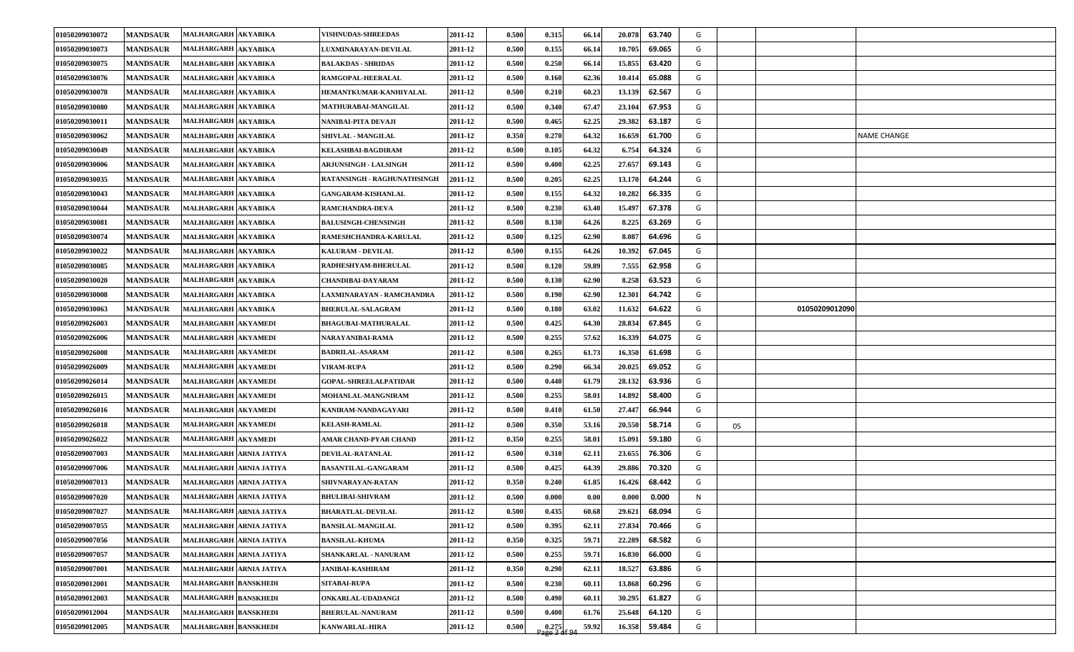| 01050209030072 | <b>MANDSAUR</b> | MALHARGARH AKYABIKA         | <b>VISHNUDAS-SHREEDAS</b>    | 2011-12 | 0.500 | 0.315                 | 66.14 | 20.078 | 63.740 | G |    |                |             |
|----------------|-----------------|-----------------------------|------------------------------|---------|-------|-----------------------|-------|--------|--------|---|----|----------------|-------------|
| 01050209030073 | <b>MANDSAUR</b> | MALHARGARH AKYABIKA         | LUXMINARAYAN-DEVILAL         | 2011-12 | 0.500 | 0.155                 | 66.14 | 10.705 | 69.065 | G |    |                |             |
| 01050209030075 | <b>MANDSAUR</b> | MALHARGARH AKYABIKA         | <b>BALAKDAS - SHRIDAS</b>    | 2011-12 | 0.500 | 0.250                 | 66.14 | 15.855 | 63.420 | G |    |                |             |
| 01050209030076 | <b>MANDSAUR</b> | MALHARGARH AKYABIKA         | RAMGOPAL-HEERALAL            | 2011-12 | 0.500 | 0.160                 | 62.36 | 10.414 | 65.088 | G |    |                |             |
| 01050209030078 | <b>MANDSAUR</b> | MALHARGARH AKYABIKA         | HEMANTKUMAR-KANHIYALAL       | 2011-12 | 0.500 | 0.210                 | 60.23 | 13.139 | 62.567 | G |    |                |             |
| 01050209030080 | <b>MANDSAUR</b> | MALHARGARH AKYABIKA         | MATHURABAI-MANGILAL          | 2011-12 | 0.500 | 0.340                 | 67.47 | 23.104 | 67.953 | G |    |                |             |
| 01050209030011 | <b>MANDSAUR</b> | MALHARGARH AKYABIKA         | NANIBAI-PITA DEVAJI          | 2011-12 | 0.500 | 0.465                 | 62.25 | 29.382 | 63.187 | G |    |                |             |
| 01050209030062 | <b>MANDSAUR</b> | MALHARGARH AKYABIKA         | <b>SHIVLAL - MANGILAL</b>    | 2011-12 | 0.350 | 0.270                 | 64.32 | 16.659 | 61.700 | G |    |                | NAME CHANGE |
| 01050209030049 | <b>MANDSAUR</b> | MALHARGARH AKYABIKA         | KELASHBAI-BAGDIRAM           | 2011-12 | 0.500 | 0.105                 | 64.32 | 6.754  | 64.324 | G |    |                |             |
| 01050209030006 | <b>MANDSAUR</b> | MALHARGARH AKYABIKA         | <b>ARJUNSINGH - LALSINGH</b> | 2011-12 | 0.500 | 0.400                 | 62.25 | 27.657 | 69.143 | G |    |                |             |
| 01050209030035 | <b>MANDSAUR</b> | MALHARGARH AKYABIKA         | RATANSINGH - RAGHUNATHSINGH  | 2011-12 | 0.500 | 0.205                 | 62.25 | 13.170 | 64.244 | G |    |                |             |
| 01050209030043 | <b>MANDSAUR</b> | MALHARGARH AKYABIKA         | <b>GANGARAM-KISHANLAL</b>    | 2011-12 | 0.500 | 0.155                 | 64.32 | 10.282 | 66.335 | G |    |                |             |
| 01050209030044 | <b>MANDSAUR</b> | MALHARGARH AKYABIKA         | <b>RAMCHANDRA-DEVA</b>       | 2011-12 | 0.500 | 0.230                 | 63.40 | 15.497 | 67.378 | G |    |                |             |
| 01050209030081 | <b>MANDSAUR</b> | MALHARGARH AKYABIKA         | <b>BALUSINGH-CHENSINGH</b>   | 2011-12 | 0.500 | 0.130                 | 64.26 | 8.225  | 63.269 | G |    |                |             |
| 01050209030074 | <b>MANDSAUR</b> | MALHARGARH AKYABIKA         | RAMESHCHANDRA-KARULAL        | 2011-12 | 0.500 | 0.125                 | 62.90 | 8.087  | 64.696 | G |    |                |             |
| 01050209030022 | <b>MANDSAUR</b> | MALHARGARH AKYABIKA         | <b>KALURAM - DEVILAL</b>     | 2011-12 | 0.500 | 0.155                 | 64.26 | 10.392 | 67.045 | G |    |                |             |
| 01050209030085 | <b>MANDSAUR</b> | MALHARGARH AKYABIKA         | RADHESHYAM-BHERULAL          | 2011-12 | 0.500 | 0.120                 | 59.89 | 7.555  | 62.958 | G |    |                |             |
| 01050209030020 | <b>MANDSAUR</b> | MALHARGARH AKYABIKA         | <b>CHANDIBAI-DAYARAM</b>     | 2011-12 | 0.500 | 0.130                 | 62.90 | 8.258  | 63.523 | G |    |                |             |
| 01050209030008 | <b>MANDSAUR</b> | MALHARGARH AKYABIKA         | LAXMINARAYAN - RAMCHANDRA    | 2011-12 | 0.500 | 0.190                 | 62.90 | 12.301 | 64.742 | G |    |                |             |
| 01050209030063 | <b>MANDSAUR</b> | MALHARGARH AKYABIKA         | <b>BHERULAL-SALAGRAM</b>     | 2011-12 | 0.500 | 0.180                 | 63.02 | 11.632 | 64.622 | G |    | 01050209012090 |             |
| 01050209026003 | <b>MANDSAUR</b> | MALHARGARH AKYAMEDI         | <b>BHAGUBAI-MATHURALAL</b>   | 2011-12 | 0.500 | 0.425                 | 64.30 | 28.834 | 67.845 | G |    |                |             |
| 01050209026006 | <b>MANDSAUR</b> | MALHARGARH AKYAMEDI         | NARAYANIBAI-RAMA             | 2011-12 | 0.500 | 0.255                 | 57.62 | 16.339 | 64.075 | G |    |                |             |
| 01050209026008 | <b>MANDSAUR</b> | MALHARGARH AKYAMEDI         | <b>BADRILAL-ASARAM</b>       | 2011-12 | 0.500 | 0.265                 | 61.73 | 16.350 | 61.698 | G |    |                |             |
| 01050209026009 | <b>MANDSAUR</b> | MALHARGARH AKYAMEDI         | <b>/IRAM-RUPA</b>            | 2011-12 | 0.500 | 0.290                 | 66.34 | 20.025 | 69.052 | G |    |                |             |
| 01050209026014 | <b>MANDSAUR</b> | MALHARGARH AKYAMEDI         | <b>GOPAL-SHREELALPATIDAR</b> | 2011-12 | 0.500 | 0.440                 | 61.79 | 28.132 | 63.936 | G |    |                |             |
| 01050209026015 | <b>MANDSAUR</b> | MALHARGARH AKYAMEDI         | MOHANLAL-MANGNIRAM           | 2011-12 | 0.500 | 0.255                 | 58.01 | 14.892 | 58.400 | G |    |                |             |
| 01050209026016 | <b>MANDSAUR</b> | MALHARGARH AKYAMEDI         | KANIRAM-NANDAGAYARI          | 2011-12 | 0.500 | 0.410                 | 61.50 | 27.447 | 66.944 | G |    |                |             |
| 01050209026018 | <b>MANDSAUR</b> | MALHARGARH AKYAMEDI         | <b>KELASH-RAMLAL</b>         | 2011-12 | 0.500 | 0.350                 | 53.16 | 20.550 | 58.714 | G | 05 |                |             |
| 01050209026022 | <b>MANDSAUR</b> | <b>MALHARGARH AKYAMEDI</b>  | AMAR CHAND-PYAR CHAND        | 2011-12 | 0.350 | 0.255                 | 58.01 | 15.091 | 59.180 | G |    |                |             |
| 01050209007003 | <b>MANDSAUR</b> | MALHARGARH ARNIA JATIYA     | DEVILAL-RATANLAL             | 2011-12 | 0.500 | 0.310                 | 62.11 | 23.655 | 76.306 | G |    |                |             |
| 01050209007006 | <b>MANDSAUR</b> | MALHARGARH ARNIA JATIYA     | <b>BASANTILAL-GANGARAM</b>   | 2011-12 | 0.500 | 0.425                 | 64.39 | 29.886 | 70.320 | G |    |                |             |
| 01050209007013 | <b>MANDSAUR</b> | MALHARGARH ARNIA JATIYA     | SHIVNARAYAN-RATAN            | 2011-12 | 0.350 | 0.240                 | 61.85 | 16.426 | 68.442 | G |    |                |             |
| 01050209007020 | <b>MANDSAUR</b> | MALHARGARH ARNIA JATIYA     | <b>BHULIBAI-SHIVRAM</b>      | 2011-12 | 0.500 | 0.000                 | 0.00  | 0.000  | 0.000  | N |    |                |             |
| 01050209007027 | <b>MANDSAUR</b> | MALHARGARH ARNIA JATIYA     | <b>BHARATLAL-DEVILAL</b>     | 2011-12 | 0.500 | 0.435                 | 60.68 | 29.621 | 68.094 | G |    |                |             |
| 01050209007055 | <b>MANDSAUR</b> | MALHARGARH ARNIA JATIYA     | <b>BANSILAL-MANGILAL</b>     | 2011-12 | 0.500 | 0.395                 | 62.11 | 27.834 | 70.466 | G |    |                |             |
| 01050209007056 | <b>MANDSAUR</b> | MALHARGARH ARNIA JATIYA     | <b>BANSILAL-KHUMA</b>        | 2011-12 | 0.350 | 0.325                 | 59.71 | 22.289 | 68.582 | G |    |                |             |
| 01050209007057 | <b>MANDSAUR</b> | MALHARGARH ARNIA JATIYA     | SHANKARLAL - NANURAM         | 2011-12 | 0.500 | 0.255                 | 59.71 | 16.830 | 66.000 | G |    |                |             |
| 01050209007001 | <b>MANDSAUR</b> | MALHARGARH ARNIA JATIYA     | <b>JANIBAI-KASHIRAM</b>      | 2011-12 | 0.350 | 0.290                 | 62.11 | 18.527 | 63.886 | G |    |                |             |
| 01050209012001 | <b>MANDSAUR</b> | <b>MALHARGARH BANSKHEDI</b> | SITABAI-RUPA                 | 2011-12 | 0.500 | 0.230                 | 60.11 | 13.868 | 60.296 | G |    |                |             |
| 01050209012003 | <b>MANDSAUR</b> | MALHARGARH BANSKHEDI        | ONKARLAL-UDADANGI            | 2011-12 | 0.500 | 0.490                 | 60.11 | 30.295 | 61.827 | G |    |                |             |
| 01050209012004 | <b>MANDSAUR</b> | <b>MALHARGARH BANSKHEDI</b> | <b>BHERULAL-NANURAM</b>      | 2011-12 | 0.500 | 0.400                 | 61.76 | 25.648 | 64.120 | G |    |                |             |
| 01050209012005 | <b>MANDSAUR</b> | MALHARGARH BANSKHEDI        | <b>KANWARLAL-HIRA</b>        | 2011-12 | 0.500 | 0.275<br>Page 3 of 94 | 59.92 | 16.358 | 59.484 | G |    |                |             |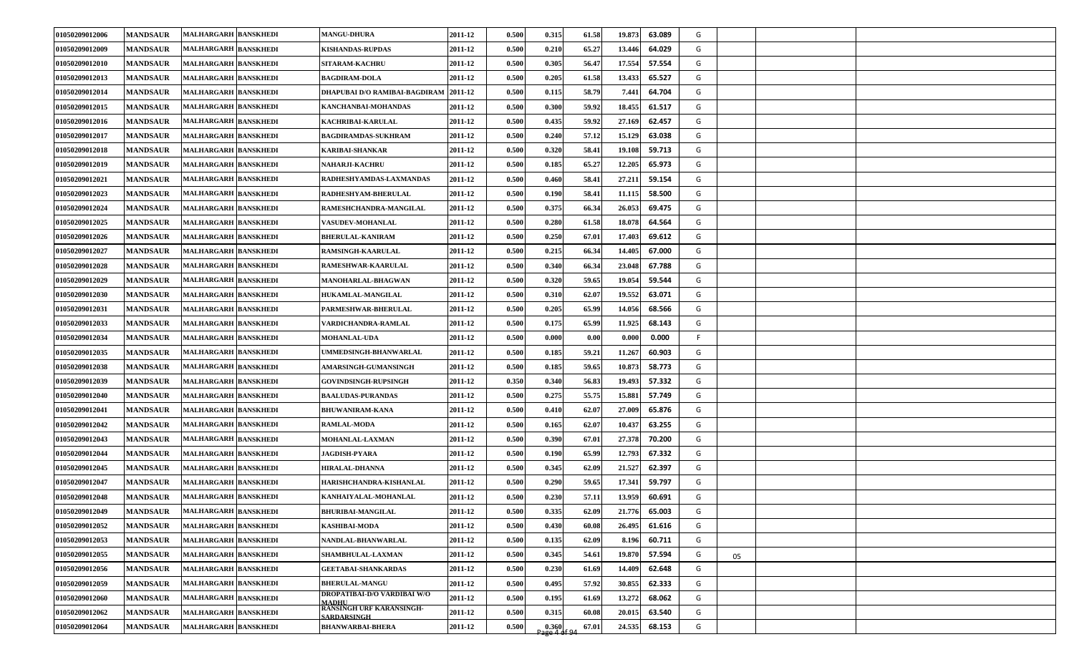| 01050209012006 | <b>MANDSAUR</b> | MALHARGARH BANSKHEDI        | <b>MANGU-DHURA</b>                                    | 2011-12 | 0.500 | 0.315 | 61.58          | 19.873 | 63.089<br>G |    |  |
|----------------|-----------------|-----------------------------|-------------------------------------------------------|---------|-------|-------|----------------|--------|-------------|----|--|
| 01050209012009 | <b>MANDSAUR</b> | MALHARGARH BANSKHEDI        | KISHANDAS-RUPDAS                                      | 2011-12 | 0.500 | 0.210 | 65.27          | 13.446 | 64.029<br>G |    |  |
| 01050209012010 | <b>MANDSAUR</b> | MALHARGARH BANSKHEDI        | SITARAM-KACHRU                                        | 2011-12 | 0.500 | 0.305 | 56.47          | 17.554 | 57.554<br>G |    |  |
| 01050209012013 | <b>MANDSAUR</b> | MALHARGARH BANSKHEDI        | <b>BAGDIRAM-DOLA</b>                                  | 2011-12 | 0.500 | 0.205 | 61.58          | 13.433 | 65.527<br>G |    |  |
| 01050209012014 | <b>MANDSAUR</b> | MALHARGARH BANSKHEDI        | DHAPUBAI D/O RAMIBAI-BAGDIRAM  2011-12                |         | 0.500 | 0.115 | 58.79          | 7.441  | 64.704<br>G |    |  |
| 01050209012015 | <b>MANDSAUR</b> | MALHARGARH BANSKHEDI        | KANCHANBAI-MOHANDAS                                   | 2011-12 | 0.500 | 0.300 | 59.92          | 18.455 | 61.517<br>G |    |  |
| 01050209012016 | <b>MANDSAUR</b> | MALHARGARH BANSKHEDI        | KACHRIBAI-KARULAL                                     | 2011-12 | 0.500 | 0.435 | 59.92          | 27.169 | 62.457<br>G |    |  |
| 01050209012017 | <b>MANDSAUR</b> | MALHARGARH BANSKHEDI        | <b>BAGDIRAMDAS-SUKHRAM</b>                            | 2011-12 | 0.500 | 0.240 | 57.12          | 15.129 | G<br>63.038 |    |  |
| 01050209012018 | <b>MANDSAUR</b> | MALHARGARH BANSKHEDI        | <b>KARIBAI-SHANKAR</b>                                | 2011-12 | 0.500 | 0.320 | 58.41          | 19.108 | 59.713<br>G |    |  |
| 01050209012019 | <b>MANDSAUR</b> | <b>MALHARGARH BANSKHEDI</b> | NAHARJI-KACHRU                                        | 2011-12 | 0.500 | 0.185 | 65.27          | 12.205 | 65.973<br>G |    |  |
| 01050209012021 | <b>MANDSAUR</b> | <b>MALHARGARH BANSKHEDI</b> | RADHESHYAMDAS-LAXMANDAS                               | 2011-12 | 0.500 | 0.460 | 58.41          | 27.211 | 59.154<br>G |    |  |
| 01050209012023 | <b>MANDSAUR</b> | <b>MALHARGARH BANSKHEDI</b> | RADHESHYAM-BHERULAL                                   | 2011-12 | 0.500 | 0.190 | 58.41          | 11.115 | G<br>58.500 |    |  |
| 01050209012024 | <b>MANDSAUR</b> | <b>MALHARGARH BANSKHEDI</b> | RAMESHCHANDRA-MANGILAL                                | 2011-12 | 0.500 | 0.375 | 66.34          | 26.053 | 69.475<br>G |    |  |
| 01050209012025 | <b>MANDSAUR</b> | <b>MALHARGARH BANSKHEDI</b> | <b>VASUDEV-MOHANLAL</b>                               | 2011-12 | 0.500 | 0.280 | 61.58          | 18.078 | G<br>64.564 |    |  |
| 01050209012026 | <b>MANDSAUR</b> | <b>MALHARGARH BANSKHEDI</b> | <b>BHERULAL-KANIRAM</b>                               | 2011-12 | 0.500 | 0.250 | 67.01          | 17.403 | G<br>69.612 |    |  |
| 01050209012027 | <b>MANDSAUR</b> | <b>MALHARGARH BANSKHEDI</b> | <b>RAMSINGH-KAARULAL</b>                              | 2011-12 | 0.500 | 0.215 | 66.34          | 14.405 | 67.000<br>G |    |  |
| 01050209012028 | <b>MANDSAUR</b> | <b>MALHARGARH BANSKHEDI</b> | RAMESHWAR-KAARULAL                                    | 2011-12 | 0.500 | 0.340 | 66.34          | 23.048 | 67.788<br>G |    |  |
| 01050209012029 | <b>MANDSAUR</b> | MALHARGARH BANSKHEDI        | MANOHARLAL-BHAGWAN                                    | 2011-12 | 0.500 | 0.320 | 59.65          | 19.054 | G<br>59.544 |    |  |
| 01050209012030 | <b>MANDSAUR</b> | <b>MALHARGARH BANSKHEDI</b> | HUKAMLAL-MANGILAL                                     | 2011-12 | 0.500 | 0.310 | 62.07          | 19.552 | G<br>63.071 |    |  |
| 01050209012031 | <b>MANDSAUR</b> | <b>MALHARGARH BANSKHEDI</b> | PARMESHWAR-BHERULAL                                   | 2011-12 | 0.500 | 0.205 | 65.99          | 14.056 | 68.566<br>G |    |  |
| 01050209012033 | <b>MANDSAUR</b> | <b>MALHARGARH BANSKHEDI</b> | VARDICHANDRA-RAMLAL                                   | 2011-12 | 0.500 | 0.175 | 65.99          | 11.925 | 68.143<br>G |    |  |
| 01050209012034 | <b>MANDSAUR</b> | MALHARGARH BANSKHEDI        | <b>MOHANLAL-UDA</b>                                   | 2011-12 | 0.500 | 0.000 | 0.00           | 0.000  | 0.000<br>F. |    |  |
| 01050209012035 | <b>MANDSAUR</b> | MALHARGARH BANSKHEDI        | UMMEDSINGH-BHANWARLAL                                 | 2011-12 | 0.500 | 0.185 | 59.21          | 11.267 | G<br>60.903 |    |  |
| 01050209012038 | <b>MANDSAUR</b> | MALHARGARH BANSKHEDI        | <b>AMARSINGH-GUMANSINGH</b>                           | 2011-12 | 0.500 | 0.185 | 59.65          | 10.873 | 58.773<br>G |    |  |
| 01050209012039 | <b>MANDSAUR</b> | MALHARGARH BANSKHEDI        | <b>GOVINDSINGH-RUPSINGH</b>                           | 2011-12 | 0.350 | 0.340 | 56.83          | 19.493 | 57.332<br>G |    |  |
| 01050209012040 | <b>MANDSAUR</b> | MALHARGARH BANSKHEDI        | <b>BAALUDAS-PURANDAS</b>                              | 2011-12 | 0.500 | 0.275 | 55.75          | 15.881 | 57.749<br>G |    |  |
| 01050209012041 | <b>MANDSAUR</b> | <b>MALHARGARH BANSKHEDI</b> | <b>BHUWANIRAM-KANA</b>                                | 2011-12 | 0.500 | 0.410 | 62.07          | 27.009 | 65.876<br>G |    |  |
| 01050209012042 | <b>MANDSAUR</b> | <b>MALHARGARH BANSKHEDI</b> | <b>RAMLAL-MODA</b>                                    | 2011-12 | 0.500 | 0.165 | 62.07          | 10.437 | 63.255<br>G |    |  |
| 01050209012043 | <b>MANDSAUR</b> | MALHARGARH BANSKHEDI        | MOHANLAL-LAXMAN                                       | 2011-12 | 0.500 | 0.390 | 67.01          | 27.378 | 70.200<br>G |    |  |
| 01050209012044 | <b>MANDSAUR</b> | MALHARGARH BANSKHEDI        | <b>JAGDISH-PYARA</b>                                  | 2011-12 | 0.500 | 0.190 | 65.99          | 12.793 | 67.332<br>G |    |  |
| 01050209012045 | <b>MANDSAUR</b> | <b>MALHARGARH BANSKHEDI</b> | <b>HIRALAL-DHANNA</b>                                 | 2011-12 | 0.500 | 0.345 | 62.09          | 21.527 | G<br>62.397 |    |  |
| 01050209012047 | <b>MANDSAUR</b> | MALHARGARH BANSKHEDI        | HARISHCHANDRA-KISHANLAL                               | 2011-12 | 0.500 | 0.290 | 59.65          | 17.341 | 59.797<br>G |    |  |
| 01050209012048 | <b>MANDSAUR</b> | MALHARGARH BANSKHEDI        | KANHAIYALAL-MOHANLAL                                  | 2011-12 | 0.500 | 0.230 | 57.11          | 13.959 | 60.691<br>G |    |  |
| 01050209012049 | <b>MANDSAUR</b> | MALHARGARH BANSKHEDI        | <b>BHURIBAI-MANGILAL</b>                              | 2011-12 | 0.500 | 0.335 | 62.09          | 21.776 | 65.003<br>G |    |  |
| 01050209012052 | <b>MANDSAUR</b> | <b>MALHARGARH BANSKHEDI</b> | KASHIBAI-MODA                                         | 2011-12 | 0.500 | 0.430 | 60.08          | 26.495 | G<br>61.616 |    |  |
| 01050209012053 | <b>MANDSAUR</b> | <b>MALHARGARH BANSKHEDI</b> | NANDLAL-BHANWARLAL                                    | 2011-12 | 0.500 | 0.135 | 62.09          | 8.196  | G<br>60.711 |    |  |
| 01050209012055 | <b>MANDSAUR</b> | MALHARGARH BANSKHEDI        | <b>SHAMBHULAL-LAXMAN</b>                              | 2011-12 | 0.500 | 0.345 | 54.61          | 19.870 | G<br>57.594 | 05 |  |
| 01050209012056 | <b>MANDSAUR</b> | <b>MALHARGARH BANSKHEDI</b> | <b>GEETABAI-SHANKARDAS</b>                            | 2011-12 | 0.500 | 0.230 | 61.69          | 14.409 | 62.648<br>G |    |  |
| 01050209012059 | <b>MANDSAUR</b> | MALHARGARH BANSKHEDI        | <b>BHERULAL-MANGU</b>                                 | 2011-12 | 0.500 | 0.495 | 57.92          | 30.855 | G<br>62.333 |    |  |
| 01050209012060 | <b>MANDSAUR</b> | MALHARGARH BANSKHEDI        | DROPATIBAI-D/O VARDIBAI W/O<br><b>MADHU</b>           | 2011-12 | 0.500 | 0.195 | 61.69          | 13.272 | G<br>68.062 |    |  |
| 01050209012062 | <b>MANDSAUR</b> | MALHARGARH BANSKHEDI        | <b>RANSINGH URF KARANSINGH-</b><br><b>SARDARSINGH</b> | 2011-12 | 0.500 | 0.315 | 60.08          | 20.015 | 63.540<br>G |    |  |
| 01050209012064 | <b>MANDSAUR</b> | MALHARGARH BANSKHEDI        | <b>BHANWARBAI-BHERA</b>                               | 2011-12 | 0.500 | 0.360 | 67.01<br>ሐf 0/ | 24.535 | G<br>68.153 |    |  |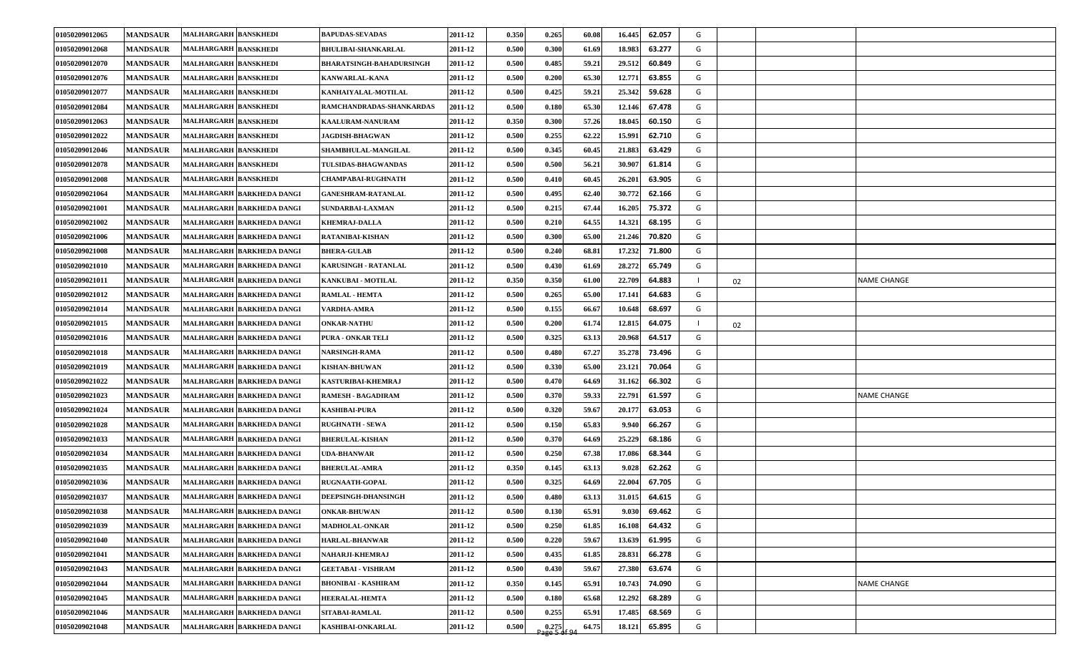| 01050209012065 | <b>MANDSAUR</b> | <b>MALHARGARH BANSKHEDI</b>      | <b>BAPUDAS-SEVADAS</b>          | 2011-12 | 0.350 | 0.265                 | 60.08 | 16.445<br>62.057 | G |    |                    |
|----------------|-----------------|----------------------------------|---------------------------------|---------|-------|-----------------------|-------|------------------|---|----|--------------------|
| 01050209012068 | <b>MANDSAUR</b> | MALHARGARH BANSKHEDI             | <b>BHULIBAI-SHANKARLAL</b>      | 2011-12 | 0.500 | 0.300                 | 61.69 | 63.277<br>18.983 | G |    |                    |
| 01050209012070 | <b>MANDSAUR</b> | MALHARGARH BANSKHEDI             | <b>BHARATSINGH-BAHADURSINGH</b> | 2011-12 | 0.500 | 0.485                 | 59.21 | 60.849<br>29.512 | G |    |                    |
| 01050209012076 | <b>MANDSAUR</b> | <b>MALHARGARH BANSKHEDI</b>      | <b>KANWARLAL-KANA</b>           | 2011-12 | 0.500 | 0.200                 | 65.30 | 63.855<br>12.771 | G |    |                    |
| 01050209012077 | <b>MANDSAUR</b> | <b>MALHARGARH BANSKHEDI</b>      | KANHAIYALAL-MOTILAL             | 2011-12 | 0.500 | 0.425                 | 59.21 | 25.342<br>59.628 | G |    |                    |
| 01050209012084 | <b>MANDSAUR</b> | <b>MALHARGARH BANSKHEDI</b>      | RAMCHANDRADAS-SHANKARDAS        | 2011-12 | 0.500 | 0.180                 | 65.30 | 12.146<br>67.478 | G |    |                    |
| 01050209012063 | <b>MANDSAUR</b> | <b>MALHARGARH BANSKHEDI</b>      | KAALURAM-NANURAM                | 2011-12 | 0.350 | 0.300                 | 57.26 | 18.045<br>60.150 | G |    |                    |
| 01050209012022 | <b>MANDSAUR</b> | MALHARGARH BANSKHEDI             | <b>JAGDISH-BHAGWAN</b>          | 2011-12 | 0.500 | 0.255                 | 62.22 | 15.991<br>62.710 | G |    |                    |
| 01050209012046 | <b>MANDSAUR</b> | <b>MALHARGARH BANSKHEDI</b>      | SHAMBHULAL-MANGILAL             | 2011-12 | 0.500 | 0.345                 | 60.45 | 63.429<br>21.883 | G |    |                    |
| 01050209012078 | <b>MANDSAUR</b> | <b>MALHARGARH BANSKHEDI</b>      | TULSIDAS-BHAGWANDAS             | 2011-12 | 0.500 | 0.500                 | 56.21 | 61.814<br>30.907 | G |    |                    |
| 01050209012008 | <b>MANDSAUR</b> | <b>MALHARGARH BANSKHEDI</b>      | <b>CHAMPABAI-RUGHNATH</b>       | 2011-12 | 0.500 | 0.410                 | 60.45 | 26.201<br>63.905 | G |    |                    |
| 01050209021064 | <b>MANDSAUR</b> | MALHARGARH BARKHEDA DANGI        | <b>GANESHRAM-RATANLAL</b>       | 2011-12 | 0.500 | 0.495                 | 62.40 | 62.166<br>30.772 | G |    |                    |
| 01050209021001 | <b>MANDSAUR</b> | MALHARGARH BARKHEDA DANGI        | <b>SUNDARBAI-LAXMAN</b>         | 2011-12 | 0.500 | 0.215                 | 67.44 | 75.372<br>16.205 | G |    |                    |
| 01050209021002 | <b>MANDSAUR</b> | MALHARGARH BARKHEDA DANGI        | <b>KHEMRAJ-DALLA</b>            | 2011-12 | 0.500 | 0.210                 | 64.55 | 68.195<br>14.321 | G |    |                    |
| 01050209021006 | <b>MANDSAUR</b> | MALHARGARH BARKHEDA DANGI        | <b>RATANIBAI-KISHAN</b>         | 2011-12 | 0.500 | 0.300                 | 65.00 | 21.246<br>70.820 | G |    |                    |
| 01050209021008 | <b>MANDSAUR</b> | MALHARGARH BARKHEDA DANGI        | <b>BHERA-GULAB</b>              | 2011-12 | 0.500 | 0.240                 | 68.81 | 71.800<br>17.232 | G |    |                    |
| 01050209021010 | <b>MANDSAUR</b> | MALHARGARH BARKHEDA DANGI        | <b>KARUSINGH - RATANLAL</b>     | 2011-12 | 0.500 | 0.430                 | 61.69 | 28.272<br>65.749 | G |    |                    |
| 01050209021011 | <b>MANDSAUR</b> | MALHARGARH BARKHEDA DANGI        | KANKUBAI - MOTILAL              | 2011-12 | 0.350 | 0.350                 | 61.00 | 22.709<br>64.883 |   | 02 | <b>NAME CHANGE</b> |
| 01050209021012 | <b>MANDSAUR</b> | MALHARGARH BARKHEDA DANGI        | <b>RAMLAL - HEMTA</b>           | 2011-12 | 0.500 | 0.265                 | 65.00 | 64.683<br>17.141 | G |    |                    |
| 01050209021014 | <b>MANDSAUR</b> | MALHARGARH BARKHEDA DANGI        | VARDHA-AMRA                     | 2011-12 | 0.500 | 0.155                 | 66.67 | 68.697<br>10.648 | G |    |                    |
| 01050209021015 | <b>MANDSAUR</b> | MALHARGARH BARKHEDA DANGI        | <b>ONKAR-NATHU</b>              | 2011-12 | 0.500 | 0.200                 | 61.74 | 64.075<br>12.815 |   | 02 |                    |
| 01050209021016 | <b>MANDSAUR</b> | MALHARGARH BARKHEDA DANGI        | <b>PURA - ONKAR TELI</b>        | 2011-12 | 0.500 | 0.325                 | 63.13 | 64.517<br>20.968 | G |    |                    |
| 01050209021018 | <b>MANDSAUR</b> | MALHARGARH BARKHEDA DANGI        | <b>NARSINGH-RAMA</b>            | 2011-12 | 0.500 | 0.480                 | 67.27 | 73.496<br>35.278 | G |    |                    |
| 01050209021019 | <b>MANDSAUR</b> | <b>MALHARGARH BARKHEDA DANGI</b> | <b>KISHAN-BHUWAN</b>            | 2011-12 | 0.500 | 0.330                 | 65.00 | 23.121<br>70.064 | G |    |                    |
| 01050209021022 | <b>MANDSAUR</b> | MALHARGARH BARKHEDA DANGI        | KASTURIBAI-KHEMRAJ              | 2011-12 | 0.500 | 0.470                 | 64.69 | 31.162<br>66.302 | G |    |                    |
| 01050209021023 | <b>MANDSAUR</b> | MALHARGARH BARKHEDA DANGI        | <b>RAMESH - BAGADIRAM</b>       | 2011-12 | 0.500 | 0.370                 | 59.33 | 22.791<br>61.597 | G |    | <b>NAME CHANGE</b> |
| 01050209021024 | <b>MANDSAUR</b> | MALHARGARH BARKHEDA DANGI        | <b>KASHIBAI-PURA</b>            | 2011-12 | 0.500 | 0.320                 | 59.67 | 20.177<br>63.053 | G |    |                    |
| 01050209021028 | <b>MANDSAUR</b> | MALHARGARH BARKHEDA DANGI        | <b>RUGHNATH - SEWA</b>          | 2011-12 | 0.500 | 0.150                 | 65.83 | 9.940<br>66.267  | G |    |                    |
| 01050209021033 | <b>MANDSAUR</b> | MALHARGARH BARKHEDA DANGI        | <b>BHERULAL-KISHAN</b>          | 2011-12 | 0.500 | 0.370                 | 64.69 | 25,229<br>68.186 | G |    |                    |
| 01050209021034 | <b>MANDSAUR</b> | MALHARGARH BARKHEDA DANGI        | <b>UDA-BHANWAR</b>              | 2011-12 | 0.500 | 0.250                 | 67.38 | 17.086<br>68.344 | G |    |                    |
| 01050209021035 | <b>MANDSAUR</b> | MALHARGARH BARKHEDA DANGI        | <b>BHERULAL-AMRA</b>            | 2011-12 | 0.350 | 0.145                 | 63.13 | 62.262<br>9.028  | G |    |                    |
| 01050209021036 | <b>MANDSAUR</b> | MALHARGARH BARKHEDA DANGI        | <b>RUGNAATH-GOPAL</b>           | 2011-12 | 0.500 | 0.325                 | 64.69 | 22.004<br>67.705 | G |    |                    |
| 01050209021037 | <b>MANDSAUR</b> | MALHARGARH BARKHEDA DANGI        | <b>DEEPSINGH-DHANSINGH</b>      | 2011-12 | 0.500 | 0.480                 | 63.13 | 64.615<br>31.015 | G |    |                    |
| 01050209021038 | <b>MANDSAUR</b> | MALHARGARH BARKHEDA DANGI        | <b>ONKAR-BHUWAN</b>             | 2011-12 | 0.500 | 0.130                 | 65.91 | 9.030<br>69.462  | G |    |                    |
| 01050209021039 | <b>MANDSAUR</b> | MALHARGARH BARKHEDA DANGI        | <b>MADHOLAL-ONKAR</b>           | 2011-12 | 0.500 | 0.250                 | 61.85 | 16.108<br>64.432 | G |    |                    |
| 01050209021040 | <b>MANDSAUR</b> | MALHARGARH BARKHEDA DANGI        | <b>HARLAL-BHANWAR</b>           | 2011-12 | 0.500 | 0.220                 | 59.67 | 13.639<br>61.995 | G |    |                    |
| 01050209021041 | <b>MANDSAUR</b> | MALHARGARH BARKHEDA DANGI        | NAHARJI-KHEMRAJ                 | 2011-12 | 0.500 | 0.435                 | 61.85 | 28.831<br>66.278 | G |    |                    |
| 01050209021043 | <b>MANDSAUR</b> | MALHARGARH BARKHEDA DANGI        | <b>GEETABAI - VISHRAM</b>       | 2011-12 | 0.500 | 0.430                 | 59.67 | 63.674<br>27.380 | G |    |                    |
| 01050209021044 | <b>MANDSAUR</b> | MALHARGARH BARKHEDA DANGI        | <b>BHONIBAI - KASHIRAM</b>      | 2011-12 | 0.350 | 0.145                 | 65.91 | 74.090<br>10.743 | G |    | <b>NAME CHANGE</b> |
| 01050209021045 | <b>MANDSAUR</b> | MALHARGARH BARKHEDA DANGI        | <b>HEERALAL-HEMTA</b>           | 2011-12 | 0.500 | 0.180                 | 65.68 | 12.292<br>68.289 | G |    |                    |
| 01050209021046 | <b>MANDSAUR</b> | MALHARGARH BARKHEDA DANGI        | SITABAI-RAMLAL                  | 2011-12 | 0.500 | 0.255                 | 65.91 | 68.569<br>17.485 | G |    |                    |
| 01050209021048 | <b>MANDSAUR</b> | MALHARGARH BARKHEDA DANGI        | KASHIBAI-ONKARLAL               | 2011-12 | 0.500 | 0.275<br>Page 5 of 94 | 64.75 | 65.895<br>18.121 | G |    |                    |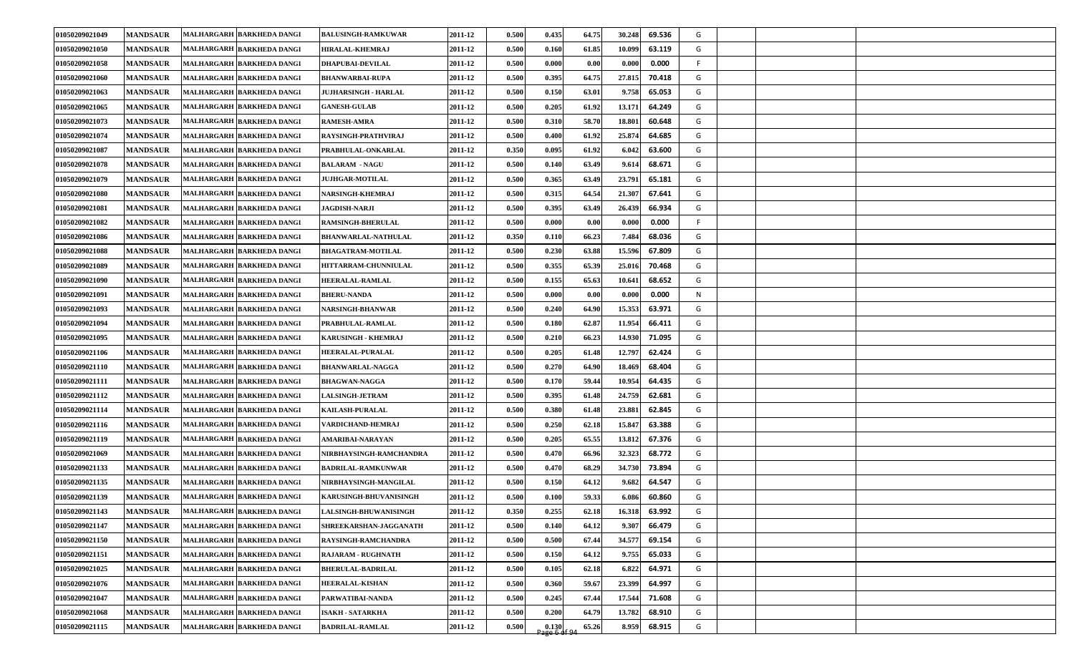| 01050209021049 | <b>MANDSAUR</b> | MALHARGARH BARKHEDA DANGI | <b>BALUSINGH-RAMKUWAR</b>   | 2011-12 | 0.500 | 0.435 | 64.75 | 30.248<br>69.536 | G  |  |  |
|----------------|-----------------|---------------------------|-----------------------------|---------|-------|-------|-------|------------------|----|--|--|
| 01050209021050 | <b>MANDSAUR</b> | MALHARGARH BARKHEDA DANGI | <b>HIRALAL-KHEMRAJ</b>      | 2011-12 | 0.500 | 0.160 | 61.85 | 63.119<br>10.099 | G  |  |  |
| 01050209021058 | <b>MANDSAUR</b> | MALHARGARH BARKHEDA DANGI | <b>DHAPUBAI-DEVILAL</b>     | 2011-12 | 0.500 | 0.000 | 0.00  | 0.000<br>0.000   | F. |  |  |
| 01050209021060 | <b>MANDSAUR</b> | MALHARGARH BARKHEDA DANGI | <b>BHANWARBAI-RUPA</b>      | 2011-12 | 0.500 | 0.395 | 64.75 | 27.815<br>70.418 | G  |  |  |
| 01050209021063 | <b>MANDSAUR</b> | MALHARGARH BARKHEDA DANGI | <b>JUJHARSINGH - HARLAL</b> | 2011-12 | 0.500 | 0.150 | 63.01 | 9.758<br>65.053  | G  |  |  |
| 01050209021065 | <b>MANDSAUR</b> | MALHARGARH BARKHEDA DANGI | <b>GANESH-GULAB</b>         | 2011-12 | 0.500 | 0.205 | 61.92 | 13.171<br>64.249 | G  |  |  |
| 01050209021073 | <b>MANDSAUR</b> | MALHARGARH BARKHEDA DANGI | <b>RAMESH-AMRA</b>          | 2011-12 | 0.500 | 0.310 | 58.70 | 18.801<br>60.648 | G  |  |  |
| 01050209021074 | <b>MANDSAUR</b> | MALHARGARH BARKHEDA DANGI | RAYSINGH-PRATHVIRAJ         | 2011-12 | 0.500 | 0.400 | 61.92 | 25.874<br>64.685 | G  |  |  |
| 01050209021087 | <b>MANDSAUR</b> | MALHARGARH BARKHEDA DANGI | PRABHULAL-ONKARLAL          | 2011-12 | 0.350 | 0.095 | 61.92 | 6.042<br>63.600  | G  |  |  |
| 01050209021078 | <b>MANDSAUR</b> | MALHARGARH BARKHEDA DANGI | <b>BALARAM - NAGU</b>       | 2011-12 | 0.500 | 0.140 | 63.49 | 9.614<br>68.671  | G  |  |  |
| 01050209021079 | <b>MANDSAUR</b> | MALHARGARH BARKHEDA DANGI | <b>JUJHGAR-MOTILAL</b>      | 2011-12 | 0.500 | 0.365 | 63.49 | 23.791<br>65.181 | G  |  |  |
| 01050209021080 | <b>MANDSAUR</b> | MALHARGARH BARKHEDA DANGI | NARSINGH-KHEMRAJ            | 2011-12 | 0.500 | 0.315 | 64.54 | 21.307<br>67.641 | G  |  |  |
| 01050209021081 | <b>MANDSAUR</b> | MALHARGARH BARKHEDA DANGI | <b>JAGDISH-NARJI</b>        | 2011-12 | 0.500 | 0.395 | 63.49 | 66.934<br>26.439 | G  |  |  |
| 01050209021082 | <b>MANDSAUR</b> | MALHARGARH BARKHEDA DANGI | <b>RAMSINGH-BHERULAL</b>    | 2011-12 | 0.500 | 0.000 | 0.00  | 0.000<br>0.000   | F. |  |  |
| 01050209021086 | <b>MANDSAUR</b> | MALHARGARH BARKHEDA DANGI | <b>BHANWARLAL-NATHULAL</b>  | 2011-12 | 0.350 | 0.110 | 66.23 | 7.484<br>68.036  | G  |  |  |
| 01050209021088 | <b>MANDSAUR</b> | MALHARGARH BARKHEDA DANGI | <b>BHAGATRAM-MOTILAL</b>    | 2011-12 | 0.500 | 0.230 | 63.88 | 15.596<br>67.809 | G  |  |  |
| 01050209021089 | <b>MANDSAUR</b> | MALHARGARH BARKHEDA DANGI | HITTARRAM-CHUNNIULAL        | 2011-12 | 0.500 | 0.355 | 65.39 | 25.016<br>70.468 | G  |  |  |
| 01050209021090 | <b>MANDSAUR</b> | MALHARGARH BARKHEDA DANGI | HEERALAL-RAMLAL             | 2011-12 | 0.500 | 0.155 | 65.63 | 68.652<br>10.641 | G  |  |  |
| 01050209021091 | <b>MANDSAUR</b> | MALHARGARH BARKHEDA DANGI | <b>BHERU-NANDA</b>          | 2011-12 | 0.500 | 0.000 | 0.00  | 0.000<br>0.000   | N  |  |  |
| 01050209021093 | <b>MANDSAUR</b> | MALHARGARH BARKHEDA DANGI | NARSINGH-BHANWAR            | 2011-12 | 0.500 | 0.240 | 64.90 | 15.353<br>63.971 | G  |  |  |
| 01050209021094 | <b>MANDSAUR</b> | MALHARGARH BARKHEDA DANGI | PRABHULAL-RAMLAL            | 2011-12 | 0.500 | 0.180 | 62.87 | 11.954<br>66.411 | G  |  |  |
| 01050209021095 | <b>MANDSAUR</b> | MALHARGARH BARKHEDA DANGI | KARUSINGH - KHEMRAJ         | 2011-12 | 0.500 | 0.210 | 66.23 | 14.930<br>71.095 | G  |  |  |
| 01050209021106 | <b>MANDSAUR</b> | MALHARGARH BARKHEDA DANGI | <b>HEERALAL-PURALAL</b>     | 2011-12 | 0.500 | 0.205 | 61.48 | 12.797<br>62.424 | G  |  |  |
| 01050209021110 | <b>MANDSAUR</b> | MALHARGARH BARKHEDA DANGI | <b>BHANWARLAL-NAGGA</b>     | 2011-12 | 0.500 | 0.270 | 64.90 | 68.404<br>18.469 | G  |  |  |
| 01050209021111 | <b>MANDSAUR</b> | MALHARGARH BARKHEDA DANGI | <b>BHAGWAN-NAGGA</b>        | 2011-12 | 0.500 | 0.170 | 59.44 | 10.954<br>64.435 | G  |  |  |
| 01050209021112 | <b>MANDSAUR</b> | MALHARGARH BARKHEDA DANGI | <b>LALSINGH-JETRAM</b>      | 2011-12 | 0.500 | 0.395 | 61.48 | 24.759<br>62.681 | G  |  |  |
| 01050209021114 | <b>MANDSAUR</b> | MALHARGARH BARKHEDA DANGI | <b>KAILASH-PURALAL</b>      | 2011-12 | 0.500 | 0.380 | 61.48 | 23.881<br>62.845 | G  |  |  |
| 01050209021116 | <b>MANDSAUR</b> | MALHARGARH BARKHEDA DANGI | VARDICHAND-HEMRAJ           | 2011-12 | 0.500 | 0.250 | 62.18 | 15.847<br>63.388 | G  |  |  |
| 01050209021119 | <b>MANDSAUR</b> | MALHARGARH BARKHEDA DANGI | AMARIBAI-NARAYAN            | 2011-12 | 0.500 | 0.205 | 65.55 | 67.376<br>13.812 | G  |  |  |
| 01050209021069 | <b>MANDSAUR</b> | MALHARGARH BARKHEDA DANGI | NIRBHAYSINGH-RAMCHANDRA     | 2011-12 | 0.500 | 0.470 | 66.96 | 68.772<br>32.323 | G  |  |  |
| 01050209021133 | <b>MANDSAUR</b> | MALHARGARH BARKHEDA DANGI | <b>BADRILAL-RAMKUNWAR</b>   | 2011-12 | 0.500 | 0.470 | 68.29 | 34.730<br>73.894 | G  |  |  |
| 01050209021135 | <b>MANDSAUR</b> | MALHARGARH BARKHEDA DANGI | NIRBHAYSINGH-MANGILAL       | 2011-12 | 0.500 | 0.150 | 64.12 | 9.682<br>64.547  | G  |  |  |
| 01050209021139 | <b>MANDSAUR</b> | MALHARGARH BARKHEDA DANGI | KARUSINGH-BHUVANISINGH      | 2011-12 | 0.500 | 0.100 | 59.33 | 60.860<br>6.086  | G  |  |  |
| 01050209021143 | <b>MANDSAUR</b> | MALHARGARH BARKHEDA DANGI | LALSINGH-BHUWANISINGH       | 2011-12 | 0.350 | 0.255 | 62.18 | 63.992<br>16.318 | G  |  |  |
| 01050209021147 | <b>MANDSAUR</b> | MALHARGARH BARKHEDA DANGI | SHREEKARSHAN-JAGGANATH      | 2011-12 | 0.500 | 0.140 | 64.12 | 9.307<br>66.479  | G  |  |  |
| 01050209021150 | <b>MANDSAUR</b> | MALHARGARH BARKHEDA DANGI | RAYSINGH-RAMCHANDRA         | 2011-12 | 0.500 | 0.500 | 67.44 | 34.577<br>69.154 | G  |  |  |
| 01050209021151 | <b>MANDSAUR</b> | MALHARGARH BARKHEDA DANGI | <b>RAJARAM - RUGHNATH</b>   | 2011-12 | 0.500 | 0.150 | 64.12 | 9.755<br>65.033  | G  |  |  |
| 01050209021025 | <b>MANDSAUR</b> | MALHARGARH BARKHEDA DANGI | <b>BHERULAL-BADRILAL</b>    | 2011-12 | 0.500 | 0.105 | 62.18 | 6.822<br>64.971  | G  |  |  |
| 01050209021076 | <b>MANDSAUR</b> | MALHARGARH BARKHEDA DANGI | <b>HEERALAL-KISHAN</b>      | 2011-12 | 0.500 | 0.360 | 59.67 | 23.399<br>64.997 | G  |  |  |
| 01050209021047 | <b>MANDSAUR</b> | MALHARGARH BARKHEDA DANGI | PARWATIBAI-NANDA            | 2011-12 | 0.500 | 0.245 | 67.44 | 17.544<br>71.608 | G  |  |  |
| 01050209021068 | <b>MANDSAUR</b> | MALHARGARH BARKHEDA DANGI | <b>ISAKH - SATARKHA</b>     | 2011-12 | 0.500 | 0.200 | 64.79 | 68.910<br>13.782 | G  |  |  |
| 01050209021115 | <b>MANDSAUR</b> | MALHARGARH BARKHEDA DANGI | <b>BADRILAL-RAMLAL</b>      | 2011-12 | 0.500 | 0.130 | 65.26 | 68.915<br>8.959  | G  |  |  |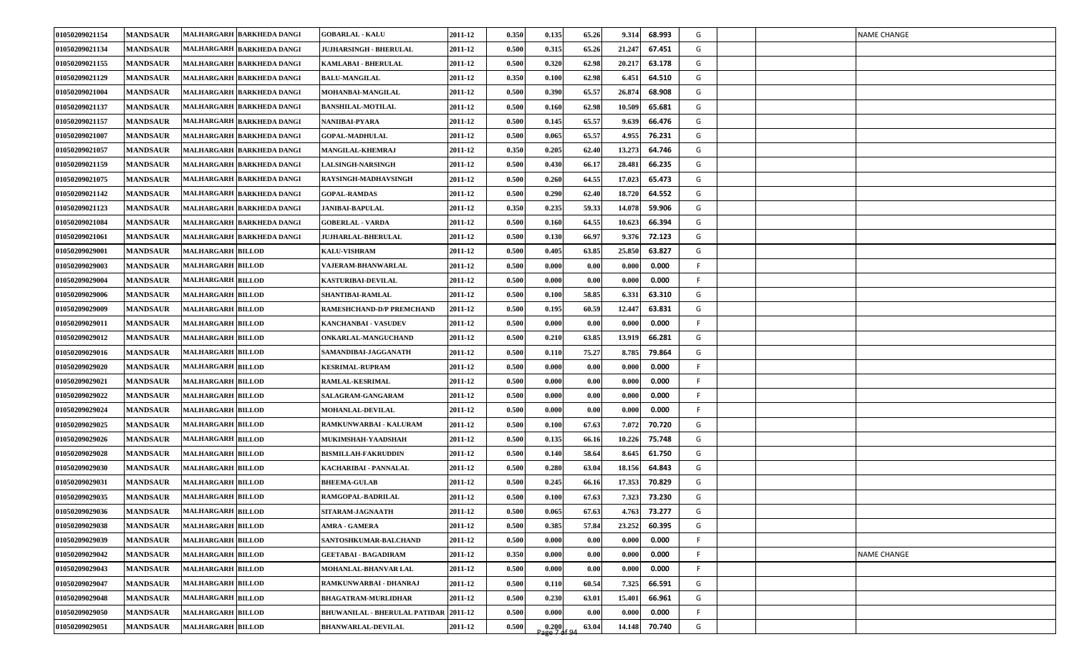| 01050209021154 | <b>MANDSAUR</b> | MALHARGARH BARKHEDA DANGI | <b>GOBARLAL - KALU</b>                       | 2011-12 | 0.350 | 0.135             | 65.26 | 9.314<br>68.993  | G  |  | <b>NAME CHANGE</b> |
|----------------|-----------------|---------------------------|----------------------------------------------|---------|-------|-------------------|-------|------------------|----|--|--------------------|
| 01050209021134 | <b>MANDSAUR</b> | MALHARGARH BARKHEDA DANGI | JUJHARSINGH - BHERULAL                       | 2011-12 | 0.500 | 0.315             | 65.26 | 67.451<br>21.247 | G  |  |                    |
| 01050209021155 | <b>MANDSAUR</b> | MALHARGARH BARKHEDA DANGI | KAMLABAI - BHERULAL                          | 2011-12 | 0.500 | 0.320             | 62.98 | 20.217<br>63.178 | G  |  |                    |
| 01050209021129 | <b>MANDSAUR</b> | MALHARGARH BARKHEDA DANGI | <b>BALU-MANGILAL</b>                         | 2011-12 | 0.350 | 0.100             | 62.98 | 64.510<br>6.451  | G  |  |                    |
| 01050209021004 | <b>MANDSAUR</b> | MALHARGARH BARKHEDA DANGI | MOHANBAI-MANGILAL                            | 2011-12 | 0.500 | 0.390             | 65.57 | 26.874<br>68.908 | G  |  |                    |
| 01050209021137 | <b>MANDSAUR</b> | MALHARGARH BARKHEDA DANGI | <b>BANSHILAL-MOTILAL</b>                     | 2011-12 | 0.500 | 0.160             | 62.98 | 10.509<br>65.681 | G  |  |                    |
| 01050209021157 | <b>MANDSAUR</b> | MALHARGARH BARKHEDA DANGI | NANIIBAI-PYARA                               | 2011-12 | 0.500 | 0.145             | 65.57 | 9.639<br>66.476  | G  |  |                    |
| 01050209021007 | <b>MANDSAUR</b> | MALHARGARH BARKHEDA DANGI | <b>GOPAL-MADHULAL</b>                        | 2011-12 | 0.500 | 0.065             | 65.57 | 4.955<br>76.231  | G  |  |                    |
| 01050209021057 | <b>MANDSAUR</b> | MALHARGARH BARKHEDA DANGI | <b>MANGILAL-KHEMRAJ</b>                      | 2011-12 | 0.350 | 0.205             | 62.40 | 13.273<br>64.746 | G  |  |                    |
| 01050209021159 | <b>MANDSAUR</b> | MALHARGARH BARKHEDA DANGI | <b>LALSINGH-NARSINGH</b>                     | 2011-12 | 0.500 | 0.430             | 66.17 | 66.235<br>28.481 | G  |  |                    |
| 01050209021075 | <b>MANDSAUR</b> | MALHARGARH BARKHEDA DANGI | RAYSINGH-MADHAVSINGH                         | 2011-12 | 0.500 | 0.260             | 64.55 | 65.473<br>17.023 | G  |  |                    |
| 01050209021142 | <b>MANDSAUR</b> | MALHARGARH BARKHEDA DANGI | <b>GOPAL-RAMDAS</b>                          | 2011-12 | 0.500 | 0.290             | 62.40 | 64.552<br>18.720 | G  |  |                    |
| 01050209021123 | <b>MANDSAUR</b> | MALHARGARH BARKHEDA DANGI | <b>JANIBAI-BAPULAL</b>                       | 2011-12 | 0.350 | 0.235             | 59.33 | 59.906<br>14.078 | G  |  |                    |
| 01050209021084 | <b>MANDSAUR</b> | MALHARGARH BARKHEDA DANGI | <b>GOBERLAL - VARDA</b>                      | 2011-12 | 0.500 | 0.160             | 64.55 | 10.623<br>66.394 | G  |  |                    |
| 01050209021061 | <b>MANDSAUR</b> | MALHARGARH BARKHEDA DANGI | <b>JUJHARLAL-BHERULAL</b>                    | 2011-12 | 0.500 | 0.130             | 66.97 | 72.123<br>9.376  | G  |  |                    |
| 01050209029001 | <b>MANDSAUR</b> | <b>MALHARGARH BILLOD</b>  | <b>KALU-VISHRAM</b>                          | 2011-12 | 0.500 | 0.405             | 63.85 | 25.850<br>63.827 | G  |  |                    |
| 01050209029003 | <b>MANDSAUR</b> | <b>MALHARGARH BILLOD</b>  | <b>VAJERAM-BHANWARLAL</b>                    | 2011-12 | 0.500 | 0.000             | 0.00  | 0.000<br>0.000   | F. |  |                    |
| 01050209029004 | <b>MANDSAUR</b> | <b>MALHARGARH BILLOD</b>  | <b>KASTURIBAI-DEVILAL</b>                    | 2011-12 | 0.500 | 0.000             | 0.00  | 0.000<br>0.000   | F. |  |                    |
| 01050209029006 | <b>MANDSAUR</b> | <b>MALHARGARH BILLOD</b>  | SHANTIBAI-RAMLAL                             | 2011-12 | 0.500 | 0.100             | 58.85 | 63.310<br>6.331  | G  |  |                    |
| 01050209029009 | <b>MANDSAUR</b> | <b>MALHARGARH BILLOD</b>  | RAMESHCHAND-D/P PREMCHAND                    | 2011-12 | 0.500 | 0.195             | 60.59 | 63.831<br>12.447 | G  |  |                    |
| 01050209029011 | <b>MANDSAUR</b> | <b>MALHARGARH BILLOD</b>  | <b>KANCHANBAI - VASUDEV</b>                  | 2011-12 | 0.500 | 0.000             | 0.00  | 0.000<br>0.000   | F. |  |                    |
| 01050209029012 | <b>MANDSAUR</b> | <b>MALHARGARH BILLOD</b>  | ONKARLAL-MANGUCHAND                          | 2011-12 | 0.500 | 0.210             | 63.85 | 13.919<br>66.281 | G  |  |                    |
| 01050209029016 | <b>MANDSAUR</b> | <b>MALHARGARH BILLOD</b>  | SAMANDIBAI-JAGGANATH                         | 2011-12 | 0.500 | 0.110             | 75.27 | 79.864<br>8.785  | G  |  |                    |
| 01050209029020 | <b>MANDSAUR</b> | <b>MALHARGARH BILLOD</b>  | <b>KESRIMAL-RUPRAM</b>                       | 2011-12 | 0.500 | 0.000             | 0.00  | 0.000<br>0.000   | F. |  |                    |
| 01050209029021 | <b>MANDSAUR</b> | <b>MALHARGARH BILLOD</b>  | <b>RAMLAL-KESRIMAL</b>                       | 2011-12 | 0.500 | 0.000             | 0.00  | 0.000<br>0.000   | F. |  |                    |
| 01050209029022 | <b>MANDSAUR</b> | <b>MALHARGARH BILLOD</b>  | SALAGRAM-GANGARAM                            | 2011-12 | 0.500 | 0.000             | 0.00  | 0.000<br>0.000   | F. |  |                    |
| 01050209029024 | <b>MANDSAUR</b> | <b>MALHARGARH BILLOD</b>  | <b>MOHANLAL-DEVILAL</b>                      | 2011-12 | 0.500 | 0.000             | 0.00  | 0.000<br>0.000   | F. |  |                    |
| 01050209029025 | <b>MANDSAUR</b> | <b>MALHARGARH BILLOD</b>  | RAMKUNWARBAI - KALURAM                       | 2011-12 | 0.500 | 0.100             | 67.63 | 7.072<br>70.720  | G  |  |                    |
| 01050209029026 | <b>MANDSAUR</b> | <b>MALHARGARH BILLOD</b>  | MUKIMSHAH-YAADSHAH                           | 2011-12 | 0.500 | 0.135             | 66.16 | 75.748<br>10.226 | G  |  |                    |
| 01050209029028 | <b>MANDSAUR</b> | <b>MALHARGARH BILLOD</b>  | <b>BISMILLAH-FAKRUDDIN</b>                   | 2011-12 | 0.500 | 0.140             | 58.64 | 8.645<br>61.750  | G  |  |                    |
| 01050209029030 | <b>MANDSAUR</b> | <b>MALHARGARH BILLOD</b>  | KACHARIBAI - PANNALAL                        | 2011-12 | 0.500 | 0.280             | 63.04 | 64.843<br>18.156 | G  |  |                    |
| 01050209029031 | <b>MANDSAUR</b> | <b>MALHARGARH BILLOD</b>  | <b>BHEEMA-GULAB</b>                          | 2011-12 | 0.50  | 0.245             | 66.16 | 70.829<br>17.353 | G  |  |                    |
| 01050209029035 | <b>MANDSAUR</b> | <b>MALHARGARH BILLOD</b>  | RAMGOPAL-BADRILAL                            | 2011-12 | 0.500 | 0.100             | 67.63 | 7.323<br>73.230  | G  |  |                    |
| 01050209029036 | <b>MANDSAUR</b> | <b>MALHARGARH BILLOD</b>  | SITARAM-JAGNAATH                             | 2011-12 | 0.500 | 0.065             | 67.63 | 4.763<br>73.277  | G  |  |                    |
| 01050209029038 | <b>MANDSAUR</b> | <b>MALHARGARH BILLOD</b>  | <b>AMRA - GAMERA</b>                         | 2011-12 | 0.500 | 0.385             | 57.84 | 23.252<br>60.395 | G  |  |                    |
| 01050209029039 | <b>MANDSAUR</b> | <b>MALHARGARH BILLOD</b>  | SANTOSHKUMAR-BALCHAND                        | 2011-12 | 0.500 | 0.000             | 0.00  | 0.000<br>0.000   | F  |  |                    |
| 01050209029042 | <b>MANDSAUR</b> | <b>MALHARGARH BILLOD</b>  | <b>GEETABAI - BAGADIRAM</b>                  | 2011-12 | 0.350 | 0.000             | 0.00  | 0.000<br>0.000   | F  |  | <b>NAME CHANGE</b> |
| 01050209029043 | <b>MANDSAUR</b> | <b>MALHARGARH BILLOD</b>  | MOHANLAL-BHANVAR LAL                         | 2011-12 | 0.500 | 0.000             | 0.00  | 0.000<br>0.000   | F  |  |                    |
| 01050209029047 | <b>MANDSAUR</b> | <b>MALHARGARH BILLOD</b>  | RAMKUNWARBAI - DHANRAJ                       | 2011-12 | 0.500 | 0.110             | 60.54 | 7.325<br>66.591  | G  |  |                    |
| 01050209029048 | <b>MANDSAUR</b> | <b>MALHARGARH BILLOD</b>  | <b>BHAGATRAM-MURLIDHAR</b>                   | 2011-12 | 0.500 | 0.230             | 63.01 | 15.401<br>66.961 | G  |  |                    |
| 01050209029050 | <b>MANDSAUR</b> | <b>MALHARGARH BILLOD</b>  | <b>BHUWANILAL - BHERULAL PATIDAR 2011-12</b> |         | 0.500 | 0.000             | 0.00  | 0.000<br>0.000   | F. |  |                    |
| 01050209029051 | <b>MANDSAUR</b> | <b>MALHARGARH BILLOD</b>  | <b>BHANWARLAL-DEVILAL</b>                    | 2011-12 | 0.500 | $\frac{0.200}{2}$ | 63.04 | 14.148<br>70.740 | G  |  |                    |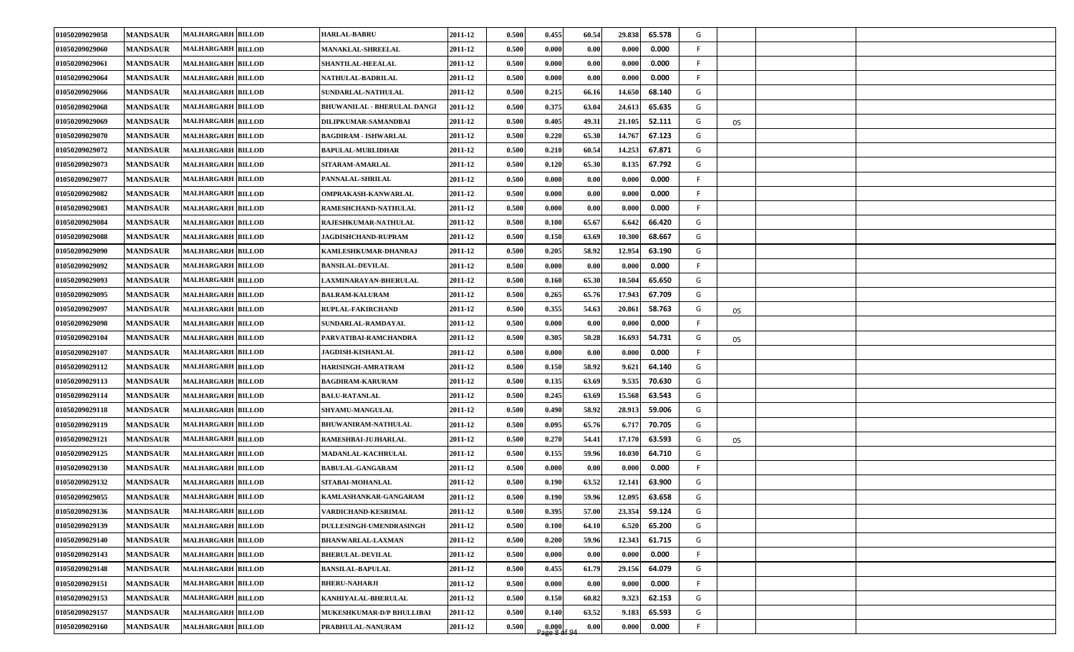| 01050209029058 | <b>MANDSAUR</b> | <b>MALHARGARH BILLOD</b> | <b>HARLAL-BABRU</b>                | 2011-12 | 0.500 | 0.455                  | 60.54 | 29.838 | 65.578 | G   |    |  |
|----------------|-----------------|--------------------------|------------------------------------|---------|-------|------------------------|-------|--------|--------|-----|----|--|
| 01050209029060 | <b>MANDSAUR</b> | <b>MALHARGARH BILLOD</b> | <b>MANAKLAL-SHREELAL</b>           | 2011-12 | 0.500 | 0.000                  | 0.00  | 0.000  | 0.000  | F.  |    |  |
| 01050209029061 | <b>MANDSAUR</b> | <b>MALHARGARH BILLOD</b> | <b>SHANTILAL-HEEALAL</b>           | 2011-12 | 0.500 | 0.000                  | 0.00  | 0.000  | 0.000  | F.  |    |  |
| 01050209029064 | <b>MANDSAUR</b> | <b>MALHARGARH BILLOD</b> | <b>NATHULAL-BADRILAL</b>           | 2011-12 | 0.500 | 0.000                  | 0.00  | 0.000  | 0.000  | F.  |    |  |
| 01050209029066 | <b>MANDSAUR</b> | <b>MALHARGARH BILLOD</b> | SUNDARLAL-NATHULAL                 | 2011-12 | 0.500 | 0.215                  | 66.16 | 14.650 | 68.140 | G   |    |  |
| 01050209029068 | <b>MANDSAUR</b> | <b>MALHARGARH BILLOD</b> | <b>BHUWANILAL - BHERULAL DANGI</b> | 2011-12 | 0.500 | 0.375                  | 63.04 | 24.613 | 65.635 | G   |    |  |
| 01050209029069 | <b>MANDSAUR</b> | <b>MALHARGARH BILLOD</b> | DILIPKUMAR-SAMANDBAI               | 2011-12 | 0.500 | 0.405                  | 49.31 | 21.105 | 52.111 | G   | 05 |  |
| 01050209029070 | <b>MANDSAUR</b> | <b>MALHARGARH BILLOD</b> | <b>BAGDIRAM - ISHWARLAL</b>        | 2011-12 | 0.500 | 0.220                  | 65.30 | 14.767 | 67.123 | G   |    |  |
| 01050209029072 | <b>MANDSAUR</b> | <b>MALHARGARH BILLOD</b> | <b>BAPULAL-MURLIDHAR</b>           | 2011-12 | 0.500 | 0.210                  | 60.54 | 14.253 | 67.871 | G   |    |  |
| 01050209029073 | <b>MANDSAUR</b> | <b>MALHARGARH BILLOD</b> | SITARAM-AMARLAL                    | 2011-12 | 0.500 | 0.120                  | 65.30 | 8.135  | 67.792 | G   |    |  |
| 01050209029077 | <b>MANDSAUR</b> | <b>MALHARGARH BILLOD</b> | PANNALAL-SHRILAL                   | 2011-12 | 0.500 | 0.000                  | 0.00  | 0.000  | 0.000  | F.  |    |  |
| 01050209029082 | <b>MANDSAUR</b> | <b>MALHARGARH BILLOD</b> | OMPRAKASH-KANWARLAL                | 2011-12 | 0.500 | 0.000                  | 0.00  | 0.000  | 0.000  | F.  |    |  |
| 01050209029083 | <b>MANDSAUR</b> | <b>MALHARGARH BILLOD</b> | RAMESHCHAND-NATHULAL               | 2011-12 | 0.500 | 0.000                  | 0.00  | 0.000  | 0.000  | F   |    |  |
| 01050209029084 | <b>MANDSAUR</b> | <b>MALHARGARH BILLOD</b> | RAJESHKUMAR-NATHULAL               | 2011-12 | 0.500 | 0.100                  | 65.67 | 6.642  | 66.420 | G   |    |  |
| 01050209029088 | <b>MANDSAUR</b> | <b>MALHARGARH BILLOD</b> | <b>JAGDISHCHAND-RUPRAM</b>         | 2011-12 | 0.500 | 0.150                  | 63.69 | 10.300 | 68.667 | G   |    |  |
| 01050209029090 | <b>MANDSAUR</b> | <b>MALHARGARH BILLOD</b> | KAMLESHKUMAR-DHANRAJ               | 2011-12 | 0.500 | 0.205                  | 58.92 | 12.954 | 63.190 | G   |    |  |
| 01050209029092 | <b>MANDSAUR</b> | <b>MALHARGARH BILLOD</b> | <b>BANSILAL-DEVILAL</b>            | 2011-12 | 0.500 | 0.000                  | 0.00  | 0.000  | 0.000  | F.  |    |  |
| 01050209029093 | <b>MANDSAUR</b> | <b>MALHARGARH BILLOD</b> | <b>LAXMINARAYAN-BHERULAL</b>       | 2011-12 | 0.500 | 0.160                  | 65.30 | 10.504 | 65.650 | G   |    |  |
| 01050209029095 | <b>MANDSAUR</b> | <b>MALHARGARH BILLOD</b> | <b>BALRAM-KALURAM</b>              | 2011-12 | 0.500 | 0.265                  | 65.76 | 17.943 | 67.709 | G   |    |  |
| 01050209029097 | <b>MANDSAUR</b> | <b>MALHARGARH BILLOD</b> | <b>RUPLAL-FAKIRCHAND</b>           | 2011-12 | 0.500 | 0.355                  | 54.63 | 20.861 | 58.763 | G   | 05 |  |
| 01050209029098 | <b>MANDSAUR</b> | <b>MALHARGARH BILLOD</b> | SUNDARLAL-RAMDAYAL                 | 2011-12 | 0.500 | 0.000                  | 0.00  | 0.000  | 0.000  | F.  |    |  |
| 01050209029104 | <b>MANDSAUR</b> | <b>MALHARGARH BILLOD</b> | PARVATIBAI-RAMCHANDRA              | 2011-12 | 0.500 | 0.305                  | 50.28 | 16.693 | 54.731 | G   | 05 |  |
| 01050209029107 | <b>MANDSAUR</b> | <b>MALHARGARH BILLOD</b> | <b>JAGDISH-KISHANLAL</b>           | 2011-12 | 0.500 | 0.000                  | 0.00  | 0.000  | 0.000  | F.  |    |  |
| 01050209029112 | <b>MANDSAUR</b> | <b>MALHARGARH BILLOD</b> | HARISINGH-AMRATRAM                 | 2011-12 | 0.500 | 0.150                  | 58.92 | 9.621  | 64.140 | G   |    |  |
| 01050209029113 | <b>MANDSAUR</b> | <b>MALHARGARH BILLOD</b> | <b>BAGDIRAM-KARURAM</b>            | 2011-12 | 0.500 | 0.135                  | 63.69 | 9.535  | 70.630 | G   |    |  |
| 01050209029114 | <b>MANDSAUR</b> | <b>MALHARGARH BILLOD</b> | <b>BALU-RATANLAL</b>               | 2011-12 | 0.500 | 0.245                  | 63.69 | 15.568 | 63.543 | G   |    |  |
| 01050209029118 | <b>MANDSAUR</b> | <b>MALHARGARH BILLOD</b> | SHYAMU-MANGULAL                    | 2011-12 | 0.500 | 0.490                  | 58.92 | 28.913 | 59.006 | G   |    |  |
| 01050209029119 | <b>MANDSAUR</b> | <b>MALHARGARH BILLOD</b> | <b>BHUWANIRAM-NATHULAL</b>         | 2011-12 | 0.500 | 0.095                  | 65.76 | 6.717  | 70.705 | G   |    |  |
| 01050209029121 | <b>MANDSAUR</b> | <b>MALHARGARH BILLOD</b> | RAMESHBAI-JUJHARLAL                | 2011-12 | 0.500 | 0.270                  | 54.41 | 17.170 | 63.593 | G   | 05 |  |
| 01050209029125 | <b>MANDSAUR</b> | <b>MALHARGARH BILLOD</b> | MADANLAL-KACHRULAL                 | 2011-12 | 0.500 | 0.155                  | 59.96 | 10.030 | 64.710 | G   |    |  |
| 01050209029130 | <b>MANDSAUR</b> | <b>MALHARGARH BILLOD</b> | <b>BABULAL-GANGARAM</b>            | 2011-12 | 0.500 | 0.000                  | 0.00  | 0.000  | 0.000  | -F. |    |  |
| 01050209029132 | <b>MANDSAUR</b> | <b>MALHARGARH BILLOD</b> | SITABAI-MOHANLAL                   | 2011-12 | 0.50  | 0.190                  | 63.52 | 12.141 | 63.900 | G   |    |  |
| 01050209029055 | <b>MANDSAUR</b> | <b>MALHARGARH BILLOD</b> | KAMLASHANKAR-GANGARAM              | 2011-12 | 0.500 | 0.190                  | 59.96 | 12.095 | 63.658 | G   |    |  |
| 01050209029136 | <b>MANDSAUR</b> | <b>MALHARGARH BILLOD</b> | VARDICHAND-KESRIMAL                | 2011-12 | 0.500 | 0.395                  | 57.00 | 23.354 | 59.124 | G   |    |  |
| 01050209029139 | <b>MANDSAUR</b> | <b>MALHARGARH BILLOD</b> | <b>DULLESINGH-UMENDRASINGH</b>     | 2011-12 | 0.500 | 0.100                  | 64.10 | 6.520  | 65.200 | G   |    |  |
| 01050209029140 | <b>MANDSAUR</b> | <b>MALHARGARH BILLOD</b> | <b>BHANWARLAL-LAXMAN</b>           | 2011-12 | 0.500 | 0.200                  | 59.96 | 12.343 | 61.715 | G   |    |  |
| 01050209029143 | <b>MANDSAUR</b> | <b>MALHARGARH BILLOD</b> | <b>BHERULAL-DEVILAL</b>            | 2011-12 | 0.500 | 0.000                  | 0.00  | 0.000  | 0.000  | F   |    |  |
| 01050209029148 | <b>MANDSAUR</b> | <b>MALHARGARH BILLOD</b> | <b>BANSILAL-BAPULAL</b>            | 2011-12 | 0.500 | 0.455                  | 61.79 | 29.156 | 64.079 | G   |    |  |
| 01050209029151 | <b>MANDSAUR</b> | <b>MALHARGARH BILLOD</b> | <b>BHERU-NAHARJI</b>               | 2011-12 | 0.500 | 0.000                  | 0.00  | 0.000  | 0.000  | F   |    |  |
| 01050209029153 | <b>MANDSAUR</b> | <b>MALHARGARH BILLOD</b> | KANHIYALAL-BHERULAL                | 2011-12 | 0.500 | 0.150                  | 60.82 | 9.323  | 62.153 | G   |    |  |
| 01050209029157 | <b>MANDSAUR</b> | <b>MALHARGARH BILLOD</b> | MUKESHKUMAR-D/P BHULLIBAI          | 2011-12 | 0.500 | 0.140                  | 63.52 | 9.183  | 65.593 | G   |    |  |
| 01050209029160 | <b>MANDSAUR</b> | <b>MALHARGARH BILLOD</b> | PRABHULAL-NANURAM                  | 2011-12 | 0.500 | $0.000$<br>Page 8 of 9 | 0.00  | 0.000  | 0.000  | F   |    |  |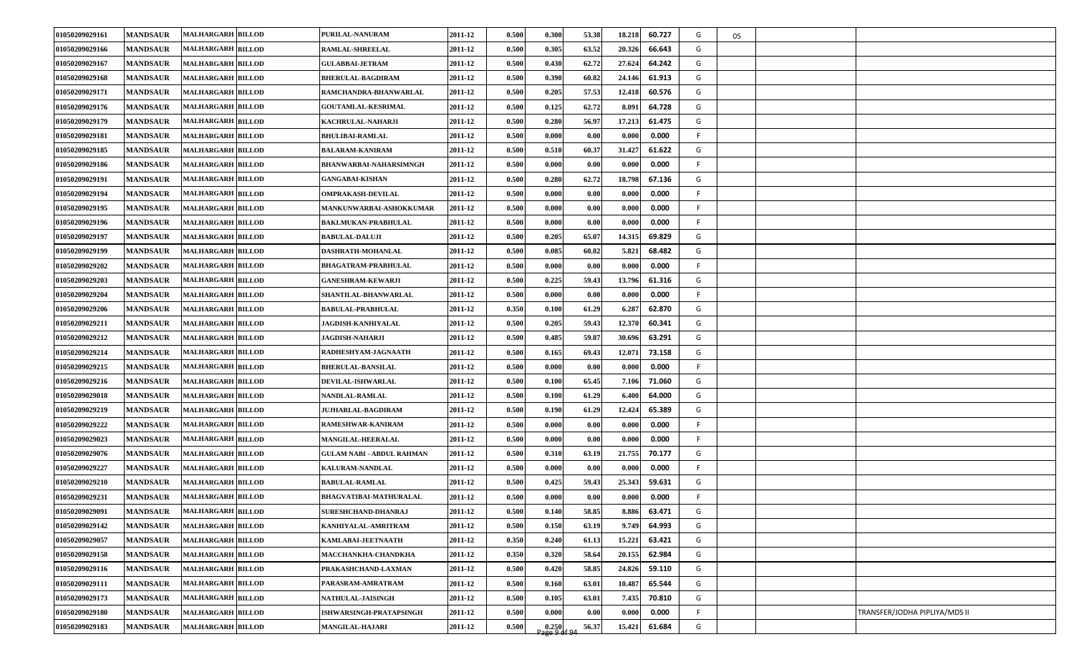| 01050209029161 | <b>MANDSAUR</b> | <b>MALHARGARH BILLOD</b> | PURILAL-NANURAM                  | 2011-12 | 0.500 | 0.300                   | 53.38 | 18.218 | 60.727 | G  | 05 |                               |
|----------------|-----------------|--------------------------|----------------------------------|---------|-------|-------------------------|-------|--------|--------|----|----|-------------------------------|
| 01050209029166 | <b>MANDSAUR</b> | <b>MALHARGARH BILLOD</b> | <b>RAMLAL-SHREELAL</b>           | 2011-12 | 0.500 | 0.305                   | 63.52 | 20.326 | 66.643 | G  |    |                               |
| 01050209029167 | <b>MANDSAUR</b> | <b>MALHARGARH BILLOD</b> | <b>GULABBAI-JETRAM</b>           | 2011-12 | 0.500 | 0.430                   | 62.72 | 27.624 | 64.242 | G  |    |                               |
| 01050209029168 | <b>MANDSAUR</b> | <b>MALHARGARH BILLOD</b> | <b>BHERULAL-BAGDIRAM</b>         | 2011-12 | 0.500 | 0.390                   | 60.82 | 24.146 | 61.913 | G  |    |                               |
| 01050209029171 | <b>MANDSAUR</b> | <b>MALHARGARH BILLOD</b> | RAMCHANDRA-BHANWARLAL            | 2011-12 | 0.500 | 0.205                   | 57.53 | 12.418 | 60.576 | G  |    |                               |
| 01050209029176 | <b>MANDSAUR</b> | <b>MALHARGARH BILLOD</b> | <b>GOUTAMLAL-KESRIMAL</b>        | 2011-12 | 0.500 | 0.125                   | 62.72 | 8.091  | 64.728 | G  |    |                               |
| 01050209029179 | <b>MANDSAUR</b> | <b>MALHARGARH BILLOD</b> | KACHRULAL-NAHARJI                | 2011-12 | 0.500 | 0.280                   | 56.97 | 17.213 | 61.475 | G  |    |                               |
| 01050209029181 | <b>MANDSAUR</b> | <b>MALHARGARH BILLOD</b> | <b>BHULIBAI-RAMLAL</b>           | 2011-12 | 0.500 | 0.000                   | 0.00  | 0.000  | 0.000  | F. |    |                               |
| 01050209029185 | <b>MANDSAUR</b> | <b>MALHARGARH BILLOD</b> | <b>BALARAM-KANIRAM</b>           | 2011-12 | 0.500 | 0.510                   | 60.37 | 31.427 | 61.622 | G  |    |                               |
| 01050209029186 | <b>MANDSAUR</b> | <b>MALHARGARH BILLOD</b> | <b>BHANWARBAI-NAHARSIMNGH</b>    | 2011-12 | 0.500 | 0.000                   | 0.00  | 0.000  | 0.000  | F. |    |                               |
| 01050209029191 | <b>MANDSAUR</b> | <b>MALHARGARH BILLOD</b> | <b>GANGABAI-KISHAN</b>           | 2011-12 | 0.500 | 0.280                   | 62.72 | 18.798 | 67.136 | G  |    |                               |
| 01050209029194 | <b>MANDSAUR</b> | <b>MALHARGARH BILLOD</b> | <b>OMPRAKASH-DEVILAL</b>         | 2011-12 | 0.500 | 0.000                   | 0.00  | 0.000  | 0.000  | F. |    |                               |
| 01050209029195 | <b>MANDSAUR</b> | <b>MALHARGARH BILLOD</b> | MANKUNWARBAI-ASHOKKUMAR          | 2011-12 | 0.500 | 0.000                   | 0.00  | 0.000  | 0.000  | F. |    |                               |
| 01050209029196 | <b>MANDSAUR</b> | <b>MALHARGARH BILLOD</b> | <b>BAKLMUKAN-PRABHULAL</b>       | 2011-12 | 0.500 | 0.000                   | 0.00  | 0.000  | 0.000  | F  |    |                               |
| 01050209029197 | <b>MANDSAUR</b> | <b>MALHARGARH BILLOD</b> | <b>BABULAL-DALUJI</b>            | 2011-12 | 0.500 | 0.205                   | 65.07 | 14.315 | 69.829 | G  |    |                               |
| 01050209029199 | <b>MANDSAUR</b> | <b>MALHARGARH BILLOD</b> | DASHRATH-MOHANLAL                | 2011-12 | 0.500 | 0.085                   | 60.82 | 5.821  | 68.482 | G  |    |                               |
| 01050209029202 | <b>MANDSAUR</b> | <b>MALHARGARH BILLOD</b> | <b>BHAGATRAM-PRABHULAL</b>       | 2011-12 | 0.500 | 0.000                   | 0.00  | 0.000  | 0.000  | F. |    |                               |
| 01050209029203 | <b>MANDSAUR</b> | <b>MALHARGARH BILLOD</b> | <b>GANESHRAM-KEWARJI</b>         | 2011-12 | 0.500 | 0.225                   | 59.43 | 13.796 | 61.316 | G  |    |                               |
| 01050209029204 | <b>MANDSAUR</b> | <b>MALHARGARH BILLOD</b> | SHANTILAL-BHANWARLAL             | 2011-12 | 0.500 | 0.000                   | 0.00  | 0.000  | 0.000  | F. |    |                               |
| 01050209029206 | <b>MANDSAUR</b> | <b>MALHARGARH BILLOD</b> | <b>BABULAL-PRABHULAL</b>         | 2011-12 | 0.350 | 0.100                   | 61.29 | 6.287  | 62.870 | G  |    |                               |
| 01050209029211 | <b>MANDSAUR</b> | <b>MALHARGARH BILLOD</b> | <b>JAGDISH-KANHIYALAL</b>        | 2011-12 | 0.500 | 0.205                   | 59.43 | 12.370 | 60.341 | G  |    |                               |
| 01050209029212 | <b>MANDSAUR</b> | <b>MALHARGARH BILLOD</b> | <b>JAGDISH-NAHARJI</b>           | 2011-12 | 0.500 | 0.485                   | 59.87 | 30.696 | 63.291 | G  |    |                               |
| 01050209029214 | <b>MANDSAUR</b> | <b>MALHARGARH BILLOD</b> | RADHESHYAM-JAGNAATH              | 2011-12 | 0.500 | 0.165                   | 69.43 | 12.071 | 73.158 | G  |    |                               |
| 01050209029215 | <b>MANDSAUR</b> | <b>MALHARGARH BILLOD</b> | <b>BHERULAL-BANSILAL</b>         | 2011-12 | 0.500 | 0.000                   | 0.00  | 0.000  | 0.000  | F. |    |                               |
| 01050209029216 | <b>MANDSAUR</b> | <b>MALHARGARH BILLOD</b> | <b>DEVILAL-ISHWARLAL</b>         | 2011-12 | 0.500 | 0.100                   | 65.45 | 7.106  | 71.060 | G  |    |                               |
| 01050209029018 | <b>MANDSAUR</b> | <b>MALHARGARH BILLOD</b> | <b>NANDLAL-RAMLAL</b>            | 2011-12 | 0.500 | 0.100                   | 61.29 | 6.400  | 64.000 | G  |    |                               |
| 01050209029219 | <b>MANDSAUR</b> | <b>MALHARGARH BILLOD</b> | <b>JUJHARLAL-BAGDIRAM</b>        | 2011-12 | 0.500 | 0.190                   | 61.29 | 12.424 | 65.389 | G  |    |                               |
| 01050209029222 | <b>MANDSAUR</b> | <b>MALHARGARH BILLOD</b> | RAMESHWAR-KANIRAM                | 2011-12 | 0.500 | 0.000                   | 0.00  | 0.000  | 0.000  | F. |    |                               |
| 01050209029023 | <b>MANDSAUR</b> | <b>MALHARGARH BILLOD</b> | <b>MANGILAL-HEERALAL</b>         | 2011-12 | 0.500 | 0.000                   | 0.00  | 0.000  | 0.000  | F. |    |                               |
| 01050209029076 | <b>MANDSAUR</b> | <b>MALHARGARH BILLOD</b> | <b>GULAM NABI - ABDUL RAHMAN</b> | 2011-12 | 0.500 | 0.310                   | 63.19 | 21.755 | 70.177 | G  |    |                               |
| 01050209029227 | <b>MANDSAUR</b> | <b>MALHARGARH BILLOD</b> | <b>KALURAM-NANDLAL</b>           | 2011-12 | 0.500 | 0.000                   | 0.00  | 0.000  | 0.000  | F. |    |                               |
| 01050209029210 | <b>MANDSAUR</b> | <b>MALHARGARH BILLOD</b> | <b>BABULAL-RAMLAL</b>            | 2011-12 | 0.500 | 0.425                   | 59.43 | 25.343 | 59.631 | G  |    |                               |
| 01050209029231 | <b>MANDSAUR</b> | <b>MALHARGARH BILLOD</b> | <b>BHAGVATIBAI-MATHURALAL</b>    | 2011-12 | 0.500 | 0.000                   | 0.00  | 0.000  | 0.000  | F. |    |                               |
| 01050209029091 | <b>MANDSAUR</b> | <b>MALHARGARH BILLOD</b> | <b>SURESHCHAND-DHANRAJ</b>       | 2011-12 | 0.500 | 0.140                   | 58.85 | 8.886  | 63.471 | G  |    |                               |
| 01050209029142 | <b>MANDSAUR</b> | <b>MALHARGARH BILLOD</b> | KANHIYALAL-AMRITRAM              | 2011-12 | 0.500 | 0.150                   | 63.19 | 9.749  | 64.993 | G  |    |                               |
| 01050209029057 | <b>MANDSAUR</b> | <b>MALHARGARH BILLOD</b> | KAMLABAI-JEETNAATH               | 2011-12 | 0.350 | 0.240                   | 61.13 | 15.221 | 63.421 | G  |    |                               |
| 01050209029158 | <b>MANDSAUR</b> | <b>MALHARGARH BILLOD</b> | MACCHANKHA-CHANDKHA              | 2011-12 | 0.350 | 0.320                   | 58.64 | 20.155 | 62.984 | G  |    |                               |
| 01050209029116 | <b>MANDSAUR</b> | <b>MALHARGARH BILLOD</b> | PRAKASHCHAND-LAXMAN              | 2011-12 | 0.500 | 0.420                   | 58.85 | 24.826 | 59.110 | G  |    |                               |
| 01050209029111 | <b>MANDSAUR</b> | <b>MALHARGARH BILLOD</b> | PARASRAM-AMRATRAM                | 2011-12 | 0.500 | 0.160                   | 63.01 | 10.487 | 65.544 | G  |    |                               |
| 01050209029173 | <b>MANDSAUR</b> | <b>MALHARGARH BILLOD</b> | NATHULAL-JAISINGH                | 2011-12 | 0.500 | 0.105                   | 63.01 | 7.435  | 70.810 | G  |    |                               |
| 01050209029180 | <b>MANDSAUR</b> | <b>MALHARGARH BILLOD</b> | ISHWARSINGH-PRATAPSINGH          | 2011-12 | 0.500 | 0.000                   | 0.00  | 0.000  | 0.000  | F  |    | TRANSFER/JODHA PIPLIYA/MDS II |
| 01050209029183 | <b>MANDSAUR</b> | <b>MALHARGARH BILLOD</b> | <b>MANGILAL-HAJARI</b>           | 2011-12 | 0.500 | $0.250$<br>Page 9 of 94 | 56.37 | 15.421 | 61.684 | G  |    |                               |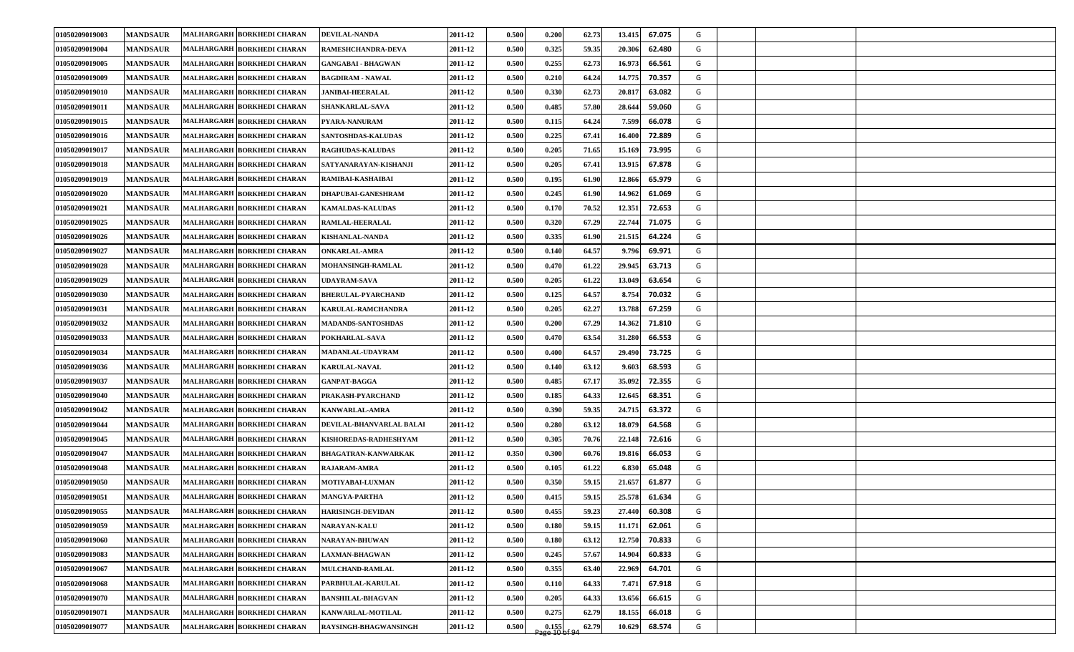| 01050209019003        | <b>MANDSAUR</b> | MALHARGARH BORKHEDI CHARAN        | <b>DEVILAL-NANDA</b>       | 2011-12 | 0.500 | 0.200 | 62.73 | 13.415 | 67.075 | G |  |
|-----------------------|-----------------|-----------------------------------|----------------------------|---------|-------|-------|-------|--------|--------|---|--|
| 01050209019004        | <b>MANDSAUR</b> | MALHARGARH BORKHEDI CHARAN        | RAMESHCHANDRA-DEVA         | 2011-12 | 0.500 | 0.325 | 59.35 | 20.306 | 62.480 | G |  |
| 01050209019005        | <b>MANDSAUR</b> | MALHARGARH BORKHEDI CHARAN        | <b>GANGABAI - BHAGWAN</b>  | 2011-12 | 0.500 | 0.255 | 62.73 | 16.973 | 66.561 | G |  |
| 01050209019009        | <b>MANDSAUR</b> | MALHARGARH BORKHEDI CHARAN        | <b>BAGDIRAM - NAWAL</b>    | 2011-12 | 0.500 | 0.210 | 64.24 | 14.775 | 70.357 | G |  |
| 01050209019010        | <b>MANDSAUR</b> | <b>MALHARGARH BORKHEDI CHARAN</b> | <b>JANIBAI-HEERALAL</b>    | 2011-12 | 0.500 | 0.330 | 62.73 | 20.817 | 63.082 | G |  |
| 01050209019011        | <b>MANDSAUR</b> | <b>MALHARGARH BORKHEDI CHARAN</b> | <b>SHANKARLAL-SAVA</b>     | 2011-12 | 0.500 | 0.485 | 57.80 | 28.644 | 59.060 | G |  |
| 01050209019015        | <b>MANDSAUR</b> | MALHARGARH BORKHEDI CHARAN        | <b>PYARA-NANURAM</b>       | 2011-12 | 0.500 | 0.115 | 64.24 | 7.599  | 66.078 | G |  |
| 01050209019016        | <b>MANDSAUR</b> | MALHARGARH BORKHEDI CHARAN        | <b>SANTOSHDAS-KALUDAS</b>  | 2011-12 | 0.500 | 0.225 | 67.41 | 16.400 | 72.889 | G |  |
| 01050209019017        | <b>MANDSAUR</b> | MALHARGARH BORKHEDI CHARAN        | <b>RAGHUDAS-KALUDAS</b>    | 2011-12 | 0.500 | 0.205 | 71.65 | 15.169 | 73.995 | G |  |
| 01050209019018        | <b>MANDSAUR</b> | <b>MALHARGARH BORKHEDI CHARAN</b> | SATYANARAYAN-KISHANJI      | 2011-12 | 0.500 | 0.205 | 67.41 | 13.915 | 67.878 | G |  |
| 01050209019019        | <b>MANDSAUR</b> | MALHARGARH BORKHEDI CHARAN        | RAMIBAI-KASHAIBAI          | 2011-12 | 0.500 | 0.195 | 61.90 | 12.866 | 65.979 | G |  |
| <b>01050209019020</b> | <b>MANDSAUR</b> | MALHARGARH BORKHEDI CHARAN        | <b>DHAPUBAI-GANESHRAM</b>  | 2011-12 | 0.500 | 0.245 | 61.90 | 14.962 | 61.069 | G |  |
| 01050209019021        | <b>MANDSAUR</b> | MALHARGARH BORKHEDI CHARAN        | <b>KAMALDAS-KALUDAS</b>    | 2011-12 | 0.500 | 0.170 | 70.52 | 12.351 | 72.653 | G |  |
| 01050209019025        | <b>MANDSAUR</b> | MALHARGARH BORKHEDI CHARAN        | RAMLAL-HEERALAL            | 2011-12 | 0.500 | 0.320 | 67.29 | 22.744 | 71.075 | G |  |
| 01050209019026        | <b>MANDSAUR</b> | <b>MALHARGARH BORKHEDI CHARAN</b> | <b>KISHANLAL-NANDA</b>     | 2011-12 | 0.500 | 0.335 | 61.90 | 21.515 | 64.224 | G |  |
| 01050209019027        | <b>MANDSAUR</b> | MALHARGARH BORKHEDI CHARAN        | <b>ONKARLAL-AMRA</b>       | 2011-12 | 0.500 | 0.140 | 64.57 | 9.796  | 69.971 | G |  |
| 01050209019028        | <b>MANDSAUR</b> | MALHARGARH BORKHEDI CHARAN        | <b>MOHANSINGH-RAMLAL</b>   | 2011-12 | 0.500 | 0.47( | 61.22 | 29.945 | 63.713 | G |  |
| 01050209019029        | <b>MANDSAUR</b> | MALHARGARH BORKHEDI CHARAN        | <b>UDAYRAM-SAVA</b>        | 2011-12 | 0.500 | 0.205 | 61.22 | 13.049 | 63.654 | G |  |
| 01050209019030        | <b>MANDSAUR</b> | MALHARGARH BORKHEDI CHARAN        | <b>BHERULAL-PYARCHAND</b>  | 2011-12 | 0.500 | 0.125 | 64.57 | 8.754  | 70.032 | G |  |
| 01050209019031        | <b>MANDSAUR</b> | MALHARGARH BORKHEDI CHARAN        | KARULAL-RAMCHANDRA         | 2011-12 | 0.500 | 0.205 | 62.27 | 13.788 | 67.259 | G |  |
| 01050209019032        | <b>MANDSAUR</b> | MALHARGARH BORKHEDI CHARAN        | <b>MADANDS-SANTOSHDAS</b>  | 2011-12 | 0.500 | 0.200 | 67.29 | 14.362 | 71.810 | G |  |
| 01050209019033        | <b>MANDSAUR</b> | MALHARGARH BORKHEDI CHARAN        | POKHARLAL-SAVA             | 2011-12 | 0.500 | 0.470 | 63.54 | 31.280 | 66.553 | G |  |
| 01050209019034        | <b>MANDSAUR</b> | MALHARGARH BORKHEDI CHARAN        | MADANLAL-UDAYRAM           | 2011-12 | 0.500 | 0.400 | 64.57 | 29.490 | 73.725 | G |  |
| 01050209019036        | <b>MANDSAUR</b> | MALHARGARH BORKHEDI CHARAN        | <b>KARULAL-NAVAL</b>       | 2011-12 | 0.500 | 0.140 | 63.12 | 9.603  | 68.593 | G |  |
| 01050209019037        | <b>MANDSAUR</b> | MALHARGARH BORKHEDI CHARAN        | <b>GANPAT-BAGGA</b>        | 2011-12 | 0.500 | 0.485 | 67.17 | 35.092 | 72.355 | G |  |
| 01050209019040        | <b>MANDSAUR</b> | MALHARGARH BORKHEDI CHARAN        | PRAKASH-PYARCHAND          | 2011-12 | 0.500 | 0.185 | 64.33 | 12.645 | 68.351 | G |  |
| 01050209019042        | <b>MANDSAUR</b> | MALHARGARH BORKHEDI CHARAN        | <b>KANWARLAL-AMRA</b>      | 2011-12 | 0.500 | 0.390 | 59.35 | 24.715 | 63.372 | G |  |
| 01050209019044        | <b>MANDSAUR</b> | MALHARGARH BORKHEDI CHARAN        | DEVILAL-BHANVARLAL BALAI   | 2011-12 | 0.500 | 0.280 | 63.12 | 18.079 | 64.568 | G |  |
| 01050209019045        | <b>MANDSAUR</b> | MALHARGARH BORKHEDI CHARAN        | KISHOREDAS-RADHESHYAM      | 2011-12 | 0.500 | 0.305 | 70.76 | 22.148 | 72.616 | G |  |
| 01050209019047        | <b>MANDSAUR</b> | MALHARGARH BORKHEDI CHARAN        | <b>BHAGATRAN-KANWARKAK</b> | 2011-12 | 0.350 | 0.300 | 60.76 | 19.816 | 66.053 | G |  |
| 01050209019048        | <b>MANDSAUR</b> | MALHARGARH BORKHEDI CHARAN        | <b>RAJARAM-AMRA</b>        | 2011-12 | 0.500 | 0.105 | 61.22 | 6.830  | 65.048 | G |  |
| 01050209019050        | <b>MANDSAUR</b> | MALHARGARH BORKHEDI CHARAN        | <b>MOTIYABAI-LUXMAN</b>    | 2011-12 | 0.500 | 0.350 | 59.15 | 21.657 | 61.877 | G |  |
| 01050209019051        | <b>MANDSAUR</b> | MALHARGARH BORKHEDI CHARAN        | MANGYA-PARTHA              | 2011-12 | 0.500 | 0.415 | 59.15 | 25.578 | 61.634 | G |  |
| 01050209019055        | <b>MANDSAUR</b> | MALHARGARH BORKHEDI CHARAN        | <b>HARISINGH-DEVIDAN</b>   | 2011-12 | 0.500 | 0.455 | 59.23 | 27.440 | 60.308 | G |  |
| 01050209019059        | <b>MANDSAUR</b> | MALHARGARH BORKHEDI CHARAN        | <b>NARAYAN-KALU</b>        | 2011-12 | 0.500 | 0.180 | 59.15 | 11.171 | 62.061 | G |  |
| 01050209019060        | <b>MANDSAUR</b> | MALHARGARH BORKHEDI CHARAN        | <b>NARAYAN-BHUWAN</b>      | 2011-12 | 0.500 | 0.180 | 63.12 | 12.750 | 70.833 | G |  |
| 01050209019083        | <b>MANDSAUR</b> | MALHARGARH BORKHEDI CHARAN        | <b>LAXMAN-BHAGWAN</b>      | 2011-12 | 0.500 | 0.245 | 57.67 | 14.904 | 60.833 | G |  |
| 01050209019067        | <b>MANDSAUR</b> | MALHARGARH BORKHEDI CHARAN        | MULCHAND-RAMLAL            | 2011-12 | 0.500 | 0.355 | 63.40 | 22.969 | 64.701 | G |  |
| 01050209019068        | <b>MANDSAUR</b> | MALHARGARH BORKHEDI CHARAN        | PARBHULAL-KARULAL          | 2011-12 | 0.500 | 0.110 | 64.33 | 7.471  | 67.918 | G |  |
| 01050209019070        | <b>MANDSAUR</b> | MALHARGARH BORKHEDI CHARAN        | <b>BANSHILAL-BHAGVAN</b>   | 2011-12 | 0.500 | 0.205 | 64.33 | 13.656 | 66.615 | G |  |
| 01050209019071        | <b>MANDSAUR</b> | MALHARGARH BORKHEDI CHARAN        | <b>KANWARLAL-MOTILAL</b>   | 2011-12 | 0.500 | 0.275 | 62.79 | 18.155 | 66.018 | G |  |
| 01050209019077        | <b>MANDSAUR</b> | MALHARGARH BORKHEDI CHARAN        | RAYSINGH-BHAGWANSINGH      | 2011-12 | 0.500 | 0.155 | 62.79 | 10.629 | 68.574 | G |  |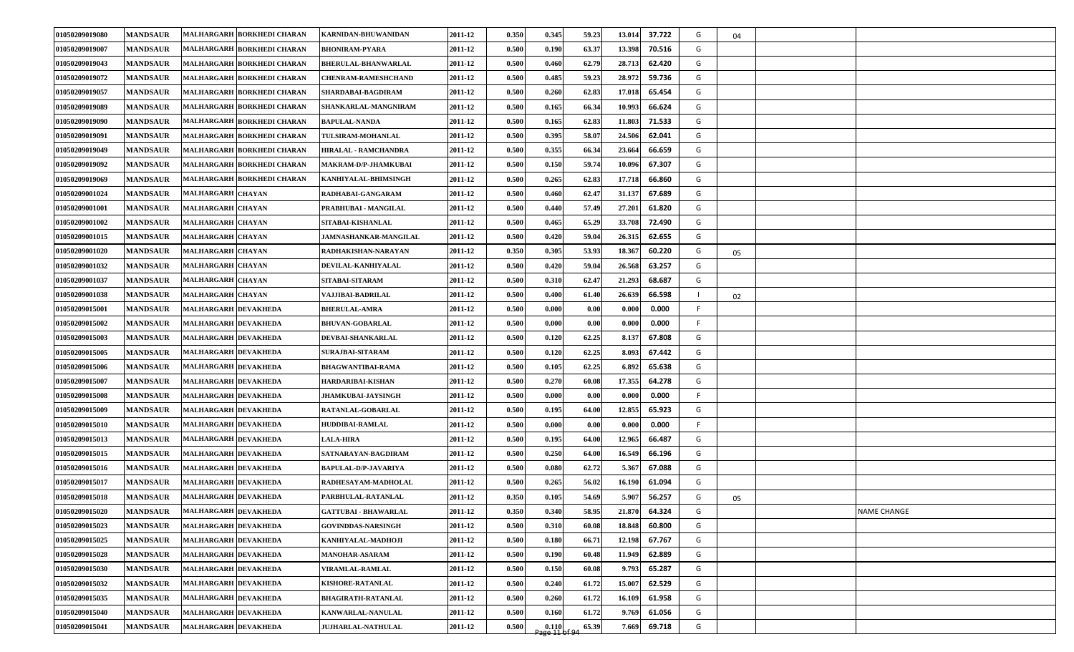| 01050209019080 | <b>MANDSAUR</b> | MALHARGARH BORKHEDI CHARAN        | KARNIDAN-BHUWANIDAN         | 2011-12 | 0.350 | 0.345                    | 59.23 | 37.722<br>13.014 | G  | 04 |                    |
|----------------|-----------------|-----------------------------------|-----------------------------|---------|-------|--------------------------|-------|------------------|----|----|--------------------|
| 01050209019007 | <b>MANDSAUR</b> | MALHARGARH BORKHEDI CHARAN        | <b>BHONIRAM-PYARA</b>       | 2011-12 | 0.500 | 0.190                    | 63.37 | 13.398<br>70.516 | G  |    |                    |
| 01050209019043 | <b>MANDSAUR</b> | MALHARGARH BORKHEDI CHARAN        | <b>BHERULAL-BHANWARLAL</b>  | 2011-12 | 0.500 | 0.460                    | 62.79 | 62.420<br>28.713 | G  |    |                    |
| 01050209019072 | <b>MANDSAUR</b> | MALHARGARH BORKHEDI CHARAN        | <b>CHENRAM-RAMESHCHAND</b>  | 2011-12 | 0.500 | 0.485                    | 59.23 | 59.736<br>28.972 | G  |    |                    |
| 01050209019057 | <b>MANDSAUR</b> | MALHARGARH BORKHEDI CHARAN        | SHARDABAI-BAGDIRAM          | 2011-12 | 0.500 | 0.260                    | 62.83 | 65.454<br>17.018 | G  |    |                    |
| 01050209019089 | <b>MANDSAUR</b> | MALHARGARH BORKHEDI CHARAN        | SHANKARLAL-MANGNIRAM        | 2011-12 | 0.500 | 0.165                    | 66.34 | 10.993<br>66.624 | G  |    |                    |
| 01050209019090 | <b>MANDSAUR</b> | MALHARGARH BORKHEDI CHARAN        | <b>BAPULAL-NANDA</b>        | 2011-12 | 0.500 | 0.165                    | 62.83 | 11.803<br>71.533 | G  |    |                    |
| 01050209019091 | <b>MANDSAUR</b> | MALHARGARH BORKHEDI CHARAN        | TULSIRAM-MOHANLAL           | 2011-12 | 0.500 | 0.395                    | 58.07 | 24.506<br>62.041 | G  |    |                    |
| 01050209019049 | <b>MANDSAUR</b> | <b>MALHARGARH BORKHEDI CHARAN</b> | HIRALAL - RAMCHANDRA        | 2011-12 | 0.500 | 0.355                    | 66.34 | 66.659<br>23.664 | G  |    |                    |
| 01050209019092 | <b>MANDSAUR</b> | MALHARGARH BORKHEDI CHARAN        | MAKRAM-D/P-JHAMKUBAI        | 2011-12 | 0.500 | 0.150                    | 59.74 | 67.307<br>10.096 | G  |    |                    |
| 01050209019069 | <b>MANDSAUR</b> | MALHARGARH BORKHEDI CHARAN        | KANHIYALAL-BHIMSINGH        | 2011-12 | 0.500 | 0.265                    | 62.83 | 66.860<br>17.718 | G  |    |                    |
| 01050209001024 | <b>MANDSAUR</b> | <b>MALHARGARH CHAYAN</b>          | RADHABAI-GANGARAM           | 2011-12 | 0.500 | 0.460                    | 62.47 | 67.689<br>31.137 | G  |    |                    |
| 01050209001001 | <b>MANDSAUR</b> | <b>MALHARGARH CHAYAN</b>          | PRABHUBAI - MANGILAL        | 2011-12 | 0.500 | 0.440                    | 57.49 | 27.201<br>61.820 | G  |    |                    |
| 01050209001002 | <b>MANDSAUR</b> | <b>MALHARGARH CHAYAN</b>          | SITABAI-KISHANLAL           | 2011-12 | 0.500 | 0.465                    | 65.29 | 33.708<br>72.490 | G  |    |                    |
| 01050209001015 | <b>MANDSAUR</b> | <b>MALHARGARH CHAYAN</b>          | JAMNASHANKAR-MANGILAL       | 2011-12 | 0.500 | 0.420                    | 59.04 | 62.655<br>26.315 | G  |    |                    |
| 01050209001020 | <b>MANDSAUR</b> | <b>MALHARGARH CHAYAN</b>          | RADHAKISHAN-NARAYAN         | 2011-12 | 0.350 | 0.305                    | 53.93 | 60.220<br>18.367 | G  | 05 |                    |
| 01050209001032 | <b>MANDSAUR</b> | <b>MALHARGARH CHAYAN</b>          | DEVILAL-KANHIYALAL          | 2011-12 | 0.500 | 0.420                    | 59.04 | 63.257<br>26.568 | G  |    |                    |
| 01050209001037 | <b>MANDSAUR</b> | <b>MALHARGARH CHAYAN</b>          | SITABAI-SITARAM             | 2011-12 | 0.500 | 0.310                    | 62.47 | 68.687<br>21.293 | G  |    |                    |
| 01050209001038 | <b>MANDSAUR</b> | <b>MALHARGARH CHAYAN</b>          | VAJJIBAI-BADRILAL           | 2011-12 | 0.500 | 0.400                    | 61.40 | 66.598<br>26.639 |    | 02 |                    |
| 01050209015001 | <b>MANDSAUR</b> | MALHARGARH DEVAKHEDA              | <b>BHERULAL-AMRA</b>        | 2011-12 | 0.500 | 0.000                    | 0.00  | 0.000<br>0.000   | F. |    |                    |
| 01050209015002 | <b>MANDSAUR</b> | <b>MALHARGARH DEVAKHEDA</b>       | <b>BHUVAN-GOBARLAL</b>      | 2011-12 | 0.500 | 0.000                    | 0.00  | 0.000<br>0.000   | F. |    |                    |
| 01050209015003 | <b>MANDSAUR</b> | MALHARGARH DEVAKHEDA              | DEVBAI-SHANKARLAL           | 2011-12 | 0.500 | 0.120                    | 62.25 | 67.808<br>8.137  | G  |    |                    |
| 01050209015005 | <b>MANDSAUR</b> | <b>MALHARGARH DEVAKHEDA</b>       | SURAJBAI-SITARAM            | 2011-12 | 0.500 | 0.120                    | 62.25 | 67.442<br>8.093  | G  |    |                    |
| 01050209015006 | <b>MANDSAUR</b> | MALHARGARH DEVAKHEDA              | <b>BHAGWANTIBAI-RAMA</b>    | 2011-12 | 0.500 | 0.105                    | 62.25 | 6.892<br>65.638  | G  |    |                    |
| 01050209015007 | <b>MANDSAUR</b> | <b>MALHARGARH DEVAKHEDA</b>       | HARDARIBAI-KISHAN           | 2011-12 | 0.500 | 0.270                    | 60.08 | 64.278<br>17.355 | G  |    |                    |
| 01050209015008 | <b>MANDSAUR</b> | <b>MALHARGARH DEVAKHEDA</b>       | <b>JHAMKUBAI-JAYSINGH</b>   | 2011-12 | 0.500 | 0.000                    | 0.00  | 0.000<br>0.000   | F. |    |                    |
| 01050209015009 | <b>MANDSAUR</b> | <b>MALHARGARH DEVAKHEDA</b>       | RATANLAL-GOBARLAL           | 2011-12 | 0.500 | 0.195                    | 64.00 | 12.855<br>65.923 | G  |    |                    |
| 01050209015010 | <b>MANDSAUR</b> | <b>MALHARGARH DEVAKHEDA</b>       | <b>HUDDIBAI-RAMLAL</b>      | 2011-12 | 0.500 | 0.000                    | 0.00  | 0.000<br>0.000   | F. |    |                    |
| 01050209015013 | <b>MANDSAUR</b> | <b>MALHARGARH DEVAKHEDA</b>       | <b>LALA-HIRA</b>            | 2011-12 | 0.500 | 0.195                    | 64.00 | 12.965<br>66.487 | G  |    |                    |
| 01050209015015 | <b>MANDSAUR</b> | MALHARGARH DEVAKHEDA              | SATNARAYAN-BAGDIRAM         | 2011-12 | 0.500 | 0.250                    | 64.00 | 16.549<br>66.196 | G  |    |                    |
| 01050209015016 | <b>MANDSAUR</b> | MALHARGARH DEVAKHEDA              | <b>BAPULAL-D/P-JAVARIYA</b> | 2011-12 | 0.500 | 0.080                    | 62.72 | 67.088<br>5.367  | G  |    |                    |
| 01050209015017 | <b>MANDSAUR</b> | MALHARGARH DEVAKHEDA              | RADHESAYAM-MADHOLAL         | 2011-12 | 0.500 | 0.265                    | 56.02 | 61.094<br>16.190 | G  |    |                    |
| 01050209015018 | <b>MANDSAUR</b> | MALHARGARH DEVAKHEDA              | PARBHULAL-RATANLAL          | 2011-12 | 0.350 | 0.105                    | 54.69 | 5.907<br>56.257  | G  | 05 |                    |
| 01050209015020 | <b>MANDSAUR</b> | MALHARGARH DEVAKHEDA              | <b>GATTUBAI - BHAWARLAL</b> | 2011-12 | 0.350 | 0.340                    | 58.95 | 21.870<br>64.324 | G  |    | <b>NAME CHANGE</b> |
| 01050209015023 | <b>MANDSAUR</b> | <b>MALHARGARH DEVAKHEDA</b>       | <b>GOVINDDAS-NARSINGH</b>   | 2011-12 | 0.500 | 0.310                    | 60.08 | 18.848<br>60.800 | G  |    |                    |
| 01050209015025 | <b>MANDSAUR</b> | MALHARGARH DEVAKHEDA              | KANHIYALAL-MADHOJI          | 2011-12 | 0.500 | 0.180                    | 66.71 | 12.198<br>67.767 | G  |    |                    |
| 01050209015028 | <b>MANDSAUR</b> | MALHARGARH DEVAKHEDA              | <b>MANOHAR-ASARAM</b>       | 2011-12 | 0.500 | 0.190                    | 60.48 | 62.889<br>11.949 | G  |    |                    |
| 01050209015030 | <b>MANDSAUR</b> | MALHARGARH DEVAKHEDA              | VIRAMLAL-RAMLAL             | 2011-12 | 0.500 | 0.150                    | 60.08 | 9.793<br>65.287  | G  |    |                    |
| 01050209015032 | <b>MANDSAUR</b> | MALHARGARH DEVAKHEDA              | <b>KISHORE-RATANLAL</b>     | 2011-12 | 0.500 | 0.240                    | 61.72 | 15.007<br>62.529 | G  |    |                    |
| 01050209015035 | <b>MANDSAUR</b> | MALHARGARH DEVAKHEDA              | <b>BHAGIRATH-RATANLAL</b>   | 2011-12 | 0.500 | 0.260                    | 61.72 | 61.958<br>16.109 | G  |    |                    |
| 01050209015040 | <b>MANDSAUR</b> | MALHARGARH DEVAKHEDA              | KANWARLAL-NANULAL           | 2011-12 | 0.500 | 0.160                    | 61.72 | 61.056<br>9.769  | G  |    |                    |
| 01050209015041 | <b>MANDSAUR</b> | MALHARGARH DEVAKHEDA              | <b>JUJHARLAL-NATHULAL</b>   | 2011-12 | 0.500 | $0.110$<br>Page 11 of 94 | 65.39 | 7.669<br>69.718  | G  |    |                    |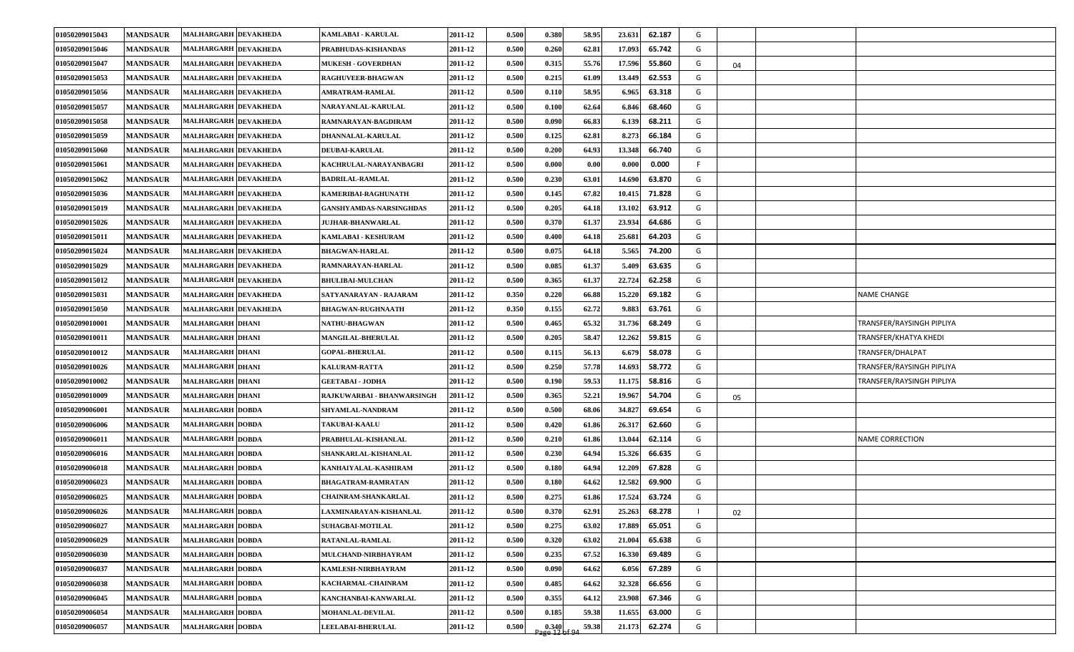| 01050209015043 | <b>MANDSAUR</b> | MALHARGARH DEVAKHEDA        | <b>KAMLABAI - KARULAL</b>      | 2011-12 | 0.500 | 0.380                                                          | 58.95 | 62.187<br>23.631 | G |    |                           |
|----------------|-----------------|-----------------------------|--------------------------------|---------|-------|----------------------------------------------------------------|-------|------------------|---|----|---------------------------|
| 01050209015046 | <b>MANDSAUR</b> | <b>MALHARGARH DEVAKHEDA</b> | PRABHUDAS-KISHANDAS            | 2011-12 | 0.500 | 0.260                                                          | 62.81 | 17.093<br>65.742 | G |    |                           |
| 01050209015047 | <b>MANDSAUR</b> | <b>MALHARGARH DEVAKHEDA</b> | <b>MUKESH - GOVERDHAN</b>      | 2011-12 | 0.500 | 0.315                                                          | 55.76 | 17.596<br>55.860 | G | 04 |                           |
| 01050209015053 | <b>MANDSAUR</b> | MALHARGARH DEVAKHEDA        | <b>RAGHUVEER-BHAGWAN</b>       | 2011-12 | 0.500 | 0.215                                                          | 61.09 | 62.553<br>13.449 | G |    |                           |
| 01050209015056 | <b>MANDSAUR</b> | MALHARGARH DEVAKHEDA        | <b>AMRATRAM-RAMLAL</b>         | 2011-12 | 0.500 | 0.110                                                          | 58.95 | 63.318<br>6.965  | G |    |                           |
| 01050209015057 | <b>MANDSAUR</b> | MALHARGARH DEVAKHEDA        | <b>NARAYANLAL-KARULAL</b>      | 2011-12 | 0.500 | 0.100                                                          | 62.64 | 68.460<br>6.846  | G |    |                           |
| 01050209015058 | <b>MANDSAUR</b> | <b>MALHARGARH DEVAKHEDA</b> | RAMNARAYAN-BAGDIRAM            | 2011-12 | 0.500 | 0.090                                                          | 66.83 | 68.211<br>6.139  | G |    |                           |
| 01050209015059 | <b>MANDSAUR</b> | MALHARGARH DEVAKHEDA        | DHANNALAL-KARULAL              | 2011-12 | 0.500 | 0.125                                                          | 62.81 | 8.273<br>66.184  | G |    |                           |
| 01050209015060 | <b>MANDSAUR</b> | MALHARGARH DEVAKHEDA        | <b>DEUBAI-KARULAL</b>          | 2011-12 | 0.500 | 0.200                                                          | 64.93 | 13.348<br>66.740 | G |    |                           |
| 01050209015061 | <b>MANDSAUR</b> | <b>MALHARGARH DEVAKHEDA</b> | KACHRULAL-NARAYANBAGRI         | 2011-12 | 0.500 | 0.000                                                          | 0.00  | 0.000<br>0.000   | F |    |                           |
| 01050209015062 | <b>MANDSAUR</b> | <b>MALHARGARH DEVAKHEDA</b> | <b>BADRILAL-RAMLAL</b>         | 2011-12 | 0.500 | 0.230                                                          | 63.01 | 63.870<br>14.690 | G |    |                           |
| 01050209015036 | <b>MANDSAUR</b> | MALHARGARH DEVAKHEDA        | KAMERIBAI-RAGHUNATH            | 2011-12 | 0.500 | 0.145                                                          | 67.82 | 71.828<br>10.415 | G |    |                           |
| 01050209015019 | <b>MANDSAUR</b> | <b>MALHARGARH DEVAKHEDA</b> | <b>GANSHYAMDAS-NARSINGHDAS</b> | 2011-12 | 0.500 | 0.205                                                          | 64.18 | 13.102<br>63.912 | G |    |                           |
| 01050209015026 | <b>MANDSAUR</b> | MALHARGARH DEVAKHEDA        | <b>JUJHAR-BHANWARLAL</b>       | 2011-12 | 0.500 | 0.370                                                          | 61.37 | 64.686<br>23.934 | G |    |                           |
| 01050209015011 | <b>MANDSAUR</b> | <b>MALHARGARH DEVAKHEDA</b> | KAMLABAI - KESHURAM            | 2011-12 | 0.500 | 0.400                                                          | 64.18 | 25.681<br>64.203 | G |    |                           |
| 01050209015024 | <b>MANDSAUR</b> | MALHARGARH DEVAKHEDA        | <b>BHAGWAN-HARLAL</b>          | 2011-12 | 0.500 | 0.075                                                          | 64.18 | 5.565<br>74.200  | G |    |                           |
| 01050209015029 | <b>MANDSAUR</b> | MALHARGARH DEVAKHEDA        | RAMNARAYAN-HARLAL              | 2011-12 | 0.500 | 0.085                                                          | 61.37 | 63.635<br>5.409  | G |    |                           |
| 01050209015012 | <b>MANDSAUR</b> | MALHARGARH DEVAKHEDA        | <b>BHULIBAI-MULCHAN</b>        | 2011-12 | 0.500 | 0.365                                                          | 61.37 | 22.724<br>62.258 | G |    |                           |
| 01050209015031 | <b>MANDSAUR</b> | MALHARGARH DEVAKHEDA        | SATYANARAYAN - RAJARAM         | 2011-12 | 0.350 | 0.220                                                          | 66.88 | 15.220<br>69.182 | G |    | <b>NAME CHANGE</b>        |
| 01050209015050 | <b>MANDSAUR</b> | MALHARGARH DEVAKHEDA        | <b>BHAGWAN-RUGHNAATH</b>       | 2011-12 | 0.350 | 0.155                                                          | 62.72 | 63.761<br>9.883  | G |    |                           |
| 01050209010001 | <b>MANDSAUR</b> | <b>MALHARGARH DHANI</b>     | <b>NATHU-BHAGWAN</b>           | 2011-12 | 0.500 | 0.465                                                          | 65.32 | 68.249<br>31.736 | G |    | TRANSFER/RAYSINGH PIPLIYA |
| 01050209010011 | <b>MANDSAUR</b> | <b>MALHARGARH DHANI</b>     | MANGILAL-BHERULAL              | 2011-12 | 0.500 | 0.205                                                          | 58.47 | 12.262<br>59.815 | G |    | TRANSFER/KHATYA KHEDI     |
| 01050209010012 | <b>MANDSAUR</b> | <b>MALHARGARH DHANI</b>     | <b>GOPAL-BHERULAL</b>          | 2011-12 | 0.500 | 0.115                                                          | 56.13 | 58.078<br>6.679  | G |    | TRANSFER/DHALPAT          |
| 01050209010026 | <b>MANDSAUR</b> | <b>MALHARGARH DHANI</b>     | <b>KALURAM-RATTA</b>           | 2011-12 | 0.500 | 0.250                                                          | 57.78 | 58.772<br>14.693 | G |    | TRANSFER/RAYSINGH PIPLIYA |
| 01050209010002 | <b>MANDSAUR</b> | <b>MALHARGARH DHANI</b>     | <b>GEETABAI - JODHA</b>        | 2011-12 | 0.500 | 0.190                                                          | 59.53 | 58.816<br>11.175 | G |    | TRANSFER/RAYSINGH PIPLIYA |
| 01050209010009 | <b>MANDSAUR</b> | <b>MALHARGARH DHANI</b>     | RAJKUWARBAI - BHANWARSINGH     | 2011-12 | 0.500 | 0.365                                                          | 52.21 | 54.704<br>19.967 | G | 05 |                           |
| 01050209006001 | <b>MANDSAUR</b> | <b>MALHARGARH DOBDA</b>     | SHYAMLAL-NANDRAM               | 2011-12 | 0.500 | 0.500                                                          | 68.06 | 69.654<br>34.827 | G |    |                           |
| 01050209006006 | <b>MANDSAUR</b> | <b>MALHARGARH DOBDA</b>     | <b>TAKUBAI-KAALU</b>           | 2011-12 | 0.500 | 0.420                                                          | 61.86 | 62.660<br>26.317 | G |    |                           |
| 01050209006011 | <b>MANDSAUR</b> | <b>MALHARGARH DOBDA</b>     | PRABHULAL-KISHANLAL            | 2011-12 | 0.500 | 0.210                                                          | 61.86 | 62.114<br>13.044 | G |    | <b>NAME CORRECTION</b>    |
| 01050209006016 | <b>MANDSAUR</b> | <b>MALHARGARH DOBDA</b>     | SHANKARLAL-KISHANLAL           | 2011-12 | 0.500 | 0.230                                                          | 64.94 | 15.326<br>66.635 | G |    |                           |
| 01050209006018 | <b>MANDSAUR</b> | <b>MALHARGARH DOBDA</b>     | KANHAIYALAL-KASHIRAM           | 2011-12 | 0.500 | 0.180                                                          | 64.94 | 67.828<br>12.209 | G |    |                           |
| 01050209006023 | <b>MANDSAUR</b> | <b>MALHARGARH DOBDA</b>     | <b>BHAGATRAM-RAMRATAN</b>      | 2011-12 | 0.500 | 0.180                                                          | 64.62 | 12.582<br>69.900 | G |    |                           |
| 01050209006025 | <b>MANDSAUR</b> | <b>MALHARGARH DOBDA</b>     | CHAINRAM-SHANKARLAL            | 2011-12 | 0.500 | 0.275                                                          | 61.86 | 63.724<br>17.524 | G |    |                           |
| 01050209006026 | <b>MANDSAUR</b> | MALHARGARH DOBDA            | LAXMINARAYAN-KISHANLAL         | 2011-12 | 0.500 | 0.370                                                          | 62.91 | 25.263<br>68.278 |   | 02 |                           |
| 01050209006027 | <b>MANDSAUR</b> | <b>MALHARGARH DOBDA</b>     | SUHAGBAI-MOTILAL               | 2011-12 | 0.500 | 0.275                                                          | 63.02 | 65.051<br>17.889 | G |    |                           |
| 01050209006029 | <b>MANDSAUR</b> | <b>MALHARGARH DOBDA</b>     | RATANLAL-RAMLAL                | 2011-12 | 0.500 | 0.320                                                          | 63.02 | 65.638<br>21.004 | G |    |                           |
| 01050209006030 | <b>MANDSAUR</b> | <b>MALHARGARH DOBDA</b>     | MULCHAND-NIRBHAYRAM            | 2011-12 | 0.500 | 0.235                                                          | 67.52 | 69.489<br>16.330 | G |    |                           |
| 01050209006037 | <b>MANDSAUR</b> | <b>MALHARGARH DOBDA</b>     | KAMLESH-NIRBHAYRAM             | 2011-12 | 0.500 | 0.090                                                          | 64.62 | 67.289<br>6.056  | G |    |                           |
| 01050209006038 | <b>MANDSAUR</b> | <b>MALHARGARH DOBDA</b>     | KACHARMAL-CHAINRAM             | 2011-12 | 0.500 | 0.485                                                          | 64.62 | 32.328<br>66.656 | G |    |                           |
| 01050209006045 | <b>MANDSAUR</b> | <b>MALHARGARH DOBDA</b>     | KANCHANBAI-KANWARLAL           | 2011-12 | 0.500 | 0.355                                                          | 64.12 | 23.908<br>67.346 | G |    |                           |
| 01050209006054 | <b>MANDSAUR</b> | <b>MALHARGARH DOBDA</b>     | MOHANLAL-DEVILAL               | 2011-12 | 0.500 | 0.185                                                          | 59.38 | 63.000<br>11.655 | G |    |                           |
| 01050209006057 | <b>MANDSAUR</b> | <b>MALHARGARH DOBDA</b>     | LEELABAI-BHERULAL              | 2011-12 | 0.500 | $\begin{array}{c c} 0.340 \\ \text{Page 12 of 94} \end{array}$ | 59.38 | 21.173<br>62.274 | G |    |                           |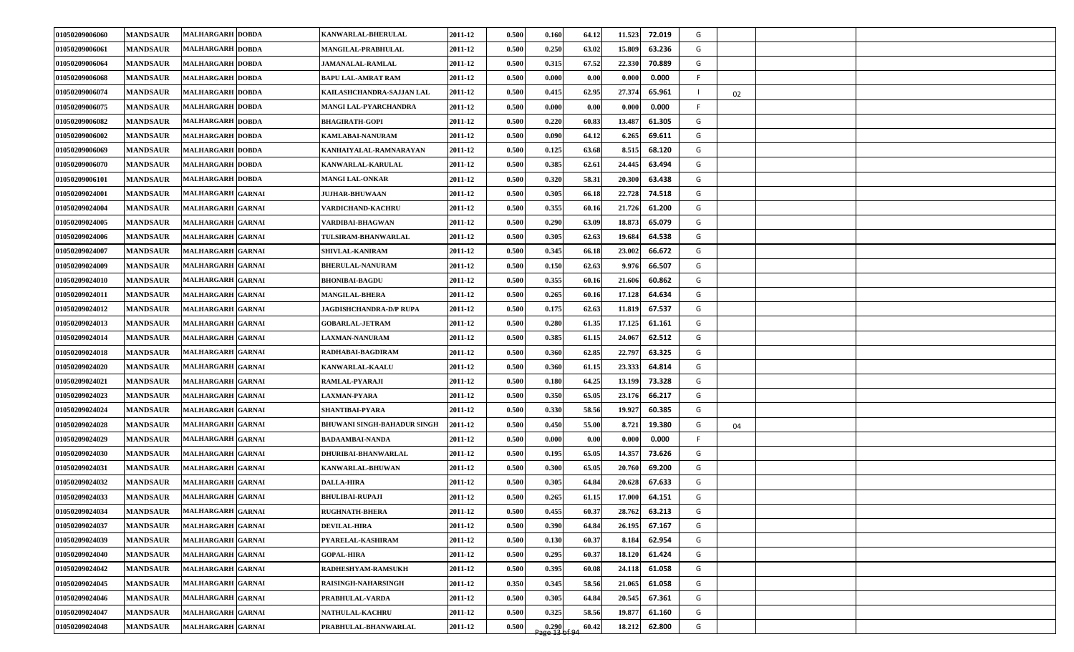| 01050209006060        | <b>MANDSAUR</b> | <b>MALHARGARH DOBDA</b>  | <b>KANWARLAL-BHERULAL</b>   | 2011-12 | 0.500 | 0.160                 | 64.12 | 11.523 | 72.019 | G   |    |  |
|-----------------------|-----------------|--------------------------|-----------------------------|---------|-------|-----------------------|-------|--------|--------|-----|----|--|
| 01050209006061        | <b>MANDSAUR</b> | <b>MALHARGARH DOBDA</b>  | <b>MANGILAL-PRABHULAL</b>   | 2011-12 | 0.500 | 0.250                 | 63.02 | 15.809 | 63.236 | G   |    |  |
| 01050209006064        | <b>MANDSAUR</b> | <b>MALHARGARH DOBDA</b>  | <b>JAMANALAL-RAMLAL</b>     | 2011-12 | 0.500 | 0.315                 | 67.52 | 22.330 | 70.889 | G   |    |  |
| 01050209006068        | <b>MANDSAUR</b> | <b>MALHARGARH DOBDA</b>  | BAPU LAL-AMRAT RAM          | 2011-12 | 0.500 | 0.000                 | 0.00  | 0.000  | 0.000  | F.  |    |  |
| 01050209006074        | <b>MANDSAUR</b> | <b>MALHARGARH DOBDA</b>  | KAILASHCHANDRA-SAJJAN LAL   | 2011-12 | 0.500 | 0.415                 | 62.95 | 27.374 | 65.961 | -1  | 02 |  |
| 01050209006075        | <b>MANDSAUR</b> | <b>MALHARGARH DOBDA</b>  | MANGI LAL-PYARCHANDRA       | 2011-12 | 0.500 | 0.000                 | 0.00  | 0.000  | 0.000  | -F. |    |  |
| 01050209006082        | <b>MANDSAUR</b> | <b>MALHARGARH DOBDA</b>  | <b>BHAGIRATH-GOPI</b>       | 2011-12 | 0.500 | 0.220                 | 60.83 | 13.487 | 61.305 | G   |    |  |
| 01050209006002        | <b>MANDSAUR</b> | <b>MALHARGARH DOBDA</b>  | KAMLABAI-NANURAM            | 2011-12 | 0.500 | 0.090                 | 64.12 | 6.265  | 69.611 | G   |    |  |
| 01050209006069        | <b>MANDSAUR</b> | <b>MALHARGARH DOBDA</b>  | KANHAIYALAL-RAMNARAYAN      | 2011-12 | 0.500 | 0.125                 | 63.68 | 8.515  | 68.120 | G   |    |  |
| 01050209006070        | <b>MANDSAUR</b> | <b>MALHARGARH DOBDA</b>  | <b>KANWARLAL-KARULAL</b>    | 2011-12 | 0.500 | 0.385                 | 62.61 | 24.445 | 63.494 | G   |    |  |
| 01050209006101        | <b>MANDSAUR</b> | <b>MALHARGARH DOBDA</b>  | <b>MANGI LAL-ONKAR</b>      | 2011-12 | 0.500 | 0.320                 | 58.31 | 20.300 | 63.438 | G   |    |  |
| <b>01050209024001</b> | <b>MANDSAUR</b> | <b>MALHARGARH GARNAI</b> | <b>JUJHAR-BHUWAAN</b>       | 2011-12 | 0.500 | 0.305                 | 66.18 | 22.728 | 74.518 | G   |    |  |
| 01050209024004        | <b>MANDSAUR</b> | <b>MALHARGARH GARNAI</b> | VARDICHAND-KACHRU           | 2011-12 | 0.500 | 0.355                 | 60.16 | 21.726 | 61.200 | G   |    |  |
| 01050209024005        | <b>MANDSAUR</b> | MALHARGARH GARNAI        | VARDIBAI-BHAGWAN            | 2011-12 | 0.500 | 0.290                 | 63.09 | 18.873 | 65.079 | G   |    |  |
| 01050209024006        | <b>MANDSAUR</b> | <b>MALHARGARH GARNAI</b> | TULSIRAM-BHANWARLAL         | 2011-12 | 0.500 | 0.305                 | 62.63 | 19.684 | 64.538 | G   |    |  |
| 01050209024007        | <b>MANDSAUR</b> | MALHARGARH GARNAI        | <b>SHIVLAL-KANIRAM</b>      | 2011-12 | 0.500 | 0.345                 | 66.18 | 23.002 | 66.672 | G   |    |  |
| 01050209024009        | <b>MANDSAUR</b> | MALHARGARH GARNAI        | <b>BHERULAL-NANURAM</b>     | 2011-12 | 0.500 | 0.150                 | 62.63 | 9.976  | 66.507 | G   |    |  |
| 01050209024010        | <b>MANDSAUR</b> | MALHARGARH GARNAI        | <b>BHONIBAI-BAGDU</b>       | 2011-12 | 0.500 | 0.355                 | 60.16 | 21.606 | 60.862 | G   |    |  |
| 01050209024011        | <b>MANDSAUR</b> | MALHARGARH GARNAI        | <b>MANGILAL-BHERA</b>       | 2011-12 | 0.500 | 0.265                 | 60.16 | 17.128 | 64.634 | G   |    |  |
| 01050209024012        | <b>MANDSAUR</b> | <b>MALHARGARH GARNAI</b> | JAGDISHCHANDRA-D/P RUPA     | 2011-12 | 0.500 | 0.175                 | 62.63 | 11.819 | 67.537 | G   |    |  |
| 01050209024013        | <b>MANDSAUR</b> | <b>MALHARGARH GARNAI</b> | <b>GOBARLAL-JETRAM</b>      | 2011-12 | 0.500 | 0.280                 | 61.35 | 17.125 | 61.161 | G   |    |  |
| 01050209024014        | <b>MANDSAUR</b> | MALHARGARH GARNAI        | <b>LAXMAN-NANURAM</b>       | 2011-12 | 0.500 | 0.385                 | 61.15 | 24.067 | 62.512 | G   |    |  |
| 01050209024018        | <b>MANDSAUR</b> | <b>MALHARGARH GARNAI</b> | RADHABAI-BAGDIRAM           | 2011-12 | 0.500 | 0.360                 | 62.85 | 22.797 | 63.325 | G   |    |  |
| 01050209024020        | <b>MANDSAUR</b> | MALHARGARH GARNAI        | <b>KANWARLAL-KAALU</b>      | 2011-12 | 0.500 | 0.360                 | 61.15 | 23.333 | 64.814 | G   |    |  |
| 01050209024021        | <b>MANDSAUR</b> | <b>MALHARGARH GARNAI</b> | RAMLAL-PYARAJI              | 2011-12 | 0.500 | 0.180                 | 64.25 | 13.199 | 73.328 | G   |    |  |
| 01050209024023        | <b>MANDSAUR</b> | MALHARGARH GARNAI        | <b>LAXMAN-PYARA</b>         | 2011-12 | 0.500 | 0.350                 | 65.05 | 23.176 | 66.217 | G   |    |  |
| 01050209024024        | <b>MANDSAUR</b> | MALHARGARH GARNAI        | SHANTIBAI-PYARA             | 2011-12 | 0.500 | 0.330                 | 58.56 | 19.927 | 60.385 | G   |    |  |
| 01050209024028        | <b>MANDSAUR</b> | MALHARGARH GARNAI        | BHUWANI SINGH-BAHADUR SINGH | 2011-12 | 0.500 | 0.450                 | 55.00 | 8.721  | 19.380 | G   | 04 |  |
| 01050209024029        | <b>MANDSAUR</b> | MALHARGARH GARNAI        | <b>BADAAMBAI-NANDA</b>      | 2011-12 | 0.500 | 0.000                 | 0.00  | 0.000  | 0.000  | F   |    |  |
| 01050209024030        | <b>MANDSAUR</b> | MALHARGARH GARNAI        | DHURIBAI-BHANWARLAL         | 2011-12 | 0.500 | 0.195                 | 65.05 | 14.357 | 73.626 | G   |    |  |
| 01050209024031        | <b>MANDSAUR</b> | <b>MALHARGARH GARNAI</b> | <b>KANWARLAL-BHUWAN</b>     | 2011-12 | 0.500 | 0.300                 | 65.05 | 20.760 | 69.200 | G   |    |  |
| 01050209024032        | <b>MANDSAUR</b> | MALHARGARH GARNAI        | <b>DALLA-HIRA</b>           | 2011-12 | 0.500 | 0.305                 | 64.84 | 20.628 | 67.633 | G   |    |  |
| 01050209024033        | <b>MANDSAUR</b> | MALHARGARH GARNAI        | <b>BHULIBAI-RUPAJI</b>      | 2011-12 | 0.500 | 0.265                 | 61.15 | 17.000 | 64.151 | G   |    |  |
| 01050209024034        | <b>MANDSAUR</b> | MALHARGARH GARNAI        | <b>RUGHNATH-BHERA</b>       | 2011-12 | 0.500 | 0.455                 | 60.37 | 28.762 | 63.213 | G   |    |  |
| 01050209024037        | <b>MANDSAUR</b> | MALHARGARH GARNAI        | <b>DEVILAL-HIRA</b>         | 2011-12 | 0.500 | 0.390                 | 64.84 | 26.195 | 67.167 | G   |    |  |
| 01050209024039        | <b>MANDSAUR</b> | MALHARGARH GARNAI        | PYARELAL-KASHIRAM           | 2011-12 | 0.500 | 0.130                 | 60.37 | 8.184  | 62.954 | G   |    |  |
| 01050209024040        | <b>MANDSAUR</b> | MALHARGARH GARNAI        | <b>GOPAL-HIRA</b>           | 2011-12 | 0.500 | 0.295                 | 60.37 | 18.120 | 61.424 | G   |    |  |
| 01050209024042        | <b>MANDSAUR</b> | MALHARGARH GARNAI        | RADHESHYAM-RAMSUKH          | 2011-12 | 0.500 | 0.395                 | 60.08 | 24.118 | 61.058 | G   |    |  |
| 01050209024045        | <b>MANDSAUR</b> | MALHARGARH GARNAI        | RAISINGH-NAHARSINGH         | 2011-12 | 0.350 | 0.345                 | 58.56 | 21.065 | 61.058 | G   |    |  |
| 01050209024046        | <b>MANDSAUR</b> | MALHARGARH GARNAI        | PRABHULAL-VARDA             | 2011-12 | 0.500 | 0.305                 | 64.84 | 20.545 | 67.361 | G   |    |  |
| 01050209024047        | <b>MANDSAUR</b> | MALHARGARH GARNAI        | <b>NATHULAL-KACHRU</b>      | 2011-12 | 0.500 | 0.325                 | 58.56 | 19.877 | 61.160 | G   |    |  |
| 01050209024048        | <b>MANDSAUR</b> | MALHARGARH GARNAI        | PRABHULAL-BHANWARLAL        | 2011-12 | 0.500 | $\frac{0.290}{0.296}$ | 60.42 | 18.212 | 62.800 | G   |    |  |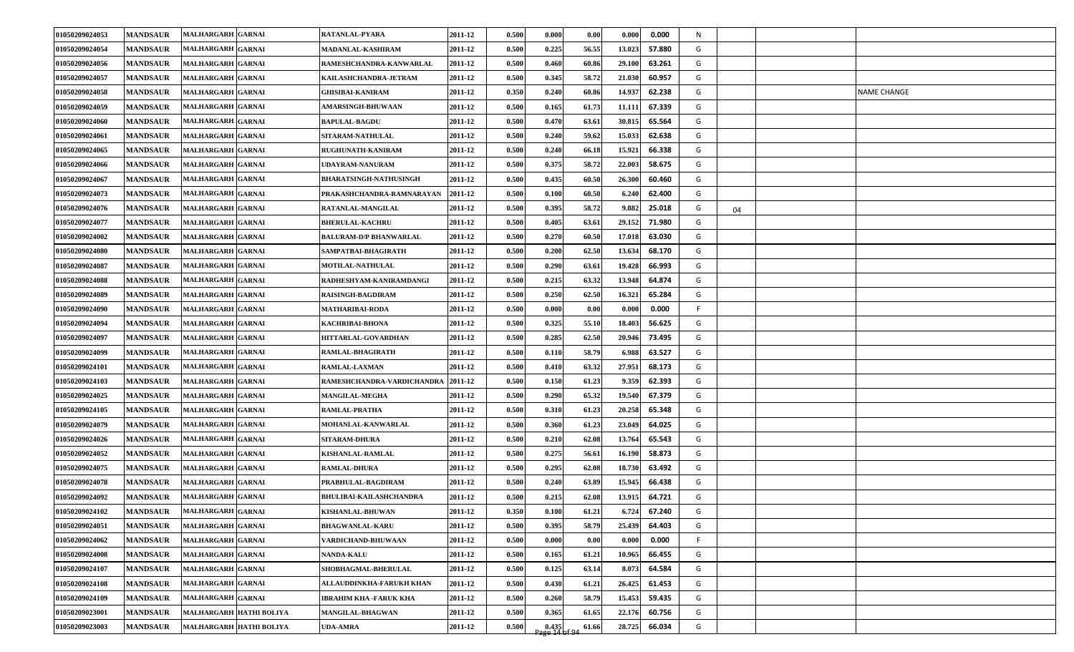| 01050209024053 | <b>MANDSAUR</b> | <b>MALHARGARH GARNAI</b> | RATANLAL-PYARA                 | 2011-12 | 0.500 | 0.000                              | 0.00  | 0.000<br>0.000   | N  |    |                    |
|----------------|-----------------|--------------------------|--------------------------------|---------|-------|------------------------------------|-------|------------------|----|----|--------------------|
| 01050209024054 | <b>MANDSAUR</b> | MALHARGARH GARNAI        | <b>MADANLAL-KASHIRAM</b>       | 2011-12 | 0.500 | 0.225                              | 56.55 | 57.880<br>13.023 | G  |    |                    |
| 01050209024056 | <b>MANDSAUR</b> | MALHARGARH GARNAI        | RAMESHCHANDRA-KANWARLAL        | 2011-12 | 0.500 | 0.460                              | 60.86 | 29.100<br>63.261 | G  |    |                    |
| 01050209024057 | <b>MANDSAUR</b> | <b>MALHARGARH GARNAI</b> | KAILASHCHANDRA-JETRAM          | 2011-12 | 0.500 | 0.345                              | 58.72 | 60.957<br>21.030 | G  |    |                    |
| 01050209024058 | <b>MANDSAUR</b> | MALHARGARH GARNAI        | <b>GHISIBAI-KANIRAM</b>        | 2011-12 | 0.350 | 0.240                              | 60.86 | 14.937<br>62.238 | G  |    | <b>NAME CHANGE</b> |
| 01050209024059 | <b>MANDSAUR</b> | MALHARGARH GARNAI        | <b>AMARSINGH-BHUWAAN</b>       | 2011-12 | 0.500 | 0.165                              | 61.73 | 67.339<br>11.111 | G  |    |                    |
| 01050209024060 | <b>MANDSAUR</b> | <b>MALHARGARH GARNAI</b> | <b>BAPULAL-BAGDU</b>           | 2011-12 | 0.500 | 0.470                              | 63.61 | 65.564<br>30.815 | G  |    |                    |
| 01050209024061 | <b>MANDSAUR</b> | MALHARGARH GARNAI        | <b>SITARAM-NATHULAL</b>        | 2011-12 | 0.500 | 0.240                              | 59.62 | 62.638<br>15.033 | G  |    |                    |
| 01050209024065 | <b>MANDSAUR</b> | <b>MALHARGARH GARNAI</b> | RUGHUNATH-KANIRAM              | 2011-12 | 0.500 | 0.240                              | 66.18 | 15.921<br>66.338 | G  |    |                    |
| 01050209024066 | <b>MANDSAUR</b> | MALHARGARH GARNAI        | UDAYRAM-NANURAM                | 2011-12 | 0.500 | 0.375                              | 58.72 | 22.003<br>58.675 | G  |    |                    |
| 01050209024067 | <b>MANDSAUR</b> | <b>MALHARGARH GARNAI</b> | <b>BHARATSINGH-NATHUSINGH</b>  | 2011-12 | 0.500 | 0.435                              | 60.50 | 26.300<br>60.460 | G  |    |                    |
| 01050209024073 | <b>MANDSAUR</b> | MALHARGARH GARNAI        | PRAKASHCHANDRA-RAMNARAYAN      | 2011-12 | 0.500 | 0.100                              | 60.50 | 62.400<br>6.240  | G  |    |                    |
| 01050209024076 | <b>MANDSAUR</b> | <b>MALHARGARH GARNAI</b> | RATANLAL-MANGILAL              | 2011-12 | 0.500 | 0.395                              | 58.72 | 25.018<br>9.882  | G  | 04 |                    |
| 01050209024077 | <b>MANDSAUR</b> | MALHARGARH GARNAI        | <b>BHERULAL-KACHRU</b>         | 2011-12 | 0.500 | 0.405                              | 63.61 | 29.152<br>71.980 | G  |    |                    |
| 01050209024002 | <b>MANDSAUR</b> | <b>MALHARGARH GARNAI</b> | <b>BALURAM-D/P BHANWARLAL</b>  | 2011-12 | 0.500 | 0.270                              | 60.50 | 63.030<br>17.018 | G  |    |                    |
| 01050209024080 | <b>MANDSAUR</b> | MALHARGARH GARNAI        | SAMPATBAI-BHAGIRATH            | 2011-12 | 0.500 | 0.200                              | 62.50 | 68.170<br>13.634 | G  |    |                    |
| 01050209024087 | <b>MANDSAUR</b> | MALHARGARH GARNAI        | <b>MOTILAL-NATHULAL</b>        | 2011-12 | 0.500 | 0.290                              | 63.61 | 66.993<br>19.428 | G  |    |                    |
| 01050209024088 | <b>MANDSAUR</b> | MALHARGARH GARNAI        | RADHESHYAM-KANIRAMDANGI        | 2011-12 | 0.500 | 0.215                              | 63.32 | 64.874<br>13.948 | G  |    |                    |
| 01050209024089 | <b>MANDSAUR</b> | MALHARGARH GARNAI        | <b>RAISINGH-BAGDIRAM</b>       | 2011-12 | 0.500 | 0.250                              | 62.50 | 65.284<br>16.321 | G  |    |                    |
| 01050209024090 | <b>MANDSAUR</b> | MALHARGARH GARNAI        | <b>MATHARIBAI-RODA</b>         | 2011-12 | 0.500 | 0.000                              | 0.00  | 0.000<br>0.000   | F. |    |                    |
| 01050209024094 | <b>MANDSAUR</b> | MALHARGARH GARNAI        | <b>KACHRIBAI-BHONA</b>         | 2011-12 | 0.500 | 0.325                              | 55.10 | 18.403<br>56.625 | G  |    |                    |
| 01050209024097 | <b>MANDSAUR</b> | <b>MALHARGARH GARNAI</b> | HITTARLAL-GOVARDHAN            | 2011-12 | 0.500 | 0.285                              | 62.50 | 20.946<br>73.495 | G  |    |                    |
| 01050209024099 | <b>MANDSAUR</b> | <b>MALHARGARH GARNAI</b> | RAMLAL-BHAGIRATH               | 2011-12 | 0.500 | 0.110                              | 58.79 | 63.527<br>6.988  | G  |    |                    |
| 01050209024101 | <b>MANDSAUR</b> | MALHARGARH GARNAI        | RAMLAL-LAXMAN                  | 2011-12 | 0.500 | 0.410                              | 63.32 | 27.951<br>68.173 | G  |    |                    |
| 01050209024103 | <b>MANDSAUR</b> | MALHARGARH GARNAI        | RAMESHCHANDRA-VARDICHANDRA     | 2011-12 | 0.500 | 0.150                              | 61.23 | 9.359<br>62.393  | G  |    |                    |
| 01050209024025 | <b>MANDSAUR</b> | <b>MALHARGARH GARNAI</b> | <b>MANGILAL-MEGHA</b>          | 2011-12 | 0.500 | 0.290                              | 65.32 | 19.540<br>67.379 | G  |    |                    |
| 01050209024105 | <b>MANDSAUR</b> | MALHARGARH GARNAI        | RAMLAL-PRATHA                  | 2011-12 | 0.500 | 0.310                              | 61.23 | 65.348<br>20.258 | G  |    |                    |
| 01050209024079 | <b>MANDSAUR</b> | MALHARGARH GARNAI        | <b>MOHANLAL-KANWARLAL</b>      | 2011-12 | 0.500 | 0.360                              | 61.23 | 23.049<br>64.025 | G  |    |                    |
| 01050209024026 | <b>MANDSAUR</b> | MALHARGARH GARNAI        | <b>SITARAM-DHURA</b>           | 2011-12 | 0.500 | 0.210                              | 62.08 | 65.543<br>13.764 | G  |    |                    |
| 01050209024052 | <b>MANDSAUR</b> | <b>MALHARGARH GARNAI</b> | <b>KISHANLAL-RAMLAL</b>        | 2011-12 | 0.500 | 0.275                              | 56.61 | 58.873<br>16.190 | G  |    |                    |
| 01050209024075 | <b>MANDSAUR</b> | MALHARGARH GARNAI        | <b>RAMLAL-DHURA</b>            | 2011-12 | 0.500 | 0.295                              | 62.08 | 63.492<br>18.730 | G  |    |                    |
| 01050209024078 | <b>MANDSAUR</b> | <b>MALHARGARH GARNAI</b> | PRABHULAL-BAGDIRAM             | 2011-12 | 0.50  | 0.240                              | 63.89 | 66.438<br>15.945 | G  |    |                    |
| 01050209024092 | <b>MANDSAUR</b> | MALHARGARH GARNAI        | <b>BHULIBAI-KAILASHCHANDRA</b> | 2011-12 | 0.500 | 0.215                              | 62.08 | 64.721<br>13.915 | G  |    |                    |
| 01050209024102 | <b>MANDSAUR</b> | MALHARGARH GARNAI        | <b>KISHANLAL-BHUWAN</b>        | 2011-12 | 0.350 | 0.100                              | 61.21 | 6.724<br>67.240  | G  |    |                    |
| 01050209024051 | <b>MANDSAUR</b> | MALHARGARH GARNAI        | <b>BHAGWANLAL-KARU</b>         | 2011-12 | 0.500 | 0.395                              | 58.79 | 25.439<br>64.403 | G  |    |                    |
| 01050209024062 | <b>MANDSAUR</b> | MALHARGARH GARNAI        | VARDICHAND-BHUWAAN             | 2011-12 | 0.500 | 0.000                              | 0.00  | 0.000<br>0.000   | F  |    |                    |
| 01050209024008 | <b>MANDSAUR</b> | MALHARGARH GARNAI        | <b>NANDA-KALU</b>              | 2011-12 | 0.500 | 0.165                              | 61.21 | 66.455<br>10.965 | G  |    |                    |
| 01050209024107 | <b>MANDSAUR</b> | MALHARGARH GARNAI        | SHOBHAGMAL-BHERULAL            | 2011-12 | 0.500 | 0.125                              | 63.14 | 8.073<br>64.584  | G  |    |                    |
| 01050209024108 | <b>MANDSAUR</b> | MALHARGARH GARNAI        | ALLAUDDINKHA-FARUKH KHAN       | 2011-12 | 0.500 | 0.430                              | 61.21 | 61.453<br>26.425 | G  |    |                    |
| 01050209024109 | <b>MANDSAUR</b> | MALHARGARH GARNAI        | <b>IBRAHIM KHA-FARUK KHA</b>   | 2011-12 | 0.500 | 0.260                              | 58.79 | 15.453<br>59.435 | G  |    |                    |
| 01050209023001 | <b>MANDSAUR</b> | MALHARGARH HATHI BOLIYA  | MANGILAL-BHAGWAN               | 2011-12 | 0.500 | 0.365                              | 61.65 | 22.176<br>60.756 | G  |    |                    |
| 01050209023003 | <b>MANDSAUR</b> | MALHARGARH HATHI BOLIYA  | <b>UDA-AMRA</b>                | 2011-12 | 0.500 | $\frac{0.435}{299 \cdot 14}$ of 94 | 61.66 | 66.034<br>28.725 | G  |    |                    |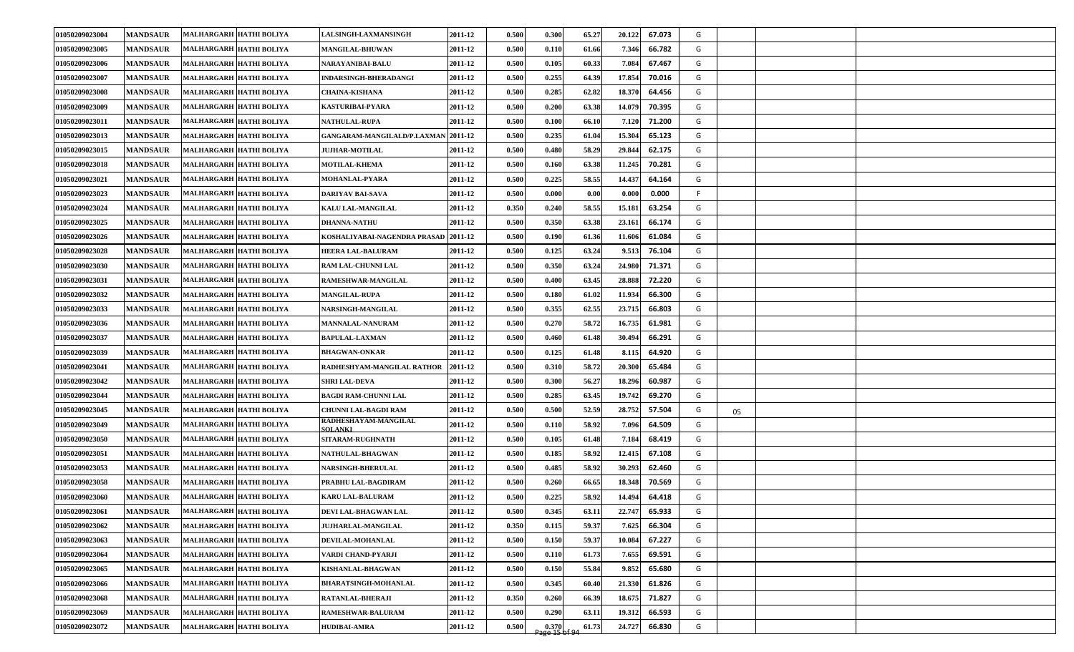| 01050209023004 | <b>MANDSAUR</b> | MALHARGARH HATHI BOLIYA        | <b>LALSINGH-LAXMANSINGH</b>            | 2011-12 | 0.500 | 0.300                                                       | 65.27 | 20.122<br>67.073 | G  |    |  |
|----------------|-----------------|--------------------------------|----------------------------------------|---------|-------|-------------------------------------------------------------|-------|------------------|----|----|--|
| 01050209023005 | <b>MANDSAUR</b> | MALHARGARH HATHI BOLIYA        | <b>MANGILAL-BHUWAN</b>                 | 2011-12 | 0.500 | 0.110                                                       | 61.66 | 66.782<br>7.346  | G  |    |  |
| 01050209023006 | <b>MANDSAUR</b> | MALHARGARH HATHI BOLIYA        | <b>NARAYANIBAI-BALU</b>                | 2011-12 | 0.500 | 0.105                                                       | 60.33 | 7.084<br>67.467  | G  |    |  |
| 01050209023007 | <b>MANDSAUR</b> | MALHARGARH HATHI BOLIYA        | INDARSINGH-BHERADANGI                  | 2011-12 | 0.500 | 0.255                                                       | 64.39 | 17.854<br>70.016 | G  |    |  |
| 01050209023008 | <b>MANDSAUR</b> | MALHARGARH HATHI BOLIYA        | <b>CHAINA-KISHANA</b>                  | 2011-12 | 0.500 | 0.285                                                       | 62.82 | 18.370<br>64.456 | G  |    |  |
| 01050209023009 | <b>MANDSAUR</b> | MALHARGARH HATHI BOLIYA        | KASTURIBAI-PYARA                       | 2011-12 | 0.500 | 0.200                                                       | 63.38 | 14.079<br>70.395 | G  |    |  |
| 01050209023011 | <b>MANDSAUR</b> | MALHARGARH HATHI BOLIYA        | <b>NATHULAL-RUPA</b>                   | 2011-12 | 0.500 | 0.100                                                       | 66.10 | 7.120<br>71.200  | G  |    |  |
| 01050209023013 | <b>MANDSAUR</b> | MALHARGARH HATHI BOLIYA        | GANGARAM-MANGILALD/P.LAXMAN 2011-12    |         | 0.500 | 0.235                                                       | 61.04 | 15.304<br>65.123 | G  |    |  |
| 01050209023015 | <b>MANDSAUR</b> | MALHARGARH HATHI BOLIYA        | <b>JUJHAR-MOTILAL</b>                  | 2011-12 | 0.500 | 0.480                                                       | 58.29 | 62.175<br>29.844 | G  |    |  |
| 01050209023018 | <b>MANDSAUR</b> | MALHARGARH HATHI BOLIYA        | <b>MOTILAL-KHEMA</b>                   | 2011-12 | 0.500 | 0.16                                                        | 63.38 | 11.245<br>70.281 | G  |    |  |
| 01050209023021 | <b>MANDSAUR</b> | <b>MALHARGARH HATHI BOLIYA</b> | MOHANLAL-PYARA                         | 2011-12 | 0.500 | 0.225                                                       | 58.55 | 14.437<br>64.164 | G  |    |  |
| 01050209023023 | <b>MANDSAUR</b> | MALHARGARH HATHI BOLIYA        | DARIYAV BAI-SAVA                       | 2011-12 | 0.500 | 0.000                                                       | 0.00  | 0.000<br>0.000   | F. |    |  |
| 01050209023024 | <b>MANDSAUR</b> | MALHARGARH HATHI BOLIYA        | KALU LAL-MANGILAL                      | 2011-12 | 0.350 | 0.240                                                       | 58.55 | 63.254<br>15.181 | G  |    |  |
| 01050209023025 | <b>MANDSAUR</b> | MALHARGARH HATHI BOLIYA        | <b>DHANNA-NATHU</b>                    | 2011-12 | 0.500 | 0.350                                                       | 63.38 | 23.161<br>66.174 | G  |    |  |
| 01050209023026 | <b>MANDSAUR</b> | MALHARGARH HATHI BOLIYA        | KOSHALIYABAI-NAGENDRA PRASAD 2011-12   |         | 0.500 | 0.190                                                       | 61.36 | 11.606<br>61.084 | G  |    |  |
| 01050209023028 | <b>MANDSAUR</b> | MALHARGARH HATHI BOLIYA        | <b>HEERA LAL-BALURAM</b>               | 2011-12 | 0.500 | 0.125                                                       | 63.24 | 9.513<br>76.104  | G  |    |  |
| 01050209023030 | <b>MANDSAUR</b> | MALHARGARH HATHI BOLIYA        | RAM LAL-CHUNNI LAL                     | 2011-12 | 0.500 | 0.350                                                       | 63.24 | 71.371<br>24.980 | G  |    |  |
| 01050209023031 | <b>MANDSAUR</b> | MALHARGARH HATHI BOLIYA        | RAMESHWAR-MANGILAL                     | 2011-12 | 0.500 | 0.400                                                       | 63.45 | 28.888<br>72.220 | G  |    |  |
| 01050209023032 | <b>MANDSAUR</b> | <b>MALHARGARH HATHI BOLIYA</b> | <b>MANGILAL-RUPA</b>                   | 2011-12 | 0.500 | 0.180                                                       | 61.02 | 11.934<br>66.300 | G  |    |  |
| 01050209023033 | <b>MANDSAUR</b> | MALHARGARH HATHI BOLIYA        | NARSINGH-MANGILAL                      | 2011-12 | 0.500 | 0.355                                                       | 62.55 | 23.715<br>66.803 | G  |    |  |
| 01050209023036 | <b>MANDSAUR</b> | MALHARGARH HATHI BOLIYA        | MANNALAL-NANURAM                       | 2011-12 | 0.500 | 0.270                                                       | 58.72 | 16.735<br>61.981 | G  |    |  |
| 01050209023037 | <b>MANDSAUR</b> | MALHARGARH HATHI BOLIYA        | <b>BAPULAL-LAXMAN</b>                  | 2011-12 | 0.500 | 0.460                                                       | 61.48 | 30.494<br>66.291 | G  |    |  |
| 01050209023039 | <b>MANDSAUR</b> | MALHARGARH HATHI BOLIYA        | <b>BHAGWAN-ONKAR</b>                   | 2011-12 | 0.500 | 0.125                                                       | 61.48 | 8.115<br>64.920  | G  |    |  |
| 01050209023041 | <b>MANDSAUR</b> | MALHARGARH HATHI BOLIYA        | RADHESHYAM-MANGILAL RATHOR             | 2011-12 | 0.500 | 0.310                                                       | 58.72 | 20.300<br>65.484 | G  |    |  |
| 01050209023042 | <b>MANDSAUR</b> | MALHARGARH HATHI BOLIYA        | SHRI LAL-DEVA                          | 2011-12 | 0.500 | 0.300                                                       | 56.27 | 18.296<br>60.987 | G  |    |  |
| 01050209023044 | <b>MANDSAUR</b> | MALHARGARH HATHI BOLIYA        | <b>BAGDI RAM-CHUNNI LAL</b>            | 2011-12 | 0.500 | 0.285                                                       | 63.45 | 19.742<br>69.270 | G  |    |  |
| 01050209023045 | <b>MANDSAUR</b> | MALHARGARH HATHI BOLIYA        | CHUNNI LAL-BAGDI RAM                   | 2011-12 | 0.500 | 0.500                                                       | 52.59 | 28.752<br>57.504 | G  | 05 |  |
| 01050209023049 | <b>MANDSAUR</b> | MALHARGARH HATHI BOLIYA        | RADHESHAYAM-MANGILAL<br><b>SOLANKL</b> | 2011-12 | 0.500 | 0.110                                                       | 58.92 | 7.096<br>64.509  | G  |    |  |
| 01050209023050 | <b>MANDSAUR</b> | MALHARGARH HATHI BOLIYA        | <b>SITARAM-RUGHNATH</b>                | 2011-12 | 0.500 | 0.105                                                       | 61.48 | 7.184<br>68.419  | G  |    |  |
| 01050209023051 | <b>MANDSAUR</b> | <b>MALHARGARH HATHI BOLIYA</b> | NATHULAL-BHAGWAN                       | 2011-12 | 0.500 | 0.185                                                       | 58.92 | 12.415<br>67.108 | G  |    |  |
| 01050209023053 | <b>MANDSAUR</b> | MALHARGARH HATHI BOLIYA        | <b>NARSINGH-BHERULAL</b>               | 2011-12 | 0.500 | 0.485                                                       | 58.92 | 30.293<br>62.460 | G  |    |  |
| 01050209023058 | <b>MANDSAUR</b> | MALHARGARH HATHI BOLIYA        | PRABHU LAL-BAGDIRAM                    | 2011-12 | 0.500 | 0.260                                                       | 66.65 | 70.569<br>18.348 | G  |    |  |
| 01050209023060 | <b>MANDSAUR</b> | MALHARGARH HATHI BOLIYA        | <b>KARU LAL-BALURAM</b>                | 2011-12 | 0.500 | 0.225                                                       | 58.92 | 64.418<br>14.494 | G  |    |  |
| 01050209023061 | <b>MANDSAUR</b> | MALHARGARH HATHI BOLIYA        | DEVI LAL-BHAGWAN LAL                   | 2011-12 | 0.500 | 0.345                                                       | 63.11 | 22.747<br>65.933 | G  |    |  |
| 01050209023062 | <b>MANDSAUR</b> | MALHARGARH HATHI BOLIYA        | <b>JUJHARLAL-MANGILAL</b>              | 2011-12 | 0.350 | 0.115                                                       | 59.37 | 7.625<br>66.304  | G  |    |  |
| 01050209023063 | <b>MANDSAUR</b> | MALHARGARH HATHI BOLIYA        | DEVILAL-MOHANLAL                       | 2011-12 | 0.500 | 0.150                                                       | 59.37 | 10.084<br>67.227 | G  |    |  |
| 01050209023064 | <b>MANDSAUR</b> | MALHARGARH HATHI BOLIYA        | VARDI CHAND-PYARJI                     | 2011-12 | 0.500 | 0.110                                                       | 61.73 | 7.655<br>69.591  | G  |    |  |
| 01050209023065 | <b>MANDSAUR</b> | MALHARGARH HATHI BOLIYA        | KISHANLAL-BHAGWAN                      | 2011-12 | 0.500 | 0.150                                                       | 55.84 | 9.852<br>65.680  | G  |    |  |
| 01050209023066 | <b>MANDSAUR</b> | MALHARGARH HATHI BOLIYA        | BHARATSINGH-MOHANLAL                   | 2011-12 | 0.500 | 0.345                                                       | 60.40 | 21.330<br>61.826 | G  |    |  |
| 01050209023068 | <b>MANDSAUR</b> | MALHARGARH HATHI BOLIYA        | RATANLAL-BHERAJI                       | 2011-12 | 0.350 | 0.260                                                       | 66.39 | 18.675<br>71.827 | G  |    |  |
| 01050209023069 | <b>MANDSAUR</b> | MALHARGARH HATHI BOLIYA        | RAMESHWAR-BALURAM                      | 2011-12 | 0.500 | 0.290                                                       | 63.11 | 66.593<br>19.312 | G  |    |  |
| 01050209023072 | <b>MANDSAUR</b> | MALHARGARH HATHI BOLIYA        | <b>HUDIBAI-AMRA</b>                    | 2011-12 | 0.500 | $\begin{array}{c} 0.370 \\ \text{age 15 of 94} \end{array}$ | 61.73 | 24.727<br>66.830 | G  |    |  |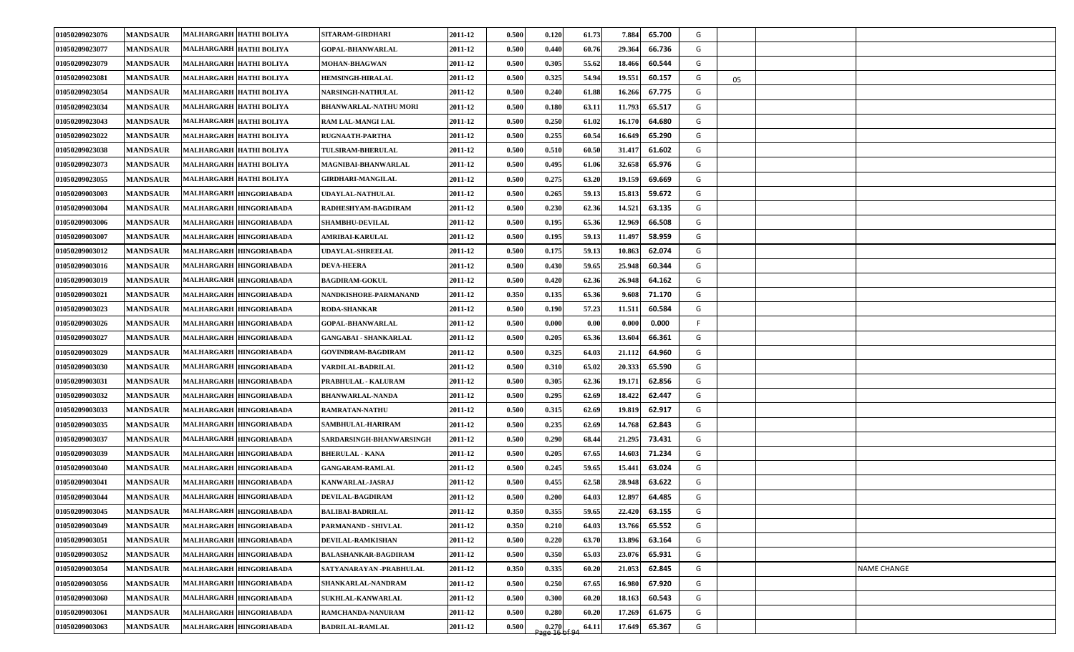| 01050209023076 | <b>MANDSAUR</b> | <b>MALHARGARH HATHI BOLIYA</b> | SITARAM-GIRDHARI             | 2011-12 | 0.500 | 0.120                  | 61.73 | 7.884<br>65.700  | G  |    |                    |
|----------------|-----------------|--------------------------------|------------------------------|---------|-------|------------------------|-------|------------------|----|----|--------------------|
| 01050209023077 | <b>MANDSAUR</b> | MALHARGARH HATHI BOLIYA        | <b>GOPAL-BHANWARLAL</b>      | 2011-12 | 0.500 | 0.440                  | 60.76 | 66.736<br>29.364 | G  |    |                    |
| 01050209023079 | <b>MANDSAUR</b> | MALHARGARH HATHI BOLIYA        | MOHAN-BHAGWAN                | 2011-12 | 0.500 | 0.305                  | 55.62 | 60.544<br>18.466 | G  |    |                    |
| 01050209023081 | <b>MANDSAUR</b> | MALHARGARH HATHI BOLIYA        | <b>HEMSINGH-HIRALAL</b>      | 2011-12 | 0.500 | 0.325                  | 54.94 | 19.551<br>60.157 | G  | 05 |                    |
| 01050209023054 | <b>MANDSAUR</b> | MALHARGARH HATHI BOLIYA        | <b>NARSINGH-NATHULAL</b>     | 2011-12 | 0.500 | 0.240                  | 61.88 | 67.775<br>16.266 | G  |    |                    |
| 01050209023034 | <b>MANDSAUR</b> | MALHARGARH HATHI BOLIYA        | <b>BHANWARLAL-NATHU MORI</b> | 2011-12 | 0.500 | 0.180                  | 63.11 | 11.793<br>65.517 | G  |    |                    |
| 01050209023043 | <b>MANDSAUR</b> | MALHARGARH HATHI BOLIYA        | RAM LAL-MANGI LAL            | 2011-12 | 0.500 | 0.250                  | 61.02 | 64.680<br>16.170 | G  |    |                    |
| 01050209023022 | <b>MANDSAUR</b> | MALHARGARH HATHI BOLIYA        | RUGNAATH-PARTHA              | 2011-12 | 0.500 | 0.255                  | 60.54 | 65.290<br>16.649 | G  |    |                    |
| 01050209023038 | <b>MANDSAUR</b> | MALHARGARH HATHI BOLIYA        | TULSIRAM-BHERULAL            | 2011-12 | 0.500 | 0.510                  | 60.50 | 61.602<br>31.417 | G  |    |                    |
| 01050209023073 | <b>MANDSAUR</b> | MALHARGARH HATHI BOLIYA        | <b>MAGNIBAI-BHANWARLAL</b>   | 2011-12 | 0.500 | 0.495                  | 61.06 | 32.658<br>65.976 | G  |    |                    |
| 01050209023055 | <b>MANDSAUR</b> | MALHARGARH HATHI BOLIYA        | <b>GIRDHARI-MANGILAL</b>     | 2011-12 | 0.500 | 0.275                  | 63.20 | 19.159<br>69.669 | G  |    |                    |
| 01050209003003 | <b>MANDSAUR</b> | MALHARGARH HINGORIABADA        | UDAYLAL-NATHULAL             | 2011-12 | 0.500 | 0.265                  | 59.13 | 59.672<br>15.813 | G  |    |                    |
| 01050209003004 | <b>MANDSAUR</b> | MALHARGARH HINGORIABADA        | RADHESHYAM-BAGDIRAM          | 2011-12 | 0.500 | 0.230                  | 62.36 | 14.521<br>63.135 | G  |    |                    |
| 01050209003006 | <b>MANDSAUR</b> | MALHARGARH HINGORIABADA        | <b>SHAMBHU-DEVILAL</b>       | 2011-12 | 0.500 | 0.195                  | 65.36 | 66.508<br>12.969 | G  |    |                    |
| 01050209003007 | <b>MANDSAUR</b> | MALHARGARH HINGORIABADA        | <b>AMRIBAI-KARULAL</b>       | 2011-12 | 0.500 | 0.195                  | 59.13 | 58.959<br>11.497 | G  |    |                    |
| 01050209003012 | <b>MANDSAUR</b> | MALHARGARH HINGORIABADA        | UDAYLAL-SHREELAL             | 2011-12 | 0.500 | 0.175                  | 59.13 | 62.074<br>10.863 | G  |    |                    |
| 01050209003016 | <b>MANDSAUR</b> | MALHARGARH HINGORIABADA        | <b>DEVA-HEERA</b>            | 2011-12 | 0.500 | 0.430                  | 59.65 | 60.344<br>25.948 | G  |    |                    |
| 01050209003019 | <b>MANDSAUR</b> | MALHARGARH HINGORIABADA        | <b>BAGDIRAM-GOKUL</b>        | 2011-12 | 0.500 | 0.420                  | 62.36 | 26.948<br>64.162 | G  |    |                    |
| 01050209003021 | <b>MANDSAUR</b> | MALHARGARH HINGORIABADA        | NANDKISHORE-PARMANAND        | 2011-12 | 0.350 | 0.135                  | 65.36 | 71.170<br>9.608  | G  |    |                    |
| 01050209003023 | <b>MANDSAUR</b> | MALHARGARH HINGORIABADA        | <b>RODA-SHANKAR</b>          | 2011-12 | 0.500 | 0.190                  | 57.23 | 60.584<br>11.511 | G  |    |                    |
| 01050209003026 | <b>MANDSAUR</b> | MALHARGARH HINGORIABADA        | <b>GOPAL-BHANWARLAL</b>      | 2011-12 | 0.500 | 0.000                  | 0.00  | 0.000<br>0.000   | F. |    |                    |
| 01050209003027 | <b>MANDSAUR</b> | MALHARGARH HINGORIABADA        | <b>GANGABAI - SHANKARLAL</b> | 2011-12 | 0.500 | 0.205                  | 65.36 | 13.604<br>66.361 | G  |    |                    |
| 01050209003029 | <b>MANDSAUR</b> | MALHARGARH HINGORIABADA        | <b>GOVINDRAM-BAGDIRAM</b>    | 2011-12 | 0.500 | 0.325                  | 64.03 | 64.960<br>21.112 | G  |    |                    |
| 01050209003030 | <b>MANDSAUR</b> | MALHARGARH HINGORIABADA        | VARDILAL-BADRILAL            | 2011-12 | 0.500 | 0.310                  | 65.02 | 20.333<br>65.590 | G  |    |                    |
| 01050209003031 | <b>MANDSAUR</b> | MALHARGARH HINGORIABADA        | PRABHULAL - KALURAM          | 2011-12 | 0.500 | 0.305                  | 62.36 | 62.856<br>19.171 | G  |    |                    |
| 01050209003032 | <b>MANDSAUR</b> | MALHARGARH HINGORIABADA        | <b>BHANWARLAL-NANDA</b>      | 2011-12 | 0.500 | 0.295                  | 62.69 | 62.447<br>18.422 | G  |    |                    |
| 01050209003033 | <b>MANDSAUR</b> | MALHARGARH HINGORIABADA        | <b>RAMRATAN-NATHU</b>        | 2011-12 | 0.500 | 0.315                  | 62.69 | 19.819<br>62.917 | G  |    |                    |
| 01050209003035 | <b>MANDSAUR</b> | MALHARGARH HINGORIABADA        | SAMBHULAL-HARIRAM            | 2011-12 | 0.500 | 0.235                  | 62.69 | 62.843<br>14.768 | G  |    |                    |
| 01050209003037 | <b>MANDSAUR</b> | MALHARGARH HINGORIABADA        | SARDARSINGH-BHANWARSINGH     | 2011-12 | 0.500 | 0.290                  | 68.44 | 21.295<br>73.431 | G  |    |                    |
| 01050209003039 | <b>MANDSAUR</b> | MALHARGARH HINGORIABADA        | <b>BHERULAL - KANA</b>       | 2011-12 | 0.500 | 0.205                  | 67.65 | 14.603<br>71.234 | G  |    |                    |
| 01050209003040 | <b>MANDSAUR</b> | MALHARGARH HINGORIABADA        | <b>GANGARAM-RAMLAL</b>       | 2011-12 | 0.500 | 0.245                  | 59.65 | 15.441<br>63.024 | G  |    |                    |
| 01050209003041 | <b>MANDSAUR</b> | MALHARGARH HINGORIABADA        | KANWARLAL-JASRAJ             | 2011-12 | 0.500 | 0.455                  | 62.58 | 28.948<br>63.622 | G  |    |                    |
| 01050209003044 | <b>MANDSAUR</b> | MALHARGARH HINGORIABADA        | <b>DEVILAL-BAGDIRAM</b>      | 2011-12 | 0.500 | 0.200                  | 64.03 | 64.485<br>12.897 | G  |    |                    |
| 01050209003045 | <b>MANDSAUR</b> | MALHARGARH HINGORIABADA        | <b>BALIBAI-BADRILAL</b>      | 2011-12 | 0.350 | 0.355                  | 59.65 | 22.420<br>63.155 | G  |    |                    |
| 01050209003049 | <b>MANDSAUR</b> | MALHARGARH HINGORIABADA        | PARMANAND - SHIVLAL          | 2011-12 | 0.350 | 0.210                  | 64.03 | 13.766<br>65.552 | G  |    |                    |
| 01050209003051 | <b>MANDSAUR</b> | MALHARGARH HINGORIABADA        | <b>DEVILAL-RAMKISHAN</b>     | 2011-12 | 0.500 | 0.220                  | 63.70 | 13.896<br>63.164 | G  |    |                    |
| 01050209003052 | <b>MANDSAUR</b> | MALHARGARH HINGORIABADA        | <b>BALASHANKAR-BAGDIRAM</b>  | 2011-12 | 0.500 | 0.350                  | 65.03 | 23.076<br>65.931 | G  |    |                    |
| 01050209003054 | <b>MANDSAUR</b> | MALHARGARH HINGORIABADA        | SATYANARAYAN -PRABHULAL      | 2011-12 | 0.350 | 0.335                  | 60.20 | 62.845<br>21.053 | G  |    | <b>NAME CHANGE</b> |
| 01050209003056 | <b>MANDSAUR</b> | MALHARGARH HINGORIABADA        | SHANKARLAL-NANDRAM           | 2011-12 | 0.500 | 0.250                  | 67.65 | 67.920<br>16.980 | G  |    |                    |
| 01050209003060 | <b>MANDSAUR</b> | MALHARGARH HINGORIABADA        | <b>SUKHLAL-KANWARLAL</b>     | 2011-12 | 0.500 | 0.300                  | 60.20 | 60.543<br>18.163 | G  |    |                    |
| 01050209003061 | <b>MANDSAUR</b> | MALHARGARH HINGORIABADA        | RAMCHANDA-NANURAM            | 2011-12 | 0.500 | 0.280                  | 60.20 | 61.675<br>17.269 | G  |    |                    |
| 01050209003063 | <b>MANDSAUR</b> | MALHARGARH HINGORIABADA        | <b>BADRILAL-RAMLAL</b>       | 2011-12 | 0.500 | 0.270<br>Page 16 of 94 | 64.11 | 65.367<br>17.649 | G  |    |                    |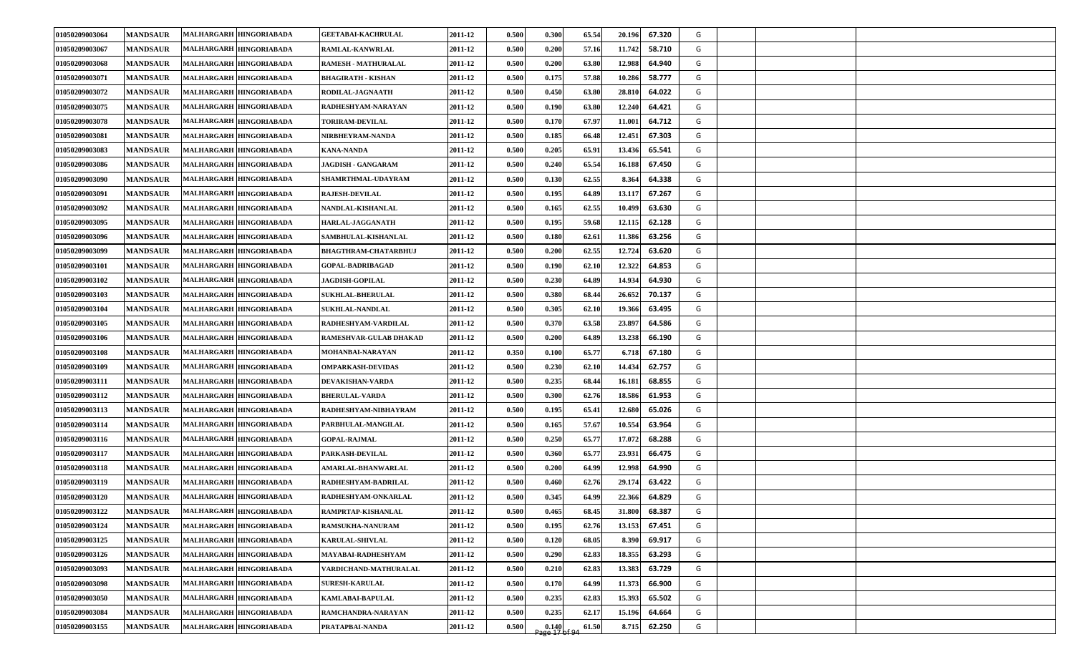| 01050209003064 | <b>MANDSAUR</b> | MALHARGARH HINGORIABADA | <b>GEETABAI-KACHRULAL</b>  | 2011-12 | 0.500 | 0.300                   | 65.54 | 20.196 | 67.320 | G |  |
|----------------|-----------------|-------------------------|----------------------------|---------|-------|-------------------------|-------|--------|--------|---|--|
| 01050209003067 | <b>MANDSAUR</b> | MALHARGARH HINGORIABADA | <b>RAMLAL-KANWRLAL</b>     | 2011-12 | 0.500 | 0.200                   | 57.16 | 11.742 | 58.710 | G |  |
| 01050209003068 | <b>MANDSAUR</b> | MALHARGARH HINGORIABADA | <b>RAMESH - MATHURALAL</b> | 2011-12 | 0.500 | 0.200                   | 63.80 | 12.988 | 64.940 | G |  |
| 01050209003071 | <b>MANDSAUR</b> | MALHARGARH HINGORIABADA | BHAGIRATH - KISHAN         | 2011-12 | 0.500 | 0.175                   | 57.88 | 10.286 | 58.777 | G |  |
| 01050209003072 | <b>MANDSAUR</b> | MALHARGARH HINGORIABADA | RODILAL-JAGNAATH           | 2011-12 | 0.500 | 0.450                   | 63.80 | 28.810 | 64.022 | G |  |
| 01050209003075 | <b>MANDSAUR</b> | MALHARGARH HINGORIABADA | RADHESHYAM-NARAYAN         | 2011-12 | 0.500 | 0.190                   | 63.80 | 12.240 | 64.421 | G |  |
| 01050209003078 | <b>MANDSAUR</b> | MALHARGARH HINGORIABADA | <b>TORIRAM-DEVILAL</b>     | 2011-12 | 0.500 | 0.170                   | 67.97 | 11.001 | 64.712 | G |  |
| 01050209003081 | <b>MANDSAUR</b> | MALHARGARH HINGORIABADA | NIRBHEYRAM-NANDA           | 2011-12 | 0.500 | 0.185                   | 66.48 | 12.451 | 67.303 | G |  |
| 01050209003083 | <b>MANDSAUR</b> | MALHARGARH HINGORIABADA | <b>KANA-NANDA</b>          | 2011-12 | 0.500 | 0.205                   | 65.91 | 13.436 | 65.541 | G |  |
| 01050209003086 | <b>MANDSAUR</b> | MALHARGARH HINGORIABADA | JAGDISH - GANGARAM         | 2011-12 | 0.500 | 0.240                   | 65.54 | 16.188 | 67.450 | G |  |
| 01050209003090 | <b>MANDSAUR</b> | MALHARGARH HINGORIABADA | <b>SHAMRTHMAL-UDAYRAM</b>  | 2011-12 | 0.500 | 0.130                   | 62.55 | 8.364  | 64.338 | G |  |
| 01050209003091 | <b>MANDSAUR</b> | MALHARGARH HINGORIABADA | <b>RAJESH-DEVILAL</b>      | 2011-12 | 0.500 | 0.195                   | 64.89 | 13.117 | 67.267 | G |  |
| 01050209003092 | <b>MANDSAUR</b> | MALHARGARH HINGORIABADA | NANDLAL-KISHANLAL          | 2011-12 | 0.500 | 0.165                   | 62.55 | 10.499 | 63.630 | G |  |
| 01050209003095 | <b>MANDSAUR</b> | MALHARGARH HINGORIABADA | <b>HARLAL-JAGGANATH</b>    | 2011-12 | 0.500 | 0.195                   | 59.68 | 12.115 | 62.128 | G |  |
| 01050209003096 | <b>MANDSAUR</b> | MALHARGARH HINGORIABADA | SAMBHULAL-KISHANLAL        | 2011-12 | 0.500 | 0.180                   | 62.61 | 11.386 | 63.256 | G |  |
| 01050209003099 | <b>MANDSAUR</b> | MALHARGARH HINGORIABADA | BHAGTHRAM-CHATARBHUJ       | 2011-12 | 0.500 | 0.200                   | 62.55 | 12.724 | 63.620 | G |  |
| 01050209003101 | <b>MANDSAUR</b> | MALHARGARH HINGORIABADA | <b>GOPAL-BADRIBAGAD</b>    | 2011-12 | 0.500 | 0.190                   | 62.10 | 12.322 | 64.853 | G |  |
| 01050209003102 | <b>MANDSAUR</b> | MALHARGARH HINGORIABADA | <b>JAGDISH-GOPILAL</b>     | 2011-12 | 0.500 | 0.230                   | 64.89 | 14.934 | 64.930 | G |  |
| 01050209003103 | <b>MANDSAUR</b> | MALHARGARH HINGORIABADA | <b>SUKHLAL-BHERULAL</b>    | 2011-12 | 0.500 | 0.380                   | 68.44 | 26.652 | 70.137 | G |  |
| 01050209003104 | <b>MANDSAUR</b> | MALHARGARH HINGORIABADA | <b>SUKHLAL-NANDLAL</b>     | 2011-12 | 0.500 | 0.305                   | 62.10 | 19.366 | 63.495 | G |  |
| 01050209003105 | <b>MANDSAUR</b> | MALHARGARH HINGORIABADA | RADHESHYAM-VARDILAL        | 2011-12 | 0.500 | 0.370                   | 63.58 | 23.897 | 64.586 | G |  |
| 01050209003106 | <b>MANDSAUR</b> | MALHARGARH HINGORIABADA | RAMESHVAR-GULAB DHAKAD     | 2011-12 | 0.500 | 0.200                   | 64.89 | 13.238 | 66.190 | G |  |
| 01050209003108 | <b>MANDSAUR</b> | MALHARGARH HINGORIABADA | MOHANBAI-NARAYAN           | 2011-12 | 0.350 | 0.100                   | 65.77 | 6.718  | 67.180 | G |  |
| 01050209003109 | <b>MANDSAUR</b> | MALHARGARH HINGORIABADA | <b>OMPARKASH-DEVIDAS</b>   | 2011-12 | 0.500 | 0.230                   | 62.10 | 14.434 | 62.757 | G |  |
| 01050209003111 | <b>MANDSAUR</b> | MALHARGARH HINGORIABADA | <b>DEVAKISHAN-VARDA</b>    | 2011-12 | 0.500 | 0.235                   | 68.44 | 16.181 | 68.855 | G |  |
| 01050209003112 | <b>MANDSAUR</b> | MALHARGARH HINGORIABADA | <b>BHERULAL-VARDA</b>      | 2011-12 | 0.500 | 0.300                   | 62.76 | 18.586 | 61.953 | G |  |
| 01050209003113 | <b>MANDSAUR</b> | MALHARGARH HINGORIABADA | RADHESHYAM-NIBHAYRAM       | 2011-12 | 0.500 | 0.195                   | 65.41 | 12.680 | 65.026 | G |  |
| 01050209003114 | <b>MANDSAUR</b> | MALHARGARH HINGORIABADA | PARBHULAL-MANGILAL         | 2011-12 | 0.500 | 0.165                   | 57.67 | 10.554 | 63.964 | G |  |
| 01050209003116 | <b>MANDSAUR</b> | MALHARGARH HINGORIABADA | <b>GOPAL-RAJMAL</b>        | 2011-12 | 0.500 | 0.250                   | 65.77 | 17.072 | 68.288 | G |  |
| 01050209003117 | <b>MANDSAUR</b> | MALHARGARH HINGORIABADA | PARKASH-DEVILAL            | 2011-12 | 0.500 | 0.360                   | 65.77 | 23.931 | 66.475 | G |  |
| 01050209003118 | <b>MANDSAUR</b> | MALHARGARH HINGORIABADA | <b>AMARLAL-BHANWARLAL</b>  | 2011-12 | 0.500 | 0.200                   | 64.99 | 12.998 | 64.990 | G |  |
| 01050209003119 | <b>MANDSAUR</b> | MALHARGARH HINGORIABADA | RADHESHYAM-BADRILAL        | 2011-12 | 0.500 | 0.460                   | 62.76 | 29.174 | 63.422 | G |  |
| 01050209003120 | <b>MANDSAUR</b> | MALHARGARH HINGORIABADA | RADHESHYAM-ONKARLAL        | 2011-12 | 0.500 | 0.345                   | 64.99 | 22.366 | 64.829 | G |  |
| 01050209003122 | <b>MANDSAUR</b> | MALHARGARH HINGORIABADA | RAMPRTAP-KISHANLAL         | 2011-12 | 0.500 | 0.465                   | 68.45 | 31.800 | 68.387 | G |  |
| 01050209003124 | <b>MANDSAUR</b> | MALHARGARH HINGORIABADA | <b>RAMSUKHA-NANURAM</b>    | 2011-12 | 0.500 | 0.195                   | 62.76 | 13.153 | 67.451 | G |  |
| 01050209003125 | <b>MANDSAUR</b> | MALHARGARH HINGORIABADA | <b>KARULAL-SHIVLAL</b>     | 2011-12 | 0.500 | 0.120                   | 68.05 | 8.390  | 69.917 | G |  |
| 01050209003126 | <b>MANDSAUR</b> | MALHARGARH HINGORIABADA | MAYABAI-RADHESHYAM         | 2011-12 | 0.500 | 0.290                   | 62.83 | 18.355 | 63.293 | G |  |
| 01050209003093 | <b>MANDSAUR</b> | MALHARGARH HINGORIABADA | VARDICHAND-MATHURALAL      | 2011-12 | 0.500 | 0.210                   | 62.83 | 13.383 | 63.729 | G |  |
| 01050209003098 | <b>MANDSAUR</b> | MALHARGARH HINGORIABADA | <b>SURESH-KARULAL</b>      | 2011-12 | 0.500 | 0.170                   | 64.99 | 11.373 | 66.900 | G |  |
| 01050209003050 | <b>MANDSAUR</b> | MALHARGARH HINGORIABADA | KAMLABAI-BAPULAL           | 2011-12 | 0.500 | 0.235                   | 62.83 | 15.393 | 65.502 | G |  |
| 01050209003084 | <b>MANDSAUR</b> | MALHARGARH HINGORIABADA | RAMCHANDRA-NARAYAN         | 2011-12 | 0.500 | 0.235                   | 62.17 | 15.196 | 64.664 | G |  |
| 01050209003155 | <b>MANDSAUR</b> | MALHARGARH HINGORIABADA | PRATAPBAI-NANDA            | 2011-12 | 0.500 | $\frac{0.140}{2}$ of 94 | 61.50 | 8.715  | 62.250 | G |  |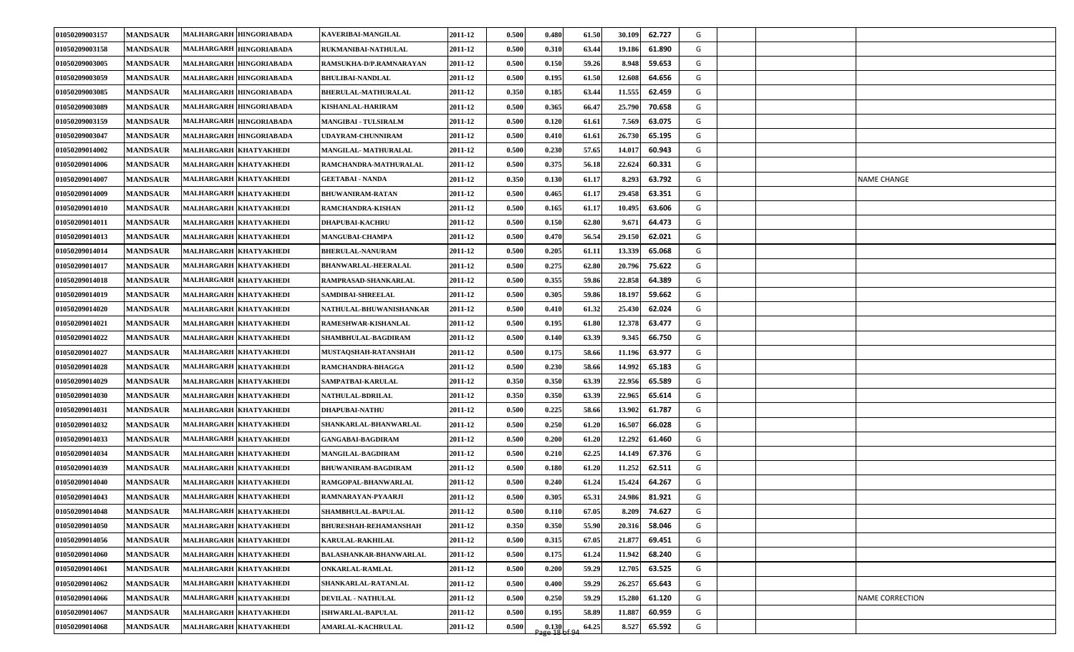| 01050209003157        | <b>MANDSAUR</b> | MALHARGARH HINGORIABADA | KAVERIBAI-MANGILAL           | 2011-12 | 0.500 | 0.480                   | 61.50 | 30.109 | 62.727 | G |  |                    |
|-----------------------|-----------------|-------------------------|------------------------------|---------|-------|-------------------------|-------|--------|--------|---|--|--------------------|
| 01050209003158        | <b>MANDSAUR</b> | MALHARGARH HINGORIABADA | RUKMANIBAI-NATHULAL          | 2011-12 | 0.500 | 0.310                   | 63.44 | 19.186 | 61.890 | G |  |                    |
| 01050209003005        | <b>MANDSAUR</b> | MALHARGARH HINGORIABADA | RAMSUKHA-D/P.RAMNARAYAN      | 2011-12 | 0.500 | 0.150                   | 59.26 | 8.948  | 59.653 | G |  |                    |
| 01050209003059        | <b>MANDSAUR</b> | MALHARGARH HINGORIABADA | <b>BHULIBAI-NANDLAL</b>      | 2011-12 | 0.500 | 0.195                   | 61.50 | 12.608 | 64.656 | G |  |                    |
| 01050209003085        | <b>MANDSAUR</b> | MALHARGARH HINGORIABADA | <b>BHERULAL-MATHURALAL</b>   | 2011-12 | 0.350 | 0.185                   | 63.44 | 11.555 | 62.459 | G |  |                    |
| 01050209003089        | <b>MANDSAUR</b> | MALHARGARH HINGORIABADA | KISHANLAL-HARIRAM            | 2011-12 | 0.500 | 0.365                   | 66.47 | 25.790 | 70.658 | G |  |                    |
| 01050209003159        | <b>MANDSAUR</b> | MALHARGARH HINGORIABADA | <b>MANGIBAI - TULSIRALM</b>  | 2011-12 | 0.500 | 0.120                   | 61.61 | 7.569  | 63.075 | G |  |                    |
| 01050209003047        | <b>MANDSAUR</b> | MALHARGARH HINGORIABADA | UDAYRAM-CHUNNIRAM            | 2011-12 | 0.500 | 0.410                   | 61.61 | 26.730 | 65.195 | G |  |                    |
| 01050209014002        | <b>MANDSAUR</b> | MALHARGARH KHATYAKHEDI  | MANGILAL-MATHURALAL          | 2011-12 | 0.500 | 0.230                   | 57.65 | 14.017 | 60.943 | G |  |                    |
| 01050209014006        | <b>MANDSAUR</b> | MALHARGARH KHATYAKHEDI  | RAMCHANDRA-MATHURALAL        | 2011-12 | 0.500 | 0.375                   | 56.18 | 22.624 | 60.331 | G |  |                    |
| 01050209014007        | <b>MANDSAUR</b> | MALHARGARH KHATYAKHEDI  | <b>GEETABAI - NANDA</b>      | 2011-12 | 0.350 | 0.130                   | 61.17 | 8.293  | 63.792 | G |  | <b>NAME CHANGE</b> |
| <b>01050209014009</b> | <b>MANDSAUR</b> | MALHARGARH KHATYAKHEDI  | <b>BHUWANIRAM-RATAN</b>      | 2011-12 | 0.500 | 0.465                   | 61.17 | 29.458 | 63.351 | G |  |                    |
| 01050209014010        | <b>MANDSAUR</b> | MALHARGARH KHATYAKHEDI  | RAMCHANDRA-KISHAN            | 2011-12 | 0.500 | 0.165                   | 61.17 | 10.495 | 63.606 | G |  |                    |
| 01050209014011        | <b>MANDSAUR</b> | MALHARGARH KHATYAKHEDI  | <b>DHAPUBAI-KACHRU</b>       | 2011-12 | 0.500 | 0.150                   | 62.80 | 9.671  | 64.473 | G |  |                    |
| 01050209014013        | <b>MANDSAUR</b> | MALHARGARH KHATYAKHEDI  | <b>MANGUBAI-CHAMPA</b>       | 2011-12 | 0.500 | 0.470                   | 56.54 | 29.150 | 62.021 | G |  |                    |
| 01050209014014        | <b>MANDSAUR</b> | MALHARGARH KHATYAKHEDI  | <b>BHERULAL-NANURAM</b>      | 2011-12 | 0.500 | 0.205                   | 61.11 | 13.339 | 65.068 | G |  |                    |
| 01050209014017        | <b>MANDSAUR</b> | MALHARGARH KHATYAKHEDI  | <b>BHANWARLAL-HEERALAL</b>   | 2011-12 | 0.500 | 0.275                   | 62.80 | 20.796 | 75.622 | G |  |                    |
| 01050209014018        | <b>MANDSAUR</b> | MALHARGARH KHATYAKHEDI  | RAMPRASAD-SHANKARLAL         | 2011-12 | 0.500 | 0.355                   | 59.86 | 22.858 | 64.389 | G |  |                    |
| 01050209014019        | <b>MANDSAUR</b> | MALHARGARH KHATYAKHEDI  | SAMDIBAI-SHREELAL            | 2011-12 | 0.500 | 0.305                   | 59.86 | 18.197 | 59.662 | G |  |                    |
| 01050209014020        | <b>MANDSAUR</b> | MALHARGARH KHATYAKHEDI  | NATHULAL-BHUWANISHANKAR      | 2011-12 | 0.500 | 0.410                   | 61.32 | 25.430 | 62.024 | G |  |                    |
| 01050209014021        | <b>MANDSAUR</b> | MALHARGARH KHATYAKHEDI  | RAMESHWAR-KISHANLAL          | 2011-12 | 0.500 | 0.195                   | 61.80 | 12.378 | 63.477 | G |  |                    |
| 01050209014022        | <b>MANDSAUR</b> | MALHARGARH KHATYAKHEDI  | SHAMBHULAL-BAGDIRAM          | 2011-12 | 0.500 | 0.140                   | 63.39 | 9.345  | 66.750 | G |  |                    |
| 01050209014027        | <b>MANDSAUR</b> | MALHARGARH KHATYAKHEDI  | MUSTAQSHAH-RATANSHAH         | 2011-12 | 0.500 | 0.175                   | 58.66 | 11.196 | 63.977 | G |  |                    |
| 01050209014028        | <b>MANDSAUR</b> | MALHARGARH KHATYAKHEDI  | RAMCHANDRA-BHAGGA            | 2011-12 | 0.500 | 0.230                   | 58.66 | 14.992 | 65.183 | G |  |                    |
| 01050209014029        | <b>MANDSAUR</b> | MALHARGARH KHATYAKHEDI  | SAMPATBAI-KARULAL            | 2011-12 | 0.350 | 0.350                   | 63.39 | 22.956 | 65.589 | G |  |                    |
| 01050209014030        | <b>MANDSAUR</b> | MALHARGARH KHATYAKHEDI  | <b>NATHULAL-BDRILAL</b>      | 2011-12 | 0.350 | 0.350                   | 63.39 | 22.965 | 65.614 | G |  |                    |
| 01050209014031        | <b>MANDSAUR</b> | MALHARGARH KHATYAKHEDI  | <b>DHAPUBAI-NATHU</b>        | 2011-12 | 0.500 | 0.225                   | 58.66 | 13.902 | 61.787 | G |  |                    |
| 01050209014032        | <b>MANDSAUR</b> | MALHARGARH KHATYAKHEDI  | SHANKARLAL-BHANWARLAL        | 2011-12 | 0.500 | 0.250                   | 61.20 | 16.507 | 66.028 | G |  |                    |
| 01050209014033        | <b>MANDSAUR</b> | MALHARGARH KHATYAKHEDI  | <b>GANGABAI-BAGDIRAM</b>     | 2011-12 | 0.500 | 0.200                   | 61.20 | 12.292 | 61.460 | G |  |                    |
| 01050209014034        | <b>MANDSAUR</b> | MALHARGARH KHATYAKHEDI  | <b>MANGILAL-BAGDIRAM</b>     | 2011-12 | 0.500 | 0.210                   | 62.25 | 14.149 | 67.376 | G |  |                    |
| 01050209014039        | <b>MANDSAUR</b> | MALHARGARH KHATYAKHEDI  | BHUWANIRAM-BAGDIRAM          | 2011-12 | 0.500 | 0.180                   | 61.20 | 11.252 | 62.511 | G |  |                    |
| 01050209014040        | <b>MANDSAUR</b> | MALHARGARH KHATYAKHEDI  | RAMGOPAL-BHANWARLAL          | 2011-12 | 0.500 | 0.240                   | 61.24 | 15.424 | 64.267 | G |  |                    |
| 01050209014043        | <b>MANDSAUR</b> | MALHARGARH KHATYAKHEDI  | RAMNARAYAN-PYAARJI           | 2011-12 | 0.500 | 0.305                   | 65.31 | 24.986 | 81.921 | G |  |                    |
| 01050209014048        | <b>MANDSAUR</b> | MALHARGARH KHATYAKHEDI  | SHAMBHULAL-BAPULAL           | 2011-12 | 0.500 | 0.110                   | 67.05 | 8.209  | 74.627 | G |  |                    |
| 01050209014050        | <b>MANDSAUR</b> | MALHARGARH KHATYAKHEDI  | <b>BHURESHAH-REHAMANSHAH</b> | 2011-12 | 0.350 | 0.350                   | 55.90 | 20.316 | 58.046 | G |  |                    |
| 01050209014056        | <b>MANDSAUR</b> | MALHARGARH KHATYAKHEDI  | <b>KARULAL-RAKHILAL</b>      | 2011-12 | 0.500 | 0.315                   | 67.05 | 21.877 | 69.451 | G |  |                    |
| 01050209014060        | <b>MANDSAUR</b> | MALHARGARH KHATYAKHEDI  | BALASHANKAR-BHANWARLAL       | 2011-12 | 0.500 | 0.175                   | 61.24 | 11.942 | 68.240 | G |  |                    |
| 01050209014061        | <b>MANDSAUR</b> | MALHARGARH KHATYAKHEDI  | <b>ONKARLAL-RAMLAL</b>       | 2011-12 | 0.500 | 0.200                   | 59.29 | 12.705 | 63.525 | G |  |                    |
| 01050209014062        | <b>MANDSAUR</b> | MALHARGARH KHATYAKHEDI  | SHANKARLAL-RATANLAL          | 2011-12 | 0.500 | 0.400                   | 59.29 | 26.257 | 65.643 | G |  |                    |
| 01050209014066        | <b>MANDSAUR</b> | MALHARGARH KHATYAKHEDI  | DEVILAL - NATHULAL           | 2011-12 | 0.500 | 0.250                   | 59.29 | 15.280 | 61.120 | G |  | NAME CORRECTION    |
| 01050209014067        | <b>MANDSAUR</b> | MALHARGARH KHATYAKHEDI  | <b>ISHWARLAL-BAPULAL</b>     | 2011-12 | 0.500 | 0.195                   | 58.89 | 11.887 | 60.959 | G |  |                    |
| 01050209014068        | <b>MANDSAUR</b> | MALHARGARH KHATYAKHEDI  | <b>AMARLAL-KACHRULAL</b>     | 2011-12 | 0.500 | 0.130<br>- age 18 of 94 | 64.25 | 8.527  | 65.592 | G |  |                    |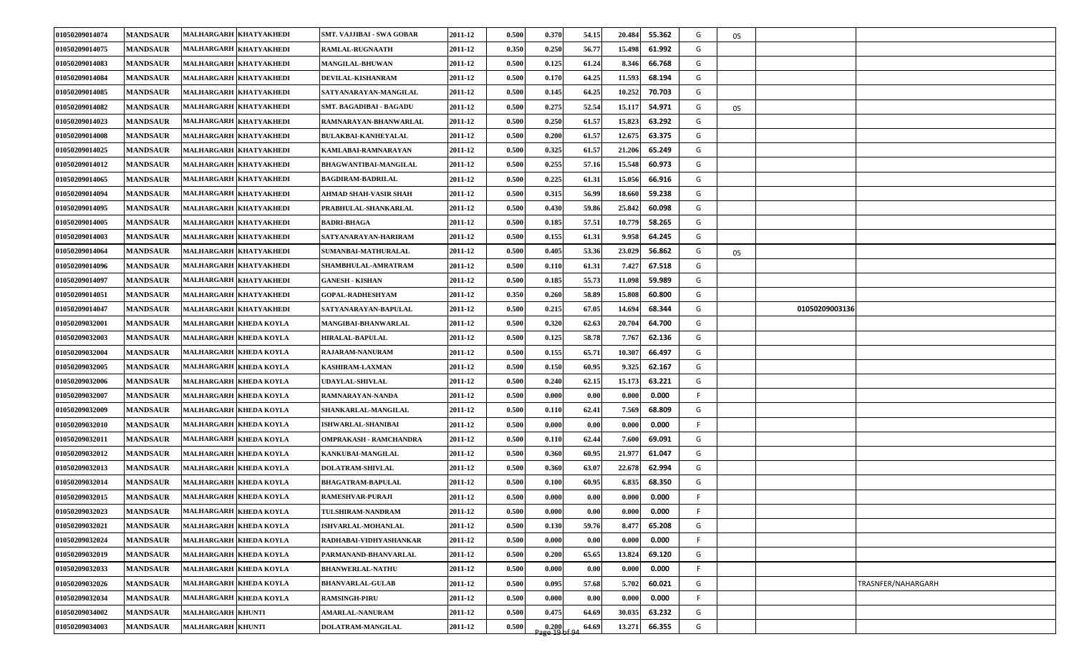| 01050209014074 | <b>MANDSAUR</b> | MALHARGARH KHATYAKHEDI   | <b>SMT. VAJJIBAI - SWA GOBAR</b> | 2011-12 | 0.500 | 0.370                    | 54.15 | 20.484<br>55.362 | G  | 05 |                |                    |
|----------------|-----------------|--------------------------|----------------------------------|---------|-------|--------------------------|-------|------------------|----|----|----------------|--------------------|
| 01050209014075 | <b>MANDSAUR</b> | MALHARGARH KHATYAKHEDI   | <b>RAMLAL-RUGNAATH</b>           | 2011-12 | 0.350 | 0.250                    | 56.77 | 61.992<br>15.498 | G  |    |                |                    |
| 01050209014083 | <b>MANDSAUR</b> | MALHARGARH KHATYAKHEDI   | <b>MANGILAL-BHUWAN</b>           | 2011-12 | 0.500 | 0.125                    | 61.24 | 8.346<br>66.768  | G  |    |                |                    |
| 01050209014084 | <b>MANDSAUR</b> | MALHARGARH KHATYAKHEDI   | DEVILAL-KISHANRAM                | 2011-12 | 0.500 | 0.170                    | 64.25 | 11.593<br>68.194 | G  |    |                |                    |
| 01050209014085 | <b>MANDSAUR</b> | MALHARGARH KHATYAKHEDI   | SATYANARAYAN-MANGILAL            | 2011-12 | 0.500 | 0.145                    | 64.25 | 10.252<br>70.703 | G  |    |                |                    |
| 01050209014082 | <b>MANDSAUR</b> | MALHARGARH KHATYAKHEDI   | SMT. BAGADIBAI - BAGADU          | 2011-12 | 0.500 | 0.275                    | 52.54 | 15.117<br>54.971 | G  | 05 |                |                    |
| 01050209014023 | <b>MANDSAUR</b> | MALHARGARH KHATYAKHEDI   | RAMNARAYAN-BHANWARLAL            | 2011-12 | 0.500 | 0.250                    | 61.57 | 15.823<br>63.292 | G  |    |                |                    |
| 01050209014008 | <b>MANDSAUR</b> | MALHARGARH KHATYAKHEDI   | <b>BULAKBAI-KANHEYALAL</b>       | 2011-12 | 0.500 | 0.200                    | 61.57 | 12.675<br>63.375 | G  |    |                |                    |
| 01050209014025 | <b>MANDSAUR</b> | MALHARGARH KHATYAKHEDI   | KAMLABAI-RAMNARAYAN              | 2011-12 | 0.500 | 0.325                    | 61.57 | 21.206<br>65.249 | G  |    |                |                    |
| 01050209014012 | <b>MANDSAUR</b> | MALHARGARH KHATYAKHEDI   | <b>BHAGWANTIBAI-MANGILAL</b>     | 2011-12 | 0.500 | 0.255                    | 57.16 | 15.548<br>60.973 | G  |    |                |                    |
| 01050209014065 | <b>MANDSAUR</b> | MALHARGARH KHATYAKHEDI   | <b>BAGDIRAM-BADRILAL</b>         | 2011-12 | 0.500 | 0.225                    | 61.31 | 15.056<br>66.916 | G  |    |                |                    |
| 01050209014094 | <b>MANDSAUR</b> | MALHARGARH KHATYAKHEDI   | AHMAD SHAH-VASIR SHAH            | 2011-12 | 0.500 | 0.315                    | 56.99 | 59.238<br>18.660 | G  |    |                |                    |
| 01050209014095 | <b>MANDSAUR</b> | MALHARGARH KHATYAKHEDI   | PRABHULAL-SHANKARLAL             | 2011-12 | 0.500 | 0.430                    | 59.86 | 25.842<br>60.098 | G  |    |                |                    |
| 01050209014005 | <b>MANDSAUR</b> | MALHARGARH KHATYAKHEDI   | <b>BADRI-BHAGA</b>               | 2011-12 | 0.500 | 0.185                    | 57.51 | 58.265<br>10.779 | G  |    |                |                    |
| 01050209014003 | <b>MANDSAUR</b> | MALHARGARH KHATYAKHEDI   | SATYANARAYAN-HARIRAM             | 2011-12 | 0.500 | 0.155                    | 61.31 | 64.245<br>9.958  | G  |    |                |                    |
| 01050209014064 | <b>MANDSAUR</b> | MALHARGARH KHATYAKHEDI   | SUMANBAI-MATHURALAL              | 2011-12 | 0.500 | 0.405                    | 53.36 | 56.862<br>23.029 | G  | 05 |                |                    |
| 01050209014096 | <b>MANDSAUR</b> | MALHARGARH KHATYAKHEDI   | SHAMBHULAL-AMRATRAM              | 2011-12 | 0.500 | 0.110                    | 61.31 | 67.518<br>7.427  | G  |    |                |                    |
| 01050209014097 | <b>MANDSAUR</b> | MALHARGARH KHATYAKHEDI   | <b>GANESH - KISHAN</b>           | 2011-12 | 0.500 | 0.185                    | 55.73 | 59.989<br>11.098 | G  |    |                |                    |
| 01050209014051 | <b>MANDSAUR</b> | MALHARGARH KHATYAKHEDI   | <b>GOPAL-RADHESHYAM</b>          | 2011-12 | 0.350 | 0.260                    | 58.89 | 60.800<br>15.808 | G  |    |                |                    |
| 01050209014047 | <b>MANDSAUR</b> | MALHARGARH KHATYAKHEDI   | SATYANARAYAN-BAPULAL             | 2011-12 | 0.500 | 0.215                    | 67.05 | 68.344<br>14.694 | G  |    | 01050209003136 |                    |
| 01050209032001 | <b>MANDSAUR</b> | MALHARGARH KHEDA KOYLA   | MANGIBAI-BHANWARLAL              | 2011-12 | 0.500 | 0.320                    | 62.63 | 20.704<br>64.700 | G  |    |                |                    |
| 01050209032003 | <b>MANDSAUR</b> | MALHARGARH KHEDA KOYLA   | <b>HIRALAL-BAPULAL</b>           | 2011-12 | 0.500 | 0.125                    | 58.78 | 7.767<br>62.136  | G  |    |                |                    |
| 01050209032004 | <b>MANDSAUR</b> | MALHARGARH KHEDA KOYLA   | RAJARAM-NANURAM                  | 2011-12 | 0.500 | 0.155                    | 65.71 | 66.497<br>10.307 | G  |    |                |                    |
| 01050209032005 | <b>MANDSAUR</b> | MALHARGARH KHEDA KOYLA   | <b>KASHIRAM-LAXMAN</b>           | 2011-12 | 0.500 | 0.150                    | 60.95 | 9.325<br>62.167  | G  |    |                |                    |
| 01050209032006 | <b>MANDSAUR</b> | MALHARGARH KHEDA KOYLA   | UDAYLAL-SHIVLAL                  | 2011-12 | 0.500 | 0.240                    | 62.15 | 63.221<br>15.173 | G  |    |                |                    |
| 01050209032007 | <b>MANDSAUR</b> | MALHARGARH KHEDA KOYLA   | RAMNARAYAN-NANDA                 | 2011-12 | 0.500 | 0.000                    | 0.00  | 0.000<br>0.000   | F. |    |                |                    |
| 01050209032009 | <b>MANDSAUR</b> | MALHARGARH KHEDA KOYLA   | SHANKARLAL-MANGILAL              | 2011-12 | 0.500 | 0.110                    | 62.41 | 68.809<br>7.569  | G  |    |                |                    |
| 01050209032010 | <b>MANDSAUR</b> | MALHARGARH KHEDA KOYLA   | <b>ISHWARLAL-SHANIBAI</b>        | 2011-12 | 0.500 | 0.000                    | 0.00  | 0.000<br>0.000   | F. |    |                |                    |
| 01050209032011 | <b>MANDSAUR</b> | MALHARGARH KHEDA KOYLA   | <b>OMPRAKASH - RAMCHANDRA</b>    | 2011-12 | 0.500 | 0.110                    | 62.44 | 7.600<br>69.091  | G  |    |                |                    |
| 01050209032012 | <b>MANDSAUR</b> | MALHARGARH KHEDA KOYLA   | KANKUBAI-MANGILAL                | 2011-12 | 0.500 | 0.360                    | 60.95 | 21.977<br>61.047 | G  |    |                |                    |
| 01050209032013 | <b>MANDSAUR</b> | MALHARGARH KHEDA KOYLA   | <b>DOLATRAM-SHIVLAL</b>          | 2011-12 | 0.500 | 0.360                    | 63.07 | 62.994<br>22.678 | G  |    |                |                    |
| 01050209032014 | <b>MANDSAUR</b> | MALHARGARH KHEDA KOYLA   | <b>BHAGATRAM-BAPULAL</b>         | 2011-12 | 0.500 | 0.100                    | 60.95 | 6.835<br>68.350  | G  |    |                |                    |
| 01050209032015 | <b>MANDSAUR</b> | MALHARGARH KHEDA KOYLA   | <b>RAMESHVAR-PURAJI</b>          | 2011-12 | 0.500 | 0.000                    | 0.00  | 0.000<br>0.000   | F. |    |                |                    |
| 01050209032023 | <b>MANDSAUR</b> | MALHARGARH KHEDA KOYLA   | <b>TULSHIRAM-NANDRAM</b>         | 2011-12 | 0.500 | 0.000                    | 0.00  | 0.000<br>0.000   | F  |    |                |                    |
| 01050209032021 | <b>MANDSAUR</b> | MALHARGARH KHEDA KOYLA   | ISHVARLAL-MOHANLAL               | 2011-12 | 0.500 | 0.130                    | 59.76 | 8.477<br>65.208  | G  |    |                |                    |
| 01050209032024 | <b>MANDSAUR</b> | MALHARGARH KHEDA KOYLA   | RADHABAI-VIDHYASHANKAR           | 2011-12 | 0.500 | 0.000                    | 0.00  | 0.000<br>0.000   | F  |    |                |                    |
| 01050209032019 | <b>MANDSAUR</b> | MALHARGARH KHEDA KOYLA   | PARMANAND-BHANVARLAL             | 2011-12 | 0.500 | 0.200                    | 65.65 | 13.824<br>69.120 | G  |    |                |                    |
| 01050209032033 | <b>MANDSAUR</b> | MALHARGARH KHEDA KOYLA   | <b>BHANWERLAL-NATHU</b>          | 2011-12 | 0.500 | 0.000                    | 0.00  | 0.000<br>0.000   | F  |    |                |                    |
| 01050209032026 | <b>MANDSAUR</b> | MALHARGARH KHEDA KOYLA   | <b>BHANVARLAL-GULAB</b>          | 2011-12 | 0.500 | 0.095                    | 57.68 | 5.702<br>60.021  | G  |    |                | TRASNFER/NAHARGARH |
| 01050209032034 | <b>MANDSAUR</b> | MALHARGARH KHEDA KOYLA   | <b>RAMSINGH-PIRU</b>             | 2011-12 | 0.500 | 0.000                    | 0.00  | 0.000<br>0.000   | F  |    |                |                    |
| 01050209034002 | <b>MANDSAUR</b> | <b>MALHARGARH KHUNTI</b> | <b>AMARLAL-NANURAM</b>           | 2011-12 | 0.500 | 0.475                    | 64.69 | 30.035<br>63.232 | G  |    |                |                    |
| 01050209034003 | <b>MANDSAUR</b> | <b>MALHARGARH KHUNTI</b> | DOLATRAM-MANGILAL                | 2011-12 | 0.500 | $0.200$<br>Page 19 of 94 | 64.69 | 66.355<br>13.271 | G  |    |                |                    |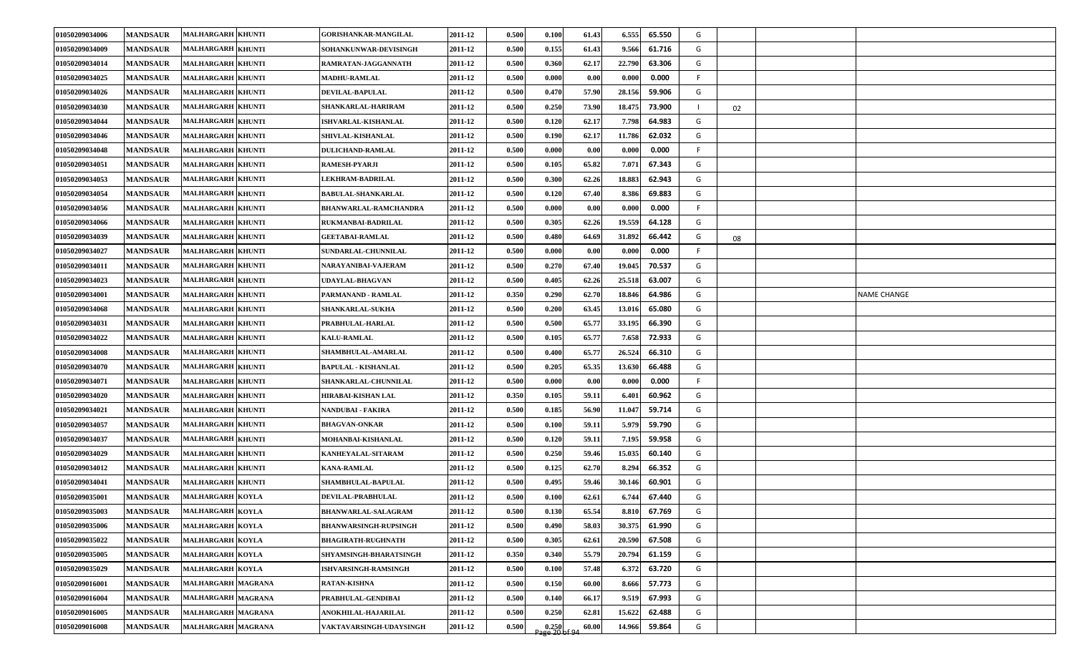| 01050209034006 | <b>MANDSAUR</b> | <b>MALHARGARH KHUNTI</b> | GORISHANKAR-MANGILAL         | 2011-12 | 0.500 | 0.100                    | 61.43 | 6.555  | 65.550 | G  |    |                    |
|----------------|-----------------|--------------------------|------------------------------|---------|-------|--------------------------|-------|--------|--------|----|----|--------------------|
| 01050209034009 | <b>MANDSAUR</b> | <b>MALHARGARH KHUNTI</b> | SOHANKUNWAR-DEVISINGH        | 2011-12 | 0.500 | 0.155                    | 61.43 | 9.566  | 61.716 | G  |    |                    |
| 01050209034014 | <b>MANDSAUR</b> | <b>MALHARGARH KHUNTI</b> | RAMRATAN-JAGGANNATH          | 2011-12 | 0.500 | 0.360                    | 62.17 | 22.790 | 63.306 | G  |    |                    |
| 01050209034025 | <b>MANDSAUR</b> | <b>MALHARGARH KHUNTI</b> | <b>MADHU-RAMLAL</b>          | 2011-12 | 0.500 | 0.000                    | 0.00  | 0.000  | 0.000  | F. |    |                    |
| 01050209034026 | <b>MANDSAUR</b> | <b>MALHARGARH KHUNTI</b> | DEVILAL-BAPULAL              | 2011-12 | 0.500 | 0.470                    | 57.90 | 28.156 | 59.906 | G  |    |                    |
| 01050209034030 | <b>MANDSAUR</b> | <b>MALHARGARH KHUNTI</b> | SHANKARLAL-HARIRAM           | 2011-12 | 0.500 | 0.250                    | 73.90 | 18.475 | 73.900 |    | 02 |                    |
| 01050209034044 | <b>MANDSAUR</b> | <b>MALHARGARH KHUNTI</b> | ISHVARLAL-KISHANLAL          | 2011-12 | 0.500 | 0.120                    | 62.17 | 7.798  | 64.983 | G  |    |                    |
| 01050209034046 | <b>MANDSAUR</b> | <b>MALHARGARH KHUNTI</b> | <b>SHIVLAL-KISHANLAL</b>     | 2011-12 | 0.500 | 0.190                    | 62.17 | 11.786 | 62.032 | G  |    |                    |
| 01050209034048 | <b>MANDSAUR</b> | <b>MALHARGARH KHUNTI</b> | <b>DULICHAND-RAMLAL</b>      | 2011-12 | 0.500 | 0.000                    | 0.00  | 0.000  | 0.000  | F. |    |                    |
| 01050209034051 | <b>MANDSAUR</b> | <b>MALHARGARH KHUNTI</b> | <b>RAMESH-PYARJI</b>         | 2011-12 | 0.500 | 0.105                    | 65.82 | 7.071  | 67.343 | G  |    |                    |
| 01050209034053 | <b>MANDSAUR</b> | <b>MALHARGARH KHUNTI</b> | <b>LEKHRAM-BADRILAL</b>      | 2011-12 | 0.500 | 0.300                    | 62.26 | 18.883 | 62.943 | G  |    |                    |
| 01050209034054 | <b>MANDSAUR</b> | <b>MALHARGARH KHUNTI</b> | <b>BABULAL-SHANKARLAL</b>    | 2011-12 | 0.500 | 0.120                    | 67.40 | 8.386  | 69.883 | G  |    |                    |
| 01050209034056 | <b>MANDSAUR</b> | <b>MALHARGARH KHUNTI</b> | <b>BHANWARLAL-RAMCHANDRA</b> | 2011-12 | 0.500 | 0.000                    | 0.00  | 0.000  | 0.000  | F  |    |                    |
| 01050209034066 | <b>MANDSAUR</b> | <b>MALHARGARH KHUNTI</b> | RUKMANBAI-BADRILAL           | 2011-12 | 0.500 | 0.305                    | 62.26 | 19.559 | 64.128 | G  |    |                    |
| 01050209034039 | <b>MANDSAUR</b> | <b>MALHARGARH KHUNTI</b> | <b>GEETABAI-RAMLAL</b>       | 2011-12 | 0.500 | 0.480                    | 64.69 | 31.892 | 66.442 | G  | 08 |                    |
| 01050209034027 | <b>MANDSAUR</b> | <b>MALHARGARH KHUNTI</b> | <b>SUNDARLAL-CHUNNILAL</b>   | 2011-12 | 0.500 | 0.000                    | 0.00  | 0.000  | 0.000  | F. |    |                    |
| 01050209034011 | <b>MANDSAUR</b> | <b>MALHARGARH KHUNTI</b> | NARAYANIBAI-VAJERAM          | 2011-12 | 0.500 | 0.270                    | 67.40 | 19.045 | 70.537 | G  |    |                    |
| 01050209034023 | <b>MANDSAUR</b> | <b>MALHARGARH KHUNTI</b> | <b>JDAYLAL-BHAGVAN</b>       | 2011-12 | 0.500 | 0.405                    | 62.26 | 25.518 | 63.007 | G  |    |                    |
| 01050209034001 | <b>MANDSAUR</b> | <b>MALHARGARH KHUNTI</b> | PARMANAND - RAMLAL           | 2011-12 | 0.350 | 0.290                    | 62.70 | 18.846 | 64.986 | G  |    | <b>NAME CHANGE</b> |
| 01050209034068 | <b>MANDSAUR</b> | <b>MALHARGARH KHUNTI</b> | SHANKARLAL-SUKHA             | 2011-12 | 0.500 | 0.200                    | 63.45 | 13.016 | 65.080 | G  |    |                    |
| 01050209034031 | <b>MANDSAUR</b> | <b>MALHARGARH KHUNTI</b> | PRABHULAL-HARLAL             | 2011-12 | 0.500 | 0.500                    | 65.77 | 33.195 | 66.390 | G  |    |                    |
| 01050209034022 | <b>MANDSAUR</b> | <b>MALHARGARH KHUNTI</b> | <b>KALU-RAMLAL</b>           | 2011-12 | 0.500 | 0.105                    | 65.77 | 7.658  | 72.933 | G  |    |                    |
| 01050209034008 | <b>MANDSAUR</b> | <b>MALHARGARH KHUNTI</b> | <b>SHAMBHULAL-AMARLAL</b>    | 2011-12 | 0.500 | 0.400                    | 65.77 | 26.524 | 66.310 | G  |    |                    |
| 01050209034070 | <b>MANDSAUR</b> | <b>MALHARGARH KHUNTI</b> | <b>BAPULAL - KISHANLAL</b>   | 2011-12 | 0.500 | 0.205                    | 65.35 | 13.630 | 66.488 | G  |    |                    |
| 01050209034071 | <b>MANDSAUR</b> | <b>MALHARGARH KHUNTI</b> | SHANKARLAL-CHUNNILAL         | 2011-12 | 0.500 | 0.000                    | 0.00  | 0.000  | 0.000  | F. |    |                    |
| 01050209034020 | <b>MANDSAUR</b> | <b>MALHARGARH KHUNTI</b> | HIRABAI-KISHAN LAL           | 2011-12 | 0.350 | 0.105                    | 59.11 | 6.401  | 60.962 | G  |    |                    |
| 01050209034021 | <b>MANDSAUR</b> | <b>MALHARGARH KHUNTI</b> | NANDUBAI - FAKIRA            | 2011-12 | 0.500 | 0.185                    | 56.90 | 11.047 | 59.714 | G  |    |                    |
| 01050209034057 | <b>MANDSAUR</b> | <b>MALHARGARH KHUNTI</b> | <b>BHAGVAN-ONKAR</b>         | 2011-12 | 0.500 | 0.100                    | 59.11 | 5.979  | 59.790 | G  |    |                    |
| 01050209034037 | <b>MANDSAUR</b> | <b>MALHARGARH KHUNTI</b> | MOHANBAI-KISHANLAL           | 2011-12 | 0.500 | 0.120                    | 59.11 | 7.195  | 59.958 | G  |    |                    |
| 01050209034029 | <b>MANDSAUR</b> | <b>MALHARGARH KHUNTI</b> | KANHEYALAL-SITARAM           | 2011-12 | 0.500 | 0.250                    | 59.46 | 15.035 | 60.140 | G  |    |                    |
| 01050209034012 | <b>MANDSAUR</b> | <b>MALHARGARH KHUNTI</b> | <b>KANA-RAMLAL</b>           | 2011-12 | 0.500 | 0.125                    | 62.70 | 8.294  | 66.352 | G  |    |                    |
| 01050209034041 | <b>MANDSAUR</b> | <b>MALHARGARH KHUNTI</b> | SHAMBHULAL-BAPULAL           | 2011-12 | 0.500 | 0.495                    | 59.46 | 30.146 | 60.901 | G  |    |                    |
| 01050209035001 | <b>MANDSAUR</b> | <b>MALHARGARH KOYLA</b>  | DEVILAL-PRABHULAL            | 2011-12 | 0.500 | 0.100                    | 62.61 | 6.744  | 67.440 | G  |    |                    |
| 01050209035003 | <b>MANDSAUR</b> | MALHARGARH KOYLA         | <b>BHANWARLAL-SALAGRAM</b>   | 2011-12 | 0.500 | 0.130                    | 65.54 | 8.810  | 67.769 | G  |    |                    |
| 01050209035006 | <b>MANDSAUR</b> | <b>MALHARGARH KOYLA</b>  | <b>BHANWARSINGH-RUPSINGH</b> | 2011-12 | 0.500 | 0.490                    | 58.03 | 30.375 | 61.990 | G  |    |                    |
| 01050209035022 | <b>MANDSAUR</b> | <b>MALHARGARH KOYLA</b>  | <b>BHAGIRATH-RUGHNATH</b>    | 2011-12 | 0.500 | 0.305                    | 62.61 | 20.590 | 67.508 | G  |    |                    |
| 01050209035005 | <b>MANDSAUR</b> | <b>MALHARGARH KOYLA</b>  | SHYAMSINGH-BHARATSINGH       | 2011-12 | 0.350 | 0.340                    | 55.79 | 20.794 | 61.159 | G  |    |                    |
| 01050209035029 | <b>MANDSAUR</b> | <b>MALHARGARH KOYLA</b>  | <b>ISHVARSINGH-RAMSINGH</b>  | 2011-12 | 0.500 | 0.100                    | 57.48 | 6.372  | 63.720 | G  |    |                    |
| 01050209016001 | <b>MANDSAUR</b> | MALHARGARH MAGRANA       | <b>RATAN-KISHNA</b>          | 2011-12 | 0.500 | 0.150                    | 60.00 | 8.666  | 57.773 | G  |    |                    |
| 01050209016004 | <b>MANDSAUR</b> | MALHARGARH MAGRANA       | PRABHULAL-GENDIBAI           | 2011-12 | 0.500 | 0.140                    | 66.17 | 9.519  | 67.993 | G  |    |                    |
| 01050209016005 | <b>MANDSAUR</b> | MALHARGARH MAGRANA       | ANOKHILAL-HAJARILAL          | 2011-12 | 0.500 | 0.250                    | 62.81 | 15.622 | 62.488 | G  |    |                    |
| 01050209016008 | <b>MANDSAUR</b> | MALHARGARH MAGRANA       | VAKTAVARSINGH-UDAYSINGH      | 2011-12 | 0.500 | $0.250$<br>$0.250$ of 94 | 60.00 | 14.966 | 59.864 | G  |    |                    |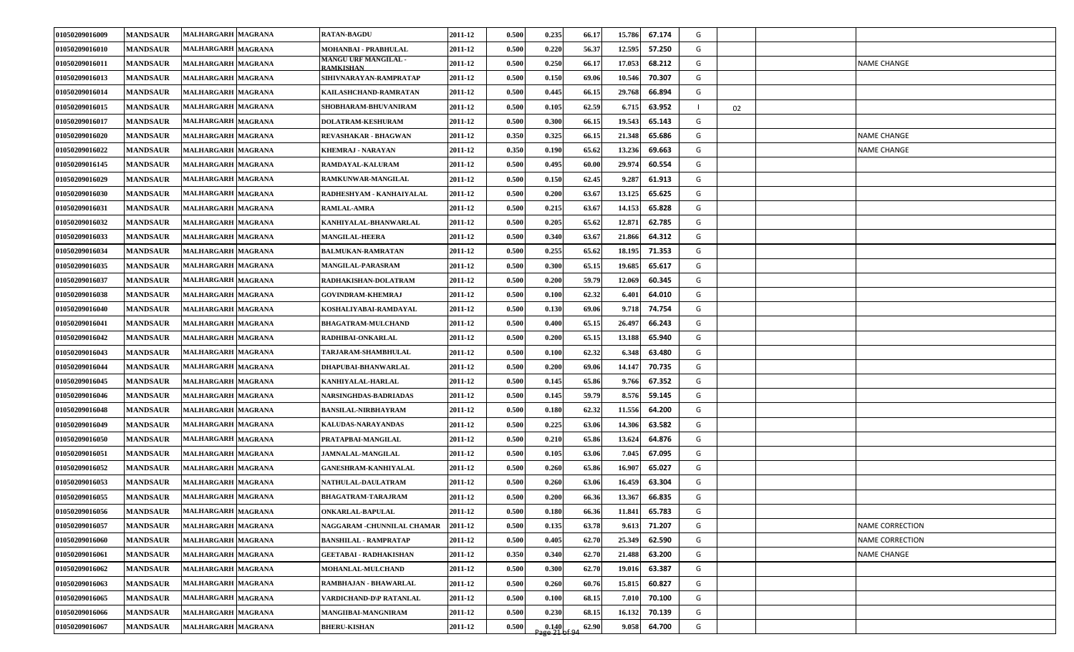| 01050209016009 | <b>MANDSAUR</b> | MALHARGARH MAGRANA        | <b>RATAN-BAGDU</b>                       | 2011-12 | 0.500 | 0.235                      | 66.17 | 15.786 | 67.174 | G |    |                        |
|----------------|-----------------|---------------------------|------------------------------------------|---------|-------|----------------------------|-------|--------|--------|---|----|------------------------|
| 01050209016010 | <b>MANDSAUR</b> | MALHARGARH MAGRANA        | MOHANBAI - PRABHULAL                     | 2011-12 | 0.500 | 0.220                      | 56.37 | 12.595 | 57.250 | G |    |                        |
| 01050209016011 | <b>MANDSAUR</b> | MALHARGARH MAGRANA        | <b>MANGU URF MANGILAL -</b><br>RAMKISHAN | 2011-12 | 0.500 | 0.250                      | 66.17 | 17.053 | 68.212 | G |    | <b>NAME CHANGE</b>     |
| 01050209016013 | <b>MANDSAUR</b> | MALHARGARH MAGRANA        | SIHIVNARAYAN-RAMPRATAP                   | 2011-12 | 0.500 | 0.150                      | 69.06 | 10.546 | 70.307 | G |    |                        |
| 01050209016014 | <b>MANDSAUR</b> | MALHARGARH MAGRANA        | KAILASHCHAND-RAMRATAN                    | 2011-12 | 0.500 | 0.445                      | 66.15 | 29.768 | 66.894 | G |    |                        |
| 01050209016015 | <b>MANDSAUR</b> | MALHARGARH MAGRANA        | SHOBHARAM-BHUVANIRAM                     | 2011-12 | 0.500 | 0.105                      | 62.59 | 6.715  | 63.952 |   | 02 |                        |
| 01050209016017 | <b>MANDSAUR</b> | MALHARGARH MAGRANA        | DOLATRAM-KESHURAM                        | 2011-12 | 0.500 | 0.300                      | 66.15 | 19.543 | 65.143 | G |    |                        |
| 01050209016020 | <b>MANDSAUR</b> | MALHARGARH MAGRANA        | REVASHAKAR - BHAGWAN                     | 2011-12 | 0.350 | 0.325                      | 66.15 | 21.348 | 65.686 | G |    | <b>NAME CHANGE</b>     |
| 01050209016022 | <b>MANDSAUR</b> | MALHARGARH MAGRANA        | KHEMRAJ - NARAYAN                        | 2011-12 | 0.350 | 0.190                      | 65.62 | 13.236 | 69.663 | G |    | <b>NAME CHANGE</b>     |
| 01050209016145 | <b>MANDSAUR</b> | <b>MALHARGARH MAGRANA</b> | RAMDAYAL-KALURAM                         | 2011-12 | 0.500 | 0.495                      | 60.00 | 29.974 | 60.554 | G |    |                        |
| 01050209016029 | <b>MANDSAUR</b> | <b>MALHARGARH MAGRANA</b> | RAMKUNWAR-MANGILAL                       | 2011-12 | 0.500 | 0.150                      | 62.45 | 9.287  | 61.913 | G |    |                        |
| 01050209016030 | <b>MANDSAUR</b> | MALHARGARH MAGRANA        | RADHESHYAM - KANHAIYALAL                 | 2011-12 | 0.500 | 0.200                      | 63.67 | 13.125 | 65.625 | G |    |                        |
| 01050209016031 | <b>MANDSAUR</b> | <b>MALHARGARH MAGRANA</b> | <b>RAMLAL-AMRA</b>                       | 2011-12 | 0.500 | 0.215                      | 63.67 | 14.153 | 65.828 | G |    |                        |
| 01050209016032 | <b>MANDSAUR</b> | MALHARGARH MAGRANA        | KANHIYALAL-BHANWARLAL                    | 2011-12 | 0.500 | 0.205                      | 65.62 | 12.871 | 62.785 | G |    |                        |
| 01050209016033 | <b>MANDSAUR</b> | MALHARGARH MAGRANA        | <b>MANGILAL-HEERA</b>                    | 2011-12 | 0.500 | 0.340                      | 63.67 | 21.866 | 64.312 | G |    |                        |
| 01050209016034 | <b>MANDSAUR</b> | <b>MALHARGARH MAGRANA</b> | <b>BALMUKAN-RAMRATAN</b>                 | 2011-12 | 0.500 | 0.255                      | 65.62 | 18.195 | 71.353 | G |    |                        |
| 01050209016035 | <b>MANDSAUR</b> | MALHARGARH MAGRANA        | MANGILAL-PARASRAM                        | 2011-12 | 0.500 | 0.300                      | 65.15 | 19.685 | 65.617 | G |    |                        |
| 01050209016037 | <b>MANDSAUR</b> | MALHARGARH MAGRANA        | RADHAKISHAN-DOLATRAM                     | 2011-12 | 0.500 | 0.200                      | 59.79 | 12.069 | 60.345 | G |    |                        |
| 01050209016038 | <b>MANDSAUR</b> | MALHARGARH MAGRANA        | <b>GOVINDRAM-KHEMRAJ</b>                 | 2011-12 | 0.500 | 0.100                      | 62.32 | 6.401  | 64.010 | G |    |                        |
| 01050209016040 | <b>MANDSAUR</b> | <b>MALHARGARH MAGRANA</b> | KOSHALIYABAI-RAMDAYAL                    | 2011-12 | 0.500 | 0.130                      | 69.06 | 9.718  | 74.754 | G |    |                        |
| 01050209016041 | <b>MANDSAUR</b> | MALHARGARH MAGRANA        | <b>BHAGATRAM-MULCHAND</b>                | 2011-12 | 0.500 | 0.400                      | 65.15 | 26.497 | 66.243 | G |    |                        |
| 01050209016042 | <b>MANDSAUR</b> | MALHARGARH MAGRANA        | RADHIBAI-ONKARLAL                        | 2011-12 | 0.500 | 0.200                      | 65.15 | 13.188 | 65.940 | G |    |                        |
| 01050209016043 | <b>MANDSAUR</b> | MALHARGARH MAGRANA        | <b><i>TARJARAM-SHAMBHULAL</i></b>        | 2011-12 | 0.500 | 0.100                      | 62.32 | 6.348  | 63.480 | G |    |                        |
| 01050209016044 | <b>MANDSAUR</b> | MALHARGARH MAGRANA        | DHAPUBAI-BHANWARLAL                      | 2011-12 | 0.500 | 0.200                      | 69.06 | 14.147 | 70.735 | G |    |                        |
| 01050209016045 | <b>MANDSAUR</b> | MALHARGARH MAGRANA        | KANHIYALAL-HARLAL                        | 2011-12 | 0.500 | 0.145                      | 65.86 | 9.766  | 67.352 | G |    |                        |
| 01050209016046 | <b>MANDSAUR</b> | MALHARGARH MAGRANA        | NARSINGHDAS-BADRIADAS                    | 2011-12 | 0.500 | 0.145                      | 59.79 | 8.576  | 59.145 | G |    |                        |
| 01050209016048 | <b>MANDSAUR</b> | MALHARGARH MAGRANA        | BANSILAL-NIRBHAYRAM                      | 2011-12 | 0.500 | 0.180                      | 62.32 | 11.556 | 64.200 | G |    |                        |
| 01050209016049 | <b>MANDSAUR</b> | MALHARGARH MAGRANA        | KALUDAS-NARAYANDAS                       | 2011-12 | 0.500 | 0.225                      | 63.06 | 14.306 | 63.582 | G |    |                        |
| 01050209016050 | <b>MANDSAUR</b> | MALHARGARH MAGRANA        | PRATAPBAI-MANGILAL                       | 2011-12 | 0.500 | 0.210                      | 65.86 | 13.624 | 64.876 | G |    |                        |
| 01050209016051 | <b>MANDSAUR</b> | MALHARGARH MAGRANA        | <b>JAMNALAL-MANGILAL</b>                 | 2011-12 | 0.500 | 0.105                      | 63.06 | 7.045  | 67.095 | G |    |                        |
| 01050209016052 | <b>MANDSAUR</b> | MALHARGARH MAGRANA        | <b>GANESHRAM-KANHIYALAL</b>              | 2011-12 | 0.500 | 0.260                      | 65.86 | 16.907 | 65.027 | G |    |                        |
| 01050209016053 | <b>MANDSAUR</b> | MALHARGARH MAGRANA        | <b>NATHULAL-DAULATRAM</b>                | 2011-12 | 0.500 | 0.260                      | 63.06 | 16.459 | 63.304 | G |    |                        |
| 01050209016055 | <b>MANDSAUR</b> | MALHARGARH MAGRANA        | <b>BHAGATRAM-TARAJRAM</b>                | 2011-12 | 0.500 | 0.200                      | 66.36 | 13.367 | 66.835 | G |    |                        |
| 01050209016056 | <b>MANDSAUR</b> | MALHARGARH MAGRANA        | <b>ONKARLAL-BAPULAL</b>                  | 2011-12 | 0.500 | 0.180                      | 66.36 | 11.841 | 65.783 | G |    |                        |
| 01050209016057 | <b>MANDSAUR</b> | <b>MALHARGARH MAGRANA</b> | NAGGARAM -CHUNNILAL CHAMAR               | 2011-12 | 0.500 | 0.135                      | 63.78 | 9.613  | 71.207 | G |    | <b>NAME CORRECTION</b> |
| 01050209016060 | <b>MANDSAUR</b> | <b>MALHARGARH MAGRANA</b> | <b>BANSHILAL - RAMPRATAP</b>             | 2011-12 | 0.500 | 0.405                      | 62.70 | 25.349 | 62.590 | G |    | <b>NAME CORRECTION</b> |
| 01050209016061 | <b>MANDSAUR</b> | MALHARGARH MAGRANA        | <b>GEETABAI - RADHAKISHAN</b>            | 2011-12 | 0.350 | 0.340                      | 62.70 | 21.488 | 63.200 | G |    | <b>NAME CHANGE</b>     |
| 01050209016062 | <b>MANDSAUR</b> | <b>MALHARGARH MAGRANA</b> | MOHANLAL-MULCHAND                        | 2011-12 | 0.500 | 0.300                      | 62.70 | 19.016 | 63.387 | G |    |                        |
| 01050209016063 | <b>MANDSAUR</b> | MALHARGARH MAGRANA        | RAMBHAJAN - BHAWARLAL                    | 2011-12 | 0.500 | 0.260                      | 60.76 | 15.815 | 60.827 | G |    |                        |
| 01050209016065 | <b>MANDSAUR</b> | <b>MALHARGARH MAGRANA</b> | VARDICHAND-D\P RATANLAL                  | 2011-12 | 0.500 | 0.100                      | 68.15 | 7.010  | 70.100 | G |    |                        |
| 01050209016066 | <b>MANDSAUR</b> | MALHARGARH MAGRANA        | MANGIIBAI-MANGNIRAM                      | 2011-12 | 0.500 | 0.230                      | 68.15 | 16.132 | 70.139 | G |    |                        |
| 01050209016067 | <b>MANDSAUR</b> | MALHARGARH MAGRANA        | <b>BHERU-KISHAN</b>                      | 2011-12 | 0.500 | $\frac{0.140}{2200}$ of 94 | 62.90 | 9.058  | 64.700 | G |    |                        |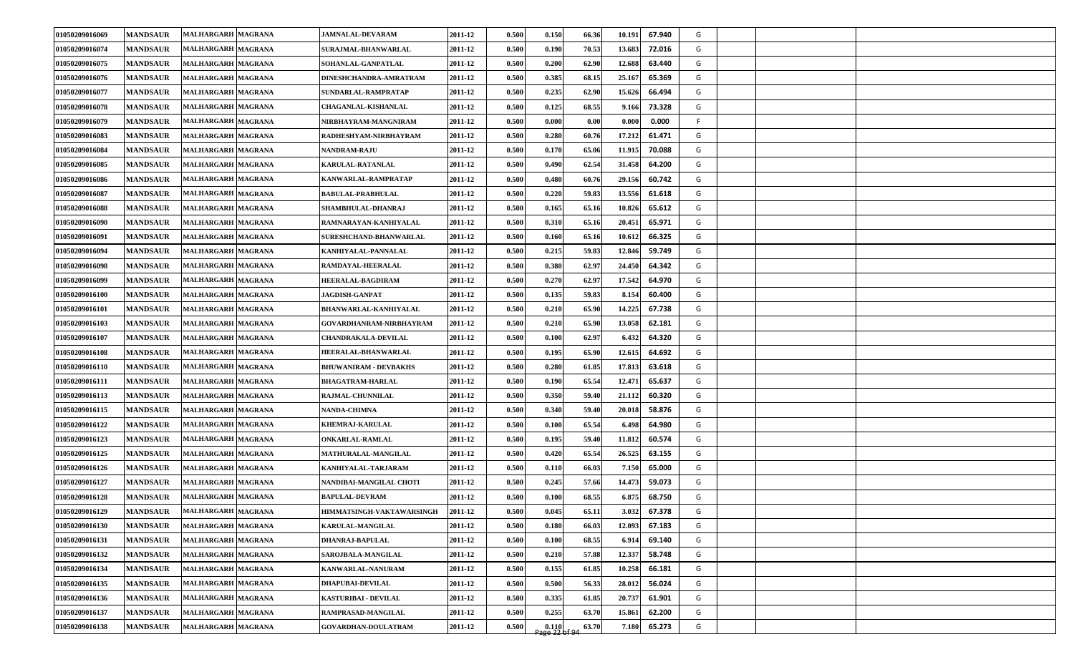| 01050209016069 | <b>MANDSAUR</b> | <b>MALHARGARH MAGRANA</b> | <b>JAMNALAL-DEVARAM</b>      | 2011-12 | 0.500 | 0.150 | 66.36 | 67.940<br>10.191 | G  |  |
|----------------|-----------------|---------------------------|------------------------------|---------|-------|-------|-------|------------------|----|--|
| 01050209016074 | <b>MANDSAUR</b> | <b>MALHARGARH MAGRANA</b> | <b>SURAJMAL-BHANWARLAL</b>   | 2011-12 | 0.500 | 0.190 | 70.53 | 13.683<br>72.016 | G  |  |
| 01050209016075 | <b>MANDSAUR</b> | <b>MALHARGARH MAGRANA</b> | <b>SOHANLAL-GANPATLAL</b>    | 2011-12 | 0.500 | 0.200 | 62.90 | 12.688<br>63.440 | G  |  |
| 01050209016076 | <b>MANDSAUR</b> | <b>MALHARGARH MAGRANA</b> | DINESHCHANDRA-AMRATRAM       | 2011-12 | 0.500 | 0.385 | 68.15 | 25.167<br>65.369 | G  |  |
| 01050209016077 | <b>MANDSAUR</b> | MALHARGARH MAGRANA        | SUNDARLAL-RAMPRATAP          | 2011-12 | 0.500 | 0.235 | 62.90 | 15.626<br>66.494 | G  |  |
| 01050209016078 | <b>MANDSAUR</b> | <b>MALHARGARH MAGRANA</b> | <b>CHAGANLAL-KISHANLAL</b>   | 2011-12 | 0.500 | 0.125 | 68.55 | 9.166<br>73.328  | G  |  |
| 01050209016079 | <b>MANDSAUR</b> | <b>MALHARGARH MAGRANA</b> | NIRBHAYRAM-MANGNIRAM         | 2011-12 | 0.500 | 0.000 | 0.00  | 0.000<br>0.000   | F. |  |
| 01050209016083 | <b>MANDSAUR</b> | <b>MALHARGARH MAGRANA</b> | RADHESHYAM-NIRBHAYRAM        | 2011-12 | 0.500 | 0.280 | 60.76 | 17.212<br>61.471 | G  |  |
| 01050209016084 | <b>MANDSAUR</b> | <b>MALHARGARH MAGRANA</b> | <b>NANDRAM-RAJU</b>          | 2011-12 | 0.500 | 0.170 | 65.06 | 70.088<br>11.915 | G  |  |
| 01050209016085 | <b>MANDSAUR</b> | <b>MALHARGARH MAGRANA</b> | <b>KARULAL-RATANLAL</b>      | 2011-12 | 0.500 | 0.490 | 62.54 | 31.458<br>64.200 | G  |  |
| 01050209016086 | <b>MANDSAUR</b> | MALHARGARH MAGRANA        | KANWARLAL-RAMPRATAP          | 2011-12 | 0.500 | 0.480 | 60.76 | 60.742<br>29.156 | G  |  |
| 01050209016087 | <b>MANDSAUR</b> | <b>MALHARGARH MAGRANA</b> | BABULAL-PRABHULAL            | 2011-12 | 0.500 | 0.220 | 59.83 | 13.556<br>61.618 | G  |  |
| 01050209016088 | <b>MANDSAUR</b> | <b>MALHARGARH MAGRANA</b> | SHAMBHULAL-DHANRAJ           | 2011-12 | 0.500 | 0.165 | 65.16 | 10.826<br>65.612 | G  |  |
| 01050209016090 | <b>MANDSAUR</b> | MALHARGARH MAGRANA        | RAMNARAYAN-KANHIYALAL        | 2011-12 | 0.500 | 0.310 | 65.16 | 20.451<br>65.971 | G  |  |
| 01050209016091 | <b>MANDSAUR</b> | MALHARGARH MAGRANA        | SURESHCHAND-BHANWARLAL       | 2011-12 | 0.500 | 0.160 | 65.16 | 10.612<br>66.325 | G  |  |
| 01050209016094 | <b>MANDSAUR</b> | MALHARGARH MAGRANA        | KANHIYALAL-PANNALAL          | 2011-12 | 0.500 | 0.215 | 59.83 | 12.846<br>59.749 | G  |  |
| 01050209016098 | <b>MANDSAUR</b> | <b>MALHARGARH MAGRANA</b> | RAMDAYAL-HEERALAL            | 2011-12 | 0.500 | 0.380 | 62.97 | 64.342<br>24.450 | G  |  |
| 01050209016099 | <b>MANDSAUR</b> | MALHARGARH MAGRANA        | <b>HEERALAL-BAGDIRAM</b>     | 2011-12 | 0.500 | 0.270 | 62.97 | 64.970<br>17.542 | G  |  |
| 01050209016100 | <b>MANDSAUR</b> | <b>MALHARGARH MAGRANA</b> | <b>JAGDISH-GANPAT</b>        | 2011-12 | 0.500 | 0.135 | 59.83 | 8.154<br>60.400  | G  |  |
| 01050209016101 | <b>MANDSAUR</b> | <b>MALHARGARH MAGRANA</b> | <b>BHANWARLAL-KANHIYALAL</b> | 2011-12 | 0.500 | 0.210 | 65.90 | 14.225<br>67.738 | G  |  |
| 01050209016103 | <b>MANDSAUR</b> | <b>MALHARGARH MAGRANA</b> | GOVARDHANRAM-NIRBHAYRAM      | 2011-12 | 0.500 | 0.210 | 65.90 | 13.058<br>62.181 | G  |  |
| 01050209016107 | <b>MANDSAUR</b> | MALHARGARH MAGRANA        | <b>CHANDRAKALA-DEVILAL</b>   | 2011-12 | 0.500 | 0.100 | 62.97 | 6.432<br>64.320  | G  |  |
| 01050209016108 | <b>MANDSAUR</b> | <b>MALHARGARH MAGRANA</b> | <b>HEERALAL-BHANWARLAL</b>   | 2011-12 | 0.500 | 0.195 | 65.90 | 12.615<br>64.692 | G  |  |
| 01050209016110 | <b>MANDSAUR</b> | <b>MALHARGARH MAGRANA</b> | <b>BHUWANIRAM - DEVBAKHS</b> | 2011-12 | 0.500 | 0.280 | 61.85 | 63.618<br>17.813 | G  |  |
| 01050209016111 | <b>MANDSAUR</b> | <b>MALHARGARH MAGRANA</b> | <b>BHAGATRAM-HARLAL</b>      | 2011-12 | 0.500 | 0.190 | 65.54 | 12.471<br>65.637 | G  |  |
| 01050209016113 | <b>MANDSAUR</b> | <b>MALHARGARH MAGRANA</b> | RAJMAL-CHUNNILAL             | 2011-12 | 0.500 | 0.350 | 59.40 | 21.112<br>60.320 | G  |  |
| 01050209016115 | <b>MANDSAUR</b> | <b>MALHARGARH MAGRANA</b> | <b>NANDA-CHIMNA</b>          | 2011-12 | 0.500 | 0.340 | 59.40 | 20.018<br>58.876 | G  |  |
| 01050209016122 | <b>MANDSAUR</b> | MALHARGARH MAGRANA        | KHEMRAJ-KARULAL              | 2011-12 | 0.500 | 0.100 | 65.54 | 64.980<br>6.498  | G  |  |
| 01050209016123 | <b>MANDSAUR</b> | <b>MALHARGARH MAGRANA</b> | ONKARLAL-RAMLAL              | 2011-12 | 0.500 | 0.195 | 59.40 | 11.812<br>60.574 | G  |  |
| 01050209016125 | <b>MANDSAUR</b> | <b>MALHARGARH MAGRANA</b> | MATHURALAL-MANGILAL          | 2011-12 | 0.500 | 0.420 | 65.54 | 26.525<br>63.155 | G  |  |
| 01050209016126 | <b>MANDSAUR</b> | <b>MALHARGARH MAGRANA</b> | KANHIYALAL-TARJARAM          | 2011-12 | 0.500 | 0.110 | 66.03 | 7.150<br>65.000  | G  |  |
| 01050209016127 | <b>MANDSAUR</b> | <b>MALHARGARH MAGRANA</b> | NANDIBAI-MANGILAL CHOTI      | 2011-12 | 0.500 | 0.245 | 57.66 | 14.473<br>59.073 | G  |  |
| 01050209016128 | <b>MANDSAUR</b> | MALHARGARH MAGRANA        | <b>BAPULAL-DEVRAM</b>        | 2011-12 | 0.500 | 0.100 | 68.55 | 6.875<br>68.750  | G  |  |
| 01050209016129 | <b>MANDSAUR</b> | MALHARGARH MAGRANA        | HIMMATSINGH-VAKTAWARSINGH    | 2011-12 | 0.500 | 0.045 | 65.11 | 3.032<br>67.378  | G  |  |
| 01050209016130 | <b>MANDSAUR</b> | <b>MALHARGARH MAGRANA</b> | <b>KARULAL-MANGILAL</b>      | 2011-12 | 0.500 | 0.180 | 66.03 | 12.093<br>67.183 | G  |  |
| 01050209016131 | <b>MANDSAUR</b> | MALHARGARH MAGRANA        | DHANRAJ-BAPULAL              | 2011-12 | 0.500 | 0.100 | 68.55 | 69.140<br>6.914  | G  |  |
| 01050209016132 | <b>MANDSAUR</b> | <b>MALHARGARH MAGRANA</b> | SAROJBALA-MANGILAL           | 2011-12 | 0.500 | 0.210 | 57.88 | 12.337<br>58.748 | G  |  |
| 01050209016134 | <b>MANDSAUR</b> | <b>MALHARGARH MAGRANA</b> | KANWARLAL-NANURAM            | 2011-12 | 0.500 | 0.155 | 61.85 | 10.258<br>66.181 | G  |  |
| 01050209016135 | <b>MANDSAUR</b> | MALHARGARH MAGRANA        | <b>DHAPUBAI-DEVILAL</b>      | 2011-12 | 0.500 | 0.500 | 56.33 | 28.012<br>56.024 | G  |  |
| 01050209016136 | <b>MANDSAUR</b> | MALHARGARH MAGRANA        | <b>KASTURIBAI - DEVILAL</b>  | 2011-12 | 0.500 | 0.335 | 61.85 | 20.737<br>61.901 | G  |  |
| 01050209016137 | <b>MANDSAUR</b> | MALHARGARH MAGRANA        | RAMPRASAD-MANGILAL           | 2011-12 | 0.500 | 0.255 | 63.70 | 62.200<br>15.861 | G  |  |
| 01050209016138 | <b>MANDSAUR</b> | MALHARGARH MAGRANA        | GOVARDHAN-DOULATRAM          | 2011-12 | 0.500 | 0.110 | 63.70 | 65.273<br>7.180  | G  |  |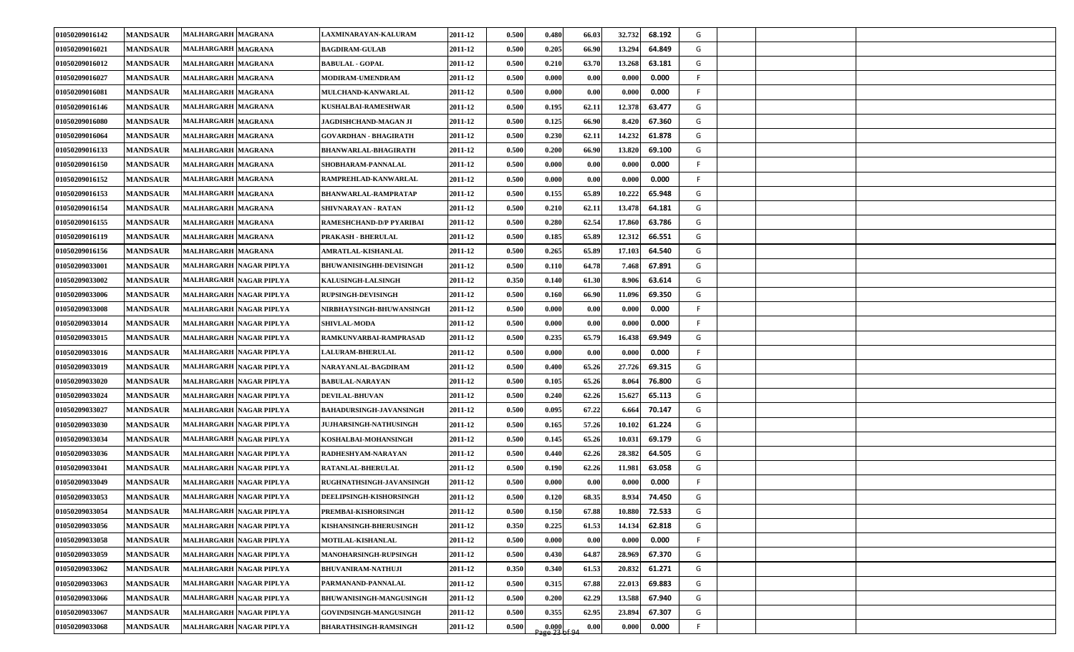| 01050209016142 | <b>MANDSAUR</b> | <b>MALHARGARH MAGRANA</b> | <b>LAXMINARAYAN-KALURAM</b>     | 2011-12 | 0.500 | 0.480                   | 66.03 | 32.732<br>68.192              | G  |  |  |
|----------------|-----------------|---------------------------|---------------------------------|---------|-------|-------------------------|-------|-------------------------------|----|--|--|
| 01050209016021 | <b>MANDSAUR</b> | <b>MALHARGARH MAGRANA</b> | <b>BAGDIRAM-GULAB</b>           | 2011-12 | 0.500 | 0.205                   | 66.90 | 64.849<br>13.294              | G  |  |  |
| 01050209016012 | <b>MANDSAUR</b> | MALHARGARH MAGRANA        | <b>BABULAL - GOPAL</b>          | 2011-12 | 0.500 | 0.210                   | 63.70 | 13.268<br>63.181              | G  |  |  |
| 01050209016027 | <b>MANDSAUR</b> | <b>MALHARGARH MAGRANA</b> | <b>MODIRAM-UMENDRAM</b>         | 2011-12 | 0.500 | 0.000                   | 0.00  | 0.000<br>0.000                | F. |  |  |
| 01050209016081 | <b>MANDSAUR</b> | MALHARGARH MAGRANA        | MULCHAND-KANWARLAL              | 2011-12 | 0.500 | 0.000                   | 0.00  | 0.000<br>0.000                | F. |  |  |
| 01050209016146 | <b>MANDSAUR</b> | <b>MALHARGARH MAGRANA</b> | KUSHALBAI-RAMESHWAR             | 2011-12 | 0.500 | 0.195                   | 62.11 | 12.378<br>63.477              | G  |  |  |
| 01050209016080 | <b>MANDSAUR</b> | MALHARGARH MAGRANA        | JAGDISHCHAND-MAGAN JI           | 2011-12 | 0.500 | 0.125                   | 66.90 | 67.360<br>8.420               | G  |  |  |
| 01050209016064 | <b>MANDSAUR</b> | <b>MALHARGARH MAGRANA</b> | GOVARDHAN - BHAGIRATH           | 2011-12 | 0.500 | 0.230                   | 62.11 | 61.878<br>14.232              | G  |  |  |
| 01050209016133 | <b>MANDSAUR</b> | MALHARGARH MAGRANA        | <b>BHANWARLAL-BHAGIRATH</b>     | 2011-12 | 0.500 | 0.200                   | 66.90 | 13.820<br>69.100              | G  |  |  |
| 01050209016150 | <b>MANDSAUR</b> | MALHARGARH MAGRANA        | SHOBHARAM-PANNALAL              | 2011-12 | 0.500 | 0.000                   | 0.00  | 0.000<br>0.000                | F  |  |  |
| 01050209016152 | <b>MANDSAUR</b> | MALHARGARH MAGRANA        | RAMPREHLAD-KANWARLAL            | 2011-12 | 0.500 | 0.000                   | 0.00  | 0.000<br>0.000                | F  |  |  |
| 01050209016153 | <b>MANDSAUR</b> | <b>MALHARGARH MAGRANA</b> | BHANWARLAL-RAMPRATAP            | 2011-12 | 0.500 | 0.155                   | 65.89 | 10.222<br>65.948              | G  |  |  |
| 01050209016154 | <b>MANDSAUR</b> | MALHARGARH MAGRANA        | SHIVNARAYAN - RATAN             | 2011-12 | 0.500 | 0.210                   | 62.11 | 64.181<br>13.478              | G  |  |  |
| 01050209016155 | <b>MANDSAUR</b> | MALHARGARH MAGRANA        | RAMESHCHAND-D/P PYARIBAI        | 2011-12 | 0.500 | 0.280                   | 62.54 | 63.786<br>17.860              | G  |  |  |
| 01050209016119 | <b>MANDSAUR</b> | MALHARGARH MAGRANA        | PRAKASH - BHERULAL              | 2011-12 | 0.500 | 0.185                   | 65.89 | 12.312<br>66.551              | G  |  |  |
| 01050209016156 | <b>MANDSAUR</b> | MALHARGARH MAGRANA        | AMRATLAL-KISHANLAL              | 2011-12 | 0.500 | 0.265                   | 65.89 | 64.540<br>17.103              | G  |  |  |
| 01050209033001 | <b>MANDSAUR</b> | MALHARGARH NAGAR PIPLYA   | <b>BHUWANISINGHH-DEVISINGH</b>  | 2011-12 | 0.500 | 0.110                   | 64.78 | 67.891<br>7.468               | G  |  |  |
| 01050209033002 | <b>MANDSAUR</b> | MALHARGARH NAGAR PIPLYA   | KALUSINGH-LALSINGH              | 2011-12 | 0.350 | 0.140                   | 61.30 | 8.906<br>63.614               | G  |  |  |
| 01050209033006 | <b>MANDSAUR</b> | MALHARGARH NAGAR PIPLYA   | <b>RUPSINGH-DEVISINGH</b>       | 2011-12 | 0.500 | 0.160                   | 66.90 | 69.350<br>11.096              | G  |  |  |
| 01050209033008 | <b>MANDSAUR</b> | MALHARGARH NAGAR PIPLYA   | <b>NIRBHAYSINGH-BHUWANSINGH</b> | 2011-12 | 0.500 | 0.000                   | 0.00  | 0.000<br>0.000                | F. |  |  |
| 01050209033014 | <b>MANDSAUR</b> | MALHARGARH NAGAR PIPLYA   | <b>SHIVLAL-MODA</b>             | 2011-12 | 0.500 | 0.000                   | 0.00  | 0.000<br>0.000                | F. |  |  |
| 01050209033015 | <b>MANDSAUR</b> | MALHARGARH NAGAR PIPLYA   | RAMKUNVARBAI-RAMPRASAD          | 2011-12 | 0.500 | 0.235                   | 65.79 | 69.949<br>16.438              | G  |  |  |
| 01050209033016 | <b>MANDSAUR</b> | MALHARGARH NAGAR PIPLYA   | <b>LALURAM-BHERULAL</b>         | 2011-12 | 0.500 | 0.000                   | 0.00  | 0.000<br>0.000                | F. |  |  |
| 01050209033019 | <b>MANDSAUR</b> | MALHARGARH NAGAR PIPLYA   | NARAYANLAL-BAGDIRAM             | 2011-12 | 0.500 | 0.400                   | 65.26 | 27.726<br>69.315              | G  |  |  |
| 01050209033020 | <b>MANDSAUR</b> | MALHARGARH NAGAR PIPLYA   | <b>BABULAL-NARAYAN</b>          | 2011-12 | 0.500 | 0.105                   | 65.26 | 8.064<br>76.800               | G  |  |  |
| 01050209033024 | <b>MANDSAUR</b> | MALHARGARH NAGAR PIPLYA   | <b>DEVILAL-BHUVAN</b>           | 2011-12 | 0.500 | 0.240                   | 62.26 | 15.627<br>65.113              | G  |  |  |
| 01050209033027 | <b>MANDSAUR</b> | MALHARGARH NAGAR PIPLYA   | BAHADURSINGH-JAVANSINGH         | 2011-12 | 0.500 | 0.095                   | 67.22 | 6.664<br>70.147               | G  |  |  |
| 01050209033030 | <b>MANDSAUR</b> | MALHARGARH NAGAR PIPLYA   | <b>JUJHARSINGH-NATHUSINGH</b>   | 2011-12 | 0.500 | 0.165                   | 57.26 | 10.102<br>61.224              | G  |  |  |
| 01050209033034 | <b>MANDSAUR</b> | MALHARGARH NAGAR PIPLYA   | KOSHALBAI-MOHANSINGH            | 2011-12 | 0.500 | 0.145                   | 65.26 | 69.179<br>10.031              | G  |  |  |
| 01050209033036 | <b>MANDSAUR</b> | MALHARGARH NAGAR PIPLYA   | RADHESHYAM-NARAYAN              | 2011-12 | 0.500 | 0.440                   | 62.26 | 64.505<br>28.382              | G  |  |  |
| 01050209033041 | <b>MANDSAUR</b> | MALHARGARH NAGAR PIPLYA   | RATANLAL-BHERULAL               | 2011-12 | 0.500 | 0.190                   | 62.26 | 63.058<br>11.981              | G  |  |  |
| 01050209033049 | <b>MANDSAUR</b> | MALHARGARH NAGAR PIPLYA   | RUGHNATHSINGH-JAVANSINGH        | 2011-12 | 0.50  | 0.000                   | 0.00  | 0.000<br>$\boldsymbol{0.000}$ | F. |  |  |
| 01050209033053 | <b>MANDSAUR</b> | MALHARGARH NAGAR PIPLYA   | DEELIPSINGH-KISHORSINGH         | 2011-12 | 0.500 | 0.120                   | 68.35 | 74.450<br>8.934               | G  |  |  |
| 01050209033054 | <b>MANDSAUR</b> | MALHARGARH NAGAR PIPLYA   | PREMBAI-KISHORSINGH             | 2011-12 | 0.500 | 0.150                   | 67.88 | 10.880<br>72.533              | G  |  |  |
| 01050209033056 | <b>MANDSAUR</b> | MALHARGARH NAGAR PIPLYA   | KISHANSINGH-BHERUSINGH          | 2011-12 | 0.350 | 0.225                   | 61.53 | 62.818<br>14.134              | G  |  |  |
| 01050209033058 | <b>MANDSAUR</b> | MALHARGARH NAGAR PIPLYA   | MOTILAL-KISHANLAL               | 2011-12 | 0.500 | 0.000                   | 0.00  | 0.000<br>0.000                | F  |  |  |
| 01050209033059 | <b>MANDSAUR</b> | MALHARGARH NAGAR PIPLYA   | MANOHARSINGH-RUPSINGH           | 2011-12 | 0.500 | 0.430                   | 64.87 | 28.969<br>67.370              | G  |  |  |
| 01050209033062 | <b>MANDSAUR</b> | MALHARGARH NAGAR PIPLYA   | <b>BHUVANIRAM-NATHUJI</b>       | 2011-12 | 0.350 | 0.340                   | 61.53 | 61.271<br>20.832              | G  |  |  |
| 01050209033063 | <b>MANDSAUR</b> | MALHARGARH NAGAR PIPLYA   | PARMANAND-PANNALAL              | 2011-12 | 0.500 | 0.315                   | 67.88 | 69.883<br>22.013              | G  |  |  |
| 01050209033066 | <b>MANDSAUR</b> | MALHARGARH NAGAR PIPLYA   | BHUWANISINGH-MANGUSINGH         | 2011-12 | 0.500 | 0.200                   | 62.29 | 13.588<br>67.940              | G  |  |  |
| 01050209033067 | <b>MANDSAUR</b> | MALHARGARH NAGAR PIPLYA   | GOVINDSINGH-MANGUSINGH          | 2011-12 | 0.500 | 0.355                   | 62.95 | 67.307<br>23.894              | G  |  |  |
| 01050209033068 | <b>MANDSAUR</b> | MALHARGARH NAGAR PIPLYA   | <b>BHARATHSINGH-RAMSINGH</b>    | 2011-12 | 0.500 | $0.000$<br>age 23 of 94 | 0.00  | 0.000<br>0.000                | F. |  |  |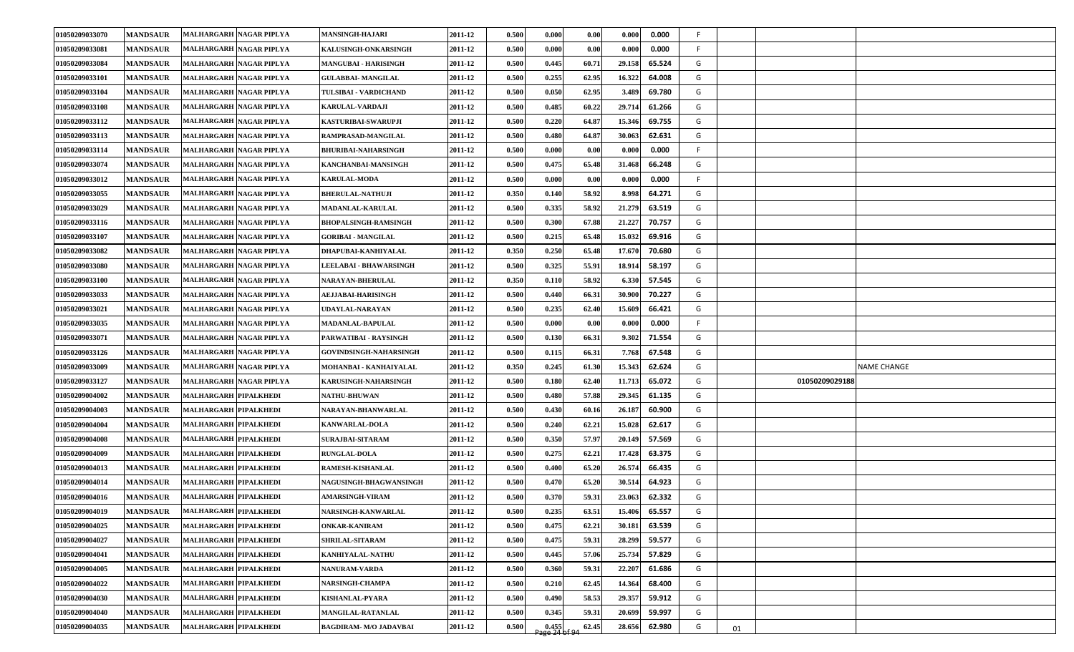| 01050209033070 | <b>MANDSAUR</b> | MALHARGARH NAGAR PIPLYA      | <b>MANSINGH-HAJARI</b>        | 2011-12 | 0.500 | 0.000 | 0.00  | 0.000  | 0.000  | F. |    |                |             |
|----------------|-----------------|------------------------------|-------------------------------|---------|-------|-------|-------|--------|--------|----|----|----------------|-------------|
| 01050209033081 | <b>MANDSAUR</b> | MALHARGARH NAGAR PIPLYA      | <b>KALUSINGH-ONKARSINGH</b>   | 2011-12 | 0.500 | 0.000 | 0.00  | 0.000  | 0.000  | F. |    |                |             |
| 01050209033084 | <b>MANDSAUR</b> | MALHARGARH NAGAR PIPLYA      | <b>MANGUBAI - HARISINGH</b>   | 2011-12 | 0.500 | 0.445 | 60.71 | 29.158 | 65.524 | G  |    |                |             |
| 01050209033101 | <b>MANDSAUR</b> | MALHARGARH NAGAR PIPLYA      | GULABBAI- MANGILAL            | 2011-12 | 0.500 | 0.255 | 62.95 | 16.322 | 64.008 | G  |    |                |             |
| 01050209033104 | <b>MANDSAUR</b> | MALHARGARH NAGAR PIPLYA      | TULSIBAI - VARDICHAND         | 2011-12 | 0.500 | 0.050 | 62.95 | 3.489  | 69.780 | G  |    |                |             |
| 01050209033108 | <b>MANDSAUR</b> | MALHARGARH NAGAR PIPLYA      | KARULAL-VARDAJI               | 2011-12 | 0.500 | 0.485 | 60.22 | 29.714 | 61.266 | G  |    |                |             |
| 01050209033112 | <b>MANDSAUR</b> | MALHARGARH NAGAR PIPLYA      | KASTURIBAI-SWARUPJI           | 2011-12 | 0.500 | 0.220 | 64.87 | 15.346 | 69.755 | G  |    |                |             |
| 01050209033113 | <b>MANDSAUR</b> | MALHARGARH NAGAR PIPLYA      | RAMPRASAD-MANGILAL            | 2011-12 | 0.500 | 0.480 | 64.87 | 30.063 | 62.631 | G  |    |                |             |
| 01050209033114 | <b>MANDSAUR</b> | MALHARGARH NAGAR PIPLYA      | <b>BHURIBAI-NAHARSINGH</b>    | 2011-12 | 0.500 | 0.000 | 0.00  | 0.000  | 0.000  | F. |    |                |             |
| 01050209033074 | <b>MANDSAUR</b> | MALHARGARH NAGAR PIPLYA      | KANCHANBAI-MANSINGH           | 2011-12 | 0.500 | 0.475 | 65.48 | 31.468 | 66.248 | G  |    |                |             |
| 01050209033012 | <b>MANDSAUR</b> | MALHARGARH NAGAR PIPLYA      | <b>KARULAL-MODA</b>           | 2011-12 | 0.500 | 0.000 | 0.00  | 0.000  | 0.000  | F. |    |                |             |
| 01050209033055 | <b>MANDSAUR</b> | MALHARGARH NAGAR PIPLYA      | <b>BHERULAL-NATHUJI</b>       | 2011-12 | 0.350 | 0.140 | 58.92 | 8.998  | 64.271 | G  |    |                |             |
| 01050209033029 | <b>MANDSAUR</b> | MALHARGARH NAGAR PIPLYA      | MADANLAL-KARULAL              | 2011-12 | 0.500 | 0.335 | 58.92 | 21.279 | 63.519 | G  |    |                |             |
| 01050209033116 | <b>MANDSAUR</b> | MALHARGARH NAGAR PIPLYA      | <b>BHOPALSINGH-RAMSINGH</b>   | 2011-12 | 0.500 | 0.300 | 67.88 | 21.227 | 70.757 | G  |    |                |             |
| 01050209033107 | <b>MANDSAUR</b> | MALHARGARH NAGAR PIPLYA      | <b>GORIBAI - MANGILAL</b>     | 2011-12 | 0.500 | 0.215 | 65.48 | 15.032 | 69.916 | G  |    |                |             |
| 01050209033082 | <b>MANDSAUR</b> | MALHARGARH NAGAR PIPLYA      | DHAPUBAI-KANHIYALAL           | 2011-12 | 0.350 | 0.250 | 65.48 | 17.670 | 70.680 | G  |    |                |             |
| 01050209033080 | <b>MANDSAUR</b> | MALHARGARH NAGAR PIPLYA      | <b>LEELABAI - BHAWARSINGH</b> | 2011-12 | 0.500 | 0.325 | 55.91 | 18.914 | 58.197 | G  |    |                |             |
| 01050209033100 | <b>MANDSAUR</b> | MALHARGARH NAGAR PIPLYA      | NARAYAN-BHERULAL              | 2011-12 | 0.350 | 0.110 | 58.92 | 6.330  | 57.545 | G  |    |                |             |
| 01050209033033 | <b>MANDSAUR</b> | MALHARGARH NAGAR PIPLYA      | AEJJABAI-HARISINGH            | 2011-12 | 0.500 | 0.440 | 66.31 | 30.900 | 70.227 | G  |    |                |             |
| 01050209033021 | <b>MANDSAUR</b> | MALHARGARH NAGAR PIPLYA      | UDAYLAL-NARAYAN               | 2011-12 | 0.500 | 0.235 | 62.40 | 15.609 | 66.421 | G  |    |                |             |
| 01050209033035 | <b>MANDSAUR</b> | MALHARGARH NAGAR PIPLYA      | MADANLAL-BAPULAL              | 2011-12 | 0.500 | 0.000 | 0.00  | 0.000  | 0.000  | F. |    |                |             |
| 01050209033071 | <b>MANDSAUR</b> | MALHARGARH NAGAR PIPLYA      | PARWATIBAI - RAYSINGH         | 2011-12 | 0.500 | 0.130 | 66.31 | 9.302  | 71.554 | G  |    |                |             |
| 01050209033126 | <b>MANDSAUR</b> | MALHARGARH NAGAR PIPLYA      | <b>GOVINDSINGH-NAHARSINGH</b> | 2011-12 | 0.500 | 0.115 | 66.31 | 7.768  | 67.548 | G  |    |                |             |
| 01050209033009 | <b>MANDSAUR</b> | MALHARGARH NAGAR PIPLYA      | MOHANBAI - KANHAIYALAL        | 2011-12 | 0.350 | 0.245 | 61.30 | 15.343 | 62.624 | G  |    |                | NAME CHANGE |
| 01050209033127 | <b>MANDSAUR</b> | MALHARGARH NAGAR PIPLYA      | KARUSINGH-NAHARSINGH          | 2011-12 | 0.500 | 0.180 | 62.40 | 11.713 | 65.072 | G  |    | 01050209029188 |             |
| 01050209004002 | <b>MANDSAUR</b> | MALHARGARH PIPALKHEDI        | <b>NATHU-BHUWAN</b>           | 2011-12 | 0.500 | 0.480 | 57.88 | 29.345 | 61.135 | G  |    |                |             |
| 01050209004003 | <b>MANDSAUR</b> | <b>MALHARGARH PIPALKHEDI</b> | NARAYAN-BHANWARLAL            | 2011-12 | 0.500 | 0.430 | 60.16 | 26.187 | 60.900 | G  |    |                |             |
| 01050209004004 | <b>MANDSAUR</b> | <b>MALHARGARH PIPALKHEDI</b> | <b>KANWARLAL-DOLA</b>         | 2011-12 | 0.500 | 0.240 | 62.21 | 15.028 | 62.617 | G  |    |                |             |
| 01050209004008 | <b>MANDSAUR</b> | <b>MALHARGARH PIPALKHEDI</b> | SURAJBAI-SITARAM              | 2011-12 | 0.500 | 0.350 | 57.97 | 20.149 | 57.569 | G  |    |                |             |
| 01050209004009 | <b>MANDSAUR</b> | <b>MALHARGARH PIPALKHEDI</b> | <b>RUNGLAL-DOLA</b>           | 2011-12 | 0.500 | 0.275 | 62.21 | 17.428 | 63.375 | G  |    |                |             |
| 01050209004013 | <b>MANDSAUR</b> | <b>MALHARGARH PIPALKHEDI</b> | <b>RAMESH-KISHANLAL</b>       | 2011-12 | 0.500 | 0.400 | 65.20 | 26.574 | 66.435 | G  |    |                |             |
| 01050209004014 | <b>MANDSAUR</b> | MALHARGARH PIPALKHEDI        | <b>NAGUSINGH-BHAGWANSINGH</b> | 2011-12 | 0.500 | 0.47( | 65.20 | 30.514 | 64.923 | G  |    |                |             |
| 01050209004016 | <b>MANDSAUR</b> | MALHARGARH PIPALKHEDI        | AMARSINGH-VIRAM               | 2011-12 | 0.500 | 0.37( | 59.31 | 23.063 | 62.332 | G  |    |                |             |
| 01050209004019 | <b>MANDSAUR</b> | MALHARGARH PIPALKHEDI        | NARSINGH-KANWARLAL            | 2011-12 | 0.500 | 0.235 | 63.51 | 15.406 | 65.557 | G  |    |                |             |
| 01050209004025 | <b>MANDSAUR</b> | MALHARGARH PIPALKHEDI        | <b>ONKAR-KANIRAM</b>          | 2011-12 | 0.500 | 0.475 | 62.21 | 30.181 | 63.539 | G  |    |                |             |
| 01050209004027 | <b>MANDSAUR</b> | MALHARGARH PIPALKHEDI        | <b>SHRILAL-SITARAM</b>        | 2011-12 | 0.500 | 0.475 | 59.31 | 28.299 | 59.577 | G  |    |                |             |
| 01050209004041 | <b>MANDSAUR</b> | MALHARGARH PIPALKHEDI        | KANHIYALAL-NATHU              | 2011-12 | 0.500 | 0.445 | 57.06 | 25.734 | 57.829 | G  |    |                |             |
| 01050209004005 | <b>MANDSAUR</b> | MALHARGARH PIPALKHEDI        | <b>NANURAM-VARDA</b>          | 2011-12 | 0.500 | 0.360 | 59.31 | 22.207 | 61.686 | G  |    |                |             |
| 01050209004022 | <b>MANDSAUR</b> | MALHARGARH PIPALKHEDI        | NARSINGH-CHAMPA               | 2011-12 | 0.500 | 0.210 | 62.45 | 14.364 | 68.400 | G  |    |                |             |
| 01050209004030 | <b>MANDSAUR</b> | MALHARGARH PIPALKHEDI        | KISHANLAL-PYARA               | 2011-12 | 0.500 | 0.490 | 58.53 | 29.357 | 59.912 | G  |    |                |             |
| 01050209004040 | <b>MANDSAUR</b> | MALHARGARH PIPALKHEDI        | MANGILAL-RATANLAL             | 2011-12 | 0.500 | 0.345 | 59.31 | 20.699 | 59.997 | G  |    |                |             |
| 01050209004035 | <b>MANDSAUR</b> | MALHARGARH PIPALKHEDI        | <b>BAGDIRAM- M/O JADAVBAI</b> | 2011-12 | 0.500 | 0.455 | 62.45 | 28.656 | 62.980 | G  | 01 |                |             |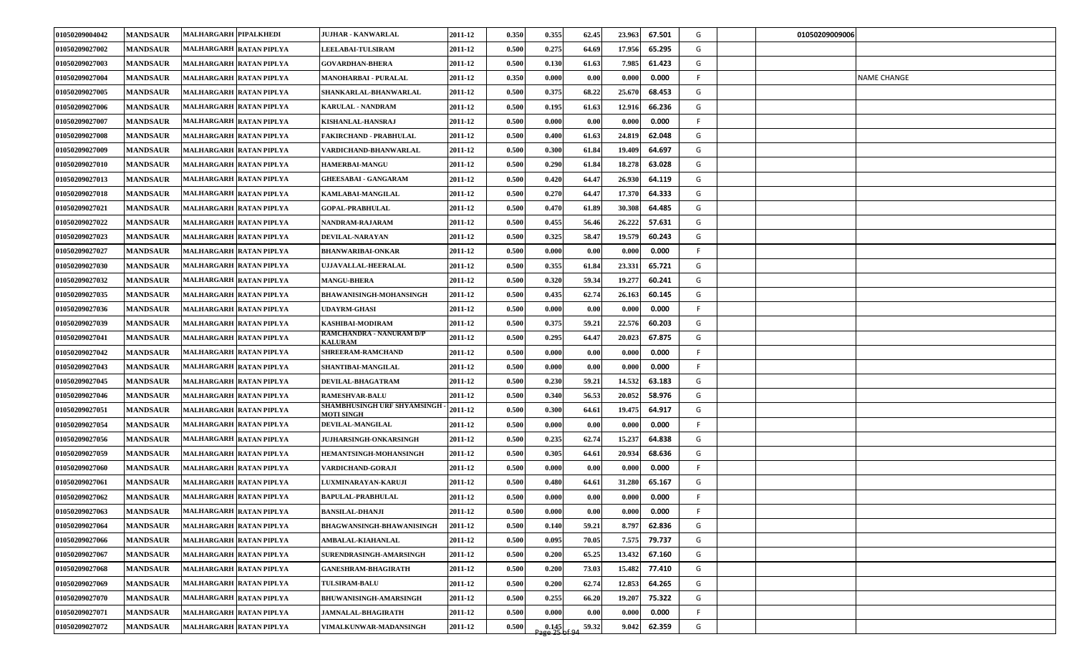| 01050209004042 | <b>MANDSAUR</b> | <b>MALHARGARH PIPALKHEDI</b>   | <b>JUJHAR - KANWARLAL</b>                               | 2011-12 | 0.350 | 0.355                    | 62.45 | 23.963 | 67.501 | G   | 01050209009006 |                    |
|----------------|-----------------|--------------------------------|---------------------------------------------------------|---------|-------|--------------------------|-------|--------|--------|-----|----------------|--------------------|
| 01050209027002 | <b>MANDSAUR</b> | MALHARGARH RATAN PIPLYA        | <b>LEELABAI-TULSIRAM</b>                                | 2011-12 | 0.500 | 0.275                    | 64.69 | 17.956 | 65.295 | G   |                |                    |
| 01050209027003 | <b>MANDSAUR</b> | MALHARGARH RATAN PIPLYA        | <b>GOVARDHAN-BHERA</b>                                  | 2011-12 | 0.500 | 0.130                    | 61.63 | 7.985  | 61.423 | G   |                |                    |
| 01050209027004 | <b>MANDSAUR</b> | MALHARGARH RATAN PIPLYA        | <b>MANOHARBAI - PURALAL</b>                             | 2011-12 | 0.350 | 0.000                    | 0.00  | 0.000  | 0.000  | F.  |                | <b>NAME CHANGE</b> |
| 01050209027005 | <b>MANDSAUR</b> | MALHARGARH RATAN PIPLYA        | SHANKARLAL-BHANWARLAL                                   | 2011-12 | 0.500 | 0.375                    | 68.22 | 25.670 | 68.453 | G   |                |                    |
| 01050209027006 | <b>MANDSAUR</b> | MALHARGARH RATAN PIPLYA        | <b>KARULAL - NANDRAM</b>                                | 2011-12 | 0.500 | 0.195                    | 61.63 | 12.916 | 66.236 | G   |                |                    |
| 01050209027007 | <b>MANDSAUR</b> | MALHARGARH RATAN PIPLYA        | KISHANLAL-HANSRAJ                                       | 2011-12 | 0.500 | 0.000                    | 0.00  | 0.000  | 0.000  | -F. |                |                    |
| 01050209027008 | <b>MANDSAUR</b> | MALHARGARH RATAN PIPLYA        | FAKIRCHAND - PRABHULAL                                  | 2011-12 | 0.500 | 0.400                    | 61.63 | 24.819 | 62.048 | G   |                |                    |
| 01050209027009 | <b>MANDSAUR</b> | MALHARGARH RATAN PIPLYA        | VARDICHAND-BHANWARLAL                                   | 2011-12 | 0.500 | 0.300                    | 61.84 | 19.409 | 64.697 | G   |                |                    |
| 01050209027010 | <b>MANDSAUR</b> | MALHARGARH RATAN PIPLYA        | <b>HAMERBAI-MANGU</b>                                   | 2011-12 | 0.500 | 0.290                    | 61.84 | 18.278 | 63.028 | G   |                |                    |
| 01050209027013 | <b>MANDSAUR</b> | MALHARGARH RATAN PIPLYA        | <b>GHEESABAI - GANGARAM</b>                             | 2011-12 | 0.500 | 0.420                    | 64.47 | 26.930 | 64.119 | G   |                |                    |
| 01050209027018 | <b>MANDSAUR</b> | MALHARGARH RATAN PIPLYA        | KAMLABAI-MANGILAL                                       | 2011-12 | 0.500 | 0.270                    | 64.47 | 17.370 | 64.333 | G   |                |                    |
| 01050209027021 | <b>MANDSAUR</b> | MALHARGARH RATAN PIPLYA        | <b>GOPAL-PRABHULAL</b>                                  | 2011-12 | 0.500 | 0.470                    | 61.89 | 30.308 | 64.485 | G   |                |                    |
| 01050209027022 | <b>MANDSAUR</b> | MALHARGARH RATAN PIPLYA        | NANDRAM-RAJARAM                                         | 2011-12 | 0.500 | 0.455                    | 56.46 | 26.222 | 57.631 | G   |                |                    |
| 01050209027023 | <b>MANDSAUR</b> | MALHARGARH RATAN PIPLYA        | <b>DEVILAL-NARAYAN</b>                                  | 2011-12 | 0.500 | 0.325                    | 58.47 | 19.579 | 60.243 | G   |                |                    |
| 01050209027027 | <b>MANDSAUR</b> | MALHARGARH RATAN PIPLYA        | <b>BHANWARIBAI-ONKAR</b>                                | 2011-12 | 0.500 | 0.000                    | 0.00  | 0.000  | 0.000  | -F. |                |                    |
| 01050209027030 | <b>MANDSAUR</b> | MALHARGARH RATAN PIPLYA        | UJJAVALLAL-HEERALAL                                     | 2011-12 | 0.500 | 0.355                    | 61.84 | 23.331 | 65.721 | G   |                |                    |
| 01050209027032 | <b>MANDSAUR</b> | MALHARGARH RATAN PIPLYA        | <b>MANGU-BHERA</b>                                      | 2011-12 | 0.500 | 0.320                    | 59.34 | 19.277 | 60.241 | G   |                |                    |
| 01050209027035 | <b>MANDSAUR</b> | MALHARGARH RATAN PIPLYA        | <b>BHAWANISINGH-MOHANSINGH</b>                          | 2011-12 | 0.500 | 0.435                    | 62.74 | 26.163 | 60.145 | G   |                |                    |
| 01050209027036 | <b>MANDSAUR</b> | MALHARGARH RATAN PIPLYA        | <b>UDAYRM-GHASI</b>                                     | 2011-12 | 0.500 | 0.000                    | 0.00  | 0.000  | 0.000  | F.  |                |                    |
| 01050209027039 | <b>MANDSAUR</b> | MALHARGARH RATAN PIPLYA        | KASHIBAI-MODIRAM                                        | 2011-12 | 0.500 | 0.375                    | 59.21 | 22.576 | 60.203 | G   |                |                    |
| 01050209027041 | <b>MANDSAUR</b> | MALHARGARH RATAN PIPLYA        | RAMCHANDRA - NANURAM D/P<br><b><i>KALURAM</i></b>       | 2011-12 | 0.500 | 0.295                    | 64.47 | 20.023 | 67.875 | G   |                |                    |
| 01050209027042 | <b>MANDSAUR</b> | MALHARGARH RATAN PIPLYA        | SHREERAM-RAMCHAND                                       | 2011-12 | 0.500 | 0.000                    | 0.00  | 0.000  | 0.000  | F.  |                |                    |
| 01050209027043 | <b>MANDSAUR</b> | MALHARGARH RATAN PIPLYA        | SHANTIBAI-MANGILAL                                      | 2011-12 | 0.500 | 0.000                    | 0.00  | 0.000  | 0.000  | - F |                |                    |
| 01050209027045 | <b>MANDSAUR</b> | MALHARGARH RATAN PIPLYA        | DEVILAL-BHAGATRAM                                       | 2011-12 | 0.500 | 0.230                    | 59.21 | 14.532 | 63.183 | G   |                |                    |
| 01050209027046 | <b>MANDSAUR</b> | MALHARGARH RATAN PIPLYA        | <b>RAMESHVAR-BALU</b>                                   | 2011-12 | 0.500 | 0.340                    | 56.53 | 20.052 | 58.976 | G   |                |                    |
| 01050209027051 | <b>MANDSAUR</b> | MALHARGARH RATAN PIPLYA        | <b>SHAMBHUSINGH URF SHYAMSINGH</b><br><b>MOTI SINGH</b> | 2011-12 | 0.500 | 0.300                    | 64.61 | 19.475 | 64.917 | G   |                |                    |
| 01050209027054 | <b>MANDSAUR</b> | MALHARGARH RATAN PIPLYA        | DEVILAL-MANGILAL                                        | 2011-12 | 0.500 | 0.000                    | 0.00  | 0.000  | 0.000  | -F. |                |                    |
| 01050209027056 | <b>MANDSAUR</b> | <b>MALHARGARH RATAN PIPLYA</b> | <b>JUJHARSINGH-ONKARSINGH</b>                           | 2011-12 | 0.500 | 0.235                    | 62.74 | 15.237 | 64.838 | G   |                |                    |
| 01050209027059 | <b>MANDSAUR</b> | MALHARGARH RATAN PIPLYA        | HEMANTSINGH-MOHANSINGH                                  | 2011-12 | 0.500 | 0.305                    | 64.61 | 20.934 | 68.636 | G   |                |                    |
| 01050209027060 | <b>MANDSAUR</b> | MALHARGARH RATAN PIPLYA        | VARDICHAND-GORAJI                                       | 2011-12 | 0.500 | 0.000                    | 0.00  | 0.000  | 0.000  | -F. |                |                    |
| 01050209027061 | <b>MANDSAUR</b> | MALHARGARH RATAN PIPLYA        | LUXMINARAYAN-KARUJI                                     | 2011-12 | 0.500 | 0.480                    | 64.61 | 31.280 | 65.167 | G   |                |                    |
| 01050209027062 | <b>MANDSAUR</b> | MALHARGARH RATAN PIPLYA        | <b>BAPULAL-PRABHULAL</b>                                | 2011-12 | 0.500 | 0.000                    | 0.00  | 0.000  | 0.000  | F.  |                |                    |
| 01050209027063 | <b>MANDSAUR</b> | MALHARGARH RATAN PIPLYA        | <b>BANSILAL-DHANJI</b>                                  | 2011-12 | 0.500 | 0.000                    | 0.00  | 0.000  | 0.000  | -F  |                |                    |
| 01050209027064 | <b>MANDSAUR</b> | MALHARGARH RATAN PIPLYA        | <b>BHAGWANSINGH-BHAWANISINGH</b>                        | 2011-12 | 0.500 | 0.140                    | 59.21 | 8.797  | 62.836 | G   |                |                    |
| 01050209027066 | <b>MANDSAUR</b> | MALHARGARH RATAN PIPLYA        | <b>AMBALAL-KIAHANLAL</b>                                | 2011-12 | 0.500 | 0.095                    | 70.05 | 7.575  | 79.737 | G   |                |                    |
| 01050209027067 | <b>MANDSAUR</b> | MALHARGARH RATAN PIPLYA        | SURENDRASINGH-AMARSINGH                                 | 2011-12 | 0.500 | 0.200                    | 65.25 | 13.432 | 67.160 | G   |                |                    |
| 01050209027068 | <b>MANDSAUR</b> | MALHARGARH RATAN PIPLYA        | <b>GANESHRAM-BHAGIRATH</b>                              | 2011-12 | 0.500 | 0.200                    | 73.03 | 15.482 | 77.410 | G   |                |                    |
| 01050209027069 | <b>MANDSAUR</b> | MALHARGARH RATAN PIPLYA        | <b>TULSIRAM-BALU</b>                                    | 2011-12 | 0.500 | 0.200                    | 62.74 | 12.853 | 64.265 | G   |                |                    |
| 01050209027070 | <b>MANDSAUR</b> | MALHARGARH RATAN PIPLYA        | <b>BHUWANISINGH-AMARSINGH</b>                           | 2011-12 | 0.500 | 0.255                    | 66.20 | 19.207 | 75.322 | G   |                |                    |
| 01050209027071 | <b>MANDSAUR</b> | MALHARGARH RATAN PIPLYA        | <b>JAMNALAL-BHAGIRATH</b>                               | 2011-12 | 0.500 | 0.000                    | 0.00  | 0.000  | 0.000  | F.  |                |                    |
| 01050209027072 | <b>MANDSAUR</b> | MALHARGARH RATAN PIPLYA        | VIMALKUNWAR-MADANSINGH                                  | 2011-12 | 0.500 | $0.145$<br>Page 25 of 94 | 59.32 | 9.042  | 62.359 | G   |                |                    |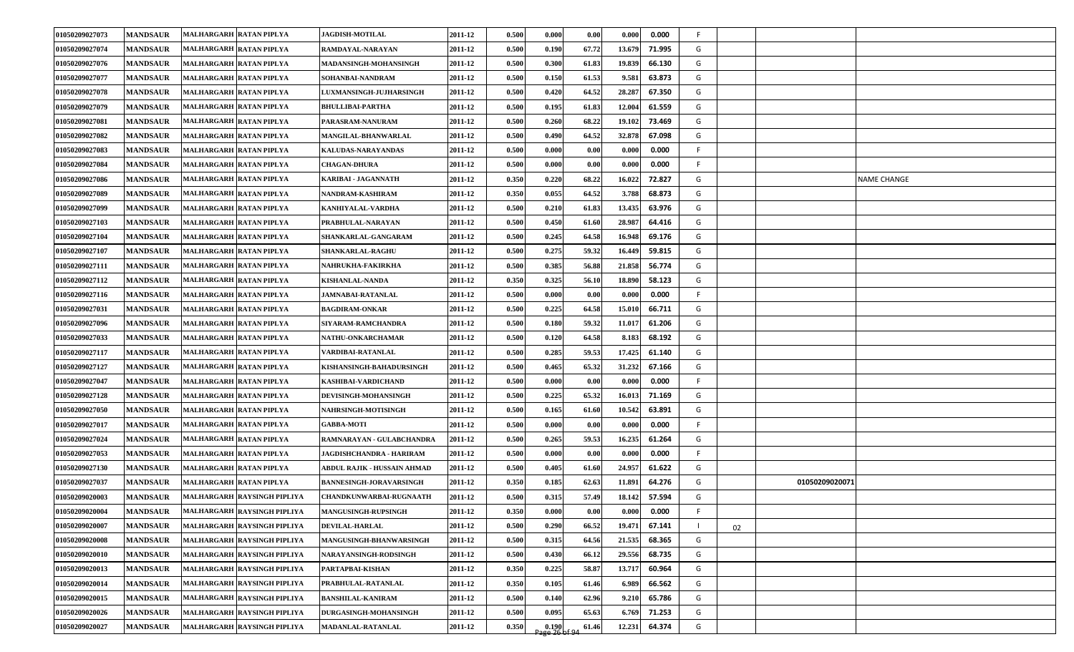| 01050209027073 | <b>MANDSAUR</b> | MALHARGARH RATAN PIPLYA        | <b>JAGDISH-MOTILAL</b>         | 2011-12 | 0.500 | 0.000                 | 0.00  | 0.000<br>0.000   | F. |    |                |                    |
|----------------|-----------------|--------------------------------|--------------------------------|---------|-------|-----------------------|-------|------------------|----|----|----------------|--------------------|
| 01050209027074 | <b>MANDSAUR</b> | MALHARGARH RATAN PIPLYA        | RAMDAYAL-NARAYAN               | 2011-12 | 0.500 | 0.190                 | 67.72 | 71.995<br>13.679 | G  |    |                |                    |
| 01050209027076 | <b>MANDSAUR</b> | MALHARGARH RATAN PIPLYA        | <b>MADANSINGH-MOHANSINGH</b>   | 2011-12 | 0.500 | 0.300                 | 61.83 | 19.839<br>66.130 | G  |    |                |                    |
| 01050209027077 | <b>MANDSAUR</b> | MALHARGARH RATAN PIPLYA        | SOHANBAI-NANDRAM               | 2011-12 | 0.500 | 0.150                 | 61.53 | 9.581<br>63.873  | G  |    |                |                    |
| 01050209027078 | <b>MANDSAUR</b> | MALHARGARH RATAN PIPLYA        | <b>LUXMANSINGH-JUJHARSINGH</b> | 2011-12 | 0.500 | 0.420                 | 64.52 | 28.287<br>67.350 | G  |    |                |                    |
| 01050209027079 | <b>MANDSAUR</b> | MALHARGARH RATAN PIPLYA        | <b>BHULLIBAI-PARTHA</b>        | 2011-12 | 0.500 | 0.195                 | 61.83 | 12.004<br>61.559 | G  |    |                |                    |
| 01050209027081 | <b>MANDSAUR</b> | MALHARGARH RATAN PIPLYA        | PARASRAM-NANURAM               | 2011-12 | 0.500 | 0.260                 | 68.22 | 19.102<br>73.469 | G  |    |                |                    |
| 01050209027082 | <b>MANDSAUR</b> | MALHARGARH RATAN PIPLYA        | MANGILAL-BHANWARLAL            | 2011-12 | 0.500 | 0.490                 | 64.52 | 67.098<br>32.878 | G  |    |                |                    |
| 01050209027083 | <b>MANDSAUR</b> | MALHARGARH RATAN PIPLYA        | KALUDAS-NARAYANDAS             | 2011-12 | 0.500 | 0.000                 | 0.00  | 0.000<br>0.000   | F. |    |                |                    |
| 01050209027084 | <b>MANDSAUR</b> | MALHARGARH RATAN PIPLYA        | <b>CHAGAN-DHURA</b>            | 2011-12 | 0.500 | 0.000                 | 0.00  | 0.000<br>0.000   | F. |    |                |                    |
| 01050209027086 | <b>MANDSAUR</b> | <b>MALHARGARH RATAN PIPLYA</b> | KARIBAI - JAGANNATH            | 2011-12 | 0.350 | 0.220                 | 68.22 | 72.827<br>16.022 | G  |    |                | <b>NAME CHANGE</b> |
| 01050209027089 | <b>MANDSAUR</b> | MALHARGARH RATAN PIPLYA        | NANDRAM-KASHIRAM               | 2011-12 | 0.350 | 0.055                 | 64.52 | 68.873<br>3.788  | G  |    |                |                    |
| 01050209027099 | <b>MANDSAUR</b> | MALHARGARH RATAN PIPLYA        | KANHIYALAL-VARDHA              | 2011-12 | 0.500 | 0.210                 | 61.83 | 13.435<br>63.976 | G  |    |                |                    |
| 01050209027103 | <b>MANDSAUR</b> | MALHARGARH RATAN PIPLYA        | PRABHULAL-NARAYAN              | 2011-12 | 0.500 | 0.450                 | 61.60 | 28.987<br>64.416 | G  |    |                |                    |
| 01050209027104 | <b>MANDSAUR</b> | MALHARGARH RATAN PIPLYA        | SHANKARLAL-GANGARAM            | 2011-12 | 0.500 | 0.245                 | 64.58 | 69.176<br>16.948 | G  |    |                |                    |
| 01050209027107 | <b>MANDSAUR</b> | MALHARGARH RATAN PIPLYA        | <b>SHANKARLAL-RAGHU</b>        | 2011-12 | 0.500 | 0.275                 | 59.32 | 59.815<br>16.449 | G  |    |                |                    |
| 01050209027111 | <b>MANDSAUR</b> | MALHARGARH RATAN PIPLYA        | NAHRUKHA-FAKIRKHA              | 2011-12 | 0.500 | 0.385                 | 56.88 | 56.774<br>21.858 | G  |    |                |                    |
| 01050209027112 | <b>MANDSAUR</b> | MALHARGARH RATAN PIPLYA        | <b>KISHANLAL-NANDA</b>         | 2011-12 | 0.350 | 0.325                 | 56.10 | 58.123<br>18.890 | G  |    |                |                    |
| 01050209027116 | <b>MANDSAUR</b> | MALHARGARH RATAN PIPLYA        | <b>JAMNABAI-RATANLAL</b>       | 2011-12 | 0.500 | 0.000                 | 0.00  | 0.000<br>0.000   | F. |    |                |                    |
| 01050209027031 | <b>MANDSAUR</b> | MALHARGARH RATAN PIPLYA        | <b>BAGDIRAM-ONKAR</b>          | 2011-12 | 0.500 | 0.225                 | 64.58 | 66.711<br>15.010 | G  |    |                |                    |
| 01050209027096 | <b>MANDSAUR</b> | MALHARGARH RATAN PIPLYA        | SIYARAM-RAMCHANDRA             | 2011-12 | 0.500 | 0.180                 | 59.32 | 61.206<br>11.017 | G  |    |                |                    |
| 01050209027033 | <b>MANDSAUR</b> | MALHARGARH RATAN PIPLYA        | NATHU-ONKARCHAMAR              | 2011-12 | 0.500 | 0.120                 | 64.58 | 68.192<br>8.183  | G  |    |                |                    |
| 01050209027117 | <b>MANDSAUR</b> | MALHARGARH RATAN PIPLYA        | VARDIBAI-RATANLAL              | 2011-12 | 0.500 | 0.285                 | 59.53 | 17.425<br>61.140 | G  |    |                |                    |
| 01050209027127 | <b>MANDSAUR</b> | MALHARGARH RATAN PIPLYA        | KISHANSINGH-BAHADURSINGH       | 2011-12 | 0.500 | 0.465                 | 65.32 | 31.232<br>67.166 | G  |    |                |                    |
| 01050209027047 | <b>MANDSAUR</b> | MALHARGARH RATAN PIPLYA        | KASHIBAI-VARDICHAND            | 2011-12 | 0.500 | 0.000                 | 0.00  | 0.000<br>0.000   | F. |    |                |                    |
| 01050209027128 | <b>MANDSAUR</b> | MALHARGARH RATAN PIPLYA        | DEVISINGH-MOHANSINGH           | 2011-12 | 0.500 | 0.225                 | 65.32 | 71.169<br>16.013 | G  |    |                |                    |
| 01050209027050 | <b>MANDSAUR</b> | MALHARGARH RATAN PIPLYA        | NAHRSINGH-MOTISINGH            | 2011-12 | 0.500 | 0.165                 | 61.60 | 10.542<br>63.891 | G  |    |                |                    |
| 01050209027017 | <b>MANDSAUR</b> | MALHARGARH RATAN PIPLYA        | <b>GABBA-MOTI</b>              | 2011-12 | 0.500 | 0.000                 | 0.00  | 0.000<br>0.000   | F. |    |                |                    |
| 01050209027024 | <b>MANDSAUR</b> | MALHARGARH RATAN PIPLYA        | RAMNARAYAN - GULABCHANDRA      | 2011-12 | 0.500 | 0.265                 | 59.53 | 16.235<br>61.264 | G  |    |                |                    |
| 01050209027053 | <b>MANDSAUR</b> | MALHARGARH RATAN PIPLYA        | JAGDISHCHANDRA - HARIRAM       | 2011-12 | 0.500 | 0.000                 | 0.00  | 0.000<br>0.000   | F. |    |                |                    |
| 01050209027130 | <b>MANDSAUR</b> | MALHARGARH RATAN PIPLYA        | ABDUL RAJIK - HUSSAIN AHMAD    | 2011-12 | 0.500 | 0.405                 | 61.60 | 61.622<br>24.957 | G  |    |                |                    |
| 01050209027037 | <b>MANDSAUR</b> | MALHARGARH RATAN PIPLYA        | <b>BANNESINGH-JORAVARSINGH</b> | 2011-12 | 0.350 | 0.185                 | 62.63 | 64.276<br>11.891 | G  |    | 01050209020071 |                    |
| 01050209020003 | <b>MANDSAUR</b> | MALHARGARH RAYSINGH PIPLIYA    | CHANDKUNWARBAI-RUGNAATH        | 2011-12 | 0.500 | 0.315                 | 57.49 | 57.594<br>18.142 | G  |    |                |                    |
| 01050209020004 | <b>MANDSAUR</b> | MALHARGARH RAYSINGH PIPLIYA    | <b>MANGUSINGH-RUPSINGH</b>     | 2011-12 | 0.350 | 0.000                 | 0.00  | 0.000<br>0.000   | F  |    |                |                    |
| 01050209020007 | <b>MANDSAUR</b> | MALHARGARH RAYSINGH PIPLIYA    | <b>DEVILAL-HARLAL</b>          | 2011-12 | 0.500 | 0.290                 | 66.52 | 67.141<br>19.471 |    | 02 |                |                    |
| 01050209020008 | <b>MANDSAUR</b> | MALHARGARH RAYSINGH PIPLIYA    | MANGUSINGH-BHANWARSINGH        | 2011-12 | 0.500 | 0.315                 | 64.56 | 21.535<br>68.365 | G  |    |                |                    |
| 01050209020010 | <b>MANDSAUR</b> | MALHARGARH RAYSINGH PIPLIYA    | NARAYANSINGH-RODSINGH          | 2011-12 | 0.500 | 0.430                 | 66.12 | 68.735<br>29.556 | G  |    |                |                    |
| 01050209020013 | <b>MANDSAUR</b> | MALHARGARH RAYSINGH PIPLIYA    | PARTAPBAI-KISHAN               | 2011-12 | 0.350 | 0.225                 | 58.87 | 60.964<br>13.717 | G  |    |                |                    |
| 01050209020014 | <b>MANDSAUR</b> | MALHARGARH RAYSINGH PIPLIYA    | PRABHULAL-RATANLAL             | 2011-12 | 0.350 | 0.105                 | 61.46 | 6.989<br>66.562  | G  |    |                |                    |
| 01050209020015 | <b>MANDSAUR</b> | MALHARGARH RAYSINGH PIPLIYA    | <b>BANSHILAL-KANIRAM</b>       | 2011-12 | 0.500 | 0.140                 | 62.96 | 65.786<br>9.210  | G  |    |                |                    |
| 01050209020026 | <b>MANDSAUR</b> | MALHARGARH RAYSINGH PIPLIYA    | DURGASINGH-MOHANSINGH          | 2011-12 | 0.500 | 0.095                 | 65.63 | 71.253<br>6.769  | G  |    |                |                    |
| 01050209020027 | <b>MANDSAUR</b> | MALHARGARH RAYSINGH PIPLIYA    | MADANLAL-RATANLAL              | 2011-12 | 0.350 | 0.190<br>age 26 of 94 | 61.46 | 64.374<br>12.231 | G  |    |                |                    |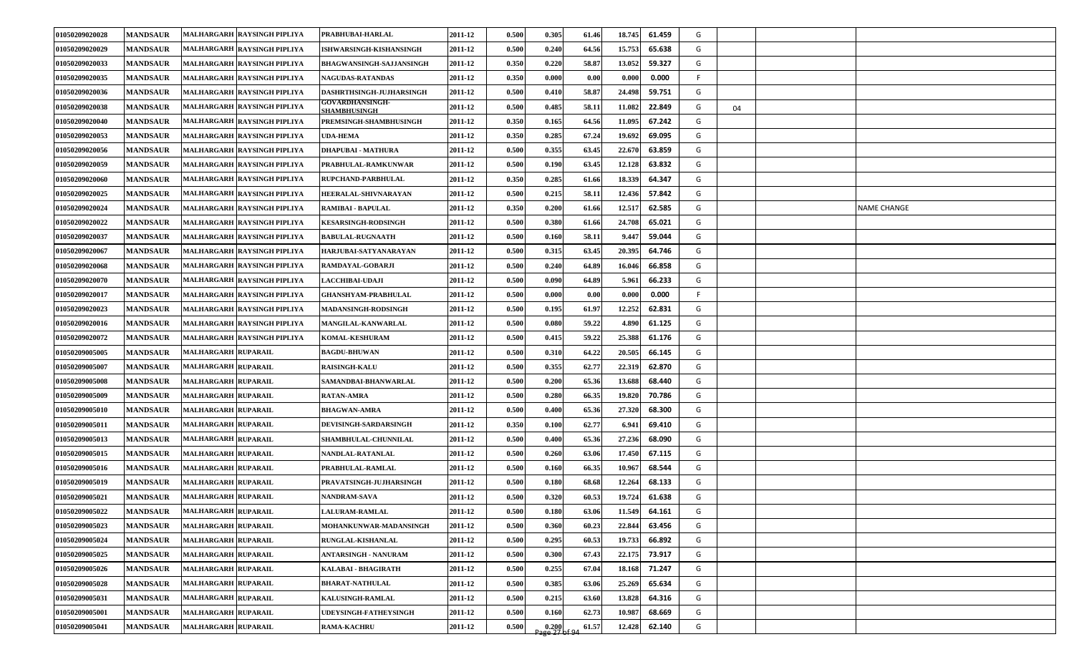| 01050209020028 | <b>MANDSAUR</b> | <b>MALHARGARH RAYSINGH PIPLIYA</b> | PRABHUBAI-HARLAL                       | 2011-12 | 0.500 | 0.305                                                       | 61.46 | 18.745 | 61.459 | G  |    |                    |
|----------------|-----------------|------------------------------------|----------------------------------------|---------|-------|-------------------------------------------------------------|-------|--------|--------|----|----|--------------------|
| 01050209020029 | <b>MANDSAUR</b> | MALHARGARH RAYSINGH PIPLIYA        | ISHWARSINGH-KISHANSINGH                | 2011-12 | 0.500 | 0.240                                                       | 64.56 | 15.753 | 65.638 | G  |    |                    |
| 01050209020033 | <b>MANDSAUR</b> | MALHARGARH RAYSINGH PIPLIYA        | <b>BHAGWANSINGH-SAJJANSINGH</b>        | 2011-12 | 0.350 | 0.220                                                       | 58.87 | 13.052 | 59.327 | G  |    |                    |
| 01050209020035 | <b>MANDSAUR</b> | MALHARGARH RAYSINGH PIPLIYA        | <b>NAGUDAS-RATANDAS</b>                | 2011-12 | 0.350 | 0.000                                                       | 0.00  | 0.000  | 0.000  | F. |    |                    |
| 01050209020036 | <b>MANDSAUR</b> | MALHARGARH RAYSINGH PIPLIYA        | <b>DASHRTHSINGH-JUJHARSINGH</b>        | 2011-12 | 0.500 | 0.410                                                       | 58.87 | 24.498 | 59.751 | G  |    |                    |
| 01050209020038 | <b>MANDSAUR</b> | MALHARGARH RAYSINGH PIPLIYA        | <b>GOVARDHANSINGH-</b><br>SHAMBHUSINGH | 2011-12 | 0.500 | 0.485                                                       | 58.11 | 11.082 | 22.849 | G  | 04 |                    |
| 01050209020040 | <b>MANDSAUR</b> | MALHARGARH RAYSINGH PIPLIYA        | PREMSINGH-SHAMBHUSINGH                 | 2011-12 | 0.350 | 0.165                                                       | 64.56 | 11.095 | 67.242 | G  |    |                    |
| 01050209020053 | <b>MANDSAUR</b> | MALHARGARH RAYSINGH PIPLIYA        | <b>UDA-HEMA</b>                        | 2011-12 | 0.350 | 0.285                                                       | 67.24 | 19.692 | 69.095 | G  |    |                    |
| 01050209020056 | <b>MANDSAUR</b> | MALHARGARH RAYSINGH PIPLIYA        | <b>DHAPUBAI - MATHURA</b>              | 2011-12 | 0.500 | 0.355                                                       | 63.45 | 22.670 | 63.859 | G  |    |                    |
| 01050209020059 | <b>MANDSAUR</b> | MALHARGARH RAYSINGH PIPLIYA        | PRABHULAL-RAMKUNWAR                    | 2011-12 | 0.500 | 0.190                                                       | 63.45 | 12.128 | 63.832 | G  |    |                    |
| 01050209020060 | <b>MANDSAUR</b> | MALHARGARH RAYSINGH PIPLIYA        | <b>RUPCHAND-PARBHULAL</b>              | 2011-12 | 0.350 | 0.285                                                       | 61.66 | 18.339 | 64.347 | G  |    |                    |
| 01050209020025 | <b>MANDSAUR</b> | MALHARGARH RAYSINGH PIPLIYA        | HEERALAL-SHIVNARAYAN                   | 2011-12 | 0.500 | 0.215                                                       | 58.11 | 12.436 | 57.842 | G  |    |                    |
| 01050209020024 | <b>MANDSAUR</b> | MALHARGARH RAYSINGH PIPLIYA        | RAMIBAI - BAPULAL                      | 2011-12 | 0.350 | 0.200                                                       | 61.66 | 12.517 | 62.585 | G  |    | <b>NAME CHANGE</b> |
| 01050209020022 | <b>MANDSAUR</b> | MALHARGARH RAYSINGH PIPLIYA        | <b>KESARSINGH-RODSINGH</b>             | 2011-12 | 0.500 | 0.380                                                       | 61.66 | 24.708 | 65.021 | G  |    |                    |
| 01050209020037 | <b>MANDSAUR</b> | MALHARGARH RAYSINGH PIPLIYA        | <b>BABULAL-RUGNAATH</b>                | 2011-12 | 0.500 | 0.160                                                       | 58.11 | 9.447  | 59.044 | G  |    |                    |
| 01050209020067 | <b>MANDSAUR</b> | MALHARGARH  RAYSINGH PIPLIYA       | HARJUBAI-SATYANARAYAN                  | 2011-12 | 0.500 | 0.315                                                       | 63.45 | 20.395 | 64.746 | G  |    |                    |
| 01050209020068 | <b>MANDSAUR</b> | MALHARGARH RAYSINGH PIPLIYA        | RAMDAYAL-GOBARJI                       | 2011-12 | 0.500 | 0.240                                                       | 64.89 | 16.046 | 66.858 | G  |    |                    |
| 01050209020070 | <b>MANDSAUR</b> | MALHARGARH RAYSINGH PIPLIYA        | <b>LACCHIBAI-UDAJI</b>                 | 2011-12 | 0.500 | 0.090                                                       | 64.89 | 5.961  | 66.233 | G  |    |                    |
| 01050209020017 | <b>MANDSAUR</b> | MALHARGARH RAYSINGH PIPLIYA        | <b>GHANSHYAM-PRABHULAL</b>             | 2011-12 | 0.500 | 0.000                                                       | 0.00  | 0.000  | 0.000  | F  |    |                    |
| 01050209020023 | <b>MANDSAUR</b> | MALHARGARH RAYSINGH PIPLIYA        | <b>MADANSINGH-RODSINGH</b>             | 2011-12 | 0.500 | 0.195                                                       | 61.97 | 12.252 | 62.831 | G  |    |                    |
| 01050209020016 | <b>MANDSAUR</b> | MALHARGARH RAYSINGH PIPLIYA        | <b>MANGILAL-KANWARLAL</b>              | 2011-12 | 0.500 | 0.080                                                       | 59.22 | 4.890  | 61.125 | G  |    |                    |
| 01050209020072 | <b>MANDSAUR</b> | MALHARGARH RAYSINGH PIPLIYA        | KOMAL-KESHURAM                         | 2011-12 | 0.500 | 0.415                                                       | 59.22 | 25.388 | 61.176 | G  |    |                    |
| 01050209005005 | <b>MANDSAUR</b> | <b>MALHARGARH RUPARAIL</b>         | <b>BAGDU-BHUWAN</b>                    | 2011-12 | 0.500 | 0.310                                                       | 64.22 | 20.505 | 66.145 | G  |    |                    |
| 01050209005007 | <b>MANDSAUR</b> | <b>MALHARGARH RUPARAIL</b>         | <b>RAISINGH-KALU</b>                   | 2011-12 | 0.500 | 0.355                                                       | 62.77 | 22.319 | 62.870 | G  |    |                    |
| 01050209005008 | <b>MANDSAUR</b> | <b>MALHARGARH RUPARAIL</b>         | SAMANDBAI-BHANWARLAL                   | 2011-12 | 0.500 | 0.200                                                       | 65.36 | 13.688 | 68.440 | G  |    |                    |
| 01050209005009 | <b>MANDSAUR</b> | <b>MALHARGARH RUPARAIL</b>         | <b>RATAN-AMRA</b>                      | 2011-12 | 0.500 | 0.280                                                       | 66.35 | 19.820 | 70.786 | G  |    |                    |
| 01050209005010 | <b>MANDSAUR</b> | MALHARGARH RUPARAIL                | <b>BHAGWAN-AMRA</b>                    | 2011-12 | 0.500 | 0.400                                                       | 65.36 | 27.320 | 68.300 | G  |    |                    |
| 01050209005011 | <b>MANDSAUR</b> | <b>MALHARGARH RUPARAIL</b>         | <b>DEVISINGH-SARDARSINGH</b>           | 2011-12 | 0.350 | 0.100                                                       | 62.77 | 6.941  | 69.410 | G  |    |                    |
| 01050209005013 | <b>MANDSAUR</b> | MALHARGARH RUPARAIL                | SHAMBHULAL-CHUNNILAL                   | 2011-12 | 0.500 | 0.400                                                       | 65.36 | 27.236 | 68.090 | G  |    |                    |
| 01050209005015 | <b>MANDSAUR</b> | <b>MALHARGARH RUPARAIL</b>         | NANDLAL-RATANLAL                       | 2011-12 | 0.500 | 0.260                                                       | 63.06 | 17.450 | 67.115 | G  |    |                    |
| 01050209005016 | <b>MANDSAUR</b> | <b>MALHARGARH RUPARAIL</b>         | PRABHULAL-RAMLAL                       | 2011-12 | 0.500 | 0.160                                                       | 66.35 | 10.967 | 68.544 | G  |    |                    |
| 01050209005019 | <b>MANDSAUR</b> | <b>MALHARGARH RUPARAIL</b>         | PRAVATSINGH-JUJHARSINGH                | 2011-12 | 0.500 | 0.180                                                       | 68.68 | 12.264 | 68.133 | G  |    |                    |
| 01050209005021 | <b>MANDSAUR</b> | <b>MALHARGARH RUPARAIL</b>         | NANDRAM-SAVA                           | 2011-12 | 0.500 | 0.320                                                       | 60.53 | 19.724 | 61.638 | G  |    |                    |
| 01050209005022 | <b>MANDSAUR</b> | MALHARGARH RUPARAIL                | LALURAM-RAMLAL                         | 2011-12 | 0.500 | 0.180                                                       | 63.06 | 11.549 | 64.161 | G  |    |                    |
| 01050209005023 | <b>MANDSAUR</b> | <b>MALHARGARH RUPARAIL</b>         | <b>MOHANKUNWAR-MADANSINGH</b>          | 2011-12 | 0.500 | 0.360                                                       | 60.23 | 22.844 | 63.456 | G  |    |                    |
| 01050209005024 | <b>MANDSAUR</b> | <b>MALHARGARH RUPARAIL</b>         | <b>RUNGLAL-KISHANLAL</b>               | 2011-12 | 0.500 | 0.295                                                       | 60.53 | 19.733 | 66.892 | G  |    |                    |
| 01050209005025 | <b>MANDSAUR</b> | <b>MALHARGARH RUPARAIL</b>         | <b>ANTARSINGH - NANURAM</b>            | 2011-12 | 0.500 | 0.300                                                       | 67.43 | 22.175 | 73.917 | G  |    |                    |
| 01050209005026 | <b>MANDSAUR</b> | <b>MALHARGARH RUPARAIL</b>         | KALABAI - BHAGIRATH                    | 2011-12 | 0.500 | 0.255                                                       | 67.04 | 18.168 | 71.247 | G  |    |                    |
| 01050209005028 | <b>MANDSAUR</b> | <b>MALHARGARH RUPARAIL</b>         | <b>BHARAT-NATHULAL</b>                 | 2011-12 | 0.500 | 0.385                                                       | 63.06 | 25.269 | 65.634 | G  |    |                    |
| 01050209005031 | <b>MANDSAUR</b> | MALHARGARH RUPARAIL                | <b>KALUSINGH-RAMLAL</b>                | 2011-12 | 0.500 | 0.215                                                       | 63.60 | 13.828 | 64.316 | G  |    |                    |
| 01050209005001 | <b>MANDSAUR</b> | <b>MALHARGARH RUPARAIL</b>         | UDEYSINGH-FATHEYSINGH                  | 2011-12 | 0.500 | 0.160                                                       | 62.73 | 10.987 | 68.669 | G  |    |                    |
| 01050209005041 | <b>MANDSAUR</b> | MALHARGARH RUPARAIL                | <b>RAMA-KACHRU</b>                     | 2011-12 | 0.500 | $\begin{array}{c} 0.200 \\ \text{age 27 of 94} \end{array}$ | 61.57 | 12.428 | 62.140 | G  |    |                    |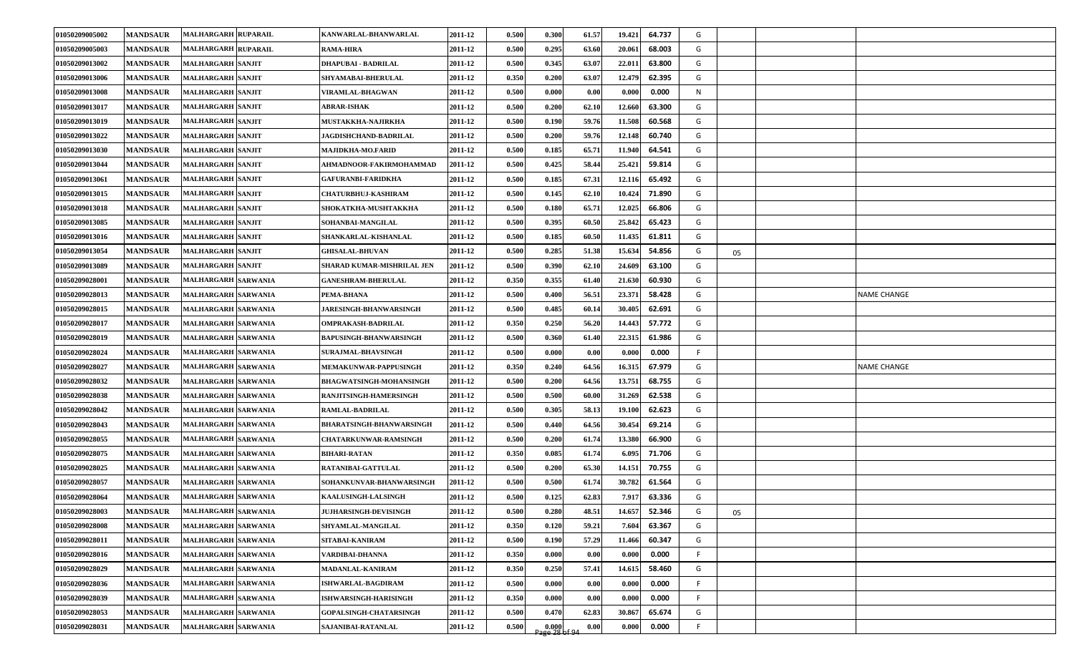| 01050209005002 | <b>MANDSAUR</b> | <b>MALHARGARH RUPARAIL</b> | KANWARLAL-BHANWARLAL            | 2011-12 | 0.500 | 0.300                  | 61.57 | 64.737<br>19.421 | G  |    |                    |
|----------------|-----------------|----------------------------|---------------------------------|---------|-------|------------------------|-------|------------------|----|----|--------------------|
| 01050209005003 | <b>MANDSAUR</b> | <b>MALHARGARH RUPARAIL</b> | <b>RAMA-HIRA</b>                | 2011-12 | 0.500 | 0.295                  | 63.60 | 20.061<br>68.003 | G  |    |                    |
| 01050209013002 | <b>MANDSAUR</b> | <b>MALHARGARH SANJIT</b>   | <b>DHAPUBAI - BADRILAL</b>      | 2011-12 | 0.500 | 0.345                  | 63.07 | 22.011<br>63.800 | G  |    |                    |
| 01050209013006 | <b>MANDSAUR</b> | <b>MALHARGARH SANJIT</b>   | <b>SHYAMABAI-BHERULAL</b>       | 2011-12 | 0.350 | 0.200                  | 63.07 | 62.395<br>12.479 | G  |    |                    |
| 01050209013008 | <b>MANDSAUR</b> | <b>MALHARGARH SANJIT</b>   | <b>VIRAMLAL-BHAGWAN</b>         | 2011-12 | 0.500 | 0.000                  | 0.00  | 0.000<br>0.000   | N  |    |                    |
| 01050209013017 | <b>MANDSAUR</b> | <b>MALHARGARH SANJIT</b>   | <b>ABRAR-ISHAK</b>              | 2011-12 | 0.500 | 0.200                  | 62.10 | 63.300<br>12.660 | G  |    |                    |
| 01050209013019 | <b>MANDSAUR</b> | <b>MALHARGARH SANJIT</b>   | <b>MUSTAKKHA-NAJIRKHA</b>       | 2011-12 | 0.500 | 0.190                  | 59.76 | 11.508<br>60.568 | G  |    |                    |
| 01050209013022 | <b>MANDSAUR</b> | <b>MALHARGARH SANJIT</b>   | <b>JAGDISHCHAND-BADRILAL</b>    | 2011-12 | 0.500 | 0.200                  | 59.76 | 60.740<br>12.148 | G  |    |                    |
| 01050209013030 | <b>MANDSAUR</b> | <b>MALHARGARH SANJIT</b>   | MAJIDKHA-MO.FARID               | 2011-12 | 0.500 | 0.185                  | 65.71 | 64.541<br>11.940 | G  |    |                    |
| 01050209013044 | <b>MANDSAUR</b> | <b>MALHARGARH SANJIT</b>   | AHMADNOOR-FAKIRMOHAMMAD         | 2011-12 | 0.500 | 0.425                  | 58.44 | 25.421<br>59.814 | G  |    |                    |
| 01050209013061 | <b>MANDSAUR</b> | <b>MALHARGARH SANJIT</b>   | <b>GAFURANBI-FARIDKHA</b>       | 2011-12 | 0.500 | 0.185                  | 67.31 | 65.492<br>12.116 | G  |    |                    |
| 01050209013015 | <b>MANDSAUR</b> | <b>MALHARGARH SANJIT</b>   | <b>CHATURBHUJ-KASHIRAM</b>      | 2011-12 | 0.500 | 0.145                  | 62.10 | 71.890<br>10.424 | G  |    |                    |
| 01050209013018 | <b>MANDSAUR</b> | <b>MALHARGARH SANJIT</b>   | SHOKATKHA-MUSHTAKKHA            | 2011-12 | 0.500 | 0.180                  | 65.71 | 12.025<br>66.806 | G  |    |                    |
| 01050209013085 | <b>MANDSAUR</b> | <b>MALHARGARH SANJIT</b>   | SOHANBAI-MANGILAL               | 2011-12 | 0.500 | 0.395                  | 60.50 | 25.842<br>65.423 | G  |    |                    |
| 01050209013016 | <b>MANDSAUR</b> | <b>MALHARGARH SANJIT</b>   | SHANKARLAL-KISHANLAL            | 2011-12 | 0.500 | 0.185                  | 60.50 | 61.811<br>11.435 | G  |    |                    |
| 01050209013054 | <b>MANDSAUR</b> | <b>MALHARGARH SANJIT</b>   | <b>GHISALAL-BHUVAN</b>          | 2011-12 | 0.500 | 0.285                  | 51.38 | 54.856<br>15.634 | G  | 05 |                    |
| 01050209013089 | <b>MANDSAUR</b> | <b>MALHARGARH SANJIT</b>   | SHARAD KUMAR-MISHRILAL JEN      | 2011-12 | 0.500 | 0.390                  | 62.10 | 24.609<br>63.100 | G  |    |                    |
| 01050209028001 | <b>MANDSAUR</b> | <b>MALHARGARH SARWANIA</b> | <b>GANESHRAM-BHERULAL</b>       | 2011-12 | 0.350 | 0.355                  | 61.40 | 21.630<br>60.930 | G  |    |                    |
| 01050209028013 | <b>MANDSAUR</b> | <b>MALHARGARH SARWANIA</b> | PEMA-BHANA                      | 2011-12 | 0.500 | 0.400                  | 56.51 | 23.371<br>58.428 | G  |    | <b>NAME CHANGE</b> |
| 01050209028015 | <b>MANDSAUR</b> | <b>MALHARGARH SARWANIA</b> | <b>JARESINGH-BHANWARSINGH</b>   | 2011-12 | 0.500 | 0.485                  | 60.14 | 62.691<br>30.405 | G  |    |                    |
| 01050209028017 | <b>MANDSAUR</b> | <b>MALHARGARH SARWANIA</b> | <b>OMPRAKASH-BADRILAL</b>       | 2011-12 | 0.350 | 0.250                  | 56.20 | 57.772<br>14.443 | G  |    |                    |
| 01050209028019 | <b>MANDSAUR</b> | <b>MALHARGARH SARWANIA</b> | <b>BAPUSINGH-BHANWARSINGH</b>   | 2011-12 | 0.500 | 0.360                  | 61.40 | 61.986<br>22.315 | G  |    |                    |
| 01050209028024 | <b>MANDSAUR</b> | <b>MALHARGARH SARWANIA</b> | <b>SURAJMAL-BHAVSINGH</b>       | 2011-12 | 0.500 | 0.000                  | 0.00  | 0.000<br>0.000   | F. |    |                    |
| 01050209028027 | <b>MANDSAUR</b> | <b>MALHARGARH SARWANIA</b> | <b>MEMAKUNWAR-PAPPUSINGH</b>    | 2011-12 | 0.350 | 0.240                  | 64.56 | 67.979<br>16.315 | G  |    | <b>NAME CHANGE</b> |
| 01050209028032 | <b>MANDSAUR</b> | <b>MALHARGARH SARWANIA</b> | <b>BHAGWATSINGH-MOHANSINGH</b>  | 2011-12 | 0.500 | 0.200                  | 64.56 | 13.751<br>68.755 | G  |    |                    |
| 01050209028038 | <b>MANDSAUR</b> | <b>MALHARGARH SARWANIA</b> | RANJITSINGH-HAMERSINGH          | 2011-12 | 0.500 | 0.500                  | 60.00 | 31.269<br>62.538 | G  |    |                    |
| 01050209028042 | <b>MANDSAUR</b> | <b>MALHARGARH SARWANIA</b> | <b>RAMLAL-BADRILAL</b>          | 2011-12 | 0.500 | 0.305                  | 58.13 | 62.623<br>19.100 | G  |    |                    |
| 01050209028043 | <b>MANDSAUR</b> | <b>MALHARGARH SARWANIA</b> | <b>BHARATSINGH-BHANWARSINGH</b> | 2011-12 | 0.500 | 0.440                  | 64.56 | 69.214<br>30.454 | G  |    |                    |
| 01050209028055 | <b>MANDSAUR</b> | <b>MALHARGARH SARWANIA</b> | <b>CHATARKUNWAR-RAMSINGH</b>    | 2011-12 | 0.500 | 0.200                  | 61.74 | 66.900<br>13.380 | G  |    |                    |
| 01050209028075 | <b>MANDSAUR</b> | <b>MALHARGARH SARWANIA</b> | <b>BIHARI-RATAN</b>             | 2011-12 | 0.350 | 0.085                  | 61.74 | 6.095<br>71.706  | G  |    |                    |
| 01050209028025 | <b>MANDSAUR</b> | <b>MALHARGARH SARWANIA</b> | RATANIBAI-GATTULAL              | 2011-12 | 0.500 | 0.200                  | 65.30 | 70.755<br>14.151 | G  |    |                    |
| 01050209028057 | <b>MANDSAUR</b> | <b>MALHARGARH SARWANIA</b> | SOHANKUNVAR-BHANWARSINGH        | 2011-12 | 0.500 | 0.500                  | 61.74 | 61.564<br>30.782 | G  |    |                    |
| 01050209028064 | <b>MANDSAUR</b> | <b>MALHARGARH SARWANIA</b> | KAALUSINGH-LALSINGH             | 2011-12 | 0.500 | 0.125                  | 62.83 | 63.336<br>7.917  | G  |    |                    |
| 01050209028003 | <b>MANDSAUR</b> | MALHARGARH SARWANIA        | <b>JUJHARSINGH-DEVISINGH</b>    | 2011-12 | 0.500 | 0.280                  | 48.51 | 14.657<br>52.346 | G  | 05 |                    |
| 01050209028008 | <b>MANDSAUR</b> | <b>MALHARGARH SARWANIA</b> | SHYAMLAL-MANGILAL               | 2011-12 | 0.350 | 0.120                  | 59.21 | 63.367<br>7.604  | G  |    |                    |
| 01050209028011 | <b>MANDSAUR</b> | <b>MALHARGARH SARWANIA</b> | SITABAI-KANIRAM                 | 2011-12 | 0.500 | 0.190                  | 57.29 | 11.466<br>60.347 | G  |    |                    |
| 01050209028016 | <b>MANDSAUR</b> | <b>MALHARGARH SARWANIA</b> | VARDIBAI-DHANNA                 | 2011-12 | 0.350 | 0.000                  | 0.00  | 0.000<br>0.000   | F. |    |                    |
| 01050209028029 | <b>MANDSAUR</b> | <b>MALHARGARH SARWANIA</b> | MADANLAL-KANIRAM                | 2011-12 | 0.350 | 0.250                  | 57.41 | 14.615<br>58.460 | G  |    |                    |
| 01050209028036 | <b>MANDSAUR</b> | <b>MALHARGARH SARWANIA</b> | <b>ISHWARLAL-BAGDIRAM</b>       | 2011-12 | 0.500 | 0.000                  | 0.00  | 0.000<br>0.000   | F. |    |                    |
| 01050209028039 | <b>MANDSAUR</b> | <b>MALHARGARH SARWANIA</b> | ISHWARSINGH-HARISINGH           | 2011-12 | 0.350 | 0.000                  | 0.00  | 0.000<br>0.000   | F. |    |                    |
| 01050209028053 | <b>MANDSAUR</b> | <b>MALHARGARH SARWANIA</b> | <b>GOPALSINGH-CHATARSINGH</b>   | 2011-12 | 0.500 | 0.470                  | 62.83 | 30.867<br>65.674 | G  |    |                    |
| 01050209028031 | <b>MANDSAUR</b> | <b>MALHARGARH SARWANIA</b> | SAJANIBAI-RATANLAL              | 2011-12 | 0.500 | 0.000<br>Page 28 of 94 | 0.00  | 0.000<br>0.000   | F. |    |                    |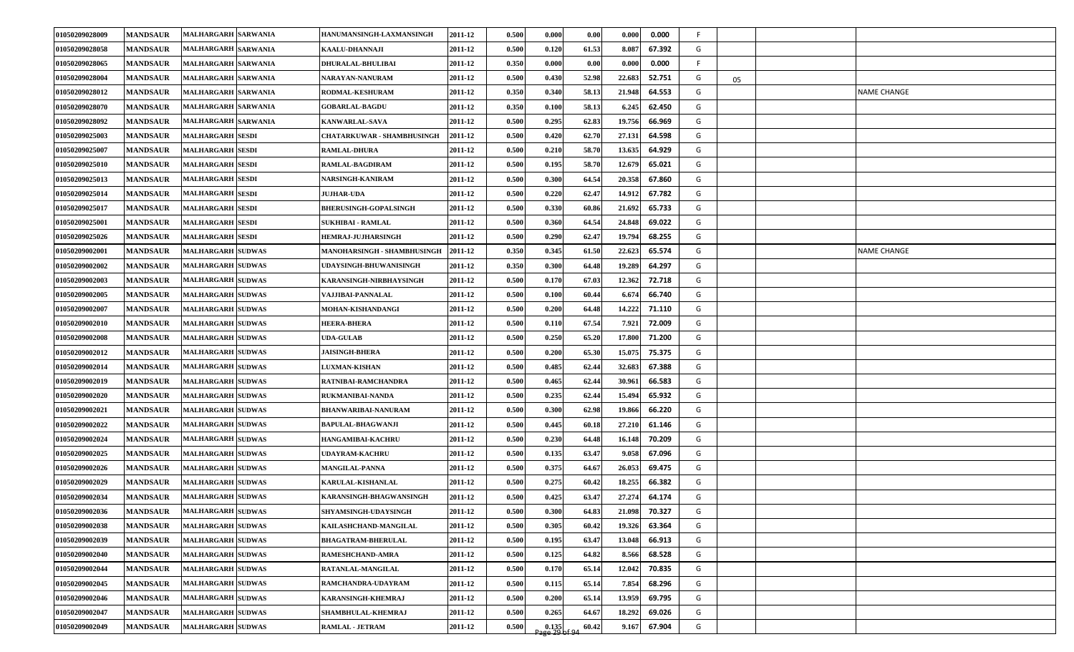| 01050209028058<br><b>MANDSAUR</b><br><b>MALHARGARH SARWANIA</b><br>61.53<br>67.392<br>KAALU-DHANNAJI<br>2011-12<br>0.500<br>0.120<br>8.087<br>G<br>01050209028065<br><b>MANDSAUR</b><br><b>MALHARGARH SARWANIA</b><br>DHURALAL-BHULIBAI<br>2011-12<br>0.350<br>0.000<br>0.00<br>0.000<br>0.000<br>F.<br>22.683<br>G<br>01050209028004<br><b>MANDSAUR</b><br><b>MALHARGARH SARWANIA</b><br>2011-12<br>0.500<br>0.430<br>52.98<br>52.751<br>NARAYAN-NANURAM<br>05<br>64.553<br>01050209028012<br><b>MANDSAUR</b><br><b>MALHARGARH SARWANIA</b><br>2011-12<br>0.350<br>0.340<br>58.13<br>21.948<br>G<br><b>NAME CHANGE</b><br>RODMAL-KESHURAM<br>01050209028070<br><b>MANDSAUR</b><br>58.13<br>62.450<br><b>MALHARGARH SARWANIA</b><br>2011-12<br>0.350<br>0.100<br>6.245<br>G<br><b>GOBARLAL-BAGDU</b><br>62.83<br>66.969<br>G<br>01050209028092<br><b>MANDSAUR</b><br>MALHARGARH SARWANIA<br>2011-12<br>0.500<br>0.295<br>19.756<br><b>KANWARLAL-SAVA</b><br><b>MANDSAUR</b><br><b>MALHARGARH SESDI</b><br><b>CHATARKUWAR - SHAMBHUSINGH</b><br>0.420<br>62.70<br>27.131<br>64.598<br>G<br>01050209025003<br>2011-12<br>0.500<br>01050209025007<br><b>MANDSAUR</b><br><b>MALHARGARH SESDI</b><br>0.210<br>58.70<br>13.635<br>64.929<br>G<br><b>RAMLAL-DHURA</b><br>2011-12<br>0.500<br>01050209025010<br><b>MANDSAUR</b><br>58.70<br>65.021<br>G<br><b>MALHARGARH SESDI</b><br><b>RAMLAL-BAGDIRAM</b><br>2011-12<br>0.500<br>0.195<br>12.679<br>01050209025013<br><b>MANDSAUR</b><br>0.300<br>64.54<br>20.358<br>67.860<br>G<br><b>MALHARGARH SESDI</b><br>NARSINGH-KANIRAM<br>2011-12<br>0.500<br>0.220<br>62.47<br>67.782<br>G<br>01050209025014<br><b>MANDSAUR</b><br>2011-12<br>0.500<br>14.912<br><b>MALHARGARH SESDI</b><br><b>JUJHAR-UDA</b><br>01050209025017<br><b>MANDSAUR</b><br>0.500<br>0.330<br>60.86<br>65.733<br>G<br><b>MALHARGARH SESDI</b><br><b>BHERUSINGH-GOPALSINGH</b><br>2011-12<br>21.692<br>G<br>01050209025001<br><b>MANDSAUR</b><br><b>MALHARGARH SESDI</b><br><b>SUKHIBAI - RAMLAL</b><br>0.500<br>0.360<br>64.54<br>24.848<br>69.022<br>2011-12<br><b>MANDSAUR</b><br><b>MALHARGARH SESDI</b><br>0.500<br>0.290<br>62.47<br>68.255<br>G<br>01050209025026<br><b>HEMRAJ-JUJHARSINGH</b><br>2011-12<br>19.794<br>G<br>01050209002001<br><b>MANDSAUR</b><br><b>MALHARGARH SUDWAS</b><br>2011-12<br>0.350<br>0.345<br>61.50<br>22.623<br>65.574<br>MANOHARSINGH - SHAMBHUSINGH<br>NAME CHANGE<br>01050209002002<br><b>MANDSAUR</b><br><b>MALHARGARH SUDWAS</b><br>0.350<br>0.300<br>64.48<br>19.289<br>64.297<br>G<br>2011-12<br>UDAYSINGH-BHUWANISINGH<br>01050209002003<br>G<br><b>MANDSAUR</b><br>0.500<br>0.170<br>67.03<br>12.362<br>72.718<br><b>MALHARGARH SUDWAS</b><br>KARANSINGH-NIRBHAYSINGH<br>2011-12<br><b>MALHARGARH SUDWAS</b><br>6.674<br>66.740<br>G<br>01050209002005<br><b>MANDSAUR</b><br>VAJJIBAI-PANNALAL<br>2011-12<br>0.500<br>0.100<br>60.44<br>01050209002007<br><b>MANDSAUR</b><br><b>MALHARGARH SUDWAS</b><br>MOHAN-KISHANDANGI<br>0.500<br>0.200<br>64.48<br>14.222<br>71.110<br>G<br>2011-12<br>67.54<br>01050209002010<br><b>MANDSAUR</b><br><b>MALHARGARH SUDWAS</b><br><b>HEERA-BHERA</b><br>2011-12<br>0.500<br>0.110<br>7.921<br>72.009<br>G<br>65.20<br>G<br>01050209002008<br><b>MANDSAUR</b><br><b>MALHARGARH SUDWAS</b><br>2011-12<br>0.500<br>0.250<br>17.800<br>71.200<br><b>UDA-GULAB</b><br>65.30<br>15.075<br>G<br>01050209002012<br><b>MANDSAUR</b><br><b>MALHARGARH SUDWAS</b><br>2011-12<br>0.500<br>0.200<br>75.375<br><b>JAISINGH-BHERA</b><br>G<br>01050209002014<br><b>MANDSAUR</b><br>2011-12<br>0.500<br>0.485<br>62.44<br>32.683<br>67.388<br><b>MALHARGARH SUDWAS</b><br><b>LUXMAN-KISHAN</b><br>01050209002019<br>0.465<br>62.44<br>30.961<br>66.583<br>G<br><b>MANDSAUR</b><br><b>MALHARGARH SUDWAS</b><br>2011-12<br>0.500<br>RATNIBAI-RAMCHANDRA<br>01050209002020<br><b>MANDSAUR</b><br><b>MALHARGARH SUDWAS</b><br>RUKMANIBAI-NANDA<br>2011-12<br>0.500<br>0.235<br>62.44<br>15.494<br>65.932<br>G<br><b>MALHARGARH SUDWAS</b><br>62.98<br>01050209002021<br><b>MANDSAUR</b><br><b>BHANWARIBAI-NANURAM</b><br>2011-12<br>0.500<br>0.300<br>19.866<br>66.220<br>G<br>01050209002022<br><b>MANDSAUR</b><br><b>MALHARGARH SUDWAS</b><br>2011-12<br>0.500<br>0.445<br>60.18<br>27.210<br>61.146<br>G<br><b>BAPULAL-BHAGWANJI</b><br>01050209002024<br><b>MANDSAUR</b><br>0.230<br>70.209<br><b>MALHARGARH SUDWAS</b><br>2011-12<br>0.500<br>64.48<br>16.148<br>G<br>HANGAMIBAI-KACHRU<br>67.096<br>G<br>01050209002025<br><b>MANDSAUR</b><br><b>MALHARGARH SUDWAS</b><br>2011-12<br>0.500<br>0.135<br>63.47<br>9.058<br>UDAYRAM-KACHRU<br><b>MALHARGARH SUDWAS</b><br>0.375<br>64.67<br>G<br>01050209002026<br><b>MANDSAUR</b><br><b>MANGILAL-PANNA</b><br>2011-12<br>0.500<br>26.053<br>69.475<br>01050209002029<br><b>MANDSAUR</b><br><b>MALHARGARH SUDWAS</b><br>0.275<br>60.42<br>18.255<br>66.382<br>G<br><b>KARULAL-KISHANLAL</b><br>2011-12<br>0.500<br>01050209002034<br><b>MANDSAUR</b><br><b>MALHARGARH SUDWAS</b><br>0.425<br>63.47<br>27.274<br>64.174<br>G<br>2011-12<br>0.500<br>KARANSINGH-BHAGWANSINGH<br>01050209002036<br><b>MALHARGARH SUDWAS</b><br><b>MANDSAUR</b><br>2011-12<br>0.500<br>0.300<br>64.83<br>21.098<br>70.327<br>G<br>SHYAMSINGH-UDAYSINGH<br>01050209002038<br>60.42<br>19.326<br>63.364<br>G<br><b>MANDSAUR</b><br><b>MALHARGARH SUDWAS</b><br>0.500<br>0.305<br>KAILASHCHAND-MANGILAL<br>2011-12<br>01050209002039<br>G<br><b>MANDSAUR</b><br><b>MALHARGARH SUDWAS</b><br>2011-12<br>0.500<br>63.47<br>13.048<br>66.913<br><b>BHAGATRAM-BHERULAL</b><br>0.195<br><b>MALHARGARH SUDWAS</b><br>01050209002040<br>RAMESHCHAND-AMRA<br>64.82<br>68.528<br>G<br><b>MANDSAUR</b><br>2011-12<br>0.500<br>0.125<br>8.566<br><b>MALHARGARH SUDWAS</b><br>G<br>01050209002044<br><b>MANDSAUR</b><br>RATANLAL-MANGILAL<br>2011-12<br>0.500<br>0.170<br>65.14<br>12.042<br>70.835<br>01050209002045<br><b>MALHARGARH SUDWAS</b><br>65.14<br>7.854<br>68.296<br>G<br><b>MANDSAUR</b><br>RAMCHANDRA-UDAYRAM<br>2011-12<br>0.500<br>0.115<br>01050209002046<br><b>MALHARGARH SUDWAS</b><br>G<br><b>MANDSAUR</b><br>0.500<br>0.200<br>65.14<br>13.959<br>69.795<br>KARANSINGH-KHEMRAJ<br>2011-12<br>01050209002047<br><b>MALHARGARH SUDWAS</b><br>69.026<br>G<br><b>MANDSAUR</b><br>SHAMBHULAL-KHEMRAJ<br>2011-12<br>0.500<br>0.265<br>64.67<br>18.292<br>G<br>MALHARGARH SUDWAS<br>60.42<br>9.167<br>67.904<br>01050209002049<br><b>MANDSAUR</b><br><b>RAMLAL - JETRAM</b><br>2011-12<br>0.500 | 01050209028009 | <b>MANDSAUR</b> | <b>MALHARGARH SARWANIA</b> | HANUMANSINGH-LAXMANSINGH | 2011-12 | 0.500 | 0.000                  | 0.00 | 0.000 | 0.000 | F. |  |  |
|-----------------------------------------------------------------------------------------------------------------------------------------------------------------------------------------------------------------------------------------------------------------------------------------------------------------------------------------------------------------------------------------------------------------------------------------------------------------------------------------------------------------------------------------------------------------------------------------------------------------------------------------------------------------------------------------------------------------------------------------------------------------------------------------------------------------------------------------------------------------------------------------------------------------------------------------------------------------------------------------------------------------------------------------------------------------------------------------------------------------------------------------------------------------------------------------------------------------------------------------------------------------------------------------------------------------------------------------------------------------------------------------------------------------------------------------------------------------------------------------------------------------------------------------------------------------------------------------------------------------------------------------------------------------------------------------------------------------------------------------------------------------------------------------------------------------------------------------------------------------------------------------------------------------------------------------------------------------------------------------------------------------------------------------------------------------------------------------------------------------------------------------------------------------------------------------------------------------------------------------------------------------------------------------------------------------------------------------------------------------------------------------------------------------------------------------------------------------------------------------------------------------------------------------------------------------------------------------------------------------------------------------------------------------------------------------------------------------------------------------------------------------------------------------------------------------------------------------------------------------------------------------------------------------------------------------------------------------------------------------------------------------------------------------------------------------------------------------------------------------------------------------------------------------------------------------------------------------------------------------------------------------------------------------------------------------------------------------------------------------------------------------------------------------------------------------------------------------------------------------------------------------------------------------------------------------------------------------------------------------------------------------------------------------------------------------------------------------------------------------------------------------------------------------------------------------------------------------------------------------------------------------------------------------------------------------------------------------------------------------------------------------------------------------------------------------------------------------------------------------------------------------------------------------------------------------------------------------------------------------------------------------------------------------------------------------------------------------------------------------------------------------------------------------------------------------------------------------------------------------------------------------------------------------------------------------------------------------------------------------------------------------------------------------------------------------------------------------------------------------------------------------------------------------------------------------------------------------------------------------------------------------------------------------------------------------------------------------------------------------------------------------------------------------------------------------------------------------------------------------------------------------------------------------------------------------------------------------------------------------------------------------------------------------------------------------------------------------------------------------------------------------------------------------------------------------------------------------------------------------------------------------------------------------------------------------------------------------------------------------------------------------------------------------------------------------------------------------------------------------------------------------------------------------------------------------------------------------------------------------------------------------------------------------------------------------------------------------------------------------------------------------------------------------------------------------------------------------------------------------------------------------------------------------------------------------------------------------------------------------------------------------------------------------------------------------------------------------------------------------------------------------------------------------------------------------------------------------------------------------------------------|----------------|-----------------|----------------------------|--------------------------|---------|-------|------------------------|------|-------|-------|----|--|--|
|                                                                                                                                                                                                                                                                                                                                                                                                                                                                                                                                                                                                                                                                                                                                                                                                                                                                                                                                                                                                                                                                                                                                                                                                                                                                                                                                                                                                                                                                                                                                                                                                                                                                                                                                                                                                                                                                                                                                                                                                                                                                                                                                                                                                                                                                                                                                                                                                                                                                                                                                                                                                                                                                                                                                                                                                                                                                                                                                                                                                                                                                                                                                                                                                                                                                                                                                                                                                                                                                                                                                                                                                                                                                                                                                                                                                                                                                                                                                                                                                                                                                                                                                                                                                                                                                                                                                                                                                                                                                                                                                                                                                                                                                                                                                                                                                                                                                                                                                                                                                                                                                                                                                                                                                                                                                                                                                                                                                                                                                                                                                                                                                                                                                                                                                                                                                                                                                                                                                                                                                                                                                                                                                                                                                                                                                                                                                                                                                                                                                                                           |                |                 |                            |                          |         |       |                        |      |       |       |    |  |  |
|                                                                                                                                                                                                                                                                                                                                                                                                                                                                                                                                                                                                                                                                                                                                                                                                                                                                                                                                                                                                                                                                                                                                                                                                                                                                                                                                                                                                                                                                                                                                                                                                                                                                                                                                                                                                                                                                                                                                                                                                                                                                                                                                                                                                                                                                                                                                                                                                                                                                                                                                                                                                                                                                                                                                                                                                                                                                                                                                                                                                                                                                                                                                                                                                                                                                                                                                                                                                                                                                                                                                                                                                                                                                                                                                                                                                                                                                                                                                                                                                                                                                                                                                                                                                                                                                                                                                                                                                                                                                                                                                                                                                                                                                                                                                                                                                                                                                                                                                                                                                                                                                                                                                                                                                                                                                                                                                                                                                                                                                                                                                                                                                                                                                                                                                                                                                                                                                                                                                                                                                                                                                                                                                                                                                                                                                                                                                                                                                                                                                                                           |                |                 |                            |                          |         |       |                        |      |       |       |    |  |  |
|                                                                                                                                                                                                                                                                                                                                                                                                                                                                                                                                                                                                                                                                                                                                                                                                                                                                                                                                                                                                                                                                                                                                                                                                                                                                                                                                                                                                                                                                                                                                                                                                                                                                                                                                                                                                                                                                                                                                                                                                                                                                                                                                                                                                                                                                                                                                                                                                                                                                                                                                                                                                                                                                                                                                                                                                                                                                                                                                                                                                                                                                                                                                                                                                                                                                                                                                                                                                                                                                                                                                                                                                                                                                                                                                                                                                                                                                                                                                                                                                                                                                                                                                                                                                                                                                                                                                                                                                                                                                                                                                                                                                                                                                                                                                                                                                                                                                                                                                                                                                                                                                                                                                                                                                                                                                                                                                                                                                                                                                                                                                                                                                                                                                                                                                                                                                                                                                                                                                                                                                                                                                                                                                                                                                                                                                                                                                                                                                                                                                                                           |                |                 |                            |                          |         |       |                        |      |       |       |    |  |  |
|                                                                                                                                                                                                                                                                                                                                                                                                                                                                                                                                                                                                                                                                                                                                                                                                                                                                                                                                                                                                                                                                                                                                                                                                                                                                                                                                                                                                                                                                                                                                                                                                                                                                                                                                                                                                                                                                                                                                                                                                                                                                                                                                                                                                                                                                                                                                                                                                                                                                                                                                                                                                                                                                                                                                                                                                                                                                                                                                                                                                                                                                                                                                                                                                                                                                                                                                                                                                                                                                                                                                                                                                                                                                                                                                                                                                                                                                                                                                                                                                                                                                                                                                                                                                                                                                                                                                                                                                                                                                                                                                                                                                                                                                                                                                                                                                                                                                                                                                                                                                                                                                                                                                                                                                                                                                                                                                                                                                                                                                                                                                                                                                                                                                                                                                                                                                                                                                                                                                                                                                                                                                                                                                                                                                                                                                                                                                                                                                                                                                                                           |                |                 |                            |                          |         |       |                        |      |       |       |    |  |  |
|                                                                                                                                                                                                                                                                                                                                                                                                                                                                                                                                                                                                                                                                                                                                                                                                                                                                                                                                                                                                                                                                                                                                                                                                                                                                                                                                                                                                                                                                                                                                                                                                                                                                                                                                                                                                                                                                                                                                                                                                                                                                                                                                                                                                                                                                                                                                                                                                                                                                                                                                                                                                                                                                                                                                                                                                                                                                                                                                                                                                                                                                                                                                                                                                                                                                                                                                                                                                                                                                                                                                                                                                                                                                                                                                                                                                                                                                                                                                                                                                                                                                                                                                                                                                                                                                                                                                                                                                                                                                                                                                                                                                                                                                                                                                                                                                                                                                                                                                                                                                                                                                                                                                                                                                                                                                                                                                                                                                                                                                                                                                                                                                                                                                                                                                                                                                                                                                                                                                                                                                                                                                                                                                                                                                                                                                                                                                                                                                                                                                                                           |                |                 |                            |                          |         |       |                        |      |       |       |    |  |  |
|                                                                                                                                                                                                                                                                                                                                                                                                                                                                                                                                                                                                                                                                                                                                                                                                                                                                                                                                                                                                                                                                                                                                                                                                                                                                                                                                                                                                                                                                                                                                                                                                                                                                                                                                                                                                                                                                                                                                                                                                                                                                                                                                                                                                                                                                                                                                                                                                                                                                                                                                                                                                                                                                                                                                                                                                                                                                                                                                                                                                                                                                                                                                                                                                                                                                                                                                                                                                                                                                                                                                                                                                                                                                                                                                                                                                                                                                                                                                                                                                                                                                                                                                                                                                                                                                                                                                                                                                                                                                                                                                                                                                                                                                                                                                                                                                                                                                                                                                                                                                                                                                                                                                                                                                                                                                                                                                                                                                                                                                                                                                                                                                                                                                                                                                                                                                                                                                                                                                                                                                                                                                                                                                                                                                                                                                                                                                                                                                                                                                                                           |                |                 |                            |                          |         |       |                        |      |       |       |    |  |  |
|                                                                                                                                                                                                                                                                                                                                                                                                                                                                                                                                                                                                                                                                                                                                                                                                                                                                                                                                                                                                                                                                                                                                                                                                                                                                                                                                                                                                                                                                                                                                                                                                                                                                                                                                                                                                                                                                                                                                                                                                                                                                                                                                                                                                                                                                                                                                                                                                                                                                                                                                                                                                                                                                                                                                                                                                                                                                                                                                                                                                                                                                                                                                                                                                                                                                                                                                                                                                                                                                                                                                                                                                                                                                                                                                                                                                                                                                                                                                                                                                                                                                                                                                                                                                                                                                                                                                                                                                                                                                                                                                                                                                                                                                                                                                                                                                                                                                                                                                                                                                                                                                                                                                                                                                                                                                                                                                                                                                                                                                                                                                                                                                                                                                                                                                                                                                                                                                                                                                                                                                                                                                                                                                                                                                                                                                                                                                                                                                                                                                                                           |                |                 |                            |                          |         |       |                        |      |       |       |    |  |  |
|                                                                                                                                                                                                                                                                                                                                                                                                                                                                                                                                                                                                                                                                                                                                                                                                                                                                                                                                                                                                                                                                                                                                                                                                                                                                                                                                                                                                                                                                                                                                                                                                                                                                                                                                                                                                                                                                                                                                                                                                                                                                                                                                                                                                                                                                                                                                                                                                                                                                                                                                                                                                                                                                                                                                                                                                                                                                                                                                                                                                                                                                                                                                                                                                                                                                                                                                                                                                                                                                                                                                                                                                                                                                                                                                                                                                                                                                                                                                                                                                                                                                                                                                                                                                                                                                                                                                                                                                                                                                                                                                                                                                                                                                                                                                                                                                                                                                                                                                                                                                                                                                                                                                                                                                                                                                                                                                                                                                                                                                                                                                                                                                                                                                                                                                                                                                                                                                                                                                                                                                                                                                                                                                                                                                                                                                                                                                                                                                                                                                                                           |                |                 |                            |                          |         |       |                        |      |       |       |    |  |  |
|                                                                                                                                                                                                                                                                                                                                                                                                                                                                                                                                                                                                                                                                                                                                                                                                                                                                                                                                                                                                                                                                                                                                                                                                                                                                                                                                                                                                                                                                                                                                                                                                                                                                                                                                                                                                                                                                                                                                                                                                                                                                                                                                                                                                                                                                                                                                                                                                                                                                                                                                                                                                                                                                                                                                                                                                                                                                                                                                                                                                                                                                                                                                                                                                                                                                                                                                                                                                                                                                                                                                                                                                                                                                                                                                                                                                                                                                                                                                                                                                                                                                                                                                                                                                                                                                                                                                                                                                                                                                                                                                                                                                                                                                                                                                                                                                                                                                                                                                                                                                                                                                                                                                                                                                                                                                                                                                                                                                                                                                                                                                                                                                                                                                                                                                                                                                                                                                                                                                                                                                                                                                                                                                                                                                                                                                                                                                                                                                                                                                                                           |                |                 |                            |                          |         |       |                        |      |       |       |    |  |  |
|                                                                                                                                                                                                                                                                                                                                                                                                                                                                                                                                                                                                                                                                                                                                                                                                                                                                                                                                                                                                                                                                                                                                                                                                                                                                                                                                                                                                                                                                                                                                                                                                                                                                                                                                                                                                                                                                                                                                                                                                                                                                                                                                                                                                                                                                                                                                                                                                                                                                                                                                                                                                                                                                                                                                                                                                                                                                                                                                                                                                                                                                                                                                                                                                                                                                                                                                                                                                                                                                                                                                                                                                                                                                                                                                                                                                                                                                                                                                                                                                                                                                                                                                                                                                                                                                                                                                                                                                                                                                                                                                                                                                                                                                                                                                                                                                                                                                                                                                                                                                                                                                                                                                                                                                                                                                                                                                                                                                                                                                                                                                                                                                                                                                                                                                                                                                                                                                                                                                                                                                                                                                                                                                                                                                                                                                                                                                                                                                                                                                                                           |                |                 |                            |                          |         |       |                        |      |       |       |    |  |  |
|                                                                                                                                                                                                                                                                                                                                                                                                                                                                                                                                                                                                                                                                                                                                                                                                                                                                                                                                                                                                                                                                                                                                                                                                                                                                                                                                                                                                                                                                                                                                                                                                                                                                                                                                                                                                                                                                                                                                                                                                                                                                                                                                                                                                                                                                                                                                                                                                                                                                                                                                                                                                                                                                                                                                                                                                                                                                                                                                                                                                                                                                                                                                                                                                                                                                                                                                                                                                                                                                                                                                                                                                                                                                                                                                                                                                                                                                                                                                                                                                                                                                                                                                                                                                                                                                                                                                                                                                                                                                                                                                                                                                                                                                                                                                                                                                                                                                                                                                                                                                                                                                                                                                                                                                                                                                                                                                                                                                                                                                                                                                                                                                                                                                                                                                                                                                                                                                                                                                                                                                                                                                                                                                                                                                                                                                                                                                                                                                                                                                                                           |                |                 |                            |                          |         |       |                        |      |       |       |    |  |  |
|                                                                                                                                                                                                                                                                                                                                                                                                                                                                                                                                                                                                                                                                                                                                                                                                                                                                                                                                                                                                                                                                                                                                                                                                                                                                                                                                                                                                                                                                                                                                                                                                                                                                                                                                                                                                                                                                                                                                                                                                                                                                                                                                                                                                                                                                                                                                                                                                                                                                                                                                                                                                                                                                                                                                                                                                                                                                                                                                                                                                                                                                                                                                                                                                                                                                                                                                                                                                                                                                                                                                                                                                                                                                                                                                                                                                                                                                                                                                                                                                                                                                                                                                                                                                                                                                                                                                                                                                                                                                                                                                                                                                                                                                                                                                                                                                                                                                                                                                                                                                                                                                                                                                                                                                                                                                                                                                                                                                                                                                                                                                                                                                                                                                                                                                                                                                                                                                                                                                                                                                                                                                                                                                                                                                                                                                                                                                                                                                                                                                                                           |                |                 |                            |                          |         |       |                        |      |       |       |    |  |  |
|                                                                                                                                                                                                                                                                                                                                                                                                                                                                                                                                                                                                                                                                                                                                                                                                                                                                                                                                                                                                                                                                                                                                                                                                                                                                                                                                                                                                                                                                                                                                                                                                                                                                                                                                                                                                                                                                                                                                                                                                                                                                                                                                                                                                                                                                                                                                                                                                                                                                                                                                                                                                                                                                                                                                                                                                                                                                                                                                                                                                                                                                                                                                                                                                                                                                                                                                                                                                                                                                                                                                                                                                                                                                                                                                                                                                                                                                                                                                                                                                                                                                                                                                                                                                                                                                                                                                                                                                                                                                                                                                                                                                                                                                                                                                                                                                                                                                                                                                                                                                                                                                                                                                                                                                                                                                                                                                                                                                                                                                                                                                                                                                                                                                                                                                                                                                                                                                                                                                                                                                                                                                                                                                                                                                                                                                                                                                                                                                                                                                                                           |                |                 |                            |                          |         |       |                        |      |       |       |    |  |  |
|                                                                                                                                                                                                                                                                                                                                                                                                                                                                                                                                                                                                                                                                                                                                                                                                                                                                                                                                                                                                                                                                                                                                                                                                                                                                                                                                                                                                                                                                                                                                                                                                                                                                                                                                                                                                                                                                                                                                                                                                                                                                                                                                                                                                                                                                                                                                                                                                                                                                                                                                                                                                                                                                                                                                                                                                                                                                                                                                                                                                                                                                                                                                                                                                                                                                                                                                                                                                                                                                                                                                                                                                                                                                                                                                                                                                                                                                                                                                                                                                                                                                                                                                                                                                                                                                                                                                                                                                                                                                                                                                                                                                                                                                                                                                                                                                                                                                                                                                                                                                                                                                                                                                                                                                                                                                                                                                                                                                                                                                                                                                                                                                                                                                                                                                                                                                                                                                                                                                                                                                                                                                                                                                                                                                                                                                                                                                                                                                                                                                                                           |                |                 |                            |                          |         |       |                        |      |       |       |    |  |  |
|                                                                                                                                                                                                                                                                                                                                                                                                                                                                                                                                                                                                                                                                                                                                                                                                                                                                                                                                                                                                                                                                                                                                                                                                                                                                                                                                                                                                                                                                                                                                                                                                                                                                                                                                                                                                                                                                                                                                                                                                                                                                                                                                                                                                                                                                                                                                                                                                                                                                                                                                                                                                                                                                                                                                                                                                                                                                                                                                                                                                                                                                                                                                                                                                                                                                                                                                                                                                                                                                                                                                                                                                                                                                                                                                                                                                                                                                                                                                                                                                                                                                                                                                                                                                                                                                                                                                                                                                                                                                                                                                                                                                                                                                                                                                                                                                                                                                                                                                                                                                                                                                                                                                                                                                                                                                                                                                                                                                                                                                                                                                                                                                                                                                                                                                                                                                                                                                                                                                                                                                                                                                                                                                                                                                                                                                                                                                                                                                                                                                                                           |                |                 |                            |                          |         |       |                        |      |       |       |    |  |  |
|                                                                                                                                                                                                                                                                                                                                                                                                                                                                                                                                                                                                                                                                                                                                                                                                                                                                                                                                                                                                                                                                                                                                                                                                                                                                                                                                                                                                                                                                                                                                                                                                                                                                                                                                                                                                                                                                                                                                                                                                                                                                                                                                                                                                                                                                                                                                                                                                                                                                                                                                                                                                                                                                                                                                                                                                                                                                                                                                                                                                                                                                                                                                                                                                                                                                                                                                                                                                                                                                                                                                                                                                                                                                                                                                                                                                                                                                                                                                                                                                                                                                                                                                                                                                                                                                                                                                                                                                                                                                                                                                                                                                                                                                                                                                                                                                                                                                                                                                                                                                                                                                                                                                                                                                                                                                                                                                                                                                                                                                                                                                                                                                                                                                                                                                                                                                                                                                                                                                                                                                                                                                                                                                                                                                                                                                                                                                                                                                                                                                                                           |                |                 |                            |                          |         |       |                        |      |       |       |    |  |  |
|                                                                                                                                                                                                                                                                                                                                                                                                                                                                                                                                                                                                                                                                                                                                                                                                                                                                                                                                                                                                                                                                                                                                                                                                                                                                                                                                                                                                                                                                                                                                                                                                                                                                                                                                                                                                                                                                                                                                                                                                                                                                                                                                                                                                                                                                                                                                                                                                                                                                                                                                                                                                                                                                                                                                                                                                                                                                                                                                                                                                                                                                                                                                                                                                                                                                                                                                                                                                                                                                                                                                                                                                                                                                                                                                                                                                                                                                                                                                                                                                                                                                                                                                                                                                                                                                                                                                                                                                                                                                                                                                                                                                                                                                                                                                                                                                                                                                                                                                                                                                                                                                                                                                                                                                                                                                                                                                                                                                                                                                                                                                                                                                                                                                                                                                                                                                                                                                                                                                                                                                                                                                                                                                                                                                                                                                                                                                                                                                                                                                                                           |                |                 |                            |                          |         |       |                        |      |       |       |    |  |  |
|                                                                                                                                                                                                                                                                                                                                                                                                                                                                                                                                                                                                                                                                                                                                                                                                                                                                                                                                                                                                                                                                                                                                                                                                                                                                                                                                                                                                                                                                                                                                                                                                                                                                                                                                                                                                                                                                                                                                                                                                                                                                                                                                                                                                                                                                                                                                                                                                                                                                                                                                                                                                                                                                                                                                                                                                                                                                                                                                                                                                                                                                                                                                                                                                                                                                                                                                                                                                                                                                                                                                                                                                                                                                                                                                                                                                                                                                                                                                                                                                                                                                                                                                                                                                                                                                                                                                                                                                                                                                                                                                                                                                                                                                                                                                                                                                                                                                                                                                                                                                                                                                                                                                                                                                                                                                                                                                                                                                                                                                                                                                                                                                                                                                                                                                                                                                                                                                                                                                                                                                                                                                                                                                                                                                                                                                                                                                                                                                                                                                                                           |                |                 |                            |                          |         |       |                        |      |       |       |    |  |  |
|                                                                                                                                                                                                                                                                                                                                                                                                                                                                                                                                                                                                                                                                                                                                                                                                                                                                                                                                                                                                                                                                                                                                                                                                                                                                                                                                                                                                                                                                                                                                                                                                                                                                                                                                                                                                                                                                                                                                                                                                                                                                                                                                                                                                                                                                                                                                                                                                                                                                                                                                                                                                                                                                                                                                                                                                                                                                                                                                                                                                                                                                                                                                                                                                                                                                                                                                                                                                                                                                                                                                                                                                                                                                                                                                                                                                                                                                                                                                                                                                                                                                                                                                                                                                                                                                                                                                                                                                                                                                                                                                                                                                                                                                                                                                                                                                                                                                                                                                                                                                                                                                                                                                                                                                                                                                                                                                                                                                                                                                                                                                                                                                                                                                                                                                                                                                                                                                                                                                                                                                                                                                                                                                                                                                                                                                                                                                                                                                                                                                                                           |                |                 |                            |                          |         |       |                        |      |       |       |    |  |  |
|                                                                                                                                                                                                                                                                                                                                                                                                                                                                                                                                                                                                                                                                                                                                                                                                                                                                                                                                                                                                                                                                                                                                                                                                                                                                                                                                                                                                                                                                                                                                                                                                                                                                                                                                                                                                                                                                                                                                                                                                                                                                                                                                                                                                                                                                                                                                                                                                                                                                                                                                                                                                                                                                                                                                                                                                                                                                                                                                                                                                                                                                                                                                                                                                                                                                                                                                                                                                                                                                                                                                                                                                                                                                                                                                                                                                                                                                                                                                                                                                                                                                                                                                                                                                                                                                                                                                                                                                                                                                                                                                                                                                                                                                                                                                                                                                                                                                                                                                                                                                                                                                                                                                                                                                                                                                                                                                                                                                                                                                                                                                                                                                                                                                                                                                                                                                                                                                                                                                                                                                                                                                                                                                                                                                                                                                                                                                                                                                                                                                                                           |                |                 |                            |                          |         |       |                        |      |       |       |    |  |  |
|                                                                                                                                                                                                                                                                                                                                                                                                                                                                                                                                                                                                                                                                                                                                                                                                                                                                                                                                                                                                                                                                                                                                                                                                                                                                                                                                                                                                                                                                                                                                                                                                                                                                                                                                                                                                                                                                                                                                                                                                                                                                                                                                                                                                                                                                                                                                                                                                                                                                                                                                                                                                                                                                                                                                                                                                                                                                                                                                                                                                                                                                                                                                                                                                                                                                                                                                                                                                                                                                                                                                                                                                                                                                                                                                                                                                                                                                                                                                                                                                                                                                                                                                                                                                                                                                                                                                                                                                                                                                                                                                                                                                                                                                                                                                                                                                                                                                                                                                                                                                                                                                                                                                                                                                                                                                                                                                                                                                                                                                                                                                                                                                                                                                                                                                                                                                                                                                                                                                                                                                                                                                                                                                                                                                                                                                                                                                                                                                                                                                                                           |                |                 |                            |                          |         |       |                        |      |       |       |    |  |  |
|                                                                                                                                                                                                                                                                                                                                                                                                                                                                                                                                                                                                                                                                                                                                                                                                                                                                                                                                                                                                                                                                                                                                                                                                                                                                                                                                                                                                                                                                                                                                                                                                                                                                                                                                                                                                                                                                                                                                                                                                                                                                                                                                                                                                                                                                                                                                                                                                                                                                                                                                                                                                                                                                                                                                                                                                                                                                                                                                                                                                                                                                                                                                                                                                                                                                                                                                                                                                                                                                                                                                                                                                                                                                                                                                                                                                                                                                                                                                                                                                                                                                                                                                                                                                                                                                                                                                                                                                                                                                                                                                                                                                                                                                                                                                                                                                                                                                                                                                                                                                                                                                                                                                                                                                                                                                                                                                                                                                                                                                                                                                                                                                                                                                                                                                                                                                                                                                                                                                                                                                                                                                                                                                                                                                                                                                                                                                                                                                                                                                                                           |                |                 |                            |                          |         |       |                        |      |       |       |    |  |  |
|                                                                                                                                                                                                                                                                                                                                                                                                                                                                                                                                                                                                                                                                                                                                                                                                                                                                                                                                                                                                                                                                                                                                                                                                                                                                                                                                                                                                                                                                                                                                                                                                                                                                                                                                                                                                                                                                                                                                                                                                                                                                                                                                                                                                                                                                                                                                                                                                                                                                                                                                                                                                                                                                                                                                                                                                                                                                                                                                                                                                                                                                                                                                                                                                                                                                                                                                                                                                                                                                                                                                                                                                                                                                                                                                                                                                                                                                                                                                                                                                                                                                                                                                                                                                                                                                                                                                                                                                                                                                                                                                                                                                                                                                                                                                                                                                                                                                                                                                                                                                                                                                                                                                                                                                                                                                                                                                                                                                                                                                                                                                                                                                                                                                                                                                                                                                                                                                                                                                                                                                                                                                                                                                                                                                                                                                                                                                                                                                                                                                                                           |                |                 |                            |                          |         |       |                        |      |       |       |    |  |  |
|                                                                                                                                                                                                                                                                                                                                                                                                                                                                                                                                                                                                                                                                                                                                                                                                                                                                                                                                                                                                                                                                                                                                                                                                                                                                                                                                                                                                                                                                                                                                                                                                                                                                                                                                                                                                                                                                                                                                                                                                                                                                                                                                                                                                                                                                                                                                                                                                                                                                                                                                                                                                                                                                                                                                                                                                                                                                                                                                                                                                                                                                                                                                                                                                                                                                                                                                                                                                                                                                                                                                                                                                                                                                                                                                                                                                                                                                                                                                                                                                                                                                                                                                                                                                                                                                                                                                                                                                                                                                                                                                                                                                                                                                                                                                                                                                                                                                                                                                                                                                                                                                                                                                                                                                                                                                                                                                                                                                                                                                                                                                                                                                                                                                                                                                                                                                                                                                                                                                                                                                                                                                                                                                                                                                                                                                                                                                                                                                                                                                                                           |                |                 |                            |                          |         |       |                        |      |       |       |    |  |  |
|                                                                                                                                                                                                                                                                                                                                                                                                                                                                                                                                                                                                                                                                                                                                                                                                                                                                                                                                                                                                                                                                                                                                                                                                                                                                                                                                                                                                                                                                                                                                                                                                                                                                                                                                                                                                                                                                                                                                                                                                                                                                                                                                                                                                                                                                                                                                                                                                                                                                                                                                                                                                                                                                                                                                                                                                                                                                                                                                                                                                                                                                                                                                                                                                                                                                                                                                                                                                                                                                                                                                                                                                                                                                                                                                                                                                                                                                                                                                                                                                                                                                                                                                                                                                                                                                                                                                                                                                                                                                                                                                                                                                                                                                                                                                                                                                                                                                                                                                                                                                                                                                                                                                                                                                                                                                                                                                                                                                                                                                                                                                                                                                                                                                                                                                                                                                                                                                                                                                                                                                                                                                                                                                                                                                                                                                                                                                                                                                                                                                                                           |                |                 |                            |                          |         |       |                        |      |       |       |    |  |  |
|                                                                                                                                                                                                                                                                                                                                                                                                                                                                                                                                                                                                                                                                                                                                                                                                                                                                                                                                                                                                                                                                                                                                                                                                                                                                                                                                                                                                                                                                                                                                                                                                                                                                                                                                                                                                                                                                                                                                                                                                                                                                                                                                                                                                                                                                                                                                                                                                                                                                                                                                                                                                                                                                                                                                                                                                                                                                                                                                                                                                                                                                                                                                                                                                                                                                                                                                                                                                                                                                                                                                                                                                                                                                                                                                                                                                                                                                                                                                                                                                                                                                                                                                                                                                                                                                                                                                                                                                                                                                                                                                                                                                                                                                                                                                                                                                                                                                                                                                                                                                                                                                                                                                                                                                                                                                                                                                                                                                                                                                                                                                                                                                                                                                                                                                                                                                                                                                                                                                                                                                                                                                                                                                                                                                                                                                                                                                                                                                                                                                                                           |                |                 |                            |                          |         |       |                        |      |       |       |    |  |  |
|                                                                                                                                                                                                                                                                                                                                                                                                                                                                                                                                                                                                                                                                                                                                                                                                                                                                                                                                                                                                                                                                                                                                                                                                                                                                                                                                                                                                                                                                                                                                                                                                                                                                                                                                                                                                                                                                                                                                                                                                                                                                                                                                                                                                                                                                                                                                                                                                                                                                                                                                                                                                                                                                                                                                                                                                                                                                                                                                                                                                                                                                                                                                                                                                                                                                                                                                                                                                                                                                                                                                                                                                                                                                                                                                                                                                                                                                                                                                                                                                                                                                                                                                                                                                                                                                                                                                                                                                                                                                                                                                                                                                                                                                                                                                                                                                                                                                                                                                                                                                                                                                                                                                                                                                                                                                                                                                                                                                                                                                                                                                                                                                                                                                                                                                                                                                                                                                                                                                                                                                                                                                                                                                                                                                                                                                                                                                                                                                                                                                                                           |                |                 |                            |                          |         |       |                        |      |       |       |    |  |  |
|                                                                                                                                                                                                                                                                                                                                                                                                                                                                                                                                                                                                                                                                                                                                                                                                                                                                                                                                                                                                                                                                                                                                                                                                                                                                                                                                                                                                                                                                                                                                                                                                                                                                                                                                                                                                                                                                                                                                                                                                                                                                                                                                                                                                                                                                                                                                                                                                                                                                                                                                                                                                                                                                                                                                                                                                                                                                                                                                                                                                                                                                                                                                                                                                                                                                                                                                                                                                                                                                                                                                                                                                                                                                                                                                                                                                                                                                                                                                                                                                                                                                                                                                                                                                                                                                                                                                                                                                                                                                                                                                                                                                                                                                                                                                                                                                                                                                                                                                                                                                                                                                                                                                                                                                                                                                                                                                                                                                                                                                                                                                                                                                                                                                                                                                                                                                                                                                                                                                                                                                                                                                                                                                                                                                                                                                                                                                                                                                                                                                                                           |                |                 |                            |                          |         |       |                        |      |       |       |    |  |  |
|                                                                                                                                                                                                                                                                                                                                                                                                                                                                                                                                                                                                                                                                                                                                                                                                                                                                                                                                                                                                                                                                                                                                                                                                                                                                                                                                                                                                                                                                                                                                                                                                                                                                                                                                                                                                                                                                                                                                                                                                                                                                                                                                                                                                                                                                                                                                                                                                                                                                                                                                                                                                                                                                                                                                                                                                                                                                                                                                                                                                                                                                                                                                                                                                                                                                                                                                                                                                                                                                                                                                                                                                                                                                                                                                                                                                                                                                                                                                                                                                                                                                                                                                                                                                                                                                                                                                                                                                                                                                                                                                                                                                                                                                                                                                                                                                                                                                                                                                                                                                                                                                                                                                                                                                                                                                                                                                                                                                                                                                                                                                                                                                                                                                                                                                                                                                                                                                                                                                                                                                                                                                                                                                                                                                                                                                                                                                                                                                                                                                                                           |                |                 |                            |                          |         |       |                        |      |       |       |    |  |  |
|                                                                                                                                                                                                                                                                                                                                                                                                                                                                                                                                                                                                                                                                                                                                                                                                                                                                                                                                                                                                                                                                                                                                                                                                                                                                                                                                                                                                                                                                                                                                                                                                                                                                                                                                                                                                                                                                                                                                                                                                                                                                                                                                                                                                                                                                                                                                                                                                                                                                                                                                                                                                                                                                                                                                                                                                                                                                                                                                                                                                                                                                                                                                                                                                                                                                                                                                                                                                                                                                                                                                                                                                                                                                                                                                                                                                                                                                                                                                                                                                                                                                                                                                                                                                                                                                                                                                                                                                                                                                                                                                                                                                                                                                                                                                                                                                                                                                                                                                                                                                                                                                                                                                                                                                                                                                                                                                                                                                                                                                                                                                                                                                                                                                                                                                                                                                                                                                                                                                                                                                                                                                                                                                                                                                                                                                                                                                                                                                                                                                                                           |                |                 |                            |                          |         |       |                        |      |       |       |    |  |  |
|                                                                                                                                                                                                                                                                                                                                                                                                                                                                                                                                                                                                                                                                                                                                                                                                                                                                                                                                                                                                                                                                                                                                                                                                                                                                                                                                                                                                                                                                                                                                                                                                                                                                                                                                                                                                                                                                                                                                                                                                                                                                                                                                                                                                                                                                                                                                                                                                                                                                                                                                                                                                                                                                                                                                                                                                                                                                                                                                                                                                                                                                                                                                                                                                                                                                                                                                                                                                                                                                                                                                                                                                                                                                                                                                                                                                                                                                                                                                                                                                                                                                                                                                                                                                                                                                                                                                                                                                                                                                                                                                                                                                                                                                                                                                                                                                                                                                                                                                                                                                                                                                                                                                                                                                                                                                                                                                                                                                                                                                                                                                                                                                                                                                                                                                                                                                                                                                                                                                                                                                                                                                                                                                                                                                                                                                                                                                                                                                                                                                                                           |                |                 |                            |                          |         |       |                        |      |       |       |    |  |  |
|                                                                                                                                                                                                                                                                                                                                                                                                                                                                                                                                                                                                                                                                                                                                                                                                                                                                                                                                                                                                                                                                                                                                                                                                                                                                                                                                                                                                                                                                                                                                                                                                                                                                                                                                                                                                                                                                                                                                                                                                                                                                                                                                                                                                                                                                                                                                                                                                                                                                                                                                                                                                                                                                                                                                                                                                                                                                                                                                                                                                                                                                                                                                                                                                                                                                                                                                                                                                                                                                                                                                                                                                                                                                                                                                                                                                                                                                                                                                                                                                                                                                                                                                                                                                                                                                                                                                                                                                                                                                                                                                                                                                                                                                                                                                                                                                                                                                                                                                                                                                                                                                                                                                                                                                                                                                                                                                                                                                                                                                                                                                                                                                                                                                                                                                                                                                                                                                                                                                                                                                                                                                                                                                                                                                                                                                                                                                                                                                                                                                                                           |                |                 |                            |                          |         |       |                        |      |       |       |    |  |  |
|                                                                                                                                                                                                                                                                                                                                                                                                                                                                                                                                                                                                                                                                                                                                                                                                                                                                                                                                                                                                                                                                                                                                                                                                                                                                                                                                                                                                                                                                                                                                                                                                                                                                                                                                                                                                                                                                                                                                                                                                                                                                                                                                                                                                                                                                                                                                                                                                                                                                                                                                                                                                                                                                                                                                                                                                                                                                                                                                                                                                                                                                                                                                                                                                                                                                                                                                                                                                                                                                                                                                                                                                                                                                                                                                                                                                                                                                                                                                                                                                                                                                                                                                                                                                                                                                                                                                                                                                                                                                                                                                                                                                                                                                                                                                                                                                                                                                                                                                                                                                                                                                                                                                                                                                                                                                                                                                                                                                                                                                                                                                                                                                                                                                                                                                                                                                                                                                                                                                                                                                                                                                                                                                                                                                                                                                                                                                                                                                                                                                                                           |                |                 |                            |                          |         |       |                        |      |       |       |    |  |  |
|                                                                                                                                                                                                                                                                                                                                                                                                                                                                                                                                                                                                                                                                                                                                                                                                                                                                                                                                                                                                                                                                                                                                                                                                                                                                                                                                                                                                                                                                                                                                                                                                                                                                                                                                                                                                                                                                                                                                                                                                                                                                                                                                                                                                                                                                                                                                                                                                                                                                                                                                                                                                                                                                                                                                                                                                                                                                                                                                                                                                                                                                                                                                                                                                                                                                                                                                                                                                                                                                                                                                                                                                                                                                                                                                                                                                                                                                                                                                                                                                                                                                                                                                                                                                                                                                                                                                                                                                                                                                                                                                                                                                                                                                                                                                                                                                                                                                                                                                                                                                                                                                                                                                                                                                                                                                                                                                                                                                                                                                                                                                                                                                                                                                                                                                                                                                                                                                                                                                                                                                                                                                                                                                                                                                                                                                                                                                                                                                                                                                                                           |                |                 |                            |                          |         |       |                        |      |       |       |    |  |  |
|                                                                                                                                                                                                                                                                                                                                                                                                                                                                                                                                                                                                                                                                                                                                                                                                                                                                                                                                                                                                                                                                                                                                                                                                                                                                                                                                                                                                                                                                                                                                                                                                                                                                                                                                                                                                                                                                                                                                                                                                                                                                                                                                                                                                                                                                                                                                                                                                                                                                                                                                                                                                                                                                                                                                                                                                                                                                                                                                                                                                                                                                                                                                                                                                                                                                                                                                                                                                                                                                                                                                                                                                                                                                                                                                                                                                                                                                                                                                                                                                                                                                                                                                                                                                                                                                                                                                                                                                                                                                                                                                                                                                                                                                                                                                                                                                                                                                                                                                                                                                                                                                                                                                                                                                                                                                                                                                                                                                                                                                                                                                                                                                                                                                                                                                                                                                                                                                                                                                                                                                                                                                                                                                                                                                                                                                                                                                                                                                                                                                                                           |                |                 |                            |                          |         |       |                        |      |       |       |    |  |  |
|                                                                                                                                                                                                                                                                                                                                                                                                                                                                                                                                                                                                                                                                                                                                                                                                                                                                                                                                                                                                                                                                                                                                                                                                                                                                                                                                                                                                                                                                                                                                                                                                                                                                                                                                                                                                                                                                                                                                                                                                                                                                                                                                                                                                                                                                                                                                                                                                                                                                                                                                                                                                                                                                                                                                                                                                                                                                                                                                                                                                                                                                                                                                                                                                                                                                                                                                                                                                                                                                                                                                                                                                                                                                                                                                                                                                                                                                                                                                                                                                                                                                                                                                                                                                                                                                                                                                                                                                                                                                                                                                                                                                                                                                                                                                                                                                                                                                                                                                                                                                                                                                                                                                                                                                                                                                                                                                                                                                                                                                                                                                                                                                                                                                                                                                                                                                                                                                                                                                                                                                                                                                                                                                                                                                                                                                                                                                                                                                                                                                                                           |                |                 |                            |                          |         |       |                        |      |       |       |    |  |  |
|                                                                                                                                                                                                                                                                                                                                                                                                                                                                                                                                                                                                                                                                                                                                                                                                                                                                                                                                                                                                                                                                                                                                                                                                                                                                                                                                                                                                                                                                                                                                                                                                                                                                                                                                                                                                                                                                                                                                                                                                                                                                                                                                                                                                                                                                                                                                                                                                                                                                                                                                                                                                                                                                                                                                                                                                                                                                                                                                                                                                                                                                                                                                                                                                                                                                                                                                                                                                                                                                                                                                                                                                                                                                                                                                                                                                                                                                                                                                                                                                                                                                                                                                                                                                                                                                                                                                                                                                                                                                                                                                                                                                                                                                                                                                                                                                                                                                                                                                                                                                                                                                                                                                                                                                                                                                                                                                                                                                                                                                                                                                                                                                                                                                                                                                                                                                                                                                                                                                                                                                                                                                                                                                                                                                                                                                                                                                                                                                                                                                                                           |                |                 |                            |                          |         |       |                        |      |       |       |    |  |  |
|                                                                                                                                                                                                                                                                                                                                                                                                                                                                                                                                                                                                                                                                                                                                                                                                                                                                                                                                                                                                                                                                                                                                                                                                                                                                                                                                                                                                                                                                                                                                                                                                                                                                                                                                                                                                                                                                                                                                                                                                                                                                                                                                                                                                                                                                                                                                                                                                                                                                                                                                                                                                                                                                                                                                                                                                                                                                                                                                                                                                                                                                                                                                                                                                                                                                                                                                                                                                                                                                                                                                                                                                                                                                                                                                                                                                                                                                                                                                                                                                                                                                                                                                                                                                                                                                                                                                                                                                                                                                                                                                                                                                                                                                                                                                                                                                                                                                                                                                                                                                                                                                                                                                                                                                                                                                                                                                                                                                                                                                                                                                                                                                                                                                                                                                                                                                                                                                                                                                                                                                                                                                                                                                                                                                                                                                                                                                                                                                                                                                                                           |                |                 |                            |                          |         |       |                        |      |       |       |    |  |  |
|                                                                                                                                                                                                                                                                                                                                                                                                                                                                                                                                                                                                                                                                                                                                                                                                                                                                                                                                                                                                                                                                                                                                                                                                                                                                                                                                                                                                                                                                                                                                                                                                                                                                                                                                                                                                                                                                                                                                                                                                                                                                                                                                                                                                                                                                                                                                                                                                                                                                                                                                                                                                                                                                                                                                                                                                                                                                                                                                                                                                                                                                                                                                                                                                                                                                                                                                                                                                                                                                                                                                                                                                                                                                                                                                                                                                                                                                                                                                                                                                                                                                                                                                                                                                                                                                                                                                                                                                                                                                                                                                                                                                                                                                                                                                                                                                                                                                                                                                                                                                                                                                                                                                                                                                                                                                                                                                                                                                                                                                                                                                                                                                                                                                                                                                                                                                                                                                                                                                                                                                                                                                                                                                                                                                                                                                                                                                                                                                                                                                                                           |                |                 |                            |                          |         |       |                        |      |       |       |    |  |  |
|                                                                                                                                                                                                                                                                                                                                                                                                                                                                                                                                                                                                                                                                                                                                                                                                                                                                                                                                                                                                                                                                                                                                                                                                                                                                                                                                                                                                                                                                                                                                                                                                                                                                                                                                                                                                                                                                                                                                                                                                                                                                                                                                                                                                                                                                                                                                                                                                                                                                                                                                                                                                                                                                                                                                                                                                                                                                                                                                                                                                                                                                                                                                                                                                                                                                                                                                                                                                                                                                                                                                                                                                                                                                                                                                                                                                                                                                                                                                                                                                                                                                                                                                                                                                                                                                                                                                                                                                                                                                                                                                                                                                                                                                                                                                                                                                                                                                                                                                                                                                                                                                                                                                                                                                                                                                                                                                                                                                                                                                                                                                                                                                                                                                                                                                                                                                                                                                                                                                                                                                                                                                                                                                                                                                                                                                                                                                                                                                                                                                                                           |                |                 |                            |                          |         |       |                        |      |       |       |    |  |  |
|                                                                                                                                                                                                                                                                                                                                                                                                                                                                                                                                                                                                                                                                                                                                                                                                                                                                                                                                                                                                                                                                                                                                                                                                                                                                                                                                                                                                                                                                                                                                                                                                                                                                                                                                                                                                                                                                                                                                                                                                                                                                                                                                                                                                                                                                                                                                                                                                                                                                                                                                                                                                                                                                                                                                                                                                                                                                                                                                                                                                                                                                                                                                                                                                                                                                                                                                                                                                                                                                                                                                                                                                                                                                                                                                                                                                                                                                                                                                                                                                                                                                                                                                                                                                                                                                                                                                                                                                                                                                                                                                                                                                                                                                                                                                                                                                                                                                                                                                                                                                                                                                                                                                                                                                                                                                                                                                                                                                                                                                                                                                                                                                                                                                                                                                                                                                                                                                                                                                                                                                                                                                                                                                                                                                                                                                                                                                                                                                                                                                                                           |                |                 |                            |                          |         |       | $\frac{0.135}{296.29}$ |      |       |       |    |  |  |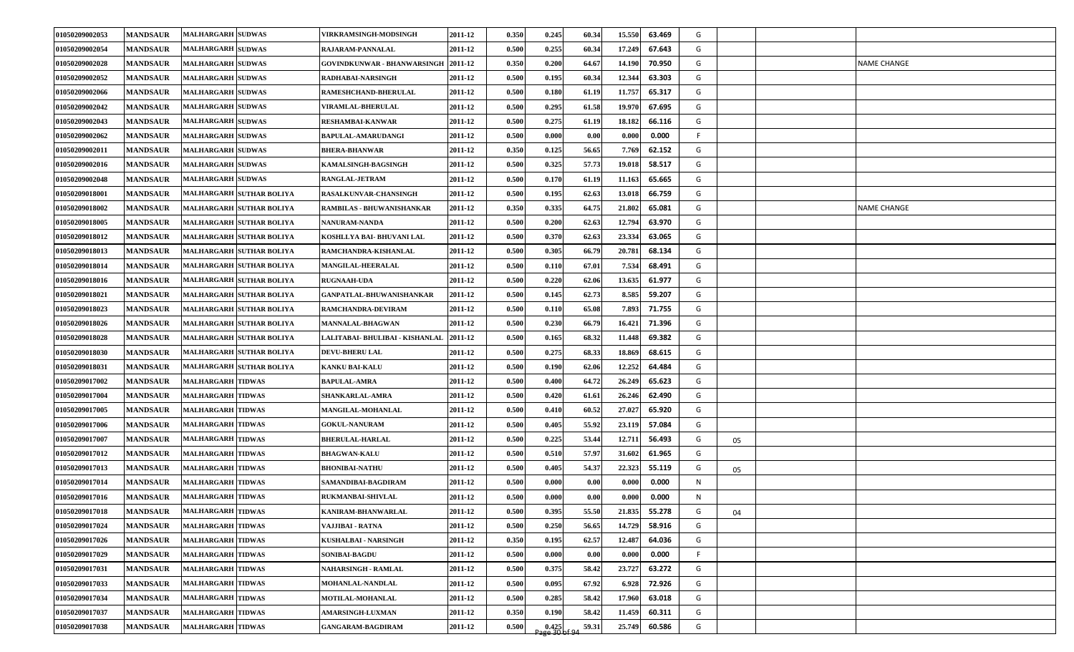| 01050209002054<br><b>MANDSAUR</b><br><b>MALHARGARH SUDWAS</b><br>0.255<br>60.34<br>67.643<br>RAJARAM-PANNALAL<br>2011-12<br>0.500<br>17.249<br>G<br>01050209002028<br><b>MANDSAUR</b><br><b>MALHARGARH SUDWAS</b><br>GOVINDKUNWAR - BHANWARSINGH 2011-12<br>0.350<br>0.200<br>64.67<br>14.190<br>70.950<br>G<br><b>NAME CHANGE</b><br>01050209002052<br><b>MANDSAUR</b><br><b>MALHARGARH SUDWAS</b><br>0.500<br>0.195<br>60.34<br>12.344<br>63.303<br>G<br>RADHABAI-NARSINGH<br>2011-12<br>01050209002066<br><b>MANDSAUR</b><br><b>MALHARGARH SUDWAS</b><br>2011-12<br>0.500<br>0.180<br>61.19<br>11.757<br>65.317<br>G<br>RAMESHCHAND-BHERULAL<br>01050209002042<br><b>MANDSAUR</b><br>61.58<br>67.695<br><b>MALHARGARH SUDWAS</b><br><b>VIRAMLAL-BHERULAL</b><br>2011-12<br>0.500<br>0.295<br>19.970<br>G<br>01050209002043<br><b>MANDSAUR</b><br><b>MALHARGARH SUDWAS</b><br>2011-12<br>0.500<br>0.275<br>61.19<br>18.182<br>66.116<br>G<br><b>RESHAMBAI-KANWAR</b><br><b>MANDSAUR</b><br><b>MALHARGARH SUDWAS</b><br>0.000<br>0.00<br>0.000<br>F.<br>01050209002062<br><b>BAPULAL-AMARUDANGI</b><br>2011-12<br>0.500<br>0.000<br>01050209002011<br><b>MANDSAUR</b><br><b>MALHARGARH SUDWAS</b><br>0.350<br>0.125<br>56.65<br>62.152<br>G<br><b>BHERA-BHANWAR</b><br>2011-12<br>7.769<br>01050209002016<br><b>MANDSAUR</b><br>0.325<br>57.73<br>58.517<br>G<br><b>MALHARGARH SUDWAS</b><br>KAMALSINGH-BAGSINGH<br>2011-12<br>0.500<br>19.018<br><b>MANDSAUR</b><br>0.170<br>61.19<br>65.665<br>G<br>01050209002048<br><b>MALHARGARH SUDWAS</b><br>2011-12<br>0.500<br>11.163<br>RANGLAL-JETRAM<br>62.63<br>66.759<br>G<br>01050209018001<br><b>MANDSAUR</b><br>MALHARGARH SUTHAR BOLIYA<br>2011-12<br>0.500<br>0.195<br>13.018<br><b>RASALKUNVAR-CHANSINGH</b><br>01050209018002<br><b>MANDSAUR</b><br>0.350<br>0.335<br>64.75<br>65.081<br>G<br><b>NAME CHANGE</b><br>MALHARGARH SUTHAR BOLIYA<br>2011-12<br>21.802<br>RAMBILAS - BHUWANISHANKAR<br>MALHARGARH SUTHAR BOLIYA<br>62.63<br>G<br>01050209018005<br><b>MANDSAUR</b><br><b>NANURAM-NANDA</b><br>2011-12<br>0.500<br>0.200<br>63.970<br>12.794<br>62.63<br><b>MANDSAUR</b><br>MALHARGARH SUTHAR BOLIYA<br>KOSHLLYA BAI- BHUVANI LAL<br>0.500<br>0.370<br>23.334<br>63.065<br>G<br>01050209018012<br>2011-12<br>G<br>01050209018013<br><b>MANDSAUR</b><br>MALHARGARH SUTHAR BOLIYA<br>2011-12<br>0.500<br>0.305<br>66.79<br>20.781<br>68.134<br>RAMCHANDRA-KISHANLAL<br>01050209018014<br><b>MANDSAUR</b><br>67.01<br>7.534<br>68.491<br>G<br><b>MALHARGARH SUTHAR BOLIYA</b><br>2011-12<br>0.500<br>0.110<br>MANGILAL-HEERALAL<br>61.977<br>G<br>01050209018016<br><b>MANDSAUR</b><br>2011-12<br>0.500<br>0.220<br>62.06<br>13.635<br><b>MALHARGARH SUTHAR BOLIYA</b><br><b>RUGNAAH-UDA</b><br>G<br>01050209018021<br><b>MANDSAUR</b><br><b>MALHARGARH SUTHAR BOLIYA</b><br><b>GANPATLAL-BHUWANISHANKAR</b><br>2011-12<br>0.500<br>0.145<br>62.73<br>8.585<br>59.207<br>01050209018023<br><b>MANDSAUR</b><br><b>MALHARGARH SUTHAR BOLIYA</b><br>RAMCHANDRA-DEVIRAM<br>0.500<br>0.110<br>65.08<br>7.893<br>71.755<br>G<br>2011-12<br>0.230<br>66.79<br>01050209018026<br><b>MANDSAUR</b><br><b>MALHARGARH SUTHAR BOLIYA</b><br>2011-12<br>0.500<br>16.421<br>71.396<br>G<br><b>MANNALAL-BHAGWAN</b><br>68.32<br>G<br>01050209018028<br><b>MANDSAUR</b><br>MALHARGARH SUTHAR BOLIYA<br>2011-12<br>0.500<br>0.165<br>11.448<br>69.382<br>LALITABAI- BHULIBAI - KISHANLAL<br>0.275<br>68.33<br>68.615<br>G<br>01050209018030<br><b>MANDSAUR</b><br><b>MALHARGARH SUTHAR BOLIYA</b><br>2011-12<br>0.500<br>18.869<br><b>DEVU-BHERU LAL</b><br>64.484<br>G<br>01050209018031<br><b>MANDSAUR</b><br>2011-12<br>0.500<br>0.190<br>62.06<br>12.252<br><b>MALHARGARH SUTHAR BOLIYA</b><br>KANKU BAI-KALU<br>01050209017002<br>64.72<br>65.623<br>G<br><b>MANDSAUR</b><br><b>MALHARGARH TIDWAS</b><br>2011-12<br>0.500<br>0.400<br>26.249<br><b>BAPULAL-AMRA</b><br>01050209017004<br><b>MANDSAUR</b><br><b>MALHARGARH TIDWAS</b><br>SHANKARLAL-AMRA<br>2011-12<br>0.500<br>0.420<br>61.61<br>26.246<br>62.490<br>G<br><b>MALHARGARH TIDWAS</b><br>27.027<br>01050209017005<br><b>MANDSAUR</b><br><b>MANGILAL-MOHANLAL</b><br>2011-12<br>0.500<br>0.410<br>60.52<br>65.920<br>G<br>57.084<br>01050209017006<br><b>MANDSAUR</b><br><b>MALHARGARH TIDWAS</b><br>2011-12<br>0.500<br>0.405<br>55.92<br>23.119<br>G<br><b>GOKUL-NANURAM</b><br>01050209017007<br>0.225<br>53.44<br>56.493<br>G<br><b>MANDSAUR</b><br><b>MALHARGARH TIDWAS</b><br><b>BHERULAL-HARLAL</b><br>2011-12<br>0.500<br>12.711<br>05<br>57.97<br>61.965<br>G<br>01050209017012<br><b>MANDSAUR</b><br><b>MALHARGARH TIDWAS</b><br>2011-12<br>0.500<br>0.510<br>31.602<br><b>BHAGWAN-KALU</b><br><b>MALHARGARH TIDWAS</b><br>54.37<br>22.323<br>G<br>01050209017013<br><b>MANDSAUR</b><br><b>BHONIBAI-NATHU</b><br>2011-12<br>0.500<br>0.405<br>55.119<br>05<br>01050209017014<br><b>MALHARGARH TIDWAS</b><br><b>MANDSAUR</b><br>SAMANDIBAI-BAGDIRAM<br>2011-12<br>0.500<br>0.00(<br>0.00<br>0.000<br>0.000<br>N.<br>01050209017016<br><b>MANDSAUR</b><br><b>MALHARGARH TIDWAS</b><br>0.00<br>0.000<br>N<br>2011-12<br>0.500<br>0.000<br>0.000<br><b>RUKMANBAI-SHIVLAL</b><br><b>MALHARGARH TIDWAS</b><br>01050209017018<br><b>MANDSAUR</b><br>2011-12<br>0.500<br>0.395<br>55.50<br>21.835<br>55.278<br>G<br>KANIRAM-BHANWARLAL<br>04<br>0.250<br>56.65<br>14.729<br>58.916<br>G<br>01050209017024<br><b>MANDSAUR</b><br><b>MALHARGARH TIDWAS</b><br>0.500<br>VAJJIBAI - RATNA<br>2011-12<br>G<br>01050209017026<br><b>MANDSAUR</b><br><b>MALHARGARH TIDWAS</b><br>0.350<br>62.57<br>12.487<br>64.036<br>KUSHALBAI - NARSINGH<br>2011-12<br>0.195<br><b>MALHARGARH TIDWAS</b><br>01050209017029<br>F<br><b>MANDSAUR</b><br><b>SONIBAI-BAGDU</b><br>2011-12<br>0.500<br>0.000<br>0.00<br>0.000<br>0.000<br><b>MALHARGARH TIDWAS</b><br>G<br>01050209017031<br><b>NAHARSINGH - RAMLAL</b><br>2011-12<br>0.500<br>0.375<br>58.42<br>23.727<br><b>MANDSAUR</b><br>63.272<br>01050209017033<br><b>MALHARGARH TIDWAS</b><br>67.92<br>G<br><b>MANDSAUR</b><br>2011-12<br>0.500<br>0.095<br>6.928<br>72.926<br>MOHANLAL-NANDLAL<br>G<br>01050209017034<br><b>MANDSAUR</b><br><b>MALHARGARH TIDWAS</b><br>0.285<br>58.42<br>17.960<br>63.018<br>MOTILAL-MOHANLAL<br>2011-12<br>0.500 | 01050209002053 | <b>MANDSAUR</b> | <b>MALHARGARH SUDWAS</b> | <b>VIRKRAMSINGH-MODSINGH</b> | 2011-12 | 0.350 | 0.245 | 60.34 | 15.550 | 63.469 | G |  |  |
|--------------------------------------------------------------------------------------------------------------------------------------------------------------------------------------------------------------------------------------------------------------------------------------------------------------------------------------------------------------------------------------------------------------------------------------------------------------------------------------------------------------------------------------------------------------------------------------------------------------------------------------------------------------------------------------------------------------------------------------------------------------------------------------------------------------------------------------------------------------------------------------------------------------------------------------------------------------------------------------------------------------------------------------------------------------------------------------------------------------------------------------------------------------------------------------------------------------------------------------------------------------------------------------------------------------------------------------------------------------------------------------------------------------------------------------------------------------------------------------------------------------------------------------------------------------------------------------------------------------------------------------------------------------------------------------------------------------------------------------------------------------------------------------------------------------------------------------------------------------------------------------------------------------------------------------------------------------------------------------------------------------------------------------------------------------------------------------------------------------------------------------------------------------------------------------------------------------------------------------------------------------------------------------------------------------------------------------------------------------------------------------------------------------------------------------------------------------------------------------------------------------------------------------------------------------------------------------------------------------------------------------------------------------------------------------------------------------------------------------------------------------------------------------------------------------------------------------------------------------------------------------------------------------------------------------------------------------------------------------------------------------------------------------------------------------------------------------------------------------------------------------------------------------------------------------------------------------------------------------------------------------------------------------------------------------------------------------------------------------------------------------------------------------------------------------------------------------------------------------------------------------------------------------------------------------------------------------------------------------------------------------------------------------------------------------------------------------------------------------------------------------------------------------------------------------------------------------------------------------------------------------------------------------------------------------------------------------------------------------------------------------------------------------------------------------------------------------------------------------------------------------------------------------------------------------------------------------------------------------------------------------------------------------------------------------------------------------------------------------------------------------------------------------------------------------------------------------------------------------------------------------------------------------------------------------------------------------------------------------------------------------------------------------------------------------------------------------------------------------------------------------------------------------------------------------------------------------------------------------------------------------------------------------------------------------------------------------------------------------------------------------------------------------------------------------------------------------------------------------------------------------------------------------------------------------------------------------------------------------------------------------------------------------------------------------------------------------------------------------------------------------------------------------------------------------------------------------------------------------------------------------------------------------------------------------------------------------------------------------------------------------------------------------------------------------------------------------------------------------------------------------------------------------------------------------------------------------------------------------------------------------------------------------------------------------------------------------------------------------------------------------------------------------------------------------------------------------------------------------------------------------------------------------------------------------------------------------------------------------------------------------------------------------------------|----------------|-----------------|--------------------------|------------------------------|---------|-------|-------|-------|--------|--------|---|--|--|
|                                                                                                                                                                                                                                                                                                                                                                                                                                                                                                                                                                                                                                                                                                                                                                                                                                                                                                                                                                                                                                                                                                                                                                                                                                                                                                                                                                                                                                                                                                                                                                                                                                                                                                                                                                                                                                                                                                                                                                                                                                                                                                                                                                                                                                                                                                                                                                                                                                                                                                                                                                                                                                                                                                                                                                                                                                                                                                                                                                                                                                                                                                                                                                                                                                                                                                                                                                                                                                                                                                                                                                                                                                                                                                                                                                                                                                                                                                                                                                                                                                                                                                                                                                                                                                                                                                                                                                                                                                                                                                                                                                                                                                                                                                                                                                                                                                                                                                                                                                                                                                                                                                                                                                                                                                                                                                                                                                                                                                                                                                                                                                                                                                                                                                                                                                                                                                                                                                                                                                                                                                                                                                                                                                                                                                                                                                  |                |                 |                          |                              |         |       |       |       |        |        |   |  |  |
|                                                                                                                                                                                                                                                                                                                                                                                                                                                                                                                                                                                                                                                                                                                                                                                                                                                                                                                                                                                                                                                                                                                                                                                                                                                                                                                                                                                                                                                                                                                                                                                                                                                                                                                                                                                                                                                                                                                                                                                                                                                                                                                                                                                                                                                                                                                                                                                                                                                                                                                                                                                                                                                                                                                                                                                                                                                                                                                                                                                                                                                                                                                                                                                                                                                                                                                                                                                                                                                                                                                                                                                                                                                                                                                                                                                                                                                                                                                                                                                                                                                                                                                                                                                                                                                                                                                                                                                                                                                                                                                                                                                                                                                                                                                                                                                                                                                                                                                                                                                                                                                                                                                                                                                                                                                                                                                                                                                                                                                                                                                                                                                                                                                                                                                                                                                                                                                                                                                                                                                                                                                                                                                                                                                                                                                                                                  |                |                 |                          |                              |         |       |       |       |        |        |   |  |  |
|                                                                                                                                                                                                                                                                                                                                                                                                                                                                                                                                                                                                                                                                                                                                                                                                                                                                                                                                                                                                                                                                                                                                                                                                                                                                                                                                                                                                                                                                                                                                                                                                                                                                                                                                                                                                                                                                                                                                                                                                                                                                                                                                                                                                                                                                                                                                                                                                                                                                                                                                                                                                                                                                                                                                                                                                                                                                                                                                                                                                                                                                                                                                                                                                                                                                                                                                                                                                                                                                                                                                                                                                                                                                                                                                                                                                                                                                                                                                                                                                                                                                                                                                                                                                                                                                                                                                                                                                                                                                                                                                                                                                                                                                                                                                                                                                                                                                                                                                                                                                                                                                                                                                                                                                                                                                                                                                                                                                                                                                                                                                                                                                                                                                                                                                                                                                                                                                                                                                                                                                                                                                                                                                                                                                                                                                                                  |                |                 |                          |                              |         |       |       |       |        |        |   |  |  |
|                                                                                                                                                                                                                                                                                                                                                                                                                                                                                                                                                                                                                                                                                                                                                                                                                                                                                                                                                                                                                                                                                                                                                                                                                                                                                                                                                                                                                                                                                                                                                                                                                                                                                                                                                                                                                                                                                                                                                                                                                                                                                                                                                                                                                                                                                                                                                                                                                                                                                                                                                                                                                                                                                                                                                                                                                                                                                                                                                                                                                                                                                                                                                                                                                                                                                                                                                                                                                                                                                                                                                                                                                                                                                                                                                                                                                                                                                                                                                                                                                                                                                                                                                                                                                                                                                                                                                                                                                                                                                                                                                                                                                                                                                                                                                                                                                                                                                                                                                                                                                                                                                                                                                                                                                                                                                                                                                                                                                                                                                                                                                                                                                                                                                                                                                                                                                                                                                                                                                                                                                                                                                                                                                                                                                                                                                                  |                |                 |                          |                              |         |       |       |       |        |        |   |  |  |
|                                                                                                                                                                                                                                                                                                                                                                                                                                                                                                                                                                                                                                                                                                                                                                                                                                                                                                                                                                                                                                                                                                                                                                                                                                                                                                                                                                                                                                                                                                                                                                                                                                                                                                                                                                                                                                                                                                                                                                                                                                                                                                                                                                                                                                                                                                                                                                                                                                                                                                                                                                                                                                                                                                                                                                                                                                                                                                                                                                                                                                                                                                                                                                                                                                                                                                                                                                                                                                                                                                                                                                                                                                                                                                                                                                                                                                                                                                                                                                                                                                                                                                                                                                                                                                                                                                                                                                                                                                                                                                                                                                                                                                                                                                                                                                                                                                                                                                                                                                                                                                                                                                                                                                                                                                                                                                                                                                                                                                                                                                                                                                                                                                                                                                                                                                                                                                                                                                                                                                                                                                                                                                                                                                                                                                                                                                  |                |                 |                          |                              |         |       |       |       |        |        |   |  |  |
|                                                                                                                                                                                                                                                                                                                                                                                                                                                                                                                                                                                                                                                                                                                                                                                                                                                                                                                                                                                                                                                                                                                                                                                                                                                                                                                                                                                                                                                                                                                                                                                                                                                                                                                                                                                                                                                                                                                                                                                                                                                                                                                                                                                                                                                                                                                                                                                                                                                                                                                                                                                                                                                                                                                                                                                                                                                                                                                                                                                                                                                                                                                                                                                                                                                                                                                                                                                                                                                                                                                                                                                                                                                                                                                                                                                                                                                                                                                                                                                                                                                                                                                                                                                                                                                                                                                                                                                                                                                                                                                                                                                                                                                                                                                                                                                                                                                                                                                                                                                                                                                                                                                                                                                                                                                                                                                                                                                                                                                                                                                                                                                                                                                                                                                                                                                                                                                                                                                                                                                                                                                                                                                                                                                                                                                                                                  |                |                 |                          |                              |         |       |       |       |        |        |   |  |  |
|                                                                                                                                                                                                                                                                                                                                                                                                                                                                                                                                                                                                                                                                                                                                                                                                                                                                                                                                                                                                                                                                                                                                                                                                                                                                                                                                                                                                                                                                                                                                                                                                                                                                                                                                                                                                                                                                                                                                                                                                                                                                                                                                                                                                                                                                                                                                                                                                                                                                                                                                                                                                                                                                                                                                                                                                                                                                                                                                                                                                                                                                                                                                                                                                                                                                                                                                                                                                                                                                                                                                                                                                                                                                                                                                                                                                                                                                                                                                                                                                                                                                                                                                                                                                                                                                                                                                                                                                                                                                                                                                                                                                                                                                                                                                                                                                                                                                                                                                                                                                                                                                                                                                                                                                                                                                                                                                                                                                                                                                                                                                                                                                                                                                                                                                                                                                                                                                                                                                                                                                                                                                                                                                                                                                                                                                                                  |                |                 |                          |                              |         |       |       |       |        |        |   |  |  |
|                                                                                                                                                                                                                                                                                                                                                                                                                                                                                                                                                                                                                                                                                                                                                                                                                                                                                                                                                                                                                                                                                                                                                                                                                                                                                                                                                                                                                                                                                                                                                                                                                                                                                                                                                                                                                                                                                                                                                                                                                                                                                                                                                                                                                                                                                                                                                                                                                                                                                                                                                                                                                                                                                                                                                                                                                                                                                                                                                                                                                                                                                                                                                                                                                                                                                                                                                                                                                                                                                                                                                                                                                                                                                                                                                                                                                                                                                                                                                                                                                                                                                                                                                                                                                                                                                                                                                                                                                                                                                                                                                                                                                                                                                                                                                                                                                                                                                                                                                                                                                                                                                                                                                                                                                                                                                                                                                                                                                                                                                                                                                                                                                                                                                                                                                                                                                                                                                                                                                                                                                                                                                                                                                                                                                                                                                                  |                |                 |                          |                              |         |       |       |       |        |        |   |  |  |
|                                                                                                                                                                                                                                                                                                                                                                                                                                                                                                                                                                                                                                                                                                                                                                                                                                                                                                                                                                                                                                                                                                                                                                                                                                                                                                                                                                                                                                                                                                                                                                                                                                                                                                                                                                                                                                                                                                                                                                                                                                                                                                                                                                                                                                                                                                                                                                                                                                                                                                                                                                                                                                                                                                                                                                                                                                                                                                                                                                                                                                                                                                                                                                                                                                                                                                                                                                                                                                                                                                                                                                                                                                                                                                                                                                                                                                                                                                                                                                                                                                                                                                                                                                                                                                                                                                                                                                                                                                                                                                                                                                                                                                                                                                                                                                                                                                                                                                                                                                                                                                                                                                                                                                                                                                                                                                                                                                                                                                                                                                                                                                                                                                                                                                                                                                                                                                                                                                                                                                                                                                                                                                                                                                                                                                                                                                  |                |                 |                          |                              |         |       |       |       |        |        |   |  |  |
|                                                                                                                                                                                                                                                                                                                                                                                                                                                                                                                                                                                                                                                                                                                                                                                                                                                                                                                                                                                                                                                                                                                                                                                                                                                                                                                                                                                                                                                                                                                                                                                                                                                                                                                                                                                                                                                                                                                                                                                                                                                                                                                                                                                                                                                                                                                                                                                                                                                                                                                                                                                                                                                                                                                                                                                                                                                                                                                                                                                                                                                                                                                                                                                                                                                                                                                                                                                                                                                                                                                                                                                                                                                                                                                                                                                                                                                                                                                                                                                                                                                                                                                                                                                                                                                                                                                                                                                                                                                                                                                                                                                                                                                                                                                                                                                                                                                                                                                                                                                                                                                                                                                                                                                                                                                                                                                                                                                                                                                                                                                                                                                                                                                                                                                                                                                                                                                                                                                                                                                                                                                                                                                                                                                                                                                                                                  |                |                 |                          |                              |         |       |       |       |        |        |   |  |  |
|                                                                                                                                                                                                                                                                                                                                                                                                                                                                                                                                                                                                                                                                                                                                                                                                                                                                                                                                                                                                                                                                                                                                                                                                                                                                                                                                                                                                                                                                                                                                                                                                                                                                                                                                                                                                                                                                                                                                                                                                                                                                                                                                                                                                                                                                                                                                                                                                                                                                                                                                                                                                                                                                                                                                                                                                                                                                                                                                                                                                                                                                                                                                                                                                                                                                                                                                                                                                                                                                                                                                                                                                                                                                                                                                                                                                                                                                                                                                                                                                                                                                                                                                                                                                                                                                                                                                                                                                                                                                                                                                                                                                                                                                                                                                                                                                                                                                                                                                                                                                                                                                                                                                                                                                                                                                                                                                                                                                                                                                                                                                                                                                                                                                                                                                                                                                                                                                                                                                                                                                                                                                                                                                                                                                                                                                                                  |                |                 |                          |                              |         |       |       |       |        |        |   |  |  |
|                                                                                                                                                                                                                                                                                                                                                                                                                                                                                                                                                                                                                                                                                                                                                                                                                                                                                                                                                                                                                                                                                                                                                                                                                                                                                                                                                                                                                                                                                                                                                                                                                                                                                                                                                                                                                                                                                                                                                                                                                                                                                                                                                                                                                                                                                                                                                                                                                                                                                                                                                                                                                                                                                                                                                                                                                                                                                                                                                                                                                                                                                                                                                                                                                                                                                                                                                                                                                                                                                                                                                                                                                                                                                                                                                                                                                                                                                                                                                                                                                                                                                                                                                                                                                                                                                                                                                                                                                                                                                                                                                                                                                                                                                                                                                                                                                                                                                                                                                                                                                                                                                                                                                                                                                                                                                                                                                                                                                                                                                                                                                                                                                                                                                                                                                                                                                                                                                                                                                                                                                                                                                                                                                                                                                                                                                                  |                |                 |                          |                              |         |       |       |       |        |        |   |  |  |
|                                                                                                                                                                                                                                                                                                                                                                                                                                                                                                                                                                                                                                                                                                                                                                                                                                                                                                                                                                                                                                                                                                                                                                                                                                                                                                                                                                                                                                                                                                                                                                                                                                                                                                                                                                                                                                                                                                                                                                                                                                                                                                                                                                                                                                                                                                                                                                                                                                                                                                                                                                                                                                                                                                                                                                                                                                                                                                                                                                                                                                                                                                                                                                                                                                                                                                                                                                                                                                                                                                                                                                                                                                                                                                                                                                                                                                                                                                                                                                                                                                                                                                                                                                                                                                                                                                                                                                                                                                                                                                                                                                                                                                                                                                                                                                                                                                                                                                                                                                                                                                                                                                                                                                                                                                                                                                                                                                                                                                                                                                                                                                                                                                                                                                                                                                                                                                                                                                                                                                                                                                                                                                                                                                                                                                                                                                  |                |                 |                          |                              |         |       |       |       |        |        |   |  |  |
|                                                                                                                                                                                                                                                                                                                                                                                                                                                                                                                                                                                                                                                                                                                                                                                                                                                                                                                                                                                                                                                                                                                                                                                                                                                                                                                                                                                                                                                                                                                                                                                                                                                                                                                                                                                                                                                                                                                                                                                                                                                                                                                                                                                                                                                                                                                                                                                                                                                                                                                                                                                                                                                                                                                                                                                                                                                                                                                                                                                                                                                                                                                                                                                                                                                                                                                                                                                                                                                                                                                                                                                                                                                                                                                                                                                                                                                                                                                                                                                                                                                                                                                                                                                                                                                                                                                                                                                                                                                                                                                                                                                                                                                                                                                                                                                                                                                                                                                                                                                                                                                                                                                                                                                                                                                                                                                                                                                                                                                                                                                                                                                                                                                                                                                                                                                                                                                                                                                                                                                                                                                                                                                                                                                                                                                                                                  |                |                 |                          |                              |         |       |       |       |        |        |   |  |  |
|                                                                                                                                                                                                                                                                                                                                                                                                                                                                                                                                                                                                                                                                                                                                                                                                                                                                                                                                                                                                                                                                                                                                                                                                                                                                                                                                                                                                                                                                                                                                                                                                                                                                                                                                                                                                                                                                                                                                                                                                                                                                                                                                                                                                                                                                                                                                                                                                                                                                                                                                                                                                                                                                                                                                                                                                                                                                                                                                                                                                                                                                                                                                                                                                                                                                                                                                                                                                                                                                                                                                                                                                                                                                                                                                                                                                                                                                                                                                                                                                                                                                                                                                                                                                                                                                                                                                                                                                                                                                                                                                                                                                                                                                                                                                                                                                                                                                                                                                                                                                                                                                                                                                                                                                                                                                                                                                                                                                                                                                                                                                                                                                                                                                                                                                                                                                                                                                                                                                                                                                                                                                                                                                                                                                                                                                                                  |                |                 |                          |                              |         |       |       |       |        |        |   |  |  |
|                                                                                                                                                                                                                                                                                                                                                                                                                                                                                                                                                                                                                                                                                                                                                                                                                                                                                                                                                                                                                                                                                                                                                                                                                                                                                                                                                                                                                                                                                                                                                                                                                                                                                                                                                                                                                                                                                                                                                                                                                                                                                                                                                                                                                                                                                                                                                                                                                                                                                                                                                                                                                                                                                                                                                                                                                                                                                                                                                                                                                                                                                                                                                                                                                                                                                                                                                                                                                                                                                                                                                                                                                                                                                                                                                                                                                                                                                                                                                                                                                                                                                                                                                                                                                                                                                                                                                                                                                                                                                                                                                                                                                                                                                                                                                                                                                                                                                                                                                                                                                                                                                                                                                                                                                                                                                                                                                                                                                                                                                                                                                                                                                                                                                                                                                                                                                                                                                                                                                                                                                                                                                                                                                                                                                                                                                                  |                |                 |                          |                              |         |       |       |       |        |        |   |  |  |
|                                                                                                                                                                                                                                                                                                                                                                                                                                                                                                                                                                                                                                                                                                                                                                                                                                                                                                                                                                                                                                                                                                                                                                                                                                                                                                                                                                                                                                                                                                                                                                                                                                                                                                                                                                                                                                                                                                                                                                                                                                                                                                                                                                                                                                                                                                                                                                                                                                                                                                                                                                                                                                                                                                                                                                                                                                                                                                                                                                                                                                                                                                                                                                                                                                                                                                                                                                                                                                                                                                                                                                                                                                                                                                                                                                                                                                                                                                                                                                                                                                                                                                                                                                                                                                                                                                                                                                                                                                                                                                                                                                                                                                                                                                                                                                                                                                                                                                                                                                                                                                                                                                                                                                                                                                                                                                                                                                                                                                                                                                                                                                                                                                                                                                                                                                                                                                                                                                                                                                                                                                                                                                                                                                                                                                                                                                  |                |                 |                          |                              |         |       |       |       |        |        |   |  |  |
|                                                                                                                                                                                                                                                                                                                                                                                                                                                                                                                                                                                                                                                                                                                                                                                                                                                                                                                                                                                                                                                                                                                                                                                                                                                                                                                                                                                                                                                                                                                                                                                                                                                                                                                                                                                                                                                                                                                                                                                                                                                                                                                                                                                                                                                                                                                                                                                                                                                                                                                                                                                                                                                                                                                                                                                                                                                                                                                                                                                                                                                                                                                                                                                                                                                                                                                                                                                                                                                                                                                                                                                                                                                                                                                                                                                                                                                                                                                                                                                                                                                                                                                                                                                                                                                                                                                                                                                                                                                                                                                                                                                                                                                                                                                                                                                                                                                                                                                                                                                                                                                                                                                                                                                                                                                                                                                                                                                                                                                                                                                                                                                                                                                                                                                                                                                                                                                                                                                                                                                                                                                                                                                                                                                                                                                                                                  |                |                 |                          |                              |         |       |       |       |        |        |   |  |  |
|                                                                                                                                                                                                                                                                                                                                                                                                                                                                                                                                                                                                                                                                                                                                                                                                                                                                                                                                                                                                                                                                                                                                                                                                                                                                                                                                                                                                                                                                                                                                                                                                                                                                                                                                                                                                                                                                                                                                                                                                                                                                                                                                                                                                                                                                                                                                                                                                                                                                                                                                                                                                                                                                                                                                                                                                                                                                                                                                                                                                                                                                                                                                                                                                                                                                                                                                                                                                                                                                                                                                                                                                                                                                                                                                                                                                                                                                                                                                                                                                                                                                                                                                                                                                                                                                                                                                                                                                                                                                                                                                                                                                                                                                                                                                                                                                                                                                                                                                                                                                                                                                                                                                                                                                                                                                                                                                                                                                                                                                                                                                                                                                                                                                                                                                                                                                                                                                                                                                                                                                                                                                                                                                                                                                                                                                                                  |                |                 |                          |                              |         |       |       |       |        |        |   |  |  |
|                                                                                                                                                                                                                                                                                                                                                                                                                                                                                                                                                                                                                                                                                                                                                                                                                                                                                                                                                                                                                                                                                                                                                                                                                                                                                                                                                                                                                                                                                                                                                                                                                                                                                                                                                                                                                                                                                                                                                                                                                                                                                                                                                                                                                                                                                                                                                                                                                                                                                                                                                                                                                                                                                                                                                                                                                                                                                                                                                                                                                                                                                                                                                                                                                                                                                                                                                                                                                                                                                                                                                                                                                                                                                                                                                                                                                                                                                                                                                                                                                                                                                                                                                                                                                                                                                                                                                                                                                                                                                                                                                                                                                                                                                                                                                                                                                                                                                                                                                                                                                                                                                                                                                                                                                                                                                                                                                                                                                                                                                                                                                                                                                                                                                                                                                                                                                                                                                                                                                                                                                                                                                                                                                                                                                                                                                                  |                |                 |                          |                              |         |       |       |       |        |        |   |  |  |
|                                                                                                                                                                                                                                                                                                                                                                                                                                                                                                                                                                                                                                                                                                                                                                                                                                                                                                                                                                                                                                                                                                                                                                                                                                                                                                                                                                                                                                                                                                                                                                                                                                                                                                                                                                                                                                                                                                                                                                                                                                                                                                                                                                                                                                                                                                                                                                                                                                                                                                                                                                                                                                                                                                                                                                                                                                                                                                                                                                                                                                                                                                                                                                                                                                                                                                                                                                                                                                                                                                                                                                                                                                                                                                                                                                                                                                                                                                                                                                                                                                                                                                                                                                                                                                                                                                                                                                                                                                                                                                                                                                                                                                                                                                                                                                                                                                                                                                                                                                                                                                                                                                                                                                                                                                                                                                                                                                                                                                                                                                                                                                                                                                                                                                                                                                                                                                                                                                                                                                                                                                                                                                                                                                                                                                                                                                  |                |                 |                          |                              |         |       |       |       |        |        |   |  |  |
|                                                                                                                                                                                                                                                                                                                                                                                                                                                                                                                                                                                                                                                                                                                                                                                                                                                                                                                                                                                                                                                                                                                                                                                                                                                                                                                                                                                                                                                                                                                                                                                                                                                                                                                                                                                                                                                                                                                                                                                                                                                                                                                                                                                                                                                                                                                                                                                                                                                                                                                                                                                                                                                                                                                                                                                                                                                                                                                                                                                                                                                                                                                                                                                                                                                                                                                                                                                                                                                                                                                                                                                                                                                                                                                                                                                                                                                                                                                                                                                                                                                                                                                                                                                                                                                                                                                                                                                                                                                                                                                                                                                                                                                                                                                                                                                                                                                                                                                                                                                                                                                                                                                                                                                                                                                                                                                                                                                                                                                                                                                                                                                                                                                                                                                                                                                                                                                                                                                                                                                                                                                                                                                                                                                                                                                                                                  |                |                 |                          |                              |         |       |       |       |        |        |   |  |  |
|                                                                                                                                                                                                                                                                                                                                                                                                                                                                                                                                                                                                                                                                                                                                                                                                                                                                                                                                                                                                                                                                                                                                                                                                                                                                                                                                                                                                                                                                                                                                                                                                                                                                                                                                                                                                                                                                                                                                                                                                                                                                                                                                                                                                                                                                                                                                                                                                                                                                                                                                                                                                                                                                                                                                                                                                                                                                                                                                                                                                                                                                                                                                                                                                                                                                                                                                                                                                                                                                                                                                                                                                                                                                                                                                                                                                                                                                                                                                                                                                                                                                                                                                                                                                                                                                                                                                                                                                                                                                                                                                                                                                                                                                                                                                                                                                                                                                                                                                                                                                                                                                                                                                                                                                                                                                                                                                                                                                                                                                                                                                                                                                                                                                                                                                                                                                                                                                                                                                                                                                                                                                                                                                                                                                                                                                                                  |                |                 |                          |                              |         |       |       |       |        |        |   |  |  |
|                                                                                                                                                                                                                                                                                                                                                                                                                                                                                                                                                                                                                                                                                                                                                                                                                                                                                                                                                                                                                                                                                                                                                                                                                                                                                                                                                                                                                                                                                                                                                                                                                                                                                                                                                                                                                                                                                                                                                                                                                                                                                                                                                                                                                                                                                                                                                                                                                                                                                                                                                                                                                                                                                                                                                                                                                                                                                                                                                                                                                                                                                                                                                                                                                                                                                                                                                                                                                                                                                                                                                                                                                                                                                                                                                                                                                                                                                                                                                                                                                                                                                                                                                                                                                                                                                                                                                                                                                                                                                                                                                                                                                                                                                                                                                                                                                                                                                                                                                                                                                                                                                                                                                                                                                                                                                                                                                                                                                                                                                                                                                                                                                                                                                                                                                                                                                                                                                                                                                                                                                                                                                                                                                                                                                                                                                                  |                |                 |                          |                              |         |       |       |       |        |        |   |  |  |
|                                                                                                                                                                                                                                                                                                                                                                                                                                                                                                                                                                                                                                                                                                                                                                                                                                                                                                                                                                                                                                                                                                                                                                                                                                                                                                                                                                                                                                                                                                                                                                                                                                                                                                                                                                                                                                                                                                                                                                                                                                                                                                                                                                                                                                                                                                                                                                                                                                                                                                                                                                                                                                                                                                                                                                                                                                                                                                                                                                                                                                                                                                                                                                                                                                                                                                                                                                                                                                                                                                                                                                                                                                                                                                                                                                                                                                                                                                                                                                                                                                                                                                                                                                                                                                                                                                                                                                                                                                                                                                                                                                                                                                                                                                                                                                                                                                                                                                                                                                                                                                                                                                                                                                                                                                                                                                                                                                                                                                                                                                                                                                                                                                                                                                                                                                                                                                                                                                                                                                                                                                                                                                                                                                                                                                                                                                  |                |                 |                          |                              |         |       |       |       |        |        |   |  |  |
|                                                                                                                                                                                                                                                                                                                                                                                                                                                                                                                                                                                                                                                                                                                                                                                                                                                                                                                                                                                                                                                                                                                                                                                                                                                                                                                                                                                                                                                                                                                                                                                                                                                                                                                                                                                                                                                                                                                                                                                                                                                                                                                                                                                                                                                                                                                                                                                                                                                                                                                                                                                                                                                                                                                                                                                                                                                                                                                                                                                                                                                                                                                                                                                                                                                                                                                                                                                                                                                                                                                                                                                                                                                                                                                                                                                                                                                                                                                                                                                                                                                                                                                                                                                                                                                                                                                                                                                                                                                                                                                                                                                                                                                                                                                                                                                                                                                                                                                                                                                                                                                                                                                                                                                                                                                                                                                                                                                                                                                                                                                                                                                                                                                                                                                                                                                                                                                                                                                                                                                                                                                                                                                                                                                                                                                                                                  |                |                 |                          |                              |         |       |       |       |        |        |   |  |  |
|                                                                                                                                                                                                                                                                                                                                                                                                                                                                                                                                                                                                                                                                                                                                                                                                                                                                                                                                                                                                                                                                                                                                                                                                                                                                                                                                                                                                                                                                                                                                                                                                                                                                                                                                                                                                                                                                                                                                                                                                                                                                                                                                                                                                                                                                                                                                                                                                                                                                                                                                                                                                                                                                                                                                                                                                                                                                                                                                                                                                                                                                                                                                                                                                                                                                                                                                                                                                                                                                                                                                                                                                                                                                                                                                                                                                                                                                                                                                                                                                                                                                                                                                                                                                                                                                                                                                                                                                                                                                                                                                                                                                                                                                                                                                                                                                                                                                                                                                                                                                                                                                                                                                                                                                                                                                                                                                                                                                                                                                                                                                                                                                                                                                                                                                                                                                                                                                                                                                                                                                                                                                                                                                                                                                                                                                                                  |                |                 |                          |                              |         |       |       |       |        |        |   |  |  |
|                                                                                                                                                                                                                                                                                                                                                                                                                                                                                                                                                                                                                                                                                                                                                                                                                                                                                                                                                                                                                                                                                                                                                                                                                                                                                                                                                                                                                                                                                                                                                                                                                                                                                                                                                                                                                                                                                                                                                                                                                                                                                                                                                                                                                                                                                                                                                                                                                                                                                                                                                                                                                                                                                                                                                                                                                                                                                                                                                                                                                                                                                                                                                                                                                                                                                                                                                                                                                                                                                                                                                                                                                                                                                                                                                                                                                                                                                                                                                                                                                                                                                                                                                                                                                                                                                                                                                                                                                                                                                                                                                                                                                                                                                                                                                                                                                                                                                                                                                                                                                                                                                                                                                                                                                                                                                                                                                                                                                                                                                                                                                                                                                                                                                                                                                                                                                                                                                                                                                                                                                                                                                                                                                                                                                                                                                                  |                |                 |                          |                              |         |       |       |       |        |        |   |  |  |
|                                                                                                                                                                                                                                                                                                                                                                                                                                                                                                                                                                                                                                                                                                                                                                                                                                                                                                                                                                                                                                                                                                                                                                                                                                                                                                                                                                                                                                                                                                                                                                                                                                                                                                                                                                                                                                                                                                                                                                                                                                                                                                                                                                                                                                                                                                                                                                                                                                                                                                                                                                                                                                                                                                                                                                                                                                                                                                                                                                                                                                                                                                                                                                                                                                                                                                                                                                                                                                                                                                                                                                                                                                                                                                                                                                                                                                                                                                                                                                                                                                                                                                                                                                                                                                                                                                                                                                                                                                                                                                                                                                                                                                                                                                                                                                                                                                                                                                                                                                                                                                                                                                                                                                                                                                                                                                                                                                                                                                                                                                                                                                                                                                                                                                                                                                                                                                                                                                                                                                                                                                                                                                                                                                                                                                                                                                  |                |                 |                          |                              |         |       |       |       |        |        |   |  |  |
|                                                                                                                                                                                                                                                                                                                                                                                                                                                                                                                                                                                                                                                                                                                                                                                                                                                                                                                                                                                                                                                                                                                                                                                                                                                                                                                                                                                                                                                                                                                                                                                                                                                                                                                                                                                                                                                                                                                                                                                                                                                                                                                                                                                                                                                                                                                                                                                                                                                                                                                                                                                                                                                                                                                                                                                                                                                                                                                                                                                                                                                                                                                                                                                                                                                                                                                                                                                                                                                                                                                                                                                                                                                                                                                                                                                                                                                                                                                                                                                                                                                                                                                                                                                                                                                                                                                                                                                                                                                                                                                                                                                                                                                                                                                                                                                                                                                                                                                                                                                                                                                                                                                                                                                                                                                                                                                                                                                                                                                                                                                                                                                                                                                                                                                                                                                                                                                                                                                                                                                                                                                                                                                                                                                                                                                                                                  |                |                 |                          |                              |         |       |       |       |        |        |   |  |  |
|                                                                                                                                                                                                                                                                                                                                                                                                                                                                                                                                                                                                                                                                                                                                                                                                                                                                                                                                                                                                                                                                                                                                                                                                                                                                                                                                                                                                                                                                                                                                                                                                                                                                                                                                                                                                                                                                                                                                                                                                                                                                                                                                                                                                                                                                                                                                                                                                                                                                                                                                                                                                                                                                                                                                                                                                                                                                                                                                                                                                                                                                                                                                                                                                                                                                                                                                                                                                                                                                                                                                                                                                                                                                                                                                                                                                                                                                                                                                                                                                                                                                                                                                                                                                                                                                                                                                                                                                                                                                                                                                                                                                                                                                                                                                                                                                                                                                                                                                                                                                                                                                                                                                                                                                                                                                                                                                                                                                                                                                                                                                                                                                                                                                                                                                                                                                                                                                                                                                                                                                                                                                                                                                                                                                                                                                                                  |                |                 |                          |                              |         |       |       |       |        |        |   |  |  |
|                                                                                                                                                                                                                                                                                                                                                                                                                                                                                                                                                                                                                                                                                                                                                                                                                                                                                                                                                                                                                                                                                                                                                                                                                                                                                                                                                                                                                                                                                                                                                                                                                                                                                                                                                                                                                                                                                                                                                                                                                                                                                                                                                                                                                                                                                                                                                                                                                                                                                                                                                                                                                                                                                                                                                                                                                                                                                                                                                                                                                                                                                                                                                                                                                                                                                                                                                                                                                                                                                                                                                                                                                                                                                                                                                                                                                                                                                                                                                                                                                                                                                                                                                                                                                                                                                                                                                                                                                                                                                                                                                                                                                                                                                                                                                                                                                                                                                                                                                                                                                                                                                                                                                                                                                                                                                                                                                                                                                                                                                                                                                                                                                                                                                                                                                                                                                                                                                                                                                                                                                                                                                                                                                                                                                                                                                                  |                |                 |                          |                              |         |       |       |       |        |        |   |  |  |
|                                                                                                                                                                                                                                                                                                                                                                                                                                                                                                                                                                                                                                                                                                                                                                                                                                                                                                                                                                                                                                                                                                                                                                                                                                                                                                                                                                                                                                                                                                                                                                                                                                                                                                                                                                                                                                                                                                                                                                                                                                                                                                                                                                                                                                                                                                                                                                                                                                                                                                                                                                                                                                                                                                                                                                                                                                                                                                                                                                                                                                                                                                                                                                                                                                                                                                                                                                                                                                                                                                                                                                                                                                                                                                                                                                                                                                                                                                                                                                                                                                                                                                                                                                                                                                                                                                                                                                                                                                                                                                                                                                                                                                                                                                                                                                                                                                                                                                                                                                                                                                                                                                                                                                                                                                                                                                                                                                                                                                                                                                                                                                                                                                                                                                                                                                                                                                                                                                                                                                                                                                                                                                                                                                                                                                                                                                  |                |                 |                          |                              |         |       |       |       |        |        |   |  |  |
|                                                                                                                                                                                                                                                                                                                                                                                                                                                                                                                                                                                                                                                                                                                                                                                                                                                                                                                                                                                                                                                                                                                                                                                                                                                                                                                                                                                                                                                                                                                                                                                                                                                                                                                                                                                                                                                                                                                                                                                                                                                                                                                                                                                                                                                                                                                                                                                                                                                                                                                                                                                                                                                                                                                                                                                                                                                                                                                                                                                                                                                                                                                                                                                                                                                                                                                                                                                                                                                                                                                                                                                                                                                                                                                                                                                                                                                                                                                                                                                                                                                                                                                                                                                                                                                                                                                                                                                                                                                                                                                                                                                                                                                                                                                                                                                                                                                                                                                                                                                                                                                                                                                                                                                                                                                                                                                                                                                                                                                                                                                                                                                                                                                                                                                                                                                                                                                                                                                                                                                                                                                                                                                                                                                                                                                                                                  |                |                 |                          |                              |         |       |       |       |        |        |   |  |  |
|                                                                                                                                                                                                                                                                                                                                                                                                                                                                                                                                                                                                                                                                                                                                                                                                                                                                                                                                                                                                                                                                                                                                                                                                                                                                                                                                                                                                                                                                                                                                                                                                                                                                                                                                                                                                                                                                                                                                                                                                                                                                                                                                                                                                                                                                                                                                                                                                                                                                                                                                                                                                                                                                                                                                                                                                                                                                                                                                                                                                                                                                                                                                                                                                                                                                                                                                                                                                                                                                                                                                                                                                                                                                                                                                                                                                                                                                                                                                                                                                                                                                                                                                                                                                                                                                                                                                                                                                                                                                                                                                                                                                                                                                                                                                                                                                                                                                                                                                                                                                                                                                                                                                                                                                                                                                                                                                                                                                                                                                                                                                                                                                                                                                                                                                                                                                                                                                                                                                                                                                                                                                                                                                                                                                                                                                                                  |                |                 |                          |                              |         |       |       |       |        |        |   |  |  |
|                                                                                                                                                                                                                                                                                                                                                                                                                                                                                                                                                                                                                                                                                                                                                                                                                                                                                                                                                                                                                                                                                                                                                                                                                                                                                                                                                                                                                                                                                                                                                                                                                                                                                                                                                                                                                                                                                                                                                                                                                                                                                                                                                                                                                                                                                                                                                                                                                                                                                                                                                                                                                                                                                                                                                                                                                                                                                                                                                                                                                                                                                                                                                                                                                                                                                                                                                                                                                                                                                                                                                                                                                                                                                                                                                                                                                                                                                                                                                                                                                                                                                                                                                                                                                                                                                                                                                                                                                                                                                                                                                                                                                                                                                                                                                                                                                                                                                                                                                                                                                                                                                                                                                                                                                                                                                                                                                                                                                                                                                                                                                                                                                                                                                                                                                                                                                                                                                                                                                                                                                                                                                                                                                                                                                                                                                                  |                |                 |                          |                              |         |       |       |       |        |        |   |  |  |
|                                                                                                                                                                                                                                                                                                                                                                                                                                                                                                                                                                                                                                                                                                                                                                                                                                                                                                                                                                                                                                                                                                                                                                                                                                                                                                                                                                                                                                                                                                                                                                                                                                                                                                                                                                                                                                                                                                                                                                                                                                                                                                                                                                                                                                                                                                                                                                                                                                                                                                                                                                                                                                                                                                                                                                                                                                                                                                                                                                                                                                                                                                                                                                                                                                                                                                                                                                                                                                                                                                                                                                                                                                                                                                                                                                                                                                                                                                                                                                                                                                                                                                                                                                                                                                                                                                                                                                                                                                                                                                                                                                                                                                                                                                                                                                                                                                                                                                                                                                                                                                                                                                                                                                                                                                                                                                                                                                                                                                                                                                                                                                                                                                                                                                                                                                                                                                                                                                                                                                                                                                                                                                                                                                                                                                                                                                  |                |                 |                          |                              |         |       |       |       |        |        |   |  |  |
|                                                                                                                                                                                                                                                                                                                                                                                                                                                                                                                                                                                                                                                                                                                                                                                                                                                                                                                                                                                                                                                                                                                                                                                                                                                                                                                                                                                                                                                                                                                                                                                                                                                                                                                                                                                                                                                                                                                                                                                                                                                                                                                                                                                                                                                                                                                                                                                                                                                                                                                                                                                                                                                                                                                                                                                                                                                                                                                                                                                                                                                                                                                                                                                                                                                                                                                                                                                                                                                                                                                                                                                                                                                                                                                                                                                                                                                                                                                                                                                                                                                                                                                                                                                                                                                                                                                                                                                                                                                                                                                                                                                                                                                                                                                                                                                                                                                                                                                                                                                                                                                                                                                                                                                                                                                                                                                                                                                                                                                                                                                                                                                                                                                                                                                                                                                                                                                                                                                                                                                                                                                                                                                                                                                                                                                                                                  |                |                 |                          |                              |         |       |       |       |        |        |   |  |  |
|                                                                                                                                                                                                                                                                                                                                                                                                                                                                                                                                                                                                                                                                                                                                                                                                                                                                                                                                                                                                                                                                                                                                                                                                                                                                                                                                                                                                                                                                                                                                                                                                                                                                                                                                                                                                                                                                                                                                                                                                                                                                                                                                                                                                                                                                                                                                                                                                                                                                                                                                                                                                                                                                                                                                                                                                                                                                                                                                                                                                                                                                                                                                                                                                                                                                                                                                                                                                                                                                                                                                                                                                                                                                                                                                                                                                                                                                                                                                                                                                                                                                                                                                                                                                                                                                                                                                                                                                                                                                                                                                                                                                                                                                                                                                                                                                                                                                                                                                                                                                                                                                                                                                                                                                                                                                                                                                                                                                                                                                                                                                                                                                                                                                                                                                                                                                                                                                                                                                                                                                                                                                                                                                                                                                                                                                                                  |                |                 |                          |                              |         |       |       |       |        |        |   |  |  |
|                                                                                                                                                                                                                                                                                                                                                                                                                                                                                                                                                                                                                                                                                                                                                                                                                                                                                                                                                                                                                                                                                                                                                                                                                                                                                                                                                                                                                                                                                                                                                                                                                                                                                                                                                                                                                                                                                                                                                                                                                                                                                                                                                                                                                                                                                                                                                                                                                                                                                                                                                                                                                                                                                                                                                                                                                                                                                                                                                                                                                                                                                                                                                                                                                                                                                                                                                                                                                                                                                                                                                                                                                                                                                                                                                                                                                                                                                                                                                                                                                                                                                                                                                                                                                                                                                                                                                                                                                                                                                                                                                                                                                                                                                                                                                                                                                                                                                                                                                                                                                                                                                                                                                                                                                                                                                                                                                                                                                                                                                                                                                                                                                                                                                                                                                                                                                                                                                                                                                                                                                                                                                                                                                                                                                                                                                                  | 01050209017037 | <b>MANDSAUR</b> | <b>MALHARGARH TIDWAS</b> | <b>AMARSINGH-LUXMAN</b>      | 2011-12 | 0.350 | 0.190 | 58.42 | 11.459 | 60.311 | G |  |  |
| 01050209017038<br><b>MALHARGARH TIDWAS</b><br>59.31<br>60.586<br>G<br><b>MANDSAUR</b><br>2011-12<br>0.500<br>0.425<br>25.749<br><b>GANGARAM-BAGDIRAM</b>                                                                                                                                                                                                                                                                                                                                                                                                                                                                                                                                                                                                                                                                                                                                                                                                                                                                                                                                                                                                                                                                                                                                                                                                                                                                                                                                                                                                                                                                                                                                                                                                                                                                                                                                                                                                                                                                                                                                                                                                                                                                                                                                                                                                                                                                                                                                                                                                                                                                                                                                                                                                                                                                                                                                                                                                                                                                                                                                                                                                                                                                                                                                                                                                                                                                                                                                                                                                                                                                                                                                                                                                                                                                                                                                                                                                                                                                                                                                                                                                                                                                                                                                                                                                                                                                                                                                                                                                                                                                                                                                                                                                                                                                                                                                                                                                                                                                                                                                                                                                                                                                                                                                                                                                                                                                                                                                                                                                                                                                                                                                                                                                                                                                                                                                                                                                                                                                                                                                                                                                                                                                                                                                         |                |                 |                          |                              |         |       |       |       |        |        |   |  |  |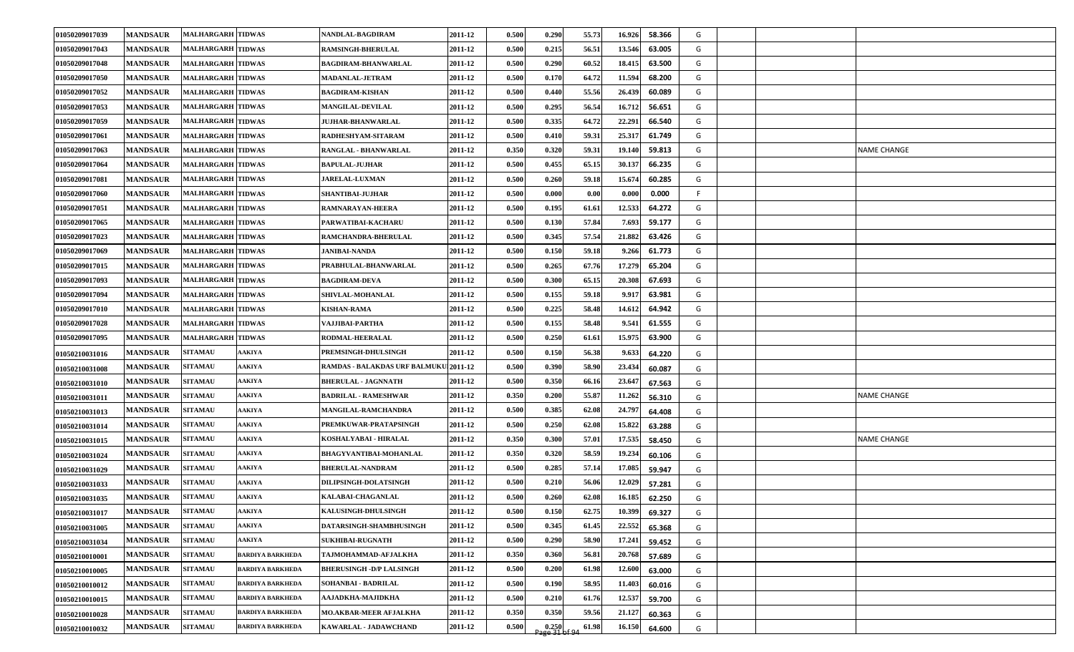| 01050209017039 | <b>MANDSAUR</b> | <b>MALHARGARH TIDWAS</b> |                         | NANDLAL-BAGDIRAM                             | 2011-12 | 0.500 | 0.290                                                        | 55.73 | 16.926 | 58.366 | G  |  |                    |
|----------------|-----------------|--------------------------|-------------------------|----------------------------------------------|---------|-------|--------------------------------------------------------------|-------|--------|--------|----|--|--------------------|
| 01050209017043 | <b>MANDSAUR</b> | <b>MALHARGARH TIDWAS</b> |                         | <b>RAMSINGH-BHERULAL</b>                     | 2011-12 | 0.500 | 0.215                                                        | 56.51 | 13.546 | 63.005 | G  |  |                    |
| 01050209017048 | <b>MANDSAUR</b> | <b>MALHARGARH TIDWAS</b> |                         | <b>BAGDIRAM-BHANWARLAL</b>                   | 2011-12 | 0.500 | 0.290                                                        | 60.52 | 18.415 | 63.500 | G  |  |                    |
| 01050209017050 | <b>MANDSAUR</b> | <b>MALHARGARH TIDWAS</b> |                         | <b>MADANLAL-JETRAM</b>                       | 2011-12 | 0.500 | 0.170                                                        | 64.72 | 11.594 | 68.200 | G  |  |                    |
| 01050209017052 | <b>MANDSAUR</b> | <b>MALHARGARH TIDWAS</b> |                         | <b>BAGDIRAM-KISHAN</b>                       | 2011-12 | 0.500 | 0.440                                                        | 55.56 | 26.439 | 60.089 | G  |  |                    |
| 01050209017053 | <b>MANDSAUR</b> | <b>MALHARGARH TIDWAS</b> |                         | <b>MANGILAL-DEVILAL</b>                      | 2011-12 | 0.500 | 0.295                                                        | 56.54 | 16.712 | 56.651 | G  |  |                    |
| 01050209017059 | <b>MANDSAUR</b> | <b>MALHARGARH TIDWAS</b> |                         | <b>JUJHAR-BHANWARLAL</b>                     | 2011-12 | 0.500 | 0.335                                                        | 64.72 | 22.291 | 66.540 | G  |  |                    |
| 01050209017061 | <b>MANDSAUR</b> | <b>MALHARGARH TIDWAS</b> |                         | RADHESHYAM-SITARAM                           | 2011-12 | 0.500 | 0.410                                                        | 59.31 | 25.317 | 61.749 | G  |  |                    |
| 01050209017063 | <b>MANDSAUR</b> | <b>MALHARGARH TIDWAS</b> |                         | RANGLAL - BHANWARLAL                         | 2011-12 | 0.350 | 0.320                                                        | 59.31 | 19.140 | 59.813 | G  |  | <b>NAME CHANGE</b> |
| 01050209017064 | <b>MANDSAUR</b> | <b>MALHARGARH TIDWAS</b> |                         | <b>BAPULAL-JUJHAR</b>                        | 2011-12 | 0.500 | 0.455                                                        | 65.15 | 30.137 | 66.235 | G  |  |                    |
| 01050209017081 | <b>MANDSAUR</b> | <b>MALHARGARH TIDWAS</b> |                         | <b>JARELAL-LUXMAN</b>                        | 2011-12 | 0.500 | 0.260                                                        | 59.18 | 15.674 | 60.285 | G  |  |                    |
| 01050209017060 | <b>MANDSAUR</b> | <b>MALHARGARH TIDWAS</b> |                         | SHANTIBAI-JUJHAR                             | 2011-12 | 0.500 | 0.000                                                        | 0.00  | 0.000  | 0.000  | F. |  |                    |
| 01050209017051 | <b>MANDSAUR</b> | <b>MALHARGARH TIDWAS</b> |                         | <b>RAMNARAYAN-HEERA</b>                      | 2011-12 | 0.500 | 0.195                                                        | 61.61 | 12.533 | 64.272 | G  |  |                    |
| 01050209017065 | <b>MANDSAUR</b> | <b>MALHARGARH TIDWAS</b> |                         | PARWATIBAI-KACHARU                           | 2011-12 | 0.500 | 0.130                                                        | 57.84 | 7.693  | 59.177 | G  |  |                    |
| 01050209017023 | <b>MANDSAUR</b> | <b>MALHARGARH TIDWAS</b> |                         | RAMCHANDRA-BHERULAL                          | 2011-12 | 0.500 | 0.345                                                        | 57.54 | 21.882 | 63.426 | G  |  |                    |
| 01050209017069 | <b>MANDSAUR</b> | <b>MALHARGARH TIDWAS</b> |                         | <b>JANIBAI-NANDA</b>                         | 2011-12 | 0.500 | 0.150                                                        | 59.18 | 9.266  | 61.773 | G  |  |                    |
| 01050209017015 | <b>MANDSAUR</b> | <b>MALHARGARH TIDWAS</b> |                         | PRABHULAL-BHANWARLAL                         | 2011-12 | 0.500 | 0.265                                                        | 67.76 | 17.279 | 65.204 | G  |  |                    |
| 01050209017093 | <b>MANDSAUR</b> | <b>MALHARGARH TIDWAS</b> |                         | <b>BAGDIRAM-DEVA</b>                         | 2011-12 | 0.500 | 0.300                                                        | 65.15 | 20.308 | 67.693 | G  |  |                    |
| 01050209017094 | <b>MANDSAUR</b> | <b>MALHARGARH TIDWAS</b> |                         | <b>SHIVLAL-MOHANLAL</b>                      | 2011-12 | 0.500 | 0.155                                                        | 59.18 | 9.917  | 63.981 | G  |  |                    |
| 01050209017010 | <b>MANDSAUR</b> | <b>MALHARGARH TIDWAS</b> |                         | <b>KISHAN-RAMA</b>                           | 2011-12 | 0.500 | 0.225                                                        | 58.48 | 14.612 | 64.942 | G  |  |                    |
| 01050209017028 | <b>MANDSAUR</b> | <b>MALHARGARH TIDWAS</b> |                         | VAJJIBAI-PARTHA                              | 2011-12 | 0.500 | 0.155                                                        | 58.48 | 9.541  | 61.555 | G  |  |                    |
| 01050209017095 | <b>MANDSAUR</b> | <b>MALHARGARH TIDWAS</b> |                         | <b>RODMAL-HEERALAL</b>                       | 2011-12 | 0.500 | 0.250                                                        | 61.61 | 15.975 | 63.900 | G  |  |                    |
| 01050210031016 | <b>MANDSAUR</b> | <b>SITAMAU</b>           | <b>AAKIYA</b>           | PREMSINGH-DHULSINGH                          | 2011-12 | 0.500 | 0.150                                                        | 56.38 | 9.633  | 64.220 | G  |  |                    |
| 01050210031008 | <b>MANDSAUR</b> | <b>SITAMAU</b>           | AAKIYA                  | <b>RAMDAS - BALAKDAS URF BALMUKU 2011-12</b> |         | 0.500 | 0.390                                                        | 58.90 | 23.434 | 60.087 | G  |  |                    |
| 01050210031010 | <b>MANDSAUR</b> | <b>SITAMAU</b>           | <b>AAKIYA</b>           | <b>BHERULAL - JAGNNATH</b>                   | 2011-12 | 0.500 | 0.350                                                        | 66.16 | 23.647 | 67.563 | G  |  |                    |
| 01050210031011 | <b>MANDSAUR</b> | <b>SITAMAU</b>           | AAKIYA                  | <b>BADRILAL - RAMESHWAR</b>                  | 2011-12 | 0.350 | 0.200                                                        | 55.87 | 11.262 | 56.310 | G  |  | <b>NAME CHANGE</b> |
| 01050210031013 | <b>MANDSAUR</b> | <b>SITAMAU</b>           | <b>AAKIYA</b>           | MANGILAL-RAMCHANDRA                          | 2011-12 | 0.500 | 0.385                                                        | 62.08 | 24.797 | 64.408 | G  |  |                    |
| 01050210031014 | <b>MANDSAUR</b> | <b>SITAMAU</b>           | <b>AAKIYA</b>           | PREMKUWAR-PRATAPSINGH                        | 2011-12 | 0.500 | 0.250                                                        | 62.08 | 15.822 | 63.288 | G  |  |                    |
| 01050210031015 | <b>MANDSAUR</b> | <b>SITAMAU</b>           | <b>AAKIYA</b>           | KOSHALYABAI - HIRALAL                        | 2011-12 | 0.350 | 0.300                                                        | 57.01 | 17.535 | 58.450 | G  |  | NAME CHANGE        |
| 01050210031024 | <b>MANDSAUR</b> | <b>SITAMAU</b>           | <b>AAKIYA</b>           | <b>BHAGYVANTIBAI-MOHANLAL</b>                | 2011-12 | 0.350 | 0.320                                                        | 58.59 | 19.234 | 60.106 | G  |  |                    |
| 01050210031029 | <b>MANDSAUR</b> | <b>SITAMAU</b>           | <b>AAKIYA</b>           | <b>BHERULAL-NANDRAM</b>                      | 2011-12 | 0.500 | 0.285                                                        | 57.14 | 17.085 | 59.947 | G  |  |                    |
| 01050210031033 | <b>MANDSAUR</b> | <b>SITAMAU</b>           | ААКІҮА                  | <b>DILIPSINGH-DOLATSINGH</b>                 | 2011-12 | 0.500 | 0.210                                                        | 56.06 | 12.029 | 57.281 | G  |  |                    |
| 01050210031035 | <b>MANDSAUR</b> | <b>SITAMAU</b>           | <b>AAKIYA</b>           | KALABAI-CHAGANLAL                            | 2011-12 | 0.500 | 0.260                                                        | 62.08 | 16.185 | 62.250 | G  |  |                    |
| 01050210031017 | <b>MANDSAUR</b> | <b>SITAMAU</b>           | <b>AAKIYA</b>           | KALUSINGH-DHULSINGH                          | 2011-12 | 0.500 | 0.150                                                        | 62.75 | 10.399 | 69.327 | G  |  |                    |
| 01050210031005 | <b>MANDSAUR</b> | <b>SITAMAU</b>           | <b>AAKIYA</b>           | DATARSINGH-SHAMBHUSINGH                      | 2011-12 | 0.500 | 0.345                                                        | 61.45 | 22.552 | 65.368 | G  |  |                    |
| 01050210031034 | <b>MANDSAUR</b> | <b>SITAMAU</b>           | <b>AAKIYA</b>           | <b>SUKHIBAI-RUGNATH</b>                      | 2011-12 | 0.500 | 0.290                                                        | 58.90 | 17.241 | 59.452 | G  |  |                    |
| 01050210010001 | <b>MANDSAUR</b> | <b>SITAMAU</b>           | <b>BARDIYA BARKHEDA</b> | TAJMOHAMMAD-AFJALKHA                         | 2011-12 | 0.350 | 0.360                                                        | 56.81 | 20.768 | 57.689 | G  |  |                    |
| 01050210010005 | <b>MANDSAUR</b> | <b>SITAMAU</b>           | <b>BARDIYA BARKHEDA</b> | <b>BHERUSINGH - D/P LALSINGH</b>             | 2011-12 | 0.500 | 0.200                                                        | 61.98 | 12.600 | 63.000 | G  |  |                    |
| 01050210010012 | <b>MANDSAUR</b> | <b>SITAMAU</b>           | <b>BARDIYA BARKHEDA</b> | SOHANBAI - BADRILAL                          | 2011-12 | 0.500 | 0.190                                                        | 58.95 | 11.403 | 60.016 | G  |  |                    |
| 01050210010015 | <b>MANDSAUR</b> | <b>SITAMAU</b>           | <b>BARDIYA BARKHEDA</b> | AAJADKHA-MAJIDKHA                            | 2011-12 | 0.500 | 0.210                                                        | 61.76 | 12.537 | 59.700 | G  |  |                    |
| 01050210010028 | <b>MANDSAUR</b> | <b>SITAMAU</b>           | <b>BARDIYA BARKHEDA</b> | MO.AKBAR-MEER AFJALKHA                       | 2011-12 | 0.350 | 0.350                                                        | 59.56 | 21.127 | 60.363 | G  |  |                    |
| 01050210010032 | <b>MANDSAUR</b> | <b>SITAMAU</b>           | <b>BARDIYA BARKHEDA</b> | KAWARLAL - JADAWCHAND                        | 2011-12 | 0.500 | $\begin{array}{c} 0.250 \\ \text{Page 31 of 94} \end{array}$ | 61.98 | 16.150 | 64.600 | G  |  |                    |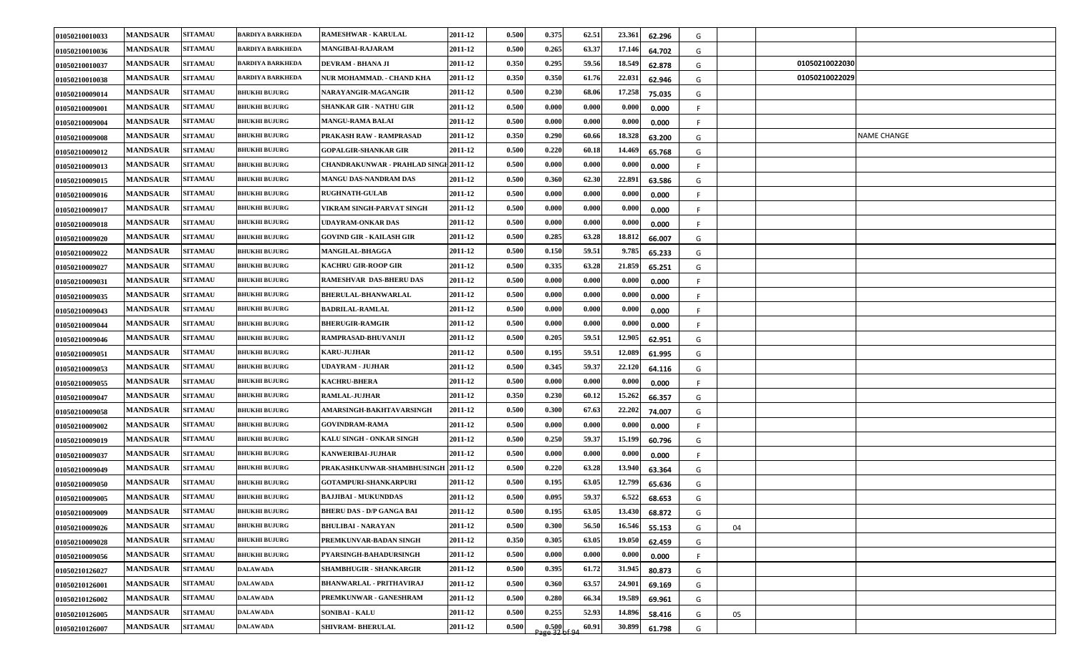| 01050210010033 | <b>MANDSAUR</b> | <b>SITAMAU</b> | <b>BARDIYA BARKHEDA</b> | RAMESHWAR - KARULAL                   | 2011-12 | 0.500 | 0.375                                                       | 62.51 | 23.361<br>62.296              | G  |    |                |                    |
|----------------|-----------------|----------------|-------------------------|---------------------------------------|---------|-------|-------------------------------------------------------------|-------|-------------------------------|----|----|----------------|--------------------|
| 01050210010036 | <b>MANDSAUR</b> | <b>SITAMAU</b> | <b>BARDIYA BARKHEDA</b> | MANGIBAI-RAJARAM                      | 2011-12 | 0.500 | 0.265                                                       | 63.37 | 17.146<br>64.702              | G  |    |                |                    |
| 01050210010037 | <b>MANDSAUR</b> | <b>SITAMAU</b> | <b>BARDIYA BARKHEDA</b> | DEVRAM - BHANA JI                     | 2011-12 | 0.350 | 0.295                                                       | 59.56 | 18.549<br>62.878              | G  |    | 01050210022030 |                    |
| 01050210010038 | <b>MANDSAUR</b> | <b>SITAMAU</b> | <b>BARDIYA BARKHEDA</b> | NUR MOHAMMAD. - CHAND KHA             | 2011-12 | 0.350 | 0.350                                                       | 61.76 | 22.031<br>62.946              | G  |    | 01050210022029 |                    |
| 01050210009014 | <b>MANDSAUR</b> | <b>SITAMAU</b> | <b>BHUKHI BUJURG</b>    | NARAYANGIR-MAGANGIR                   | 2011-12 | 0.500 | 0.230                                                       | 68.06 | 17.258<br>75.035              | G  |    |                |                    |
| 01050210009001 | <b>MANDSAUR</b> | <b>SITAMAU</b> | <b>BHUKHI BUJURG</b>    | <b>SHANKAR GIR - NATHU GIR</b>        | 2011-12 | 0.500 | 0.000                                                       | 0.000 | $\boldsymbol{0.000}$<br>0.000 |    |    |                |                    |
| 01050210009004 | <b>MANDSAUR</b> | <b>SITAMAU</b> | <b>BHUKHI BUJURG</b>    | <b>MANGU-RAMA BALAI</b>               | 2011-12 | 0.500 | 0.000                                                       | 0.000 | 0.000<br>0.000                | F  |    |                |                    |
| 01050210009008 | <b>MANDSAUR</b> | <b>SITAMAU</b> | <b>BHUKHI BUJURG</b>    | PRAKASH RAW - RAMPRASAD               | 2011-12 | 0.350 | 0.290                                                       | 60.66 | 18.328<br>63.200              | G  |    |                | <b>NAME CHANGE</b> |
| 01050210009012 | <b>MANDSAUR</b> | <b>SITAMAU</b> | <b>BHUKHI BUJURG</b>    | <b>GOPALGIR-SHANKAR GIR</b>           | 2011-12 | 0.50  | 0.220                                                       | 60.18 | 14.469<br>65.768              | G  |    |                |                    |
| 01050210009013 | <b>MANDSAUR</b> | <b>SITAMAU</b> | <b>BHUKHI BUJURG</b>    | CHANDRAKUNWAR - PRAHLAD SINGH 2011-12 |         | 0.500 | 0.000                                                       | 0.000 | 0.000<br>0.000                |    |    |                |                    |
| 01050210009015 | <b>MANDSAUR</b> | <b>SITAMAU</b> | <b>BHUKHI BUJURG</b>    | <b>MANGU DAS-NANDRAM DAS</b>          | 2011-12 | 0.500 | 0.360                                                       | 62.30 | 22.891<br>63.586              | G  |    |                |                    |
| 01050210009016 | <b>MANDSAUR</b> | <b>SITAMAU</b> | <b>BHUKHI BUJURG</b>    | <b>RUGHNATH-GULAB</b>                 | 2011-12 | 0.500 | 0.000                                                       | 0.000 | 0.000<br>0.000                |    |    |                |                    |
| 01050210009017 | <b>MANDSAUR</b> | <b>SITAMAU</b> | <b>BHUKHI BUJURG</b>    | VIKRAM SINGH-PARVAT SINGH             | 2011-12 | 0.500 | 0.000                                                       | 0.000 | $\boldsymbol{0.000}$<br>0.000 | F  |    |                |                    |
| 01050210009018 | <b>MANDSAUR</b> | <b>SITAMAU</b> | <b>BHUKHI BUJURG</b>    | UDAYRAM-ONKAR DAS                     | 2011-12 | 0.500 | 0.000                                                       | 0.000 | 0.000<br>0.000                | F. |    |                |                    |
| 01050210009020 | <b>MANDSAUR</b> | <b>SITAMAU</b> | <b>BHUKHI BUJURG</b>    | <b>GOVIND GIR - KAILASH GIR</b>       | 2011-12 | 0.500 | 0.285                                                       | 63.28 | 18.812<br>66.007              | G  |    |                |                    |
| 01050210009022 | <b>MANDSAUR</b> | <b>SITAMAU</b> | <b>BHUKHI BUJURG</b>    | <b>MANGILAL-BHAGGA</b>                | 2011-12 | 0.500 | 0.150                                                       | 59.51 | 9.785<br>65.233               | G  |    |                |                    |
| 01050210009027 | <b>MANDSAUR</b> | <b>SITAMAU</b> | <b>BHUKHI BUJURG</b>    | <b>KACHRU GIR-ROOP GIR</b>            | 2011-12 | 0.500 | 0.335                                                       | 63.28 | 21.859<br>65.251              | G  |    |                |                    |
| 01050210009031 | <b>MANDSAUR</b> | <b>SITAMAU</b> | <b>BHUKHI BUJURG</b>    | RAMESHVAR DAS-BHERU DAS               | 2011-12 | 0.500 | 0.000                                                       | 0.000 | 0.000<br>0.000                | F  |    |                |                    |
| 01050210009035 | <b>MANDSAUR</b> | <b>SITAMAU</b> | <b>BHUKHI BUJURG</b>    | <b>BHERULAL-BHANWARLAL</b>            | 2011-12 | 0.500 | 0.000                                                       | 0.000 | 0.000<br>0.000                | F  |    |                |                    |
| 01050210009043 | <b>MANDSAUR</b> | <b>SITAMAU</b> | <b>BHUKHI BUJURG</b>    | <b>BADRILAL-RAMLAL</b>                | 2011-12 | 0.500 | 0.000                                                       | 0.000 | 0.000<br>0.000                | F. |    |                |                    |
| 01050210009044 | <b>MANDSAUR</b> | <b>SITAMAU</b> | <b>BHUKHI BUJURG</b>    | <b>BHERUGIR-RAMGIR</b>                | 2011-12 | 0.500 | 0.000                                                       | 0.000 | $\boldsymbol{0.000}$<br>0.000 | F. |    |                |                    |
| 01050210009046 | <b>MANDSAUR</b> | <b>SITAMAU</b> | <b>BHUKHI BUJURG</b>    | RAMPRASAD-BHUVANIJI                   | 2011-12 | 0.500 | 0.205                                                       | 59.51 | 12.905<br>62.951              | G  |    |                |                    |
| 01050210009051 | <b>MANDSAUR</b> | <b>SITAMAU</b> | <b>BHUKHI BUJURG</b>    | <b>KARU-JUJHAR</b>                    | 2011-12 | 0.500 | 0.195                                                       | 59.51 | 12.089<br>61.995              | G  |    |                |                    |
| 01050210009053 | <b>MANDSAUR</b> | <b>SITAMAU</b> | <b>BHUKHI BUJURG</b>    | UDAYRAM - JUJHAR                      | 2011-12 | 0.500 | 0.345                                                       | 59.37 | 22.120<br>64.116              | G  |    |                |                    |
| 01050210009055 | <b>MANDSAUR</b> | <b>SITAMAU</b> | <b>BHUKHI BUJURG</b>    | <b>KACHRU-BHERA</b>                   | 2011-12 | 0.500 | 0.000                                                       | 0.000 | 0.000<br>0.000                | F  |    |                |                    |
| 01050210009047 | <b>MANDSAUR</b> | <b>SITAMAU</b> | <b>BHUKHI BUJURG</b>    | <b>RAMLAL-JUJHAR</b>                  | 2011-12 | 0.350 | 0.230                                                       | 60.12 | 15.262<br>66.357              | G  |    |                |                    |
| 01050210009058 | <b>MANDSAUR</b> | <b>SITAMAU</b> | <b>BHUKHI BUJURG</b>    | AMARSINGH-BAKHTAVARSINGH              | 2011-12 | 0.500 | 0.300                                                       | 67.63 | 22.202<br>74.007              | G  |    |                |                    |
| 01050210009002 | <b>MANDSAUR</b> | <b>SITAMAU</b> | <b>BHUKHI BUJURG</b>    | <b>GOVINDRAM-RAMA</b>                 | 2011-12 | 0.500 | 0.000                                                       | 0.000 | 0.000<br>0.000                | F. |    |                |                    |
| 01050210009019 | <b>MANDSAUR</b> | <b>SITAMAU</b> | <b>BHUKHI BUJURG</b>    | <b>KALU SINGH - ONKAR SINGH</b>       | 2011-12 | 0.500 | 0.250                                                       | 59.37 | 15.199<br>60.796              | G  |    |                |                    |
| 01050210009037 | <b>MANDSAUR</b> | <b>SITAMAU</b> | <b>BHUKHI BUJURG</b>    | <b>KANWERIBAI-JUJHAR</b>              | 2011-12 | 0.500 | 0.000                                                       | 0.000 | 0.000<br>0.000                | F. |    |                |                    |
| 01050210009049 | <b>MANDSAUR</b> | <b>SITAMAU</b> | <b>BHUKHI BUJURG</b>    | PRAKASHKUNWAR-SHAMBHUSINGH 2011-12    |         | 0.500 | 0.220                                                       | 63.28 | 13.940<br>63.364              | G  |    |                |                    |
| 01050210009050 | <b>MANDSAUR</b> | <b>SITAMAU</b> | <b>BHUKHI BUJURG</b>    | <b>GOTAMPURI-SHANKARPURI</b>          | 2011-12 | 0.50  | 0.195                                                       | 63.05 | 12.799<br>65.636              | G  |    |                |                    |
| 01050210009005 | <b>MANDSAUR</b> | <b>SITAMAU</b> | <b>BHUKHI BUJURG</b>    | <b>BAJJIBAI - MUKUNDDAS</b>           | 2011-12 | 0.500 | 0.095                                                       | 59.37 | 6.522<br>68.653               | G  |    |                |                    |
| 01050210009009 | <b>MANDSAUR</b> | <b>SITAMAU</b> | <b>BHUKHI BUJURG</b>    | <b>BHERU DAS - D/P GANGA BAI</b>      | 2011-12 | 0.500 | 0.195                                                       | 63.05 | 13.430<br>68.872              | G  |    |                |                    |
| 01050210009026 | <b>MANDSAUR</b> | <b>SITAMAU</b> | <b>BHUKHI BUJURG</b>    | <b>BHULIBAI - NARAYAN</b>             | 2011-12 | 0.500 | 0.300                                                       | 56.50 | 16.546<br>55.153              | G  | 04 |                |                    |
| 01050210009028 | <b>MANDSAUR</b> | <b>SITAMAU</b> | <b>BHUKHI BUJURG</b>    | PREMKUNVAR-BADAN SINGH                | 2011-12 | 0.350 | 0.305                                                       | 63.05 | 19.050<br>62.459              | G  |    |                |                    |
| 01050210009056 | <b>MANDSAUR</b> | <b>SITAMAU</b> | <b>BHUKHI BUJURG</b>    | PYARSINGH-BAHADURSINGH                | 2011-12 | 0.500 | 0.000                                                       | 0.000 | 0.000<br>0.000                | F  |    |                |                    |
| 01050210126027 | <b>MANDSAUR</b> | <b>SITAMAU</b> | <b>DALAWADA</b>         | <b>SHAMBHUGIR - SHANKARGIR</b>        | 2011-12 | 0.500 | 0.395                                                       | 61.72 | 31.945<br>80.873              | G  |    |                |                    |
| 01050210126001 | <b>MANDSAUR</b> | <b>SITAMAU</b> | <b>DALAWADA</b>         | <b>BHANWARLAL - PRITHAVIRAJ</b>       | 2011-12 | 0.500 | 0.360                                                       | 63.57 | 24.901<br>69.169              | G  |    |                |                    |
| 01050210126002 | <b>MANDSAUR</b> | <b>SITAMAU</b> | <b>DALAWADA</b>         | PREMKUNWAR - GANESHRAM                | 2011-12 | 0.500 | 0.280                                                       | 66.34 | 19.589<br>69.961              | G  |    |                |                    |
| 01050210126005 | <b>MANDSAUR</b> | <b>SITAMAU</b> | <b>DALAWADA</b>         | <b>SONIBAI - KALU</b>                 | 2011-12 | 0.500 | 0.255                                                       | 52.93 | 14.896<br>58.416              | G  | 05 |                |                    |
| 01050210126007 | <b>MANDSAUR</b> | <b>SITAMAU</b> | <b>DALAWADA</b>         | <b>SHIVRAM- BHERULAL</b>              | 2011-12 | 0.500 | $\begin{array}{c c} 0.500 \\ 32 \text{ of } 94 \end{array}$ | 60.91 | 30.899<br>61.798              | G  |    |                |                    |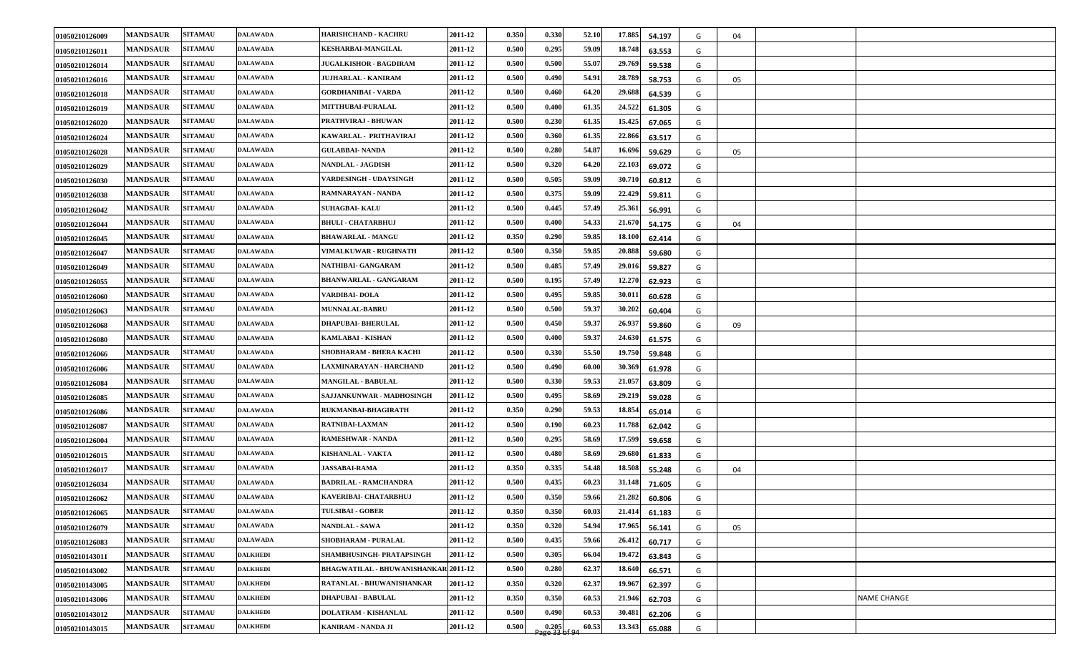| 01050210126009 | <b>MANDSAUR</b> | <b>SITAMAU</b> | <b>DALAWADA</b> | HARISHCHAND - KACHRU                        | 2011-12 | 0.350 | 0.330 | 52.10 | 17.885 | 54.197 | G | 04 |                    |
|----------------|-----------------|----------------|-----------------|---------------------------------------------|---------|-------|-------|-------|--------|--------|---|----|--------------------|
| 01050210126011 | <b>MANDSAUR</b> | <b>SITAMAU</b> | <b>DALAWADA</b> | <b>KESHARBAI-MANGILAL</b>                   | 2011-12 | 0.500 | 0.295 | 59.09 | 18.748 | 63.553 | G |    |                    |
| 01050210126014 | <b>MANDSAUR</b> | <b>SITAMAU</b> | <b>DALAWADA</b> | <b>JUGALKISHOR - BAGDIRAM</b>               | 2011-12 | 0.500 | 0.500 | 55.07 | 29.769 | 59.538 | G |    |                    |
| 01050210126016 | <b>MANDSAUR</b> | <b>SITAMAU</b> | <b>DALAWADA</b> | JUJHARLAL - KANIRAM                         | 2011-12 | 0.500 | 0.490 | 54.91 | 28.789 | 58.753 | G | 05 |                    |
| 01050210126018 | <b>MANDSAUR</b> | <b>SITAMAU</b> | <b>DALAWADA</b> | GORDHANIBAI - VARDA                         | 2011-12 | 0.500 | 0.460 | 64.20 | 29.688 | 64.539 | G |    |                    |
| 01050210126019 | <b>MANDSAUR</b> | <b>SITAMAU</b> | <b>DALAWADA</b> | MITTHUBAI-PURALAL                           | 2011-12 | 0.500 | 0.400 | 61.35 | 24.522 | 61.305 | G |    |                    |
| 01050210126020 | <b>MANDSAUR</b> | <b>SITAMAU</b> | <b>DALAWADA</b> | PRATHVIRAJ - BHUWAN                         | 2011-12 | 0.500 | 0.230 | 61.35 | 15.425 | 67.065 | G |    |                    |
| 01050210126024 | <b>MANDSAUR</b> | <b>SITAMAU</b> | <b>DALAWADA</b> | KAWARLAL - PRITHAVIRAJ                      | 2011-12 | 0.500 | 0.360 | 61.35 | 22.866 | 63.517 | G |    |                    |
| 01050210126028 | <b>MANDSAUR</b> | <b>SITAMAU</b> | <b>DALAWADA</b> | <b>GULABBAI- NANDA</b>                      | 2011-12 | 0.500 | 0.280 | 54.87 | 16.696 | 59.629 | G | 05 |                    |
| 01050210126029 | <b>MANDSAUR</b> | <b>SITAMAU</b> | <b>DALAWADA</b> | NANDLAL - JAGDISH                           | 2011-12 | 0.500 | 0.320 | 64.20 | 22.103 | 69.072 | G |    |                    |
| 01050210126030 | <b>MANDSAUR</b> | <b>SITAMAU</b> | <b>DALAWADA</b> | VARDESINGH - UDAYSINGH                      | 2011-12 | 0.500 | 0.505 | 59.09 | 30.710 | 60.812 | G |    |                    |
| 01050210126038 | <b>MANDSAUR</b> | <b>SITAMAU</b> | <b>DALAWADA</b> | RAMNARAYAN - NANDA                          | 2011-12 | 0.500 | 0.375 | 59.09 | 22.429 | 59.811 | G |    |                    |
| 01050210126042 | <b>MANDSAUR</b> | <b>SITAMAU</b> | <b>DALAWADA</b> | <b>SUHAGBAI- KALU</b>                       | 2011-12 | 0.500 | 0.445 | 57.49 | 25.361 | 56.991 | G |    |                    |
| 01050210126044 | <b>MANDSAUR</b> | <b>SITAMAU</b> | <b>DALAWADA</b> | <b>BHULI - CHATARBHUJ</b>                   | 2011-12 | 0.500 | 0.400 | 54.33 | 21.670 | 54.175 | G | 04 |                    |
| 01050210126045 | <b>MANDSAUR</b> | <b>SITAMAU</b> | <b>DALAWADA</b> | <b>BHAWARLAL - MANGU</b>                    | 2011-12 | 0.350 | 0.290 | 59.85 | 18.100 | 62.414 | G |    |                    |
| 01050210126047 | <b>MANDSAUR</b> | <b>SITAMAU</b> | <b>DALAWADA</b> | <b>VIMALKUWAR - RUGHNATH</b>                | 2011-12 | 0.500 | 0.350 | 59.85 | 20.888 | 59.680 | G |    |                    |
| 01050210126049 | <b>MANDSAUR</b> | <b>SITAMAU</b> | <b>DALAWADA</b> | NATHIBAI- GANGARAM                          | 2011-12 | 0.500 | 0.485 | 57.49 | 29.016 | 59.827 | G |    |                    |
| 01050210126055 | <b>MANDSAUR</b> | <b>SITAMAU</b> | <b>DALAWADA</b> | <b>BHANWARLAL - GANGARAM</b>                | 2011-12 | 0.500 | 0.195 | 57.49 | 12.270 | 62.923 | G |    |                    |
| 01050210126060 | <b>MANDSAUR</b> | <b>SITAMAU</b> | <b>DALAWADA</b> | VARDIBAI- DOLA                              | 2011-12 | 0.500 | 0.495 | 59.85 | 30.011 | 60.628 | G |    |                    |
| 01050210126063 | <b>MANDSAUR</b> | <b>SITAMAU</b> | <b>DALAWADA</b> | <b>MUNNALAL-BABRU</b>                       | 2011-12 | 0.500 | 0.500 | 59.37 | 30.202 | 60.404 | G |    |                    |
| 01050210126068 | <b>MANDSAUR</b> | <b>SITAMAU</b> | <b>DALAWADA</b> | <b>DHAPUBAI- BHERULAL</b>                   | 2011-12 | 0.500 | 0.450 | 59.37 | 26.937 | 59.860 | G | 09 |                    |
| 01050210126080 | <b>MANDSAUR</b> | <b>SITAMAU</b> | <b>DALAWADA</b> | KAMLABAI - KISHAN                           | 2011-12 | 0.500 | 0.400 | 59.37 | 24.630 | 61.575 | G |    |                    |
| 01050210126066 | <b>MANDSAUR</b> | <b>SITAMAU</b> | <b>DALAWADA</b> | SHOBHARAM - BHERA KACHI                     | 2011-12 | 0.500 | 0.330 | 55.50 | 19.750 | 59.848 | G |    |                    |
| 01050210126006 | <b>MANDSAUR</b> | <b>SITAMAU</b> | <b>DALAWADA</b> | LAXMINARAYAN - HARCHAND                     | 2011-12 | 0.500 | 0.490 | 60.00 | 30.369 | 61.978 | G |    |                    |
| 01050210126084 | <b>MANDSAUR</b> | <b>SITAMAU</b> | <b>DALAWADA</b> | MANGILAL - BABULAL                          | 2011-12 | 0.500 | 0.330 | 59.53 | 21.057 | 63.809 | G |    |                    |
| 01050210126085 | <b>MANDSAUR</b> | <b>SITAMAU</b> | <b>DALAWADA</b> | SAJJANKUNWAR - MADHOSINGH                   | 2011-12 | 0.500 | 0.495 | 58.69 | 29.219 | 59.028 | G |    |                    |
| 01050210126086 | <b>MANDSAUR</b> | <b>SITAMAU</b> | <b>DALAWADA</b> | RUKMANBAI-BHAGIRATH                         | 2011-12 | 0.350 | 0.290 | 59.53 | 18.854 | 65.014 | G |    |                    |
| 01050210126087 | <b>MANDSAUR</b> | <b>SITAMAU</b> | <b>DALAWADA</b> | RATNIBAI-LAXMAN                             | 2011-12 | 0.500 | 0.190 | 60.23 | 11.788 | 62.042 | G |    |                    |
| 01050210126004 | <b>MANDSAUR</b> | <b>SITAMAU</b> | <b>DALAWADA</b> | <b>RAMESHWAR - NANDA</b>                    | 2011-12 | 0.500 | 0.295 | 58.69 | 17.599 | 59.658 | G |    |                    |
| 01050210126015 | <b>MANDSAUR</b> | <b>SITAMAU</b> | <b>DALAWADA</b> | <b>KISHANLAL - VAKTA</b>                    | 2011-12 | 0.500 | 0.480 | 58.69 | 29.680 | 61.833 | G |    |                    |
| 01050210126017 | <b>MANDSAUR</b> | <b>SITAMAU</b> | <b>DALAWADA</b> | <b>JASSABAI-RAMA</b>                        | 2011-12 | 0.350 | 0.335 | 54.48 | 18.508 | 55.248 | G | 04 |                    |
| 01050210126034 | <b>MANDSAUR</b> | <b>SITAMAU</b> | <b>DALAWADA</b> | <b>BADRILAL - RAMCHANDRA</b>                | 2011-12 | 0.500 | 0.435 | 60.23 | 31.148 | 71.605 | G |    |                    |
| 01050210126062 | <b>MANDSAUR</b> | <b>SITAMAU</b> | <b>DALAWADA</b> | KAVERIBAI- CHATARBHUJ                       | 2011-12 | 0.500 | 0.350 | 59.66 | 21.282 | 60.806 | G |    |                    |
| 01050210126065 | <b>MANDSAUR</b> | <b>SITAMAU</b> | <b>DALAWADA</b> | <b>TULSIBAI - GOBER</b>                     | 2011-12 | 0.350 | 0.350 | 60.03 | 21.414 | 61.183 | G |    |                    |
| 01050210126079 | <b>MANDSAUR</b> | <b>SITAMAU</b> | <b>DALAWADA</b> | <b>NANDLAL - SAWA</b>                       | 2011-12 | 0.350 | 0.320 | 54.94 | 17.965 | 56.141 | G | 05 |                    |
| 01050210126083 | <b>MANDSAUR</b> | <b>SITAMAU</b> | <b>DALAWADA</b> | SHOBHARAM - PURALAL                         | 2011-12 | 0.500 | 0.435 | 59.66 | 26.412 | 60.717 | G |    |                    |
| 01050210143011 | <b>MANDSAUR</b> | <b>SITAMAU</b> | <b>DALKHEDI</b> | SHAMBHUSINGH- PRATAPSINGH                   | 2011-12 | 0.500 | 0.305 | 66.04 | 19.472 | 63.843 | G |    |                    |
| 01050210143002 | <b>MANDSAUR</b> | <b>SITAMAU</b> | <b>DALKHEDI</b> | <b>BHAGWATILAL - BHUWANISHANKAR 2011-12</b> |         | 0.500 | 0.280 | 62.37 | 18.640 | 66.571 | G |    |                    |
| 01050210143005 | <b>MANDSAUR</b> | <b>SITAMAU</b> | <b>DALKHEDI</b> | RATANLAL - BHUWANISHANKAR                   | 2011-12 | 0.350 | 0.320 | 62.37 | 19.967 | 62.397 | G |    |                    |
| 01050210143006 | <b>MANDSAUR</b> | <b>SITAMAU</b> | <b>DALKHEDI</b> | <b>DHAPUBAI - BABULAL</b>                   | 2011-12 | 0.350 | 0.350 | 60.53 | 21.946 | 62.703 | G |    | <b>NAME CHANGE</b> |
| 01050210143012 | <b>MANDSAUR</b> | <b>SITAMAU</b> | <b>DALKHEDI</b> | DOLATRAM - KISHANLAL                        | 2011-12 | 0.500 | 0.490 | 60.53 | 30.481 | 62.206 | G |    |                    |
| 01050210143015 | <b>MANDSAUR</b> | <b>SITAMAU</b> | <b>DALKHEDI</b> | KANIRAM - NANDA JI                          | 2011-12 | 0.500 | 0.205 | 60.53 | 13.343 | 65.088 | G |    |                    |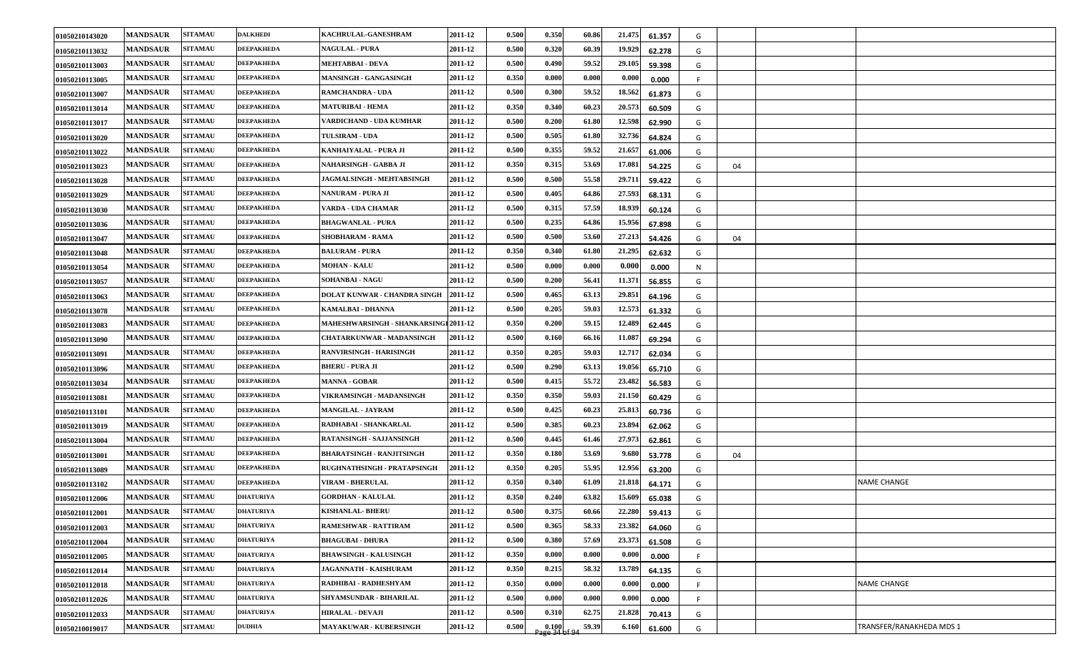| 01050210143020 | <b>MANDSAUR</b> | <b>SITAMAU</b> | <b>DALKHEDI</b>   | KACHRULAL-GANESHRAM                   | 2011-12 | 0.500 | 0.350                   | 60.86 | 21.475 | 61.357 | G   |    |                          |
|----------------|-----------------|----------------|-------------------|---------------------------------------|---------|-------|-------------------------|-------|--------|--------|-----|----|--------------------------|
| 01050210113032 | <b>MANDSAUR</b> | <b>SITAMAU</b> | <b>DEEPAKHEDA</b> | <b>NAGULAL - PURA</b>                 | 2011-12 | 0.500 | 0.320                   | 60.39 | 19.929 | 62.278 | G   |    |                          |
| 01050210113003 | <b>MANDSAUR</b> | <b>SITAMAU</b> | <b>DEEPAKHEDA</b> | <b>MEHTABBAI - DEVA</b>               | 2011-12 | 0.500 | 0.490                   | 59.52 | 29.105 | 59.398 | G   |    |                          |
| 01050210113005 | <b>MANDSAUR</b> | <b>SITAMAU</b> | <b>DEEPAKHEDA</b> | <b>MANSINGH - GANGASINGH</b>          | 2011-12 | 0.350 | 0.000                   | 0.000 | 0.000  | 0.000  |     |    |                          |
| 01050210113007 | <b>MANDSAUR</b> | <b>SITAMAU</b> | <b>DEEPAKHEDA</b> | <b>RAMCHANDRA - UDA</b>               | 2011-12 | 0.500 | 0.300                   | 59.52 | 18.562 | 61.873 | G   |    |                          |
| 01050210113014 | <b>MANDSAUR</b> | <b>SITAMAU</b> | <b>DEEPAKHEDA</b> | <b>MATURIBAI - HEMA</b>               | 2011-12 | 0.350 | 0.340                   | 60.23 | 20.573 | 60.509 | G   |    |                          |
| 01050210113017 | <b>MANDSAUR</b> | <b>SITAMAU</b> | <b>DEEPAKHEDA</b> | VARDICHAND - UDA KUMHAR               | 2011-12 | 0.500 | 0.200                   | 61.80 | 12.598 | 62.990 | G   |    |                          |
| 01050210113020 | <b>MANDSAUR</b> | <b>SITAMAU</b> | <b>DEEPAKHEDA</b> | <b>TULSIRAM - UDA</b>                 | 2011-12 | 0.500 | 0.505                   | 61.80 | 32.736 | 64.824 | G   |    |                          |
| 01050210113022 | <b>MANDSAUR</b> | <b>SITAMAU</b> | <b>DEEPAKHEDA</b> | KANHAIYALAL - PURA JI                 | 2011-12 | 0.500 | 0.355                   | 59.52 | 21.657 | 61.006 | G   |    |                          |
| 01050210113023 | <b>MANDSAUR</b> | <b>SITAMAU</b> | <b>DEEPAKHEDA</b> | NAHARSINGH - GABBA JI                 | 2011-12 | 0.350 | 0.315                   | 53.69 | 17.081 | 54.225 | G   | 04 |                          |
| 01050210113028 | <b>MANDSAUR</b> | <b>SITAMAU</b> | <b>DEEPAKHEDA</b> | JAGMALSINGH - MEHTABSINGH             | 2011-12 | 0.500 | 0.500                   | 55.58 | 29.711 | 59.422 | G   |    |                          |
| 01050210113029 | <b>MANDSAUR</b> | <b>SITAMAU</b> | <b>DEEPAKHEDA</b> | NANURAM - PURA JI                     | 2011-12 | 0.500 | 0.405                   | 64.86 | 27.593 | 68.131 | G   |    |                          |
| 01050210113030 | <b>MANDSAUR</b> | <b>SITAMAU</b> | <b>DEEPAKHEDA</b> | VARDA - UDA CHAMAR                    | 2011-12 | 0.500 | 0.315                   | 57.59 | 18.939 | 60.124 | G   |    |                          |
| 01050210113036 | <b>MANDSAUR</b> | <b>SITAMAU</b> | <b>DEEPAKHEDA</b> | <b>BHAGWANLAL - PURA</b>              | 2011-12 | 0.500 | 0.235                   | 64.86 | 15.956 | 67.898 | G   |    |                          |
| 01050210113047 | <b>MANDSAUR</b> | <b>SITAMAU</b> | <b>DEEPAKHEDA</b> | <b>SHOBHARAM - RAMA</b>               | 2011-12 | 0.500 | 0.500                   | 53.60 | 27.213 | 54.426 | G   | 04 |                          |
| 01050210113048 | <b>MANDSAUR</b> | <b>SITAMAU</b> | <b>DEEPAKHEDA</b> | <b>BALURAM - PURA</b>                 | 2011-12 | 0.350 | 0.340                   | 61.80 | 21.295 | 62.632 | G   |    |                          |
| 01050210113054 | <b>MANDSAUR</b> | <b>SITAMAU</b> | <b>DEEPAKHEDA</b> | <b>MOHAN - KALU</b>                   | 2011-12 | 0.500 | 0.000                   | 0.000 | 0.000  | 0.000  | N   |    |                          |
| 01050210113057 | <b>MANDSAUR</b> | <b>SITAMAU</b> | <b>DEEPAKHEDA</b> | <b>SOHANBAI - NAGU</b>                | 2011-12 | 0.500 | 0.200                   | 56.41 | 11.371 | 56.855 | G   |    |                          |
| 01050210113063 | <b>MANDSAUR</b> | <b>SITAMAU</b> | <b>DEEPAKHEDA</b> | DOLAT KUNWAR - CHANDRA SINGH          | 2011-12 | 0.500 | 0.465                   | 63.13 | 29.851 | 64.196 | G   |    |                          |
| 01050210113078 | <b>MANDSAUR</b> | <b>SITAMAU</b> | <b>DEEPAKHEDA</b> | KAMALBAI - DHANNA                     | 2011-12 | 0.500 | 0.205                   | 59.03 | 12.573 | 61.332 | G   |    |                          |
| 01050210113083 | <b>MANDSAUR</b> | <b>SITAMAU</b> | <b>DEEPAKHEDA</b> | MAHESHWARSINGH - SHANKARSINGI 2011-12 |         | 0.350 | 0.200                   | 59.15 | 12.489 | 62.445 | G   |    |                          |
| 01050210113090 | <b>MANDSAUR</b> | <b>SITAMAU</b> | <b>DEEPAKHEDA</b> | CHATARKUNWAR - MADANSINGH             | 2011-12 | 0.500 | 0.160                   | 66.16 | 11.087 | 69.294 | G   |    |                          |
| 01050210113091 | <b>MANDSAUR</b> | <b>SITAMAU</b> | <b>DEEPAKHEDA</b> | <b>RANVIRSINGH - HARISINGH</b>        | 2011-12 | 0.350 | 0.205                   | 59.03 | 12.717 | 62.034 | G   |    |                          |
| 01050210113096 | <b>MANDSAUR</b> | <b>SITAMAU</b> | <b>DEEPAKHEDA</b> | <b>BHERU - PURA JI</b>                | 2011-12 | 0.500 | 0.290                   | 63.13 | 19.056 | 65.710 | G   |    |                          |
| 01050210113034 | <b>MANDSAUR</b> | <b>SITAMAU</b> | <b>DEEPAKHEDA</b> | <b>MANNA - GOBAR</b>                  | 2011-12 | 0.500 | 0.415                   | 55.72 | 23.482 | 56.583 | G   |    |                          |
| 01050210113081 | <b>MANDSAUR</b> | <b>SITAMAU</b> | <b>DEEPAKHEDA</b> | VIKRAMSINGH - MADANSINGH              | 2011-12 | 0.350 | 0.350                   | 59.03 | 21.150 | 60.429 | G   |    |                          |
| 01050210113101 | <b>MANDSAUR</b> | <b>SITAMAU</b> | <b>DEEPAKHEDA</b> | <b>MANGILAL - JAYRAM</b>              | 2011-12 | 0.500 | 0.425                   | 60.23 | 25.813 | 60.736 | G   |    |                          |
| 01050210113019 | <b>MANDSAUR</b> | <b>SITAMAU</b> | <b>DEEPAKHEDA</b> | RADHABAI - SHANKARLAL                 | 2011-12 | 0.500 | 0.385                   | 60.23 | 23.894 | 62.062 | G   |    |                          |
| 01050210113004 | <b>MANDSAUR</b> | <b>SITAMAU</b> | <b>DEEPAKHEDA</b> | <b>RATANSINGH - SAJJANSINGH</b>       | 2011-12 | 0.500 | 0.445                   | 61.46 | 27.973 | 62.861 | G   |    |                          |
| 01050210113001 | <b>MANDSAUR</b> | <b>SITAMAU</b> | <b>DEEPAKHEDA</b> | <b>BHARATSINGH - RANJITSINGH</b>      | 2011-12 | 0.350 | 0.180                   | 53.69 | 9.680  | 53.778 | G   | 04 |                          |
| 01050210113089 | <b>MANDSAUR</b> | <b>SITAMAU</b> | <b>DEEPAKHEDA</b> | RUGHNATHSINGH - PRATAPSINGH           | 2011-12 | 0.350 | 0.205                   | 55.95 | 12.956 | 63.200 | G   |    |                          |
| 01050210113102 | <b>MANDSAUR</b> | <b>SITAMAU</b> | <b>DEEPAKHEDA</b> | <b>VIRAM - BHERULAL</b>               | 2011-12 | 0.350 | 0.340                   | 61.09 | 21.818 | 64.171 | G   |    | <b>NAME CHANGE</b>       |
| 01050210112006 | <b>MANDSAUR</b> | <b>SITAMAU</b> | <b>DHATURIYA</b>  | <b>GORDHAN - KALULAL</b>              | 2011-12 | 0.350 | 0.240                   | 63.82 | 15.609 | 65.038 | G   |    |                          |
| 01050210112001 | <b>MANDSAUR</b> | <b>SITAMAU</b> | <b>DHATURIYA</b>  | <b>KISHANLAL- BHERU</b>               | 2011-12 | 0.500 | 0.375                   | 60.66 | 22.280 | 59.413 | G   |    |                          |
| 01050210112003 | <b>MANDSAUR</b> | <b>SITAMAU</b> | <b>DHATURIYA</b>  | RAMESHWAR - RATTIRAM                  | 2011-12 | 0.500 | 0.365                   | 58.33 | 23.382 | 64.060 | G   |    |                          |
| 01050210112004 | <b>MANDSAUR</b> | <b>SITAMAU</b> | <b>DHATURIYA</b>  | <b>BHAGUBAI - DHURA</b>               | 2011-12 | 0.500 | 0.380                   | 57.69 | 23.373 | 61.508 | G   |    |                          |
| 01050210112005 | <b>MANDSAUR</b> | <b>SITAMAU</b> | <b>DHATURIYA</b>  | <b>BHAWSINGH - KALUSINGH</b>          | 2011-12 | 0.350 | 0.000                   | 0.000 | 0.000  | 0.000  | -F. |    |                          |
| 01050210112014 | <b>MANDSAUR</b> | <b>SITAMAU</b> | <b>DHATURIYA</b>  | <b>JAGANNATH - KAISHURAM</b>          | 2011-12 | 0.350 | 0.215                   | 58.32 | 13.789 | 64.135 | G   |    |                          |
| 01050210112018 | <b>MANDSAUR</b> | <b>SITAMAU</b> | <b>DHATURIYA</b>  | RADHIBAI - RADHESHYAM                 | 2011-12 | 0.350 | 0.000                   | 0.000 | 0.000  | 0.000  | -F. |    | NAME CHANGE              |
| 01050210112026 | <b>MANDSAUR</b> | <b>SITAMAU</b> | <b>DHATURIYA</b>  | SHYAMSUNDAR - BIHARILAL               | 2011-12 | 0.500 | 0.000                   | 0.000 | 0.000  | 0.000  | F   |    |                          |
| 01050210112033 | <b>MANDSAUR</b> | <b>SITAMAU</b> | <b>DHATURIYA</b>  | <b>HIRALAL - DEVAJI</b>               | 2011-12 | 0.500 | 0.310                   | 62.75 | 21.828 | 70.413 | G   |    |                          |
| 01050210019017 | <b>MANDSAUR</b> | <b>SITAMAU</b> | <b>DUDHIA</b>     | MAYAKUWAR - KUBERSINGH                | 2011-12 | 0.500 | $0.100$<br>age 34 of 94 | 59.39 | 6.160  | 61.600 | G   |    | TRANSFER/RANAKHEDA MDS 1 |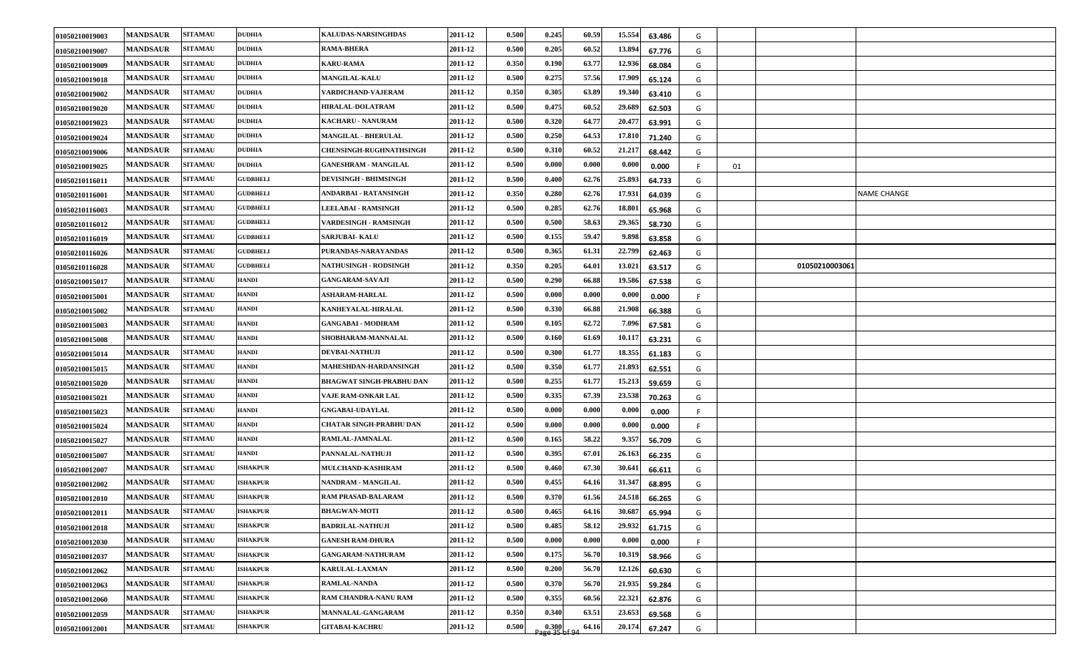| 01050210019003 | <b>MANDSAUR</b> | <b>SITAMAU</b> | <b>DUDHIA</b>   | KALUDAS-NARSINGHDAS             | 2011-12 | 0.500 | 0.245 | 60.59 | 15.554 | 63.486 | G   |    |                |             |
|----------------|-----------------|----------------|-----------------|---------------------------------|---------|-------|-------|-------|--------|--------|-----|----|----------------|-------------|
| 01050210019007 | <b>MANDSAUR</b> | <b>SITAMAU</b> | <b>DUDHIA</b>   | <b>RAMA-BHERA</b>               | 2011-12 | 0.500 | 0.205 | 60.52 | 13.894 | 67.776 | G   |    |                |             |
| 01050210019009 | <b>MANDSAUR</b> | <b>SITAMAU</b> | <b>DUDHIA</b>   | <b>KARU-RAMA</b>                | 2011-12 | 0.350 | 0.190 | 63.77 | 12.936 | 68.084 | G   |    |                |             |
| 01050210019018 | <b>MANDSAUR</b> | <b>SITAMAU</b> | <b>DUDHIA</b>   | <b>MANGILAL-KALU</b>            | 2011-12 | 0.500 | 0.275 | 57.56 | 17.909 | 65.124 | G   |    |                |             |
| 01050210019002 | <b>MANDSAUR</b> | <b>SITAMAU</b> | <b>DUDHIA</b>   | VARDICHAND-VAJERAM              | 2011-12 | 0.350 | 0.305 | 63.89 | 19.340 | 63.410 | G   |    |                |             |
| 01050210019020 | <b>MANDSAUR</b> | <b>SITAMAU</b> | <b>DUDHIA</b>   | <b>HIRALAL-DOLATRAM</b>         | 2011-12 | 0.500 | 0.475 | 60.52 | 29.689 | 62.503 | G   |    |                |             |
| 01050210019023 | <b>MANDSAUR</b> | <b>SITAMAU</b> | <b>DUDHIA</b>   | KACHARU - NANURAM               | 2011-12 | 0.500 | 0.320 | 64.77 | 20.477 | 63.991 | G   |    |                |             |
| 01050210019024 | <b>MANDSAUR</b> | <b>SITAMAU</b> | <b>DUDHIA</b>   | MANGILAL - BHERULAL             | 2011-12 | 0.500 | 0.250 | 64.53 | 17.810 | 71.240 | G   |    |                |             |
| 01050210019006 | <b>MANDSAUR</b> | <b>SITAMAU</b> | <b>DUDHIA</b>   | <b>CHENSINGH-RUGHNATHSINGH</b>  | 2011-12 | 0.500 | 0.310 | 60.52 | 21.217 | 68.442 | G   |    |                |             |
| 01050210019025 | <b>MANDSAUR</b> | <b>SITAMAU</b> | <b>DUDHIA</b>   | <b>GANESHRAM - MANGILAL</b>     | 2011-12 | 0.500 | 0.000 | 0.000 | 0.000  | 0.000  |     | 01 |                |             |
| 01050210116011 | <b>MANDSAUR</b> | <b>SITAMAU</b> | <b>GUDBHELI</b> | <b>DEVISINGH - BHIMSINGH</b>    | 2011-12 | 0.500 | 0.400 | 62.76 | 25.893 | 64.733 | G   |    |                |             |
| 01050210116001 | <b>MANDSAUR</b> | <b>SITAMAU</b> | <b>GUDBHELI</b> | ANDARBAI - RATANSINGH           | 2011-12 | 0.350 | 0.280 | 62.76 | 17.931 | 64.039 | G   |    |                | NAME CHANGE |
| 01050210116003 | <b>MANDSAUR</b> | <b>SITAMAU</b> | <b>GUDBHELI</b> | <b>LEELABAI - RAMSINGH</b>      | 2011-12 | 0.500 | 0.285 | 62.76 | 18.801 | 65.968 | G   |    |                |             |
| 01050210116012 | <b>MANDSAUR</b> | <b>SITAMAU</b> | <b>GUDBHELI</b> | VARDESINGH - RAMSINGH           | 2011-12 | 0.500 | 0.500 | 58.63 | 29.365 | 58.730 | G   |    |                |             |
| 01050210116019 | <b>MANDSAUR</b> | <b>SITAMAU</b> | <b>GUDBHELI</b> | <b>SARJUBAI-KALU</b>            | 2011-12 | 0.500 | 0.155 | 59.47 | 9.898  | 63.858 | G   |    |                |             |
| 01050210116026 | <b>MANDSAUR</b> | <b>SITAMAU</b> | <b>GUDBHELI</b> | PURANDAS-NARAYANDAS             | 2011-12 | 0.500 | 0.365 | 61.31 | 22.799 | 62.463 | G   |    |                |             |
| 01050210116028 | <b>MANDSAUR</b> | <b>SITAMAU</b> | <b>GUDBHELI</b> | <b>NATHUSINGH - RODSINGH</b>    | 2011-12 | 0.350 | 0.205 | 64.01 | 13.021 | 63.517 | G   |    | 01050210003061 |             |
| 01050210015017 | <b>MANDSAUR</b> | <b>SITAMAU</b> | <b>HANDI</b>    | <b>GANGARAM-SAVAJI</b>          | 2011-12 | 0.500 | 0.290 | 66.88 | 19.586 | 67.538 | G   |    |                |             |
| 01050210015001 | <b>MANDSAUR</b> | <b>SITAMAU</b> | <b>HANDI</b>    | <b>ASHARAM-HARLAL</b>           | 2011-12 | 0.500 | 0.000 | 0.000 | 0.000  | 0.000  | F   |    |                |             |
| 01050210015002 | <b>MANDSAUR</b> | <b>SITAMAU</b> | <b>HANDI</b>    | KANHEYALAL-HIRALAL              | 2011-12 | 0.500 | 0.330 | 66.88 | 21.908 | 66.388 | G   |    |                |             |
| 01050210015003 | <b>MANDSAUR</b> | <b>SITAMAU</b> | <b>HANDI</b>    | <b>GANGABAI - MODIRAM</b>       | 2011-12 | 0.500 | 0.105 | 62.72 | 7.096  | 67.581 | G   |    |                |             |
| 01050210015008 | <b>MANDSAUR</b> | <b>SITAMAU</b> | <b>HANDI</b>    | SHOBHARAM-MANNALAL              | 2011-12 | 0.500 | 0.160 | 61.69 | 10.117 | 63.231 | G   |    |                |             |
| 01050210015014 | <b>MANDSAUR</b> | <b>SITAMAU</b> | <b>HANDI</b>    | <b>DEVBAI-NATHUJI</b>           | 2011-12 | 0.500 | 0.300 | 61.77 | 18.355 | 61.183 | G   |    |                |             |
| 01050210015015 | <b>MANDSAUR</b> | <b>SITAMAU</b> | <b>HANDI</b>    | MAHESHDAN-HARDANSINGH           | 2011-12 | 0.500 | 0.350 | 61.77 | 21.893 | 62.551 | G   |    |                |             |
| 01050210015020 | <b>MANDSAUR</b> | <b>SITAMAU</b> | <b>HANDI</b>    | <b>BHAGWAT SINGH-PRABHU DAN</b> | 2011-12 | 0.500 | 0.255 | 61.77 | 15.213 | 59.659 | G   |    |                |             |
| 01050210015021 | <b>MANDSAUR</b> | <b>SITAMAU</b> | <b>HANDI</b>    | VAJE RAM-ONKAR LAL              | 2011-12 | 0.500 | 0.335 | 67.39 | 23.538 | 70.263 | G   |    |                |             |
| 01050210015023 | <b>MANDSAUR</b> | <b>SITAMAU</b> | <b>HANDI</b>    | <b>GNGABAI-UDAYLAL</b>          | 2011-12 | 0.500 | 0.000 | 0.000 | 0.000  | 0.000  |     |    |                |             |
| 01050210015024 | <b>MANDSAUR</b> | <b>SITAMAU</b> | <b>HANDI</b>    | CHATAR SINGH-PRABHU DAN         | 2011-12 | 0.500 | 0.000 | 0.000 | 0.000  | 0.000  | -F. |    |                |             |
| 01050210015027 | <b>MANDSAUR</b> | <b>SITAMAU</b> | <b>HANDI</b>    | RAMLAL-JAMNALAL                 | 2011-12 | 0.500 | 0.165 | 58.22 | 9.357  | 56.709 | G   |    |                |             |
| 01050210015007 | <b>MANDSAUR</b> | <b>SITAMAU</b> | <b>HANDI</b>    | PANNALAL-NATHUJI                | 2011-12 | 0.500 | 0.395 | 67.01 | 26.163 | 66.235 | G   |    |                |             |
| 01050210012007 | <b>MANDSAUR</b> | <b>SITAMAU</b> | <b>ISHAKPUR</b> | MULCHAND-KASHIRAM               | 2011-12 | 0.500 | 0.460 | 67.30 | 30.641 | 66.611 | G   |    |                |             |
| 01050210012002 | <b>MANDSAUR</b> | <b>SITAMAU</b> | <b>ISHAKPUR</b> | NANDRAM - MANGILAL              | 2011-12 | 0.500 | 0.455 | 64.16 | 31.347 | 68.895 | G   |    |                |             |
| 01050210012010 | <b>MANDSAUR</b> | <b>SITAMAU</b> | <b>ISHAKPUR</b> | <b>RAM PRASAD-BALARAM</b>       | 2011-12 | 0.500 | 0.370 | 61.56 | 24.518 | 66.265 | G   |    |                |             |
| 01050210012011 | <b>MANDSAUR</b> | <b>SITAMAU</b> | <b>ISHAKPUR</b> | <b>BHAGWAN-MOTI</b>             | 2011-12 | 0.500 | 0.465 | 64.16 | 30.687 | 65.994 | G   |    |                |             |
| 01050210012018 | <b>MANDSAUR</b> | <b>SITAMAU</b> | <b>ISHAKPUR</b> | <b>BADRILAL-NATHUJI</b>         | 2011-12 | 0.500 | 0.485 | 58.12 | 29.932 | 61.715 | G   |    |                |             |
| 01050210012030 | <b>MANDSAUR</b> | <b>SITAMAU</b> | <b>ISHAKPUR</b> | <b>GANESH RAM-DHURA</b>         | 2011-12 | 0.500 | 0.000 | 0.000 | 0.000  | 0.000  | F.  |    |                |             |
| 01050210012037 | <b>MANDSAUR</b> | <b>SITAMAU</b> | <b>ISHAKPUR</b> | <b>GANGARAM-NATHURAM</b>        | 2011-12 | 0.500 | 0.175 | 56.70 | 10.319 | 58.966 | G   |    |                |             |
| 01050210012062 | <b>MANDSAUR</b> | <b>SITAMAU</b> | <b>ISHAKPUR</b> | <b>KARULAL-LAXMAN</b>           | 2011-12 | 0.500 | 0.200 | 56.70 | 12.126 | 60.630 | G   |    |                |             |
| 01050210012063 | <b>MANDSAUR</b> | <b>SITAMAU</b> | <b>ISHAKPUR</b> | <b>RAMLAL-NANDA</b>             | 2011-12 | 0.500 | 0.370 | 56.70 | 21.935 | 59.284 | G   |    |                |             |
| 01050210012060 | <b>MANDSAUR</b> | <b>SITAMAU</b> | <b>ISHAKPUR</b> | RAM CHANDRA-NANU RAM            | 2011-12 | 0.500 | 0.355 | 60.56 | 22.321 | 62.876 | G   |    |                |             |
| 01050210012059 | <b>MANDSAUR</b> | <b>SITAMAU</b> | <b>ISHAKPUR</b> | MANNALAL-GANGARAM               | 2011-12 | 0.350 | 0.340 | 63.51 | 23.653 | 69.568 | G   |    |                |             |
| 01050210012001 | <b>MANDSAUR</b> | <b>SITAMAU</b> | <b>ISHAKPUR</b> | <b>GITABAI-KACHRU</b>           | 2011-12 | 0.500 | 0.300 | 64.16 | 20.174 | 67.247 | G   |    |                |             |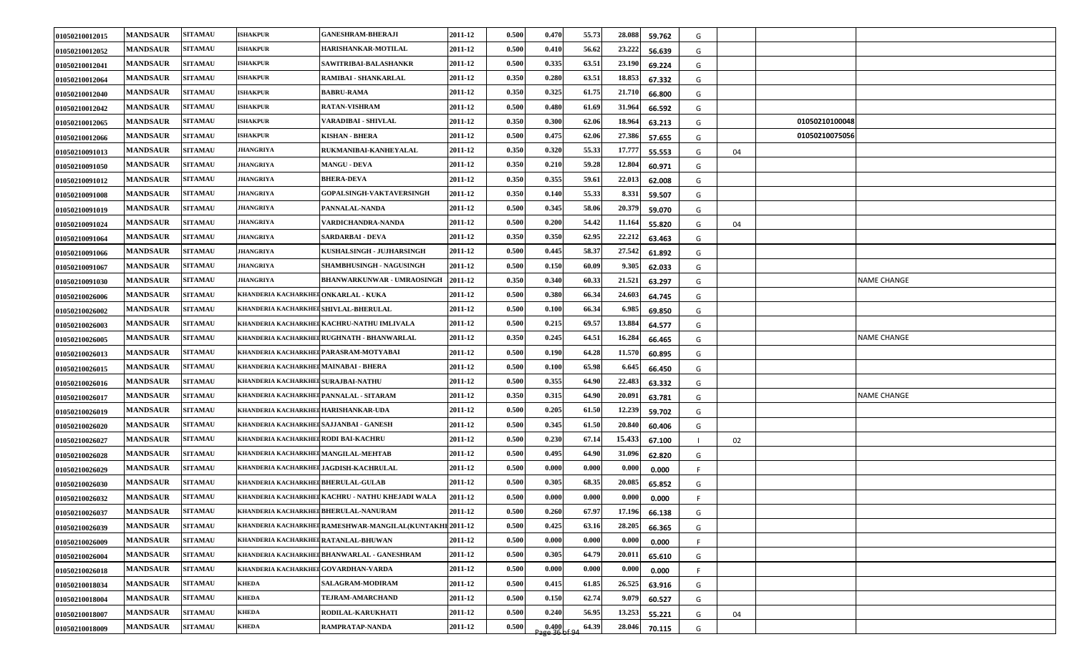| 01050210012015 | <b>MANDSAUR</b> | <b>SITAMAU</b> | <b>ISHAKPUR</b>                         | <b>GANESHRAM-BHERAJI</b>                                  | 2011-12 | 0.500 | 0.470                   | 55.73 | 28.088 | 59.762 | G   |    |                |                    |
|----------------|-----------------|----------------|-----------------------------------------|-----------------------------------------------------------|---------|-------|-------------------------|-------|--------|--------|-----|----|----------------|--------------------|
| 01050210012052 | <b>MANDSAUR</b> | <b>SITAMAU</b> | <b>ISHAKPUR</b>                         | HARISHANKAR-MOTILAL                                       | 2011-12 | 0.500 | 0.410                   | 56.62 | 23.222 | 56.639 | G   |    |                |                    |
| 01050210012041 | <b>MANDSAUR</b> | <b>SITAMAU</b> | <b>ISHAKPUR</b>                         | SAWITRIBAI-BALASHANKR                                     | 2011-12 | 0.500 | 0.335                   | 63.51 | 23.190 | 69.224 | G   |    |                |                    |
| 01050210012064 | <b>MANDSAUR</b> | <b>SITAMAU</b> | <b>ISHAKPUR</b>                         | RAMIBAI - SHANKARLAL                                      | 2011-12 | 0.350 | 0.280                   | 63.51 | 18.853 | 67.332 | G   |    |                |                    |
| 01050210012040 | <b>MANDSAUR</b> | <b>SITAMAU</b> | <b>ISHAKPUR</b>                         | <b>BABRU-RAMA</b>                                         | 2011-12 | 0.350 | 0.325                   | 61.75 | 21.710 | 66.800 | G   |    |                |                    |
| 01050210012042 | <b>MANDSAUR</b> | <b>SITAMAU</b> | <b>ISHAKPUR</b>                         | <b>RATAN-VISHRAM</b>                                      | 2011-12 | 0.500 | 0.480                   | 61.69 | 31.964 | 66.592 | G   |    |                |                    |
| 01050210012065 | <b>MANDSAUR</b> | <b>SITAMAU</b> | <b>ISHAKPUR</b>                         | VARADIBAI - SHIVLAL                                       | 2011-12 | 0.350 | 0.300                   | 62.06 | 18.964 | 63.213 | G   |    | 01050210100048 |                    |
| 01050210012066 | <b>MANDSAUR</b> | <b>SITAMAU</b> | <b>ISHAKPUR</b>                         | <b>KISHAN - BHERA</b>                                     | 2011-12 | 0.500 | 0.475                   | 62.06 | 27.386 | 57.655 | G   |    | 01050210075056 |                    |
| 01050210091013 | <b>MANDSAUR</b> | <b>SITAMAU</b> | <b>JHANGRIYA</b>                        | RUKMANIBAI-KANHEYALAL                                     | 2011-12 | 0.350 | 0.320                   | 55.33 | 17.777 | 55.553 | G   | 04 |                |                    |
| 01050210091050 | <b>MANDSAUR</b> | <b>SITAMAU</b> | JHANGRIYA                               | <b>MANGU - DEVA</b>                                       | 2011-12 | 0.350 | 0.210                   | 59.28 | 12.804 | 60.971 | G   |    |                |                    |
| 01050210091012 | <b>MANDSAUR</b> | <b>SITAMAU</b> | <b>JHANGRIYA</b>                        | <b>BHERA-DEVA</b>                                         | 2011-12 | 0.350 | 0.355                   | 59.61 | 22.013 | 62.008 | G   |    |                |                    |
| 01050210091008 | <b>MANDSAUR</b> | <b>SITAMAU</b> | <b>JHANGRIYA</b>                        | <b>GOPALSINGH-VAKTAVERSINGH</b>                           | 2011-12 | 0.350 | 0.140                   | 55.33 | 8.331  | 59.507 | G   |    |                |                    |
| 01050210091019 | <b>MANDSAUR</b> | <b>SITAMAU</b> | <b>JHANGRIYA</b>                        | PANNALAL-NANDA                                            | 2011-12 | 0.500 | 0.345                   | 58.06 | 20.379 | 59.070 | G   |    |                |                    |
| 01050210091024 | <b>MANDSAUR</b> | <b>SITAMAU</b> | <b>JHANGRIYA</b>                        | VARDICHANDRA-NANDA                                        | 2011-12 | 0.500 | 0.200                   | 54.42 | 11.164 | 55.820 | G   | 04 |                |                    |
| 01050210091064 | <b>MANDSAUR</b> | <b>SITAMAU</b> | <b>JHANGRIYA</b>                        | SARDARBAI - DEVA                                          | 2011-12 | 0.350 | 0.350                   | 62.95 | 22.212 | 63.463 | G   |    |                |                    |
| 01050210091066 | <b>MANDSAUR</b> | <b>SITAMAU</b> | <b>JHANGRIYA</b>                        | KUSHALSINGH - JUJHARSINGH                                 | 2011-12 | 0.500 | 0.445                   | 58.37 | 27.542 | 61.892 | G   |    |                |                    |
| 01050210091067 | <b>MANDSAUR</b> | <b>SITAMAU</b> | JHANGRIYA                               | <b>SHAMBHUSINGH - NAGUSINGH</b>                           | 2011-12 | 0.500 | 0.150                   | 60.09 | 9.305  | 62.033 | G   |    |                |                    |
| 01050210091030 | <b>MANDSAUR</b> | <b>SITAMAU</b> | <b>JHANGRIYA</b>                        | <b>BHANWARKUNWAR - UMRAOSINGH</b>                         | 2011-12 | 0.350 | 0.340                   | 60.33 | 21.521 | 63.297 | G   |    |                | <b>NAME CHANGE</b> |
| 01050210026006 | <b>MANDSAUR</b> | <b>SITAMAU</b> | KHANDERIA KACHARKHEI ONKARLAL - KUKA    |                                                           | 2011-12 | 0.500 | 0.380                   | 66.34 | 24.603 | 64.745 | G   |    |                |                    |
| 01050210026002 | <b>MANDSAUR</b> | <b>SITAMAU</b> | KHANDERIA KACHARKHEI SHIVLAL-BHERULAL   |                                                           | 2011-12 | 0.500 | 0.100                   | 66.34 | 6.985  | 69.850 | G   |    |                |                    |
| 01050210026003 | <b>MANDSAUR</b> | <b>SITAMAU</b> |                                         | KHANDERIA KACHARKHEI KACHRU-NATHU IMLIVALA                | 2011-12 | 0.500 | 0.215                   | 69.57 | 13.884 | 64.577 | G   |    |                |                    |
| 01050210026005 | <b>MANDSAUR</b> | <b>SITAMAU</b> |                                         | KHANDERIA KACHARKHEI RUGHNATH - BHANWARLAL                | 2011-12 | 0.350 | 0.245                   | 64.51 | 16.284 | 66.465 | G   |    |                | <b>NAME CHANGE</b> |
| 01050210026013 | <b>MANDSAUR</b> | <b>SITAMAU</b> | KHANDERIA KACHARKHEI PARASRAM-MOTYABAI  |                                                           | 2011-12 | 0.500 | 0.190                   | 64.28 | 11.570 | 60.895 | G   |    |                |                    |
| 01050210026015 | <b>MANDSAUR</b> | <b>SITAMAU</b> | KHANDERIA KACHARKHEI MAINABAI - BHERA   |                                                           | 2011-12 | 0.500 | 0.100                   | 65.98 | 6.645  | 66.450 | G   |    |                |                    |
| 01050210026016 | <b>MANDSAUR</b> | <b>SITAMAU</b> | KHANDERIA KACHARKHEI SURAJBAI-NATHU     |                                                           | 2011-12 | 0.500 | 0.355                   | 64.90 | 22.483 | 63.332 | G   |    |                |                    |
| 01050210026017 | <b>MANDSAUR</b> | <b>SITAMAU</b> | KHANDERIA KACHARKHEI PANNALAL - SITARAM |                                                           | 2011-12 | 0.350 | 0.315                   | 64.90 | 20.091 | 63.781 | G   |    |                | <b>NAME CHANGE</b> |
| 01050210026019 | <b>MANDSAUR</b> | <b>SITAMAU</b> | KHANDERIA KACHARKHEI HARISHANKAR-UDA    |                                                           | 2011-12 | 0.500 | 0.205                   | 61.50 | 12.239 | 59.702 | G   |    |                |                    |
| 01050210026020 | <b>MANDSAUR</b> | <b>SITAMAU</b> | KHANDERIA KACHARKHEI SAJJANBAI - GANESH |                                                           | 2011-12 | 0.500 | 0.345                   | 61.50 | 20.840 | 60.406 | G   |    |                |                    |
| 01050210026027 | <b>MANDSAUR</b> | <b>SITAMAU</b> | KHANDERIA KACHARKHEI RODI BAI-KACHRU    |                                                           | 2011-12 | 0.500 | 0.230                   | 67.14 | 15.433 | 67.100 |     | 02 |                |                    |
| 01050210026028 | <b>MANDSAUR</b> | <b>SITAMAU</b> | KHANDERIA KACHARKHEI MANGILAL-MEHTAB    |                                                           | 2011-12 | 0.500 | 0.495                   | 64.90 | 31.096 | 62.820 | G   |    |                |                    |
| 01050210026029 | <b>MANDSAUR</b> | <b>SITAMAU</b> | KHANDERIA KACHARKHEI JAGDISH-KACHRULAL  |                                                           | 2011-12 | 0.500 | 0.000                   | 0.000 | 0.000  | 0.000  |     |    |                |                    |
| 01050210026030 | <b>MANDSAUR</b> | <b>SITAMAU</b> | KHANDERIA KACHARKHEI BHERULAL-GULAB     |                                                           | 2011-12 | 0.500 | 0.305                   | 68.35 | 20.085 | 65.852 | G   |    |                |                    |
| 01050210026032 | <b>MANDSAUR</b> | <b>SITAMAU</b> |                                         | KHANDERIA KACHARKHEI KACHRU - NATHU KHEJADI WALA          | 2011-12 | 0.500 | 0.000                   | 0.000 | 0.000  | 0.000  |     |    |                |                    |
| 01050210026037 | <b>MANDSAUR</b> | <b>SITAMAU</b> | KHANDERIA KACHARKHEI BHERULAL-NANURAM   |                                                           | 2011-12 | 0.500 | 0.260                   | 67.97 | 17.196 | 66.138 | G   |    |                |                    |
| 01050210026039 | <b>MANDSAUR</b> | <b>SITAMAU</b> |                                         | KHANDERIA KACHARKHEI RAMESHWAR-MANGILAL (KUNTAKHH 2011-12 |         | 0.500 | 0.425                   | 63.16 | 28.205 | 66.365 | G   |    |                |                    |
| 01050210026009 | <b>MANDSAUR</b> | <b>SITAMAU</b> | KHANDERIA KACHARKHEI RATANLAL-BHUWAN    |                                                           | 2011-12 | 0.500 | 0.000                   | 0.000 | 0.000  | 0.000  | F.  |    |                |                    |
| 01050210026004 | <b>MANDSAUR</b> | <b>SITAMAU</b> |                                         | KHANDERIA KACHARKHEI BHANWARLAL - GANESHRAM               | 2011-12 | 0.500 | 0.305                   | 64.79 | 20.011 | 65.610 | G   |    |                |                    |
| 01050210026018 | <b>MANDSAUR</b> | <b>SITAMAU</b> | KHANDERIA KACHARKHEI GOVARDHAN-VARDA    |                                                           | 2011-12 | 0.500 | 0.000                   | 0.000 | 0.000  | 0.000  | -F. |    |                |                    |
| 01050210018034 | <b>MANDSAUR</b> | <b>SITAMAU</b> | <b>KHEDA</b>                            | SALAGRAM-MODIRAM                                          | 2011-12 | 0.500 | 0.415                   | 61.85 | 26.525 | 63.916 | G   |    |                |                    |
| 01050210018004 | <b>MANDSAUR</b> | <b>SITAMAU</b> | <b>KHEDA</b>                            | TEJRAM-AMARCHAND                                          | 2011-12 | 0.500 | 0.150                   | 62.74 | 9.079  | 60.527 | G   |    |                |                    |
| 01050210018007 | <b>MANDSAUR</b> | <b>SITAMAU</b> | <b>KHEDA</b>                            | RODILAL-KARUKHATI                                         | 2011-12 | 0.500 | 0.240                   | 56.95 | 13.253 | 55.221 | G   | 04 |                |                    |
| 01050210018009 | <b>MANDSAUR</b> | <b>SITAMAU</b> | <b>KHEDA</b>                            | RAMPRATAP-NANDA                                           | 2011-12 | 0.500 | $0.400$<br>age 36 of 94 | 64.39 | 28.046 | 70.115 | G   |    |                |                    |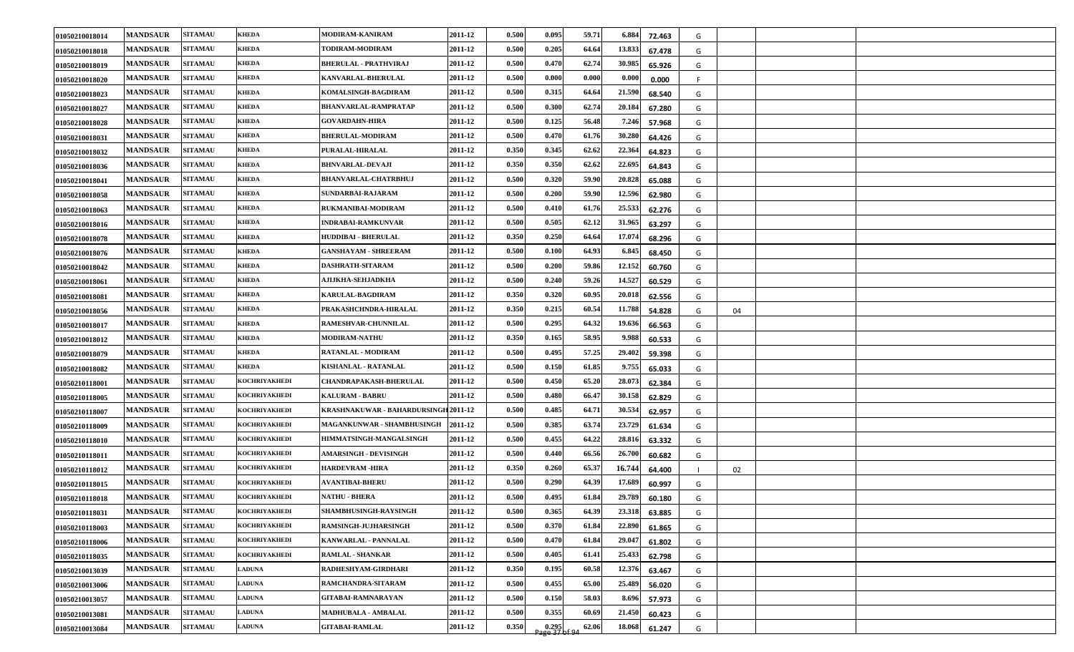| 01050210018014 | <b>MANDSAUR</b> | <b>SITAMAU</b> | <b>KHEDA</b>         | MODIRAM-KANIRAM                      | 2011-12 | 0.500 | 0.095                    | 59.71 | 6.884<br>72.463  | G |    |  |
|----------------|-----------------|----------------|----------------------|--------------------------------------|---------|-------|--------------------------|-------|------------------|---|----|--|
| 01050210018018 | <b>MANDSAUR</b> | <b>SITAMAU</b> | <b>KHEDA</b>         | TODIRAM-MODIRAM                      | 2011-12 | 0.500 | 0.205                    | 64.64 | 13.833<br>67.478 | G |    |  |
| 01050210018019 | <b>MANDSAUR</b> | <b>SITAMAU</b> | <b>KHEDA</b>         | <b>BHERULAL - PRATHVIRAJ</b>         | 2011-12 | 0.500 | 0.470                    | 62.74 | 30.985<br>65.926 | G |    |  |
| 01050210018020 | <b>MANDSAUR</b> | <b>SITAMAU</b> | <b>KHEDA</b>         | <b>KANVARLAL-BHERULAL</b>            | 2011-12 | 0.500 | 0.000                    | 0.000 | 0.000<br>0.000   |   |    |  |
| 01050210018023 | <b>MANDSAUR</b> | <b>SITAMAU</b> | <b>KHEDA</b>         | KOMALSINGH-BAGDIRAM                  | 2011-12 | 0.500 | 0.315                    | 64.64 | 21.590<br>68.540 | G |    |  |
| 01050210018027 | <b>MANDSAUR</b> | <b>SITAMAU</b> | <b>KHEDA</b>         | <b>BHANVARLAL-RAMPRATAP</b>          | 2011-12 | 0.500 | 0.300                    | 62.74 | 20.184<br>67.280 | G |    |  |
| 01050210018028 | <b>MANDSAUR</b> | <b>SITAMAU</b> | <b>KHEDA</b>         | <b>GOVARDAHN-HIRA</b>                | 2011-12 | 0.500 | 0.125                    | 56.48 | 7.246<br>57.968  | G |    |  |
| 01050210018031 | <b>MANDSAUR</b> | <b>SITAMAU</b> | <b>KHEDA</b>         | <b>BHERULAL-MODIRAM</b>              | 2011-12 | 0.500 | 0.470                    | 61.76 | 30.280<br>64.426 | G |    |  |
| 01050210018032 | <b>MANDSAUR</b> | <b>SITAMAU</b> | <b>KHEDA</b>         | PURALAL-HIRALAL                      | 2011-12 | 0.350 | 0.345                    | 62.62 | 22.364<br>64.823 | G |    |  |
| 01050210018036 | <b>MANDSAUR</b> | <b>SITAMAU</b> | <b>KHEDA</b>         | <b>BHNVARLAL-DEVAJI</b>              | 2011-12 | 0.350 | 0.350                    | 62.62 | 22.695<br>64.843 | G |    |  |
| 01050210018041 | <b>MANDSAUR</b> | <b>SITAMAU</b> | <b>KHEDA</b>         | <b>BHANVARLAL-CHATRBHUJ</b>          | 2011-12 | 0.500 | 0.320                    | 59.90 | 20.828<br>65.088 | G |    |  |
| 01050210018058 | <b>MANDSAUR</b> | <b>SITAMAU</b> | <b>KHEDA</b>         | SUNDARBAI-RAJARAM                    | 2011-12 | 0.500 | 0.200                    | 59.90 | 12.596<br>62.980 | G |    |  |
| 01050210018063 | <b>MANDSAUR</b> | <b>SITAMAU</b> | <b>KHEDA</b>         | RUKMANIBAI-MODIRAM                   | 2011-12 | 0.500 | 0.410                    | 61.76 | 25.533<br>62.276 | G |    |  |
| 01050210018016 | <b>MANDSAUR</b> | <b>SITAMAU</b> | <b>KHEDA</b>         | <b>INDRABAI-RAMKUNVAR</b>            | 2011-12 | 0.500 | 0.505                    | 62.12 | 31.965<br>63.297 | G |    |  |
| 01050210018078 | <b>MANDSAUR</b> | <b>SITAMAU</b> | <b>KHEDA</b>         | <b>HUDDIBAI - BHERULAL</b>           | 2011-12 | 0.350 | 0.250                    | 64.64 | 17.074<br>68.296 | G |    |  |
| 01050210018076 | <b>MANDSAUR</b> | <b>SITAMAU</b> | <b>KHEDA</b>         | <b>GANSHAYAM - SHREERAM</b>          | 2011-12 | 0.500 | 0.100                    | 64.93 | 6.845<br>68.450  | G |    |  |
| 01050210018042 | <b>MANDSAUR</b> | <b>SITAMAU</b> | <b>KHEDA</b>         | DASHRATH-SITARAM                     | 2011-12 | 0.500 | 0.200                    | 59.86 | 12.152<br>60.760 | G |    |  |
| 01050210018061 | <b>MANDSAUR</b> | <b>SITAMAU</b> | <b>KHEDA</b>         | <b>AJIJKHA-SEHJADKHA</b>             | 2011-12 | 0.500 | 0.240                    | 59.26 | 14.527<br>60.529 | G |    |  |
| 01050210018081 | <b>MANDSAUR</b> | <b>SITAMAU</b> | <b>KHEDA</b>         | <b>KARULAL-BAGDIRAM</b>              | 2011-12 | 0.350 | 0.320                    | 60.95 | 20.018<br>62.556 | G |    |  |
| 01050210018056 | <b>MANDSAUR</b> | <b>SITAMAU</b> | <b>KHEDA</b>         | PRAKASHCHNDRA-HIRALAL                | 2011-12 | 0.350 | 0.215                    | 60.54 | 11.788<br>54.828 | G | 04 |  |
| 01050210018017 | <b>MANDSAUR</b> | <b>SITAMAU</b> | <b>KHEDA</b>         | RAMESHVAR-CHUNNILAL                  | 2011-12 | 0.500 | 0.295                    | 64.32 | 19.636<br>66.563 | G |    |  |
| 01050210018012 | <b>MANDSAUR</b> | <b>SITAMAU</b> | <b>KHEDA</b>         | <b>MODIRAM-NATHU</b>                 | 2011-12 | 0.350 | 0.165                    | 58.95 | 9.988<br>60.533  | G |    |  |
| 01050210018079 | <b>MANDSAUR</b> | <b>SITAMAU</b> | <b>KHEDA</b>         | RATANLAL - MODIRAM                   | 2011-12 | 0.500 | 0.495                    | 57.25 | 29.402<br>59.398 | G |    |  |
| 01050210018082 | <b>MANDSAUR</b> | <b>SITAMAU</b> | <b>KHEDA</b>         | KISHANLAL - RATANLAL                 | 2011-12 | 0.500 | 0.150                    | 61.85 | 9.755<br>65.033  | G |    |  |
| 01050210118001 | <b>MANDSAUR</b> | <b>SITAMAU</b> | <b>KOCHRIYAKHEDI</b> | <b>CHANDRAPAKASH-BHERULAL</b>        | 2011-12 | 0.500 | 0.450                    | 65.20 | 28.073<br>62.384 | G |    |  |
| 01050210118005 | <b>MANDSAUR</b> | <b>SITAMAU</b> | <b>KOCHRIYAKHEDI</b> | <b>KALURAM - BABRU</b>               | 2011-12 | 0.500 | 0.480                    | 66.47 | 30.158<br>62.829 | G |    |  |
| 01050210118007 | <b>MANDSAUR</b> | <b>SITAMAU</b> | <b>KOCHRIYAKHEDI</b> | KRASHNAKUWAR - BAHARDURSINGH 2011-12 |         | 0.500 | 0.485                    | 64.71 | 30.534<br>62.957 | G |    |  |
| 01050210118009 | <b>MANDSAUR</b> | <b>SITAMAU</b> | <b>KOCHRIYAKHEDI</b> | MAGANKUNWAR - SHAMBHUSINGH           | 2011-12 | 0.500 | 0.385                    | 63.74 | 23.729<br>61.634 | G |    |  |
| 01050210118010 | <b>MANDSAUR</b> | <b>SITAMAU</b> | <b>KOCHRIYAKHEDI</b> | HIMMATSINGH-MANGALSINGH              | 2011-12 | 0.500 | 0.455                    | 64.22 | 28.816<br>63.332 | G |    |  |
| 01050210118011 | <b>MANDSAUR</b> | <b>SITAMAU</b> | <b>KOCHRIYAKHEDI</b> | <b>AMARSINGH - DEVISINGH</b>         | 2011-12 | 0.500 | 0.440                    | 66.56 | 26.700<br>60.682 | G |    |  |
| 01050210118012 | <b>MANDSAUR</b> | <b>SITAMAU</b> | KOCHRIYAKHEDI        | <b>HARDEVRAM -HIRA</b>               | 2011-12 | 0.350 | 0.260                    | 65.37 | 16.744<br>64.400 |   | 02 |  |
| 01050210118015 | <b>MANDSAUR</b> | <b>SITAMAU</b> | <b>KOCHRIYAKHEDI</b> | <b>AVANTIBAI-BHERU</b>               | 2011-12 | 0.500 | 0.290                    | 64.39 | 17.689<br>60.997 | G |    |  |
| 01050210118018 | <b>MANDSAUR</b> | <b>SITAMAU</b> | <b>KOCHRIYAKHEDI</b> | <b>NATHU - BHERA</b>                 | 2011-12 | 0.500 | 0.495                    | 61.84 | 29.789<br>60.180 | G |    |  |
| 01050210118031 | <b>MANDSAUR</b> | <b>SITAMAU</b> | <b>KOCHRIYAKHEDI</b> | SHAMBHUSINGH-RAYSINGH                | 2011-12 | 0.500 | 0.365                    | 64.39 | 23.318<br>63.885 | G |    |  |
| 01050210118003 | <b>MANDSAUR</b> | <b>SITAMAU</b> | KOCHRIYAKHEDI        | RAMSINGH-JUJHARSINGH                 | 2011-12 | 0.500 | 0.370                    | 61.84 | 22.890<br>61.865 | G |    |  |
| 01050210118006 | <b>MANDSAUR</b> | <b>SITAMAU</b> | KOCHRIYAKHEDI        | KANWARLAL - PANNALAL                 | 2011-12 | 0.500 | 0.470                    | 61.84 | 29.047<br>61.802 | G |    |  |
| 01050210118035 | <b>MANDSAUR</b> | <b>SITAMAU</b> | <b>KOCHRIYAKHEDI</b> | <b>RAMLAL - SHANKAR</b>              | 2011-12 | 0.500 | 0.405                    | 61.41 | 25.433<br>62.798 | G |    |  |
| 01050210013039 | <b>MANDSAUR</b> | <b>SITAMAU</b> | <b>LADUNA</b>        | RADHESHYAM-GIRDHARI                  | 2011-12 | 0.350 | 0.195                    | 60.58 | 12.376<br>63.467 | G |    |  |
| 01050210013006 | <b>MANDSAUR</b> | <b>SITAMAU</b> | <b>LADUNA</b>        | RAMCHANDRA-SITARAM                   | 2011-12 | 0.500 | 0.455                    | 65.00 | 25.489<br>56.020 | G |    |  |
| 01050210013057 | <b>MANDSAUR</b> | <b>SITAMAU</b> | <b>LADUNA</b>        | <b>GITABAI-RAMNARAYAN</b>            | 2011-12 | 0.500 | 0.150                    | 58.03 | 8.696<br>57.973  | G |    |  |
| 01050210013081 | <b>MANDSAUR</b> | <b>SITAMAU</b> | <b>LADUNA</b>        | MADHUBALA - AMBALAL                  | 2011-12 | 0.500 | 0.355                    | 60.69 | 21.450<br>60.423 | G |    |  |
| 01050210013084 | <b>MANDSAUR</b> | <b>SITAMAU</b> | <b>LADUNA</b>        | <b>GITABAI-RAMLAL</b>                | 2011-12 | 0.350 | $0.295$<br>Page 37 of 94 | 62.06 | 18.068<br>61.247 | G |    |  |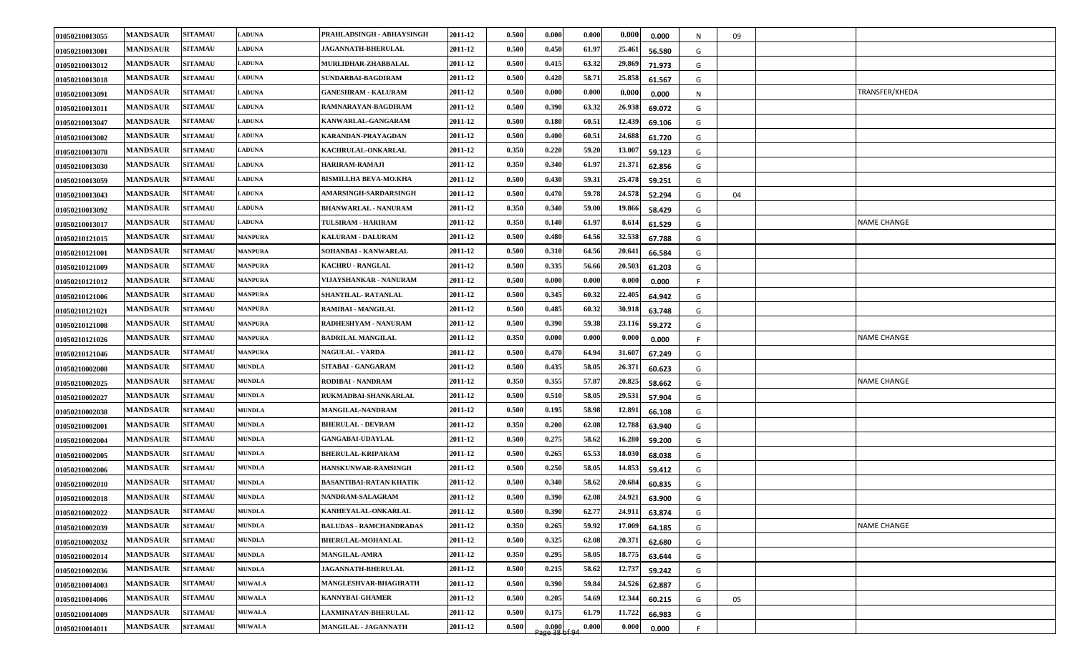| 01050210013055 | <b>MANDSAUR</b> | <b>SITAMAU</b> | <b>LADUNA</b>  | PRAHLADSINGH - ABHAYSINGH      | 2011-12 | 0.500 | 0.000                                         | 0.000 | 0.000  | 0.000  | N  | 09 |                    |
|----------------|-----------------|----------------|----------------|--------------------------------|---------|-------|-----------------------------------------------|-------|--------|--------|----|----|--------------------|
| 01050210013001 | <b>MANDSAUR</b> | <b>SITAMAU</b> | <b>LADUNA</b>  | <b>JAGANNATH-BHERULAL</b>      | 2011-12 | 0.500 | 0.450                                         | 61.97 | 25.461 | 56.580 | G  |    |                    |
| 01050210013012 | <b>MANDSAUR</b> | <b>SITAMAU</b> | <b>LADUNA</b>  | MURLIDHAR-ZHABBALAL            | 2011-12 | 0.500 | 0.415                                         | 63.32 | 29.869 | 71.973 | G  |    |                    |
| 01050210013018 | <b>MANDSAUR</b> | <b>SITAMAU</b> | <b>LADUNA</b>  | SUNDARBAI-BAGDIRAM             | 2011-12 | 0.500 | 0.420                                         | 58.71 | 25.858 | 61.567 | G  |    |                    |
| 01050210013091 | <b>MANDSAUR</b> | <b>SITAMAU</b> | <b>LADUNA</b>  | <b>GANESHRAM - KALURAM</b>     | 2011-12 | 0.500 | 0.000                                         | 0.000 | 0.000  | 0.000  | N. |    | TRANSFER/KHEDA     |
| 01050210013011 | <b>MANDSAUR</b> | <b>SITAMAU</b> | <b>LADUNA</b>  | RAMNARAYAN-BAGDIRAM            | 2011-12 | 0.500 | 0.390                                         | 63.32 | 26.938 | 69.072 | G  |    |                    |
| 01050210013047 | <b>MANDSAUR</b> | <b>SITAMAU</b> | <b>LADUNA</b>  | KANWARLAL-GANGARAM             | 2011-12 | 0.500 | 0.180                                         | 60.51 | 12.439 | 69.106 | G  |    |                    |
| 01050210013002 | <b>MANDSAUR</b> | <b>SITAMAU</b> | <b>LADUNA</b>  | KARANDAN-PRAYAGDAN             | 2011-12 | 0.500 | 0.400                                         | 60.51 | 24.688 | 61.720 | G  |    |                    |
| 01050210013078 | <b>MANDSAUR</b> | <b>SITAMAU</b> | <b>LADUNA</b>  | KACHRULAL-ONKARLAL             | 2011-12 | 0.350 | 0.220                                         | 59.20 | 13.007 | 59.123 | G  |    |                    |
| 01050210013030 | <b>MANDSAUR</b> | <b>SITAMAU</b> | <b>LADUNA</b>  | HARIRAM-RAMAJI                 | 2011-12 | 0.350 | 0.340                                         | 61.97 | 21.371 | 62.856 | G  |    |                    |
| 01050210013059 | <b>MANDSAUR</b> | <b>SITAMAU</b> | <b>LADUNA</b>  | <b>BISMILLHA BEVA-MO.KHA</b>   | 2011-12 | 0.500 | 0.430                                         | 59.31 | 25.478 | 59.251 | G  |    |                    |
| 01050210013043 | <b>MANDSAUR</b> | <b>SITAMAU</b> | <b>LADUNA</b>  | AMARSINGH-SARDARSINGH          | 2011-12 | 0.500 | 0.470                                         | 59.78 | 24.578 | 52.294 | G  | 04 |                    |
| 01050210013092 | <b>MANDSAUR</b> | <b>SITAMAU</b> | <b>LADUNA</b>  | <b>BHANWARLAL - NANURAM</b>    | 2011-12 | 0.350 | 0.340                                         | 59.00 | 19.866 | 58.429 | G  |    |                    |
| 01050210013017 | <b>MANDSAUR</b> | <b>SITAMAU</b> | <b>LADUNA</b>  | TULSIRAM - HARIRAM             | 2011-12 | 0.350 | 0.140                                         | 61.97 | 8.614  | 61.529 | G  |    | <b>NAME CHANGE</b> |
| 01050210121015 | <b>MANDSAUR</b> | <b>SITAMAU</b> | <b>MANPURA</b> | <b>KALURAM - DALURAM</b>       | 2011-12 | 0.500 | 0.480                                         | 64.56 | 32.538 | 67.788 | G  |    |                    |
| 01050210121001 | <b>MANDSAUR</b> | <b>SITAMAU</b> | <b>MANPURA</b> | SOHANBAI - KANWARLAL           | 2011-12 | 0.500 | 0.310                                         | 64.56 | 20.641 | 66.584 | G  |    |                    |
| 01050210121009 | <b>MANDSAUR</b> | <b>SITAMAU</b> | <b>MANPURA</b> | <b>KACHRU - RANGLAL</b>        | 2011-12 | 0.500 | 0.335                                         | 56.66 | 20.503 | 61.203 | G  |    |                    |
| 01050210121012 | <b>MANDSAUR</b> | <b>SITAMAU</b> | <b>MANPURA</b> | VIJAYSHANKAR - NANURAM         | 2011-12 | 0.500 | 0.000                                         | 0.000 | 0.000  | 0.000  |    |    |                    |
| 01050210121006 | <b>MANDSAUR</b> | <b>SITAMAU</b> | <b>MANPURA</b> | SHANTILAL-RATANLAL             | 2011-12 | 0.500 | 0.345                                         | 60.32 | 22.405 | 64.942 | G  |    |                    |
| 01050210121021 | <b>MANDSAUR</b> | <b>SITAMAU</b> | <b>MANPURA</b> | RAMIBAI - MANGILAL             | 2011-12 | 0.500 | 0.485                                         | 60.32 | 30.918 | 63.748 | G  |    |                    |
| 01050210121008 | <b>MANDSAUR</b> | <b>SITAMAU</b> | <b>MANPURA</b> | RADHESHYAM - NANURAM           | 2011-12 | 0.500 | 0.390                                         | 59.38 | 23.116 | 59.272 | G  |    |                    |
| 01050210121026 | <b>MANDSAUR</b> | <b>SITAMAU</b> | <b>MANPURA</b> | <b>BADRILAL MANGILAL</b>       | 2011-12 | 0.350 | 0.000                                         | 0.000 | 0.000  | 0.000  |    |    | <b>NAME CHANGE</b> |
| 01050210121046 | <b>MANDSAUR</b> | <b>SITAMAU</b> | <b>MANPURA</b> | <b>NAGULAL - VARDA</b>         | 2011-12 | 0.500 | 0.470                                         | 64.94 | 31.607 | 67.249 | G  |    |                    |
| 01050210002008 | <b>MANDSAUR</b> | <b>SITAMAU</b> | <b>MUNDLA</b>  | SITABAI - GANGARAM             | 2011-12 | 0.500 | 0.435                                         | 58.05 | 26.371 | 60.623 | G  |    |                    |
| 01050210002025 | <b>MANDSAUR</b> | <b>SITAMAU</b> | <b>MUNDLA</b>  | RODIBAI - NANDRAM              | 2011-12 | 0.350 | 0.355                                         | 57.87 | 20.825 | 58.662 | G  |    | <b>NAME CHANGE</b> |
| 01050210002027 | <b>MANDSAUR</b> | <b>SITAMAU</b> | <b>MUNDLA</b>  | RUKMADBAI-SHANKARLAL           | 2011-12 | 0.500 | 0.510                                         | 58.05 | 29.531 | 57.904 | G  |    |                    |
| 01050210002038 | <b>MANDSAUR</b> | <b>SITAMAU</b> | <b>MUNDLA</b>  | MANGILAL-NANDRAM               | 2011-12 | 0.500 | 0.195                                         | 58.98 | 12.891 | 66.108 | G  |    |                    |
| 01050210002001 | <b>MANDSAUR</b> | <b>SITAMAU</b> | <b>MUNDLA</b>  | <b>BHERULAL - DEVRAM</b>       | 2011-12 | 0.350 | 0.200                                         | 62.08 | 12.788 | 63.940 | G  |    |                    |
| 01050210002004 | <b>MANDSAUR</b> | <b>SITAMAU</b> | <b>MUNDLA</b>  | <b>GANGABAI-UDAYLAL</b>        | 2011-12 | 0.500 | 0.275                                         | 58.62 | 16.280 | 59.200 | G  |    |                    |
| 01050210002005 | <b>MANDSAUR</b> | <b>SITAMAU</b> | <b>MUNDLA</b>  | <b>BHERULAL-KRIPARAM</b>       | 2011-12 | 0.500 | 0.265                                         | 65.53 | 18.030 | 68.038 | G  |    |                    |
| 01050210002006 | <b>MANDSAUR</b> | <b>SITAMAU</b> | <b>MUNDLA</b>  | <b>HANSKUNWAR-RAMSINGH</b>     | 2011-12 | 0.500 | 0.250                                         | 58.05 | 14.853 | 59.412 | G  |    |                    |
| 01050210002010 | <b>MANDSAUR</b> | <b>SITAMAU</b> | <b>MUNDLA</b>  | BASANTIBAI-RATAN KHATIK        | 2011-12 | 0.500 | 0.340                                         | 58.62 | 20.684 | 60.835 | G  |    |                    |
| 01050210002018 | <b>MANDSAUR</b> | <b>SITAMAU</b> | <b>MUNDLA</b>  | NANDRAM-SALAGRAM               | 2011-12 | 0.500 | 0.390                                         | 62.08 | 24.921 | 63.900 | G  |    |                    |
| 01050210002022 | <b>MANDSAUR</b> | <b>SITAMAU</b> | <b>MUNDLA</b>  | KANHEYALAL-ONKARLAL            | 2011-12 | 0.500 | 0.390                                         | 62.77 | 24.911 | 63.874 | G  |    |                    |
| 01050210002039 | <b>MANDSAUR</b> | <b>SITAMAU</b> | <b>MUNDLA</b>  | <b>BALUDAS - RAMCHANDRADAS</b> | 2011-12 | 0.350 | 0.265                                         | 59.92 | 17.009 | 64.185 | G  |    | NAME CHANGE        |
| 01050210002032 | <b>MANDSAUR</b> | <b>SITAMAU</b> | <b>MUNDLA</b>  | <b>BHERULAL-MOHANLAL</b>       | 2011-12 | 0.500 | 0.325                                         | 62.08 | 20.371 | 62.680 | G  |    |                    |
| 01050210002014 | <b>MANDSAUR</b> | <b>SITAMAU</b> | <b>MUNDLA</b>  | <b>MANGILAL-AMRA</b>           | 2011-12 | 0.350 | 0.295                                         | 58.05 | 18.775 | 63.644 | G  |    |                    |
| 01050210002036 | <b>MANDSAUR</b> | <b>SITAMAU</b> | <b>MUNDLA</b>  | <b>JAGANNATH-BHERULAL</b>      | 2011-12 | 0.500 | 0.215                                         | 58.62 | 12.737 | 59.242 | G  |    |                    |
| 01050210014003 | <b>MANDSAUR</b> | <b>SITAMAU</b> | <b>MUWALA</b>  | MANGLESHVAR-BHAGIRATH          | 2011-12 | 0.500 | 0.390                                         | 59.84 | 24.526 | 62.887 | G  |    |                    |
| 01050210014006 | <b>MANDSAUR</b> | <b>SITAMAU</b> | <b>MUWALA</b>  | <b>KANNYBAI-GHAMER</b>         | 2011-12 | 0.500 | 0.205                                         | 54.69 | 12.344 | 60.215 | G  | 05 |                    |
| 01050210014009 | <b>MANDSAUR</b> | <b>SITAMAU</b> | <b>MUWALA</b>  | <b>LAXMINAYAN-BHERULAL</b>     | 2011-12 | 0.500 | 0.175                                         | 61.79 | 11.722 | 66.983 | G  |    |                    |
| 01050210014011 | <b>MANDSAUR</b> | <b>SITAMAU</b> | <b>MUWALA</b>  | MANGILAL - JAGANNATH           | 2011-12 | 0.500 | $\frac{0.000}{2}$<br>$\frac{0.000}{38}$ of 94 | 0.000 | 0.000  | 0.000  | F. |    |                    |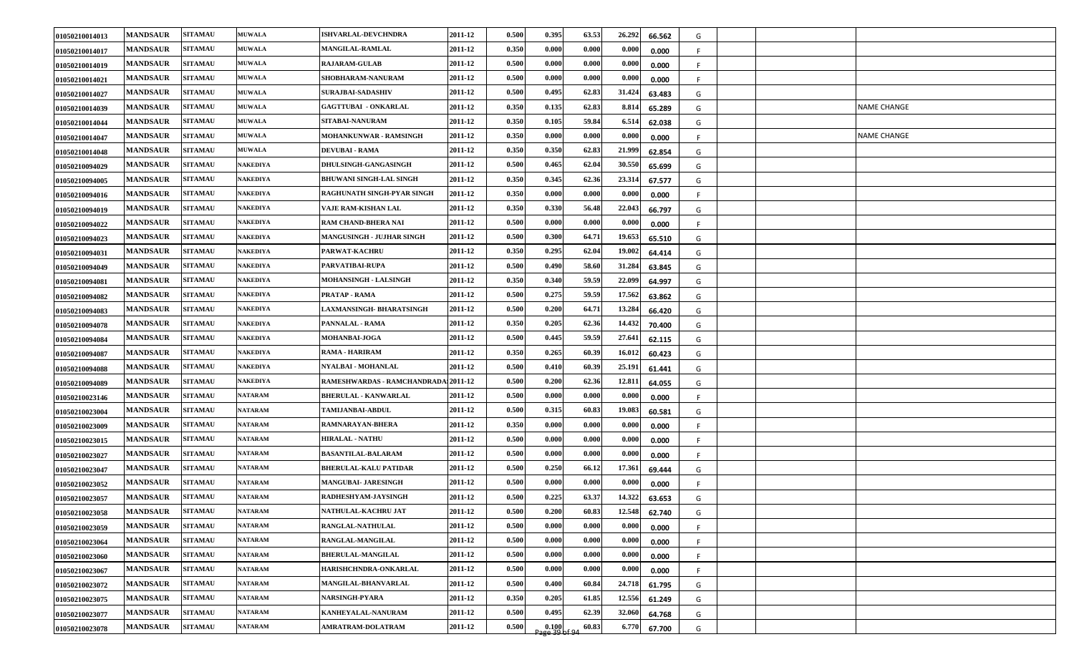| 01050210014013 | <b>MANDSAUR</b> | <b>SITAMAU</b> | <b>MUWALA</b>   | <b>ISHVARLAL-DEVCHNDRA</b>           | 2011-12 | 0.500 | 0.395                   | 63.53 | 26.292 | 66.562 | G   |  |                    |
|----------------|-----------------|----------------|-----------------|--------------------------------------|---------|-------|-------------------------|-------|--------|--------|-----|--|--------------------|
| 01050210014017 | <b>MANDSAUR</b> | <b>SITAMAU</b> | <b>MUWALA</b>   | <b>MANGILAL-RAMLAL</b>               | 2011-12 | 0.350 | 0.000                   | 0.000 | 0.000  | 0.000  | F.  |  |                    |
| 01050210014019 | <b>MANDSAUR</b> | <b>SITAMAU</b> | <b>MUWALA</b>   | <b>RAJARAM-GULAB</b>                 | 2011-12 | 0.500 | 0.000                   | 0.000 | 0.000  | 0.000  | -F  |  |                    |
| 01050210014021 | <b>MANDSAUR</b> | <b>SITAMAU</b> | <b>MUWALA</b>   | SHOBHARAM-NANURAM                    | 2011-12 | 0.500 | 0.000                   | 0.000 | 0.000  | 0.000  |     |  |                    |
| 01050210014027 | <b>MANDSAUR</b> | <b>SITAMAU</b> | <b>MUWALA</b>   | <b>SURAJBAI-SADASHIV</b>             | 2011-12 | 0.500 | 0.495                   | 62.83 | 31.424 | 63.483 | G   |  |                    |
| 01050210014039 | <b>MANDSAUR</b> | <b>SITAMAU</b> | <b>MUWALA</b>   | <b>GAGTTUBAI - ONKARLAL</b>          | 2011-12 | 0.350 | 0.135                   | 62.83 | 8.814  | 65.289 | G   |  | <b>NAME CHANGE</b> |
| 01050210014044 | <b>MANDSAUR</b> | <b>SITAMAU</b> | <b>MUWALA</b>   | <b>SITABAI-NANURAM</b>               | 2011-12 | 0.350 | 0.105                   | 59.84 | 6.514  | 62.038 | G   |  |                    |
| 01050210014047 | <b>MANDSAUR</b> | <b>SITAMAU</b> | <b>MUWALA</b>   | <b>MOHANKUNWAR - RAMSINGH</b>        | 2011-12 | 0.350 | 0.000                   | 0.000 | 0.000  | 0.000  |     |  | NAME CHANGE        |
| 01050210014048 | <b>MANDSAUR</b> | <b>SITAMAU</b> | <b>MUWALA</b>   | <b>DEVUBAI - RAMA</b>                | 2011-12 | 0.350 | 0.350                   | 62.83 | 21.999 | 62.854 | G   |  |                    |
| 01050210094029 | <b>MANDSAUR</b> | <b>SITAMAU</b> | NAKEDIYA        | <b>DHULSINGH-GANGASINGH</b>          | 2011-12 | 0.500 | 0.465                   | 62.04 | 30.550 | 65.699 | G   |  |                    |
| 01050210094005 | <b>MANDSAUR</b> | <b>SITAMAU</b> | NAKEDIYA        | <b>BHUWANI SINGH-LAL SINGH</b>       | 2011-12 | 0.350 | 0.345                   | 62.36 | 23.314 | 67.577 | G   |  |                    |
| 01050210094016 | <b>MANDSAUR</b> | <b>SITAMAU</b> | NAKEDIYA        | RAGHUNATH SINGH-PYAR SINGH           | 2011-12 | 0.350 | 0.000                   | 0.000 | 0.000  | 0.000  | -F  |  |                    |
| 01050210094019 | <b>MANDSAUR</b> | <b>SITAMAU</b> | <b>NAKEDIYA</b> | VAJE RAM-KISHAN LAL                  | 2011-12 | 0.350 | 0.330                   | 56.48 | 22.043 | 66.797 | G   |  |                    |
| 01050210094022 | <b>MANDSAUR</b> | <b>SITAMAU</b> | NAKEDIYA        | <b>RAM CHAND-BHERA NAI</b>           | 2011-12 | 0.500 | 0.000                   | 0.000 | 0.000  | 0.000  | -F. |  |                    |
| 01050210094023 | <b>MANDSAUR</b> | <b>SITAMAU</b> | NAKEDIYA        | <b>MANGUSINGH - JUJHAR SINGH</b>     | 2011-12 | 0.500 | 0.300                   | 64.71 | 19.653 | 65.510 | G   |  |                    |
| 01050210094031 | <b>MANDSAUR</b> | <b>SITAMAU</b> | NAKEDIYA        | <b>PARWAT-KACHRU</b>                 | 2011-12 | 0.350 | 0.295                   | 62.04 | 19.002 | 64.414 | G   |  |                    |
| 01050210094049 | <b>MANDSAUR</b> | <b>SITAMAU</b> | NAKEDIYA        | PARVATIBAI-RUPA                      | 2011-12 | 0.500 | 0.490                   | 58.60 | 31.284 | 63.845 | G   |  |                    |
| 01050210094081 | <b>MANDSAUR</b> | <b>SITAMAU</b> | <b>NAKEDIYA</b> | MOHANSINGH - LALSINGH                | 2011-12 | 0.350 | 0.340                   | 59.59 | 22.099 | 64.997 | G   |  |                    |
| 01050210094082 | <b>MANDSAUR</b> | <b>SITAMAU</b> | NAKEDIYA        | PRATAP - RAMA                        | 2011-12 | 0.500 | 0.275                   | 59.59 | 17.562 | 63.862 | G   |  |                    |
| 01050210094083 | <b>MANDSAUR</b> | <b>SITAMAU</b> | NAKEDIYA        | <b>LAXMANSINGH- BHARATSINGH</b>      | 2011-12 | 0.500 | 0.200                   | 64.71 | 13.284 | 66.420 | G   |  |                    |
| 01050210094078 | <b>MANDSAUR</b> | <b>SITAMAU</b> | NAKEDIYA        | PANNALAL - RAMA                      | 2011-12 | 0.350 | 0.205                   | 62.36 | 14.432 | 70.400 | G   |  |                    |
| 01050210094084 | <b>MANDSAUR</b> | <b>SITAMAU</b> | <b>NAKEDIYA</b> | MOHANBAI-JOGA                        | 2011-12 | 0.500 | 0.445                   | 59.59 | 27.641 | 62.115 | G   |  |                    |
| 01050210094087 | <b>MANDSAUR</b> | <b>SITAMAU</b> | NAKEDIYA        | RAMA - HARIRAM                       | 2011-12 | 0.350 | 0.265                   | 60.39 | 16.012 | 60.423 | G   |  |                    |
| 01050210094088 | <b>MANDSAUR</b> | <b>SITAMAU</b> | NAKEDIYA        | <b>NYALBAI - MOHANLAL</b>            | 2011-12 | 0.500 | 0.410                   | 60.39 | 25.191 | 61.441 | G   |  |                    |
| 01050210094089 | <b>MANDSAUR</b> | <b>SITAMAU</b> | NAKEDIYA        | RAMESHWARDAS - RAMCHANDRADA, 2011-12 |         | 0.500 | 0.200                   | 62.36 | 12.811 | 64.055 | G   |  |                    |
| 01050210023146 | <b>MANDSAUR</b> | <b>SITAMAU</b> | <b>NATARAM</b>  | <b>BHERULAL - KANWARLAL</b>          | 2011-12 | 0.500 | 0.000                   | 0.000 | 0.000  | 0.000  | -F  |  |                    |
| 01050210023004 | <b>MANDSAUR</b> | <b>SITAMAU</b> | <b>NATARAM</b>  | TAMIJANBAI-ABDUL                     | 2011-12 | 0.500 | 0.315                   | 60.83 | 19.083 | 60.581 | G   |  |                    |
| 01050210023009 | <b>MANDSAUR</b> | <b>SITAMAU</b> | <b>NATARAM</b>  | RAMNARAYAN-BHERA                     | 2011-12 | 0.350 | 0.000                   | 0.000 | 0.000  | 0.000  | -F. |  |                    |
| 01050210023015 | <b>MANDSAUR</b> | <b>SITAMAU</b> | <b>NATARAM</b>  | <b>HIRALAL - NATHU</b>               | 2011-12 | 0.500 | 0.000                   | 0.000 | 0.000  | 0.000  | F   |  |                    |
| 01050210023027 | <b>MANDSAUR</b> | <b>SITAMAU</b> | <b>NATARAM</b>  | <b>BASANTILAL-BALARAM</b>            | 2011-12 | 0.500 | 0.000                   | 0.000 | 0.000  | 0.000  | -F  |  |                    |
| 01050210023047 | <b>MANDSAUR</b> | <b>SITAMAU</b> | <b>NATARAM</b>  | <b>BHERULAL-KALU PATIDAR</b>         | 2011-12 | 0.500 | 0.250                   | 66.12 | 17.361 | 69.444 | G   |  |                    |
| 01050210023052 | <b>MANDSAUR</b> | <b>SITAMAU</b> | <b>NATARAM</b>  | <b>MANGUBAI- JARESINGH</b>           | 2011-12 | 0.500 | 0.00(                   | 0.000 | 0.000  | 0.000  | F.  |  |                    |
| 01050210023057 | <b>MANDSAUR</b> | <b>SITAMAU</b> | <b>NATARAM</b>  | RADHESHYAM-JAYSINGH                  | 2011-12 | 0.500 | 0.225                   | 63.37 | 14.322 | 63.653 | G   |  |                    |
| 01050210023058 | <b>MANDSAUR</b> | <b>SITAMAU</b> | <b>NATARAM</b>  | NATHULAL-KACHRU JAT                  | 2011-12 | 0.500 | 0.200                   | 60.83 | 12.548 | 62.740 | G   |  |                    |
| 01050210023059 | <b>MANDSAUR</b> | <b>SITAMAU</b> | <b>NATARAM</b>  | <b>RANGLAL-NATHULAL</b>              | 2011-12 | 0.500 | 0.000                   | 0.000 | 0.000  | 0.000  |     |  |                    |
| 01050210023064 | <b>MANDSAUR</b> | <b>SITAMAU</b> | <b>NATARAM</b>  | RANGLAL-MANGILAL                     | 2011-12 | 0.500 | 0.000                   | 0.000 | 0.000  | 0.000  | F.  |  |                    |
| 01050210023060 | <b>MANDSAUR</b> | <b>SITAMAU</b> | <b>NATARAM</b>  | <b>BHERULAL-MANGILAL</b>             | 2011-12 | 0.500 | 0.000                   | 0.000 | 0.000  | 0.000  | F   |  |                    |
| 01050210023067 | <b>MANDSAUR</b> | <b>SITAMAU</b> | <b>NATARAM</b>  | HARISHCHNDRA-ONKARLAL                | 2011-12 | 0.500 | 0.000                   | 0.000 | 0.000  | 0.000  | F   |  |                    |
| 01050210023072 | <b>MANDSAUR</b> | <b>SITAMAU</b> | <b>NATARAM</b>  | <b>MANGILAL-BHANVARLAL</b>           | 2011-12 | 0.500 | 0.400                   | 60.84 | 24.718 | 61.795 | G   |  |                    |
| 01050210023075 | <b>MANDSAUR</b> | <b>SITAMAU</b> | <b>NATARAM</b>  | <b>NARSINGH-PYARA</b>                | 2011-12 | 0.350 | 0.205                   | 61.85 | 12.556 | 61.249 | G   |  |                    |
| 01050210023077 | <b>MANDSAUR</b> | <b>SITAMAU</b> | <b>NATARAM</b>  | KANHEYALAL-NANURAM                   | 2011-12 | 0.500 | 0.495                   | 62.39 | 32.060 | 64.768 | G   |  |                    |
| 01050210023078 | <b>MANDSAUR</b> | <b>SITAMAU</b> | <b>NATARAM</b>  | AMRATRAM-DOLATRAM                    | 2011-12 | 0.500 | $0.100$<br>age 39 of 9/ | 60.83 | 6.770  | 67.700 | G   |  |                    |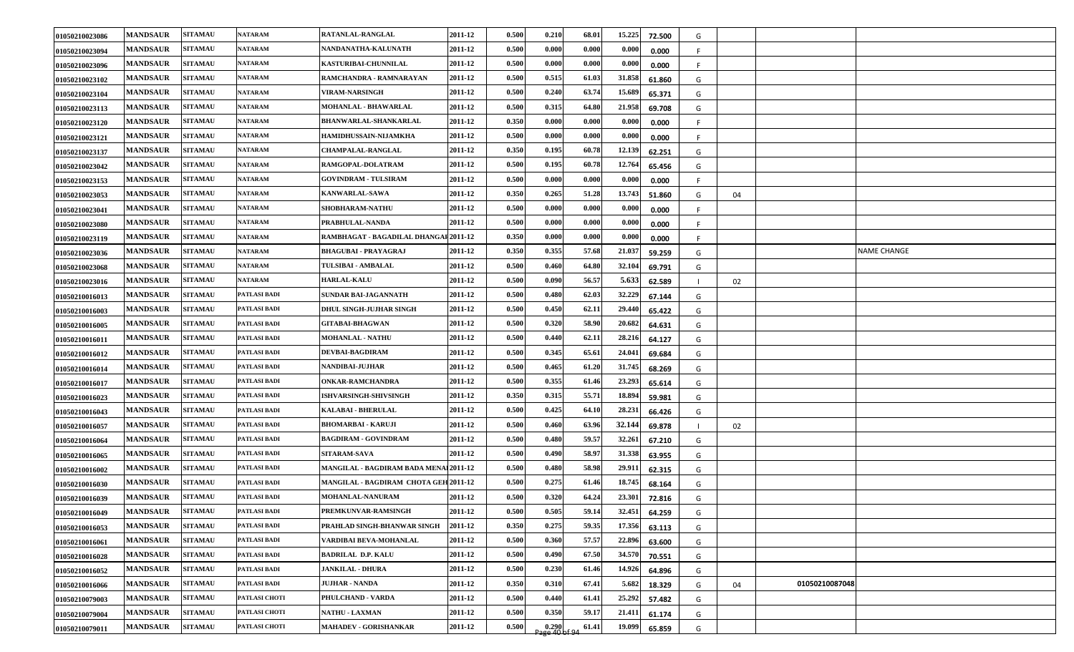| 01050210023086 | <b>MANDSAUR</b> | <b>SITAMAU</b> | <b>NATARAM</b>      | RATANLAL-RANGLAL                              | 2011-12 | 0.500 | 0.210                 | 68.01 | 15.225 | 72.500 | G   |    |                |             |
|----------------|-----------------|----------------|---------------------|-----------------------------------------------|---------|-------|-----------------------|-------|--------|--------|-----|----|----------------|-------------|
| 01050210023094 | <b>MANDSAUR</b> | <b>SITAMAU</b> | NATARAM             | NANDANATHA-KALUNATH                           | 2011-12 | 0.500 | 0.000                 | 0.000 | 0.000  | 0.000  | F.  |    |                |             |
| 01050210023096 | <b>MANDSAUR</b> | <b>SITAMAU</b> | <b>NATARAM</b>      | KASTURIBAI-CHUNNILAL                          | 2011-12 | 0.500 | 0.000                 | 0.000 | 0.000  | 0.000  | -F  |    |                |             |
| 01050210023102 | <b>MANDSAUR</b> | <b>SITAMAU</b> | <b>NATARAM</b>      | RAMCHANDRA - RAMNARAYAN                       | 2011-12 | 0.500 | 0.515                 | 61.03 | 31.858 | 61.860 | G   |    |                |             |
| 01050210023104 | <b>MANDSAUR</b> | <b>SITAMAU</b> | <b>NATARAM</b>      | VIRAM-NARSINGH                                | 2011-12 | 0.500 | 0.240                 | 63.74 | 15.689 | 65.371 | G   |    |                |             |
| 01050210023113 | <b>MANDSAUR</b> | <b>SITAMAU</b> | <b>NATARAM</b>      | MOHANLAL - BHAWARLAL                          | 2011-12 | 0.500 | 0.315                 | 64.80 | 21.958 | 69.708 | G   |    |                |             |
| 01050210023120 | <b>MANDSAUR</b> | <b>SITAMAU</b> | <b>NATARAM</b>      | BHANWARLAL-SHANKARLAL                         | 2011-12 | 0.350 | 0.000                 | 0.000 | 0.000  | 0.000  | F.  |    |                |             |
| 01050210023121 | <b>MANDSAUR</b> | <b>SITAMAU</b> | <b>NATARAM</b>      | HAMIDHUSSAIN-NIJAMKHA                         | 2011-12 | 0.500 | 0.000                 | 0.000 | 0.000  | 0.000  |     |    |                |             |
| 01050210023137 | <b>MANDSAUR</b> | <b>SITAMAU</b> | <b>NATARAM</b>      | <b>CHAMPALAL-RANGLAL</b>                      | 2011-12 | 0.350 | 0.195                 | 60.78 | 12.139 | 62.251 | G   |    |                |             |
| 01050210023042 | <b>MANDSAUR</b> | <b>SITAMAU</b> | <b>NATARAM</b>      | RAMGOPAL-DOLATRAM                             | 2011-12 | 0.500 | 0.195                 | 60.78 | 12.764 | 65.456 | G   |    |                |             |
| 01050210023153 | <b>MANDSAUR</b> | <b>SITAMAU</b> | <b>NATARAM</b>      | <b>GOVINDRAM - TULSIRAM</b>                   | 2011-12 | 0.500 | 0.000                 | 0.000 | 0.000  | 0.000  | F.  |    |                |             |
| 01050210023053 | <b>MANDSAUR</b> | <b>SITAMAU</b> | <b>NATARAM</b>      | KANWARLAL-SAWA                                | 2011-12 | 0.350 | 0.265                 | 51.28 | 13.743 | 51.860 | G   | 04 |                |             |
| 01050210023041 | <b>MANDSAUR</b> | <b>SITAMAU</b> | <b>NATARAM</b>      | SHOBHARAM-NATHU                               | 2011-12 | 0.500 | 0.000                 | 0.000 | 0.000  | 0.000  | F.  |    |                |             |
| 01050210023080 | <b>MANDSAUR</b> | <b>SITAMAU</b> | <b>NATARAM</b>      | PRABHULAL-NANDA                               | 2011-12 | 0.500 | 0.000                 | 0.000 | 0.000  | 0.000  | -F. |    |                |             |
| 01050210023119 | <b>MANDSAUR</b> | <b>SITAMAU</b> | <b>NATARAM</b>      | RAMBHAGAT - BAGADILAL DHANGAI 2011-12         |         | 0.350 | 0.000                 | 0.000 | 0.000  | 0.000  | -F  |    |                |             |
| 01050210023036 | <b>MANDSAUR</b> | <b>SITAMAU</b> | <b>NATARAM</b>      | <b>BHAGUBAI - PRAYAGRAJ</b>                   | 2011-12 | 0.350 | 0.355                 | 57.68 | 21.037 | 59.259 | G   |    |                | NAME CHANGE |
| 01050210023068 | <b>MANDSAUR</b> | <b>SITAMAU</b> | NATARAM             | TULSIBAI - AMBALAL                            | 2011-12 | 0.500 | 0.460                 | 64.80 | 32.104 | 69.791 | G   |    |                |             |
| 01050210023016 | <b>MANDSAUR</b> | <b>SITAMAU</b> | <b>NATARAM</b>      | <b>HARLAL-KALU</b>                            | 2011-12 | 0.500 | 0.090                 | 56.57 | 5.633  | 62.589 |     | 02 |                |             |
| 01050210016013 | <b>MANDSAUR</b> | <b>SITAMAU</b> | PATLASI BADI        | <b>SUNDAR BAI-JAGANNATH</b>                   | 2011-12 | 0.500 | 0.480                 | 62.03 | 32.229 | 67.144 | G   |    |                |             |
| 01050210016003 | <b>MANDSAUR</b> | <b>SITAMAU</b> | PATLASI BADI        | <b>DHUL SINGH-JUJHAR SINGH</b>                | 2011-12 | 0.500 | 0.450                 | 62.11 | 29.440 | 65.422 | G   |    |                |             |
| 01050210016005 | <b>MANDSAUR</b> | <b>SITAMAU</b> | <b>PATLASI BADI</b> | <b>GITABAI-BHAGWAN</b>                        | 2011-12 | 0.500 | 0.320                 | 58.90 | 20.682 | 64.631 | G   |    |                |             |
| 01050210016011 | <b>MANDSAUR</b> | <b>SITAMAU</b> | <b>PATLASI BADI</b> | <b>MOHANLAL - NATHU</b>                       | 2011-12 | 0.500 | 0.440                 | 62.11 | 28.216 | 64.127 | G   |    |                |             |
| 01050210016012 | <b>MANDSAUR</b> | <b>SITAMAU</b> | <b>PATLASI BADI</b> | <b>DEVBAI-BAGDIRAM</b>                        | 2011-12 | 0.500 | 0.345                 | 65.61 | 24.041 | 69.684 | G   |    |                |             |
| 01050210016014 | <b>MANDSAUR</b> | <b>SITAMAU</b> | <b>PATLASI BADI</b> | NANDIBAI-JUJHAR                               | 2011-12 | 0.500 | 0.465                 | 61.20 | 31.745 | 68.269 | G   |    |                |             |
| 01050210016017 | <b>MANDSAUR</b> | <b>SITAMAU</b> | PATLASI BADI        | <b>ONKAR-RAMCHANDRA</b>                       | 2011-12 | 0.500 | 0.355                 | 61.46 | 23.293 | 65.614 | G   |    |                |             |
| 01050210016023 | <b>MANDSAUR</b> | <b>SITAMAU</b> | <b>PATLASI BADI</b> | <b>ISHVARSINGH-SHIVSINGH</b>                  | 2011-12 | 0.350 | 0.315                 | 55.71 | 18.894 | 59.981 | G   |    |                |             |
| 01050210016043 | <b>MANDSAUR</b> | <b>SITAMAU</b> | <b>PATLASI BADI</b> | KALABAI - BHERULAL                            | 2011-12 | 0.500 | 0.425                 | 64.10 | 28.231 | 66.426 | G   |    |                |             |
| 01050210016057 | <b>MANDSAUR</b> | <b>SITAMAU</b> | PATLASI BADI        | <b>BHOMARBAI - KARUJI</b>                     | 2011-12 | 0.500 | 0.460                 | 63.96 | 32.144 | 69.878 |     | 02 |                |             |
| 01050210016064 | <b>MANDSAUR</b> | <b>SITAMAU</b> | PATLASI BADI        | <b>BAGDIRAM - GOVINDRAM</b>                   | 2011-12 | 0.500 | 0.480                 | 59.57 | 32.261 | 67.210 | G   |    |                |             |
| 01050210016065 | <b>MANDSAUR</b> | <b>SITAMAU</b> | PATLASI BADI        | <b>SITARAM-SAVA</b>                           | 2011-12 | 0.500 | 0.490                 | 58.97 | 31.338 | 63.955 | G   |    |                |             |
| 01050210016002 | <b>MANDSAUR</b> | <b>SITAMAU</b> | PATLASI BADI        | <b>MANGILAL - BAGDIRAM BADA MENAL 2011-12</b> |         | 0.500 | 0.480                 | 58.98 | 29.911 | 62.315 | G   |    |                |             |
| 01050210016030 | <b>MANDSAUR</b> | <b>SITAMAU</b> | PATLASI BADI        | <b>MANGILAL - BAGDIRAM CHOTA GEH 2011-12</b>  |         | 0.500 | 0.275                 | 61.46 | 18.745 | 68.164 | G   |    |                |             |
| 01050210016039 | <b>MANDSAUR</b> | <b>SITAMAU</b> | <b>PATLASI BADI</b> | <b>MOHANLAL-NANURAM</b>                       | 2011-12 | 0.500 | 0.320                 | 64.24 | 23.301 | 72.816 | G   |    |                |             |
| 01050210016049 | <b>MANDSAUR</b> | <b>SITAMAU</b> | PATLASI BADI        | PREMKUNVAR-RAMSINGH                           | 2011-12 | 0.500 | 0.505                 | 59.14 | 32.451 | 64.259 | G   |    |                |             |
| 01050210016053 | <b>MANDSAUR</b> | <b>SITAMAU</b> | PATLASI BADI        | PRAHLAD SINGH-BHANWAR SINGH                   | 2011-12 | 0.350 | 0.275                 | 59.35 | 17.356 | 63.113 | G   |    |                |             |
| 01050210016061 | <b>MANDSAUR</b> | <b>SITAMAU</b> | PATLASI BADI        | VARDIBAI BEVA-MOHANLAL                        | 2011-12 | 0.500 | 0.360                 | 57.57 | 22.896 | 63.600 | G   |    |                |             |
| 01050210016028 | <b>MANDSAUR</b> | <b>SITAMAU</b> | PATLASI BADI        | <b>BADRILAL D.P. KALU</b>                     | 2011-12 | 0.500 | 0.490                 | 67.50 | 34.570 | 70.551 | G   |    |                |             |
| 01050210016052 | <b>MANDSAUR</b> | <b>SITAMAU</b> | PATLASI BADI        | <b>JANKILAL - DHURA</b>                       | 2011-12 | 0.500 | 0.230                 | 61.46 | 14.926 | 64.896 | G   |    |                |             |
| 01050210016066 | <b>MANDSAUR</b> | <b>SITAMAU</b> | PATLASI BADI        | <b>JUJHAR - NANDA</b>                         | 2011-12 | 0.350 | 0.310                 | 67.41 | 5.682  | 18.329 | G   | 04 | 01050210087048 |             |
| 01050210079003 | <b>MANDSAUR</b> | <b>SITAMAU</b> | PATLASI CHOTI       | PHULCHAND - VARDA                             | 2011-12 | 0.500 | 0.440                 | 61.41 | 25.292 | 57.482 | G   |    |                |             |
| 01050210079004 | <b>MANDSAUR</b> | <b>SITAMAU</b> | PATLASI CHOTI       | <b>NATHU - LAXMAN</b>                         | 2011-12 | 0.500 | 0.350                 | 59.17 | 21.411 | 61.174 | G   |    |                |             |
| 01050210079011 | <b>MANDSAUR</b> | <b>SITAMAU</b> | PATLASI CHOTI       | MAHADEV - GORISHANKAR                         | 2011-12 | 0.500 | 0.290<br>age 40 of 94 | 61.41 | 19.099 | 65.859 | G   |    |                |             |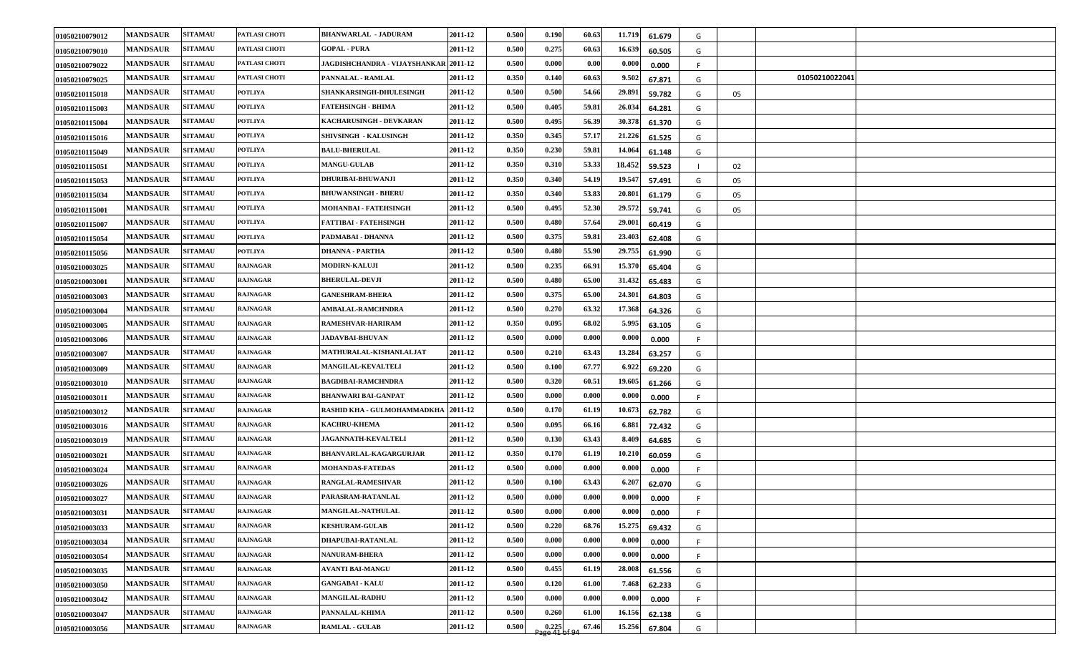| 01050210079012 | <b>MANDSAUR</b> | <b>SITAMAU</b> | PATLASI CHOTI   | <b>BHANWARLAL - JADURAM</b>                  | 2011-12 | 0.500 | 0.190                   | 60.63 | 11.719<br>61.679 | G  |    |                |  |
|----------------|-----------------|----------------|-----------------|----------------------------------------------|---------|-------|-------------------------|-------|------------------|----|----|----------------|--|
| 01050210079010 | <b>MANDSAUR</b> | <b>SITAMAU</b> | PATLASI CHOTI   | <b>GOPAL - PURA</b>                          | 2011-12 | 0.500 | 0.275                   | 60.63 | 16.639<br>60.505 | G  |    |                |  |
| 01050210079022 | <b>MANDSAUR</b> | <b>SITAMAU</b> | PATLASI CHOTI   | <b>JAGDISHCHANDRA - VIJAYSHANKAR 2011-12</b> |         | 0.500 | 0.000                   | 0.00  | 0.000<br>0.000   | F. |    |                |  |
| 01050210079025 | <b>MANDSAUR</b> | <b>SITAMAU</b> | PATLASI CHOTI   | PANNALAL - RAMLAL                            | 2011-12 | 0.350 | 0.140                   | 60.63 | 9.502<br>67.871  | G  |    | 01050210022041 |  |
| 01050210115018 | <b>MANDSAUR</b> | <b>SITAMAU</b> | <b>POTLIYA</b>  | SHANKARSINGH-DHULESINGH                      | 2011-12 | 0.500 | 0.500                   | 54.66 | 29.891<br>59.782 | G  | 05 |                |  |
| 01050210115003 | <b>MANDSAUR</b> | <b>SITAMAU</b> | <b>POTLIYA</b>  | <b>FATEHSINGH - BHIMA</b>                    | 2011-12 | 0.500 | 0.405                   | 59.81 | 26.034<br>64.281 | G  |    |                |  |
| 01050210115004 | <b>MANDSAUR</b> | <b>SITAMAU</b> | <b>POTLIYA</b>  | KACHARUSINGH - DEVKARAN                      | 2011-12 | 0.500 | 0.495                   | 56.39 | 30.378<br>61.370 | G  |    |                |  |
| 01050210115016 | <b>MANDSAUR</b> | <b>SITAMAU</b> | <b>POTLIYA</b>  | SHIVSINGH - KALUSINGH                        | 2011-12 | 0.350 | 0.345                   | 57.17 | 21.226<br>61.525 | G  |    |                |  |
| 01050210115049 | <b>MANDSAUR</b> | <b>SITAMAU</b> | <b>POTLIYA</b>  | <b>BALU-BHERULAL</b>                         | 2011-12 | 0.350 | 0.230                   | 59.81 | 14.064<br>61.148 | G  |    |                |  |
| 01050210115051 | <b>MANDSAUR</b> | <b>SITAMAU</b> | <b>POTLIYA</b>  | <b>MANGU-GULAB</b>                           | 2011-12 | 0.350 | 0.310                   | 53.33 | 18.452<br>59.523 |    | 02 |                |  |
| 01050210115053 | <b>MANDSAUR</b> | <b>SITAMAU</b> | <b>POTLIYA</b>  | <b>DHURIBAI-BHUWANJI</b>                     | 2011-12 | 0.350 | 0.340                   | 54.19 | 19.547<br>57.491 | G  | 05 |                |  |
| 01050210115034 | <b>MANDSAUR</b> | <b>SITAMAU</b> | <b>POTLIYA</b>  | <b>BHUWANSINGH - BHERU</b>                   | 2011-12 | 0.350 | 0.340                   | 53.83 | 20.801<br>61.179 | G  | 05 |                |  |
| 01050210115001 | <b>MANDSAUR</b> | <b>SITAMAU</b> | <b>POTLIYA</b>  | MOHANBAI - FATEHSINGH                        | 2011-12 | 0.500 | 0.495                   | 52.30 | 29.572<br>59.741 | G  | 05 |                |  |
| 01050210115007 | <b>MANDSAUR</b> | <b>SITAMAU</b> | <b>POTLIYA</b>  | <b>FATTIBAI - FATEHSINGH</b>                 | 2011-12 | 0.500 | 0.480                   | 57.64 | 29.001<br>60.419 | G  |    |                |  |
| 01050210115054 | <b>MANDSAUR</b> | <b>SITAMAU</b> | <b>POTLIYA</b>  | PADMABAI - DHANNA                            | 2011-12 | 0.500 | 0.375                   | 59.81 | 23.403<br>62.408 | G  |    |                |  |
| 01050210115056 | <b>MANDSAUR</b> | <b>SITAMAU</b> | <b>POTLIYA</b>  | DHANNA - PARTHA                              | 2011-12 | 0.500 | 0.480                   | 55.90 | 29.755<br>61.990 | G  |    |                |  |
| 01050210003025 | <b>MANDSAUR</b> | <b>SITAMAU</b> | <b>RAJNAGAR</b> | <b>MODIRN-KALUJI</b>                         | 2011-12 | 0.500 | 0.235                   | 66.91 | 15.370<br>65.404 | G  |    |                |  |
| 01050210003001 | <b>MANDSAUR</b> | <b>SITAMAU</b> | <b>RAJNAGAR</b> | <b>BHERULAL-DEVJI</b>                        | 2011-12 | 0.500 | 0.480                   | 65.00 | 31.432<br>65.483 | G  |    |                |  |
| 01050210003003 | <b>MANDSAUR</b> | <b>SITAMAU</b> | <b>RAJNAGAR</b> | <b>GANESHRAM-BHERA</b>                       | 2011-12 | 0.500 | 0.375                   | 65.00 | 24.301<br>64.803 | G  |    |                |  |
| 01050210003004 | <b>MANDSAUR</b> | <b>SITAMAU</b> | <b>RAJNAGAR</b> | <b>AMBALAL-RAMCHNDRA</b>                     | 2011-12 | 0.500 | 0.270                   | 63.32 | 17.368<br>64.326 | G  |    |                |  |
| 01050210003005 | <b>MANDSAUR</b> | <b>SITAMAU</b> | <b>RAJNAGAR</b> | <b>RAMESHVAR-HARIRAM</b>                     | 2011-12 | 0.350 | 0.095                   | 68.02 | 5.995<br>63.105  | G  |    |                |  |
| 01050210003006 | <b>MANDSAUR</b> | <b>SITAMAU</b> | <b>RAJNAGAR</b> | <b>JADAVBAI-BHUVAN</b>                       | 2011-12 | 0.500 | 0.000                   | 0.000 | 0.000<br>0.000   | F. |    |                |  |
| 01050210003007 | <b>MANDSAUR</b> | <b>SITAMAU</b> | <b>RAJNAGAR</b> | <b>MATHURALAL-KISHANLALJAT</b>               | 2011-12 | 0.500 | 0.210                   | 63.43 | 13.284<br>63.257 | G  |    |                |  |
| 01050210003009 | <b>MANDSAUR</b> | <b>SITAMAU</b> | <b>RAJNAGAR</b> | <b>MANGILAL-KEVALTELI</b>                    | 2011-12 | 0.500 | 0.100                   | 67.77 | 6.922<br>69.220  | G  |    |                |  |
| 01050210003010 | <b>MANDSAUR</b> | <b>SITAMAU</b> | <b>RAJNAGAR</b> | <b>BAGDIBAI-RAMCHNDRA</b>                    | 2011-12 | 0.500 | 0.320                   | 60.51 | 19.605<br>61.266 | G  |    |                |  |
| 01050210003011 | <b>MANDSAUR</b> | <b>SITAMAU</b> | <b>RAJNAGAR</b> | <b>BHANWARI BAI-GANPAT</b>                   | 2011-12 | 0.500 | 0.000                   | 0.000 | 0.000<br>0.000   | F. |    |                |  |
| 01050210003012 | <b>MANDSAUR</b> | <b>SITAMAU</b> | <b>RAJNAGAR</b> | RASHID KHA - GULMOHAMMADKHA 2011-12          |         | 0.500 | 0.170                   | 61.19 | 10.673<br>62.782 | G  |    |                |  |
| 01050210003016 | <b>MANDSAUR</b> | <b>SITAMAU</b> | <b>RAJNAGAR</b> | <b>KACHRU-KHEMA</b>                          | 2011-12 | 0.500 | 0.095                   | 66.16 | 6.881<br>72.432  | G  |    |                |  |
| 01050210003019 | <b>MANDSAUR</b> | <b>SITAMAU</b> | <b>RAJNAGAR</b> | <b>JAGANNATH-KEVALTELI</b>                   | 2011-12 | 0.500 | 0.130                   | 63.43 | 8.409<br>64.685  | G  |    |                |  |
| 01050210003021 | <b>MANDSAUR</b> | <b>SITAMAU</b> | <b>RAJNAGAR</b> | <b>BHANVARLAL-KAGARGURJAR</b>                | 2011-12 | 0.350 | 0.170                   | 61.19 | 10.210<br>60.059 | G  |    |                |  |
| 01050210003024 | <b>MANDSAUR</b> | <b>SITAMAU</b> | <b>RAJNAGAR</b> | <b>MOHANDAS-FATEDAS</b>                      | 2011-12 | 0.500 | 0.000                   | 0.000 | 0.000<br>0.000   |    |    |                |  |
| 01050210003026 | <b>MANDSAUR</b> | <b>SITAMAU</b> | <b>RAJNAGAR</b> | RANGLAL-RAMESHVAR                            | 2011-12 | 0.50  | 0.100                   | 63.43 | 6.207<br>62.070  | G  |    |                |  |
| 01050210003027 | <b>MANDSAUR</b> | <b>SITAMAU</b> | <b>RAJNAGAR</b> | PARASRAM-RATANLAL                            | 2011-12 | 0.500 | 0.000                   | 0.000 | 0.000<br>0.000   |    |    |                |  |
| 01050210003031 | <b>MANDSAUR</b> | <b>SITAMAU</b> | <b>RAJNAGAR</b> | <b>MANGILAL-NATHULAL</b>                     | 2011-12 | 0.500 | 0.000                   | 0.000 | 0.000<br>0.000   | F  |    |                |  |
| 01050210003033 | <b>MANDSAUR</b> | <b>SITAMAU</b> | <b>RAJNAGAR</b> | <b>KESHURAM-GULAB</b>                        | 2011-12 | 0.500 | 0.220                   | 68.76 | 15.275<br>69.432 | G  |    |                |  |
| 01050210003034 | <b>MANDSAUR</b> | <b>SITAMAU</b> | <b>RAJNAGAR</b> | DHAPUBAI-RATANLAL                            | 2011-12 | 0.500 | 0.000                   | 0.000 | 0.000<br>0.000   | F  |    |                |  |
| 01050210003054 | <b>MANDSAUR</b> | <b>SITAMAU</b> | <b>RAJNAGAR</b> | <b>NANURAM-BHERA</b>                         | 2011-12 | 0.500 | 0.000                   | 0.000 | 0.000<br>0.000   | F  |    |                |  |
| 01050210003035 | <b>MANDSAUR</b> | <b>SITAMAU</b> | <b>RAJNAGAR</b> | <b>AVANTI BAI-MANGU</b>                      | 2011-12 | 0.500 | 0.455                   | 61.19 | 28.008<br>61.556 | G  |    |                |  |
| 01050210003050 | <b>MANDSAUR</b> | <b>SITAMAU</b> | <b>RAJNAGAR</b> | <b>GANGABAI - KALU</b>                       | 2011-12 | 0.500 | 0.120                   | 61.00 | 7.468<br>62.233  | G  |    |                |  |
| 01050210003042 | <b>MANDSAUR</b> | <b>SITAMAU</b> | <b>RAJNAGAR</b> | <b>MANGILAL-RADHU</b>                        | 2011-12 | 0.500 | 0.000                   | 0.000 | 0.000<br>0.000   | F  |    |                |  |
| 01050210003047 | <b>MANDSAUR</b> | <b>SITAMAU</b> | <b>RAJNAGAR</b> | PANNALAL-KHIMA                               | 2011-12 | 0.500 | 0.260                   | 61.00 | 16.156<br>62.138 | G  |    |                |  |
| 01050210003056 | <b>MANDSAUR</b> | <b>SITAMAU</b> | <b>RAJNAGAR</b> | <b>RAMLAL - GULAB</b>                        | 2011-12 | 0.500 | $0.225$<br>age 41 of 94 | 67.46 | 15.256<br>67.804 | G  |    |                |  |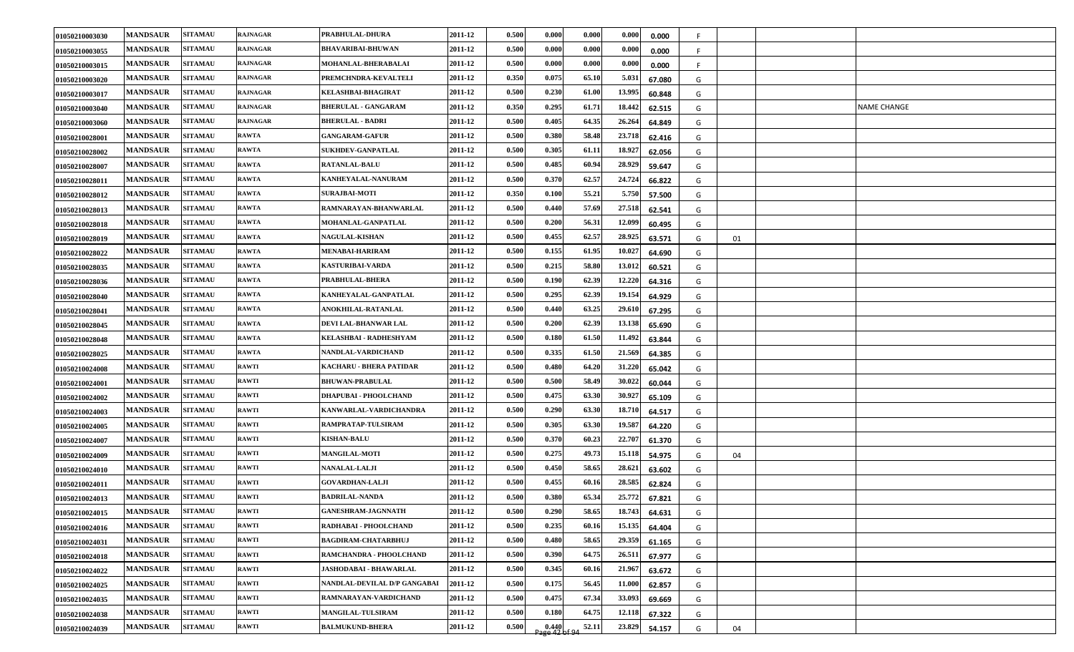| 01050210003030 | <b>MANDSAUR</b> | <b>SITAMAU</b> | <b>RAJNAGAR</b> | PRABHULAL-DHURA               | 2011-12 | 0.500 | 0.000         | 0.000 | 0.000  | 0.000  | F. |    |                    |
|----------------|-----------------|----------------|-----------------|-------------------------------|---------|-------|---------------|-------|--------|--------|----|----|--------------------|
| 01050210003055 | <b>MANDSAUR</b> | <b>SITAMAU</b> | <b>RAJNAGAR</b> | <b>BHAVARIBAI-BHUWAN</b>      | 2011-12 | 0.500 | 0.000         | 0.000 | 0.000  | 0.000  | F  |    |                    |
| 01050210003015 | <b>MANDSAUR</b> | <b>SITAMAU</b> | <b>RAJNAGAR</b> | MOHANLAL-BHERABALAI           | 2011-12 | 0.500 | 0.000         | 0.000 | 0.000  | 0.000  | F. |    |                    |
| 01050210003020 | <b>MANDSAUR</b> | <b>SITAMAU</b> | <b>RAJNAGAR</b> | PREMCHNDRA-KEVALTELI          | 2011-12 | 0.350 | 0.075         | 65.10 | 5.031  | 67.080 | G  |    |                    |
| 01050210003017 | <b>MANDSAUR</b> | <b>SITAMAU</b> | <b>RAJNAGAR</b> | KELASHBAI-BHAGIRAT            | 2011-12 | 0.500 | 0.230         | 61.00 | 13.995 | 60.848 | G  |    |                    |
| 01050210003040 | <b>MANDSAUR</b> | <b>SITAMAU</b> | <b>RAJNAGAR</b> | <b>BHERULAL - GANGARAM</b>    | 2011-12 | 0.350 | 0.295         | 61.71 | 18.442 | 62.515 | G  |    | <b>NAME CHANGE</b> |
| 01050210003060 | <b>MANDSAUR</b> | <b>SITAMAU</b> | <b>RAJNAGAR</b> | <b>BHERULAL - BADRI</b>       | 2011-12 | 0.500 | 0.405         | 64.35 | 26.264 | 64.849 | G  |    |                    |
| 01050210028001 | <b>MANDSAUR</b> | <b>SITAMAU</b> | <b>RAWTA</b>    | <b>GANGARAM-GAFUR</b>         | 2011-12 | 0.500 | 0.380         | 58.48 | 23.718 | 62.416 | G  |    |                    |
| 01050210028002 | <b>MANDSAUR</b> | <b>SITAMAU</b> | <b>RAWTA</b>    | SUKHDEV-GANPATLAL             | 2011-12 | 0.500 | 0.305         | 61.11 | 18.927 | 62.056 | G  |    |                    |
| 01050210028007 | <b>MANDSAUR</b> | <b>SITAMAU</b> | <b>RAWTA</b>    | <b>RATANLAL-BALU</b>          | 2011-12 | 0.500 | 0.485         | 60.94 | 28.929 | 59.647 | G  |    |                    |
| 01050210028011 | <b>MANDSAUR</b> | <b>SITAMAU</b> | <b>RAWTA</b>    | KANHEYALAL-NANURAM            | 2011-12 | 0.500 | 0.370         | 62.57 | 24.724 | 66.822 | G  |    |                    |
| 01050210028012 | <b>MANDSAUR</b> | <b>SITAMAU</b> | <b>RAWTA</b>    | <b>SURAJBAI-MOTI</b>          | 2011-12 | 0.350 | 0.100         | 55.21 | 5.750  | 57.500 | G  |    |                    |
| 01050210028013 | <b>MANDSAUR</b> | <b>SITAMAU</b> | <b>RAWTA</b>    | RAMNARAYAN-BHANWARLAL         | 2011-12 | 0.500 | 0.440         | 57.69 | 27.518 | 62.541 | G  |    |                    |
| 01050210028018 | <b>MANDSAUR</b> | <b>SITAMAU</b> | <b>RAWTA</b>    | MOHANLAL-GANPATLAL            | 2011-12 | 0.500 | 0.200         | 56.31 | 12.099 | 60.495 | G  |    |                    |
| 01050210028019 | <b>MANDSAUR</b> | <b>SITAMAU</b> | <b>RAWTA</b>    | <b>NAGULAL-KISHAN</b>         | 2011-12 | 0.500 | 0.455         | 62.57 | 28.925 | 63.571 | G  | 01 |                    |
| 01050210028022 | <b>MANDSAUR</b> | <b>SITAMAU</b> | <b>RAWTA</b>    | MENABAI-HARIRAM               | 2011-12 | 0.500 | 0.155         | 61.95 | 10.027 | 64.690 | G  |    |                    |
| 01050210028035 | <b>MANDSAUR</b> | <b>SITAMAU</b> | <b>RAWTA</b>    | KASTURIBAI-VARDA              | 2011-12 | 0.500 | 0.215         | 58.80 | 13.012 | 60.521 | G  |    |                    |
| 01050210028036 | <b>MANDSAUR</b> | <b>SITAMAU</b> | <b>RAWTA</b>    | PRABHULAL-BHERA               | 2011-12 | 0.500 | 0.190         | 62.39 | 12.220 | 64.316 | G  |    |                    |
| 01050210028040 | <b>MANDSAUR</b> | <b>SITAMAU</b> | <b>RAWTA</b>    | KANHEYALAL-GANPATLAL          | 2011-12 | 0.500 | 0.295         | 62.39 | 19.154 | 64.929 | G  |    |                    |
| 01050210028041 | <b>MANDSAUR</b> | <b>SITAMAU</b> | <b>RAWTA</b>    | ANOKHILAL-RATANLAL            | 2011-12 | 0.500 | 0.440         | 63.25 | 29.610 | 67.295 | G  |    |                    |
| 01050210028045 | <b>MANDSAUR</b> | <b>SITAMAU</b> | <b>RAWTA</b>    | DEVI LAL-BHANWAR LAL          | 2011-12 | 0.500 | 0.200         | 62.39 | 13.138 | 65.690 | G  |    |                    |
| 01050210028048 | <b>MANDSAUR</b> | <b>SITAMAU</b> | <b>RAWTA</b>    | KELASHBAI - RADHESHYAM        | 2011-12 | 0.500 | 0.180         | 61.50 | 11.492 | 63.844 | G  |    |                    |
| 01050210028025 | <b>MANDSAUR</b> | <b>SITAMAU</b> | <b>RAWTA</b>    | NANDLAL-VARDICHAND            | 2011-12 | 0.500 | 0.335         | 61.50 | 21.569 | 64.385 | G  |    |                    |
| 01050210024008 | <b>MANDSAUR</b> | <b>SITAMAU</b> | <b>RAWTI</b>    | KACHARU - BHERA PATIDAR       | 2011-12 | 0.500 | 0.480         | 64.20 | 31.220 | 65.042 | G  |    |                    |
| 01050210024001 | <b>MANDSAUR</b> | <b>SITAMAU</b> | <b>RAWTI</b>    | <b>BHUWAN-PRABULAL</b>        | 2011-12 | 0.500 | 0.500         | 58.49 | 30.022 | 60.044 | G  |    |                    |
| 01050210024002 | <b>MANDSAUR</b> | <b>SITAMAU</b> | <b>RAWTI</b>    | DHAPUBAI - PHOOLCHAND         | 2011-12 | 0.500 | 0.475         | 63.30 | 30.927 | 65.109 | G  |    |                    |
| 01050210024003 | <b>MANDSAUR</b> | <b>SITAMAU</b> | <b>RAWTI</b>    | KANWARLAL-VARDICHANDRA        | 2011-12 | 0.500 | 0.290         | 63.30 | 18.710 | 64.517 | G  |    |                    |
| 01050210024005 | <b>MANDSAUR</b> | <b>SITAMAU</b> | <b>RAWTI</b>    | RAMPRATAP-TULSIRAM            | 2011-12 | 0.500 | 0.305         | 63.30 | 19.587 | 64.220 | G  |    |                    |
| 01050210024007 | <b>MANDSAUR</b> | <b>SITAMAU</b> | <b>RAWTI</b>    | <b>KISHAN-BALU</b>            | 2011-12 | 0.500 | 0.370         | 60.23 | 22.707 | 61.370 | G  |    |                    |
| 01050210024009 | <b>MANDSAUR</b> | <b>SITAMAU</b> | <b>RAWTI</b>    | <b>MANGILAL-MOTI</b>          | 2011-12 | 0.500 | 0.275         | 49.73 | 15.118 | 54.975 | G  | 04 |                    |
| 01050210024010 | <b>MANDSAUR</b> | <b>SITAMAU</b> | <b>RAWTI</b>    | <b>NANALAL-LALJI</b>          | 2011-12 | 0.500 | 0.450         | 58.65 | 28.621 | 63.602 | G  |    |                    |
| 01050210024011 | <b>MANDSAUR</b> | <b>SITAMAU</b> | <b>RAWTI</b>    | <b>GOVARDHAN-LALJI</b>        | 2011-12 | 0.500 | 0.455         | 60.16 | 28.585 | 62.824 | G  |    |                    |
| 01050210024013 | <b>MANDSAUR</b> | <b>SITAMAU</b> | <b>RAWTI</b>    | <b>BADRILAL-NANDA</b>         | 2011-12 | 0.500 | 0.380         | 65.34 | 25.772 | 67.821 | G  |    |                    |
| 01050210024015 | <b>MANDSAUR</b> | <b>SITAMAU</b> | <b>RAWTI</b>    | <b>GANESHRAM-JAGNNATH</b>     | 2011-12 | 0.500 | 0.290         | 58.65 | 18.743 | 64.631 | G  |    |                    |
| 01050210024016 | <b>MANDSAUR</b> | <b>SITAMAU</b> | <b>RAWTI</b>    | RADHABAI - PHOOLCHAND         | 2011-12 | 0.500 | 0.235         | 60.16 | 15.135 | 64.404 | G  |    |                    |
| 01050210024031 | <b>MANDSAUR</b> | <b>SITAMAU</b> | <b>RAWTI</b>    | <b>BAGDIRAM-CHATARBHUJ</b>    | 2011-12 | 0.500 | 0.480         | 58.65 | 29.359 | 61.165 | G  |    |                    |
| 01050210024018 | <b>MANDSAUR</b> | <b>SITAMAU</b> | <b>RAWTI</b>    | RAMCHANDRA - PHOOLCHAND       | 2011-12 | 0.500 | 0.390         | 64.75 | 26.511 | 67.977 | G  |    |                    |
| 01050210024022 | <b>MANDSAUR</b> | <b>SITAMAU</b> | <b>RAWTI</b>    | <b>JASHODABAI - BHAWARLAL</b> | 2011-12 | 0.500 | 0.345         | 60.16 | 21.967 | 63.672 | G  |    |                    |
| 01050210024025 | <b>MANDSAUR</b> | <b>SITAMAU</b> | <b>RAWTI</b>    | NANDLAL-DEVILAL D/P GANGABAI  | 2011-12 | 0.500 | 0.175         | 56.45 | 11.000 | 62.857 | G  |    |                    |
| 01050210024035 | <b>MANDSAUR</b> | <b>SITAMAU</b> | <b>RAWTI</b>    | RAMNARAYAN-VARDICHAND         | 2011-12 | 0.500 | 0.475         | 67.34 | 33.093 | 69.669 | G  |    |                    |
| 01050210024038 | <b>MANDSAUR</b> | <b>SITAMAU</b> | <b>RAWTI</b>    | <b>MANGILAL-TULSIRAM</b>      | 2011-12 | 0.500 | 0.180         | 64.75 | 12.118 | 67.322 | G  |    |                    |
| 01050210024039 | <b>MANDSAUR</b> | <b>SITAMAU</b> | <b>RAWTI</b>    | <b>BALMUKUND-BHERA</b>        | 2011-12 | 0.500 | $0.440$ of 94 | 52.11 | 23.829 | 54.157 | G  | 04 |                    |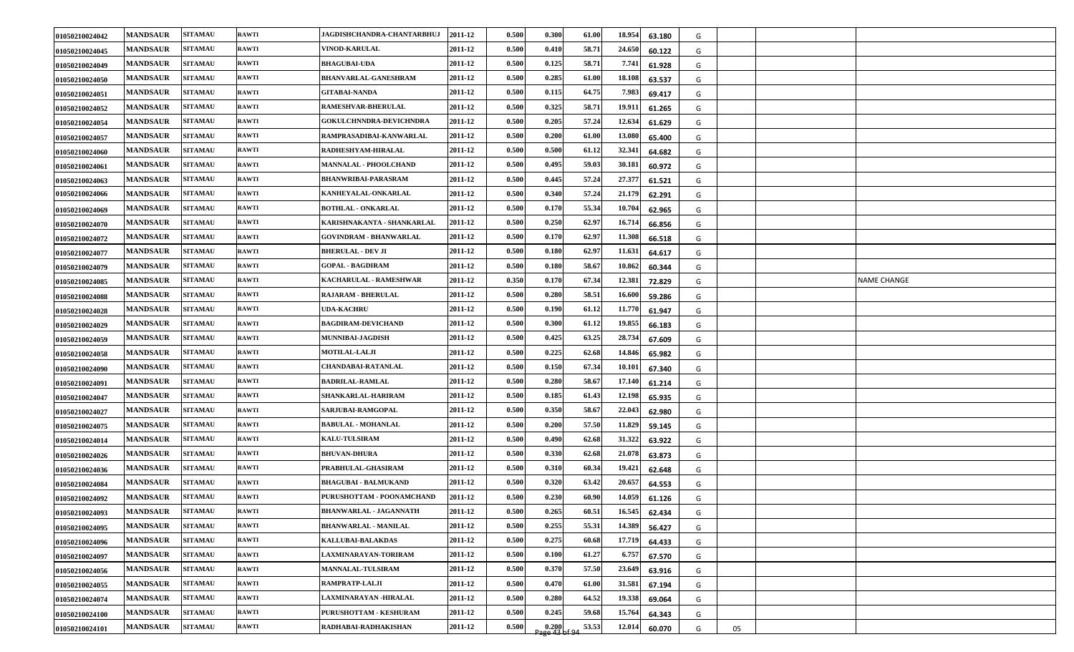| 01050210024042 | <b>MANDSAUR</b> | <b>SITAMAU</b> | <b>RAWTI</b> | JAGDISHCHANDRA-CHANTARBHUJ     | 2011-12 | 0.500 | 0.300                  | 61.00 | 18.954 | 63.180 | G |    |  |                    |
|----------------|-----------------|----------------|--------------|--------------------------------|---------|-------|------------------------|-------|--------|--------|---|----|--|--------------------|
| 01050210024045 | <b>MANDSAUR</b> | <b>SITAMAU</b> | <b>RAWTI</b> | <b>VINOD-KARULAL</b>           | 2011-12 | 0.500 | 0.410                  | 58.71 | 24.650 | 60.122 | G |    |  |                    |
| 01050210024049 | <b>MANDSAUR</b> | <b>SITAMAU</b> | <b>RAWTI</b> | <b>BHAGUBAI-UDA</b>            | 2011-12 | 0.500 | 0.125                  | 58.71 | 7.741  | 61.928 | G |    |  |                    |
| 01050210024050 | <b>MANDSAUR</b> | <b>SITAMAU</b> | <b>RAWTI</b> | <b>BHANVARLAL-GANESHRAM</b>    | 2011-12 | 0.500 | 0.285                  | 61.00 | 18.108 | 63.537 | G |    |  |                    |
| 01050210024051 | <b>MANDSAUR</b> | <b>SITAMAU</b> | <b>RAWTI</b> | <b>GITABAI-NANDA</b>           | 2011-12 | 0.500 | 0.115                  | 64.75 | 7.983  | 69.417 | G |    |  |                    |
| 01050210024052 | <b>MANDSAUR</b> | <b>SITAMAU</b> | <b>RAWTI</b> | <b>RAMESHVAR-BHERULAL</b>      | 2011-12 | 0.500 | 0.325                  | 58.71 | 19.911 | 61.265 | G |    |  |                    |
| 01050210024054 | <b>MANDSAUR</b> | <b>SITAMAU</b> | <b>RAWTI</b> | <b>GOKULCHNNDRA-DEVICHNDRA</b> | 2011-12 | 0.500 | 0.205                  | 57.24 | 12.634 | 61.629 | G |    |  |                    |
| 01050210024057 | <b>MANDSAUR</b> | <b>SITAMAU</b> | <b>RAWTI</b> | RAMPRASADIBAI-KANWARLAL        | 2011-12 | 0.500 | 0.200                  | 61.00 | 13.080 | 65.400 | G |    |  |                    |
| 01050210024060 | <b>MANDSAUR</b> | <b>SITAMAU</b> | <b>RAWTI</b> | RADHESHYAM-HIRALAL             | 2011-12 | 0.500 | 0.500                  | 61.12 | 32.341 | 64.682 | G |    |  |                    |
| 01050210024061 | <b>MANDSAUR</b> | <b>SITAMAU</b> | <b>RAWTI</b> | MANNALAL - PHOOLCHAND          | 2011-12 | 0.500 | 0.495                  | 59.03 | 30.181 | 60.972 | G |    |  |                    |
| 01050210024063 | <b>MANDSAUR</b> | <b>SITAMAU</b> | <b>RAWTI</b> | <b>BHANWRIBAI-PARASRAM</b>     | 2011-12 | 0.500 | 0.445                  | 57.24 | 27.377 | 61.521 | G |    |  |                    |
| 01050210024066 | <b>MANDSAUR</b> | <b>SITAMAU</b> | <b>RAWTI</b> | KANHEYALAL-ONKARLAL            | 2011-12 | 0.500 | 0.340                  | 57.24 | 21.179 | 62.291 | G |    |  |                    |
| 01050210024069 | <b>MANDSAUR</b> | <b>SITAMAU</b> | <b>RAWTI</b> | <b>BOTHLAL - ONKARLAL</b>      | 2011-12 | 0.500 | 0.170                  | 55.34 | 10.704 | 62.965 | G |    |  |                    |
| 01050210024070 | <b>MANDSAUR</b> | <b>SITAMAU</b> | <b>RAWTI</b> | KARISHNAKANTA - SHANKARLAL     | 2011-12 | 0.500 | 0.250                  | 62.97 | 16.714 | 66.856 | G |    |  |                    |
| 01050210024072 | <b>MANDSAUR</b> | <b>SITAMAU</b> | <b>RAWTI</b> | <b>GOVINDRAM - BHANWARLAL</b>  | 2011-12 | 0.500 | 0.170                  | 62.97 | 11.308 | 66.518 | G |    |  |                    |
| 01050210024077 | <b>MANDSAUR</b> | <b>SITAMAU</b> | <b>RAWTI</b> | <b>BHERULAL - DEV JI</b>       | 2011-12 | 0.500 | 0.180                  | 62.97 | 11.631 | 64.617 | G |    |  |                    |
| 01050210024079 | <b>MANDSAUR</b> | <b>SITAMAU</b> | <b>RAWTI</b> | <b>GOPAL - BAGDIRAM</b>        | 2011-12 | 0.500 | 0.180                  | 58.67 | 10.862 | 60.344 | G |    |  |                    |
| 01050210024085 | <b>MANDSAUR</b> | <b>SITAMAU</b> | <b>RAWTI</b> | KACHARULAL - RAMESHWAR         | 2011-12 | 0.350 | 0.170                  | 67.34 | 12.381 | 72.829 | G |    |  | <b>NAME CHANGE</b> |
| 01050210024088 | <b>MANDSAUR</b> | <b>SITAMAU</b> | <b>RAWTI</b> | <b>RAJARAM - BHERULAL</b>      | 2011-12 | 0.500 | 0.280                  | 58.51 | 16.600 | 59.286 | G |    |  |                    |
| 01050210024028 | <b>MANDSAUR</b> | <b>SITAMAU</b> | <b>RAWTI</b> | <b>UDA-KACHRU</b>              | 2011-12 | 0.500 | 0.190                  | 61.12 | 11.770 | 61.947 | G |    |  |                    |
| 01050210024029 | <b>MANDSAUR</b> | <b>SITAMAU</b> | <b>RAWTI</b> | <b>BAGDIRAM-DEVICHAND</b>      | 2011-12 | 0.500 | 0.300                  | 61.12 | 19.855 | 66.183 | G |    |  |                    |
| 01050210024059 | <b>MANDSAUR</b> | <b>SITAMAU</b> | <b>RAWTI</b> | MUNNIBAI-JAGDISH               | 2011-12 | 0.500 | 0.425                  | 63.25 | 28.734 | 67.609 | G |    |  |                    |
| 01050210024058 | <b>MANDSAUR</b> | <b>SITAMAU</b> | <b>RAWTI</b> | <b>MOTILAL-LALJI</b>           | 2011-12 | 0.500 | 0.225                  | 62.68 | 14.846 | 65.982 | G |    |  |                    |
| 01050210024090 | <b>MANDSAUR</b> | <b>SITAMAU</b> | <b>RAWTI</b> | <b>CHANDABAI-RATANLAL</b>      | 2011-12 | 0.500 | 0.150                  | 67.34 | 10.101 | 67.340 | G |    |  |                    |
| 01050210024091 | <b>MANDSAUR</b> | <b>SITAMAU</b> | <b>RAWTI</b> | <b>BADRILAL-RAMLAL</b>         | 2011-12 | 0.500 | 0.280                  | 58.67 | 17.140 | 61.214 | G |    |  |                    |
| 01050210024047 | <b>MANDSAUR</b> | <b>SITAMAU</b> | <b>RAWTI</b> | SHANKARLAL-HARIRAM             | 2011-12 | 0.500 | 0.185                  | 61.43 | 12.198 | 65.935 | G |    |  |                    |
| 01050210024027 | <b>MANDSAUR</b> | <b>SITAMAU</b> | <b>RAWTI</b> | SARJUBAI-RAMGOPAL              | 2011-12 | 0.500 | 0.350                  | 58.67 | 22.043 | 62.980 | G |    |  |                    |
| 01050210024075 | <b>MANDSAUR</b> | <b>SITAMAU</b> | <b>RAWTI</b> | <b>BABULAL - MOHANLAL</b>      | 2011-12 | 0.500 | 0.200                  | 57.50 | 11.829 | 59.145 | G |    |  |                    |
| 01050210024014 | <b>MANDSAUR</b> | <b>SITAMAU</b> | <b>RAWTI</b> | <b>KALU-TULSIRAM</b>           | 2011-12 | 0.500 | 0.490                  | 62.68 | 31.322 | 63.922 | G |    |  |                    |
| 01050210024026 | <b>MANDSAUR</b> | <b>SITAMAU</b> | <b>RAWTI</b> | <b>BHUVAN-DHURA</b>            | 2011-12 | 0.500 | 0.330                  | 62.68 | 21.078 | 63.873 | G |    |  |                    |
| 01050210024036 | <b>MANDSAUR</b> | <b>SITAMAU</b> | <b>RAWTI</b> | PRABHULAL-GHASIRAM             | 2011-12 | 0.500 | 0.310                  | 60.34 | 19.421 | 62.648 | G |    |  |                    |
| 01050210024084 | <b>MANDSAUR</b> | <b>SITAMAU</b> | <b>RAWTI</b> | <b>BHAGUBAI - BALMUKAND</b>    | 2011-12 | 0.500 | 0.320                  | 63.42 | 20.657 | 64.553 | G |    |  |                    |
| 01050210024092 | <b>MANDSAUR</b> | <b>SITAMAU</b> | <b>RAWTI</b> | PURUSHOTTAM - POONAMCHAND      | 2011-12 | 0.500 | 0.230                  | 60.90 | 14.059 | 61.126 | G |    |  |                    |
| 01050210024093 | <b>MANDSAUR</b> | <b>SITAMAU</b> | <b>RAWTI</b> | <b>BHANWARLAL - JAGANNATH</b>  | 2011-12 | 0.500 | 0.265                  | 60.51 | 16.545 | 62.434 | G |    |  |                    |
| 01050210024095 | <b>MANDSAUR</b> | <b>SITAMAU</b> | <b>RAWTI</b> | <b>BHANWARLAL - MANILAL</b>    | 2011-12 | 0.500 | 0.255                  | 55.31 | 14.389 | 56.427 | G |    |  |                    |
| 01050210024096 | <b>MANDSAUR</b> | <b>SITAMAU</b> | <b>RAWTI</b> | <b>KALLUBAI-BALAKDAS</b>       | 2011-12 | 0.500 | 0.275                  | 60.68 | 17.719 | 64.433 | G |    |  |                    |
| 01050210024097 | <b>MANDSAUR</b> | <b>SITAMAU</b> | <b>RAWTI</b> | LAXMINARAYAN-TORIRAM           | 2011-12 | 0.500 | 0.100                  | 61.27 | 6.757  | 67.570 | G |    |  |                    |
| 01050210024056 | <b>MANDSAUR</b> | <b>SITAMAU</b> | <b>RAWTI</b> | MANNALAL-TULSIRAM              | 2011-12 | 0.500 | 0.370                  | 57.50 | 23.649 | 63.916 | G |    |  |                    |
| 01050210024055 | <b>MANDSAUR</b> | <b>SITAMAU</b> | <b>RAWTI</b> | RAMPRATP-LALJI                 | 2011-12 | 0.500 | 0.470                  | 61.00 | 31.581 | 67.194 | G |    |  |                    |
| 01050210024074 | <b>MANDSAUR</b> | <b>SITAMAU</b> | <b>RAWTI</b> | LAXMINARAYAN -HIRALAL          | 2011-12 | 0.500 | 0.280                  | 64.52 | 19.338 | 69.064 | G |    |  |                    |
| 01050210024100 | <b>MANDSAUR</b> | <b>SITAMAU</b> | <b>RAWTI</b> | PURUSHOTTAM - KESHURAM         | 2011-12 | 0.500 | 0.245                  | 59.68 | 15.764 | 64.343 | G |    |  |                    |
| 01050210024101 | <b>MANDSAUR</b> | <b>SITAMAU</b> | <b>RAWTI</b> | RADHABAI-RADHAKISHAN           | 2011-12 | 0.500 | 0.200<br>Page 43 of 94 | 53.53 | 12.014 | 60.070 | G | 05 |  |                    |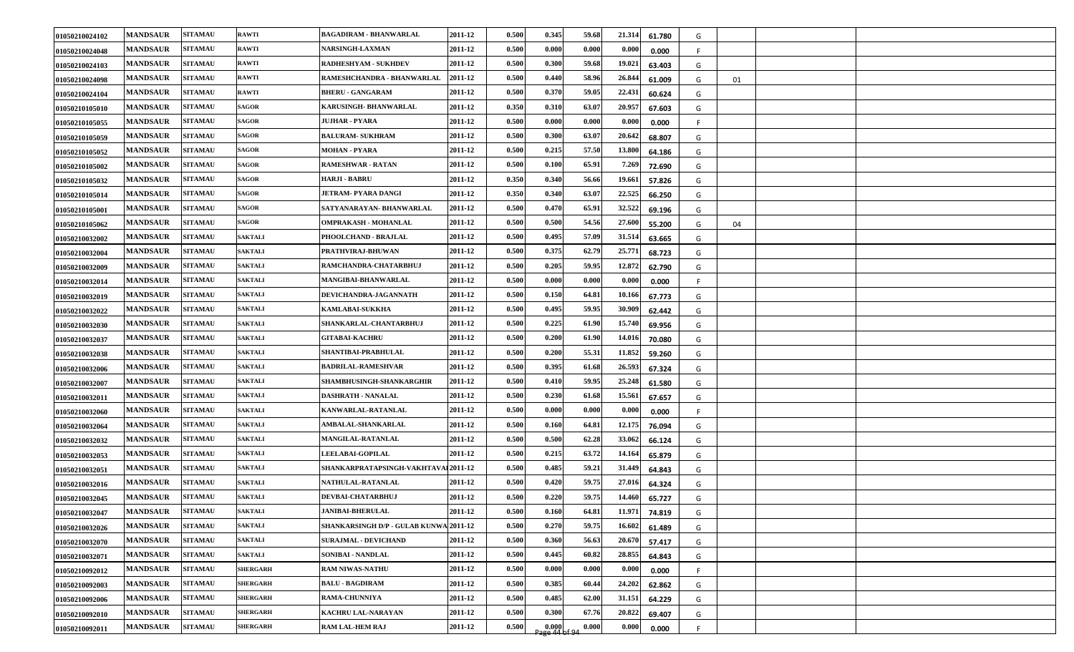| 01050210024102 | <b>MANDSAUR</b> | <b>SITAMAU</b> | <b>RAWTI</b>    | <b>BAGADIRAM - BHANWARLAL</b>          | 2011-12 | 0.500 | 0.345                                                        | 59.68 | 21.314<br>61.780 | G  |    |  |
|----------------|-----------------|----------------|-----------------|----------------------------------------|---------|-------|--------------------------------------------------------------|-------|------------------|----|----|--|
| 01050210024048 | <b>MANDSAUR</b> | <b>SITAMAU</b> | <b>RAWTI</b>    | <b>NARSINGH-LAXMAN</b>                 | 2011-12 | 0.500 | 0.000                                                        | 0.000 | 0.000<br>0.000   | F. |    |  |
| 01050210024103 | <b>MANDSAUR</b> | <b>SITAMAU</b> | <b>RAWTI</b>    | <b>RADHESHYAM - SUKHDEV</b>            | 2011-12 | 0.500 | 0.300                                                        | 59.68 | 19.021<br>63.403 | G  |    |  |
| 01050210024098 | <b>MANDSAUR</b> | <b>SITAMAU</b> | <b>RAWTI</b>    | RAMESHCHANDRA - BHANWARLAL             | 2011-12 | 0.500 | 0.440                                                        | 58.96 | 26.844<br>61.009 | G  | 01 |  |
| 01050210024104 | <b>MANDSAUR</b> | <b>SITAMAU</b> | <b>RAWTI</b>    | <b>BHERU - GANGARAM</b>                | 2011-12 | 0.500 | 0.370                                                        | 59.05 | 22.431<br>60.624 | G  |    |  |
| 01050210105010 | <b>MANDSAUR</b> | <b>SITAMAU</b> | <b>SAGOR</b>    | KARUSINGH- BHANWARLAL                  | 2011-12 | 0.350 | 0.310                                                        | 63.07 | 20.957<br>67.603 | G  |    |  |
| 01050210105055 | <b>MANDSAUR</b> | <b>SITAMAU</b> | <b>SAGOR</b>    | <b>JUJHAR - PYARA</b>                  | 2011-12 | 0.500 | 0.000                                                        | 0.000 | 0.000<br>0.000   | F. |    |  |
| 01050210105059 | <b>MANDSAUR</b> | <b>SITAMAU</b> | <b>SAGOR</b>    | <b>BALURAM- SUKHRAM</b>                | 2011-12 | 0.500 | 0.300                                                        | 63.07 | 20.642<br>68.807 | G  |    |  |
| 01050210105052 | <b>MANDSAUR</b> | <b>SITAMAU</b> | <b>SAGOR</b>    | <b>MOHAN - PYARA</b>                   | 2011-12 | 0.500 | 0.215                                                        | 57.50 | 13.800<br>64.186 | G  |    |  |
| 01050210105002 | <b>MANDSAUR</b> | <b>SITAMAU</b> | <b>SAGOR</b>    | <b>RAMESHWAR - RATAN</b>               | 2011-12 | 0.500 | 0.100                                                        | 65.91 | 7.269<br>72.690  | G  |    |  |
| 01050210105032 | <b>MANDSAUR</b> | <b>SITAMAU</b> | <b>SAGOR</b>    | <b>HARJI - BABRU</b>                   | 2011-12 | 0.350 | 0.340                                                        | 56.66 | 19.661<br>57.826 | G  |    |  |
| 01050210105014 | <b>MANDSAUR</b> | <b>SITAMAU</b> | SAGOR           | <b>JETRAM- PYARA DANGI</b>             | 2011-12 | 0.350 | 0.340                                                        | 63.07 | 22.525<br>66.250 | G  |    |  |
| 01050210105001 | <b>MANDSAUR</b> | <b>SITAMAU</b> | <b>SAGOR</b>    | SATYANARAYAN- BHANWARLAL               | 2011-12 | 0.500 | 0.470                                                        | 65.91 | 32.522<br>69.196 | G  |    |  |
| 01050210105062 | <b>MANDSAUR</b> | <b>SITAMAU</b> | <b>SAGOR</b>    | OMPRAKASH - MOHANLAL                   | 2011-12 | 0.500 | 0.500                                                        | 54.56 | 27.600<br>55.200 | G  | 04 |  |
| 01050210032002 | <b>MANDSAUR</b> | <b>SITAMAU</b> | <b>SAKTALI</b>  | PHOOLCHAND - BRAJLAL                   | 2011-12 | 0.500 | 0.495                                                        | 57.09 | 31.514<br>63.665 | G  |    |  |
| 01050210032004 | <b>MANDSAUR</b> | <b>SITAMAU</b> | <b>SAKTALI</b>  | PRATHVIRAJ-BHUWAN                      | 2011-12 | 0.500 | 0.375                                                        | 62.79 | 25.771<br>68.723 | G  |    |  |
| 01050210032009 | <b>MANDSAUR</b> | <b>SITAMAU</b> | <b>SAKTALI</b>  | RAMCHANDRA-CHATARBHUJ                  | 2011-12 | 0.500 | 0.205                                                        | 59.95 | 12.872<br>62.790 | G  |    |  |
| 01050210032014 | <b>MANDSAUR</b> | <b>SITAMAU</b> | <b>SAKTALI</b>  | MANGIBAI-BHANWARLAL                    | 2011-12 | 0.500 | 0.000                                                        | 0.000 | 0.000<br>0.000   | F. |    |  |
| 01050210032019 | <b>MANDSAUR</b> | <b>SITAMAU</b> | <b>SAKTALI</b>  | DEVICHANDRA-JAGANNATH                  | 2011-12 | 0.500 | 0.150                                                        | 64.81 | 10.166<br>67.773 | G  |    |  |
| 01050210032022 | <b>MANDSAUR</b> | <b>SITAMAU</b> | <b>SAKTALI</b>  | <b>KAMLABAI-SUKKHA</b>                 | 2011-12 | 0.500 | 0.495                                                        | 59.95 | 30.909<br>62.442 | G  |    |  |
| 01050210032030 | <b>MANDSAUR</b> | <b>SITAMAU</b> | <b>SAKTALI</b>  | SHANKARLAL-CHANTARBHUJ                 | 2011-12 | 0.500 | 0.225                                                        | 61.90 | 15.740<br>69.956 | G  |    |  |
| 01050210032037 | <b>MANDSAUR</b> | <b>SITAMAU</b> | <b>SAKTALI</b>  | <b>GITABAI-KACHRU</b>                  | 2011-12 | 0.500 | 0.200                                                        | 61.90 | 14.016<br>70.080 | G  |    |  |
| 01050210032038 | <b>MANDSAUR</b> | <b>SITAMAU</b> | <b>SAKTALI</b>  | SHANTIBAI-PRABHULAL                    | 2011-12 | 0.500 | 0.200                                                        | 55.31 | 11.852<br>59.260 | G  |    |  |
| 01050210032006 | <b>MANDSAUR</b> | <b>SITAMAU</b> | <b>SAKTALI</b>  | <b>BADRILAL-RAMESHVAR</b>              | 2011-12 | 0.500 | 0.395                                                        | 61.68 | 26.593<br>67.324 | G  |    |  |
| 01050210032007 | <b>MANDSAUR</b> | <b>SITAMAU</b> | <b>SAKTALI</b>  | SHAMBHUSINGH-SHANKARGHIR               | 2011-12 | 0.500 | 0.410                                                        | 59.95 | 25.248<br>61.580 | G  |    |  |
| 01050210032011 | <b>MANDSAUR</b> | <b>SITAMAU</b> | <b>SAKTALI</b>  | DASHRATH - NANALAL                     | 2011-12 | 0.500 | 0.230                                                        | 61.68 | 15.561<br>67.657 | G  |    |  |
| 01050210032060 | <b>MANDSAUR</b> | <b>SITAMAU</b> | <b>SAKTALI</b>  | KANWARLAL-RATANLAL                     | 2011-12 | 0.500 | 0.000                                                        | 0.000 | 0.000<br>0.000   | F. |    |  |
| 01050210032064 | <b>MANDSAUR</b> | <b>SITAMAU</b> | <b>SAKTALI</b>  | AMBALAL-SHANKARLAL                     | 2011-12 | 0.500 | 0.160                                                        | 64.81 | 12.175<br>76.094 | G  |    |  |
| 01050210032032 | <b>MANDSAUR</b> | <b>SITAMAU</b> | <b>SAKTALI</b>  | MANGILAL-RATANLAL                      | 2011-12 | 0.500 | 0.500                                                        | 62.28 | 33.062<br>66.124 | G  |    |  |
| 01050210032053 | <b>MANDSAUR</b> | <b>SITAMAU</b> | <b>SAKTALI</b>  | LEELABAI-GOPILAL                       | 2011-12 | 0.500 | 0.215                                                        | 63.72 | 14.164<br>65.879 | G  |    |  |
| 01050210032051 | <b>MANDSAUR</b> | <b>SITAMAU</b> | <b>SAKTALI</b>  | SHANKARPRATAPSINGH-VAKHTAVAL 2011-12   |         | 0.500 | 0.485                                                        | 59.21 | 31.449<br>64.843 | G  |    |  |
| 01050210032016 | <b>MANDSAUR</b> | <b>SITAMAU</b> | <b>SAKTALI</b>  | NATHULAL-RATANLAL                      | 2011-12 | 0.500 | 0.420                                                        | 59.75 | 27.016<br>64.324 | G  |    |  |
| 01050210032045 | <b>MANDSAUR</b> | <b>SITAMAU</b> | <b>SAKTALI</b>  | DEVBAI-CHATARBHUJ                      | 2011-12 | 0.500 | 0.220                                                        | 59.75 | 14.460<br>65.727 | G  |    |  |
| 01050210032047 | <b>MANDSAUR</b> | <b>SITAMAU</b> | <b>SAKTALI</b>  | <b>JANIBAI-BHERULAL</b>                | 2011-12 | 0.500 | 0.160                                                        | 64.81 | 11.971<br>74.819 | G  |    |  |
| 01050210032026 | <b>MANDSAUR</b> | <b>SITAMAU</b> | <b>SAKTALI</b>  | SHANKARSINGH D/P - GULAB KUNWA 2011-12 |         | 0.500 | 0.270                                                        | 59.75 | 16.602<br>61.489 | G  |    |  |
| 01050210032070 | <b>MANDSAUR</b> | <b>SITAMAU</b> | <b>SAKTALI</b>  | <b>SURAJMAL - DEVICHAND</b>            | 2011-12 | 0.500 | 0.360                                                        | 56.63 | 20.670<br>57.417 | G  |    |  |
| 01050210032071 | <b>MANDSAUR</b> | <b>SITAMAU</b> | <b>SAKTALI</b>  | SONIBAI - NANDLAL                      | 2011-12 | 0.500 | 0.445                                                        | 60.82 | 28.855<br>64.843 | G  |    |  |
| 01050210092012 | <b>MANDSAUR</b> | <b>SITAMAU</b> | <b>SHERGARH</b> | <b>RAM NIWAS-NATHU</b>                 | 2011-12 | 0.500 | 0.000                                                        | 0.000 | 0.000<br>0.000   | F  |    |  |
| 01050210092003 | <b>MANDSAUR</b> | <b>SITAMAU</b> | <b>SHERGARH</b> | <b>BALU - BAGDIRAM</b>                 | 2011-12 | 0.500 | 0.385                                                        | 60.44 | 24.202<br>62.862 | G  |    |  |
| 01050210092006 | <b>MANDSAUR</b> | <b>SITAMAU</b> | <b>SHERGARH</b> | RAMA-CHUNNIYA                          | 2011-12 | 0.500 | 0.485                                                        | 62.00 | 31.151<br>64.229 | G  |    |  |
| 01050210092010 | <b>MANDSAUR</b> | <b>SITAMAU</b> | <b>SHERGARH</b> | <b>KACHRU LAL-NARAYAN</b>              | 2011-12 | 0.500 | 0.300                                                        | 67.76 | 20.822<br>69.407 | G  |    |  |
| 01050210092011 | <b>MANDSAUR</b> | <b>SITAMAU</b> | <b>SHERGARH</b> | <b>RAM LAL-HEM RAJ</b>                 | 2011-12 | 0.500 | $\begin{array}{c} 0.000 \\ \text{Page 44 of 94} \end{array}$ | 0.000 | 0.000<br>0.000   | E. |    |  |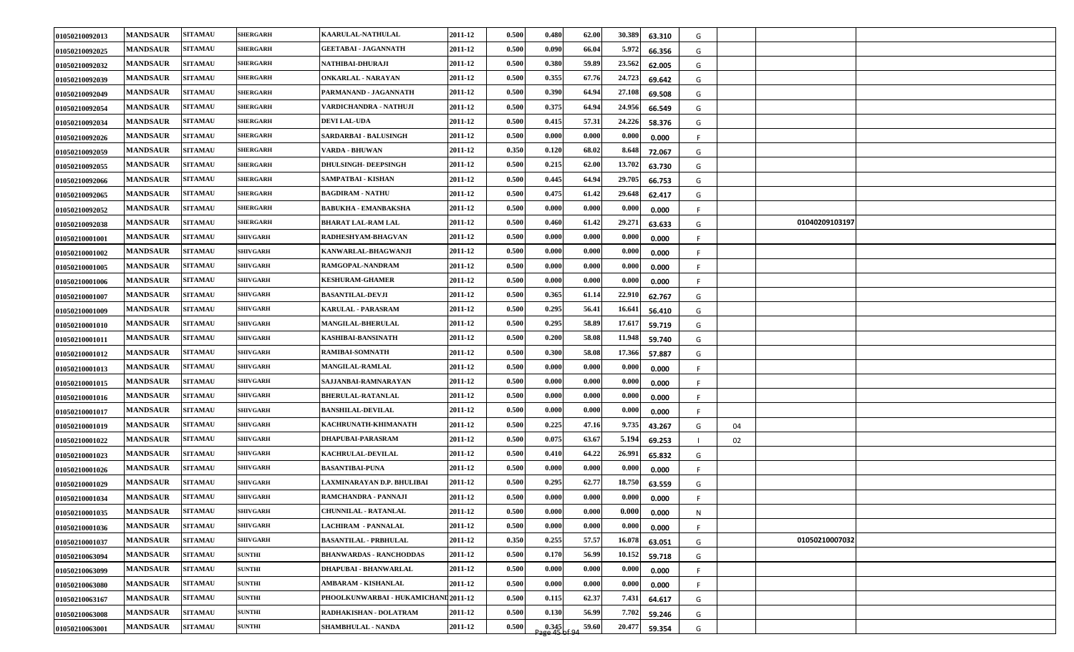| 01050210092013 | <b>MANDSAUR</b> | <b>SITAMAU</b> | <b>SHERGARH</b> | KAARULAL-NATHULAL                    | 2011-12 | 0.500 | 0.480                                                        | 62.00 | 30.389 | 63.310 | G            |    |                |  |
|----------------|-----------------|----------------|-----------------|--------------------------------------|---------|-------|--------------------------------------------------------------|-------|--------|--------|--------------|----|----------------|--|
| 01050210092025 | <b>MANDSAUR</b> | <b>SITAMAU</b> | <b>SHERGARH</b> | <b>GEETABAI - JAGANNATH</b>          | 2011-12 | 0.500 | 0.090                                                        | 66.04 | 5.972  | 66.356 | G            |    |                |  |
| 01050210092032 | <b>MANDSAUR</b> | <b>SITAMAU</b> | <b>SHERGARH</b> | NATHIBAI-DHURAJI                     | 2011-12 | 0.500 | 0.380                                                        | 59.89 | 23.562 | 62.005 | G            |    |                |  |
| 01050210092039 | <b>MANDSAUR</b> | <b>SITAMAU</b> | <b>SHERGARH</b> | ONKARLAL - NARAYAN                   | 2011-12 | 0.500 | 0.355                                                        | 67.76 | 24.723 | 69.642 | G            |    |                |  |
| 01050210092049 | <b>MANDSAUR</b> | <b>SITAMAU</b> | <b>SHERGARH</b> | PARMANAND - JAGANNATH                | 2011-12 | 0.500 | 0.390                                                        | 64.94 | 27.108 | 69.508 | G            |    |                |  |
| 01050210092054 | <b>MANDSAUR</b> | <b>SITAMAU</b> | <b>SHERGARH</b> | VARDICHANDRA - NATHUJI               | 2011-12 | 0.500 | 0.375                                                        | 64.94 | 24.956 | 66.549 | G            |    |                |  |
| 01050210092034 | <b>MANDSAUR</b> | <b>SITAMAU</b> | <b>SHERGARH</b> | <b>DEVI LAL-UDA</b>                  | 2011-12 | 0.500 | 0.415                                                        | 57.31 | 24.226 | 58.376 | G            |    |                |  |
| 01050210092026 | <b>MANDSAUR</b> | <b>SITAMAU</b> | <b>SHERGARH</b> | SARDARBAI - BALUSINGH                | 2011-12 | 0.500 | 0.000                                                        | 0.000 | 0.000  | 0.000  | -F           |    |                |  |
| 01050210092059 | <b>MANDSAUR</b> | <b>SITAMAU</b> | <b>SHERGARH</b> | VARDA - BHUWAN                       | 2011-12 | 0.350 | 0.120                                                        | 68.02 | 8.648  | 72.067 | G            |    |                |  |
| 01050210092055 | <b>MANDSAUR</b> | <b>SITAMAU</b> | <b>SHERGARH</b> | <b>DHULSINGH- DEEPSINGH</b>          | 2011-12 | 0.500 | 0.215                                                        | 62.00 | 13.702 | 63.730 | G            |    |                |  |
| 01050210092066 | <b>MANDSAUR</b> | <b>SITAMAU</b> | <b>SHERGARH</b> | SAMPATBAI - KISHAN                   | 2011-12 | 0.500 | 0.445                                                        | 64.94 | 29.705 | 66.753 | G            |    |                |  |
| 01050210092065 | <b>MANDSAUR</b> | <b>SITAMAU</b> | <b>SHERGARH</b> | <b>BAGDIRAM - NATHU</b>              | 2011-12 | 0.500 | 0.475                                                        | 61.42 | 29.648 | 62.417 | G            |    |                |  |
| 01050210092052 | <b>MANDSAUR</b> | <b>SITAMAU</b> | <b>SHERGARH</b> | <b>BABUKHA - EMANBAKSHA</b>          | 2011-12 | 0.500 | 0.000                                                        | 0.000 | 0.000  | 0.000  | -F.          |    |                |  |
| 01050210092038 | <b>MANDSAUR</b> | <b>SITAMAU</b> | <b>SHERGARH</b> | <b>BHARAT LAL-RAM LAL</b>            | 2011-12 | 0.500 | 0.460                                                        | 61.42 | 29.271 | 63.633 | G            |    | 01040209103197 |  |
| 01050210001001 | <b>MANDSAUR</b> | <b>SITAMAU</b> | <b>SHIVGARH</b> | RADHESHYAM-BHAGVAN                   | 2011-12 | 0.500 | 0.000                                                        | 0.000 | 0.000  | 0.000  | -F.          |    |                |  |
| 01050210001002 | <b>MANDSAUR</b> | <b>SITAMAU</b> | <b>SHIVGARH</b> | KANWARLAL-BHAGWANJI                  | 2011-12 | 0.500 | 0.000                                                        | 0.000 | 0.000  | 0.000  | F.           |    |                |  |
| 01050210001005 | <b>MANDSAUR</b> | <b>SITAMAU</b> | <b>SHIVGARH</b> | RAMGOPAL-NANDRAM                     | 2011-12 | 0.500 | 0.000                                                        | 0.000 | 0.000  | 0.000  | -F           |    |                |  |
| 01050210001006 | <b>MANDSAUR</b> | <b>SITAMAU</b> | <b>SHIVGARH</b> | <b>KESHURAM-GHAMER</b>               | 2011-12 | 0.500 | 0.000                                                        | 0.000 | 0.000  | 0.000  | -F           |    |                |  |
| 01050210001007 | <b>MANDSAUR</b> | <b>SITAMAU</b> | <b>SHIVGARH</b> | <b>BASANTILAL-DEVJI</b>              | 2011-12 | 0.500 | 0.365                                                        | 61.14 | 22.910 | 62.767 | G            |    |                |  |
| 01050210001009 | <b>MANDSAUR</b> | <b>SITAMAU</b> | <b>SHIVGARH</b> | <b>KARULAL - PARASRAM</b>            | 2011-12 | 0.500 | 0.295                                                        | 56.41 | 16.641 | 56.410 | G            |    |                |  |
| 01050210001010 | <b>MANDSAUR</b> | <b>SITAMAU</b> | <b>SHIVGARH</b> | MANGILAL-BHERULAL                    | 2011-12 | 0.500 | 0.295                                                        | 58.89 | 17.617 | 59.719 | G            |    |                |  |
| 01050210001011 | <b>MANDSAUR</b> | <b>SITAMAU</b> | <b>SHIVGARH</b> | <b>KASHIBAI-BANSINATH</b>            | 2011-12 | 0.500 | 0.200                                                        | 58.08 | 11.948 | 59.740 | G            |    |                |  |
| 01050210001012 | <b>MANDSAUR</b> | <b>SITAMAU</b> | <b>SHIVGARH</b> | <b>RAMIBAI-SOMNATH</b>               | 2011-12 | 0.500 | 0.300                                                        | 58.08 | 17.366 | 57.887 | G            |    |                |  |
| 01050210001013 | <b>MANDSAUR</b> | <b>SITAMAU</b> | <b>SHIVGARH</b> | <b>MANGILAL-RAMLAL</b>               | 2011-12 | 0.500 | 0.000                                                        | 0.000 | 0.000  | 0.000  | -F.          |    |                |  |
| 01050210001015 | <b>MANDSAUR</b> | <b>SITAMAU</b> | <b>SHIVGARH</b> | SAJJANBAI-RAMNARAYAN                 | 2011-12 | 0.500 | 0.000                                                        | 0.000 | 0.000  | 0.000  | F.           |    |                |  |
| 01050210001016 | <b>MANDSAUR</b> | <b>SITAMAU</b> | <b>SHIVGARH</b> | <b>BHERULAL-RATANLAL</b>             | 2011-12 | 0.500 | 0.000                                                        | 0.000 | 0.000  | 0.000  | F.           |    |                |  |
| 01050210001017 | <b>MANDSAUR</b> | <b>SITAMAU</b> | <b>SHIVGARH</b> | <b>BANSHILAL-DEVILAL</b>             | 2011-12 | 0.500 | 0.000                                                        | 0.000 | 0.000  | 0.000  | - F          |    |                |  |
| 01050210001019 | <b>MANDSAUR</b> | <b>SITAMAU</b> | <b>SHIVGARH</b> | KACHRUNATH-KHIMANATH                 | 2011-12 | 0.500 | 0.225                                                        | 47.16 | 9.735  | 43.267 | G            | 04 |                |  |
| 01050210001022 | <b>MANDSAUR</b> | <b>SITAMAU</b> | <b>SHIVGARH</b> | <b>DHAPUBAI-PARASRAM</b>             | 2011-12 | 0.500 | 0.075                                                        | 63.67 | 5.194  | 69.253 | $\mathbf{I}$ | 02 |                |  |
| 01050210001023 | <b>MANDSAUR</b> | <b>SITAMAU</b> | <b>SHIVGARH</b> | <b>KACHRULAL-DEVILAL</b>             | 2011-12 | 0.500 | 0.410                                                        | 64.22 | 26.991 | 65.832 | G            |    |                |  |
| 01050210001026 | <b>MANDSAUR</b> | <b>SITAMAU</b> | <b>SHIVGARH</b> | <b>BASANTIBAI-PUNA</b>               | 2011-12 | 0.500 | 0.000                                                        | 0.000 | 0.000  | 0.000  |              |    |                |  |
| 01050210001029 | <b>MANDSAUR</b> | <b>SITAMAU</b> | <b>SHIVGARH</b> | LAXMINARAYAN D.P. BHULIBAI           | 2011-12 | 0.500 | 0.295                                                        | 62.77 | 18.750 | 63.559 | G            |    |                |  |
| 01050210001034 | <b>MANDSAUR</b> | <b>SITAMAU</b> | <b>SHIVGARH</b> | RAMCHANDRA - PANNAJI                 | 2011-12 | 0.500 | 0.000                                                        | 0.000 | 0.000  | 0.000  | F            |    |                |  |
| 01050210001035 | <b>MANDSAUR</b> | <b>SITAMAU</b> | <b>SHIVGARH</b> | <b>CHUNNILAL - RATANLAL</b>          | 2011-12 | 0.500 | 0.000                                                        | 0.000 | 0.000  | 0.000  | N            |    |                |  |
| 01050210001036 | <b>MANDSAUR</b> | <b>SITAMAU</b> | <b>SHIVGARH</b> | LACHIRAM - PANNALAL                  | 2011-12 | 0.500 | 0.000                                                        | 0.000 | 0.000  | 0.000  | -F.          |    |                |  |
| 01050210001037 | <b>MANDSAUR</b> | <b>SITAMAU</b> | <b>SHIVGARH</b> | <b>BASANTILAL - PRBHULAL</b>         | 2011-12 | 0.350 | 0.255                                                        | 57.57 | 16.078 | 63.051 | G            |    | 01050210007032 |  |
| 01050210063094 | <b>MANDSAUR</b> | <b>SITAMAU</b> | <b>SUNTHI</b>   | <b>BHANWARDAS - RANCHODDAS</b>       | 2011-12 | 0.500 | 0.170                                                        | 56.99 | 10.152 | 59.718 | G            |    |                |  |
| 01050210063099 | <b>MANDSAUR</b> | <b>SITAMAU</b> | <b>SUNTHI</b>   | <b>DHAPUBAI - BHANWARLAL</b>         | 2011-12 | 0.500 | 0.000                                                        | 0.000 | 0.000  | 0.000  | F.           |    |                |  |
| 01050210063080 | <b>MANDSAUR</b> | <b>SITAMAU</b> | <b>SUNTHI</b>   | AMBARAM - KISHANLAL                  | 2011-12 | 0.500 | 0.000                                                        | 0.000 | 0.000  | 0.000  | -F.          |    |                |  |
| 01050210063167 | <b>MANDSAUR</b> | <b>SITAMAU</b> | <b>SUNTHI</b>   | PHOOLKUNWARBAI - HUKAMICHANI 2011-12 |         | 0.500 | 0.115                                                        | 62.37 | 7.431  | 64.617 | G            |    |                |  |
| 01050210063008 | <b>MANDSAUR</b> | <b>SITAMAU</b> | <b>SUNTHI</b>   | RADHAKISHAN - DOLATRAM               | 2011-12 | 0.500 | 0.130                                                        | 56.99 | 7.702  | 59.246 | G            |    |                |  |
| 01050210063001 | <b>MANDSAUR</b> | <b>SITAMAU</b> | <b>SUNTHI</b>   | <b>SHAMBHULAL - NANDA</b>            | 2011-12 | 0.500 | $\begin{array}{c} 0.345 \\ \text{Page 45 of 94} \end{array}$ | 59.60 | 20.477 | 59.354 | G            |    |                |  |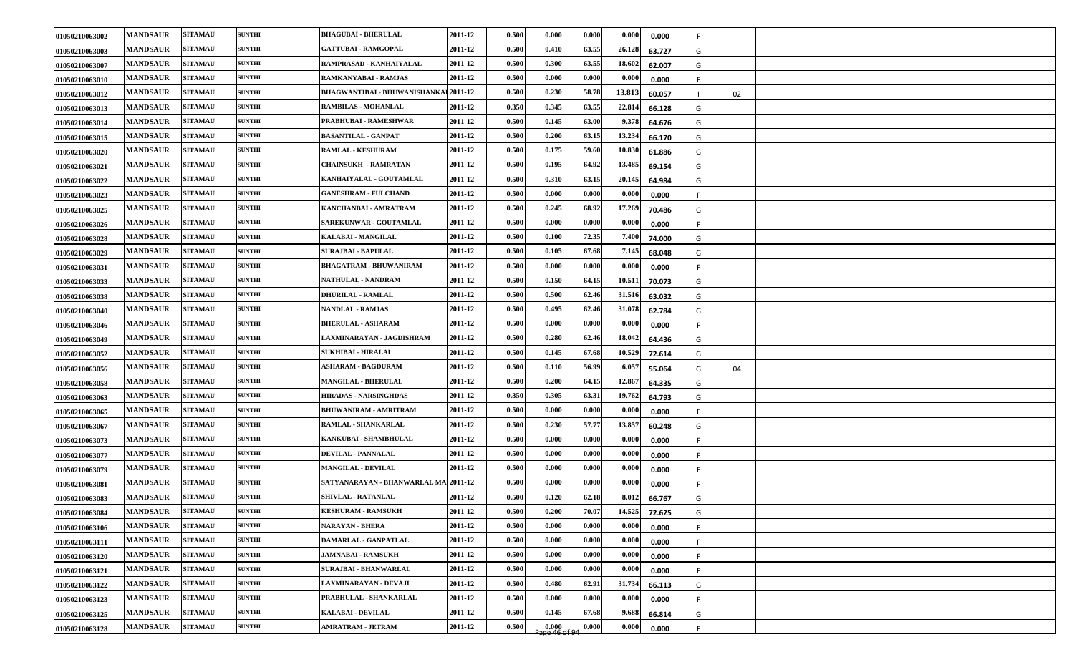| 01050210063002 | <b>MANDSAUR</b> | <b>SITAMAU</b> | <b>SUNTHI</b> | <b>BHAGUBAI - BHERULAL</b>            | 2011-12 | 0.500 | 0.000                                                       | 0.000 | 0.000<br>0.000                | F. |    |  |
|----------------|-----------------|----------------|---------------|---------------------------------------|---------|-------|-------------------------------------------------------------|-------|-------------------------------|----|----|--|
| 01050210063003 | <b>MANDSAUR</b> | <b>SITAMAU</b> | <b>SUNTHI</b> | <b>GATTUBAI - RAMGOPAL</b>            | 2011-12 | 0.500 | 0.410                                                       | 63.55 | 26.128<br>63.727              | G  |    |  |
| 01050210063007 | <b>MANDSAUR</b> | <b>SITAMAU</b> | <b>SUNTHI</b> | RAMPRASAD - KANHAIYALAL               | 2011-12 | 0.500 | 0.300                                                       | 63.55 | 18.602<br>62.007              | G  |    |  |
| 01050210063010 | <b>MANDSAUR</b> | <b>SITAMAU</b> | <b>SUNTHI</b> | RAMKANYABAI - RAMJAS                  | 2011-12 | 0.500 | 0.000                                                       | 0.000 | 0.000<br>0.000                |    |    |  |
| 01050210063012 | <b>MANDSAUR</b> | <b>SITAMAU</b> | <b>SUNTHI</b> | BHAGWANTIBAI - BHUWANISHANKAI 2011-12 |         | 0.500 | 0.230                                                       | 58.78 | 13.813<br>60.057              |    | 02 |  |
| 01050210063013 | <b>MANDSAUR</b> | <b>SITAMAU</b> | <b>SUNTHI</b> | <b>RAMBILAS - MOHANLAL</b>            | 2011-12 | 0.350 | 0.345                                                       | 63.55 | 22.814<br>66.128              | G  |    |  |
| 01050210063014 | <b>MANDSAUR</b> | <b>SITAMAU</b> | <b>SUNTHI</b> | PRABHUBAI - RAMESHWAR                 | 2011-12 | 0.500 | 0.145                                                       | 63.00 | 9.378<br>64.676               | G  |    |  |
| 01050210063015 | <b>MANDSAUR</b> | <b>SITAMAU</b> | <b>SUNTHI</b> | <b>BASANTILAL - GANPAT</b>            | 2011-12 | 0.500 | 0.200                                                       | 63.15 | 13.234<br>66.170              | G  |    |  |
| 01050210063020 | <b>MANDSAUR</b> | <b>SITAMAU</b> | <b>SUNTHI</b> | <b>RAMLAL - KESHURAM</b>              | 2011-12 | 0.500 | 0.175                                                       | 59.60 | 10.830<br>61.886              | G  |    |  |
| 01050210063021 | <b>MANDSAUR</b> | <b>SITAMAU</b> | <b>SUNTHI</b> | <b>CHAINSUKH - RAMRATAN</b>           | 2011-12 | 0.500 | 0.195                                                       | 64.92 | 13.485<br>69.154              | G  |    |  |
| 01050210063022 | <b>MANDSAUR</b> | <b>SITAMAU</b> | <b>SUNTHI</b> | KANHAIYALAL - GOUTAMLAL               | 2011-12 | 0.500 | 0.310                                                       | 63.15 | 20.145<br>64.984              | G  |    |  |
| 01050210063023 | <b>MANDSAUR</b> | <b>SITAMAU</b> | <b>SUNTHI</b> | <b>GANESHRAM - FULCHAND</b>           | 2011-12 | 0.500 | 0.000                                                       | 0.000 | 0.000<br>0.000                | F. |    |  |
| 01050210063025 | <b>MANDSAUR</b> | <b>SITAMAU</b> | <b>SUNTHI</b> | KANCHANBAI - AMRATRAM                 | 2011-12 | 0.500 | 0.245                                                       | 68.92 | 17.269<br>70.486              | G  |    |  |
| 01050210063026 | <b>MANDSAUR</b> | <b>SITAMAU</b> | <b>SUNTHI</b> | SAREKUNWAR - GOUTAMLAL                | 2011-12 | 0.500 | 0.000                                                       | 0.000 | 0.000<br>0.000                | F. |    |  |
| 01050210063028 | <b>MANDSAUR</b> | <b>SITAMAU</b> | <b>SUNTHI</b> | KALABAI - MANGILAL                    | 2011-12 | 0.500 | 0.100                                                       | 72.35 | 7.400<br>74.000               | G  |    |  |
| 01050210063029 | <b>MANDSAUR</b> | <b>SITAMAU</b> | <b>SUNTHI</b> | <b>SURAJBAI - BAPULAL</b>             | 2011-12 | 0.500 | 0.105                                                       | 67.68 | 7.145<br>68.048               | G  |    |  |
| 01050210063031 | <b>MANDSAUR</b> | <b>SITAMAU</b> | <b>SUNTHI</b> | <b>BHAGATRAM - BHUWANIRAM</b>         | 2011-12 | 0.500 | 0.000                                                       | 0.000 | 0.000<br>0.000                | F. |    |  |
| 01050210063033 | <b>MANDSAUR</b> | <b>SITAMAU</b> | <b>SUNTHI</b> | NATHULAL - NANDRAM                    | 2011-12 | 0.500 | 0.150                                                       | 64.15 | 10.511<br>70.073              | G  |    |  |
| 01050210063038 | <b>MANDSAUR</b> | <b>SITAMAU</b> | <b>SUNTHI</b> | <b>DHURILAL - RAMLAL</b>              | 2011-12 | 0.500 | 0.500                                                       | 62.46 | 31.516<br>63.032              | G  |    |  |
| 01050210063040 | <b>MANDSAUR</b> | <b>SITAMAU</b> | <b>SUNTHI</b> | NANDLAL - RAMJAS                      | 2011-12 | 0.500 | 0.495                                                       | 62.46 | 31.078<br>62.784              | G  |    |  |
| 01050210063046 | <b>MANDSAUR</b> | <b>SITAMAU</b> | <b>SUNTHI</b> | <b>BHERULAL - ASHARAM</b>             | 2011-12 | 0.500 | 0.000                                                       | 0.000 | 0.000<br>0.000                | F. |    |  |
| 01050210063049 | <b>MANDSAUR</b> | <b>SITAMAU</b> | <b>SUNTHI</b> | LAXMINARAYAN - JAGDISHRAM             | 2011-12 | 0.500 | 0.280                                                       | 62.46 | 18.042<br>64.436              | G  |    |  |
| 01050210063052 | <b>MANDSAUR</b> | <b>SITAMAU</b> | <b>SUNTHI</b> | <b>SUKHIBAI - HIRALAL</b>             | 2011-12 | 0.500 | 0.145                                                       | 67.68 | 10.529<br>72.614              | G  |    |  |
| 01050210063056 | <b>MANDSAUR</b> | <b>SITAMAU</b> | <b>SUNTHI</b> | <b>ASHARAM - BAGDURAM</b>             | 2011-12 | 0.500 | 0.110                                                       | 56.99 | 6.057<br>55.064               | G  | 04 |  |
| 01050210063058 | <b>MANDSAUR</b> | <b>SITAMAU</b> | <b>SUNTHI</b> | MANGILAL - BHERULAL                   | 2011-12 | 0.500 | 0.200                                                       | 64.15 | 12.867<br>64.335              | G  |    |  |
| 01050210063063 | <b>MANDSAUR</b> | <b>SITAMAU</b> | <b>SUNTHI</b> | <b>HIRADAS - NARSINGHDAS</b>          | 2011-12 | 0.350 | 0.305                                                       | 63.31 | 19.762<br>64.793              | G  |    |  |
| 01050210063065 | <b>MANDSAUR</b> | <b>SITAMAU</b> | <b>SUNTHI</b> | <b>BHUWANIRAM - AMRITRAM</b>          | 2011-12 | 0.500 | 0.000                                                       | 0.000 | 0.000<br>0.000                |    |    |  |
| 01050210063067 | <b>MANDSAUR</b> | <b>SITAMAU</b> | <b>SUNTHI</b> | RAMLAL - SHANKARLAL                   | 2011-12 | 0.500 | 0.230                                                       | 57.77 | 13.857<br>60.248              | G  |    |  |
| 01050210063073 | <b>MANDSAUR</b> | <b>SITAMAU</b> | <b>SUNTHI</b> | <b>KANKUBAI - SHAMBHULAL</b>          | 2011-12 | 0.500 | 0.000                                                       | 0.000 | $\boldsymbol{0.000}$<br>0.000 |    |    |  |
| 01050210063077 | <b>MANDSAUR</b> | <b>SITAMAU</b> | <b>SUNTHI</b> | DEVILAL - PANNALAL                    | 2011-12 | 0.500 | 0.000                                                       | 0.000 | 0.000<br>0.000                | F. |    |  |
| 01050210063079 | <b>MANDSAUR</b> | <b>SITAMAU</b> | <b>SUNTHI</b> | <b>MANGILAL - DEVILAL</b>             | 2011-12 | 0.500 | 0.000                                                       | 0.000 | 0.000<br>0.000                |    |    |  |
| 01050210063081 | <b>MANDSAUR</b> | <b>SITAMAU</b> | <b>SUNTHI</b> | SATYANARAYAN - BHANWARLAL MAI 2011-12 |         | 0.500 | 0.000                                                       | 0.000 | 0.000<br>0.000                | F. |    |  |
| 01050210063083 | <b>MANDSAUR</b> | <b>SITAMAU</b> | <b>SUNTHI</b> | SHIVLAL - RATANLAL                    | 2011-12 | 0.500 | 0.120                                                       | 62.18 | 8.012<br>66.767               | G  |    |  |
| 01050210063084 | <b>MANDSAUR</b> | <b>SITAMAU</b> | <b>SUNTHI</b> | <b>KESHURAM - RAMSUKH</b>             | 2011-12 | 0.500 | 0.200                                                       | 70.07 | 14.525<br>72.625              | G  |    |  |
| 01050210063106 | <b>MANDSAUR</b> | <b>SITAMAU</b> | <b>SUNTHI</b> | <b>NARAYAN - BHERA</b>                | 2011-12 | 0.500 | 0.000                                                       | 0.000 | 0.000<br>0.000                |    |    |  |
| 01050210063111 | <b>MANDSAUR</b> | <b>SITAMAU</b> | <b>SUNTHI</b> | DAMARLAL - GANPATLAL                  | 2011-12 | 0.500 | 0.000                                                       | 0.000 | 0.000<br>0.000                | F. |    |  |
| 01050210063120 | <b>MANDSAUR</b> | <b>SITAMAU</b> | <b>SUNTHI</b> | <b>JAMNABAI - RAMSUKH</b>             | 2011-12 | 0.500 | 0.000                                                       | 0.000 | 0.000<br>0.000                | F. |    |  |
| 01050210063121 | <b>MANDSAUR</b> | <b>SITAMAU</b> | <b>SUNTHI</b> | <b>SURAJBAI - BHANWARLAL</b>          | 2011-12 | 0.500 | 0.000                                                       | 0.000 | 0.000<br>0.000                | F. |    |  |
| 01050210063122 | <b>MANDSAUR</b> | <b>SITAMAU</b> | <b>SUNTHI</b> | LAXMINARAYAN - DEVAJI                 | 2011-12 | 0.500 | 0.480                                                       | 62.91 | 31.734<br>66.113              | G  |    |  |
| 01050210063123 | <b>MANDSAUR</b> | <b>SITAMAU</b> | <b>SUNTHI</b> | PRABHULAL - SHANKARLAL                | 2011-12 | 0.500 | 0.000                                                       | 0.000 | 0.000<br>0.000                | F  |    |  |
| 01050210063125 | <b>MANDSAUR</b> | <b>SITAMAU</b> | <b>SUNTHI</b> | <b>KALABAI - DEVILAL</b>              | 2011-12 | 0.500 | 0.145                                                       | 67.68 | 9.688<br>66.814               | G  |    |  |
| 01050210063128 | <b>MANDSAUR</b> | <b>SITAMAU</b> | <b>SUNTHI</b> | <b>AMRATRAM - JETRAM</b>              | 2011-12 | 0.500 | $\begin{array}{c} 0.000 \\ \text{age 46 of 94} \end{array}$ | 0.000 | 0.000<br>0.000                | F. |    |  |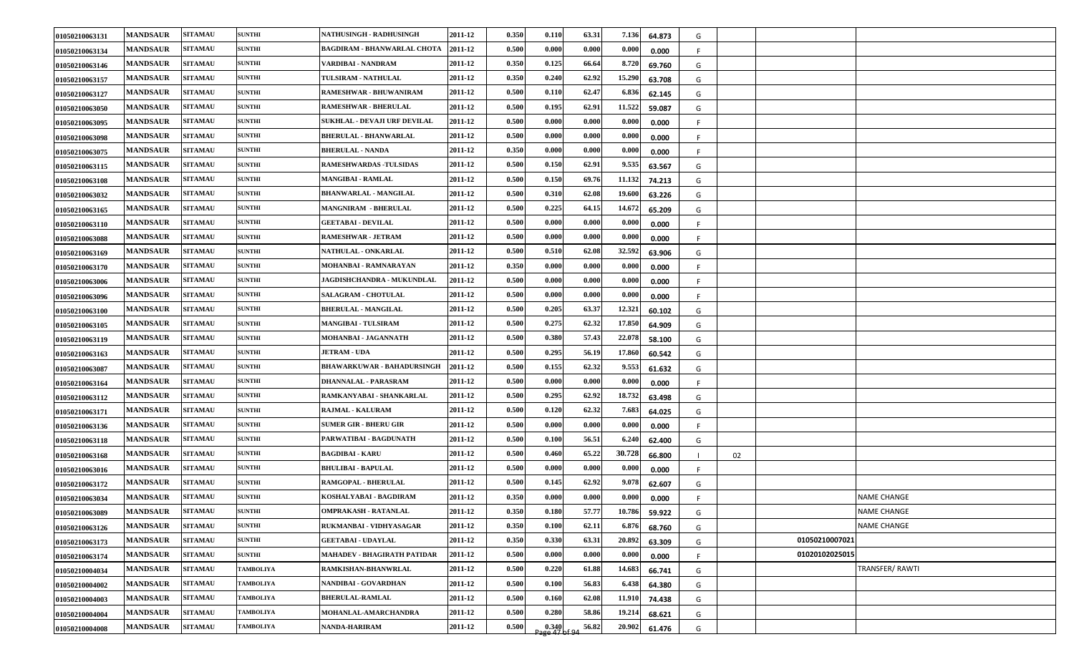| 01050210063131 | <b>MANDSAUR</b> | <b>SITAMAU</b> | <b>SUNTHI</b>    | NATHUSINGH - RADHUSINGH            | 2011-12 | 0.350 | 0.110                          | 63.31 | 7.136  | 64.873 | G  |    |                |                    |
|----------------|-----------------|----------------|------------------|------------------------------------|---------|-------|--------------------------------|-------|--------|--------|----|----|----------------|--------------------|
| 01050210063134 | <b>MANDSAUR</b> | <b>SITAMAU</b> | <b>SUNTHI</b>    | <b>BAGDIRAM - BHANWARLAL CHOTA</b> | 2011-12 | 0.500 | 0.000                          | 0.000 | 0.000  | 0.000  |    |    |                |                    |
| 01050210063146 | <b>MANDSAUR</b> | <b>SITAMAU</b> | <b>SUNTHI</b>    | VARDIBAI - NANDRAM                 | 2011-12 | 0.350 | 0.125                          | 66.64 | 8.720  | 69.760 | G  |    |                |                    |
| 01050210063157 | <b>MANDSAUR</b> | <b>SITAMAU</b> | <b>SUNTHI</b>    | TULSIRAM - NATHULAL                | 2011-12 | 0.350 | 0.240                          | 62.92 | 15.290 | 63.708 | G  |    |                |                    |
| 01050210063127 | <b>MANDSAUR</b> | <b>SITAMAU</b> | <b>SUNTHI</b>    | RAMESHWAR - BHUWANIRAM             | 2011-12 | 0.500 | 0.110                          | 62.47 | 6.836  | 62.145 | G  |    |                |                    |
| 01050210063050 | <b>MANDSAUR</b> | <b>SITAMAU</b> | <b>SUNTHI</b>    | <b>RAMESHWAR - BHERULAL</b>        | 2011-12 | 0.500 | 0.195                          | 62.91 | 11.522 | 59.087 | G  |    |                |                    |
| 01050210063095 | <b>MANDSAUR</b> | <b>SITAMAU</b> | <b>SUNTHI</b>    | SUKHLAL - DEVAJI URF DEVILAL       | 2011-12 | 0.500 | 0.000                          | 0.000 | 0.000  | 0.000  | F. |    |                |                    |
| 01050210063098 | <b>MANDSAUR</b> | <b>SITAMAU</b> | <b>SUNTHI</b>    | <b>BHERULAL - BHANWARLAL</b>       | 2011-12 | 0.500 | 0.000                          | 0.000 | 0.000  | 0.000  |    |    |                |                    |
| 01050210063075 | <b>MANDSAUR</b> | <b>SITAMAU</b> | <b>SUNTHI</b>    | <b>BHERULAL - NANDA</b>            | 2011-12 | 0.350 | 0.000                          | 0.000 | 0.000  | 0.000  | F. |    |                |                    |
| 01050210063115 | <b>MANDSAUR</b> | <b>SITAMAU</b> | <b>SUNTHI</b>    | <b>RAMESHWARDAS - TULSIDAS</b>     | 2011-12 | 0.500 | 0.150                          | 62.91 | 9.535  | 63.567 | G  |    |                |                    |
| 01050210063108 | <b>MANDSAUR</b> | <b>SITAMAU</b> | <b>SUNTHI</b>    | <b>MANGIBAI - RAMLAL</b>           | 2011-12 | 0.500 | 0.150                          | 69.76 | 11.132 | 74.213 | G  |    |                |                    |
| 01050210063032 | <b>MANDSAUR</b> | <b>SITAMAU</b> | <b>SUNTHI</b>    | <b>BHANWARLAL - MANGILAL</b>       | 2011-12 | 0.500 | 0.310                          | 62.08 | 19.600 | 63.226 | G  |    |                |                    |
| 01050210063165 | <b>MANDSAUR</b> | <b>SITAMAU</b> | <b>SUNTHI</b>    | <b>MANGNIRAM - BHERULAL</b>        | 2011-12 | 0.500 | 0.225                          | 64.15 | 14.672 | 65.209 | G  |    |                |                    |
| 01050210063110 | <b>MANDSAUR</b> | <b>SITAMAU</b> | <b>SUNTHI</b>    | <b>GEETABAI - DEVILAL</b>          | 2011-12 | 0.500 | 0.000                          | 0.000 | 0.000  | 0.000  | F  |    |                |                    |
| 01050210063088 | <b>MANDSAUR</b> | <b>SITAMAU</b> | <b>SUNTHI</b>    | <b>RAMESHWAR - JETRAM</b>          | 2011-12 | 0.500 | 0.000                          | 0.000 | 0.000  | 0.000  |    |    |                |                    |
| 01050210063169 | <b>MANDSAUR</b> | <b>SITAMAU</b> | <b>SUNTHI</b>    | NATHULAL - ONKARLAL                | 2011-12 | 0.500 | 0.510                          | 62.08 | 32.592 | 63.906 | G  |    |                |                    |
| 01050210063170 | <b>MANDSAUR</b> | <b>SITAMAU</b> | <b>SUNTHI</b>    | MOHANBAI - RAMNARAYAN              | 2011-12 | 0.350 | 0.000                          | 0.000 | 0.000  | 0.000  | F. |    |                |                    |
| 01050210063006 | <b>MANDSAUR</b> | <b>SITAMAU</b> | <b>SUNTHI</b>    | JAGDISHCHANDRA - MUKUNDLAL         | 2011-12 | 0.500 | 0.000                          | 0.000 | 0.000  | 0.000  | F. |    |                |                    |
| 01050210063096 | <b>MANDSAUR</b> | <b>SITAMAU</b> | <b>SUNTHI</b>    | <b>SALAGRAM - CHOTULAL</b>         | 2011-12 | 0.500 | 0.000                          | 0.000 | 0.000  | 0.000  |    |    |                |                    |
| 01050210063100 | <b>MANDSAUR</b> | <b>SITAMAU</b> | <b>SUNTHI</b>    | <b>BHERULAL - MANGILAL</b>         | 2011-12 | 0.500 | 0.205                          | 63.37 | 12.321 | 60.102 | G  |    |                |                    |
| 01050210063105 | <b>MANDSAUR</b> | <b>SITAMAU</b> | <b>SUNTHI</b>    | <b>MANGIBAI - TULSIRAM</b>         | 2011-12 | 0.500 | 0.275                          | 62.32 | 17.850 | 64.909 | G  |    |                |                    |
| 01050210063119 | <b>MANDSAUR</b> | <b>SITAMAU</b> | <b>SUNTHI</b>    | MOHANBAI - JAGANNATH               | 2011-12 | 0.500 | 0.380                          | 57.43 | 22.078 | 58.100 | G  |    |                |                    |
| 01050210063163 | <b>MANDSAUR</b> | <b>SITAMAU</b> | <b>SUNTHI</b>    | <b>JETRAM - UDA</b>                | 2011-12 | 0.500 | 0.295                          | 56.19 | 17.860 | 60.542 | G  |    |                |                    |
| 01050210063087 | <b>MANDSAUR</b> | <b>SITAMAU</b> | <b>SUNTHI</b>    | <b>BHAWARKUWAR - BAHADURSINGH</b>  | 2011-12 | 0.500 | 0.155                          | 62.32 | 9.553  | 61.632 | G  |    |                |                    |
| 01050210063164 | <b>MANDSAUR</b> | <b>SITAMAU</b> | <b>SUNTHI</b>    | DHANNALAL - PARASRAM               | 2011-12 | 0.500 | 0.000                          | 0.000 | 0.000  | 0.000  |    |    |                |                    |
| 01050210063112 | <b>MANDSAUR</b> | <b>SITAMAU</b> | <b>SUNTHI</b>    | RAMKANYABAI - SHANKARLAL           | 2011-12 | 0.500 | 0.295                          | 62.92 | 18.732 | 63.498 | G  |    |                |                    |
| 01050210063171 | <b>MANDSAUR</b> | <b>SITAMAU</b> | <b>SUNTHI</b>    | RAJMAL - KALURAM                   | 2011-12 | 0.500 | 0.120                          | 62.32 | 7.683  | 64.025 | G  |    |                |                    |
| 01050210063136 | <b>MANDSAUR</b> | <b>SITAMAU</b> | <b>SUNTHI</b>    | <b>SUMER GIR - BHERU GIR</b>       | 2011-12 | 0.500 | 0.000                          | 0.000 | 0.000  | 0.000  | F. |    |                |                    |
| 01050210063118 | <b>MANDSAUR</b> | <b>SITAMAU</b> | <b>SUNTHI</b>    | PARWATIBAI - BAGDUNATH             | 2011-12 | 0.500 | 0.100                          | 56.51 | 6.240  | 62.400 | G  |    |                |                    |
| 01050210063168 | <b>MANDSAUR</b> | <b>SITAMAU</b> | <b>SUNTHI</b>    | <b>BAGDIBAI - KARU</b>             | 2011-12 | 0.500 | 0.460                          | 65.22 | 30.728 | 66.800 |    | 02 |                |                    |
| 01050210063016 | <b>MANDSAUR</b> | <b>SITAMAU</b> | <b>SUNTHI</b>    | <b>BHULIBAI - BAPULAL</b>          | 2011-12 | 0.500 | 0.000                          | 0.000 | 0.000  | 0.000  |    |    |                |                    |
| 01050210063172 | <b>MANDSAUR</b> | <b>SITAMAU</b> | <b>SUNTHI</b>    | RAMGOPAL - BHERULAL                | 2011-12 | 0.500 | 0.145                          | 62.92 | 9.078  | 62.607 | G  |    |                |                    |
| 01050210063034 | <b>MANDSAUR</b> | <b>SITAMAU</b> | <b>SUNTHI</b>    | KOSHALYABAI - BAGDIRAM             | 2011-12 | 0.350 | 0.000                          | 0.000 | 0.000  | 0.000  |    |    |                | <b>NAME CHANGE</b> |
| 01050210063089 | <b>MANDSAUR</b> | <b>SITAMAU</b> | <b>SUNTHI</b>    | <b>OMPRAKASH - RATANLAL</b>        | 2011-12 | 0.350 | 0.180                          | 57.77 | 10.786 | 59.922 | G  |    |                | <b>NAME CHANGE</b> |
| 01050210063126 | <b>MANDSAUR</b> | <b>SITAMAU</b> | <b>SUNTHI</b>    | RUKMANBAI - VIDHYASAGAR            | 2011-12 | 0.350 | 0.100                          | 62.11 | 6.876  | 68.760 | G  |    |                | <b>NAME CHANGE</b> |
| 01050210063173 | <b>MANDSAUR</b> | <b>SITAMAU</b> | <b>SUNTHI</b>    | <b>GEETABAI - UDAYLAL</b>          | 2011-12 | 0.350 | 0.330                          | 63.31 | 20.892 | 63.309 | G  |    | 01050210007021 |                    |
| 01050210063174 | <b>MANDSAUR</b> | <b>SITAMAU</b> | <b>SUNTHI</b>    | MAHADEV - BHAGIRATH PATIDAR        | 2011-12 | 0.500 | 0.000                          | 0.000 | 0.000  | 0.000  | F. |    | 01020102025015 |                    |
| 01050210004034 | <b>MANDSAUR</b> | <b>SITAMAU</b> | <b>TAMBOLIYA</b> | RAMKISHAN-BHANWRLAL                | 2011-12 | 0.500 | 0.220                          | 61.88 | 14.683 | 66.741 | G  |    |                | TRANSFER/RAWTI     |
| 01050210004002 | <b>MANDSAUR</b> | <b>SITAMAU</b> | <b>TAMBOLIYA</b> | NANDIBAI - GOVARDHAN               | 2011-12 | 0.500 | 0.100                          | 56.83 | 6.438  | 64.380 | G  |    |                |                    |
| 01050210004003 | <b>MANDSAUR</b> | <b>SITAMAU</b> | <b>TAMBOLIYA</b> | <b>BHERULAL-RAMLAL</b>             | 2011-12 | 0.500 | 0.160                          | 62.08 | 11.910 | 74.438 | G  |    |                |                    |
| 01050210004004 | <b>MANDSAUR</b> | <b>SITAMAU</b> | <b>TAMBOLIYA</b> | MOHANLAL-AMARCHANDRA               | 2011-12 | 0.500 | 0.280                          | 58.86 | 19.214 | 68.621 | G  |    |                |                    |
| 01050210004008 | <b>MANDSAUR</b> | <b>SITAMAU</b> | <b>TAMBOLIYA</b> | <b>NANDA-HARIRAM</b>               | 2011-12 | 0.500 | $\frac{0.340}{2}$ age 47 of 94 | 56.82 | 20.902 | 61.476 | G  |    |                |                    |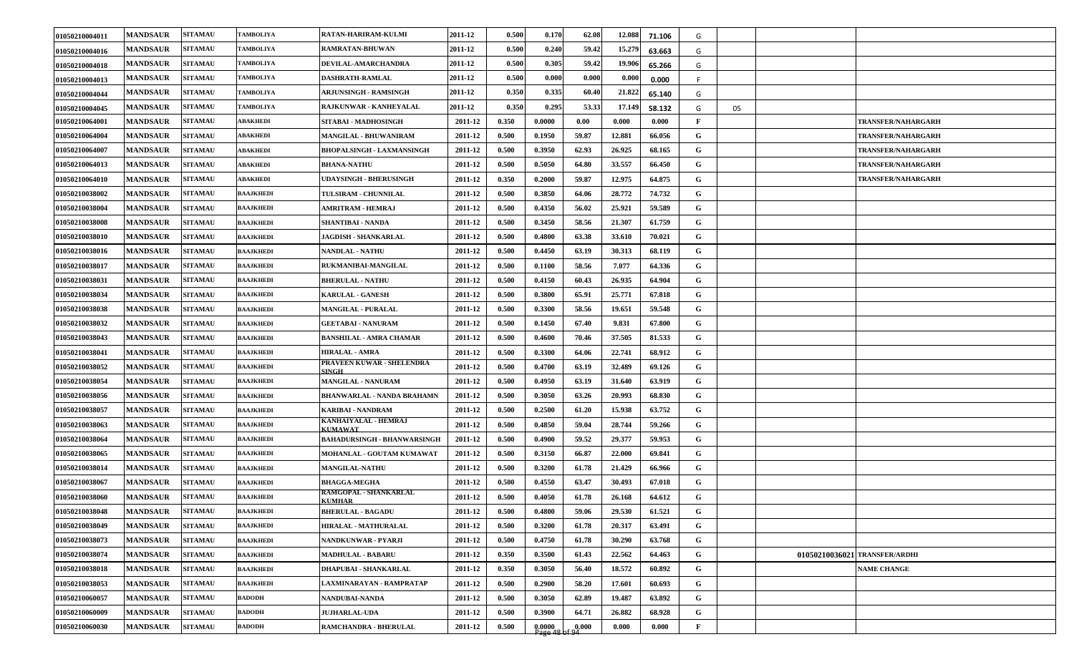| 01050210004011 | <b>MANDSAUR</b> | <b>SITAMAU</b> | <b>TAMBOLIYA</b> | RATAN-HARIRAM-KULMI                           | 2011-12 | 0.500 | 0.170                                                    | 62.08 | 12.088 | 71.106 | G            |    |                               |
|----------------|-----------------|----------------|------------------|-----------------------------------------------|---------|-------|----------------------------------------------------------|-------|--------|--------|--------------|----|-------------------------------|
| 01050210004016 | <b>MANDSAUR</b> | <b>SITAMAU</b> | <b>TAMBOLIYA</b> | RAMRATAN-BHUWAN                               | 2011-12 | 0.500 | 0.240                                                    | 59.42 | 15.279 | 63.663 | G            |    |                               |
| 01050210004018 | <b>MANDSAUR</b> | <b>SITAMAU</b> | <b>TAMBOLIYA</b> | DEVILAL-AMARCHANDRA                           | 2011-12 | 0.500 | 0.305                                                    | 59.42 | 19.906 | 65.266 | G            |    |                               |
| 01050210004013 | <b>MANDSAUR</b> | <b>SITAMAU</b> | <b>TAMBOLIYA</b> | DASHRATH-RAMLAL                               | 2011-12 | 0.500 | 0.000                                                    | 0.000 | 0.000  | 0.000  | F.           |    |                               |
| 01050210004044 | <b>MANDSAUR</b> | <b>SITAMAU</b> | <b>TAMBOLIYA</b> | ARJUNSINGH - RAMSINGH                         | 2011-12 | 0.350 | 0.335                                                    | 60.40 | 21.822 | 65.140 | G            |    |                               |
| 01050210004045 | <b>MANDSAUR</b> | <b>SITAMAU</b> | <b>TAMBOLIYA</b> | RAJKUNWAR - KANHEYALAL                        | 2011-12 | 0.350 | 0.295                                                    | 53.33 | 17.149 | 58.132 | G            | 05 |                               |
| 01050210064001 | <b>MANDSAUR</b> | <b>SITAMAU</b> | <b>ABAKHEDI</b>  | SITABAI - MADHOSINGH                          | 2011-12 | 0.350 | 0.0000                                                   | 0.00  | 0.000  | 0.000  | F            |    | <b>TRANSFER/NAHARGARH</b>     |
| 01050210064004 | <b>MANDSAUR</b> | <b>SITAMAU</b> | <b>ABAKHEDI</b>  | <b>MANGILAL - BHUWANIRAM</b>                  | 2011-12 | 0.500 | 0.1950                                                   | 59.87 | 12.881 | 66.056 | G            |    | <b>TRANSFER/NAHARGARH</b>     |
| 01050210064007 | <b>MANDSAUR</b> | <b>SITAMAU</b> | <b>ABAKHEDI</b>  | <b>BHOPALSINGH - LAXMANSINGH</b>              | 2011-12 | 0.500 | 0.3950                                                   | 62.93 | 26.925 | 68.165 | G            |    | <b>TRANSFER/NAHARGARH</b>     |
| 01050210064013 | <b>MANDSAUR</b> | <b>SITAMAU</b> | <b>ABAKHEDI</b>  | <b>BHANA-NATHU</b>                            | 2011-12 | 0.500 | 0.5050                                                   | 64.80 | 33.557 | 66.450 | G            |    | <b>TRANSFER/NAHARGARH</b>     |
| 01050210064010 | <b>MANDSAUR</b> | <b>SITAMAU</b> | <b>ABAKHEDI</b>  | <b>UDAYSINGH - BHERUSINGH</b>                 | 2011-12 | 0.350 | 0.2000                                                   | 59.87 | 12.975 | 64.875 | G            |    | <b>TRANSFER/NAHARGARH</b>     |
| 01050210038002 | <b>MANDSAUR</b> | <b>SITAMAU</b> | <b>BAAJKHEDI</b> | <b>TULSIRAM - CHUNNILAL</b>                   | 2011-12 | 0.500 | 0.3850                                                   | 64.06 | 28.772 | 74.732 | G            |    |                               |
| 01050210038004 | <b>MANDSAUR</b> | <b>SITAMAU</b> | <b>BAAJKHEDI</b> | AMRITRAM - HEMRAJ                             | 2011-12 | 0.500 | 0.4350                                                   | 56.02 | 25.921 | 59.589 | G            |    |                               |
| 01050210038008 | <b>MANDSAUR</b> | <b>SITAMAU</b> | <b>BAAJKHEDI</b> | <b>SHANTIBAI - NANDA</b>                      | 2011-12 | 0.500 | 0.3450                                                   | 58.56 | 21.307 | 61.759 | G            |    |                               |
| 01050210038010 | <b>MANDSAUR</b> | <b>SITAMAU</b> | <b>BAAJKHEDI</b> | <b>JAGDISH - SHANKARLAL</b>                   | 2011-12 | 0.500 | 0.4800                                                   | 63.38 | 33.610 | 70.021 | G            |    |                               |
| 01050210038016 | <b>MANDSAUR</b> | <b>SITAMAU</b> | <b>BAAJKHEDI</b> | <b>NANDLAL - NATHU</b>                        | 2011-12 | 0.500 | 0.4450                                                   | 63.19 | 30.313 | 68.119 | G            |    |                               |
| 01050210038017 | <b>MANDSAUR</b> | <b>SITAMAU</b> | <b>BAAJKHEDI</b> | RUKMANIBAI-MANGILAL                           | 2011-12 | 0.500 | 0.1100                                                   | 58.56 | 7.077  | 64.336 | G            |    |                               |
| 0105021003803  | <b>MANDSAUR</b> | <b>SITAMAU</b> | <b>BAAJKHEDI</b> | <b>BHERULAL - NATHU</b>                       | 2011-12 | 0.500 | 0.4150                                                   | 60.43 | 26.935 | 64.904 | G            |    |                               |
| 01050210038034 | <b>MANDSAUR</b> | <b>SITAMAU</b> | <b>BAAJKHEDI</b> | <b>KARULAL - GANESH</b>                       | 2011-12 | 0.500 | 0.3800                                                   | 65.91 | 25.771 | 67.818 | G            |    |                               |
| 01050210038038 | <b>MANDSAUR</b> | <b>SITAMAU</b> | <b>BAAJKHEDI</b> | <b>MANGILAL - PURALAL</b>                     | 2011-12 | 0.500 | 0.3300                                                   | 58.56 | 19.651 | 59.548 | G            |    |                               |
| 01050210038032 | <b>MANDSAUR</b> | <b>SITAMAU</b> | <b>BAAJKHEDI</b> | <b>GEETABAI - NANURAM</b>                     | 2011-12 | 0.500 | 0.1450                                                   | 67.40 | 9.831  | 67.800 | G            |    |                               |
| 01050210038043 | <b>MANDSAUR</b> | <b>SITAMAU</b> | <b>BAAJKHEDI</b> | <b>BANSHILAL - AMRA CHAMAR</b>                | 2011-12 | 0.500 | 0.4600                                                   | 70.46 | 37.505 | 81.533 | G            |    |                               |
| 01050210038041 | <b>MANDSAUR</b> | <b>SITAMAU</b> | <b>BAAJKHEDI</b> | HIRALAL - AMRA                                | 2011-12 | 0.500 | 0.3300                                                   | 64.06 | 22.741 | 68.912 | G            |    |                               |
| 01050210038052 | <b>MANDSAUR</b> | <b>SITAMAU</b> | <b>BAAJKHEDI</b> | PRAVEEN KUWAR - SHELENDRA<br>$\mathbf{SINGH}$ | 2011-12 | 0.500 | 0.4700                                                   | 63.19 | 32.489 | 69.126 | G            |    |                               |
| 01050210038054 | <b>MANDSAUR</b> | <b>SITAMAU</b> | <b>BAAJKHEDI</b> | <b>MANGILAL - NANURAM</b>                     | 2011-12 | 0.500 | 0.4950                                                   | 63.19 | 31.640 | 63.919 | G            |    |                               |
| 01050210038056 | <b>MANDSAUR</b> | <b>SITAMAU</b> | <b>BAAJKHEDI</b> | <b>BHANWARLAL - NANDA BRAHAMN</b>             | 2011-12 | 0.500 | 0.3050                                                   | 63.26 | 20.993 | 68.830 | G            |    |                               |
| 01050210038057 | <b>MANDSAUR</b> | <b>SITAMAU</b> | <b>BAAJKHEDI</b> | KARIBAI - NANDRAM                             | 2011-12 | 0.500 | 0.2500                                                   | 61.20 | 15.938 | 63.752 | G            |    |                               |
| 01050210038063 | <b>MANDSAUR</b> | <b>SITAMAU</b> | <b>BAAJKHEDI</b> | KANHAIYALAL - HEMRAJ<br><b>IIMAWAT</b>        | 2011-12 | 0.500 | 0.4850                                                   | 59.04 | 28.744 | 59.266 | G            |    |                               |
| 01050210038064 | <b>MANDSAUR</b> | <b>SITAMAU</b> | <b>BAAJKHEDI</b> | <b>BAHADURSINGH - BHANWARSINGH</b>            | 2011-12 | 0.500 | 0.4900                                                   | 59.52 | 29.377 | 59.953 | G            |    |                               |
| 01050210038065 | <b>MANDSAUR</b> | <b>SITAMAU</b> | <b>BAAJKHEDI</b> | MOHANLAL - GOUTAM KUMAWAT                     | 2011-12 | 0.500 | 0.3150                                                   | 66.87 | 22.000 | 69.841 | G            |    |                               |
| 01050210038014 | <b>MANDSAUR</b> | <b>SITAMAU</b> | <b>BAAJKHEDI</b> | <b>MANGILAL-NATHU</b>                         | 2011-12 | 0.500 | 0.3200                                                   | 61.78 | 21.429 | 66.966 | G            |    |                               |
| 01050210038067 | <b>MANDSAUR</b> | <b>SITAMAU</b> | <b>BAAJKHEDI</b> | <b>BHAGGA-MEGHA</b>                           | 2011-12 | 0.500 | 0.4550                                                   | 63.47 | 30.493 | 67.018 | G            |    |                               |
| 01050210038060 | <b>MANDSAUR</b> | <b>SITAMAU</b> | <b>BAAJKHEDI</b> | RAMGOPAL - SHANKARLAL<br><b>KUMHAR</b>        | 2011-12 | 0.500 | 0.4050                                                   | 61.78 | 26.168 | 64.612 | G            |    |                               |
| 01050210038048 | <b>MANDSAUR</b> | <b>SITAMAU</b> | <b>BAAJKHEDI</b> | <b>BHERULAL - BAGADU</b>                      | 2011-12 | 0.500 | 0.4800                                                   | 59.06 | 29.530 | 61.521 | G            |    |                               |
| 01050210038049 | <b>MANDSAUR</b> | <b>SITAMAU</b> | <b>BAAJKHEDI</b> | HIRALAL - MATHURALAL                          | 2011-12 | 0.500 | 0.3200                                                   | 61.78 | 20.317 | 63.491 | G            |    |                               |
| 01050210038073 | <b>MANDSAUR</b> | <b>SITAMAU</b> | <b>BAAJKHEDI</b> | NANDKUNWAR - PYARJI                           | 2011-12 | 0.500 | 0.4750                                                   | 61.78 | 30.290 | 63.768 | G            |    |                               |
| 01050210038074 | <b>MANDSAUR</b> | <b>SITAMAU</b> | <b>BAAJKHEDI</b> | <b>MADHULAL - BABARU</b>                      | 2011-12 | 0.350 | 0.3500                                                   | 61.43 | 22.562 | 64.463 | G            |    | 01050210036021 TRANSFER/ARDHI |
| 01050210038018 | <b>MANDSAUR</b> | <b>SITAMAU</b> | <b>BAAJKHEDI</b> | DHAPUBAI - SHANKARLAL                         | 2011-12 | 0.350 | 0.3050                                                   | 56.40 | 18.572 | 60.892 | G            |    | <b>NAME CHANGE</b>            |
| 01050210038053 | <b>MANDSAUR</b> | <b>SITAMAU</b> | <b>BAAJKHEDI</b> | LAXMINARAYAN - RAMPRATAP                      | 2011-12 | 0.500 | 0.2900                                                   | 58.20 | 17.601 | 60.693 | G            |    |                               |
| 01050210060057 | <b>MANDSAUR</b> | <b>SITAMAU</b> | <b>BADODH</b>    | <b>NANDUBAI-NANDA</b>                         | 2011-12 | 0.500 | 0.3050                                                   | 62.89 | 19.487 | 63.892 | G            |    |                               |
| 01050210060009 | <b>MANDSAUR</b> | <b>SITAMAU</b> | <b>BADODH</b>    | <b>JUJHARLAL-UDA</b>                          | 2011-12 | 0.500 | 0.3900                                                   | 64.71 | 26.882 | 68.928 | G            |    |                               |
| 01050210060030 | <b>MANDSAUR</b> | <b>SITAMAU</b> | <b>BADODH</b>    | RAMCHANDRA - BHERULAL                         | 2011-12 | 0.500 | $\begin{array}{c} 0.0000 \\ \text{Page } 48 \end{array}$ | 0.000 | 0.000  | 0.000  | $\mathbf{F}$ |    |                               |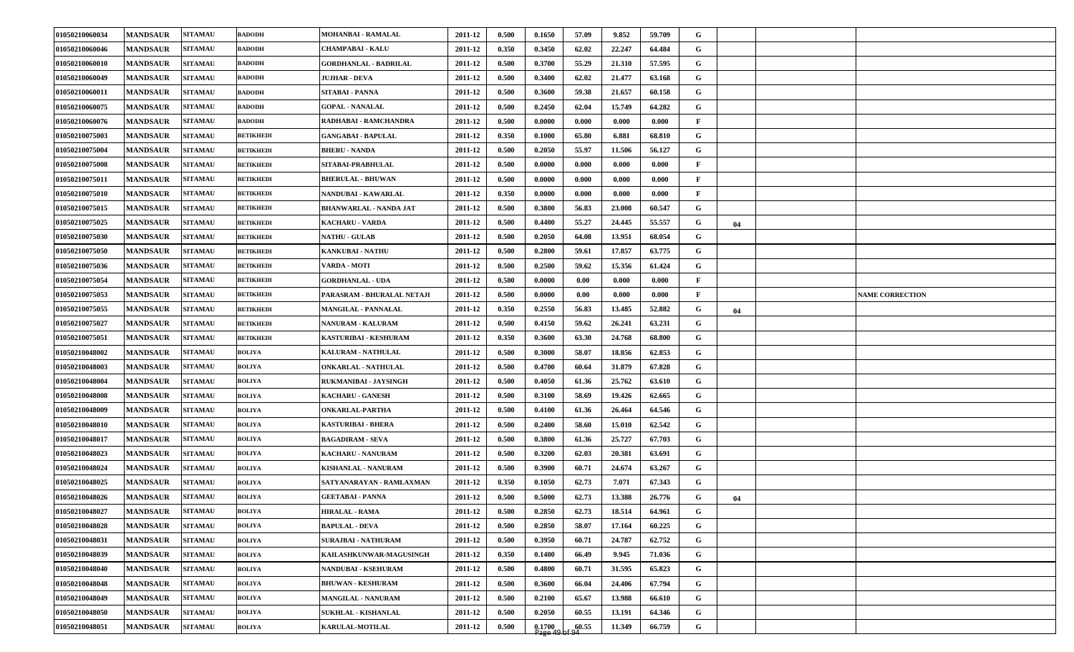| 01050210060034 | <b>MANDSAUR</b> | <b>SITAMAU</b> | <b>BADODH</b>    | MOHANBAI - RAMALAL            | 2011-12 | 0.500 | 0.1650                          | 57.09 | 9.852  | 59.709 | G            |    |                        |
|----------------|-----------------|----------------|------------------|-------------------------------|---------|-------|---------------------------------|-------|--------|--------|--------------|----|------------------------|
| 01050210060046 | <b>MANDSAUR</b> | <b>SITAMAU</b> | <b>BADODH</b>    | <b>CHAMPABAI - KALU</b>       | 2011-12 | 0.350 | 0.3450                          | 62.02 | 22,247 | 64.484 | G            |    |                        |
| 01050210060010 | <b>MANDSAUR</b> | <b>SITAMAU</b> | <b>BADODH</b>    | <b>GORDHANLAL - BADRILAL</b>  | 2011-12 | 0.500 | 0.3700                          | 55.29 | 21.310 | 57.595 | G            |    |                        |
| 01050210060049 | <b>MANDSAUR</b> | <b>SITAMAU</b> | <b>BADODH</b>    | <b>JUJHAR - DEVA</b>          | 2011-12 | 0.500 | 0.3400                          | 62.02 | 21.477 | 63.168 | G            |    |                        |
| 01050210060011 | <b>MANDSAUR</b> | <b>SITAMAU</b> | <b>BADODH</b>    | SITABAI - PANNA               | 2011-12 | 0.500 | 0.3600                          | 59.38 | 21.657 | 60.158 | G            |    |                        |
| 01050210060075 | <b>MANDSAUR</b> | <b>SITAMAU</b> | <b>BADODH</b>    | <b>GOPAL - NANALAL</b>        | 2011-12 | 0.500 | 0.2450                          | 62.04 | 15.749 | 64.282 | G            |    |                        |
| 01050210060076 | <b>MANDSAUR</b> | <b>SITAMAU</b> | <b>BADODH</b>    | RADHABAI - RAMCHANDRA         | 2011-12 | 0.500 | 0.0000                          | 0.000 | 0.000  | 0.000  | $\mathbf{F}$ |    |                        |
| 01050210075003 | <b>MANDSAUR</b> | <b>SITAMAU</b> | <b>BETIKHEDI</b> | <b>GANGABAI - BAPULAL</b>     | 2011-12 | 0.350 | 0.1000                          | 65.80 | 6.881  | 68.810 | G            |    |                        |
| 01050210075004 | <b>MANDSAUR</b> | <b>SITAMAU</b> | <b>BETIKHEDI</b> | <b>BHERU - NANDA</b>          | 2011-12 | 0.500 | 0.2050                          | 55.97 | 11.506 | 56.127 | G            |    |                        |
| 01050210075008 | <b>MANDSAUR</b> | <b>SITAMAU</b> | <b>BETIKHEDI</b> | SITABAI-PRABHULAL             | 2011-12 | 0.500 | 0.0000                          | 0.000 | 0.000  | 0.000  | $\mathbf{F}$ |    |                        |
| 01050210075011 | <b>MANDSAUR</b> | <b>SITAMAU</b> | <b>BETIKHEDI</b> | <b>BHERULAL - BHUWAN</b>      | 2011-12 | 0.500 | 0.0000                          | 0.000 | 0.000  | 0.000  | $\mathbf{F}$ |    |                        |
| 01050210075010 | <b>MANDSAUR</b> | <b>SITAMAU</b> | <b>BETIKHEDI</b> | NANDUBAI - KAWARLAL           | 2011-12 | 0.350 | 0.0000                          | 0.000 | 0.000  | 0.000  | $\mathbf{F}$ |    |                        |
| 01050210075015 | <b>MANDSAUR</b> | <b>SITAMAU</b> | <b>BETIKHEDI</b> | <b>BHANWARLAL - NANDA JAT</b> | 2011-12 | 0.500 | 0.3800                          | 56.83 | 23.008 | 60.547 | G            |    |                        |
| 01050210075025 | <b>MANDSAUR</b> | <b>SITAMAU</b> | <b>BETIKHEDI</b> | <b>KACHARU - VARDA</b>        | 2011-12 | 0.500 | 0.4400                          | 55.27 | 24.445 | 55.557 | G            | 04 |                        |
| 01050210075030 | <b>MANDSAUR</b> | <b>SITAMAU</b> | <b>BETIKHEDI</b> | <b>NATHU - GULAB</b>          | 2011-12 | 0.500 | 0.2050                          | 64.08 | 13.951 | 68.054 | G            |    |                        |
| 01050210075050 | <b>MANDSAUR</b> | <b>SITAMAU</b> | <b>BETIKHEDI</b> | <b>KANKUBAI - NATHU</b>       | 2011-12 | 0.500 | 0.2800                          | 59.61 | 17.857 | 63.775 | G            |    |                        |
| 01050210075036 | <b>MANDSAUR</b> | <b>SITAMAU</b> | <b>BETIKHEDI</b> | VARDA - MOTI                  | 2011-12 | 0.500 | 0.2500                          | 59.62 | 15.356 | 61.424 | G            |    |                        |
| 01050210075054 | <b>MANDSAUR</b> | <b>SITAMAU</b> | <b>BETIKHEDI</b> | <b>GORDHANLAL - UDA</b>       | 2011-12 | 0.500 | 0.0000                          | 0.00  | 0.000  | 0.000  | $\mathbf{F}$ |    |                        |
| 01050210075053 | <b>MANDSAUR</b> | <b>SITAMAU</b> | <b>BETIKHEDI</b> | PARASRAM - BHURALAL NETAJI    | 2011-12 | 0.500 | 0.0000                          | 0.00  | 0.000  | 0.000  | $\mathbf{F}$ |    | <b>NAME CORRECTION</b> |
| 01050210075055 | <b>MANDSAUR</b> | <b>SITAMAU</b> | <b>BETIKHEDI</b> | <b>MANGILAL - PANNALAL</b>    | 2011-12 | 0.350 | 0.2550                          | 56.83 | 13.485 | 52.882 | G            | 04 |                        |
| 01050210075027 | <b>MANDSAUR</b> | <b>SITAMAU</b> | <b>BETIKHEDI</b> | <b>NANURAM - KALURAM</b>      | 2011-12 | 0.500 | 0.4150                          | 59.62 | 26.241 | 63.231 | G            |    |                        |
| 01050210075051 | <b>MANDSAUR</b> | <b>SITAMAU</b> | <b>BETIKHEDI</b> | KASTURIBAI - KESHURAM         | 2011-12 | 0.350 | 0.3600                          | 63.30 | 24.768 | 68.800 | G            |    |                        |
| 01050210048002 | <b>MANDSAUR</b> | <b>SITAMAU</b> | <b>BOLIYA</b>    | <b>KALURAM - NATHULAL</b>     | 2011-12 | 0.500 | 0.3000                          | 58.07 | 18.856 | 62.853 | G            |    |                        |
| 01050210048003 | <b>MANDSAUR</b> | <b>SITAMAU</b> | <b>BOLIYA</b>    | <b>ONKARLAL - NATHULAL</b>    | 2011-12 | 0.500 | 0.4700                          | 60.64 | 31.879 | 67.828 | G            |    |                        |
| 01050210048004 | <b>MANDSAUR</b> | <b>SITAMAU</b> | <b>BOLIYA</b>    | RUKMANIBAI - JAYSINGH         | 2011-12 | 0.500 | 0.4050                          | 61.36 | 25.762 | 63.610 | G            |    |                        |
| 01050210048008 | <b>MANDSAUR</b> | <b>SITAMAU</b> | <b>BOLIYA</b>    | <b>KACHARU - GANESH</b>       | 2011-12 | 0.500 | 0.3100                          | 58.69 | 19.426 | 62.665 | G            |    |                        |
| 01050210048009 | <b>MANDSAUR</b> | <b>SITAMAU</b> | <b>BOLIYA</b>    | ONKARLAL-PARTHA               | 2011-12 | 0.500 | 0.4100                          | 61.36 | 26.464 | 64.546 | G            |    |                        |
| 01050210048010 | <b>MANDSAUR</b> | <b>SITAMAU</b> | <b>BOLIYA</b>    | <b>KASTURIBAI - BHERA</b>     | 2011-12 | 0.500 | 0.2400                          | 58.60 | 15.010 | 62.542 | G            |    |                        |
| 01050210048017 | <b>MANDSAUR</b> | <b>SITAMAU</b> | <b>BOLIYA</b>    | <b>BAGADIRAM - SEVA</b>       | 2011-12 | 0.500 | 0.3800                          | 61.36 | 25.727 | 67.703 | G            |    |                        |
| 01050210048023 | <b>MANDSAUR</b> | <b>SITAMAU</b> | <b>BOLIYA</b>    | <b>KACHARU - NANURAM</b>      | 2011-12 | 0.500 | 0.3200                          | 62.03 | 20.381 | 63.691 | G            |    |                        |
| 01050210048024 | <b>MANDSAUR</b> | <b>SITAMAU</b> | <b>BOLIYA</b>    | <b>KISHANLAL - NANURAM</b>    | 2011-12 | 0.500 | 0.3900                          | 60.71 | 24.674 | 63.267 | G            |    |                        |
| 01050210048025 | <b>MANDSAUR</b> | <b>SITAMAU</b> | <b>BOLIYA</b>    | SATYANARAYAN - RAMLAXMAN      | 2011-12 | 0.350 | 0.1050                          | 62.73 | 7.071  | 67.343 | G            |    |                        |
| 01050210048026 | <b>MANDSAUR</b> | <b>SITAMAU</b> | <b>BOLIYA</b>    | <b>GEETABAI - PANNA</b>       | 2011-12 | 0.500 | 0.5000                          | 62.73 | 13.388 | 26.776 | G            | 04 |                        |
| 01050210048027 | <b>MANDSAUR</b> | <b>SITAMAU</b> | <b>BOLIYA</b>    | <b>HIRALAL - RAMA</b>         | 2011-12 | 0.500 | 0.2850                          | 62.73 | 18.514 | 64.961 | G            |    |                        |
| 01050210048028 | <b>MANDSAUR</b> | <b>SITAMAU</b> | <b>BOLIYA</b>    | <b>BAPULAL - DEVA</b>         | 2011-12 | 0.500 | 0.2850                          | 58.07 | 17.164 | 60.225 | $\mathbf G$  |    |                        |
| 01050210048031 | <b>MANDSAUR</b> | <b>SITAMAU</b> | <b>BOLIYA</b>    | <b>SURAJBAI - NATHURAM</b>    | 2011-12 | 0.500 | 0.3950                          | 60.71 | 24.787 | 62.752 | $\mathbf G$  |    |                        |
| 01050210048039 | <b>MANDSAUR</b> | <b>SITAMAU</b> | <b>BOLIYA</b>    | KAILASHKUNWAR-MAGUSINGH       | 2011-12 | 0.350 | 0.1400                          | 66.49 | 9.945  | 71.036 | $\mathbf G$  |    |                        |
| 01050210048040 | <b>MANDSAUR</b> | <b>SITAMAU</b> | <b>BOLIYA</b>    | NANDUBAI - KSEHURAM           | 2011-12 | 0.500 | 0.4800                          | 60.71 | 31.595 | 65.823 | $\mathbf G$  |    |                        |
| 01050210048048 | <b>MANDSAUR</b> | <b>SITAMAU</b> | <b>BOLIYA</b>    | <b>BHUWAN - KESHURAM</b>      | 2011-12 | 0.500 | 0.3600                          | 66.04 | 24.406 | 67.794 | $\mathbf G$  |    |                        |
| 01050210048049 | <b>MANDSAUR</b> | <b>SITAMAU</b> | <b>BOLIYA</b>    | <b>MANGILAL - NANURAM</b>     | 2011-12 | 0.500 | 0.2100                          | 65.67 | 13.988 | 66.610 | $\mathbf G$  |    |                        |
| 01050210048050 | <b>MANDSAUR</b> | <b>SITAMAU</b> | <b>BOLIYA</b>    | <b>SUKHLAL - KISHANLAL</b>    | 2011-12 | 0.500 | 0.2050                          | 60.55 | 13.191 | 64.346 | $\mathbf G$  |    |                        |
| 01050210048051 | <b>MANDSAUR</b> | <b>SITAMAU</b> | <b>BOLIYA</b>    | <b>KARULAL-MOTILAL</b>        | 2011-12 | 0.500 | $\frac{0.1700}{\text{Page }49}$ | 60.55 | 11.349 | 66.759 | $\mathbf G$  |    |                        |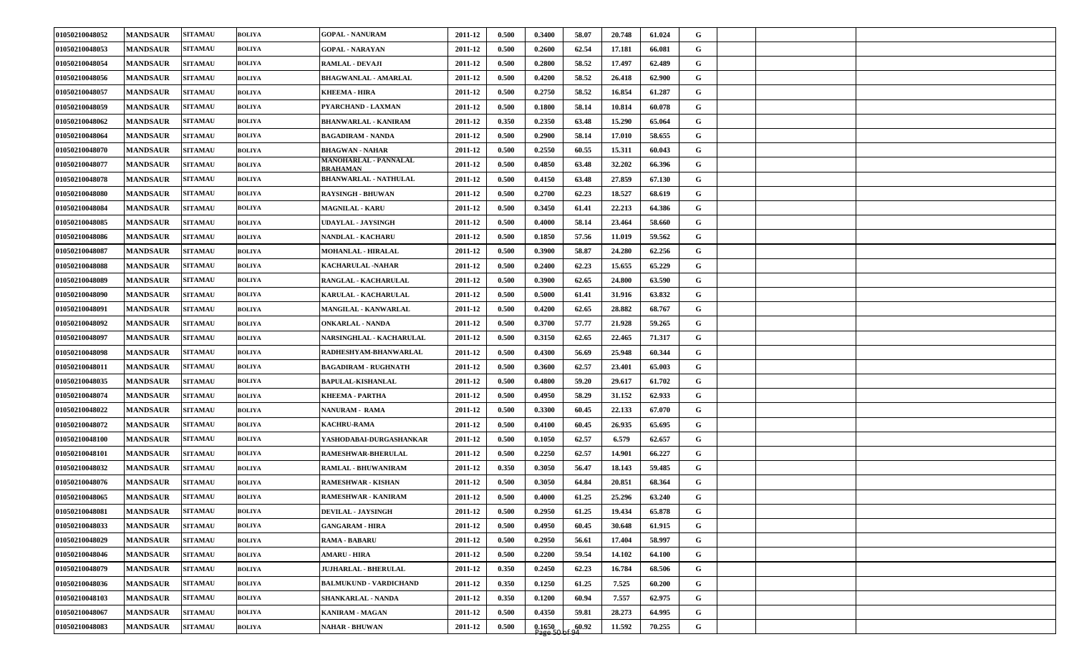| 01050210048052 | <b>MANDSAUR</b> | <b>SITAMAU</b> | <b>BOLIYA</b> | <b>GOPAL - NANURAM</b>                   | 2011-12 | 0.500 | 0.3400              | 58.07 | 20.748 | 61.024 | G           |  |  |
|----------------|-----------------|----------------|---------------|------------------------------------------|---------|-------|---------------------|-------|--------|--------|-------------|--|--|
| 01050210048053 | <b>MANDSAUR</b> | <b>SITAMAU</b> | <b>BOLIYA</b> | <b>GOPAL - NARAYAN</b>                   | 2011-12 | 0.500 | 0.2600              | 62.54 | 17.181 | 66.081 | G           |  |  |
| 01050210048054 | <b>MANDSAUR</b> | <b>SITAMAU</b> | <b>BOLIYA</b> | <b>RAMLAL - DEVAJI</b>                   | 2011-12 | 0.500 | 0.2800              | 58.52 | 17.497 | 62.489 | G           |  |  |
| 01050210048056 | <b>MANDSAUR</b> | <b>SITAMAU</b> | <b>BOLIYA</b> | <b>BHAGWANLAL - AMARLAL</b>              | 2011-12 | 0.500 | 0.4200              | 58.52 | 26.418 | 62.900 | G           |  |  |
| 01050210048057 | <b>MANDSAUR</b> | <b>SITAMAU</b> | <b>BOLIYA</b> | KHEEMA - HIRA                            | 2011-12 | 0.500 | 0.2750              | 58.52 | 16.854 | 61.287 | G           |  |  |
| 01050210048059 | <b>MANDSAUR</b> | <b>SITAMAU</b> | <b>BOLIYA</b> | PYARCHAND - LAXMAN                       | 2011-12 | 0.500 | 0.1800              | 58.14 | 10.814 | 60.078 | G           |  |  |
| 01050210048062 | <b>MANDSAUR</b> | <b>SITAMAU</b> | <b>BOLIYA</b> | <b>BHANWARLAL - KANIRAM</b>              | 2011-12 | 0.350 | 0.2350              | 63.48 | 15.290 | 65.064 | G           |  |  |
| 01050210048064 | <b>MANDSAUR</b> | <b>SITAMAU</b> | <b>BOLIYA</b> | <b>BAGADIRAM - NANDA</b>                 | 2011-12 | 0.500 | 0.2900              | 58.14 | 17.010 | 58.655 | G           |  |  |
| 01050210048070 | <b>MANDSAUR</b> | <b>SITAMAU</b> | <b>BOLIYA</b> | <b>BHAGWAN - NAHAR</b>                   | 2011-12 | 0.500 | 0.2550              | 60.55 | 15.311 | 60.043 | G           |  |  |
| 01050210048077 | <b>MANDSAUR</b> | <b>SITAMAU</b> | <b>BOLIYA</b> | MANOHARLAL - PANNALAL<br><b>BRAHAMAN</b> | 2011-12 | 0.500 | 0.4850              | 63.48 | 32.202 | 66.396 | G           |  |  |
| 01050210048078 | <b>MANDSAUR</b> | <b>SITAMAU</b> | <b>BOLIYA</b> | <b>BHANWARLAL - NATHULAL</b>             | 2011-12 | 0.500 | 0.4150              | 63.48 | 27.859 | 67.130 | G           |  |  |
| 01050210048080 | <b>MANDSAUR</b> | <b>SITAMAU</b> | <b>BOLIYA</b> | RAYSINGH - BHUWAN                        | 2011-12 | 0.500 | 0.2700              | 62.23 | 18.527 | 68.619 | G           |  |  |
| 01050210048084 | <b>MANDSAUR</b> | <b>SITAMAU</b> | <b>BOLIYA</b> | <b>MAGNILAL - KARU</b>                   | 2011-12 | 0.500 | 0.3450              | 61.41 | 22.213 | 64.386 | G           |  |  |
| 01050210048085 | <b>MANDSAUR</b> | <b>SITAMAU</b> | <b>BOLIYA</b> | UDAYLAL - JAYSINGH                       | 2011-12 | 0.500 | 0.4000              | 58.14 | 23.464 | 58.660 | G           |  |  |
| 01050210048086 | <b>MANDSAUR</b> | <b>SITAMAU</b> | <b>BOLIYA</b> | <b>NANDLAL - KACHARU</b>                 | 2011-12 | 0.500 | 0.1850              | 57.56 | 11.019 | 59.562 | G           |  |  |
| 01050210048087 | <b>MANDSAUR</b> | <b>SITAMAU</b> | <b>BOLIYA</b> | <b>MOHANLAL - HIRALAL</b>                | 2011-12 | 0.500 | 0.3900              | 58.87 | 24.280 | 62.256 | G           |  |  |
| 01050210048088 | <b>MANDSAUR</b> | <b>SITAMAU</b> | <b>BOLIYA</b> | KACHARULAL -NAHAR                        | 2011-12 | 0.500 | 0.2400              | 62.23 | 15.655 | 65.229 | G           |  |  |
| 01050210048089 | <b>MANDSAUR</b> | <b>SITAMAU</b> | <b>BOLIYA</b> | RANGLAL - KACHARULAL                     | 2011-12 | 0.500 | 0.3900              | 62.65 | 24.800 | 63.590 | G           |  |  |
| 01050210048090 | <b>MANDSAUR</b> | <b>SITAMAU</b> | <b>BOLIYA</b> | KARULAL - KACHARULAL                     | 2011-12 | 0.500 | 0.5000              | 61.41 | 31.916 | 63.832 | G           |  |  |
| 01050210048091 | <b>MANDSAUR</b> | <b>SITAMAU</b> | <b>BOLIYA</b> | <b>MANGILAL - KANWARLAL</b>              | 2011-12 | 0.500 | 0.4200              | 62.65 | 28.882 | 68.767 | G           |  |  |
| 01050210048092 | <b>MANDSAUR</b> | <b>SITAMAU</b> | <b>BOLIYA</b> | <b>ONKARLAL - NANDA</b>                  | 2011-12 | 0.500 | 0.3700              | 57.77 | 21.928 | 59.265 | G           |  |  |
| 01050210048097 | <b>MANDSAUR</b> | <b>SITAMAU</b> | <b>BOLIYA</b> | <b>NARSINGHLAL - KACHARULAL</b>          | 2011-12 | 0.500 | 0.3150              | 62.65 | 22.465 | 71.317 | G           |  |  |
| 01050210048098 | <b>MANDSAUR</b> | <b>SITAMAU</b> | <b>BOLIYA</b> | RADHESHYAM-BHANWARLAL                    | 2011-12 | 0.500 | 0.4300              | 56.69 | 25.948 | 60.344 | G           |  |  |
| 01050210048011 | <b>MANDSAUR</b> | <b>SITAMAU</b> | <b>BOLIYA</b> | <b>BAGADIRAM - RUGHNATH</b>              | 2011-12 | 0.500 | 0.3600              | 62.57 | 23.401 | 65.003 | G           |  |  |
| 01050210048035 | <b>MANDSAUR</b> | <b>SITAMAU</b> | <b>BOLIYA</b> | <b>BAPULAL-KISHANLAL</b>                 | 2011-12 | 0.500 | 0.4800              | 59.20 | 29.617 | 61.702 | G           |  |  |
| 01050210048074 | <b>MANDSAUR</b> | <b>SITAMAU</b> | <b>BOLIYA</b> | KHEEMA - PARTHA                          | 2011-12 | 0.500 | 0.4950              | 58.29 | 31.152 | 62.933 | G           |  |  |
| 01050210048022 | <b>MANDSAUR</b> | <b>SITAMAU</b> | <b>BOLIYA</b> | <b>NANURAM - RAMA</b>                    | 2011-12 | 0.500 | 0.3300              | 60.45 | 22.133 | 67.070 | G           |  |  |
| 01050210048072 | <b>MANDSAUR</b> | <b>SITAMAU</b> | <b>BOLIYA</b> | <b>KACHRU-RAMA</b>                       | 2011-12 | 0.500 | 0.4100              | 60.45 | 26.935 | 65.695 | G           |  |  |
| 01050210048100 | <b>MANDSAUR</b> | <b>SITAMAU</b> | <b>BOLIYA</b> | YASHODABAI-DURGASHANKAR                  | 2011-12 | 0.500 | 0.1050              | 62.57 | 6.579  | 62.657 | G           |  |  |
| 01050210048101 | <b>MANDSAUR</b> | <b>SITAMAU</b> | <b>BOLIYA</b> | RAMESHWAR-BHERULAL                       | 2011-12 | 0.500 | 0.2250              | 62.57 | 14.901 | 66.227 | G           |  |  |
| 01050210048032 | <b>MANDSAUR</b> | <b>SITAMAU</b> | <b>BOLIYA</b> | RAMLAL - BHUWANIRAM                      | 2011-12 | 0.350 | 0.3050              | 56.47 | 18.143 | 59.485 | G           |  |  |
| 01050210048076 | <b>MANDSAUR</b> | <b>SITAMAU</b> | <b>BOLIYA</b> | RAMESHWAR - KISHAN                       | 2011-12 | 0.500 | 0.3050              | 64.84 | 20.851 | 68.364 | G           |  |  |
| 01050210048065 | <b>MANDSAUR</b> | <b>SITAMAU</b> | <b>BOLIYA</b> | RAMESHWAR - KANIRAM                      | 2011-12 | 0.500 | 0.4000              | 61.25 | 25.296 | 63.240 | $\mathbf G$ |  |  |
| 01050210048081 | <b>MANDSAUR</b> | <b>SITAMAU</b> | <b>BOLIYA</b> | <b>DEVILAL - JAYSINGH</b>                | 2011-12 | 0.500 | 0.2950              | 61.25 | 19.434 | 65.878 | G           |  |  |
| 01050210048033 | <b>MANDSAUR</b> | <b>SITAMAU</b> | <b>BOLIYA</b> | <b>GANGARAM - HIRA</b>                   | 2011-12 | 0.500 | 0.4950              | 60.45 | 30.648 | 61.915 | $\mathbf G$ |  |  |
| 01050210048029 | <b>MANDSAUR</b> | <b>SITAMAU</b> | <b>BOLIYA</b> | <b>RAMA - BABARU</b>                     | 2011-12 | 0.500 | 0.2950              | 56.61 | 17.404 | 58.997 | $\mathbf G$ |  |  |
| 01050210048046 | <b>MANDSAUR</b> | <b>SITAMAU</b> | <b>BOLIYA</b> | <b>AMARU - HIRA</b>                      | 2011-12 | 0.500 | 0.2200              | 59.54 | 14.102 | 64.100 | $\mathbf G$ |  |  |
| 01050210048079 | <b>MANDSAUR</b> | <b>SITAMAU</b> | <b>BOLIYA</b> | <b>JUJHARLAL - BHERULAL</b>              | 2011-12 | 0.350 | 0.2450              | 62.23 | 16.784 | 68.506 | G           |  |  |
| 01050210048036 | <b>MANDSAUR</b> | <b>SITAMAU</b> | <b>BOLIYA</b> | <b>BALMUKUND - VARDICHAND</b>            | 2011-12 | 0.350 | 0.1250              | 61.25 | 7.525  | 60.200 | $\mathbf G$ |  |  |
| 01050210048103 | <b>MANDSAUR</b> | <b>SITAMAU</b> | <b>BOLIYA</b> | SHANKARLAL - NANDA                       | 2011-12 | 0.350 | 0.1200              | 60.94 | 7.557  | 62.975 | $\mathbf G$ |  |  |
| 01050210048067 | <b>MANDSAUR</b> | <b>SITAMAU</b> | <b>BOLIYA</b> | KANIRAM - MAGAN                          | 2011-12 | 0.500 | 0.4350              | 59.81 | 28.273 | 64.995 | G           |  |  |
| 01050210048083 | <b>MANDSAUR</b> | <b>SITAMAU</b> | <b>BOLIYA</b> | <b>NAHAR - BHUWAN</b>                    | 2011-12 | 0.500 | $0.1650$<br>Page 50 | 60.92 | 11.592 | 70.255 | $\mathbf G$ |  |  |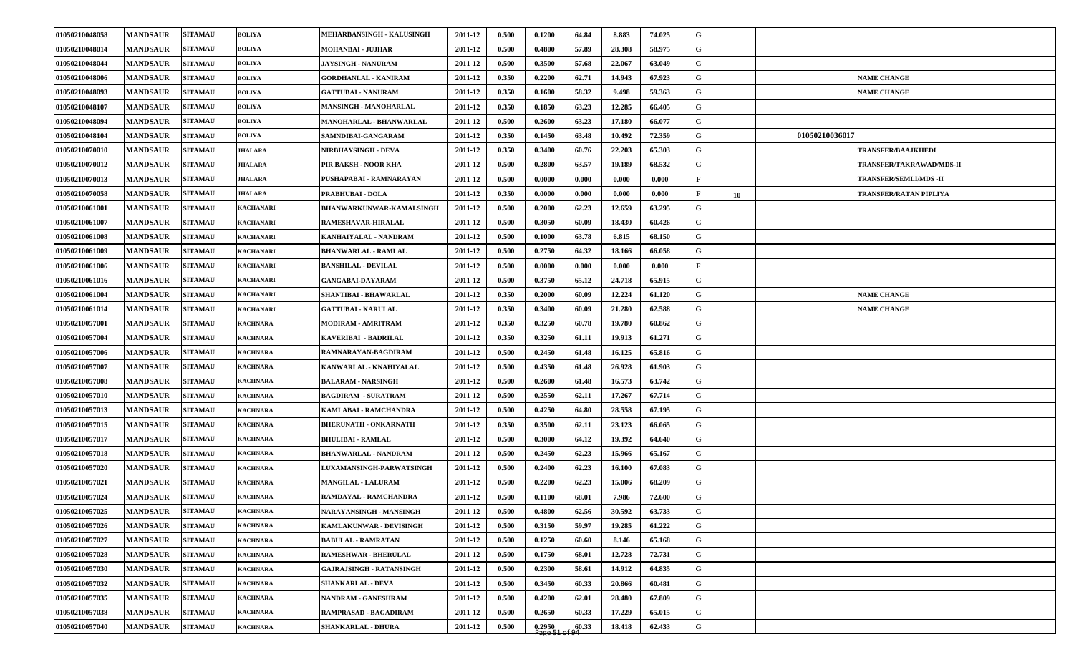| 01050210048058 | <b>MANDSAUR</b> | <b>SITAMAU</b> | <b>BOLIYA</b>    | MEHARBANSINGH - KALUSINGH       | 2011-12 | 0.500 | 0.1200              | 64.84              | 8.883  | 74.025 | G            |    |                |                              |
|----------------|-----------------|----------------|------------------|---------------------------------|---------|-------|---------------------|--------------------|--------|--------|--------------|----|----------------|------------------------------|
| 01050210048014 | <b>MANDSAUR</b> | <b>SITAMAU</b> | <b>BOLIYA</b>    | MOHANBAI - JUJHAR               | 2011-12 | 0.500 | 0.4800              | 57.89              | 28.308 | 58.975 | G            |    |                |                              |
| 01050210048044 | <b>MANDSAUR</b> | <b>SITAMAU</b> | <b>BOLIYA</b>    | <b>JAYSINGH - NANURAM</b>       | 2011-12 | 0.500 | 0.3500              | 57.68              | 22.067 | 63.049 | G            |    |                |                              |
| 01050210048006 | <b>MANDSAUR</b> | <b>SITAMAU</b> | <b>BOLIYA</b>    | <b>GORDHANLAL - KANIRAM</b>     | 2011-12 | 0.350 | 0.2200              | 62.71              | 14.943 | 67.923 | G            |    |                | <b>NAME CHANGE</b>           |
| 01050210048093 | <b>MANDSAUR</b> | <b>SITAMAU</b> | <b>BOLIYA</b>    | <b>GATTUBAI - NANURAM</b>       | 2011-12 | 0.350 | 0.1600              | 58.32              | 9.498  | 59.363 | G            |    |                | <b>NAME CHANGE</b>           |
| 01050210048107 | <b>MANDSAUR</b> | <b>SITAMAU</b> | <b>BOLIYA</b>    | <b>MANSINGH - MANOHARLAL</b>    | 2011-12 | 0.350 | 0.1850              | 63.23              | 12.285 | 66.405 | G            |    |                |                              |
| 01050210048094 | <b>MANDSAUR</b> | <b>SITAMAU</b> | <b>BOLIYA</b>    | MANOHARLAL - BHANWARLAL         | 2011-12 | 0.500 | 0.2600              | 63.23              | 17.180 | 66.077 | G            |    |                |                              |
| 01050210048104 | <b>MANDSAUR</b> | <b>SITAMAU</b> | <b>BOLIYA</b>    | SAMNDIBAI-GANGARAM              | 2011-12 | 0.350 | 0.1450              | 63.48              | 10.492 | 72.359 | G            |    | 01050210036017 |                              |
| 01050210070010 | <b>MANDSAUR</b> | <b>SITAMAU</b> | JHALARA          | NIRBHAYSINGH - DEVA             | 2011-12 | 0.350 | 0.3400              | 60.76              | 22.203 | 65.303 | G            |    |                | <b>TRANSFER/BAAJKHEDI</b>    |
| 01050210070012 | <b>MANDSAUR</b> | <b>SITAMAU</b> | JHALARA          | PIR BAKSH - NOOR KHA            | 2011-12 | 0.500 | 0.2800              | 63.57              | 19.189 | 68.532 | G            |    |                | TRANSFER/TAKRAWAD/MDS-II     |
| 01050210070013 | <b>MANDSAUR</b> | <b>SITAMAU</b> | JHALARA          | PUSHAPABAI - RAMNARAYAN         | 2011-12 | 0.500 | 0.0000              | 0.000              | 0.000  | 0.000  | $\mathbf{F}$ |    |                | <b>TRANSFER/SEMLI/MDS-II</b> |
| 01050210070058 | <b>MANDSAUR</b> | <b>SITAMAU</b> | JHALARA          | PRABHUBAI - DOLA                | 2011-12 | 0.350 | 0.0000              | 0.000              | 0.000  | 0.000  | $\mathbf{F}$ | 10 |                | TRANSFER/RATAN PIPLIYA       |
| 01050210061001 | <b>MANDSAUR</b> | <b>SITAMAU</b> | KACHANARI        | <b>BHANWARKUNWAR-KAMALSINGH</b> | 2011-12 | 0.500 | 0.2000              | 62.23              | 12.659 | 63.295 | G            |    |                |                              |
| 01050210061007 | <b>MANDSAUR</b> | <b>SITAMAU</b> | KACHANARI        | RAMESHAVAR-HIRALAL              | 2011-12 | 0.500 | 0.3050              | 60.09              | 18.430 | 60.426 | G            |    |                |                              |
| 01050210061008 | <b>MANDSAUR</b> | <b>SITAMAU</b> | <b>KACHANARI</b> | KANHAIYALAL - NANDRAM           | 2011-12 | 0.500 | 0.1000              | 63.78              | 6.815  | 68.150 | G            |    |                |                              |
| 01050210061009 | <b>MANDSAUR</b> | <b>SITAMAU</b> | KACHANARI        | <b>BHANWARLAL - RAMLAL</b>      | 2011-12 | 0.500 | 0.2750              | 64.32              | 18.166 | 66.058 | G            |    |                |                              |
| 01050210061006 | <b>MANDSAUR</b> | <b>SITAMAU</b> | <b>KACHANARI</b> | <b>BANSHILAL - DEVILAL</b>      | 2011-12 | 0.500 | 0.0000              | 0.000              | 0.000  | 0.000  | $\mathbf{F}$ |    |                |                              |
| 01050210061016 | <b>MANDSAUR</b> | <b>SITAMAU</b> | <b>KACHANARI</b> | <b>GANGABAI-DAYARAM</b>         | 2011-12 | 0.500 | 0.3750              | 65.12              | 24.718 | 65.915 | G            |    |                |                              |
| 01050210061004 | <b>MANDSAUR</b> | <b>SITAMAU</b> | <b>KACHANARI</b> | SHANTIBAI - BHAWARLAL           | 2011-12 | 0.350 | 0.2000              | 60.09              | 12.224 | 61.120 | G            |    |                | <b>NAME CHANGE</b>           |
| 01050210061014 | <b>MANDSAUR</b> | <b>SITAMAU</b> | <b>KACHANARI</b> | <b>GATTUBAI - KARULAL</b>       | 2011-12 | 0.350 | 0.3400              | 60.09              | 21.280 | 62.588 | G            |    |                | <b>NAME CHANGE</b>           |
| 01050210057001 | <b>MANDSAUR</b> | <b>SITAMAU</b> | <b>KACHNARA</b>  | MODIRAM - AMRITRAM              | 2011-12 | 0.350 | 0.3250              | 60.78              | 19.780 | 60.862 | G            |    |                |                              |
| 01050210057004 | <b>MANDSAUR</b> | <b>SITAMAU</b> | <b>KACHNARA</b>  | KAVERIBAI - BADRILAL            | 2011-12 | 0.350 | 0.3250              | 61.11              | 19.913 | 61.271 | G            |    |                |                              |
| 01050210057006 | <b>MANDSAUR</b> | <b>SITAMAU</b> | <b>KACHNARA</b>  | RAMNARAYAN-BAGDIRAM             | 2011-12 | 0.500 | 0.2450              | 61.48              | 16.125 | 65.816 | G            |    |                |                              |
| 01050210057007 | <b>MANDSAUR</b> | <b>SITAMAU</b> | <b>KACHNARA</b>  | KANWARLAL - KNAHIYALAL          | 2011-12 | 0.500 | 0.4350              | 61.48              | 26.928 | 61.903 | G            |    |                |                              |
| 01050210057008 | <b>MANDSAUR</b> | <b>SITAMAU</b> | <b>KACHNARA</b>  | <b>BALARAM - NARSINGH</b>       | 2011-12 | 0.500 | 0.2600              | 61.48              | 16.573 | 63.742 | G            |    |                |                              |
| 01050210057010 | <b>MANDSAUR</b> | <b>SITAMAU</b> | <b>KACHNARA</b>  | <b>BAGDIRAM - SURATRAM</b>      | 2011-12 | 0.500 | 0.2550              | 62.11              | 17.267 | 67.714 | G            |    |                |                              |
| 01050210057013 | <b>MANDSAUR</b> | <b>SITAMAU</b> | <b>KACHNARA</b>  | KAMLABAI - RAMCHANDRA           | 2011-12 | 0.500 | 0.4250              | 64.80              | 28.558 | 67.195 | G            |    |                |                              |
| 01050210057015 | <b>MANDSAUR</b> | <b>SITAMAU</b> | <b>KACHNARA</b>  | <b>BHERUNATH - ONKARNATH</b>    | 2011-12 | 0.350 | 0.3500              | 62.11              | 23.123 | 66.065 | G            |    |                |                              |
| 01050210057017 | <b>MANDSAUR</b> | <b>SITAMAU</b> | <b>KACHNARA</b>  | <b>BHULIBAI - RAMLAL</b>        | 2011-12 | 0.500 | 0.3000              | 64.12              | 19.392 | 64.640 | G            |    |                |                              |
| 01050210057018 | <b>MANDSAUR</b> | <b>SITAMAU</b> | <b>KACHNARA</b>  | <b>BHANWARLAL - NANDRAM</b>     | 2011-12 | 0.500 | 0.2450              | 62.23              | 15.966 | 65.167 | G            |    |                |                              |
| 01050210057020 | <b>MANDSAUR</b> | <b>SITAMAU</b> | <b>KACHNARA</b>  | <b>LUXAMANSINGH-PARWATSINGH</b> | 2011-12 | 0.500 | 0.2400              | 62.23              | 16.100 | 67.083 | G            |    |                |                              |
| 01050210057021 | <b>MANDSAUR</b> | <b>SITAMAU</b> | <b>KACHNARA</b>  | <b>MANGILAL - LALURAM</b>       | 2011-12 | 0.500 | 0.2200              | 62.23              | 15.006 | 68.209 | G            |    |                |                              |
| 01050210057024 | <b>MANDSAUR</b> | <b>SITAMAU</b> | <b>KACHNARA</b>  | RAMDAYAL - RAMCHANDRA           | 2011-12 | 0.500 | 0.1100              | 68.01              | 7.986  | 72.600 | G            |    |                |                              |
| 01050210057025 | <b>MANDSAUR</b> | <b>SITAMAU</b> | <b>KACHNARA</b>  | NARAYANSINGH - MANSINGH         | 2011-12 | 0.500 | 0.4800              | 62.56              | 30.592 | 63.733 | G            |    |                |                              |
| 01050210057026 | <b>MANDSAUR</b> | <b>SITAMAU</b> | <b>KACHNARA</b>  | KAMLAKUNWAR - DEVISINGH         | 2011-12 | 0.500 | 0.3150              | 59.97              | 19.285 | 61.222 | G            |    |                |                              |
| 01050210057027 | <b>MANDSAUR</b> | <b>SITAMAU</b> | <b>KACHNARA</b>  | <b>BABULAL - RAMRATAN</b>       | 2011-12 | 0.500 | 0.1250              | 60.60              | 8.146  | 65.168 | G            |    |                |                              |
| 01050210057028 | <b>MANDSAUR</b> | <b>SITAMAU</b> | <b>KACHNARA</b>  | <b>RAMESHWAR - BHERULAL</b>     | 2011-12 | 0.500 | 0.1750              | 68.01              | 12.728 | 72.731 | G            |    |                |                              |
| 01050210057030 | <b>MANDSAUR</b> | <b>SITAMAU</b> | <b>KACHNARA</b>  | <b>GAJRAJSINGH - RATANSINGH</b> | 2011-12 | 0.500 | 0.2300              | 58.61              | 14.912 | 64.835 | G            |    |                |                              |
| 01050210057032 | <b>MANDSAUR</b> | <b>SITAMAU</b> | <b>KACHNARA</b>  | <b>SHANKARLAL - DEVA</b>        | 2011-12 | 0.500 | 0.3450              | 60.33              | 20.866 | 60.481 | G            |    |                |                              |
| 01050210057035 | <b>MANDSAUR</b> | <b>SITAMAU</b> | <b>KACHNARA</b>  | <b>NANDRAM - GANESHRAM</b>      | 2011-12 | 0.500 | 0.4200              | 62.01              | 28.480 | 67.809 | G            |    |                |                              |
| 01050210057038 | <b>MANDSAUR</b> | <b>SITAMAU</b> | <b>KACHNARA</b>  | RAMPRASAD - BAGADIRAM           | 2011-12 | 0.500 | 0.2650              | 60.33              | 17.229 | 65.015 | G            |    |                |                              |
| 01050210057040 | <b>MANDSAUR</b> | <b>SITAMAU</b> | <b>KACHNARA</b>  | <b>SHANKARLAL - DHURA</b>       | 2011-12 | 0.500 | $0.2950$<br>Page 51 | $\frac{60.33}{94}$ | 18.418 | 62.433 | G            |    |                |                              |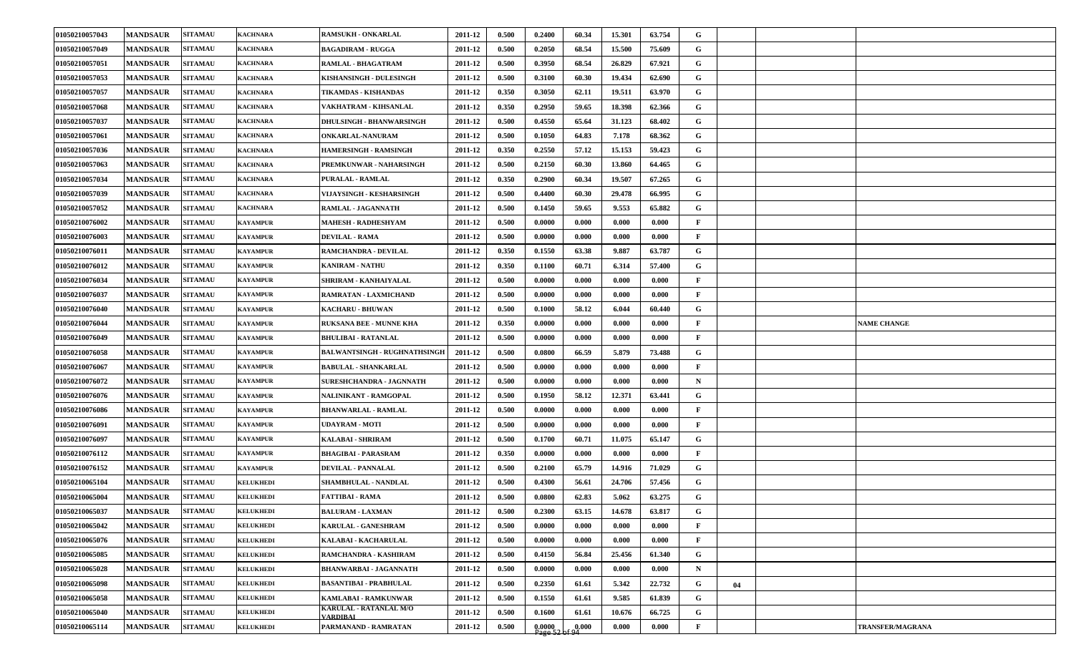| 01050210057043 | <b>MANDSAUR</b> | <b>SITAMAU</b> | <b>KACHNARA</b>  | <b>RAMSUKH - ONKARLAL</b>                 | 2011-12 | 0.500 | 0.2400              | 60.34 | 15.301 | 63.754 | G            |    |                    |
|----------------|-----------------|----------------|------------------|-------------------------------------------|---------|-------|---------------------|-------|--------|--------|--------------|----|--------------------|
| 01050210057049 | <b>MANDSAUR</b> | <b>SITAMAU</b> | <b>KACHNARA</b>  | <b>BAGADIRAM - RUGGA</b>                  | 2011-12 | 0.500 | 0.2050              | 68.54 | 15.500 | 75.609 | G            |    |                    |
| 01050210057051 | <b>MANDSAUR</b> | <b>SITAMAU</b> | <b>KACHNARA</b>  | <b>RAMLAL - BHAGATRAM</b>                 | 2011-12 | 0.500 | 0.3950              | 68.54 | 26.829 | 67.921 | G            |    |                    |
| 01050210057053 | <b>MANDSAUR</b> | <b>SITAMAU</b> | <b>KACHNARA</b>  | KISHANSINGH - DULESINGH                   | 2011-12 | 0.500 | 0.3100              | 60.30 | 19.434 | 62.690 | G            |    |                    |
| 01050210057057 | <b>MANDSAUR</b> | <b>SITAMAU</b> | <b>KACHNARA</b>  | TIKAMDAS - KISHANDAS                      | 2011-12 | 0.350 | 0.3050              | 62.11 | 19.511 | 63.970 | G            |    |                    |
| 01050210057068 | <b>MANDSAUR</b> | <b>SITAMAU</b> | <b>KACHNARA</b>  | VAKHATRAM - KIHSANLAL                     | 2011-12 | 0.350 | 0.2950              | 59.65 | 18.398 | 62.366 | G            |    |                    |
| 01050210057037 | <b>MANDSAUR</b> | <b>SITAMAU</b> | <b>KACHNARA</b>  | <b>DHULSINGH - BHANWARSINGH</b>           | 2011-12 | 0.500 | 0.4550              | 65.64 | 31.123 | 68.402 | G            |    |                    |
| 01050210057061 | <b>MANDSAUR</b> | <b>SITAMAU</b> | <b>KACHNARA</b>  | ONKARLAL-NANURAM                          | 2011-12 | 0.500 | 0.1050              | 64.83 | 7.178  | 68.362 | G            |    |                    |
| 01050210057036 | <b>MANDSAUR</b> | <b>SITAMAU</b> | <b>KACHNARA</b>  | <b>HAMERSINGH - RAMSINGH</b>              | 2011-12 | 0.350 | 0.2550              | 57.12 | 15.153 | 59.423 | G            |    |                    |
| 01050210057063 | <b>MANDSAUR</b> | <b>SITAMAU</b> | <b>KACHNARA</b>  | PREMKUNWAR - NAHARSINGH                   | 2011-12 | 0.500 | 0.2150              | 60.30 | 13.860 | 64.465 | G            |    |                    |
| 01050210057034 | <b>MANDSAUR</b> | <b>SITAMAU</b> | <b>KACHNARA</b>  | <b>PURALAL - RAMLAL</b>                   | 2011-12 | 0.350 | 0.2900              | 60.34 | 19.507 | 67.265 | G            |    |                    |
| 01050210057039 | <b>MANDSAUR</b> | <b>SITAMAU</b> | KACHNARA         | VIJAYSINGH - KESHARSINGH                  | 2011-12 | 0.500 | 0.4400              | 60.30 | 29.478 | 66.995 | G            |    |                    |
| 01050210057052 | <b>MANDSAUR</b> | <b>SITAMAU</b> | <b>KACHNARA</b>  | RAMLAL - JAGANNATH                        | 2011-12 | 0.500 | 0.1450              | 59.65 | 9.553  | 65.882 | G            |    |                    |
| 01050210076002 | <b>MANDSAUR</b> | <b>SITAMAU</b> | <b>KAYAMPUR</b>  | <b>MAHESH - RADHESHYAM</b>                | 2011-12 | 0.500 | 0.0000              | 0.000 | 0.000  | 0.000  | $\mathbf{F}$ |    |                    |
| 01050210076003 | <b>MANDSAUR</b> | <b>SITAMAU</b> | <b>KAYAMPUR</b>  | <b>DEVILAL - RAMA</b>                     | 2011-12 | 0.500 | 0.0000              | 0.000 | 0.000  | 0.000  | $\mathbf{F}$ |    |                    |
| 01050210076011 | <b>MANDSAUR</b> | <b>SITAMAU</b> | <b>KAYAMPUR</b>  | RAMCHANDRA - DEVILAL                      | 2011-12 | 0.350 | 0.1550              | 63.38 | 9.887  | 63.787 | G            |    |                    |
| 01050210076012 | <b>MANDSAUR</b> | <b>SITAMAU</b> | <b>KAYAMPUR</b>  | <b>KANIRAM - NATHU</b>                    | 2011-12 | 0.350 | 0.1100              | 60.71 | 6.314  | 57.400 | G            |    |                    |
| 01050210076034 | <b>MANDSAUR</b> | <b>SITAMAU</b> | <b>KAYAMPUR</b>  | SHRIRAM - KANHAIYALAL                     | 2011-12 | 0.500 | 0.0000              | 0.000 | 0.000  | 0.000  | $\mathbf{F}$ |    |                    |
| 01050210076037 | <b>MANDSAUR</b> | <b>SITAMAU</b> | <b>KAYAMPUR</b>  | RAMRATAN - LAXMICHAND                     | 2011-12 | 0.500 | 0.0000              | 0.000 | 0.000  | 0.000  | $\mathbf{F}$ |    |                    |
| 01050210076040 | <b>MANDSAUR</b> | <b>SITAMAU</b> | <b>KAYAMPUR</b>  | <b>KACHARU - BHUWAN</b>                   | 2011-12 | 0.500 | 0.1000              | 58.12 | 6.044  | 60.440 | G            |    |                    |
| 01050210076044 | <b>MANDSAUR</b> | <b>SITAMAU</b> | <b>KAYAMPUR</b>  | <b>RUKSANA BEE - MUNNE KHA</b>            | 2011-12 | 0.350 | 0.0000              | 0.000 | 0.000  | 0.000  | $\mathbf{F}$ |    | <b>NAME CHANGE</b> |
| 01050210076049 | <b>MANDSAUR</b> | <b>SITAMAU</b> | <b>KAYAMPUR</b>  | <b>BHULIBAI - RATANLAL</b>                | 2011-12 | 0.500 | 0.0000              | 0.000 | 0.000  | 0.000  | $\mathbf{F}$ |    |                    |
| 01050210076058 | <b>MANDSAUR</b> | <b>SITAMAU</b> | <b>KAYAMPUR</b>  | <b>BALWANTSINGH - RUGHNATHSINGH</b>       | 2011-12 | 0.500 | 0.0800              | 66.59 | 5.879  | 73.488 | G            |    |                    |
| 01050210076067 | <b>MANDSAUR</b> | <b>SITAMAU</b> | <b>KAYAMPUR</b>  | <b>BABULAL - SHANKARLAL</b>               | 2011-12 | 0.500 | 0.0000              | 0.000 | 0.000  | 0.000  | F            |    |                    |
| 01050210076072 | <b>MANDSAUR</b> | <b>SITAMAU</b> | <b>KAYAMPUR</b>  | SURESHCHANDRA - JAGNNATH                  | 2011-12 | 0.500 | 0.0000              | 0.000 | 0.000  | 0.000  | $\mathbf N$  |    |                    |
| 01050210076076 | <b>MANDSAUR</b> | <b>SITAMAU</b> | <b>KAYAMPUR</b>  | NALINIKANT - RAMGOPAL                     | 2011-12 | 0.500 | 0.1950              | 58.12 | 12.371 | 63.441 | G            |    |                    |
| 01050210076086 | <b>MANDSAUR</b> | <b>SITAMAU</b> | <b>KAYAMPUR</b>  | <b>BHANWARLAL - RAMLAL</b>                | 2011-12 | 0.500 | 0.0000              | 0.000 | 0.000  | 0.000  | $\mathbf{F}$ |    |                    |
| 01050210076091 | <b>MANDSAUR</b> | <b>SITAMAU</b> | <b>KAYAMPUR</b>  | UDAYRAM - MOTI                            | 2011-12 | 0.500 | 0.0000              | 0.000 | 0.000  | 0.000  | F            |    |                    |
| 01050210076097 | <b>MANDSAUR</b> | <b>SITAMAU</b> | <b>KAYAMPUR</b>  | <b>KALABAI - SHRIRAM</b>                  | 2011-12 | 0.500 | 0.1700              | 60.71 | 11.075 | 65.147 | G            |    |                    |
| 01050210076112 | <b>MANDSAUR</b> | <b>SITAMAU</b> | <b>KAYAMPUR</b>  | <b>BHAGIBAI - PARASRAM</b>                | 2011-12 | 0.350 | 0.0000              | 0.000 | 0.000  | 0.000  | $\mathbf{F}$ |    |                    |
| 01050210076152 | <b>MANDSAUR</b> | <b>SITAMAU</b> | <b>KAYAMPUR</b>  | DEVILAL - PANNALAL                        | 2011-12 | 0.500 | 0.2100              | 65.79 | 14.916 | 71.029 | G            |    |                    |
| 01050210065104 | <b>MANDSAUR</b> | <b>SITAMAU</b> | <b>KELUKHEDI</b> | SHAMBHULAL - NANDLAL                      | 2011-12 | 0.500 | 0.4300              | 56.61 | 24.706 | 57.456 | G            |    |                    |
| 01050210065004 | <b>MANDSAUR</b> | <b>SITAMAU</b> | <b>KELUKHEDI</b> | <b>FATTIBAI - RAMA</b>                    | 2011-12 | 0.500 | 0.0800              | 62.83 | 5.062  | 63.275 | G            |    |                    |
| 01050210065037 | <b>MANDSAUR</b> | <b>SITAMAU</b> | <b>KELUKHEDI</b> | <b>BALURAM - LAXMAN</b>                   | 2011-12 | 0.500 | 0.2300              | 63.15 | 14.678 | 63.817 | G            |    |                    |
| 01050210065042 | <b>MANDSAUR</b> | <b>SITAMAU</b> | <b>KELUKHEDI</b> | <b>KARULAL - GANESHRAM</b>                | 2011-12 | 0.500 | 0.0000              | 0.000 | 0.000  | 0.000  | $\mathbf{F}$ |    |                    |
| 01050210065076 | <b>MANDSAUR</b> | <b>SITAMAU</b> | <b>KELUKHEDI</b> | KALABAI - KACHARULAL                      | 2011-12 | 0.500 | 0.0000              | 0.000 | 0.000  | 0.000  | $\mathbf{F}$ |    |                    |
| 01050210065085 | <b>MANDSAUR</b> | <b>SITAMAU</b> | <b>KELUKHEDI</b> | RAMCHANDRA - KASHIRAM                     | 2011-12 | 0.500 | 0.4150              | 56.84 | 25.456 | 61.340 | $\mathbf G$  |    |                    |
| 01050210065028 | <b>MANDSAUR</b> | <b>SITAMAU</b> | <b>KELUKHEDI</b> | <b>BHANWARBAI - JAGANNATH</b>             | 2011-12 | 0.500 | 0.0000              | 0.000 | 0.000  | 0.000  | $\mathbf N$  |    |                    |
| 01050210065098 | <b>MANDSAUR</b> | <b>SITAMAU</b> | <b>KELUKHEDI</b> | <b>BASANTIBAI - PRABHULAL</b>             | 2011-12 | 0.500 | 0.2350              | 61.61 | 5.342  | 22.732 | G            | 04 |                    |
| 01050210065058 | <b>MANDSAUR</b> | <b>SITAMAU</b> | <b>KELUKHEDI</b> | <b>KAMLABAI - RAMKUNWAR</b>               | 2011-12 | 0.500 | 0.1550              | 61.61 | 9.585  | 61.839 | G            |    |                    |
| 01050210065040 | <b>MANDSAUR</b> | <b>SITAMAU</b> | <b>KELUKHEDI</b> | KARULAL - RATANLAL M/O<br><b>VARDIBAL</b> | 2011-12 | 0.500 | 0.1600              | 61.61 | 10.676 | 66.725 | G            |    |                    |
| 01050210065114 | <b>MANDSAUR</b> | <b>SITAMAU</b> | <b>KELUKHEDI</b> | PARMANAND - RAMRATAN                      | 2011-12 | 0.500 | $0.0000$<br>Page 52 | 0.000 | 0.000  | 0.000  | $\mathbf{F}$ |    | TRANSFER/MAGRANA   |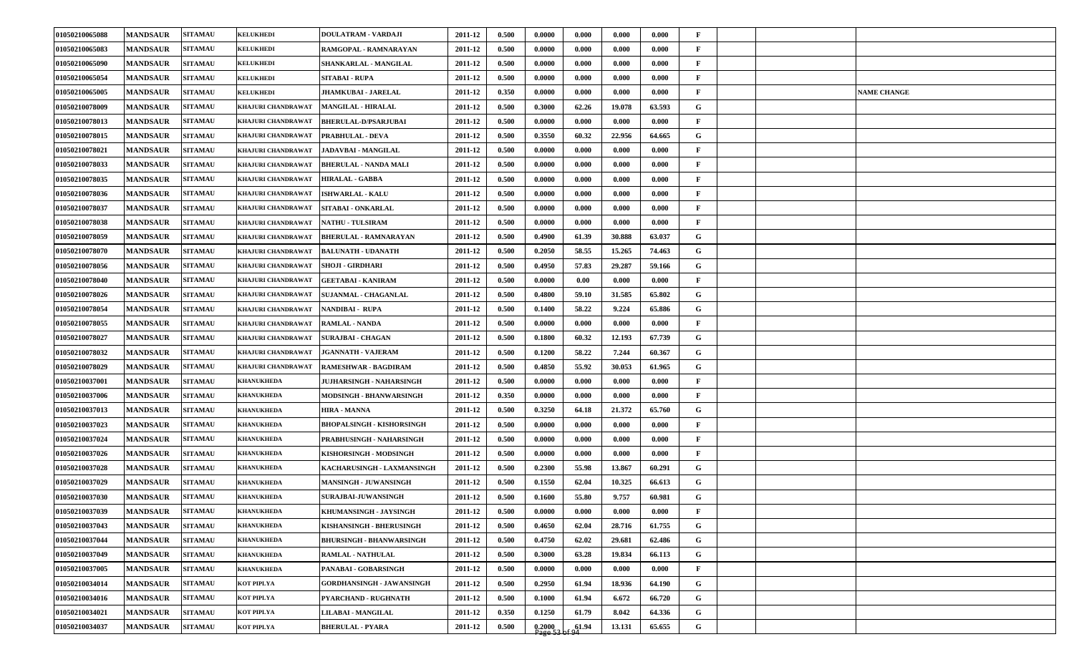| 01050210065088 | <b>MANDSAUR</b> | <b>SITAMAU</b> | <b>KELUKHEDI</b>          | <b>DOULATRAM - VARDAJI</b>       | 2011-12 | 0.500 | 0.0000              | 0.000 | 0.000  | 0.000  | F            |  |                    |
|----------------|-----------------|----------------|---------------------------|----------------------------------|---------|-------|---------------------|-------|--------|--------|--------------|--|--------------------|
| 01050210065083 | <b>MANDSAUR</b> | <b>SITAMAU</b> | <b>KELUKHEDI</b>          | RAMGOPAL - RAMNARAYAN            | 2011-12 | 0.500 | 0.0000              | 0.000 | 0.000  | 0.000  | $\mathbf{F}$ |  |                    |
| 01050210065090 | <b>MANDSAUR</b> | <b>SITAMAU</b> | <b>KELUKHEDI</b>          | SHANKARLAL - MANGILAL            | 2011-12 | 0.500 | 0.0000              | 0.000 | 0.000  | 0.000  | $\mathbf{F}$ |  |                    |
| 01050210065054 | <b>MANDSAUR</b> | <b>SITAMAU</b> | <b>KELUKHEDI</b>          | SITABAI - RUPA                   | 2011-12 | 0.500 | 0.0000              | 0.000 | 0.000  | 0.000  | $\mathbf{F}$ |  |                    |
| 01050210065005 | <b>MANDSAUR</b> | <b>SITAMAU</b> | <b>KELUKHEDI</b>          | <b>JHAMKUBAI - JARELAL</b>       | 2011-12 | 0.350 | 0.0000              | 0.000 | 0.000  | 0.000  | $\mathbf{F}$ |  | <b>NAME CHANGE</b> |
| 01050210078009 | <b>MANDSAUR</b> | <b>SITAMAU</b> | KHAJURI CHANDRAWAT        | <b>MANGILAL - HIRALAL</b>        | 2011-12 | 0.500 | 0.3000              | 62.26 | 19.078 | 63.593 | G            |  |                    |
| 01050210078013 | <b>MANDSAUR</b> | <b>SITAMAU</b> | KHAJURI CHANDRAWAT        | <b>BHERULAL-D/PSARJUBAI</b>      | 2011-12 | 0.500 | 0.0000              | 0.000 | 0.000  | 0.000  | $\mathbf{F}$ |  |                    |
| 01050210078015 | <b>MANDSAUR</b> | <b>SITAMAU</b> | KHAJURI CHANDRAWAT        | <b>PRABHULAL - DEVA</b>          | 2011-12 | 0.500 | 0.3550              | 60.32 | 22.956 | 64.665 | G            |  |                    |
| 01050210078021 | <b>MANDSAUR</b> | <b>SITAMAU</b> | KHAJURI CHANDRAWAT        | JADAVBAI - MANGILAL              | 2011-12 | 0.500 | 0.0000              | 0.000 | 0.000  | 0.000  | $\mathbf{F}$ |  |                    |
| 01050210078033 | <b>MANDSAUR</b> | <b>SITAMAU</b> | KHAJURI CHANDRAWAT        | <b>BHERULAL - NANDA MALI</b>     | 2011-12 | 0.500 | 0.0000              | 0.000 | 0.000  | 0.000  | $\mathbf{F}$ |  |                    |
| 01050210078035 | <b>MANDSAUR</b> | <b>SITAMAU</b> | <b>KHAJURI CHANDRAWAT</b> | <b>HIRALAL - GABBA</b>           | 2011-12 | 0.500 | 0.0000              | 0.000 | 0.000  | 0.000  | $\mathbf{F}$ |  |                    |
| 01050210078036 | <b>MANDSAUR</b> | <b>SITAMAU</b> | KHAJURI CHANDRAWAT        | <b>ISHWARLAL - KALU</b>          | 2011-12 | 0.500 | 0.0000              | 0.000 | 0.000  | 0.000  | $\mathbf{F}$ |  |                    |
| 01050210078037 | <b>MANDSAUR</b> | <b>SITAMAU</b> | KHAJURI CHANDRAWAT        | <b>SITABAI - ONKARLAL</b>        | 2011-12 | 0.500 | 0.0000              | 0.000 | 0.000  | 0.000  | $\mathbf{F}$ |  |                    |
| 01050210078038 | <b>MANDSAUR</b> | <b>SITAMAU</b> | KHAJURI CHANDRAWAT        | <b>NATHU - TULSIRAM</b>          | 2011-12 | 0.500 | 0.0000              | 0.000 | 0.000  | 0.000  | F            |  |                    |
| 01050210078059 | <b>MANDSAUR</b> | <b>SITAMAU</b> | KHAJURI CHANDRAWAT        | <b>BHERULAL - RAMNARAYAN</b>     | 2011-12 | 0.500 | 0.4900              | 61.39 | 30.888 | 63.037 | G            |  |                    |
| 01050210078070 | <b>MANDSAUR</b> | <b>SITAMAU</b> | KHAJURI CHANDRAWAT        | <b>BALUNATH - UDANATH</b>        | 2011-12 | 0.500 | 0.2050              | 58.55 | 15.265 | 74.463 | G            |  |                    |
| 01050210078056 | <b>MANDSAUR</b> | <b>SITAMAU</b> | KHAJURI CHANDRAWAT        | <b>SHOJI - GIRDHARI</b>          | 2011-12 | 0.500 | 0.4950              | 57.83 | 29.287 | 59.166 | G            |  |                    |
| 01050210078040 | <b>MANDSAUR</b> | <b>SITAMAU</b> | KHAJURI CHANDRAWAT        | <b>GEETABAI - KANIRAM</b>        | 2011-12 | 0.500 | 0.0000              | 0.00  | 0.000  | 0.000  | $\mathbf{F}$ |  |                    |
| 01050210078026 | <b>MANDSAUR</b> | <b>SITAMAU</b> | KHAJURI CHANDRAWAT        | <b>SUJANMAL - CHAGANLAL</b>      | 2011-12 | 0.500 | 0.4800              | 59.10 | 31.585 | 65.802 | G            |  |                    |
| 01050210078054 | <b>MANDSAUR</b> | <b>SITAMAU</b> | KHAJURI CHANDRAWAT        | <b>NANDIBAI RUPA</b>             | 2011-12 | 0.500 | 0.1400              | 58.22 | 9.224  | 65.886 | G            |  |                    |
| 01050210078055 | <b>MANDSAUR</b> | <b>SITAMAU</b> | KHAJURI CHANDRAWAT        | <b>RAMLAL - NANDA</b>            | 2011-12 | 0.500 | 0.0000              | 0.000 | 0.000  | 0.000  | F            |  |                    |
| 01050210078027 | <b>MANDSAUR</b> | <b>SITAMAU</b> | KHAJURI CHANDRAWAT        | <b>SURAJBAI - CHAGAN</b>         | 2011-12 | 0.500 | 0.1800              | 60.32 | 12.193 | 67.739 | G            |  |                    |
| 01050210078032 | <b>MANDSAUR</b> | <b>SITAMAU</b> | <b>KHAJURI CHANDRAWAT</b> | <b>JGANNATH - VAJERAM</b>        | 2011-12 | 0.500 | 0.1200              | 58.22 | 7.244  | 60.367 | G            |  |                    |
| 01050210078029 | <b>MANDSAUR</b> | <b>SITAMAU</b> | <b>KHAJURI CHANDRAWAT</b> | <b>RAMESHWAR - BAGDIRAM</b>      | 2011-12 | 0.500 | 0.4850              | 55.92 | 30.053 | 61.965 | G            |  |                    |
| 01050210037001 | <b>MANDSAUR</b> | <b>SITAMAU</b> | <b>KHANUKHEDA</b>         | <b>JUJHARSINGH - NAHARSINGH</b>  | 2011-12 | 0.500 | 0.0000              | 0.000 | 0.000  | 0.000  | F            |  |                    |
| 01050210037006 | <b>MANDSAUR</b> | <b>SITAMAU</b> | <b>KHANUKHEDA</b>         | MODSINGH - BHANWARSINGH          | 2011-12 | 0.350 | 0.0000              | 0.000 | 0.000  | 0.000  | $\mathbf{F}$ |  |                    |
| 01050210037013 | <b>MANDSAUR</b> | <b>SITAMAU</b> | <b>KHANUKHEDA</b>         | <b>HIRA - MANNA</b>              | 2011-12 | 0.500 | 0.3250              | 64.18 | 21.372 | 65.760 | G            |  |                    |
| 01050210037023 | <b>MANDSAUR</b> | <b>SITAMAU</b> | <b>KHANUKHEDA</b>         | <b>BHOPALSINGH - KISHORSINGH</b> | 2011-12 | 0.500 | 0.0000              | 0.000 | 0.000  | 0.000  | $\mathbf{F}$ |  |                    |
| 01050210037024 | <b>MANDSAUR</b> | <b>SITAMAU</b> | <b>KHANUKHEDA</b>         | PRABHUSINGH - NAHARSINGH         | 2011-12 | 0.500 | 0.0000              | 0.000 | 0.000  | 0.000  | F            |  |                    |
| 01050210037026 | <b>MANDSAUR</b> | <b>SITAMAU</b> | <b>KHANUKHEDA</b>         | KISHORSINGH - MODSINGH           | 2011-12 | 0.500 | 0.0000              | 0.000 | 0.000  | 0.000  | $\mathbf{F}$ |  |                    |
| 01050210037028 | <b>MANDSAUR</b> | <b>SITAMAU</b> | <b>KHANUKHEDA</b>         | KACHARUSINGH - LAXMANSINGH       | 2011-12 | 0.500 | 0.2300              | 55.98 | 13.867 | 60.291 | G            |  |                    |
| 01050210037029 | <b>MANDSAUR</b> | <b>SITAMAU</b> | <b>KHANUKHEDA</b>         | MANSINGH - JUWANSINGH            | 2011-12 | 0.500 | 0.1550              | 62.04 | 10.325 | 66.613 | G            |  |                    |
| 01050210037030 | <b>MANDSAUR</b> | <b>SITAMAU</b> | <b>KHANUKHEDA</b>         | <b>SURAJBAI-JUWANSINGH</b>       | 2011-12 | 0.500 | 0.1600              | 55.80 | 9.757  | 60.981 | G            |  |                    |
| 01050210037039 | <b>MANDSAUR</b> | <b>SITAMAU</b> | <b>KHANUKHEDA</b>         | KHUMANSINGH - JAYSINGH           | 2011-12 | 0.500 | 0.0000              | 0.000 | 0.000  | 0.000  | F            |  |                    |
| 01050210037043 | <b>MANDSAUR</b> | <b>SITAMAU</b> | <b>KHANUKHEDA</b>         | KISHANSINGH - BHERUSINGH         | 2011-12 | 0.500 | 0.4650              | 62.04 | 28.716 | 61.755 | $\mathbf{G}$ |  |                    |
| 01050210037044 | <b>MANDSAUR</b> | <b>SITAMAU</b> | <b>KHANUKHEDA</b>         | <b>BHURSINGH - BHANWARSINGH</b>  | 2011-12 | 0.500 | 0.4750              | 62.02 | 29.681 | 62.486 | G            |  |                    |
| 01050210037049 | <b>MANDSAUR</b> | <b>SITAMAU</b> | <b>KHANUKHEDA</b>         | <b>RAMLAL - NATHULAL</b>         | 2011-12 | 0.500 | 0.3000              | 63.28 | 19.834 | 66.113 | G            |  |                    |
| 01050210037005 | <b>MANDSAUR</b> | <b>SITAMAU</b> | <b>KHANUKHEDA</b>         | PANABAI - GOBARSINGH             | 2011-12 | 0.500 | 0.0000              | 0.000 | 0.000  | 0.000  | $\mathbf{F}$ |  |                    |
| 01050210034014 | <b>MANDSAUR</b> | <b>SITAMAU</b> | KOT PIPLYA                | GORDHANSINGH - JAWANSINGH        | 2011-12 | 0.500 | 0.2950              | 61.94 | 18.936 | 64.190 | $\mathbf{G}$ |  |                    |
| 01050210034016 | <b>MANDSAUR</b> | <b>SITAMAU</b> | KOT PIPLYA                | PYARCHAND - RUGHNATH             | 2011-12 | 0.500 | 0.1000              | 61.94 | 6.672  | 66.720 | $\mathbf G$  |  |                    |
| 01050210034021 | <b>MANDSAUR</b> | <b>SITAMAU</b> | KOT PIPLYA                | LILABAI - MANGILAL               | 2011-12 | 0.350 | 0.1250              | 61.79 | 8.042  | 64.336 | G            |  |                    |
| 01050210034037 | <b>MANDSAUR</b> | <b>SITAMAU</b> | KOT PIPLYA                | <b>BHERULAL - PYARA</b>          | 2011-12 | 0.500 | $0.2000$<br>Page 53 | 61.94 | 13.131 | 65.655 | G            |  |                    |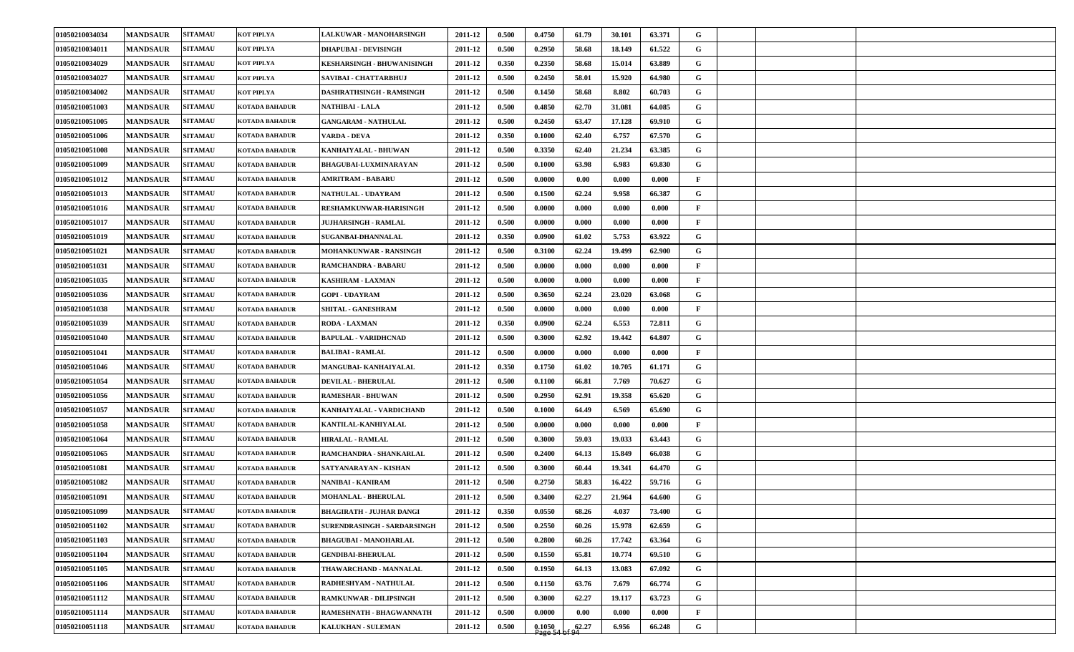| 01050210034034 | <b>MANDSAUR</b> | <b>SITAMAU</b> | <b>KOT PIPLYA</b>     | <b>LALKUWAR - MANOHARSINGH</b>  | 2011-12 | 0.500 | 0.4750 | 61.79 | 30.101 | 63.371 | G            |  |  |
|----------------|-----------------|----------------|-----------------------|---------------------------------|---------|-------|--------|-------|--------|--------|--------------|--|--|
| 01050210034011 | <b>MANDSAUR</b> | <b>SITAMAU</b> | KOT PIPLYA            | <b>DHAPUBAI - DEVISINGH</b>     | 2011-12 | 0.500 | 0.2950 | 58.68 | 18.149 | 61.522 | G            |  |  |
| 01050210034029 | <b>MANDSAUR</b> | <b>SITAMAU</b> | <b>KOT PIPLYA</b>     | KESHARSINGH - BHUWANISINGH      | 2011-12 | 0.350 | 0.2350 | 58.68 | 15.014 | 63.889 | G            |  |  |
| 01050210034027 | <b>MANDSAUR</b> | <b>SITAMAU</b> | <b>KOT PIPLYA</b>     | SAVIBAI - CHATTARBHUJ           | 2011-12 | 0.500 | 0.2450 | 58.01 | 15.920 | 64.980 | G            |  |  |
| 01050210034002 | <b>MANDSAUR</b> | <b>SITAMAU</b> | <b>KOT PIPLYA</b>     | DASHRATHSINGH - RAMSINGH        | 2011-12 | 0.500 | 0.1450 | 58.68 | 8.802  | 60.703 | G            |  |  |
| 01050210051003 | <b>MANDSAUR</b> | <b>SITAMAU</b> | <b>KOTADA BAHADUR</b> | NATHIBAI - LALA                 | 2011-12 | 0.500 | 0.4850 | 62.70 | 31.081 | 64.085 | G            |  |  |
| 01050210051005 | <b>MANDSAUR</b> | <b>SITAMAU</b> | <b>KOTADA BAHADUR</b> | <b>GANGARAM - NATHULAL</b>      | 2011-12 | 0.500 | 0.2450 | 63.47 | 17.128 | 69.910 | G            |  |  |
| 01050210051006 | <b>MANDSAUR</b> | <b>SITAMAU</b> | <b>KOTADA BAHADUR</b> | VARDA - DEVA                    | 2011-12 | 0.350 | 0.1000 | 62.40 | 6.757  | 67.570 | G            |  |  |
| 01050210051008 | <b>MANDSAUR</b> | <b>SITAMAU</b> | <b>KOTADA BAHADUR</b> | KANHAIYALAL - BHUWAN            | 2011-12 | 0.500 | 0.3350 | 62.40 | 21.234 | 63.385 | G            |  |  |
| 01050210051009 | <b>MANDSAUR</b> | <b>SITAMAU</b> | <b>KOTADA BAHADUR</b> | <b>BHAGUBAI-LUXMINARAYAN</b>    | 2011-12 | 0.500 | 0.1000 | 63.98 | 6.983  | 69.830 | G            |  |  |
| 01050210051012 | <b>MANDSAUR</b> | <b>SITAMAU</b> | <b>KOTADA BAHADUR</b> | <b>AMRITRAM - BABARU</b>        | 2011-12 | 0.500 | 0.0000 | 0.00  | 0.000  | 0.000  | $\mathbf{F}$ |  |  |
| 01050210051013 | <b>MANDSAUR</b> | <b>SITAMAU</b> | <b>KOTADA BAHADUR</b> | NATHULAL - UDAYRAM              | 2011-12 | 0.500 | 0.1500 | 62.24 | 9.958  | 66.387 | G            |  |  |
| 01050210051016 | <b>MANDSAUR</b> | <b>SITAMAU</b> | <b>KOTADA BAHADUR</b> | RESHAMKUNWAR-HARISINGH          | 2011-12 | 0.500 | 0.0000 | 0.000 | 0.000  | 0.000  | $\mathbf{F}$ |  |  |
| 01050210051017 | <b>MANDSAUR</b> | <b>SITAMAU</b> | <b>KOTADA BAHADUR</b> | <b>JUJHARSINGH - RAMLAL</b>     | 2011-12 | 0.500 | 0.0000 | 0.000 | 0.000  | 0.000  | $\mathbf{F}$ |  |  |
| 01050210051019 | <b>MANDSAUR</b> | <b>SITAMAU</b> | <b>KOTADA BAHADUR</b> | SUGANBAI-DHANNALAL              | 2011-12 | 0.350 | 0.0900 | 61.02 | 5.753  | 63.922 | G            |  |  |
| 01050210051021 | <b>MANDSAUR</b> | <b>SITAMAU</b> | <b>KOTADA BAHADUR</b> | <b>MOHANKUNWAR - RANSINGH</b>   | 2011-12 | 0.500 | 0.3100 | 62.24 | 19.499 | 62.900 | G            |  |  |
| 01050210051031 | <b>MANDSAUR</b> | <b>SITAMAU</b> | <b>KOTADA BAHADUR</b> | <b>RAMCHANDRA - BABARU</b>      | 2011-12 | 0.500 | 0.0000 | 0.000 | 0.000  | 0.000  | F            |  |  |
| 01050210051035 | <b>MANDSAUR</b> | <b>SITAMAU</b> | <b>KOTADA BAHADUR</b> | KASHIRAM - LAXMAN               | 2011-12 | 0.500 | 0.0000 | 0.000 | 0.000  | 0.000  | $\mathbf{F}$ |  |  |
| 01050210051036 | <b>MANDSAUR</b> | <b>SITAMAU</b> | <b>KOTADA BAHADUR</b> | <b>GOPI - UDAYRAM</b>           | 2011-12 | 0.500 | 0.3650 | 62.24 | 23.020 | 63.068 | G            |  |  |
| 01050210051038 | <b>MANDSAUR</b> | <b>SITAMAU</b> | <b>KOTADA BAHADUR</b> | SHITAL - GANESHRAM              | 2011-12 | 0.500 | 0.0000 | 0.000 | 0.000  | 0.000  | $\mathbf{F}$ |  |  |
| 01050210051039 | <b>MANDSAUR</b> | <b>SITAMAU</b> | <b>KOTADA BAHADUR</b> | RODA - LAXMAN                   | 2011-12 | 0.350 | 0.0900 | 62.24 | 6.553  | 72.811 | G            |  |  |
| 01050210051040 | <b>MANDSAUR</b> | <b>SITAMAU</b> | <b>KOTADA BAHADUR</b> | <b>BAPULAL - VARIDHCNAD</b>     | 2011-12 | 0.500 | 0.3000 | 62.92 | 19.442 | 64.807 | G            |  |  |
| 01050210051041 | <b>MANDSAUR</b> | <b>SITAMAU</b> | <b>KOTADA BAHADUR</b> | <b>BALIBAI - RAMLAL</b>         | 2011-12 | 0.500 | 0.0000 | 0.000 | 0.000  | 0.000  | $\mathbf{F}$ |  |  |
| 01050210051046 | <b>MANDSAUR</b> | <b>SITAMAU</b> | <b>KOTADA BAHADUR</b> | MANGUBAI- KANHAIYALAL           | 2011-12 | 0.350 | 0.1750 | 61.02 | 10.705 | 61.171 | G            |  |  |
| 01050210051054 | <b>MANDSAUR</b> | <b>SITAMAU</b> | <b>KOTADA BAHADUR</b> | <b>DEVILAL - BHERULAL</b>       | 2011-12 | 0.500 | 0.1100 | 66.81 | 7.769  | 70.627 | G            |  |  |
| 01050210051056 | <b>MANDSAUR</b> | <b>SITAMAU</b> | <b>KOTADA BAHADUR</b> | <b>RAMESHAR - BHUWAN</b>        | 2011-12 | 0.500 | 0.2950 | 62.91 | 19.358 | 65.620 | G            |  |  |
| 01050210051057 | <b>MANDSAUR</b> | <b>SITAMAU</b> | <b>KOTADA BAHADUR</b> | KANHAIYALAL - VARDICHAND        | 2011-12 | 0.500 | 0.1000 | 64.49 | 6.569  | 65.690 | G            |  |  |
| 01050210051058 | <b>MANDSAUR</b> | <b>SITAMAU</b> | <b>KOTADA BAHADUR</b> | KANTILAL-KANHIYALAL             | 2011-12 | 0.500 | 0.0000 | 0.000 | 0.000  | 0.000  | $\mathbf{F}$ |  |  |
| 01050210051064 | <b>MANDSAUR</b> | <b>SITAMAU</b> | <b>KOTADA BAHADUR</b> | HIRALAL - RAMLAL                | 2011-12 | 0.500 | 0.3000 | 59.03 | 19.033 | 63.443 | G            |  |  |
| 01050210051065 | <b>MANDSAUR</b> | <b>SITAMAU</b> | <b>KOTADA BAHADUR</b> | RAMCHANDRA - SHANKARLAL         | 2011-12 | 0.500 | 0.2400 | 64.13 | 15.849 | 66.038 | G            |  |  |
| 01050210051081 | <b>MANDSAUR</b> | <b>SITAMAU</b> | <b>KOTADA BAHADUR</b> | SATYANARAYAN - KISHAN           | 2011-12 | 0.500 | 0.3000 | 60.44 | 19.341 | 64.470 | G            |  |  |
| 01050210051082 | <b>MANDSAUR</b> | <b>SITAMAU</b> | <b>KOTADA BAHADUR</b> | NANIBAI - KANIRAM               | 2011-12 | 0.500 | 0.2750 | 58.83 | 16.422 | 59.716 | G            |  |  |
| 01050210051091 | <b>MANDSAUR</b> | <b>SITAMAU</b> | <b>KOTADA BAHADUR</b> | MOHANLAL - BHERULAL             | 2011-12 | 0.500 | 0.3400 | 62.27 | 21.964 | 64.600 | G            |  |  |
| 01050210051099 | <b>MANDSAUR</b> | <b>SITAMAU</b> | <b>KOTADA BAHADUR</b> | <b>BHAGIRATH - JUJHAR DANGI</b> | 2011-12 | 0.350 | 0.0550 | 68.26 | 4.037  | 73.400 | G            |  |  |
| 01050210051102 | <b>MANDSAUR</b> | <b>SITAMAU</b> | <b>KOTADA BAHADUR</b> | SURENDRASINGH - SARDARSINGH     | 2011-12 | 0.500 | 0.2550 | 60.26 | 15.978 | 62.659 | G            |  |  |
| 01050210051103 | <b>MANDSAUR</b> | <b>SITAMAU</b> | <b>KOTADA BAHADUR</b> | <b>BHAGUBAI - MANOHARLAL</b>    | 2011-12 | 0.500 | 0.2800 | 60.26 | 17.742 | 63.364 | G            |  |  |
| 01050210051104 | <b>MANDSAUR</b> | <b>SITAMAU</b> | <b>KOTADA BAHADUR</b> | <b>GENDIBAI-BHERULAL</b>        | 2011-12 | 0.500 | 0.1550 | 65.81 | 10.774 | 69.510 | G            |  |  |
| 01050210051105 | <b>MANDSAUR</b> | <b>SITAMAU</b> | <b>KOTADA BAHADUR</b> | THAWARCHAND - MANNALAL          | 2011-12 | 0.500 | 0.1950 | 64.13 | 13.083 | 67.092 | G            |  |  |
| 01050210051106 | <b>MANDSAUR</b> | <b>SITAMAU</b> | <b>KOTADA BAHADUR</b> | RADHESHYAM - NATHULAL           | 2011-12 | 0.500 | 0.1150 | 63.76 | 7.679  | 66.774 | $\mathbf G$  |  |  |
| 01050210051112 | <b>MANDSAUR</b> | <b>SITAMAU</b> | <b>KOTADA BAHADUR</b> | RAMKUNWAR - DILIPSINGH          | 2011-12 | 0.500 | 0.3000 | 62.27 | 19.117 | 63.723 | $\mathbf G$  |  |  |
| 01050210051114 | <b>MANDSAUR</b> | <b>SITAMAU</b> | <b>KOTADA BAHADUR</b> | RAMESHNATH - BHAGWANNATH        | 2011-12 | 0.500 | 0.0000 | 0.00  | 0.000  | 0.000  | $\mathbf{F}$ |  |  |
| 01050210051118 | <b>MANDSAUR</b> | <b>SITAMAU</b> | KOTADA BAHADUR        | <b>KALUKHAN - SULEMAN</b>       | 2011-12 | 0.500 | 0.1050 | 62.27 | 6.956  | 66.248 | $\mathbf G$  |  |  |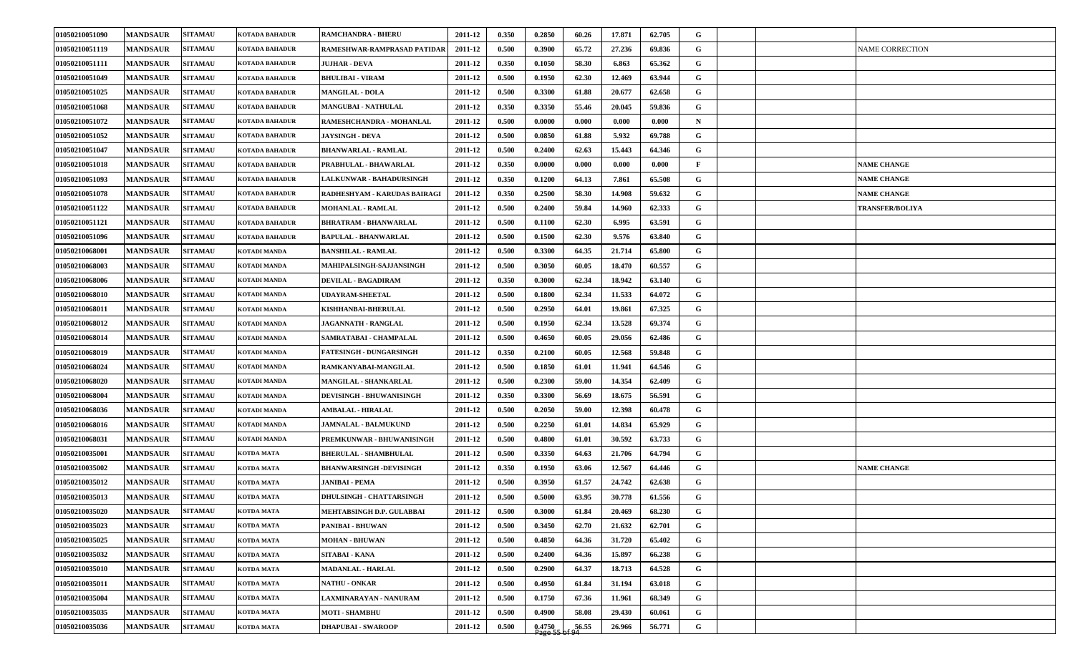| 01050210051090 | <b>MANDSAUR</b> | <b>SITAMAU</b> | <b>KOTADA BAHADUR</b> | <b>RAMCHANDRA - BHERU</b>       | 2011-12 | 0.350 | 0.2850              | 60.26              | 17.871 | 62.705 | G            |  |                        |
|----------------|-----------------|----------------|-----------------------|---------------------------------|---------|-------|---------------------|--------------------|--------|--------|--------------|--|------------------------|
| 01050210051119 | <b>MANDSAUR</b> | <b>SITAMAU</b> | <b>KOTADA BAHADUR</b> | RAMESHWAR-RAMPRASAD PATIDAR     | 2011-12 | 0.500 | 0.3900              | 65.72              | 27.236 | 69.836 | G            |  | <b>NAME CORRECTION</b> |
| 01050210051111 | <b>MANDSAUR</b> | <b>SITAMAU</b> | <b>KOTADA BAHADUR</b> | <b>JUJHAR - DEVA</b>            | 2011-12 | 0.350 | 0.1050              | 58.30              | 6.863  | 65.362 | G            |  |                        |
| 01050210051049 | <b>MANDSAUR</b> | <b>SITAMAU</b> | <b>KOTADA BAHADUR</b> | <b>BHULIBAI - VIRAM</b>         | 2011-12 | 0.500 | 0.1950              | 62.30              | 12.469 | 63.944 | G            |  |                        |
| 01050210051025 | <b>MANDSAUR</b> | <b>SITAMAU</b> | <b>KOTADA BAHADUR</b> | <b>MANGILAL - DOLA</b>          | 2011-12 | 0.500 | 0.3300              | 61.88              | 20.677 | 62.658 | G            |  |                        |
| 01050210051068 | <b>MANDSAUR</b> | <b>SITAMAU</b> | <b>KOTADA BAHADUR</b> | <b>MANGUBAI - NATHULAL</b>      | 2011-12 | 0.350 | 0.3350              | 55.46              | 20.045 | 59.836 | G            |  |                        |
| 01050210051072 | <b>MANDSAUR</b> | <b>SITAMAU</b> | <b>KOTADA BAHADUR</b> | RAMESHCHANDRA - MOHANLAL        | 2011-12 | 0.500 | 0.0000              | 0.000              | 0.000  | 0.000  | $\mathbf N$  |  |                        |
| 01050210051052 | <b>MANDSAUR</b> | <b>SITAMAU</b> | <b>KOTADA BAHADUR</b> | <b>JAYSINGH - DEVA</b>          | 2011-12 | 0.500 | 0.0850              | 61.88              | 5.932  | 69.788 | G            |  |                        |
| 01050210051047 | <b>MANDSAUR</b> | <b>SITAMAU</b> | <b>KOTADA BAHADUR</b> | <b>BHANWARLAL - RAMLAL</b>      | 2011-12 | 0.500 | 0.2400              | 62.63              | 15.443 | 64.346 | G            |  |                        |
| 01050210051018 | <b>MANDSAUR</b> | <b>SITAMAU</b> | <b>KOTADA BAHADUR</b> | PRABHULAL - BHAWARLAL           | 2011-12 | 0.350 | 0.0000              | 0.000              | 0.000  | 0.000  | $\mathbf{F}$ |  | <b>NAME CHANGE</b>     |
| 01050210051093 | <b>MANDSAUR</b> | <b>SITAMAU</b> | <b>KOTADA BAHADUR</b> | <b>LALKUNWAR - BAHADURSINGH</b> | 2011-12 | 0.350 | 0.1200              | 64.13              | 7.861  | 65.508 | G            |  | <b>NAME CHANGE</b>     |
| 01050210051078 | <b>MANDSAUR</b> | <b>SITAMAU</b> | KOTADA BAHADUR        | RADHESHYAM - KARUDAS BAIRAGI    | 2011-12 | 0.350 | 0.2500              | 58.30              | 14.908 | 59.632 | G            |  | <b>NAME CHANGE</b>     |
| 01050210051122 | <b>MANDSAUR</b> | <b>SITAMAU</b> | KOTADA BAHADUR        | <b>MOHANLAL - RAMLAL</b>        | 2011-12 | 0.500 | 0.2400              | 59.84              | 14.960 | 62.333 | G            |  | <b>TRANSFER/BOLIYA</b> |
| 01050210051121 | <b>MANDSAUR</b> | <b>SITAMAU</b> | <b>KOTADA BAHADUR</b> | BHRATRAM - BHANWARLAL           | 2011-12 | 0.500 | 0.1100              | 62.30              | 6.995  | 63.591 | G            |  |                        |
| 01050210051096 | <b>MANDSAUR</b> | <b>SITAMAU</b> | KOTADA BAHADUR        | <b>BAPULAL - BHANWARLAL</b>     | 2011-12 | 0.500 | 0.1500              | 62.30              | 9.576  | 63.840 | G            |  |                        |
| 01050210068001 | <b>MANDSAUR</b> | <b>SITAMAU</b> | KOTADI MANDA          | <b>BANSHILAL - RAMLAL</b>       | 2011-12 | 0.500 | 0.3300              | 64.35              | 21.714 | 65.800 | G            |  |                        |
| 01050210068003 | <b>MANDSAUR</b> | <b>SITAMAU</b> | KOTADI MANDA          | <b>MAHIPALSINGH-SAJJANSINGH</b> | 2011-12 | 0.500 | 0.3050              | 60.05              | 18.470 | 60.557 | G            |  |                        |
| 01050210068006 | <b>MANDSAUR</b> | <b>SITAMAU</b> | KOTADI MANDA          | DEVILAL - BAGADIRAM             | 2011-12 | 0.350 | 0.3000              | 62.34              | 18.942 | 63.140 | G            |  |                        |
| 01050210068010 | <b>MANDSAUR</b> | <b>SITAMAU</b> | KOTADI MANDA          | UDAYRAM-SHEETAL                 | 2011-12 | 0.500 | 0.1800              | 62.34              | 11.533 | 64.072 | G            |  |                        |
| 01050210068011 | <b>MANDSAUR</b> | <b>SITAMAU</b> | KOTADI MANDA          | KISHHANBAI-BHERULAL             | 2011-12 | 0.500 | 0.2950              | 64.01              | 19.861 | 67.325 | G            |  |                        |
| 01050210068012 | <b>MANDSAUR</b> | <b>SITAMAU</b> | KOTADI MANDA          | <b>JAGANNATH - RANGLAL</b>      | 2011-12 | 0.500 | 0.1950              | 62.34              | 13.528 | 69.374 | G            |  |                        |
| 01050210068014 | <b>MANDSAUR</b> | <b>SITAMAU</b> | KOTADI MANDA          | SAMRATABAI - CHAMPALAL          | 2011-12 | 0.500 | 0.4650              | 60.05              | 29.056 | 62.486 | G            |  |                        |
| 01050210068019 | <b>MANDSAUR</b> | <b>SITAMAU</b> | KOTADI MANDA          | <b>FATESINGH - DUNGARSINGH</b>  | 2011-12 | 0.350 | 0.2100              | 60.05              | 12.568 | 59.848 | G            |  |                        |
| 01050210068024 | <b>MANDSAUR</b> | <b>SITAMAU</b> | KOTADI MANDA          | RAMKANYABAI-MANGILAL            | 2011-12 | 0.500 | 0.1850              | 61.01              | 11.941 | 64.546 | G            |  |                        |
| 01050210068020 | <b>MANDSAUR</b> | <b>SITAMAU</b> | <b>KOTADI MANDA</b>   | <b>MANGILAL - SHANKARLAL</b>    | 2011-12 | 0.500 | 0.2300              | 59.00              | 14.354 | 62.409 | G            |  |                        |
| 01050210068004 | <b>MANDSAUR</b> | <b>SITAMAU</b> | KOTADI MANDA          | <b>DEVISINGH - BHUWANISINGH</b> | 2011-12 | 0.350 | 0.3300              | 56.69              | 18.675 | 56.591 | G            |  |                        |
| 01050210068036 | <b>MANDSAUR</b> | <b>SITAMAU</b> | KOTADI MANDA          | <b>AMBALAL - HIRALAL</b>        | 2011-12 | 0.500 | 0.2050              | 59.00              | 12.398 | 60.478 | G            |  |                        |
| 01050210068016 | <b>MANDSAUR</b> | <b>SITAMAU</b> | KOTADI MANDA          | <b>JAMNALAL - BALMUKUND</b>     | 2011-12 | 0.500 | 0.2250              | 61.01              | 14.834 | 65.929 | G            |  |                        |
| 01050210068031 | <b>MANDSAUR</b> | <b>SITAMAU</b> | KOTADI MANDA          | PREMKUNWAR - BHUWANISINGH       | 2011-12 | 0.500 | 0.4800              | 61.01              | 30.592 | 63.733 | G            |  |                        |
| 01050210035001 | <b>MANDSAUR</b> | <b>SITAMAU</b> | KOTDA MATA            | <b>BHERULAL - SHAMBHULAL</b>    | 2011-12 | 0.500 | 0.3350              | 64.63              | 21.706 | 64.794 | G            |  |                        |
| 01050210035002 | <b>MANDSAUR</b> | <b>SITAMAU</b> | KOTDA MATA            | <b>BHANWARSINGH -DEVISINGH</b>  | 2011-12 | 0.350 | 0.1950              | 63.06              | 12.567 | 64.446 | G            |  | <b>NAME CHANGE</b>     |
| 01050210035012 | <b>MANDSAUR</b> | <b>SITAMAU</b> | KOTDA MATA            | JANIBAI - PEMA                  | 2011-12 | 0.500 | 0.3950              | 61.57              | 24.742 | 62.638 | G            |  |                        |
| 01050210035013 | <b>MANDSAUR</b> | <b>SITAMAU</b> | <b>KOTDA MATA</b>     | DHULSINGH - CHATTARSINGH        | 2011-12 | 0.500 | 0.5000              | 63.95              | 30.778 | 61.556 | G            |  |                        |
| 01050210035020 | <b>MANDSAUR</b> | <b>SITAMAU</b> | KOTDA MATA            | MEHTABSINGH D.P. GULABBAI       | 2011-12 | 0.500 | 0.3000              | 61.84              | 20.469 | 68.230 | G            |  |                        |
| 01050210035023 | <b>MANDSAUR</b> | <b>SITAMAU</b> | <b>KOTDA MATA</b>     | PANIBAI - BHUWAN                | 2011-12 | 0.500 | 0.3450              | 62.70              | 21.632 | 62.701 | G            |  |                        |
| 01050210035025 | <b>MANDSAUR</b> | <b>SITAMAU</b> | <b>KOTDA MATA</b>     | <b>MOHAN - BHUWAN</b>           | 2011-12 | 0.500 | 0.4850              | 64.36              | 31.720 | 65.402 | G            |  |                        |
| 01050210035032 | <b>MANDSAUR</b> | <b>SITAMAU</b> | KOTDA MATA            | SITABAI - KANA                  | 2011-12 | 0.500 | 0.2400              | 64.36              | 15.897 | 66.238 | G            |  |                        |
| 01050210035010 | <b>MANDSAUR</b> | <b>SITAMAU</b> | <b>KOTDA MATA</b>     | MADANLAL - HARLAL               | 2011-12 | 0.500 | 0.2900              | 64.37              | 18.713 | 64.528 | G            |  |                        |
| 01050210035011 | <b>MANDSAUR</b> | <b>SITAMAU</b> | KOTDA MATA            | NATHU - ONKAR                   | 2011-12 | 0.500 | 0.4950              | 61.84              | 31.194 | 63.018 | G            |  |                        |
| 01050210035004 | <b>MANDSAUR</b> | <b>SITAMAU</b> | KOTDA MATA            | LAXMINARAYAN - NANURAM          | 2011-12 | 0.500 | 0.1750              | 67.36              | 11.961 | 68.349 | G            |  |                        |
| 01050210035035 | <b>MANDSAUR</b> | <b>SITAMAU</b> | KOTDA MATA            | <b>MOTI - SHAMBHU</b>           | 2011-12 | 0.500 | 0.4900              | 58.08              | 29.430 | 60.061 | G            |  |                        |
| 01050210035036 | <b>MANDSAUR</b> | <b>SITAMAU</b> | KOTDA MATA            | <b>DHAPUBAI - SWAROOP</b>       | 2011-12 | 0.500 | $0.4750$<br>Page 55 | $\frac{56.55}{94}$ | 26.966 | 56.771 | G            |  |                        |
|                |                 |                |                       |                                 |         |       |                     |                    |        |        |              |  |                        |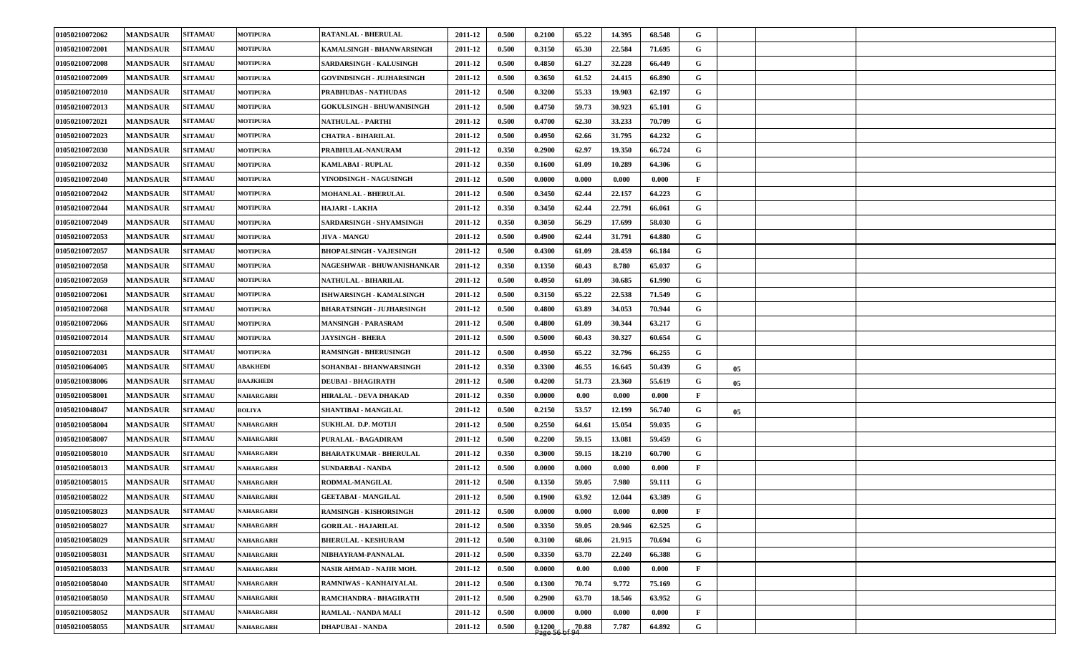| 01050210072062 | <b>MANDSAUR</b> | <b>SITAMAU</b> | <b>MOTIPURA</b>  | RATANLAL - BHERULAL              | 2011-12 | 0.500 | 0.2100 | 65.22 | 14.395 | 68.548 | G            |    |  |
|----------------|-----------------|----------------|------------------|----------------------------------|---------|-------|--------|-------|--------|--------|--------------|----|--|
| 01050210072001 | <b>MANDSAUR</b> | <b>SITAMAU</b> | <b>MOTIPURA</b>  | KAMALSINGH - BHANWARSINGH        | 2011-12 | 0.500 | 0.3150 | 65.30 | 22.584 | 71.695 | G            |    |  |
| 01050210072008 | <b>MANDSAUR</b> | <b>SITAMAU</b> | <b>MOTIPURA</b>  | SARDARSINGH - KALUSINGH          | 2011-12 | 0.500 | 0.4850 | 61.27 | 32.228 | 66.449 | G            |    |  |
| 01050210072009 | <b>MANDSAUR</b> | <b>SITAMAU</b> | <b>MOTIPURA</b>  | <b>GOVINDSINGH - JUJHARSINGH</b> | 2011-12 | 0.500 | 0.3650 | 61.52 | 24.415 | 66.890 | G            |    |  |
| 01050210072010 | <b>MANDSAUR</b> | <b>SITAMAU</b> | <b>MOTIPURA</b>  | <b>PRABHUDAS - NATHUDAS</b>      | 2011-12 | 0.500 | 0.3200 | 55.33 | 19.903 | 62.197 | G            |    |  |
| 01050210072013 | <b>MANDSAUR</b> | <b>SITAMAU</b> | <b>MOTIPURA</b>  | <b>GOKULSINGH - BHUWANISINGH</b> | 2011-12 | 0.500 | 0.4750 | 59.73 | 30.923 | 65.101 | G            |    |  |
| 01050210072021 | <b>MANDSAUR</b> | <b>SITAMAU</b> | <b>MOTIPURA</b>  | NATHULAL - PARTHI                | 2011-12 | 0.500 | 0.4700 | 62.30 | 33.233 | 70.709 | G            |    |  |
| 01050210072023 | <b>MANDSAUR</b> | <b>SITAMAU</b> | <b>MOTIPURA</b>  | <b>CHATRA - BIHARILAL</b>        | 2011-12 | 0.500 | 0.4950 | 62.66 | 31.795 | 64.232 | G            |    |  |
| 01050210072030 | <b>MANDSAUR</b> | <b>SITAMAU</b> | <b>MOTIPURA</b>  | PRABHULAL-NANURAM                | 2011-12 | 0.350 | 0.2900 | 62.97 | 19.350 | 66.724 | G            |    |  |
| 01050210072032 | <b>MANDSAUR</b> | <b>SITAMAU</b> | <b>MOTIPURA</b>  | KAMLABAI - RUPLAL                | 2011-12 | 0.350 | 0.1600 | 61.09 | 10.289 | 64.306 | G            |    |  |
| 01050210072040 | <b>MANDSAUR</b> | <b>SITAMAU</b> | <b>MOTIPURA</b>  | VINODSINGH - NAGUSINGH           | 2011-12 | 0.500 | 0.0000 | 0.000 | 0.000  | 0.000  | $\mathbf{F}$ |    |  |
| 01050210072042 | <b>MANDSAUR</b> | <b>SITAMAU</b> | <b>MOTIPURA</b>  | <b>MOHANLAL - BHERULAL</b>       | 2011-12 | 0.500 | 0.3450 | 62.44 | 22.157 | 64.223 | G            |    |  |
| 01050210072044 | <b>MANDSAUR</b> | <b>SITAMAU</b> | <b>MOTIPURA</b>  | HAJARI - LAKHA                   | 2011-12 | 0.350 | 0.3450 | 62.44 | 22.791 | 66.061 | G            |    |  |
| 01050210072049 | <b>MANDSAUR</b> | <b>SITAMAU</b> | <b>MOTIPURA</b>  | SARDARSINGH - SHYAMSINGH         | 2011-12 | 0.350 | 0.3050 | 56.29 | 17.699 | 58.030 | G            |    |  |
| 01050210072053 | <b>MANDSAUR</b> | <b>SITAMAU</b> | <b>MOTIPURA</b>  | <b>JIVA - MANGU</b>              | 2011-12 | 0.500 | 0.4900 | 62.44 | 31.791 | 64.880 | G            |    |  |
| 01050210072057 | <b>MANDSAUR</b> | <b>SITAMAU</b> | <b>MOTIPURA</b>  | <b>BHOPALSINGH - VAJESINGH</b>   | 2011-12 | 0.500 | 0.4300 | 61.09 | 28.459 | 66.184 | G            |    |  |
| 01050210072058 | <b>MANDSAUR</b> | <b>SITAMAU</b> | <b>MOTIPURA</b>  | NAGESHWAR - BHUWANISHANKAR       | 2011-12 | 0.350 | 0.1350 | 60.43 | 8.780  | 65.037 | G            |    |  |
| 01050210072059 | <b>MANDSAUR</b> | <b>SITAMAU</b> | <b>MOTIPURA</b>  | NATHULAL - BIHARILAL             | 2011-12 | 0.500 | 0.4950 | 61.09 | 30.685 | 61.990 | G            |    |  |
| 01050210072061 | <b>MANDSAUR</b> | <b>SITAMAU</b> | <b>MOTIPURA</b>  | ISHWARSINGH - KAMALSINGH         | 2011-12 | 0.500 | 0.3150 | 65.22 | 22.538 | 71.549 | G            |    |  |
| 01050210072068 | <b>MANDSAUR</b> | <b>SITAMAU</b> | <b>MOTIPURA</b>  | BHARATSINGH - JUJHARSINGH        | 2011-12 | 0.500 | 0.4800 | 63.89 | 34.053 | 70.944 | G            |    |  |
| 01050210072066 | <b>MANDSAUR</b> | <b>SITAMAU</b> | <b>MOTIPURA</b>  | <b>MANSINGH - PARASRAM</b>       | 2011-12 | 0.500 | 0.4800 | 61.09 | 30.344 | 63.217 | G            |    |  |
| 01050210072014 | <b>MANDSAUR</b> | <b>SITAMAU</b> | <b>MOTIPURA</b>  | <b>JAYSINGH - BHERA</b>          | 2011-12 | 0.500 | 0.5000 | 60.43 | 30.327 | 60.654 | G            |    |  |
| 01050210072031 | <b>MANDSAUR</b> | <b>SITAMAU</b> | <b>MOTIPURA</b>  | <b>RAMSINGH - BHERUSINGH</b>     | 2011-12 | 0.500 | 0.4950 | 65.22 | 32.796 | 66.255 | G            |    |  |
| 01050210064005 | <b>MANDSAUR</b> | <b>SITAMAU</b> | ABAKHEDI         | SOHANBAI - BHANWARSINGH          | 2011-12 | 0.350 | 0.3300 | 46.55 | 16.645 | 50.439 | G            | 05 |  |
| 01050210038006 | <b>MANDSAUR</b> | <b>SITAMAU</b> | <b>BAAJKHEDI</b> | <b>DEUBAI - BHAGIRATH</b>        | 2011-12 | 0.500 | 0.4200 | 51.73 | 23.360 | 55.619 | G            | 05 |  |
| 01050210058001 | <b>MANDSAUR</b> | <b>SITAMAU</b> | <b>NAHARGARH</b> | HIRALAL - DEVA DHAKAD            | 2011-12 | 0.350 | 0.0000 | 0.00  | 0.000  | 0.000  | $\mathbf{F}$ |    |  |
| 01050210048047 | <b>MANDSAUR</b> | <b>SITAMAU</b> | <b>BOLIYA</b>    | SHANTIBAI - MANGILAL             | 2011-12 | 0.500 | 0.2150 | 53.57 | 12.199 | 56.740 | G            | 05 |  |
| 01050210058004 | <b>MANDSAUR</b> | <b>SITAMAU</b> | <b>NAHARGARH</b> | SUKHLAL D.P. MOTIJI              | 2011-12 | 0.500 | 0.2550 | 64.61 | 15.054 | 59.035 | G            |    |  |
| 01050210058007 | <b>MANDSAUR</b> | <b>SITAMAU</b> | <b>NAHARGARH</b> | PURALAL - BAGADIRAM              | 2011-12 | 0.500 | 0.2200 | 59.15 | 13.081 | 59.459 | G            |    |  |
| 01050210058010 | <b>MANDSAUR</b> | <b>SITAMAU</b> | <b>NAHARGARH</b> | <b>BHARATKUMAR - BHERULAL</b>    | 2011-12 | 0.350 | 0.3000 | 59.15 | 18.210 | 60.700 | G            |    |  |
| 01050210058013 | <b>MANDSAUR</b> | <b>SITAMAU</b> | NAHARGARH        | SUNDARBAI - NANDA                | 2011-12 | 0.500 | 0.0000 | 0.000 | 0.000  | 0.000  | $\mathbf{F}$ |    |  |
| 01050210058015 | <b>MANDSAUR</b> | <b>SITAMAU</b> | NAHARGARH        | RODMAL-MANGILAL                  | 2011-12 | 0.500 | 0.1350 | 59.05 | 7.980  | 59.111 | G            |    |  |
| 01050210058022 | <b>MANDSAUR</b> | <b>SITAMAU</b> | <b>NAHARGARH</b> | <b>GEETABAI - MANGILAL</b>       | 2011-12 | 0.500 | 0.1900 | 63.92 | 12.044 | 63.389 | G            |    |  |
| 01050210058023 | <b>MANDSAUR</b> | <b>SITAMAU</b> | <b>NAHARGARH</b> | <b>RAMSINGH - KISHORSINGH</b>    | 2011-12 | 0.500 | 0.0000 | 0.000 | 0.000  | 0.000  | $\mathbf{F}$ |    |  |
| 01050210058027 | <b>MANDSAUR</b> | <b>SITAMAU</b> | <b>NAHARGARH</b> | <b>GORILAL - HAJARILAL</b>       | 2011-12 | 0.500 | 0.3350 | 59.05 | 20.946 | 62.525 | $\mathbf G$  |    |  |
| 01050210058029 | <b>MANDSAUR</b> | <b>SITAMAU</b> | <b>NAHARGARH</b> | <b>BHERULAL - KESHURAM</b>       | 2011-12 | 0.500 | 0.3100 | 68.06 | 21.915 | 70.694 | G            |    |  |
| 01050210058031 | <b>MANDSAUR</b> | <b>SITAMAU</b> | <b>NAHARGARH</b> | NIBHAYRAM-PANNALAL               | 2011-12 | 0.500 | 0.3350 | 63.70 | 22.240 | 66.388 | $\mathbf G$  |    |  |
| 01050210058033 | <b>MANDSAUR</b> | <b>SITAMAU</b> | <b>NAHARGARH</b> | NASIR AHMAD - NAJIR MOH.         | 2011-12 | 0.500 | 0.0000 | 0.00  | 0.000  | 0.000  | $\mathbf{F}$ |    |  |
| 01050210058040 | <b>MANDSAUR</b> | <b>SITAMAU</b> | <b>NAHARGARH</b> | RAMNIWAS - KANHAIYALAL           | 2011-12 | 0.500 | 0.1300 | 70.74 | 9.772  | 75.169 | G            |    |  |
| 01050210058050 | <b>MANDSAUR</b> | <b>SITAMAU</b> | <b>NAHARGARH</b> | RAMCHANDRA - BHAGIRATH           | 2011-12 | 0.500 | 0.2900 | 63.70 | 18.546 | 63.952 | $\mathbf G$  |    |  |
| 01050210058052 | <b>MANDSAUR</b> | <b>SITAMAU</b> | <b>NAHARGARH</b> | RAMLAL - NANDA MALI              | 2011-12 | 0.500 | 0.0000 | 0.000 | 0.000  | 0.000  | $\mathbf{F}$ |    |  |
| 01050210058055 | <b>MANDSAUR</b> | <b>SITAMAU</b> | <b>NAHARGARH</b> | <b>DHAPUBAI - NANDA</b>          | 2011-12 | 0.500 | 0.1200 | 70.88 | 7.787  | 64.892 | $\mathbf G$  |    |  |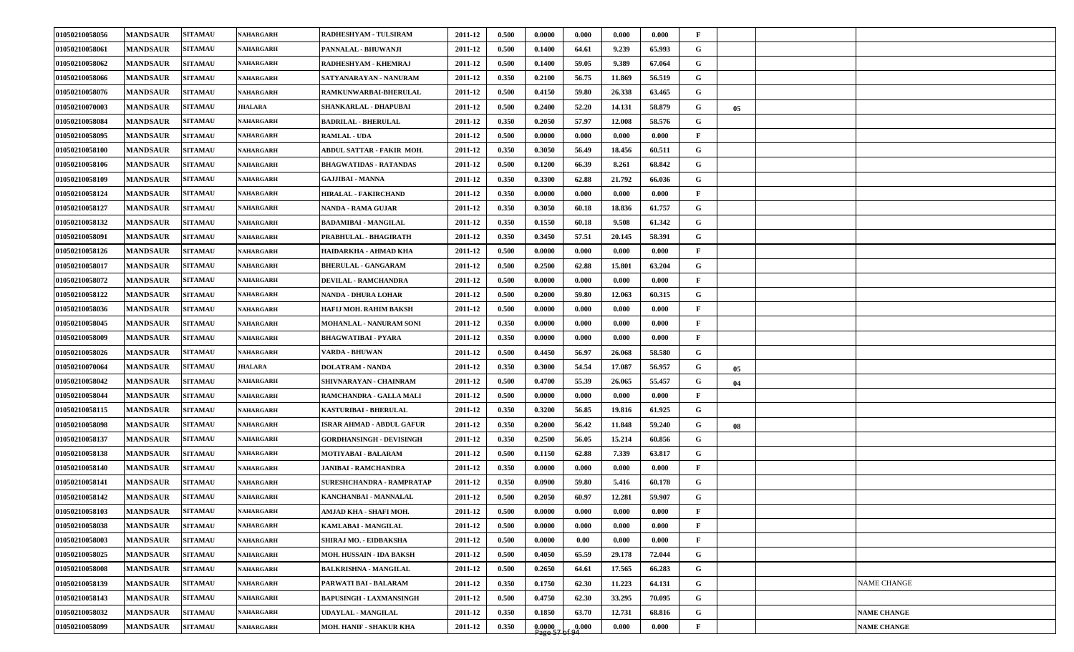| 01050210058056 | <b>MANDSAUR</b> | <b>SITAMAU</b> | <b>NAHARGARH</b> | RADHESHYAM - TULSIRAM            | 2011-12 | 0.500 | 0.0000                    | 0.000 | 0.000  | 0.000  | $\mathbf{F}$ |    |                    |
|----------------|-----------------|----------------|------------------|----------------------------------|---------|-------|---------------------------|-------|--------|--------|--------------|----|--------------------|
| 01050210058061 | <b>MANDSAUR</b> | <b>SITAMAU</b> | NAHARGARH        | PANNALAL - BHUWANJI              | 2011-12 | 0.500 | 0.1400                    | 64.61 | 9.239  | 65.993 | G            |    |                    |
| 01050210058062 | <b>MANDSAUR</b> | <b>SITAMAU</b> | <b>NAHARGARH</b> | RADHESHYAM - KHEMRAJ             | 2011-12 | 0.500 | 0.1400                    | 59.05 | 9.389  | 67.064 | G            |    |                    |
| 01050210058066 | <b>MANDSAUR</b> | <b>SITAMAU</b> | <b>NAHARGARH</b> | SATYANARAYAN - NANURAM           | 2011-12 | 0.350 | 0.2100                    | 56.75 | 11.869 | 56.519 | G            |    |                    |
| 01050210058076 | <b>MANDSAUR</b> | <b>SITAMAU</b> | <b>NAHARGARH</b> | RAMKUNWARBAI-BHERULAL            | 2011-12 | 0.500 | 0.4150                    | 59.80 | 26.338 | 63.465 | G            |    |                    |
| 01050210070003 | <b>MANDSAUR</b> | <b>SITAMAU</b> | <b>JHALARA</b>   | SHANKARLAL - DHAPUBAI            | 2011-12 | 0.500 | 0.2400                    | 52.20 | 14.131 | 58.879 | G            | 05 |                    |
| 01050210058084 | <b>MANDSAUR</b> | <b>SITAMAU</b> | <b>NAHARGARH</b> | <b>BADRILAL - BHERULAL</b>       | 2011-12 | 0.350 | 0.2050                    | 57.97 | 12.008 | 58.576 | G            |    |                    |
| 01050210058095 | <b>MANDSAUR</b> | <b>SITAMAU</b> | <b>NAHARGARH</b> | <b>RAMLAL - UDA</b>              | 2011-12 | 0.500 | 0.0000                    | 0.000 | 0.000  | 0.000  | $\mathbf{F}$ |    |                    |
| 01050210058100 | <b>MANDSAUR</b> | <b>SITAMAU</b> | NAHARGARH        | <b>ABDUL SATTAR - FAKIR MOH.</b> | 2011-12 | 0.350 | 0.3050                    | 56.49 | 18.456 | 60.511 | G            |    |                    |
| 01050210058106 | <b>MANDSAUR</b> | <b>SITAMAU</b> | NAHARGARH        | <b>BHAGWATIDAS - RATANDAS</b>    | 2011-12 | 0.500 | 0.1200                    | 66.39 | 8.261  | 68.842 | G            |    |                    |
| 01050210058109 | <b>MANDSAUR</b> | <b>SITAMAU</b> | NAHARGARH        | <b>GAJJIBAI - MANNA</b>          | 2011-12 | 0.350 | 0.3300                    | 62.88 | 21.792 | 66.036 | G            |    |                    |
| 01050210058124 | <b>MANDSAUR</b> | <b>SITAMAU</b> | NAHARGARH        | HIRALAL - FAKIRCHAND             | 2011-12 | 0.350 | 0.0000                    | 0.000 | 0.000  | 0.000  | $\mathbf{F}$ |    |                    |
| 01050210058127 | <b>MANDSAUR</b> | <b>SITAMAU</b> | NAHARGARH        | NANDA - RAMA GUJAR               | 2011-12 | 0.350 | 0.3050                    | 60.18 | 18.836 | 61.757 | G            |    |                    |
| 01050210058132 | <b>MANDSAUR</b> | <b>SITAMAU</b> | <b>NAHARGARH</b> | <b>BADAMIBAI - MANGILAL</b>      | 2011-12 | 0.350 | 0.1550                    | 60.18 | 9.508  | 61.342 | G            |    |                    |
| 01050210058091 | <b>MANDSAUR</b> | <b>SITAMAU</b> | <b>NAHARGARH</b> | PRABHULAL - BHAGIRATH            | 2011-12 | 0.350 | 0.3450                    | 57.51 | 20.145 | 58.391 | G            |    |                    |
| 01050210058126 | <b>MANDSAUR</b> | <b>SITAMAU</b> | NAHARGARH        | HAIDARKHA - AHMAD KHA            | 2011-12 | 0.500 | 0.0000                    | 0.000 | 0.000  | 0.000  | F            |    |                    |
| 01050210058017 | <b>MANDSAUR</b> | <b>SITAMAU</b> | NAHARGARH        | <b>BHERULAL - GANGARAM</b>       | 2011-12 | 0.500 | 0.2500                    | 62.88 | 15.801 | 63.204 | G            |    |                    |
| 01050210058072 | <b>MANDSAUR</b> | <b>SITAMAU</b> | <b>NAHARGARH</b> | <b>DEVILAL - RAMCHANDRA</b>      | 2011-12 | 0.500 | 0.0000                    | 0.000 | 0.000  | 0.000  | F            |    |                    |
| 01050210058122 | <b>MANDSAUR</b> | <b>SITAMAU</b> | NAHARGARH        | NANDA - DHURA LOHAR              | 2011-12 | 0.500 | 0.2000                    | 59.80 | 12.063 | 60.315 | G            |    |                    |
| 01050210058036 | <b>MANDSAUR</b> | <b>SITAMAU</b> | NAHARGARH        | HAFIJ MOH. RAHIM BAKSH           | 2011-12 | 0.500 | 0.0000                    | 0.000 | 0.000  | 0.000  | F            |    |                    |
| 01050210058045 | <b>MANDSAUR</b> | <b>SITAMAU</b> | NAHARGARH        | MOHANLAL - NANURAM SONI          | 2011-12 | 0.350 | 0.0000                    | 0.000 | 0.000  | 0.000  | $\mathbf{F}$ |    |                    |
| 01050210058009 | <b>MANDSAUR</b> | <b>SITAMAU</b> | <b>NAHARGARH</b> | <b>BHAGWATIBAI - PYARA</b>       | 2011-12 | 0.350 | 0.0000                    | 0.000 | 0.000  | 0.000  | $\mathbf{F}$ |    |                    |
| 01050210058026 | <b>MANDSAUR</b> | <b>SITAMAU</b> | NAHARGARH        | VARDA - BHUWAN                   | 2011-12 | 0.500 | 0.4450                    | 56.97 | 26.068 | 58.580 | G            |    |                    |
| 01050210070064 | <b>MANDSAUR</b> | <b>SITAMAU</b> | <b>JHALARA</b>   | DOLATRAM - NANDA                 | 2011-12 | 0.350 | 0.3000                    | 54.54 | 17.087 | 56.957 | G            | 05 |                    |
| 01050210058042 | <b>MANDSAUR</b> | <b>SITAMAU</b> | NAHARGARH        | SHIVNARAYAN - CHAINRAM           | 2011-12 | 0.500 | 0.4700                    | 55.39 | 26.065 | 55.457 | G            | 04 |                    |
| 01050210058044 | <b>MANDSAUR</b> | <b>SITAMAU</b> | <b>NAHARGARH</b> | RAMCHANDRA - GALLA MALI          | 2011-12 | 0.500 | 0.0000                    | 0.000 | 0.000  | 0.000  | $\mathbf{F}$ |    |                    |
| 01050210058115 | <b>MANDSAUR</b> | <b>SITAMAU</b> | NAHARGARH        | KASTURIBAI - BHERULAL            | 2011-12 | 0.350 | 0.3200                    | 56.85 | 19.816 | 61.925 | G            |    |                    |
| 01050210058098 | <b>MANDSAUR</b> | <b>SITAMAU</b> | NAHARGARH        | ISRAR AHMAD - ABDUL GAFUR        | 2011-12 | 0.350 | 0.2000                    | 56.42 | 11.848 | 59.240 | G            | 08 |                    |
| 01050210058137 | <b>MANDSAUR</b> | <b>SITAMAU</b> | NAHARGARH        | GORDHANSINGH - DEVISINGH         | 2011-12 | 0.350 | 0.2500                    | 56.05 | 15.214 | 60.856 | G            |    |                    |
| 01050210058138 | <b>MANDSAUR</b> | <b>SITAMAU</b> | <b>NAHARGARH</b> | <b>MOTIYABAI - BALARAM</b>       | 2011-12 | 0.500 | 0.1150                    | 62.88 | 7.339  | 63.817 | G            |    |                    |
| 01050210058140 | <b>MANDSAUR</b> | <b>SITAMAU</b> | <b>NAHARGARH</b> | JANIBAI - RAMCHANDRA             | 2011-12 | 0.350 | 0.0000                    | 0.000 | 0.000  | 0.000  | $\mathbf{F}$ |    |                    |
| 01050210058141 | <b>MANDSAUR</b> | <b>SITAMAU</b> | NAHARGARH        | <b>SURESHCHANDRA - RAMPRATAP</b> | 2011-12 | 0.350 | 0.0900                    | 59.80 | 5.416  | 60.178 | G            |    |                    |
| 01050210058142 | <b>MANDSAUR</b> | <b>SITAMAU</b> | <b>NAHARGARH</b> | KANCHANBAI - MANNALAL            | 2011-12 | 0.500 | 0.2050                    | 60.97 | 12.281 | 59.907 | G            |    |                    |
| 01050210058103 | <b>MANDSAUR</b> | <b>SITAMAU</b> | <b>NAHARGARH</b> | AMJAD KHA - SHAFI MOH.           | 2011-12 | 0.500 | 0.0000                    | 0.000 | 0.000  | 0.000  | $\mathbf{F}$ |    |                    |
| 01050210058038 | <b>MANDSAUR</b> | <b>SITAMAU</b> | NAHARGARH        | KAMLABAI - MANGILAL              | 2011-12 | 0.500 | 0.0000                    | 0.000 | 0.000  | 0.000  | $\mathbf{F}$ |    |                    |
| 01050210058003 | <b>MANDSAUR</b> | <b>SITAMAU</b> | NAHARGARH        | SHIRAJ MO. - EIDBAKSHA           | 2011-12 | 0.500 | 0.0000                    | 0.00  | 0.000  | 0.000  | $\mathbf{F}$ |    |                    |
| 01050210058025 | <b>MANDSAUR</b> | <b>SITAMAU</b> | <b>NAHARGARH</b> | MOH. HUSSAIN - IDA BAKSH         | 2011-12 | 0.500 | 0.4050                    | 65.59 | 29.178 | 72.044 | G            |    |                    |
| 01050210058008 | <b>MANDSAUR</b> | <b>SITAMAU</b> | <b>NAHARGARH</b> | <b>BALKRISHNA - MANGILAL</b>     | 2011-12 | 0.500 | 0.2650                    | 64.61 | 17.565 | 66.283 | $\mathbf G$  |    |                    |
| 01050210058139 | <b>MANDSAUR</b> | <b>SITAMAU</b> | <b>NAHARGARH</b> | PARWATI BAI - BALARAM            | 2011-12 | 0.350 | 0.1750                    | 62.30 | 11.223 | 64.131 | G            |    | <b>NAME CHANGE</b> |
| 01050210058143 | <b>MANDSAUR</b> | <b>SITAMAU</b> | <b>NAHARGARH</b> | <b>BAPUSINGH - LAXMANSINGH</b>   | 2011-12 | 0.500 | 0.4750                    | 62.30 | 33.295 | 70.095 | $\mathbf G$  |    |                    |
| 01050210058032 | <b>MANDSAUR</b> | <b>SITAMAU</b> | <b>NAHARGARH</b> | UDAYLAL - MANGILAL               | 2011-12 | 0.350 | 0.1850                    | 63.70 | 12.731 | 68.816 | G            |    | <b>NAME CHANGE</b> |
| 01050210058099 | <b>MANDSAUR</b> | <b>SITAMAU</b> | <b>NAHARGARH</b> | MOH. HANIF - SHAKUR KHA          | 2011-12 | 0.350 | $0.0000$<br>Page 57 of 94 |       | 0.000  | 0.000  | $\mathbf{F}$ |    | <b>NAME CHANGE</b> |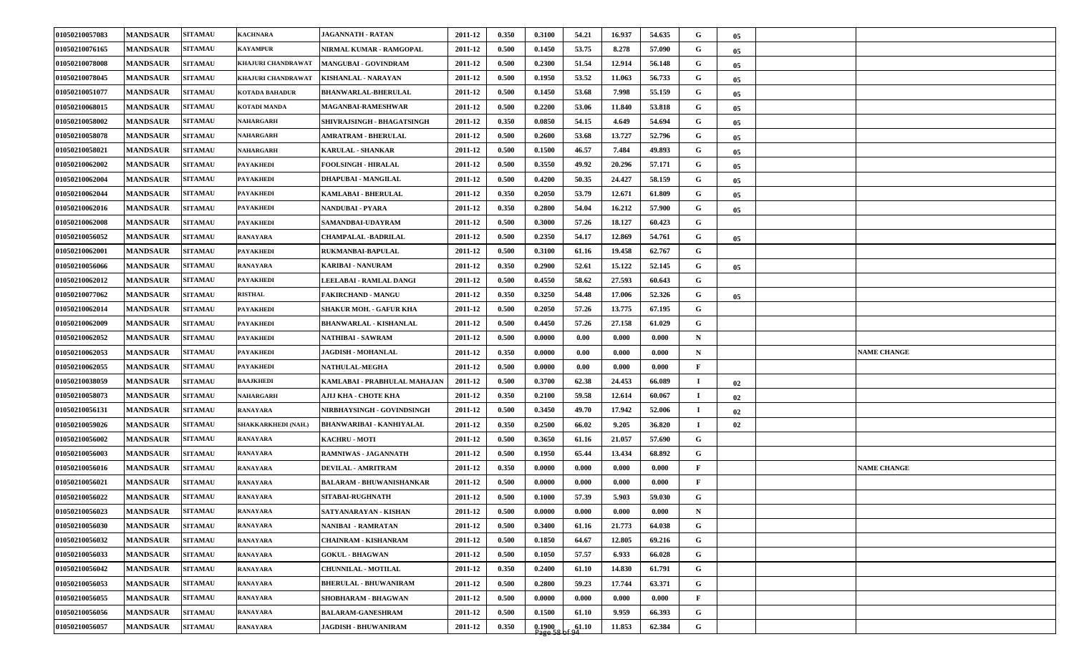| 01050210057083 | <b>MANDSAUR</b> | <b>SITAMAU</b> | <b>KACHNARA</b>       | <b>JAGANNATH - RATAN</b>        | 2011-12 | 0.350 | 0.3100              | 54.21 | 16.937 | 54.635 | G            | 05              |                    |
|----------------|-----------------|----------------|-----------------------|---------------------------------|---------|-------|---------------------|-------|--------|--------|--------------|-----------------|--------------------|
| 01050210076165 | <b>MANDSAUR</b> | <b>SITAMAU</b> | <b>KAYAMPUR</b>       | NIRMAL KUMAR - RAMGOPAL         | 2011-12 | 0.500 | 0.1450              | 53.75 | 8.278  | 57.090 | G            | 05 <sub>o</sub> |                    |
| 01050210078008 | <b>MANDSAUR</b> | <b>SITAMAU</b> | KHAJURI CHANDRAWAT    | <b>MANGUBAI - GOVINDRAM</b>     | 2011-12 | 0.500 | 0.2300              | 51.54 | 12.914 | 56.148 | G            | 05              |                    |
| 01050210078045 | <b>MANDSAUR</b> | <b>SITAMAU</b> | KHAJURI CHANDRAWAT    | <b>KISHANLAL - NARAYAN</b>      | 2011-12 | 0.500 | 0.1950              | 53.52 | 11.063 | 56.733 | G            | 05              |                    |
| 01050210051077 | <b>MANDSAUR</b> | <b>SITAMAU</b> | <b>KOTADA BAHADUR</b> | <b>BHANWARLAL-BHERULAL</b>      | 2011-12 | 0.500 | 0.1450              | 53.68 | 7.998  | 55.159 | G            | 05              |                    |
| 01050210068015 | <b>MANDSAUR</b> | <b>SITAMAU</b> | <b>KOTADI MANDA</b>   | MAGANBAI-RAMESHWAR              | 2011-12 | 0.500 | 0.2200              | 53.06 | 11.840 | 53.818 | G            | $05\,$          |                    |
| 01050210058002 | <b>MANDSAUR</b> | <b>SITAMAU</b> | <b>NAHARGARH</b>      | SHIVRAJSINGH - BHAGATSINGH      | 2011-12 | 0.350 | 0.0850              | 54.15 | 4.649  | 54.694 | G            | 05              |                    |
| 01050210058078 | <b>MANDSAUR</b> | <b>SITAMAU</b> | NAHARGARH             | AMRATRAM - BHERULAL             | 2011-12 | 0.500 | 0.2600              | 53.68 | 13.727 | 52.796 | G            | 05              |                    |
| 01050210058021 | <b>MANDSAUR</b> | <b>SITAMAU</b> | NAHARGARH             | <b>KARULAL - SHANKAR</b>        | 2011-12 | 0.500 | 0.1500              | 46.57 | 7.484  | 49.893 | G            | 05              |                    |
| 01050210062002 | <b>MANDSAUR</b> | <b>SITAMAU</b> | <b>PAYAKHEDI</b>      | <b>FOOLSINGH - HIRALAL</b>      | 2011-12 | 0.500 | 0.3550              | 49.92 | 20.296 | 57.171 | G            | $05\,$          |                    |
| 01050210062004 | <b>MANDSAUR</b> | <b>SITAMAU</b> | <b>PAYAKHEDI</b>      | DHAPUBAI - MANGILAL             | 2011-12 | 0.500 | 0.4200              | 50.35 | 24.427 | 58.159 | G            | 05              |                    |
| 01050210062044 | <b>MANDSAUR</b> | <b>SITAMAU</b> | <b>PAYAKHEDI</b>      | KAMLABAI - BHERULAL             | 2011-12 | 0.350 | 0.2050              | 53.79 | 12.671 | 61.809 | G            | 05              |                    |
| 01050210062016 | <b>MANDSAUR</b> | <b>SITAMAU</b> | <b>PAYAKHEDI</b>      | <b>NANDUBAI - PYARA</b>         | 2011-12 | 0.350 | 0.2800              | 54.04 | 16.212 | 57.900 | G            | $05\,$          |                    |
| 01050210062008 | <b>MANDSAUR</b> | <b>SITAMAU</b> | <b>PAYAKHEDI</b>      | SAMANDBAI-UDAYRAM               | 2011-12 | 0.500 | 0.3000              | 57.26 | 18.127 | 60.423 | G            |                 |                    |
| 01050210056052 | <b>MANDSAUR</b> | <b>SITAMAU</b> | <b>RANAYARA</b>       | <b>CHAMPALAL -BADRILAL</b>      | 2011-12 | 0.500 | 0.2350              | 54.17 | 12.869 | 54.761 | $\mathbf G$  | 05              |                    |
| 01050210062001 | <b>MANDSAUR</b> | <b>SITAMAU</b> | <b>PAYAKHEDI</b>      | RUKMANBAI-BAPULAL               | 2011-12 | 0.500 | 0.3100              | 61.16 | 19.458 | 62.767 | G            |                 |                    |
| 01050210056066 | <b>MANDSAUR</b> | <b>SITAMAU</b> | <b>RANAYARA</b>       | <b>KARIBAI - NANURAM</b>        | 2011-12 | 0.350 | 0.2900              | 52.61 | 15.122 | 52.145 | G            | $05\,$          |                    |
| 01050210062012 | <b>MANDSAUR</b> | <b>SITAMAU</b> | <b>PAYAKHEDI</b>      | LEELABAI - RAMLAL DANGI         | 2011-12 | 0.500 | 0.4550              | 58.62 | 27.593 | 60.643 | G            |                 |                    |
| 01050210077062 | <b>MANDSAUR</b> | <b>SITAMAU</b> | <b>RISTHAL</b>        | <b>FAKIRCHAND - MANGU</b>       | 2011-12 | 0.350 | 0.3250              | 54.48 | 17.006 | 52.326 | G            | 05              |                    |
| 01050210062014 | <b>MANDSAUR</b> | <b>SITAMAU</b> | <b>PAYAKHEDI</b>      | <b>SHAKUR MOH. - GAFUR KHA</b>  | 2011-12 | 0.500 | 0.2050              | 57.26 | 13.775 | 67.195 | G            |                 |                    |
| 01050210062009 | <b>MANDSAUR</b> | <b>SITAMAU</b> | <b>PAYAKHEDI</b>      | <b>BHANWARLAL - KISHANLAL</b>   | 2011-12 | 0.500 | 0.4450              | 57.26 | 27.158 | 61.029 | G            |                 |                    |
| 01050210062052 | <b>MANDSAUR</b> | <b>SITAMAU</b> | <b>PAYAKHEDI</b>      | <b>NATHIBAI - SAWRAM</b>        | 2011-12 | 0.500 | 0.0000              | 0.00  | 0.000  | 0.000  | $\mathbf N$  |                 |                    |
| 01050210062053 | <b>MANDSAUR</b> | <b>SITAMAU</b> | <b>PAYAKHEDI</b>      | <b>JAGDISH - MOHANLAL</b>       | 2011-12 | 0.350 | 0.0000              | 0.00  | 0.000  | 0.000  | $\mathbf N$  |                 | <b>NAME CHANGE</b> |
| 01050210062055 | <b>MANDSAUR</b> | <b>SITAMAU</b> | <b>PAYAKHEDI</b>      | <b>NATHULAL-MEGHA</b>           | 2011-12 | 0.500 | 0.0000              | 0.00  | 0.000  | 0.000  | $\mathbf{F}$ |                 |                    |
| 01050210038059 | <b>MANDSAUR</b> | <b>SITAMAU</b> | <b>BAAJKHEDI</b>      | KAMLABAI - PRABHULAL MAHAJAN    | 2011-12 | 0.500 | 0.3700              | 62.38 | 24.453 | 66.089 | $\bf{I}$     | 02              |                    |
| 01050210058073 | <b>MANDSAUR</b> | <b>SITAMAU</b> | <b>NAHARGARH</b>      | АЈЏ КНА - СНОТЕ КНА             | 2011-12 | 0.350 | 0.2100              | 59.58 | 12.614 | 60.067 | $\bf{I}$     | 02              |                    |
| 01050210056131 | <b>MANDSAUR</b> | <b>SITAMAU</b> | <b>RANAYARA</b>       | NIRBHAYSINGH - GOVINDSINGH      | 2011-12 | 0.500 | 0.3450              | 49.70 | 17.942 | 52.006 | п.           | 02              |                    |
| 01050210059026 | <b>MANDSAUR</b> | <b>SITAMAU</b> | SHAKKARKHEDI (NAH.)   | <b>BHANWARIBAI - KANHIYALAL</b> | 2011-12 | 0.350 | 0.2500              | 66.02 | 9.205  | 36.820 | $\bf{I}$     | 02              |                    |
| 01050210056002 | <b>MANDSAUR</b> | <b>SITAMAU</b> | <b>RANAYARA</b>       | <b>KACHRU - MOTI</b>            | 2011-12 | 0.500 | 0.3650              | 61.16 | 21.057 | 57.690 | G            |                 |                    |
| 01050210056003 | <b>MANDSAUR</b> | <b>SITAMAU</b> | <b>RANAYARA</b>       | <b>RAMNIWAS - JAGANNATH</b>     | 2011-12 | 0.500 | 0.1950              | 65.44 | 13.434 | 68.892 | G            |                 |                    |
| 01050210056016 | <b>MANDSAUR</b> | <b>SITAMAU</b> | <b>RANAYARA</b>       | <b>DEVILAL - AMRITRAM</b>       | 2011-12 | 0.350 | 0.0000              | 0.000 | 0.000  | 0.000  | $\mathbf{F}$ |                 | <b>NAME CHANGE</b> |
| 01050210056021 | <b>MANDSAUR</b> | <b>SITAMAU</b> | <b>RANAYARA</b>       | <b>BALARAM - BHUWANISHANKAR</b> | 2011-12 | 0.500 | 0.0000              | 0.000 | 0.000  | 0.000  | $\mathbf{F}$ |                 |                    |
| 01050210056022 | <b>MANDSAUR</b> | <b>SITAMAU</b> | <b>RANAYARA</b>       | <b>SITABAI-RUGHNATH</b>         | 2011-12 | 0.500 | 0.1000              | 57.39 | 5.903  | 59.030 | G            |                 |                    |
| 01050210056023 | <b>MANDSAUR</b> | <b>SITAMAU</b> | <b>RANAYARA</b>       | SATYANARAYAN - KISHAN           | 2011-12 | 0.500 | 0.0000              | 0.000 | 0.000  | 0.000  | $\mathbf N$  |                 |                    |
| 01050210056030 | <b>MANDSAUR</b> | <b>SITAMAU</b> | <b>RANAYARA</b>       | <b>NANIBAI - RAMRATAN</b>       | 2011-12 | 0.500 | 0.3400              | 61.16 | 21.773 | 64.038 | $\mathbf G$  |                 |                    |
| 01050210056032 | <b>MANDSAUR</b> | <b>SITAMAU</b> | <b>RANAYARA</b>       | <b>CHAINRAM - KISHANRAM</b>     | 2011-12 | 0.500 | 0.1850              | 64.67 | 12.805 | 69.216 | $\mathbf G$  |                 |                    |
| 01050210056033 | <b>MANDSAUR</b> | <b>SITAMAU</b> | <b>RANAYARA</b>       | <b>GOKUL - BHAGWAN</b>          | 2011-12 | 0.500 | 0.1050              | 57.57 | 6.933  | 66.028 | $\mathbf G$  |                 |                    |
| 01050210056042 | <b>MANDSAUR</b> | <b>SITAMAU</b> | <b>RANAYARA</b>       | <b>CHUNNILAL - MOTILAL</b>      | 2011-12 | 0.350 | 0.2400              | 61.10 | 14.830 | 61.791 | $\mathbf G$  |                 |                    |
| 01050210056053 | <b>MANDSAUR</b> | <b>SITAMAU</b> | <b>RANAYARA</b>       | <b>BHERULAL - BHUWANIRAM</b>    | 2011-12 | 0.500 | 0.2800              | 59.23 | 17.744 | 63.371 | $\mathbf G$  |                 |                    |
| 01050210056055 | <b>MANDSAUR</b> | <b>SITAMAU</b> | <b>RANAYARA</b>       | SHOBHARAM - BHAGWAN             | 2011-12 | 0.500 | 0.0000              | 0.000 | 0.000  | 0.000  | $\mathbf{F}$ |                 |                    |
| 01050210056056 | <b>MANDSAUR</b> | <b>SITAMAU</b> | <b>RANAYARA</b>       | <b>BALARAM-GANESHRAM</b>        | 2011-12 | 0.500 | 0.1500              | 61.10 | 9.959  | 66.393 | G            |                 |                    |
| 01050210056057 | <b>MANDSAUR</b> | <b>SITAMAU</b> | <b>RANAYARA</b>       | <b>JAGDISH - BHUWANIRAM</b>     | 2011-12 | 0.350 | $0.1900$<br>Page 58 | 61.10 | 11.853 | 62.384 | $\mathbf G$  |                 |                    |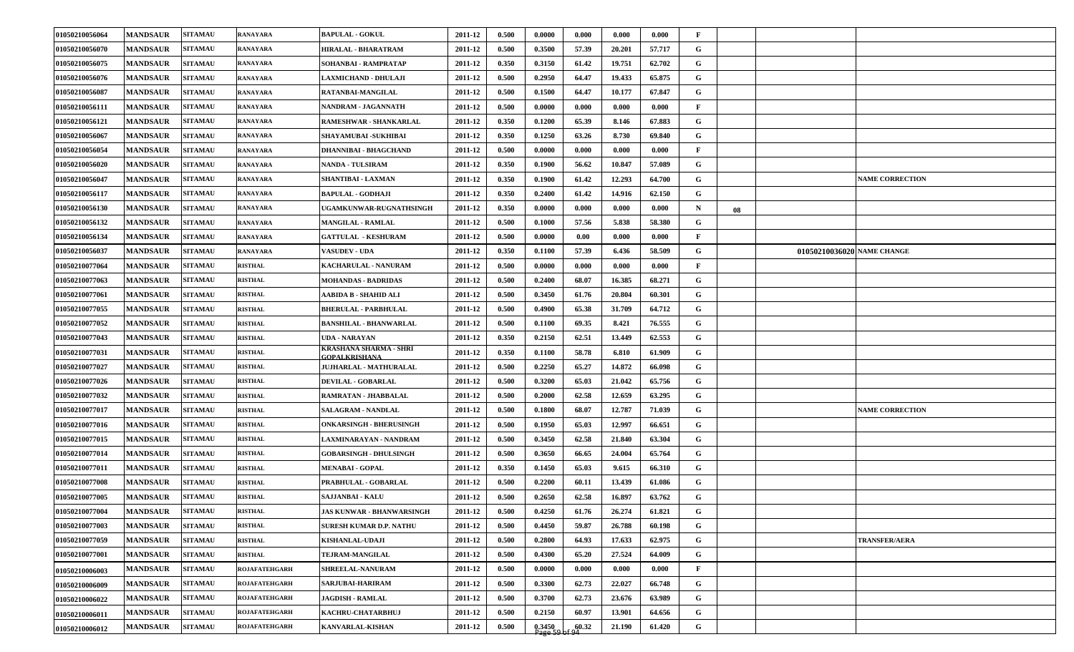| 01050210056070<br><b>MANDSAUR</b><br><b>SITAMAU</b><br><b>RANAYARA</b><br>HIRALAL - BHARATRAM<br>2011-12<br>0.500<br>0.3500<br>57.39<br>20.201<br>57.717<br>G<br>01050210056075<br><b>MANDSAUR</b><br><b>SITAMAU</b><br>0.350<br>0.3150<br>61.42<br>19.751<br>62.702<br>G<br><b>RANAYARA</b><br>SOHANBAI - RAMPRATAP<br>2011-12<br>01050210056076<br><b>MANDSAUR</b><br><b>SITAMAU</b><br>0.500<br>0.2950<br>64.47<br>19.433<br>65.875<br>G<br><b>RANAYARA</b><br><b>LAXMICHAND - DHULAJI</b><br>2011-12<br>01050210056087<br><b>MANDSAUR</b><br><b>SITAMAU</b><br>0.500<br>0.1500<br>64.47<br>10.177<br>67.847<br>G<br><b>RANAYARA</b><br>RATANBAI-MANGILAL<br>2011-12<br>01050210056111<br><b>MANDSAUR</b><br>2011-12<br>0.500<br>0.0000<br>0.000<br>0.000<br>0.000<br>$\mathbf{F}$<br><b>SITAMAU</b><br><b>RANAYARA</b><br>NANDRAM - JAGANNATH<br>01050210056121<br><b>MANDSAUR</b><br><b>SITAMAU</b><br>2011-12<br>0.350<br>0.1200<br>65.39<br>8.146<br>67.883<br>G<br><b>RANAYARA</b><br>RAMESHWAR - SHANKARLAL<br>G<br>01050210056067<br><b>MANDSAUR</b><br><b>SITAMAU</b><br>0.350<br>0.1250<br>63.26<br>8.730<br>69.840<br><b>RANAYARA</b><br>SHAYAMUBAI -SUKHIBAI<br>2011-12<br>0.500<br>01050210056054<br><b>MANDSAUR</b><br><b>SITAMAU</b><br><b>DHANNIBAI - BHAGCHAND</b><br>2011-12<br>0.0000<br>0.000<br>$\mathbf{F}$<br><b>RANAYARA</b><br>0.000<br>0.000<br>01050210056020<br>G<br><b>MANDSAUR</b><br><b>SITAMAU</b><br>2011-12<br>0.350<br>0.1900<br>56.62<br>10.847<br>57.089<br><b>NANDA - TULSIRAM</b><br><b>RANAYARA</b><br>0.1900<br>61.42<br>12.293<br>64.700<br>G<br>01050210056047<br><b>MANDSAUR</b><br><b>SITAMAU</b><br>2011-12<br>0.350<br><b>RANAYARA</b><br><b>SHANTIBAI - LAXMAN</b><br><b>NAME CORRECTION</b><br>G<br>01050210056117<br><b>MANDSAUR</b><br>0.350<br>0.2400<br>61.42<br>62.150<br><b>SITAMAU</b><br>2011-12<br>14.916<br><b>RANAYARA</b><br><b>BAPULAL - GODHAJI</b><br>0.350<br>01050210056130<br><b>MANDSAUR</b><br>2011-12<br>0.0000<br>0.000<br>$\mathbf N$<br><b>SITAMAU</b><br>UGAMKUNWAR-RUGNATHSINGH<br>0.000<br>0.000<br><b>RANAYARA</b><br>08<br>01050210056132<br>0.500<br>0.1000<br>G<br><b>MANDSAUR</b><br><b>SITAMAU</b><br><b>RANAYARA</b><br><b>MANGILAL - RAMLAL</b><br>2011-12<br>57.56<br>5.838<br>58.380<br><b>SITAMAU</b><br>$\mathbf{F}$<br>01050210056134<br><b>MANDSAUR</b><br><b>GATTULAL - KESHURAM</b><br>2011-12<br>0.500<br>0.0000<br>0.00<br>0.000<br>0.000<br><b>RANAYARA</b><br>01050210056037<br><b>SITAMAU</b><br>G<br><b>MANDSAUR</b><br><b>RANAYARA</b><br><b>VASUDEV - UDA</b><br>2011-12<br>0.350<br>0.1100<br>57.39<br>6.436<br>58.509<br>01050210036020 NAME CHANGE<br>01050210077064<br><b>MANDSAUR</b><br><b>SITAMAU</b><br>0.500<br>0.0000<br>0.000<br>0.000<br>$\mathbf{F}$<br><b>RISTHAL</b><br>KACHARULAL - NANURAM<br>2011-12<br>0.000<br>01050210077063<br><b>MANDSAUR</b><br>0.500<br>0.2400<br>68.07<br>16.385<br>68.271<br>G<br><b>SITAMAU</b><br><b>RISTHAL</b><br><b>MOHANDAS - BADRIDAS</b><br>2011-12<br>G<br><b>MANDSAUR</b><br><b>SITAMAU</b><br><b>RISTHAL</b><br>AABIDA B - SHAHID ALI<br>0.500<br>0.3450<br>61.76<br>20.804<br>60.301<br>01050210077061<br>2011-12<br><b>SITAMAU</b><br>0.500<br>0.4900<br>64.712<br>01050210077055<br><b>MANDSAUR</b><br><b>RISTHAL</b><br><b>BHERULAL - PARBHULAL</b><br>2011-12<br>65.38<br>31.709<br>G<br>01050210077052<br><b>MANDSAUR</b><br><b>SITAMAU</b><br>2011-12<br>0.500<br>0.1100<br>69.35<br>8.421<br>76.555<br>G<br><b>RISTHAL</b><br><b>BANSHILAL - BHANWARLAL</b><br>01050210077043<br><b>MANDSAUR</b><br><b>SITAMAU</b><br>2011-12<br>0.350<br>0.2150<br>13.449<br>62.553<br>G<br><b>RISTHAL</b><br>UDA - NARAYAN<br>62.51<br>KRASHANA SHARMA - SHRI<br>G<br><b>MANDSAUR</b><br><b>SITAMAU</b><br><b>RISTHAL</b><br>2011-12<br>0.350<br>0.1100<br>58.78<br>6.810<br>61.909<br>01050210077031<br>GOPALKRISHANA<br>01050210077027<br>0.500<br>0.2250<br>65.27<br>14.872<br>66.098<br>G<br><b>MANDSAUR</b><br><b>SITAMAU</b><br><b>RISTHAL</b><br>2011-12<br><b>JUJHARLAL - MATHURALAL</b><br>01050210077026<br><b>MANDSAUR</b><br>0.500<br>0.3200<br>65.03<br>21.042<br>65.756<br>G<br><b>SITAMAU</b><br>DEVILAL - GOBARLAL<br>2011-12<br><b>RISTHAL</b><br>01050210077032<br><b>MANDSAUR</b><br><b>SITAMAU</b><br><b>RISTHAL</b><br>RAMRATAN - JHABBALAL<br>0.500<br>0.2000<br>62.58<br>12.659<br>63.295<br>G<br>2011-12<br>01050210077017<br><b>MANDSAUR</b><br><b>SITAMAU</b><br><b>SALAGRAM - NANDLAL</b><br>0.500<br>0.1800<br>68.07<br>12.787<br>71.039<br>G<br><b>NAME CORRECTION</b><br><b>RISTHAL</b><br>2011-12<br>01050210077016<br><b>MANDSAUR</b><br><b>SITAMAU</b><br><b>RISTHAL</b><br>0.500<br>0.1950<br>65.03<br>12.997<br>G<br><b>ONKARSINGH - BHERUSINGH</b><br>2011-12<br>66.651<br>01050210077015<br><b>MANDSAUR</b><br>2011-12<br>0.500<br>0.3450<br>62.58<br>21.840<br>63.304<br>G<br><b>SITAMAU</b><br><b>RISTHAL</b><br>LAXMINARAYAN - NANDRAM<br>01050210077014<br><b>MANDSAUR</b><br><b>SITAMAU</b><br><b>RISTHAL</b><br>2011-12<br>0.500<br>0.3650<br>66.65<br>24.004<br>65.764<br>G<br><b>GOBARSINGH - DHULSINGH</b><br>01050210077011<br><b>MANDSAUR</b><br><b>SITAMAU</b><br>0.1450<br>65.03<br>66.310<br>G<br><b>RISTHAL</b><br><b>MENABAI - GOPAL</b><br>2011-12<br>0.350<br>9.615<br>01050210077008<br><b>MANDSAUR</b><br><b>SITAMAU</b><br>PRABHULAL - GOBARLAL<br>2011-12<br>0.500<br>0.2200<br>60.11<br>13.439<br>G<br><b>RISTHAL</b><br>61.086<br>01050210077005<br>0.500<br>0.2650<br>62.58<br>16.897<br>63.762<br>G<br><b>MANDSAUR</b><br><b>SITAMAU</b><br>2011-12<br><b>RISTHAL</b><br>SAJJANBAI - KALU<br><b>SITAMAU</b><br>0.500<br>01050210077004<br><b>MANDSAUR</b><br><b>RISTHAL</b><br>2011-12<br>0.4250<br>26.274<br>61.821<br>G<br>JAS KUNWAR - BHANWARSINGH<br>61.76<br>0.500<br>59.87<br>$\mathbf{G}$<br>01050210077003<br><b>MANDSAUR</b><br><b>SITAMAU</b><br>2011-12<br>0.4450<br>26.788<br>60.198<br><b>RISTHAL</b><br><b>SURESH KUMAR D.P. NATHU</b><br>0.500<br>0.2800<br>$\mathbf{G}$<br>01050210077059<br><b>MANDSAUR</b><br><b>SITAMAU</b><br><b>RISTHAL</b><br>2011-12<br>64.93<br>17.633<br>62.975<br><b>KISHANLAL-UDAJI</b><br><b>TRANSFER/AERA</b><br>G<br>01050210077001<br><b>MANDSAUR</b><br><b>SITAMAU</b><br>TEJRAM-MANGILAL<br>0.500<br>0.4300<br><b>RISTHAL</b><br>2011-12<br>65.20<br>27.524<br>64.009<br><b>SITAMAU</b><br><b>ROJAFATEHGARH</b><br>$\mathbf{F}$<br><b>MANDSAUR</b><br><b>SHREELAL-NANURAM</b><br>2011-12<br>0.500<br>0.0000<br>0.000<br>0.000<br>0.000<br>01050210006003<br>$\mathbf{G}$<br><b>SITAMAU</b><br>0.500<br>62.73<br>66.748<br><b>MANDSAUR</b><br><b>ROJAFATEHGARH</b><br><b>SARJUBAI-HARIRAM</b><br>2011-12<br>0.3300<br>22.027<br>01050210006009<br>$\mathbf G$<br><b>MANDSAUR</b><br><b>SITAMAU</b><br>0.500<br>0.3700<br>62.73<br>23.676<br>63.989<br><b>ROJAFATEHGARH</b><br><b>JAGDISH - RAMLAL</b><br>2011-12<br>01050210006022<br>G<br>0.500<br>0.2150<br>60.97<br>13.901<br>64.656<br><b>MANDSAUR</b><br><b>SITAMAU</b><br><b>ROJAFATEHGARH</b><br>2011-12<br>KACHRU-CHATARBHUJ<br>01050210006011<br>G<br>0.500<br>$0.3450$<br>Page 59<br>60.32<br>61.420<br><b>MANDSAUR</b><br><b>SITAMAU</b><br><b>ROJAFATEHGARH</b><br>2011-12<br>21.190<br><b>KANVARLAL-KISHAN</b><br>01050210006012 | 01050210056064 | <b>MANDSAUR</b> | <b>SITAMAU</b> | <b>RANAYARA</b> | <b>BAPULAL - GOKUL</b> | 2011-12 | 0.500 | 0.0000 | 0.000 | 0.000 | 0.000 | F |  |  |
|---------------------------------------------------------------------------------------------------------------------------------------------------------------------------------------------------------------------------------------------------------------------------------------------------------------------------------------------------------------------------------------------------------------------------------------------------------------------------------------------------------------------------------------------------------------------------------------------------------------------------------------------------------------------------------------------------------------------------------------------------------------------------------------------------------------------------------------------------------------------------------------------------------------------------------------------------------------------------------------------------------------------------------------------------------------------------------------------------------------------------------------------------------------------------------------------------------------------------------------------------------------------------------------------------------------------------------------------------------------------------------------------------------------------------------------------------------------------------------------------------------------------------------------------------------------------------------------------------------------------------------------------------------------------------------------------------------------------------------------------------------------------------------------------------------------------------------------------------------------------------------------------------------------------------------------------------------------------------------------------------------------------------------------------------------------------------------------------------------------------------------------------------------------------------------------------------------------------------------------------------------------------------------------------------------------------------------------------------------------------------------------------------------------------------------------------------------------------------------------------------------------------------------------------------------------------------------------------------------------------------------------------------------------------------------------------------------------------------------------------------------------------------------------------------------------------------------------------------------------------------------------------------------------------------------------------------------------------------------------------------------------------------------------------------------------------------------------------------------------------------------------------------------------------------------------------------------------------------------------------------------------------------------------------------------------------------------------------------------------------------------------------------------------------------------------------------------------------------------------------------------------------------------------------------------------------------------------------------------------------------------------------------------------------------------------------------------------------------------------------------------------------------------------------------------------------------------------------------------------------------------------------------------------------------------------------------------------------------------------------------------------------------------------------------------------------------------------------------------------------------------------------------------------------------------------------------------------------------------------------------------------------------------------------------------------------------------------------------------------------------------------------------------------------------------------------------------------------------------------------------------------------------------------------------------------------------------------------------------------------------------------------------------------------------------------------------------------------------------------------------------------------------------------------------------------------------------------------------------------------------------------------------------------------------------------------------------------------------------------------------------------------------------------------------------------------------------------------------------------------------------------------------------------------------------------------------------------------------------------------------------------------------------------------------------------------------------------------------------------------------------------------------------------------------------------------------------------------------------------------------------------------------------------------------------------------------------------------------------------------------------------------------------------------------------------------------------------------------------------------------------------------------------------------------------------------------------------------------------------------------------------------------------------------------------------------------------------------------------------------------------------------------------------------------------------------------------------------------------------------------------------------------------------------------------------------------------------------------------------------------------------------------------------------------------------------------------------------------------------------------------------------------------------------------------------------------------------------------------------------------------------------------------------------------------------------------------------------------------------------------------------------------------------------------------------------------------------------------------------------------------------------------------------------------------------------------------------------------------------------------------------------------------------------------------------------------------------------------------------------------------------------------------------------------------------------------------------------------------------------------------------------------------------------------------------------------------------------------------------------------------------------|----------------|-----------------|----------------|-----------------|------------------------|---------|-------|--------|-------|-------|-------|---|--|--|
|                                                                                                                                                                                                                                                                                                                                                                                                                                                                                                                                                                                                                                                                                                                                                                                                                                                                                                                                                                                                                                                                                                                                                                                                                                                                                                                                                                                                                                                                                                                                                                                                                                                                                                                                                                                                                                                                                                                                                                                                                                                                                                                                                                                                                                                                                                                                                                                                                                                                                                                                                                                                                                                                                                                                                                                                                                                                                                                                                                                                                                                                                                                                                                                                                                                                                                                                                                                                                                                                                                                                                                                                                                                                                                                                                                                                                                                                                                                                                                                                                                                                                                                                                                                                                                                                                                                                                                                                                                                                                                                                                                                                                                                                                                                                                                                                                                                                                                                                                                                                                                                                                                                                                                                                                                                                                                                                                                                                                                                                                                                                                                                                                                                                                                                                                                                                                                                                                                                                                                                                                                                                                                                                                                                                                                                                                                                                                                                                                                                                                                                                                                                                                                                                                                                                                                                                                                                                                                                                                                                                                                                                                                                                                                                                                                                                     |                |                 |                |                 |                        |         |       |        |       |       |       |   |  |  |
|                                                                                                                                                                                                                                                                                                                                                                                                                                                                                                                                                                                                                                                                                                                                                                                                                                                                                                                                                                                                                                                                                                                                                                                                                                                                                                                                                                                                                                                                                                                                                                                                                                                                                                                                                                                                                                                                                                                                                                                                                                                                                                                                                                                                                                                                                                                                                                                                                                                                                                                                                                                                                                                                                                                                                                                                                                                                                                                                                                                                                                                                                                                                                                                                                                                                                                                                                                                                                                                                                                                                                                                                                                                                                                                                                                                                                                                                                                                                                                                                                                                                                                                                                                                                                                                                                                                                                                                                                                                                                                                                                                                                                                                                                                                                                                                                                                                                                                                                                                                                                                                                                                                                                                                                                                                                                                                                                                                                                                                                                                                                                                                                                                                                                                                                                                                                                                                                                                                                                                                                                                                                                                                                                                                                                                                                                                                                                                                                                                                                                                                                                                                                                                                                                                                                                                                                                                                                                                                                                                                                                                                                                                                                                                                                                                                                     |                |                 |                |                 |                        |         |       |        |       |       |       |   |  |  |
|                                                                                                                                                                                                                                                                                                                                                                                                                                                                                                                                                                                                                                                                                                                                                                                                                                                                                                                                                                                                                                                                                                                                                                                                                                                                                                                                                                                                                                                                                                                                                                                                                                                                                                                                                                                                                                                                                                                                                                                                                                                                                                                                                                                                                                                                                                                                                                                                                                                                                                                                                                                                                                                                                                                                                                                                                                                                                                                                                                                                                                                                                                                                                                                                                                                                                                                                                                                                                                                                                                                                                                                                                                                                                                                                                                                                                                                                                                                                                                                                                                                                                                                                                                                                                                                                                                                                                                                                                                                                                                                                                                                                                                                                                                                                                                                                                                                                                                                                                                                                                                                                                                                                                                                                                                                                                                                                                                                                                                                                                                                                                                                                                                                                                                                                                                                                                                                                                                                                                                                                                                                                                                                                                                                                                                                                                                                                                                                                                                                                                                                                                                                                                                                                                                                                                                                                                                                                                                                                                                                                                                                                                                                                                                                                                                                                     |                |                 |                |                 |                        |         |       |        |       |       |       |   |  |  |
|                                                                                                                                                                                                                                                                                                                                                                                                                                                                                                                                                                                                                                                                                                                                                                                                                                                                                                                                                                                                                                                                                                                                                                                                                                                                                                                                                                                                                                                                                                                                                                                                                                                                                                                                                                                                                                                                                                                                                                                                                                                                                                                                                                                                                                                                                                                                                                                                                                                                                                                                                                                                                                                                                                                                                                                                                                                                                                                                                                                                                                                                                                                                                                                                                                                                                                                                                                                                                                                                                                                                                                                                                                                                                                                                                                                                                                                                                                                                                                                                                                                                                                                                                                                                                                                                                                                                                                                                                                                                                                                                                                                                                                                                                                                                                                                                                                                                                                                                                                                                                                                                                                                                                                                                                                                                                                                                                                                                                                                                                                                                                                                                                                                                                                                                                                                                                                                                                                                                                                                                                                                                                                                                                                                                                                                                                                                                                                                                                                                                                                                                                                                                                                                                                                                                                                                                                                                                                                                                                                                                                                                                                                                                                                                                                                                                     |                |                 |                |                 |                        |         |       |        |       |       |       |   |  |  |
|                                                                                                                                                                                                                                                                                                                                                                                                                                                                                                                                                                                                                                                                                                                                                                                                                                                                                                                                                                                                                                                                                                                                                                                                                                                                                                                                                                                                                                                                                                                                                                                                                                                                                                                                                                                                                                                                                                                                                                                                                                                                                                                                                                                                                                                                                                                                                                                                                                                                                                                                                                                                                                                                                                                                                                                                                                                                                                                                                                                                                                                                                                                                                                                                                                                                                                                                                                                                                                                                                                                                                                                                                                                                                                                                                                                                                                                                                                                                                                                                                                                                                                                                                                                                                                                                                                                                                                                                                                                                                                                                                                                                                                                                                                                                                                                                                                                                                                                                                                                                                                                                                                                                                                                                                                                                                                                                                                                                                                                                                                                                                                                                                                                                                                                                                                                                                                                                                                                                                                                                                                                                                                                                                                                                                                                                                                                                                                                                                                                                                                                                                                                                                                                                                                                                                                                                                                                                                                                                                                                                                                                                                                                                                                                                                                                                     |                |                 |                |                 |                        |         |       |        |       |       |       |   |  |  |
|                                                                                                                                                                                                                                                                                                                                                                                                                                                                                                                                                                                                                                                                                                                                                                                                                                                                                                                                                                                                                                                                                                                                                                                                                                                                                                                                                                                                                                                                                                                                                                                                                                                                                                                                                                                                                                                                                                                                                                                                                                                                                                                                                                                                                                                                                                                                                                                                                                                                                                                                                                                                                                                                                                                                                                                                                                                                                                                                                                                                                                                                                                                                                                                                                                                                                                                                                                                                                                                                                                                                                                                                                                                                                                                                                                                                                                                                                                                                                                                                                                                                                                                                                                                                                                                                                                                                                                                                                                                                                                                                                                                                                                                                                                                                                                                                                                                                                                                                                                                                                                                                                                                                                                                                                                                                                                                                                                                                                                                                                                                                                                                                                                                                                                                                                                                                                                                                                                                                                                                                                                                                                                                                                                                                                                                                                                                                                                                                                                                                                                                                                                                                                                                                                                                                                                                                                                                                                                                                                                                                                                                                                                                                                                                                                                                                     |                |                 |                |                 |                        |         |       |        |       |       |       |   |  |  |
|                                                                                                                                                                                                                                                                                                                                                                                                                                                                                                                                                                                                                                                                                                                                                                                                                                                                                                                                                                                                                                                                                                                                                                                                                                                                                                                                                                                                                                                                                                                                                                                                                                                                                                                                                                                                                                                                                                                                                                                                                                                                                                                                                                                                                                                                                                                                                                                                                                                                                                                                                                                                                                                                                                                                                                                                                                                                                                                                                                                                                                                                                                                                                                                                                                                                                                                                                                                                                                                                                                                                                                                                                                                                                                                                                                                                                                                                                                                                                                                                                                                                                                                                                                                                                                                                                                                                                                                                                                                                                                                                                                                                                                                                                                                                                                                                                                                                                                                                                                                                                                                                                                                                                                                                                                                                                                                                                                                                                                                                                                                                                                                                                                                                                                                                                                                                                                                                                                                                                                                                                                                                                                                                                                                                                                                                                                                                                                                                                                                                                                                                                                                                                                                                                                                                                                                                                                                                                                                                                                                                                                                                                                                                                                                                                                                                     |                |                 |                |                 |                        |         |       |        |       |       |       |   |  |  |
|                                                                                                                                                                                                                                                                                                                                                                                                                                                                                                                                                                                                                                                                                                                                                                                                                                                                                                                                                                                                                                                                                                                                                                                                                                                                                                                                                                                                                                                                                                                                                                                                                                                                                                                                                                                                                                                                                                                                                                                                                                                                                                                                                                                                                                                                                                                                                                                                                                                                                                                                                                                                                                                                                                                                                                                                                                                                                                                                                                                                                                                                                                                                                                                                                                                                                                                                                                                                                                                                                                                                                                                                                                                                                                                                                                                                                                                                                                                                                                                                                                                                                                                                                                                                                                                                                                                                                                                                                                                                                                                                                                                                                                                                                                                                                                                                                                                                                                                                                                                                                                                                                                                                                                                                                                                                                                                                                                                                                                                                                                                                                                                                                                                                                                                                                                                                                                                                                                                                                                                                                                                                                                                                                                                                                                                                                                                                                                                                                                                                                                                                                                                                                                                                                                                                                                                                                                                                                                                                                                                                                                                                                                                                                                                                                                                                     |                |                 |                |                 |                        |         |       |        |       |       |       |   |  |  |
|                                                                                                                                                                                                                                                                                                                                                                                                                                                                                                                                                                                                                                                                                                                                                                                                                                                                                                                                                                                                                                                                                                                                                                                                                                                                                                                                                                                                                                                                                                                                                                                                                                                                                                                                                                                                                                                                                                                                                                                                                                                                                                                                                                                                                                                                                                                                                                                                                                                                                                                                                                                                                                                                                                                                                                                                                                                                                                                                                                                                                                                                                                                                                                                                                                                                                                                                                                                                                                                                                                                                                                                                                                                                                                                                                                                                                                                                                                                                                                                                                                                                                                                                                                                                                                                                                                                                                                                                                                                                                                                                                                                                                                                                                                                                                                                                                                                                                                                                                                                                                                                                                                                                                                                                                                                                                                                                                                                                                                                                                                                                                                                                                                                                                                                                                                                                                                                                                                                                                                                                                                                                                                                                                                                                                                                                                                                                                                                                                                                                                                                                                                                                                                                                                                                                                                                                                                                                                                                                                                                                                                                                                                                                                                                                                                                                     |                |                 |                |                 |                        |         |       |        |       |       |       |   |  |  |
|                                                                                                                                                                                                                                                                                                                                                                                                                                                                                                                                                                                                                                                                                                                                                                                                                                                                                                                                                                                                                                                                                                                                                                                                                                                                                                                                                                                                                                                                                                                                                                                                                                                                                                                                                                                                                                                                                                                                                                                                                                                                                                                                                                                                                                                                                                                                                                                                                                                                                                                                                                                                                                                                                                                                                                                                                                                                                                                                                                                                                                                                                                                                                                                                                                                                                                                                                                                                                                                                                                                                                                                                                                                                                                                                                                                                                                                                                                                                                                                                                                                                                                                                                                                                                                                                                                                                                                                                                                                                                                                                                                                                                                                                                                                                                                                                                                                                                                                                                                                                                                                                                                                                                                                                                                                                                                                                                                                                                                                                                                                                                                                                                                                                                                                                                                                                                                                                                                                                                                                                                                                                                                                                                                                                                                                                                                                                                                                                                                                                                                                                                                                                                                                                                                                                                                                                                                                                                                                                                                                                                                                                                                                                                                                                                                                                     |                |                 |                |                 |                        |         |       |        |       |       |       |   |  |  |
|                                                                                                                                                                                                                                                                                                                                                                                                                                                                                                                                                                                                                                                                                                                                                                                                                                                                                                                                                                                                                                                                                                                                                                                                                                                                                                                                                                                                                                                                                                                                                                                                                                                                                                                                                                                                                                                                                                                                                                                                                                                                                                                                                                                                                                                                                                                                                                                                                                                                                                                                                                                                                                                                                                                                                                                                                                                                                                                                                                                                                                                                                                                                                                                                                                                                                                                                                                                                                                                                                                                                                                                                                                                                                                                                                                                                                                                                                                                                                                                                                                                                                                                                                                                                                                                                                                                                                                                                                                                                                                                                                                                                                                                                                                                                                                                                                                                                                                                                                                                                                                                                                                                                                                                                                                                                                                                                                                                                                                                                                                                                                                                                                                                                                                                                                                                                                                                                                                                                                                                                                                                                                                                                                                                                                                                                                                                                                                                                                                                                                                                                                                                                                                                                                                                                                                                                                                                                                                                                                                                                                                                                                                                                                                                                                                                                     |                |                 |                |                 |                        |         |       |        |       |       |       |   |  |  |
|                                                                                                                                                                                                                                                                                                                                                                                                                                                                                                                                                                                                                                                                                                                                                                                                                                                                                                                                                                                                                                                                                                                                                                                                                                                                                                                                                                                                                                                                                                                                                                                                                                                                                                                                                                                                                                                                                                                                                                                                                                                                                                                                                                                                                                                                                                                                                                                                                                                                                                                                                                                                                                                                                                                                                                                                                                                                                                                                                                                                                                                                                                                                                                                                                                                                                                                                                                                                                                                                                                                                                                                                                                                                                                                                                                                                                                                                                                                                                                                                                                                                                                                                                                                                                                                                                                                                                                                                                                                                                                                                                                                                                                                                                                                                                                                                                                                                                                                                                                                                                                                                                                                                                                                                                                                                                                                                                                                                                                                                                                                                                                                                                                                                                                                                                                                                                                                                                                                                                                                                                                                                                                                                                                                                                                                                                                                                                                                                                                                                                                                                                                                                                                                                                                                                                                                                                                                                                                                                                                                                                                                                                                                                                                                                                                                                     |                |                 |                |                 |                        |         |       |        |       |       |       |   |  |  |
|                                                                                                                                                                                                                                                                                                                                                                                                                                                                                                                                                                                                                                                                                                                                                                                                                                                                                                                                                                                                                                                                                                                                                                                                                                                                                                                                                                                                                                                                                                                                                                                                                                                                                                                                                                                                                                                                                                                                                                                                                                                                                                                                                                                                                                                                                                                                                                                                                                                                                                                                                                                                                                                                                                                                                                                                                                                                                                                                                                                                                                                                                                                                                                                                                                                                                                                                                                                                                                                                                                                                                                                                                                                                                                                                                                                                                                                                                                                                                                                                                                                                                                                                                                                                                                                                                                                                                                                                                                                                                                                                                                                                                                                                                                                                                                                                                                                                                                                                                                                                                                                                                                                                                                                                                                                                                                                                                                                                                                                                                                                                                                                                                                                                                                                                                                                                                                                                                                                                                                                                                                                                                                                                                                                                                                                                                                                                                                                                                                                                                                                                                                                                                                                                                                                                                                                                                                                                                                                                                                                                                                                                                                                                                                                                                                                                     |                |                 |                |                 |                        |         |       |        |       |       |       |   |  |  |
|                                                                                                                                                                                                                                                                                                                                                                                                                                                                                                                                                                                                                                                                                                                                                                                                                                                                                                                                                                                                                                                                                                                                                                                                                                                                                                                                                                                                                                                                                                                                                                                                                                                                                                                                                                                                                                                                                                                                                                                                                                                                                                                                                                                                                                                                                                                                                                                                                                                                                                                                                                                                                                                                                                                                                                                                                                                                                                                                                                                                                                                                                                                                                                                                                                                                                                                                                                                                                                                                                                                                                                                                                                                                                                                                                                                                                                                                                                                                                                                                                                                                                                                                                                                                                                                                                                                                                                                                                                                                                                                                                                                                                                                                                                                                                                                                                                                                                                                                                                                                                                                                                                                                                                                                                                                                                                                                                                                                                                                                                                                                                                                                                                                                                                                                                                                                                                                                                                                                                                                                                                                                                                                                                                                                                                                                                                                                                                                                                                                                                                                                                                                                                                                                                                                                                                                                                                                                                                                                                                                                                                                                                                                                                                                                                                                                     |                |                 |                |                 |                        |         |       |        |       |       |       |   |  |  |
|                                                                                                                                                                                                                                                                                                                                                                                                                                                                                                                                                                                                                                                                                                                                                                                                                                                                                                                                                                                                                                                                                                                                                                                                                                                                                                                                                                                                                                                                                                                                                                                                                                                                                                                                                                                                                                                                                                                                                                                                                                                                                                                                                                                                                                                                                                                                                                                                                                                                                                                                                                                                                                                                                                                                                                                                                                                                                                                                                                                                                                                                                                                                                                                                                                                                                                                                                                                                                                                                                                                                                                                                                                                                                                                                                                                                                                                                                                                                                                                                                                                                                                                                                                                                                                                                                                                                                                                                                                                                                                                                                                                                                                                                                                                                                                                                                                                                                                                                                                                                                                                                                                                                                                                                                                                                                                                                                                                                                                                                                                                                                                                                                                                                                                                                                                                                                                                                                                                                                                                                                                                                                                                                                                                                                                                                                                                                                                                                                                                                                                                                                                                                                                                                                                                                                                                                                                                                                                                                                                                                                                                                                                                                                                                                                                                                     |                |                 |                |                 |                        |         |       |        |       |       |       |   |  |  |
|                                                                                                                                                                                                                                                                                                                                                                                                                                                                                                                                                                                                                                                                                                                                                                                                                                                                                                                                                                                                                                                                                                                                                                                                                                                                                                                                                                                                                                                                                                                                                                                                                                                                                                                                                                                                                                                                                                                                                                                                                                                                                                                                                                                                                                                                                                                                                                                                                                                                                                                                                                                                                                                                                                                                                                                                                                                                                                                                                                                                                                                                                                                                                                                                                                                                                                                                                                                                                                                                                                                                                                                                                                                                                                                                                                                                                                                                                                                                                                                                                                                                                                                                                                                                                                                                                                                                                                                                                                                                                                                                                                                                                                                                                                                                                                                                                                                                                                                                                                                                                                                                                                                                                                                                                                                                                                                                                                                                                                                                                                                                                                                                                                                                                                                                                                                                                                                                                                                                                                                                                                                                                                                                                                                                                                                                                                                                                                                                                                                                                                                                                                                                                                                                                                                                                                                                                                                                                                                                                                                                                                                                                                                                                                                                                                                                     |                |                 |                |                 |                        |         |       |        |       |       |       |   |  |  |
|                                                                                                                                                                                                                                                                                                                                                                                                                                                                                                                                                                                                                                                                                                                                                                                                                                                                                                                                                                                                                                                                                                                                                                                                                                                                                                                                                                                                                                                                                                                                                                                                                                                                                                                                                                                                                                                                                                                                                                                                                                                                                                                                                                                                                                                                                                                                                                                                                                                                                                                                                                                                                                                                                                                                                                                                                                                                                                                                                                                                                                                                                                                                                                                                                                                                                                                                                                                                                                                                                                                                                                                                                                                                                                                                                                                                                                                                                                                                                                                                                                                                                                                                                                                                                                                                                                                                                                                                                                                                                                                                                                                                                                                                                                                                                                                                                                                                                                                                                                                                                                                                                                                                                                                                                                                                                                                                                                                                                                                                                                                                                                                                                                                                                                                                                                                                                                                                                                                                                                                                                                                                                                                                                                                                                                                                                                                                                                                                                                                                                                                                                                                                                                                                                                                                                                                                                                                                                                                                                                                                                                                                                                                                                                                                                                                                     |                |                 |                |                 |                        |         |       |        |       |       |       |   |  |  |
|                                                                                                                                                                                                                                                                                                                                                                                                                                                                                                                                                                                                                                                                                                                                                                                                                                                                                                                                                                                                                                                                                                                                                                                                                                                                                                                                                                                                                                                                                                                                                                                                                                                                                                                                                                                                                                                                                                                                                                                                                                                                                                                                                                                                                                                                                                                                                                                                                                                                                                                                                                                                                                                                                                                                                                                                                                                                                                                                                                                                                                                                                                                                                                                                                                                                                                                                                                                                                                                                                                                                                                                                                                                                                                                                                                                                                                                                                                                                                                                                                                                                                                                                                                                                                                                                                                                                                                                                                                                                                                                                                                                                                                                                                                                                                                                                                                                                                                                                                                                                                                                                                                                                                                                                                                                                                                                                                                                                                                                                                                                                                                                                                                                                                                                                                                                                                                                                                                                                                                                                                                                                                                                                                                                                                                                                                                                                                                                                                                                                                                                                                                                                                                                                                                                                                                                                                                                                                                                                                                                                                                                                                                                                                                                                                                                                     |                |                 |                |                 |                        |         |       |        |       |       |       |   |  |  |
|                                                                                                                                                                                                                                                                                                                                                                                                                                                                                                                                                                                                                                                                                                                                                                                                                                                                                                                                                                                                                                                                                                                                                                                                                                                                                                                                                                                                                                                                                                                                                                                                                                                                                                                                                                                                                                                                                                                                                                                                                                                                                                                                                                                                                                                                                                                                                                                                                                                                                                                                                                                                                                                                                                                                                                                                                                                                                                                                                                                                                                                                                                                                                                                                                                                                                                                                                                                                                                                                                                                                                                                                                                                                                                                                                                                                                                                                                                                                                                                                                                                                                                                                                                                                                                                                                                                                                                                                                                                                                                                                                                                                                                                                                                                                                                                                                                                                                                                                                                                                                                                                                                                                                                                                                                                                                                                                                                                                                                                                                                                                                                                                                                                                                                                                                                                                                                                                                                                                                                                                                                                                                                                                                                                                                                                                                                                                                                                                                                                                                                                                                                                                                                                                                                                                                                                                                                                                                                                                                                                                                                                                                                                                                                                                                                                                     |                |                 |                |                 |                        |         |       |        |       |       |       |   |  |  |
|                                                                                                                                                                                                                                                                                                                                                                                                                                                                                                                                                                                                                                                                                                                                                                                                                                                                                                                                                                                                                                                                                                                                                                                                                                                                                                                                                                                                                                                                                                                                                                                                                                                                                                                                                                                                                                                                                                                                                                                                                                                                                                                                                                                                                                                                                                                                                                                                                                                                                                                                                                                                                                                                                                                                                                                                                                                                                                                                                                                                                                                                                                                                                                                                                                                                                                                                                                                                                                                                                                                                                                                                                                                                                                                                                                                                                                                                                                                                                                                                                                                                                                                                                                                                                                                                                                                                                                                                                                                                                                                                                                                                                                                                                                                                                                                                                                                                                                                                                                                                                                                                                                                                                                                                                                                                                                                                                                                                                                                                                                                                                                                                                                                                                                                                                                                                                                                                                                                                                                                                                                                                                                                                                                                                                                                                                                                                                                                                                                                                                                                                                                                                                                                                                                                                                                                                                                                                                                                                                                                                                                                                                                                                                                                                                                                                     |                |                 |                |                 |                        |         |       |        |       |       |       |   |  |  |
|                                                                                                                                                                                                                                                                                                                                                                                                                                                                                                                                                                                                                                                                                                                                                                                                                                                                                                                                                                                                                                                                                                                                                                                                                                                                                                                                                                                                                                                                                                                                                                                                                                                                                                                                                                                                                                                                                                                                                                                                                                                                                                                                                                                                                                                                                                                                                                                                                                                                                                                                                                                                                                                                                                                                                                                                                                                                                                                                                                                                                                                                                                                                                                                                                                                                                                                                                                                                                                                                                                                                                                                                                                                                                                                                                                                                                                                                                                                                                                                                                                                                                                                                                                                                                                                                                                                                                                                                                                                                                                                                                                                                                                                                                                                                                                                                                                                                                                                                                                                                                                                                                                                                                                                                                                                                                                                                                                                                                                                                                                                                                                                                                                                                                                                                                                                                                                                                                                                                                                                                                                                                                                                                                                                                                                                                                                                                                                                                                                                                                                                                                                                                                                                                                                                                                                                                                                                                                                                                                                                                                                                                                                                                                                                                                                                                     |                |                 |                |                 |                        |         |       |        |       |       |       |   |  |  |
|                                                                                                                                                                                                                                                                                                                                                                                                                                                                                                                                                                                                                                                                                                                                                                                                                                                                                                                                                                                                                                                                                                                                                                                                                                                                                                                                                                                                                                                                                                                                                                                                                                                                                                                                                                                                                                                                                                                                                                                                                                                                                                                                                                                                                                                                                                                                                                                                                                                                                                                                                                                                                                                                                                                                                                                                                                                                                                                                                                                                                                                                                                                                                                                                                                                                                                                                                                                                                                                                                                                                                                                                                                                                                                                                                                                                                                                                                                                                                                                                                                                                                                                                                                                                                                                                                                                                                                                                                                                                                                                                                                                                                                                                                                                                                                                                                                                                                                                                                                                                                                                                                                                                                                                                                                                                                                                                                                                                                                                                                                                                                                                                                                                                                                                                                                                                                                                                                                                                                                                                                                                                                                                                                                                                                                                                                                                                                                                                                                                                                                                                                                                                                                                                                                                                                                                                                                                                                                                                                                                                                                                                                                                                                                                                                                                                     |                |                 |                |                 |                        |         |       |        |       |       |       |   |  |  |
|                                                                                                                                                                                                                                                                                                                                                                                                                                                                                                                                                                                                                                                                                                                                                                                                                                                                                                                                                                                                                                                                                                                                                                                                                                                                                                                                                                                                                                                                                                                                                                                                                                                                                                                                                                                                                                                                                                                                                                                                                                                                                                                                                                                                                                                                                                                                                                                                                                                                                                                                                                                                                                                                                                                                                                                                                                                                                                                                                                                                                                                                                                                                                                                                                                                                                                                                                                                                                                                                                                                                                                                                                                                                                                                                                                                                                                                                                                                                                                                                                                                                                                                                                                                                                                                                                                                                                                                                                                                                                                                                                                                                                                                                                                                                                                                                                                                                                                                                                                                                                                                                                                                                                                                                                                                                                                                                                                                                                                                                                                                                                                                                                                                                                                                                                                                                                                                                                                                                                                                                                                                                                                                                                                                                                                                                                                                                                                                                                                                                                                                                                                                                                                                                                                                                                                                                                                                                                                                                                                                                                                                                                                                                                                                                                                                                     |                |                 |                |                 |                        |         |       |        |       |       |       |   |  |  |
|                                                                                                                                                                                                                                                                                                                                                                                                                                                                                                                                                                                                                                                                                                                                                                                                                                                                                                                                                                                                                                                                                                                                                                                                                                                                                                                                                                                                                                                                                                                                                                                                                                                                                                                                                                                                                                                                                                                                                                                                                                                                                                                                                                                                                                                                                                                                                                                                                                                                                                                                                                                                                                                                                                                                                                                                                                                                                                                                                                                                                                                                                                                                                                                                                                                                                                                                                                                                                                                                                                                                                                                                                                                                                                                                                                                                                                                                                                                                                                                                                                                                                                                                                                                                                                                                                                                                                                                                                                                                                                                                                                                                                                                                                                                                                                                                                                                                                                                                                                                                                                                                                                                                                                                                                                                                                                                                                                                                                                                                                                                                                                                                                                                                                                                                                                                                                                                                                                                                                                                                                                                                                                                                                                                                                                                                                                                                                                                                                                                                                                                                                                                                                                                                                                                                                                                                                                                                                                                                                                                                                                                                                                                                                                                                                                                                     |                |                 |                |                 |                        |         |       |        |       |       |       |   |  |  |
|                                                                                                                                                                                                                                                                                                                                                                                                                                                                                                                                                                                                                                                                                                                                                                                                                                                                                                                                                                                                                                                                                                                                                                                                                                                                                                                                                                                                                                                                                                                                                                                                                                                                                                                                                                                                                                                                                                                                                                                                                                                                                                                                                                                                                                                                                                                                                                                                                                                                                                                                                                                                                                                                                                                                                                                                                                                                                                                                                                                                                                                                                                                                                                                                                                                                                                                                                                                                                                                                                                                                                                                                                                                                                                                                                                                                                                                                                                                                                                                                                                                                                                                                                                                                                                                                                                                                                                                                                                                                                                                                                                                                                                                                                                                                                                                                                                                                                                                                                                                                                                                                                                                                                                                                                                                                                                                                                                                                                                                                                                                                                                                                                                                                                                                                                                                                                                                                                                                                                                                                                                                                                                                                                                                                                                                                                                                                                                                                                                                                                                                                                                                                                                                                                                                                                                                                                                                                                                                                                                                                                                                                                                                                                                                                                                                                     |                |                 |                |                 |                        |         |       |        |       |       |       |   |  |  |
|                                                                                                                                                                                                                                                                                                                                                                                                                                                                                                                                                                                                                                                                                                                                                                                                                                                                                                                                                                                                                                                                                                                                                                                                                                                                                                                                                                                                                                                                                                                                                                                                                                                                                                                                                                                                                                                                                                                                                                                                                                                                                                                                                                                                                                                                                                                                                                                                                                                                                                                                                                                                                                                                                                                                                                                                                                                                                                                                                                                                                                                                                                                                                                                                                                                                                                                                                                                                                                                                                                                                                                                                                                                                                                                                                                                                                                                                                                                                                                                                                                                                                                                                                                                                                                                                                                                                                                                                                                                                                                                                                                                                                                                                                                                                                                                                                                                                                                                                                                                                                                                                                                                                                                                                                                                                                                                                                                                                                                                                                                                                                                                                                                                                                                                                                                                                                                                                                                                                                                                                                                                                                                                                                                                                                                                                                                                                                                                                                                                                                                                                                                                                                                                                                                                                                                                                                                                                                                                                                                                                                                                                                                                                                                                                                                                                     |                |                 |                |                 |                        |         |       |        |       |       |       |   |  |  |
|                                                                                                                                                                                                                                                                                                                                                                                                                                                                                                                                                                                                                                                                                                                                                                                                                                                                                                                                                                                                                                                                                                                                                                                                                                                                                                                                                                                                                                                                                                                                                                                                                                                                                                                                                                                                                                                                                                                                                                                                                                                                                                                                                                                                                                                                                                                                                                                                                                                                                                                                                                                                                                                                                                                                                                                                                                                                                                                                                                                                                                                                                                                                                                                                                                                                                                                                                                                                                                                                                                                                                                                                                                                                                                                                                                                                                                                                                                                                                                                                                                                                                                                                                                                                                                                                                                                                                                                                                                                                                                                                                                                                                                                                                                                                                                                                                                                                                                                                                                                                                                                                                                                                                                                                                                                                                                                                                                                                                                                                                                                                                                                                                                                                                                                                                                                                                                                                                                                                                                                                                                                                                                                                                                                                                                                                                                                                                                                                                                                                                                                                                                                                                                                                                                                                                                                                                                                                                                                                                                                                                                                                                                                                                                                                                                                                     |                |                 |                |                 |                        |         |       |        |       |       |       |   |  |  |
|                                                                                                                                                                                                                                                                                                                                                                                                                                                                                                                                                                                                                                                                                                                                                                                                                                                                                                                                                                                                                                                                                                                                                                                                                                                                                                                                                                                                                                                                                                                                                                                                                                                                                                                                                                                                                                                                                                                                                                                                                                                                                                                                                                                                                                                                                                                                                                                                                                                                                                                                                                                                                                                                                                                                                                                                                                                                                                                                                                                                                                                                                                                                                                                                                                                                                                                                                                                                                                                                                                                                                                                                                                                                                                                                                                                                                                                                                                                                                                                                                                                                                                                                                                                                                                                                                                                                                                                                                                                                                                                                                                                                                                                                                                                                                                                                                                                                                                                                                                                                                                                                                                                                                                                                                                                                                                                                                                                                                                                                                                                                                                                                                                                                                                                                                                                                                                                                                                                                                                                                                                                                                                                                                                                                                                                                                                                                                                                                                                                                                                                                                                                                                                                                                                                                                                                                                                                                                                                                                                                                                                                                                                                                                                                                                                                                     |                |                 |                |                 |                        |         |       |        |       |       |       |   |  |  |
|                                                                                                                                                                                                                                                                                                                                                                                                                                                                                                                                                                                                                                                                                                                                                                                                                                                                                                                                                                                                                                                                                                                                                                                                                                                                                                                                                                                                                                                                                                                                                                                                                                                                                                                                                                                                                                                                                                                                                                                                                                                                                                                                                                                                                                                                                                                                                                                                                                                                                                                                                                                                                                                                                                                                                                                                                                                                                                                                                                                                                                                                                                                                                                                                                                                                                                                                                                                                                                                                                                                                                                                                                                                                                                                                                                                                                                                                                                                                                                                                                                                                                                                                                                                                                                                                                                                                                                                                                                                                                                                                                                                                                                                                                                                                                                                                                                                                                                                                                                                                                                                                                                                                                                                                                                                                                                                                                                                                                                                                                                                                                                                                                                                                                                                                                                                                                                                                                                                                                                                                                                                                                                                                                                                                                                                                                                                                                                                                                                                                                                                                                                                                                                                                                                                                                                                                                                                                                                                                                                                                                                                                                                                                                                                                                                                                     |                |                 |                |                 |                        |         |       |        |       |       |       |   |  |  |
|                                                                                                                                                                                                                                                                                                                                                                                                                                                                                                                                                                                                                                                                                                                                                                                                                                                                                                                                                                                                                                                                                                                                                                                                                                                                                                                                                                                                                                                                                                                                                                                                                                                                                                                                                                                                                                                                                                                                                                                                                                                                                                                                                                                                                                                                                                                                                                                                                                                                                                                                                                                                                                                                                                                                                                                                                                                                                                                                                                                                                                                                                                                                                                                                                                                                                                                                                                                                                                                                                                                                                                                                                                                                                                                                                                                                                                                                                                                                                                                                                                                                                                                                                                                                                                                                                                                                                                                                                                                                                                                                                                                                                                                                                                                                                                                                                                                                                                                                                                                                                                                                                                                                                                                                                                                                                                                                                                                                                                                                                                                                                                                                                                                                                                                                                                                                                                                                                                                                                                                                                                                                                                                                                                                                                                                                                                                                                                                                                                                                                                                                                                                                                                                                                                                                                                                                                                                                                                                                                                                                                                                                                                                                                                                                                                                                     |                |                 |                |                 |                        |         |       |        |       |       |       |   |  |  |
|                                                                                                                                                                                                                                                                                                                                                                                                                                                                                                                                                                                                                                                                                                                                                                                                                                                                                                                                                                                                                                                                                                                                                                                                                                                                                                                                                                                                                                                                                                                                                                                                                                                                                                                                                                                                                                                                                                                                                                                                                                                                                                                                                                                                                                                                                                                                                                                                                                                                                                                                                                                                                                                                                                                                                                                                                                                                                                                                                                                                                                                                                                                                                                                                                                                                                                                                                                                                                                                                                                                                                                                                                                                                                                                                                                                                                                                                                                                                                                                                                                                                                                                                                                                                                                                                                                                                                                                                                                                                                                                                                                                                                                                                                                                                                                                                                                                                                                                                                                                                                                                                                                                                                                                                                                                                                                                                                                                                                                                                                                                                                                                                                                                                                                                                                                                                                                                                                                                                                                                                                                                                                                                                                                                                                                                                                                                                                                                                                                                                                                                                                                                                                                                                                                                                                                                                                                                                                                                                                                                                                                                                                                                                                                                                                                                                     |                |                 |                |                 |                        |         |       |        |       |       |       |   |  |  |
|                                                                                                                                                                                                                                                                                                                                                                                                                                                                                                                                                                                                                                                                                                                                                                                                                                                                                                                                                                                                                                                                                                                                                                                                                                                                                                                                                                                                                                                                                                                                                                                                                                                                                                                                                                                                                                                                                                                                                                                                                                                                                                                                                                                                                                                                                                                                                                                                                                                                                                                                                                                                                                                                                                                                                                                                                                                                                                                                                                                                                                                                                                                                                                                                                                                                                                                                                                                                                                                                                                                                                                                                                                                                                                                                                                                                                                                                                                                                                                                                                                                                                                                                                                                                                                                                                                                                                                                                                                                                                                                                                                                                                                                                                                                                                                                                                                                                                                                                                                                                                                                                                                                                                                                                                                                                                                                                                                                                                                                                                                                                                                                                                                                                                                                                                                                                                                                                                                                                                                                                                                                                                                                                                                                                                                                                                                                                                                                                                                                                                                                                                                                                                                                                                                                                                                                                                                                                                                                                                                                                                                                                                                                                                                                                                                                                     |                |                 |                |                 |                        |         |       |        |       |       |       |   |  |  |
|                                                                                                                                                                                                                                                                                                                                                                                                                                                                                                                                                                                                                                                                                                                                                                                                                                                                                                                                                                                                                                                                                                                                                                                                                                                                                                                                                                                                                                                                                                                                                                                                                                                                                                                                                                                                                                                                                                                                                                                                                                                                                                                                                                                                                                                                                                                                                                                                                                                                                                                                                                                                                                                                                                                                                                                                                                                                                                                                                                                                                                                                                                                                                                                                                                                                                                                                                                                                                                                                                                                                                                                                                                                                                                                                                                                                                                                                                                                                                                                                                                                                                                                                                                                                                                                                                                                                                                                                                                                                                                                                                                                                                                                                                                                                                                                                                                                                                                                                                                                                                                                                                                                                                                                                                                                                                                                                                                                                                                                                                                                                                                                                                                                                                                                                                                                                                                                                                                                                                                                                                                                                                                                                                                                                                                                                                                                                                                                                                                                                                                                                                                                                                                                                                                                                                                                                                                                                                                                                                                                                                                                                                                                                                                                                                                                                     |                |                 |                |                 |                        |         |       |        |       |       |       |   |  |  |
|                                                                                                                                                                                                                                                                                                                                                                                                                                                                                                                                                                                                                                                                                                                                                                                                                                                                                                                                                                                                                                                                                                                                                                                                                                                                                                                                                                                                                                                                                                                                                                                                                                                                                                                                                                                                                                                                                                                                                                                                                                                                                                                                                                                                                                                                                                                                                                                                                                                                                                                                                                                                                                                                                                                                                                                                                                                                                                                                                                                                                                                                                                                                                                                                                                                                                                                                                                                                                                                                                                                                                                                                                                                                                                                                                                                                                                                                                                                                                                                                                                                                                                                                                                                                                                                                                                                                                                                                                                                                                                                                                                                                                                                                                                                                                                                                                                                                                                                                                                                                                                                                                                                                                                                                                                                                                                                                                                                                                                                                                                                                                                                                                                                                                                                                                                                                                                                                                                                                                                                                                                                                                                                                                                                                                                                                                                                                                                                                                                                                                                                                                                                                                                                                                                                                                                                                                                                                                                                                                                                                                                                                                                                                                                                                                                                                     |                |                 |                |                 |                        |         |       |        |       |       |       |   |  |  |
|                                                                                                                                                                                                                                                                                                                                                                                                                                                                                                                                                                                                                                                                                                                                                                                                                                                                                                                                                                                                                                                                                                                                                                                                                                                                                                                                                                                                                                                                                                                                                                                                                                                                                                                                                                                                                                                                                                                                                                                                                                                                                                                                                                                                                                                                                                                                                                                                                                                                                                                                                                                                                                                                                                                                                                                                                                                                                                                                                                                                                                                                                                                                                                                                                                                                                                                                                                                                                                                                                                                                                                                                                                                                                                                                                                                                                                                                                                                                                                                                                                                                                                                                                                                                                                                                                                                                                                                                                                                                                                                                                                                                                                                                                                                                                                                                                                                                                                                                                                                                                                                                                                                                                                                                                                                                                                                                                                                                                                                                                                                                                                                                                                                                                                                                                                                                                                                                                                                                                                                                                                                                                                                                                                                                                                                                                                                                                                                                                                                                                                                                                                                                                                                                                                                                                                                                                                                                                                                                                                                                                                                                                                                                                                                                                                                                     |                |                 |                |                 |                        |         |       |        |       |       |       |   |  |  |
|                                                                                                                                                                                                                                                                                                                                                                                                                                                                                                                                                                                                                                                                                                                                                                                                                                                                                                                                                                                                                                                                                                                                                                                                                                                                                                                                                                                                                                                                                                                                                                                                                                                                                                                                                                                                                                                                                                                                                                                                                                                                                                                                                                                                                                                                                                                                                                                                                                                                                                                                                                                                                                                                                                                                                                                                                                                                                                                                                                                                                                                                                                                                                                                                                                                                                                                                                                                                                                                                                                                                                                                                                                                                                                                                                                                                                                                                                                                                                                                                                                                                                                                                                                                                                                                                                                                                                                                                                                                                                                                                                                                                                                                                                                                                                                                                                                                                                                                                                                                                                                                                                                                                                                                                                                                                                                                                                                                                                                                                                                                                                                                                                                                                                                                                                                                                                                                                                                                                                                                                                                                                                                                                                                                                                                                                                                                                                                                                                                                                                                                                                                                                                                                                                                                                                                                                                                                                                                                                                                                                                                                                                                                                                                                                                                                                     |                |                 |                |                 |                        |         |       |        |       |       |       |   |  |  |
|                                                                                                                                                                                                                                                                                                                                                                                                                                                                                                                                                                                                                                                                                                                                                                                                                                                                                                                                                                                                                                                                                                                                                                                                                                                                                                                                                                                                                                                                                                                                                                                                                                                                                                                                                                                                                                                                                                                                                                                                                                                                                                                                                                                                                                                                                                                                                                                                                                                                                                                                                                                                                                                                                                                                                                                                                                                                                                                                                                                                                                                                                                                                                                                                                                                                                                                                                                                                                                                                                                                                                                                                                                                                                                                                                                                                                                                                                                                                                                                                                                                                                                                                                                                                                                                                                                                                                                                                                                                                                                                                                                                                                                                                                                                                                                                                                                                                                                                                                                                                                                                                                                                                                                                                                                                                                                                                                                                                                                                                                                                                                                                                                                                                                                                                                                                                                                                                                                                                                                                                                                                                                                                                                                                                                                                                                                                                                                                                                                                                                                                                                                                                                                                                                                                                                                                                                                                                                                                                                                                                                                                                                                                                                                                                                                                                     |                |                 |                |                 |                        |         |       |        |       |       |       |   |  |  |
|                                                                                                                                                                                                                                                                                                                                                                                                                                                                                                                                                                                                                                                                                                                                                                                                                                                                                                                                                                                                                                                                                                                                                                                                                                                                                                                                                                                                                                                                                                                                                                                                                                                                                                                                                                                                                                                                                                                                                                                                                                                                                                                                                                                                                                                                                                                                                                                                                                                                                                                                                                                                                                                                                                                                                                                                                                                                                                                                                                                                                                                                                                                                                                                                                                                                                                                                                                                                                                                                                                                                                                                                                                                                                                                                                                                                                                                                                                                                                                                                                                                                                                                                                                                                                                                                                                                                                                                                                                                                                                                                                                                                                                                                                                                                                                                                                                                                                                                                                                                                                                                                                                                                                                                                                                                                                                                                                                                                                                                                                                                                                                                                                                                                                                                                                                                                                                                                                                                                                                                                                                                                                                                                                                                                                                                                                                                                                                                                                                                                                                                                                                                                                                                                                                                                                                                                                                                                                                                                                                                                                                                                                                                                                                                                                                                                     |                |                 |                |                 |                        |         |       |        |       |       |       |   |  |  |
|                                                                                                                                                                                                                                                                                                                                                                                                                                                                                                                                                                                                                                                                                                                                                                                                                                                                                                                                                                                                                                                                                                                                                                                                                                                                                                                                                                                                                                                                                                                                                                                                                                                                                                                                                                                                                                                                                                                                                                                                                                                                                                                                                                                                                                                                                                                                                                                                                                                                                                                                                                                                                                                                                                                                                                                                                                                                                                                                                                                                                                                                                                                                                                                                                                                                                                                                                                                                                                                                                                                                                                                                                                                                                                                                                                                                                                                                                                                                                                                                                                                                                                                                                                                                                                                                                                                                                                                                                                                                                                                                                                                                                                                                                                                                                                                                                                                                                                                                                                                                                                                                                                                                                                                                                                                                                                                                                                                                                                                                                                                                                                                                                                                                                                                                                                                                                                                                                                                                                                                                                                                                                                                                                                                                                                                                                                                                                                                                                                                                                                                                                                                                                                                                                                                                                                                                                                                                                                                                                                                                                                                                                                                                                                                                                                                                     |                |                 |                |                 |                        |         |       |        |       |       |       |   |  |  |
|                                                                                                                                                                                                                                                                                                                                                                                                                                                                                                                                                                                                                                                                                                                                                                                                                                                                                                                                                                                                                                                                                                                                                                                                                                                                                                                                                                                                                                                                                                                                                                                                                                                                                                                                                                                                                                                                                                                                                                                                                                                                                                                                                                                                                                                                                                                                                                                                                                                                                                                                                                                                                                                                                                                                                                                                                                                                                                                                                                                                                                                                                                                                                                                                                                                                                                                                                                                                                                                                                                                                                                                                                                                                                                                                                                                                                                                                                                                                                                                                                                                                                                                                                                                                                                                                                                                                                                                                                                                                                                                                                                                                                                                                                                                                                                                                                                                                                                                                                                                                                                                                                                                                                                                                                                                                                                                                                                                                                                                                                                                                                                                                                                                                                                                                                                                                                                                                                                                                                                                                                                                                                                                                                                                                                                                                                                                                                                                                                                                                                                                                                                                                                                                                                                                                                                                                                                                                                                                                                                                                                                                                                                                                                                                                                                                                     |                |                 |                |                 |                        |         |       |        |       |       |       |   |  |  |
|                                                                                                                                                                                                                                                                                                                                                                                                                                                                                                                                                                                                                                                                                                                                                                                                                                                                                                                                                                                                                                                                                                                                                                                                                                                                                                                                                                                                                                                                                                                                                                                                                                                                                                                                                                                                                                                                                                                                                                                                                                                                                                                                                                                                                                                                                                                                                                                                                                                                                                                                                                                                                                                                                                                                                                                                                                                                                                                                                                                                                                                                                                                                                                                                                                                                                                                                                                                                                                                                                                                                                                                                                                                                                                                                                                                                                                                                                                                                                                                                                                                                                                                                                                                                                                                                                                                                                                                                                                                                                                                                                                                                                                                                                                                                                                                                                                                                                                                                                                                                                                                                                                                                                                                                                                                                                                                                                                                                                                                                                                                                                                                                                                                                                                                                                                                                                                                                                                                                                                                                                                                                                                                                                                                                                                                                                                                                                                                                                                                                                                                                                                                                                                                                                                                                                                                                                                                                                                                                                                                                                                                                                                                                                                                                                                                                     |                |                 |                |                 |                        |         |       |        |       |       |       |   |  |  |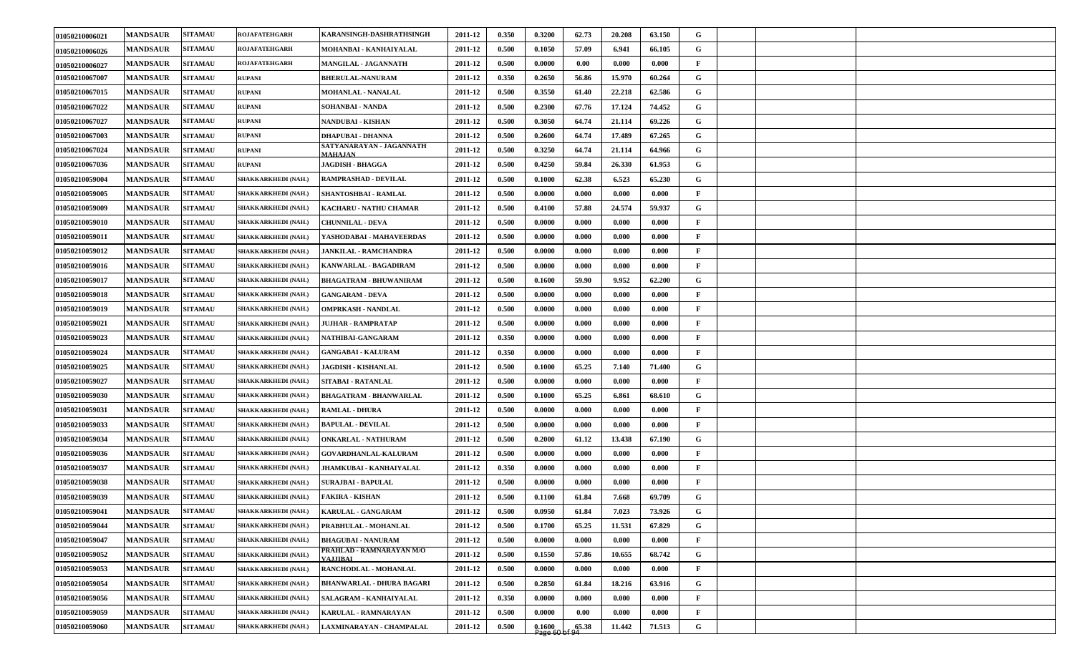| 01050210006021 | <b>MANDSAUR</b> | <b>SITAMAU</b> | <b>ROJAFATEHGARH</b>       | KARANSINGH-DASHRATHSINGH             | 2011-12 | 0.350 | 0.3200 | 62.73                        | 20.208 | 63.150 | G            |  |  |
|----------------|-----------------|----------------|----------------------------|--------------------------------------|---------|-------|--------|------------------------------|--------|--------|--------------|--|--|
| 01050210006026 | <b>MANDSAUR</b> | <b>SITAMAU</b> | <b>ROJAFATEHGARH</b>       | MOHANBAI - KANHAIYALAL               | 2011-12 | 0.500 | 0.1050 | 57.09                        | 6.941  | 66.105 | G            |  |  |
| 01050210006027 | <b>MANDSAUR</b> | <b>SITAMAU</b> | <b>ROJAFATEHGARH</b>       | MANGILAL - JAGANNATH                 | 2011-12 | 0.500 | 0.0000 | 0.00                         | 0.000  | 0.000  | $\mathbf{F}$ |  |  |
| 01050210067007 | <b>MANDSAUR</b> | <b>SITAMAU</b> | <b>RUPANI</b>              | <b>BHERULAL-NANURAM</b>              | 2011-12 | 0.350 | 0.2650 | 56.86                        | 15.970 | 60.264 | G            |  |  |
| 01050210067015 | <b>MANDSAUR</b> | <b>SITAMAU</b> | <b>RUPANI</b>              | <b>MOHANLAL - NANALAL</b>            | 2011-12 | 0.500 | 0.3550 | 61.40                        | 22.218 | 62.586 | G            |  |  |
| 01050210067022 | <b>MANDSAUR</b> | <b>SITAMAU</b> | <b>RUPANI</b>              | SOHANBAI - NANDA                     | 2011-12 | 0.500 | 0.2300 | 67.76                        | 17.124 | 74.452 | G            |  |  |
| 01050210067027 | <b>MANDSAUR</b> | <b>SITAMAU</b> | <b>RUPANI</b>              | NANDUBAI - KISHAN                    | 2011-12 | 0.500 | 0.3050 | 64.74                        | 21.114 | 69.226 | G            |  |  |
| 01050210067003 | <b>MANDSAUR</b> | <b>SITAMAU</b> | <b>RUPANI</b>              | <b>DHAPUBAI - DHANNA</b>             | 2011-12 | 0.500 | 0.2600 | 64.74                        | 17.489 | 67.265 | G            |  |  |
| 01050210067024 | <b>MANDSAUR</b> | <b>SITAMAU</b> | <b>RUPANI</b>              | SATYANARAYAN - JAGANNATH<br>MAHAJAN  | 2011-12 | 0.500 | 0.3250 | 64.74                        | 21.114 | 64.966 | G            |  |  |
| 01050210067036 | <b>MANDSAUR</b> | <b>SITAMAU</b> | <b>RUPANI</b>              | JAGDISH - BHAGGA                     | 2011-12 | 0.500 | 0.4250 | 59.84                        | 26.330 | 61.953 | G            |  |  |
| 01050210059004 | <b>MANDSAUR</b> | <b>SITAMAU</b> | <b>SHAKKARKHEDI (NAH.)</b> | <b>RAMPRASHAD - DEVILAL</b>          | 2011-12 | 0.500 | 0.1000 | 62.38                        | 6.523  | 65.230 | G            |  |  |
| 01050210059005 | <b>MANDSAUR</b> | <b>SITAMAU</b> | SHAKKARKHEDI (NAH.)        | SHANTOSHBAI - RAMLAL                 | 2011-12 | 0.500 | 0.0000 | 0.000                        | 0.000  | 0.000  | $\mathbf{F}$ |  |  |
| 01050210059009 | <b>MANDSAUR</b> | <b>SITAMAU</b> | SHAKKARKHEDI (NAH.)        | KACHARU - NATHU CHAMAR               | 2011-12 | 0.500 | 0.4100 | 57.88                        | 24.574 | 59.937 | G            |  |  |
| 01050210059010 | <b>MANDSAUR</b> | <b>SITAMAU</b> | <b>SHAKKARKHEDI (NAH.)</b> | <b>CHUNNILAL - DEVA</b>              | 2011-12 | 0.500 | 0.0000 | 0.000                        | 0.000  | 0.000  | $\mathbf{F}$ |  |  |
| 01050210059011 | <b>MANDSAUR</b> | <b>SITAMAU</b> | SHAKKARKHEDI (NAH.)        | YASHODABAI - MAHAVEERDAS             | 2011-12 | 0.500 | 0.0000 | 0.000                        | 0.000  | 0.000  | $\mathbf{F}$ |  |  |
| 01050210059012 | <b>MANDSAUR</b> | <b>SITAMAU</b> | SHAKKARKHEDI (NAH.)        | JANKILAL - RAMCHANDRA                | 2011-12 | 0.500 | 0.0000 | 0.000                        | 0.000  | 0.000  | $\mathbf{F}$ |  |  |
| 01050210059016 | <b>MANDSAUR</b> | <b>SITAMAU</b> | SHAKKARKHEDI (NAH.)        | KANWARLAL - BAGADIRAM                | 2011-12 | 0.500 | 0.0000 | 0.000                        | 0.000  | 0.000  | $\mathbf{F}$ |  |  |
| 01050210059017 | <b>MANDSAUR</b> | <b>SITAMAU</b> | <b>SHAKKARKHEDI (NAH.)</b> | <b>BHAGATRAM - BHUWANIRAM</b>        | 2011-12 | 0.500 | 0.1600 | 59.90                        | 9.952  | 62.200 | G            |  |  |
| 01050210059018 | <b>MANDSAUR</b> | <b>SITAMAU</b> | SHAKKARKHEDI (NAH.)        | <b>GANGARAM - DEVA</b>               | 2011-12 | 0.500 | 0.0000 | 0.000                        | 0.000  | 0.000  | $\mathbf{F}$ |  |  |
| 01050210059019 | <b>MANDSAUR</b> | <b>SITAMAU</b> | SHAKKARKHEDI (NAH.)        | <b>OMPRKASH - NANDLAL</b>            | 2011-12 | 0.500 | 0.0000 | 0.000                        | 0.000  | 0.000  | $\mathbf{F}$ |  |  |
| 01050210059021 | <b>MANDSAUR</b> | <b>SITAMAU</b> | SHAKKARKHEDI (NAH.)        | <b>JUJHAR - RAMPRATAP</b>            | 2011-12 | 0.500 | 0.0000 | 0.000                        | 0.000  | 0.000  | $\mathbf{F}$ |  |  |
| 01050210059023 | <b>MANDSAUR</b> | <b>SITAMAU</b> | <b>SHAKKARKHEDI (NAH.)</b> | NATHIBAI-GANGARAM                    | 2011-12 | 0.350 | 0.0000 | 0.000                        | 0.000  | 0.000  | $\mathbf{F}$ |  |  |
| 01050210059024 | <b>MANDSAUR</b> | <b>SITAMAU</b> | SHAKKARKHEDI (NAH.)        | <b>GANGABAI - KALURAM</b>            | 2011-12 | 0.350 | 0.0000 | 0.000                        | 0.000  | 0.000  | $\mathbf{F}$ |  |  |
| 01050210059025 | <b>MANDSAUR</b> | <b>SITAMAU</b> | SHAKKARKHEDI (NAH.)        | JAGDISH - KISHANLAL                  | 2011-12 | 0.500 | 0.1000 | 65.25                        | 7.140  | 71.400 | G            |  |  |
| 01050210059027 | <b>MANDSAUR</b> | <b>SITAMAU</b> | SHAKKARKHEDI (NAH.)        | SITABAI - RATANLAL                   | 2011-12 | 0.500 | 0.0000 | 0.000                        | 0.000  | 0.000  | $\mathbf{F}$ |  |  |
| 01050210059030 | <b>MANDSAUR</b> | <b>SITAMAU</b> | SHAKKARKHEDI (NAH.)        | <b>BHAGATRAM - BHANWARLAL</b>        | 2011-12 | 0.500 | 0.1000 | 65.25                        | 6.861  | 68.610 | G            |  |  |
| 01050210059031 | <b>MANDSAUR</b> | <b>SITAMAU</b> | SHAKKARKHEDI (NAH.)        | <b>RAMLAL - DHURA</b>                | 2011-12 | 0.500 | 0.0000 | 0.000                        | 0.000  | 0.000  | $\mathbf{F}$ |  |  |
| 01050210059033 | <b>MANDSAUR</b> | <b>SITAMAU</b> | SHAKKARKHEDI (NAH.)        | <b>BAPULAL - DEVILAL</b>             | 2011-12 | 0.500 | 0.0000 | 0.000                        | 0.000  | 0.000  | $\mathbf{F}$ |  |  |
| 01050210059034 | <b>MANDSAUR</b> | <b>SITAMAU</b> | <b>SHAKKARKHEDI (NAH.)</b> | <b>ONKARLAL - NATHURAM</b>           | 2011-12 | 0.500 | 0.2000 | 61.12                        | 13.438 | 67.190 | G            |  |  |
| 01050210059036 | <b>MANDSAUR</b> | <b>SITAMAU</b> | SHAKKARKHEDI (NAH.)        | <b>GOVARDHANLAL-KALURAM</b>          | 2011-12 | 0.500 | 0.0000 | 0.000                        | 0.000  | 0.000  | $\mathbf{F}$ |  |  |
| 01050210059037 | <b>MANDSAUR</b> | <b>SITAMAU</b> | SHAKKARKHEDI (NAH.)        | JHAMKUBAI - KANHAIYALAL              | 2011-12 | 0.350 | 0.0000 | 0.000                        | 0.000  | 0.000  | $\mathbf{F}$ |  |  |
| 01050210059038 | <b>MANDSAUR</b> | <b>SITAMAU</b> | SHAKKARKHEDI (NAH.)        | SURAJBAI - BAPULAL                   | 2011-12 | 0.500 | 0.0000 | 0.000                        | 0.000  | 0.000  | $\mathbf{F}$ |  |  |
| 01050210059039 | <b>MANDSAUR</b> | <b>SITAMAU</b> | <b>SHAKKARKHEDI (NAH.)</b> | <b>FAKIRA - KISHAN</b>               | 2011-12 | 0.500 | 0.1100 | 61.84                        | 7.668  | 69.709 | G            |  |  |
| 01050210059041 | <b>MANDSAUR</b> | <b>SITAMAU</b> | SHAKKARKHEDI (NAH.)        | KARULAL - GANGARAM                   | 2011-12 | 0.500 | 0.0950 | 61.84                        | 7.023  | 73.926 | G            |  |  |
| 01050210059044 | <b>MANDSAUR</b> | <b>SITAMAU</b> | SHAKKARKHEDI (NAH.)        | PRABHULAL - MOHANLAL                 | 2011-12 | 0.500 | 0.1700 | 65.25                        | 11.531 | 67.829 | $\mathbf G$  |  |  |
| 01050210059047 | <b>MANDSAUR</b> | <b>SITAMAU</b> | SHAKKARKHEDI (NAH.)        | <b>BHAGUBAI - NANURAM</b>            | 2011-12 | 0.500 | 0.0000 | 0.000                        | 0.000  | 0.000  | $\mathbf{F}$ |  |  |
| 01050210059052 | <b>MANDSAUR</b> | <b>SITAMAU</b> | SHAKKARKHEDI (NAH.)        | PRAHLAD - RAMNARAYAN M/O<br>VAJJIBAI | 2011-12 | 0.500 | 0.1550 | 57.86                        | 10.655 | 68.742 | G            |  |  |
| 01050210059053 | <b>MANDSAUR</b> | <b>SITAMAU</b> | SHAKKARKHEDI (NAH.)        | RANCHODLAL - MOHANLAL                | 2011-12 | 0.500 | 0.0000 | 0.000                        | 0.000  | 0.000  | $\mathbf{F}$ |  |  |
| 01050210059054 | <b>MANDSAUR</b> | <b>SITAMAU</b> | <b>SHAKKARKHEDI (NAH.)</b> | <b>BHANWARLAL - DHURA BAGARI</b>     | 2011-12 | 0.500 | 0.2850 | 61.84                        | 18.216 | 63.916 | G            |  |  |
| 01050210059056 | <b>MANDSAUR</b> | <b>SITAMAU</b> | <b>SHAKKARKHEDI (NAH.)</b> | SALAGRAM - KANHAIYALAL               | 2011-12 | 0.350 | 0.0000 | 0.000                        | 0.000  | 0.000  | $\mathbf{F}$ |  |  |
| 01050210059059 | <b>MANDSAUR</b> | <b>SITAMAU</b> | <b>SHAKKARKHEDI (NAH.)</b> | KARULAL - RAMNARAYAN                 | 2011-12 | 0.500 | 0.0000 | 0.00                         | 0.000  | 0.000  | $\mathbf{F}$ |  |  |
| 01050210059060 | <b>MANDSAUR</b> | <b>SITAMAU</b> | <b>SHAKKARKHEDI (NAH.)</b> | LAXMINARAYAN - CHAMPALAL             | 2011-12 | 0.500 | 0.1600 | $\frac{1000}{98660}$ of 9.38 | 11.442 | 71.513 | G            |  |  |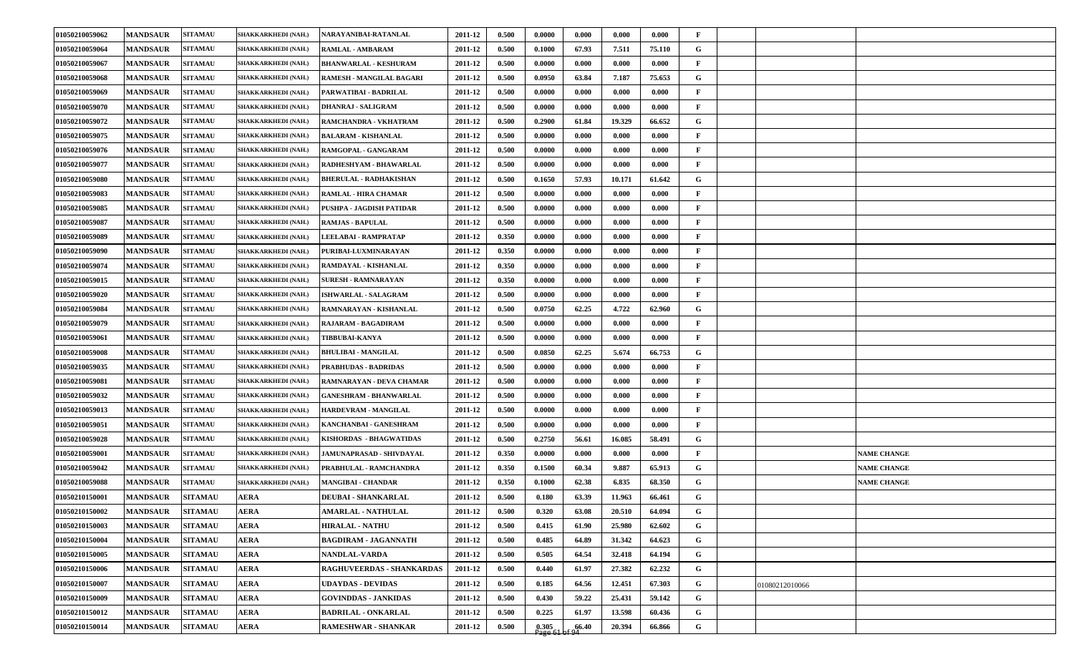| 01050210059062 | <b>MANDSAUR</b> | <b>SITAMAU</b> | SHAKKARKHEDI (NAH.)        | NARAYANIBAI-RATANLAL            | 2011-12 | 0.500 | 0.0000 | 0.000 | 0.000  | 0.000  | F            |                |                    |
|----------------|-----------------|----------------|----------------------------|---------------------------------|---------|-------|--------|-------|--------|--------|--------------|----------------|--------------------|
| 01050210059064 | <b>MANDSAUR</b> | <b>SITAMAU</b> | SHAKKARKHEDI (NAH.)        | RAMLAL - AMBARAM                | 2011-12 | 0.500 | 0.1000 | 67.93 | 7.511  | 75.110 | G            |                |                    |
| 01050210059067 | <b>MANDSAUR</b> | <b>SITAMAU</b> | SHAKKARKHEDI (NAH.)        | <b>BHANWARLAL - KESHURAM</b>    | 2011-12 | 0.500 | 0.0000 | 0.000 | 0.000  | 0.000  | F            |                |                    |
| 01050210059068 | <b>MANDSAUR</b> | <b>SITAMAU</b> | SHAKKARKHEDI (NAH.)        | <b>RAMESH - MANGILAL BAGARI</b> | 2011-12 | 0.500 | 0.0950 | 63.84 | 7.187  | 75.653 | G            |                |                    |
| 01050210059069 | <b>MANDSAUR</b> | <b>SITAMAU</b> | SHAKKARKHEDI (NAH.)        | PARWATIBAI - BADRILAL           | 2011-12 | 0.500 | 0.0000 | 0.000 | 0.000  | 0.000  | F            |                |                    |
| 01050210059070 | <b>MANDSAUR</b> | <b>SITAMAU</b> | SHAKKARKHEDI (NAH.)        | <b>DHANRAJ - SALIGRAM</b>       | 2011-12 | 0.500 | 0.0000 | 0.000 | 0.000  | 0.000  | $\mathbf{F}$ |                |                    |
| 01050210059072 | <b>MANDSAUR</b> | <b>SITAMAU</b> | SHAKKARKHEDI (NAH.)        | RAMCHANDRA - VKHATRAM           | 2011-12 | 0.500 | 0.2900 | 61.84 | 19.329 | 66.652 | G            |                |                    |
| 01050210059075 | <b>MANDSAUR</b> | <b>SITAMAU</b> | SHAKKARKHEDI (NAH.)        | <b>BALARAM - KISHANLAL</b>      | 2011-12 | 0.500 | 0.0000 | 0.000 | 0.000  | 0.000  | $\mathbf{F}$ |                |                    |
| 01050210059076 | <b>MANDSAUR</b> | <b>SITAMAU</b> | <b>SHAKKARKHEDI (NAH.)</b> | RAMGOPAL - GANGARAM             | 2011-12 | 0.500 | 0.0000 | 0.000 | 0.000  | 0.000  | F            |                |                    |
| 01050210059077 | <b>MANDSAUR</b> | <b>SITAMAU</b> | SHAKKARKHEDI (NAH.)        | RADHESHYAM - BHAWARLAL          | 2011-12 | 0.500 | 0.0000 | 0.000 | 0.000  | 0.000  | $\mathbf{F}$ |                |                    |
| 01050210059080 | <b>MANDSAUR</b> | <b>SITAMAU</b> | <b>SHAKKARKHEDI (NAH.)</b> | <b>BHERULAL - RADHAKISHAN</b>   | 2011-12 | 0.500 | 0.1650 | 57.93 | 10.171 | 61.642 | G            |                |                    |
| 01050210059083 | <b>MANDSAUR</b> | <b>SITAMAU</b> | <b>SHAKKARKHEDI (NAH.)</b> | <b>RAMLAL - HIRA CHAMAR</b>     | 2011-12 | 0.500 | 0.0000 | 0.000 | 0.000  | 0.000  | $\mathbf{F}$ |                |                    |
| 01050210059085 | <b>MANDSAUR</b> | <b>SITAMAU</b> | SHAKKARKHEDI (NAH.)        | PUSHPA - JAGDISH PATIDAR        | 2011-12 | 0.500 | 0.0000 | 0.000 | 0.000  | 0.000  | $\mathbf{F}$ |                |                    |
| 01050210059087 | <b>MANDSAUR</b> | <b>SITAMAU</b> | SHAKKARKHEDI (NAH.)        | <b>RAMJAS - BAPULAL</b>         | 2011-12 | 0.500 | 0.0000 | 0.000 | 0.000  | 0.000  | $\mathbf{F}$ |                |                    |
| 01050210059089 | <b>MANDSAUR</b> | <b>SITAMAU</b> | SHAKKARKHEDI (NAH.)        | LEELABAI - RAMPRATAP            | 2011-12 | 0.350 | 0.0000 | 0.000 | 0.000  | 0.000  | $\mathbf{F}$ |                |                    |
| 01050210059090 | <b>MANDSAUR</b> | <b>SITAMAU</b> | SHAKKARKHEDI (NAH.)        | PURIBAI-LUXMINARAYAN            | 2011-12 | 0.350 | 0.0000 | 0.000 | 0.000  | 0.000  | F            |                |                    |
| 01050210059074 | <b>MANDSAUR</b> | <b>SITAMAU</b> | SHAKKARKHEDI (NAH.)        | RAMDAYAL - KISHANLAL            | 2011-12 | 0.350 | 0.0000 | 0.000 | 0.000  | 0.000  | F            |                |                    |
| 01050210059015 | <b>MANDSAUR</b> | <b>SITAMAU</b> | SHAKKARKHEDI (NAH.)        | <b>SURESH - RAMNARAYAN</b>      | 2011-12 | 0.350 | 0.0000 | 0.000 | 0.000  | 0.000  | $\mathbf{F}$ |                |                    |
| 01050210059020 | <b>MANDSAUR</b> | <b>SITAMAU</b> | <b>SHAKKARKHEDI (NAH.)</b> | <b>ISHWARLAL - SALAGRAM</b>     | 2011-12 | 0.500 | 0.0000 | 0.000 | 0.000  | 0.000  | $\mathbf{F}$ |                |                    |
| 01050210059084 | <b>MANDSAUR</b> | <b>SITAMAU</b> | SHAKKARKHEDI (NAH.)        | RAMNARAYAN - KISHANLAL          | 2011-12 | 0.500 | 0.0750 | 62.25 | 4.722  | 62.960 | G            |                |                    |
| 01050210059079 | <b>MANDSAUR</b> | <b>SITAMAU</b> | SHAKKARKHEDI (NAH.)        | RAJARAM - BAGADIRAM             | 2011-12 | 0.500 | 0.0000 | 0.000 | 0.000  | 0.000  | $\mathbf{F}$ |                |                    |
| 01050210059061 | <b>MANDSAUR</b> | <b>SITAMAU</b> | SHAKKARKHEDI (NAH.)        | <b>TIBBUBAI-KANYA</b>           | 2011-12 | 0.500 | 0.0000 | 0.000 | 0.000  | 0.000  | $\mathbf{F}$ |                |                    |
| 01050210059008 | <b>MANDSAUR</b> | <b>SITAMAU</b> | SHAKKARKHEDI (NAH.)        | <b>BHULIBAI - MANGILAL</b>      | 2011-12 | 0.500 | 0.0850 | 62.25 | 5.674  | 66.753 | G            |                |                    |
| 01050210059035 | <b>MANDSAUR</b> | <b>SITAMAU</b> | SHAKKARKHEDI (NAH.)        | <b>PRABHUDAS - BADRIDAS</b>     | 2011-12 | 0.500 | 0.0000 | 0.000 | 0.000  | 0.000  | F            |                |                    |
| 01050210059081 | <b>MANDSAUR</b> | <b>SITAMAU</b> | SHAKKARKHEDI (NAH.)        | RAMNARAYAN - DEVA CHAMAR        | 2011-12 | 0.500 | 0.0000 | 0.000 | 0.000  | 0.000  | F            |                |                    |
| 01050210059032 | <b>MANDSAUR</b> | <b>SITAMAU</b> | SHAKKARKHEDI (NAH.)        | <b>GANESHRAM - BHANWARLAL</b>   | 2011-12 | 0.500 | 0.0000 | 0.000 | 0.000  | 0.000  | $\mathbf{F}$ |                |                    |
| 01050210059013 | <b>MANDSAUR</b> | <b>SITAMAU</b> | SHAKKARKHEDI (NAH.)        | <b>HARDEVRAM - MANGILAL</b>     | 2011-12 | 0.500 | 0.0000 | 0.000 | 0.000  | 0.000  | $\mathbf{F}$ |                |                    |
| 01050210059051 | <b>MANDSAUR</b> | <b>SITAMAU</b> | SHAKKARKHEDI (NAH.)        | KANCHANBAI - GANESHRAM          | 2011-12 | 0.500 | 0.0000 | 0.000 | 0.000  | 0.000  | F            |                |                    |
| 01050210059028 | <b>MANDSAUR</b> | <b>SITAMAU</b> | SHAKKARKHEDI (NAH.)        | KISHORDAS - BHAGWATIDAS         | 2011-12 | 0.500 | 0.2750 | 56.61 | 16.085 | 58.491 | G            |                |                    |
| 01050210059001 | <b>MANDSAUR</b> | <b>SITAMAU</b> | SHAKKARKHEDI (NAH.)        | JAMUNAPRASAD - SHIVDAYAL        | 2011-12 | 0.350 | 0.0000 | 0.000 | 0.000  | 0.000  | $\mathbf{F}$ |                | <b>NAME CHANGE</b> |
| 01050210059042 | <b>MANDSAUR</b> | <b>SITAMAU</b> | SHAKKARKHEDI (NAH.)        | PRABHULAL - RAMCHANDRA          | 2011-12 | 0.350 | 0.1500 | 60.34 | 9.887  | 65.913 | G            |                | <b>NAME CHANGE</b> |
| 01050210059088 | <b>MANDSAUR</b> | <b>SITAMAU</b> | SHAKKARKHEDI (NAH.)        | <b>MANGIBAI - CHANDAR</b>       | 2011-12 | 0.350 | 0.1000 | 62.38 | 6.835  | 68.350 | G            |                | <b>NAME CHANGE</b> |
| 01050210150001 | <b>MANDSAUR</b> | <b>SITAMAU</b> | <b>AERA</b>                | <b>DEUBAI - SHANKARLAL</b>      | 2011-12 | 0.500 | 0.180  | 63.39 | 11.963 | 66.461 | G            |                |                    |
| 01050210150002 | <b>MANDSAUR</b> | <b>SITAMAU</b> | <b>AERA</b>                | <b>AMARLAL - NATHULAL</b>       | 2011-12 | 0.500 | 0.320  | 63.08 | 20.510 | 64.094 | G            |                |                    |
| 01050210150003 | <b>MANDSAUR</b> | <b>SITAMAU</b> | <b>AERA</b>                | <b>HIRALAL - NATHU</b>          | 2011-12 | 0.500 | 0.415  | 61.90 | 25.980 | 62.602 | $\mathbf G$  |                |                    |
| 01050210150004 | <b>MANDSAUR</b> | <b>SITAMAU</b> | <b>AERA</b>                | <b>BAGDIRAM - JAGANNATH</b>     | 2011-12 | 0.500 | 0.485  | 64.89 | 31.342 | 64.623 | $\mathbf G$  |                |                    |
| 01050210150005 | <b>MANDSAUR</b> | <b>SITAMAU</b> | <b>AERA</b>                | <b>NANDLAL-VARDA</b>            | 2011-12 | 0.500 | 0.505  | 64.54 | 32.418 | 64.194 | $\mathbf G$  |                |                    |
| 01050210150006 | <b>MANDSAUR</b> | <b>SITAMAU</b> | <b>AERA</b>                | RAGHUVEERDAS - SHANKARDAS       | 2011-12 | 0.500 | 0.440  | 61.97 | 27.382 | 62.232 | $\mathbf G$  |                |                    |
| 01050210150007 | <b>MANDSAUR</b> | <b>SITAMAU</b> | <b>AERA</b>                | <b>UDAYDAS - DEVIDAS</b>        | 2011-12 | 0.500 | 0.185  | 64.56 | 12.451 | 67.303 | $\mathbf G$  | 01080212010066 |                    |
| 01050210150009 | <b>MANDSAUR</b> | <b>SITAMAU</b> | <b>AERA</b>                | <b>GOVINDDAS - JANKIDAS</b>     | 2011-12 | 0.500 | 0.430  | 59.22 | 25.431 | 59.142 | $\mathbf G$  |                |                    |
| 01050210150012 | <b>MANDSAUR</b> | <b>SITAMAU</b> | <b>AERA</b>                | <b>BADRILAL - ONKARLAL</b>      | 2011-12 | 0.500 | 0.225  | 61.97 | 13.598 | 60.436 | G            |                |                    |
| 01050210150014 | <b>MANDSAUR</b> | <b>SITAMAU</b> | <b>AERA</b>                | <b>RAMESHWAR - SHANKAR</b>      | 2011-12 | 0.500 | 0.305  | 66.40 | 20.394 | 66.866 | G            |                |                    |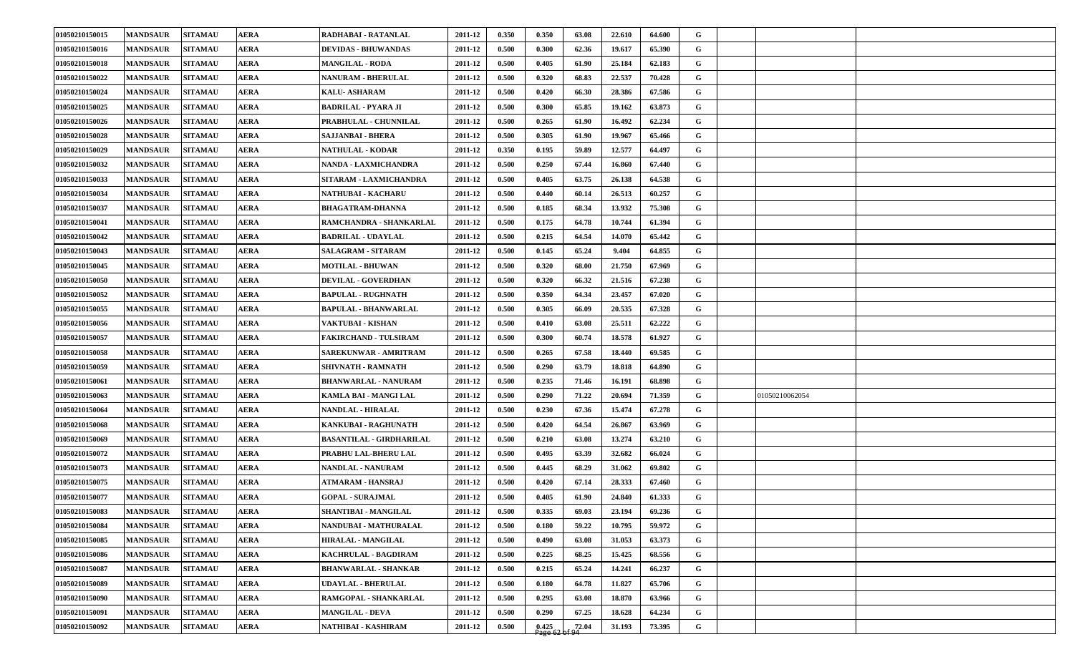| 01050210150015 | <b>MANDSAUR</b> | <b>AERA</b><br><b>SITAMAU</b> | RADHABAI - RATANLAL             | 2011-12 | 0.350 | 0.350              | 63.08 | 22.610 | 64.600 | G           |                |  |
|----------------|-----------------|-------------------------------|---------------------------------|---------|-------|--------------------|-------|--------|--------|-------------|----------------|--|
| 01050210150016 | <b>MANDSAUR</b> | <b>SITAMAU</b><br><b>AERA</b> | <b>DEVIDAS - BHUWANDAS</b>      | 2011-12 | 0.500 | 0.300              | 62.36 | 19.617 | 65.390 | G           |                |  |
| 01050210150018 | <b>MANDSAUR</b> | <b>SITAMAU</b><br><b>AERA</b> | <b>MANGILAL - RODA</b>          | 2011-12 | 0.500 | 0.405              | 61.90 | 25.184 | 62.183 | G           |                |  |
| 01050210150022 | <b>MANDSAUR</b> | <b>SITAMAU</b><br><b>AERA</b> | <b>NANURAM - BHERULAL</b>       | 2011-12 | 0.500 | 0.320              | 68.83 | 22.537 | 70.428 | G           |                |  |
| 01050210150024 | <b>MANDSAUR</b> | <b>SITAMAU</b><br><b>AERA</b> | <b>KALU- ASHARAM</b>            | 2011-12 | 0.500 | 0.420              | 66.30 | 28.386 | 67.586 | G           |                |  |
| 01050210150025 | <b>MANDSAUR</b> | <b>SITAMAU</b><br><b>AERA</b> | <b>BADRILAL - PYARA JI</b>      | 2011-12 | 0.500 | 0.300              | 65.85 | 19.162 | 63.873 | G           |                |  |
| 01050210150026 | <b>MANDSAUR</b> | <b>SITAMAU</b><br><b>AERA</b> | PRABHULAL - CHUNNILAL           | 2011-12 | 0.500 | 0.265              | 61.90 | 16.492 | 62.234 | G           |                |  |
| 01050210150028 | <b>MANDSAUR</b> | <b>SITAMAU</b><br><b>AERA</b> | SAJJANBAI - BHERA               | 2011-12 | 0.500 | 0.305              | 61.90 | 19.967 | 65.466 | G           |                |  |
| 01050210150029 | <b>MANDSAUR</b> | <b>SITAMAU</b><br><b>AERA</b> | <b>NATHULAL - KODAR</b>         | 2011-12 | 0.350 | 0.195              | 59.89 | 12.577 | 64.497 | G           |                |  |
| 01050210150032 | <b>MANDSAUR</b> | <b>SITAMAU</b><br><b>AERA</b> | NANDA - LAXMICHANDRA            | 2011-12 | 0.500 | 0.250              | 67.44 | 16.860 | 67.440 | G           |                |  |
| 01050210150033 | <b>MANDSAUR</b> | <b>SITAMAU</b><br><b>AERA</b> | SITARAM - LAXMICHANDRA          | 2011-12 | 0.500 | 0.405              | 63.75 | 26.138 | 64.538 | G           |                |  |
| 01050210150034 | <b>MANDSAUR</b> | <b>SITAMAU</b><br>AERA        | NATHUBAI - KACHARU              | 2011-12 | 0.500 | 0.440              | 60.14 | 26.513 | 60.257 | G           |                |  |
| 01050210150037 | <b>MANDSAUR</b> | <b>AERA</b><br><b>SITAMAU</b> | <b>BHAGATRAM-DHANNA</b>         | 2011-12 | 0.500 | 0.185              | 68.34 | 13.932 | 75.308 | G           |                |  |
| 01050210150041 | <b>MANDSAUR</b> | <b>SITAMAU</b><br><b>AERA</b> | RAMCHANDRA - SHANKARLAL         | 2011-12 | 0.500 | 0.175              | 64.78 | 10.744 | 61.394 | G           |                |  |
| 01050210150042 | <b>MANDSAUR</b> | <b>SITAMAU</b><br><b>AERA</b> | <b>BADRILAL - UDAYLAL</b>       | 2011-12 | 0.500 | 0.215              | 64.54 | 14.070 | 65.442 | G           |                |  |
| 01050210150043 | <b>MANDSAUR</b> | <b>SITAMAU</b><br>AERA        | <b>SALAGRAM - SITARAM</b>       | 2011-12 | 0.500 | 0.145              | 65.24 | 9.404  | 64.855 | G           |                |  |
| 01050210150045 | <b>MANDSAUR</b> | <b>SITAMAU</b><br><b>AERA</b> | <b>MOTILAL - BHUWAN</b>         | 2011-12 | 0.500 | 0.320              | 68.00 | 21.750 | 67.969 | G           |                |  |
| 01050210150050 | <b>MANDSAUR</b> | <b>SITAMAU</b><br><b>AERA</b> | DEVILAL - GOVERDHAN             | 2011-12 | 0.500 | 0.320              | 66.32 | 21.516 | 67.238 | G           |                |  |
| 01050210150052 | <b>MANDSAUR</b> | <b>SITAMAU</b><br><b>AERA</b> | <b>BAPULAL - RUGHNATH</b>       | 2011-12 | 0.500 | 0.350              | 64.34 | 23.457 | 67.020 | G           |                |  |
| 01050210150055 | <b>MANDSAUR</b> | <b>SITAMAU</b><br>AERA        | <b>BAPULAL - BHANWARLAL</b>     | 2011-12 | 0.500 | 0.305              | 66.09 | 20.535 | 67.328 | G           |                |  |
| 01050210150056 | <b>MANDSAUR</b> | <b>SITAMAU</b><br><b>AERA</b> | VAKTUBAI - KISHAN               | 2011-12 | 0.500 | 0.410              | 63.08 | 25.511 | 62.222 | G           |                |  |
| 01050210150057 | <b>MANDSAUR</b> | <b>SITAMAU</b><br><b>AERA</b> | <b>FAKIRCHAND - TULSIRAM</b>    | 2011-12 | 0.500 | 0.300              | 60.74 | 18.578 | 61.927 | G           |                |  |
| 01050210150058 | <b>MANDSAUR</b> | <b>SITAMAU</b><br><b>AERA</b> | SAREKUNWAR - AMRITRAM           | 2011-12 | 0.500 | 0.265              | 67.58 | 18.440 | 69.585 | G           |                |  |
| 01050210150059 | <b>MANDSAUR</b> | <b>SITAMAU</b><br>AERA        | SHIVNATH - RAMNATH              | 2011-12 | 0.500 | 0.290              | 63.79 | 18.818 | 64.890 | G           |                |  |
| 01050210150061 | <b>MANDSAUR</b> | <b>SITAMAU</b><br><b>AERA</b> | <b>BHANWARLAL - NANURAM</b>     | 2011-12 | 0.500 | 0.235              | 71.46 | 16.191 | 68.898 | G           |                |  |
| 01050210150063 | <b>MANDSAUR</b> | <b>SITAMAU</b><br><b>AERA</b> | <b>KAMLA BAI - MANGI LAL</b>    | 2011-12 | 0.500 | 0.290              | 71.22 | 20.694 | 71.359 | G           | 01050210062054 |  |
| 01050210150064 | <b>MANDSAUR</b> | <b>SITAMAU</b><br><b>AERA</b> | <b>NANDLAL - HIRALAL</b>        | 2011-12 | 0.500 | 0.230              | 67.36 | 15.474 | 67.278 | G           |                |  |
| 01050210150068 | <b>MANDSAUR</b> | <b>SITAMAU</b><br><b>AERA</b> | KANKUBAI - RAGHUNATH            | 2011-12 | 0.500 | 0.420              | 64.54 | 26.867 | 63.969 | G           |                |  |
| 01050210150069 | <b>MANDSAUR</b> | <b>SITAMAU</b><br><b>AERA</b> | <b>BASANTILAL - GIRDHARILAL</b> | 2011-12 | 0.500 | 0.210              | 63.08 | 13.274 | 63.210 | G           |                |  |
| 01050210150072 | <b>MANDSAUR</b> | <b>SITAMAU</b><br><b>AERA</b> | PRABHU LAL-BHERU LAL            | 2011-12 | 0.500 | 0.495              | 63.39 | 32.682 | 66.024 | G           |                |  |
| 01050210150073 | <b>MANDSAUR</b> | <b>SITAMAU</b><br><b>AERA</b> | NANDLAL - NANURAM               | 2011-12 | 0.500 | 0.445              | 68.29 | 31.062 | 69.802 | G           |                |  |
| 01050210150075 | <b>MANDSAUR</b> | <b>SITAMAU</b><br><b>AERA</b> | ATMARAM - HANSRAJ               | 2011-12 | 0.500 | 0.420              | 67.14 | 28.333 | 67.460 | G           |                |  |
| 01050210150077 | <b>MANDSAUR</b> | <b>SITAMAU</b><br><b>AERA</b> | <b>GOPAL - SURAJMAL</b>         | 2011-12 | 0.500 | 0.405              | 61.90 | 24.840 | 61.333 | G           |                |  |
| 01050210150083 | <b>MANDSAUR</b> | <b>SITAMAU</b><br><b>AERA</b> | SHANTIBAI - MANGILAL            | 2011-12 | 0.500 | 0.335              | 69.03 | 23.194 | 69.236 | G           |                |  |
| 01050210150084 | <b>MANDSAUR</b> | <b>SITAMAU</b><br>AERA        | NANDUBAI - MATHURALAL           | 2011-12 | 0.500 | 0.180              | 59.22 | 10.795 | 59.972 | $\mathbf G$ |                |  |
| 01050210150085 | <b>MANDSAUR</b> | <b>SITAMAU</b><br><b>AERA</b> | <b>HIRALAL - MANGILAL</b>       | 2011-12 | 0.500 | 0.490              | 63.08 | 31.053 | 63.373 | $\mathbf G$ |                |  |
| 01050210150086 | <b>MANDSAUR</b> | <b>SITAMAU</b><br><b>AERA</b> | KACHRULAL - BAGDIRAM            | 2011-12 | 0.500 | 0.225              | 68.25 | 15.425 | 68.556 | $\mathbf G$ |                |  |
| 01050210150087 | <b>MANDSAUR</b> | <b>SITAMAU</b><br><b>AERA</b> | <b>BHANWARLAL - SHANKAR</b>     | 2011-12 | 0.500 | 0.215              | 65.24 | 14.241 | 66.237 | $\mathbf G$ |                |  |
| 01050210150089 | <b>MANDSAUR</b> | <b>SITAMAU</b><br><b>AERA</b> | UDAYLAL - BHERULAL              | 2011-12 | 0.500 | 0.180              | 64.78 | 11.827 | 65.706 | $\mathbf G$ |                |  |
| 01050210150090 | <b>MANDSAUR</b> | <b>SITAMAU</b><br><b>AERA</b> | RAMGOPAL - SHANKARLAL           | 2011-12 | 0.500 | 0.295              | 63.08 | 18.870 | 63.966 | $\mathbf G$ |                |  |
| 01050210150091 | <b>MANDSAUR</b> | <b>SITAMAU</b><br><b>AERA</b> | <b>MANGILAL - DEVA</b>          | 2011-12 | 0.500 | 0.290              | 67.25 | 18.628 | 64.234 | G           |                |  |
| 01050210150092 | <b>MANDSAUR</b> | <b>SITAMAU</b><br><b>AERA</b> | NATHIBAI - KASHIRAM             | 2011-12 | 0.500 | $0.425$<br>Page 62 | 72.04 | 31.193 | 73.395 | $\mathbf G$ |                |  |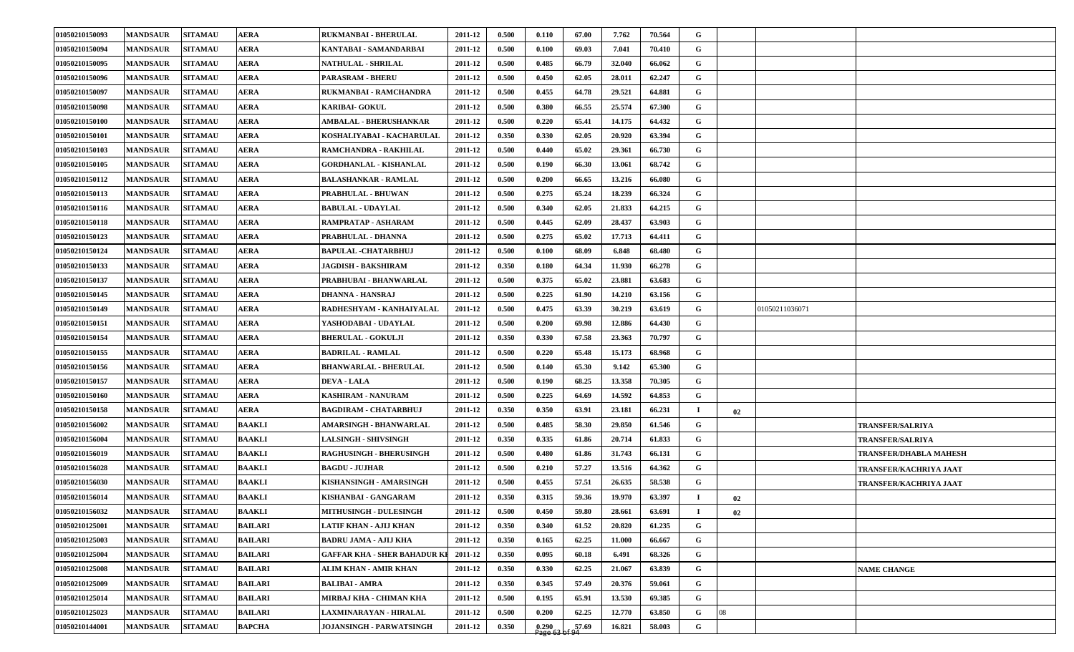| 01050210150093 | <b>MANDSAUR</b> | <b>SITAMAU</b> | <b>AERA</b>    | RUKMANBAI - BHERULAL                | 2011-12 | 0.500 | 0.110 | 67.00 | 7.762  | 70.564 | G           |    |                               |
|----------------|-----------------|----------------|----------------|-------------------------------------|---------|-------|-------|-------|--------|--------|-------------|----|-------------------------------|
| 01050210150094 | <b>MANDSAUR</b> | <b>SITAMAU</b> | <b>AERA</b>    | KANTABAI - SAMANDARBAI              | 2011-12 | 0.500 | 0.100 | 69.03 | 7.041  | 70.410 | G           |    |                               |
| 01050210150095 | <b>MANDSAUR</b> | <b>SITAMAU</b> | <b>AERA</b>    | NATHULAL - SHRILAL                  | 2011-12 | 0.500 | 0.485 | 66.79 | 32.040 | 66.062 | G           |    |                               |
| 01050210150096 | <b>MANDSAUR</b> | <b>SITAMAU</b> | <b>AERA</b>    | PARASRAM - BHERU                    | 2011-12 | 0.500 | 0.450 | 62.05 | 28.011 | 62.247 | G           |    |                               |
| 01050210150097 | <b>MANDSAUR</b> | <b>SITAMAU</b> | <b>AERA</b>    | RUKMANBAI - RAMCHANDRA              | 2011-12 | 0.500 | 0.455 | 64.78 | 29.521 | 64.881 | G           |    |                               |
| 01050210150098 | <b>MANDSAUR</b> | <b>SITAMAU</b> | <b>AERA</b>    | <b>KARIBAI- GOKUL</b>               | 2011-12 | 0.500 | 0.380 | 66.55 | 25.574 | 67.300 | G           |    |                               |
| 01050210150100 | <b>MANDSAUR</b> | <b>SITAMAU</b> | <b>AERA</b>    | AMBALAL - BHERUSHANKAR              | 2011-12 | 0.500 | 0.220 | 65.41 | 14.175 | 64.432 | G           |    |                               |
| 01050210150101 | <b>MANDSAUR</b> | <b>SITAMAU</b> | <b>AERA</b>    | KOSHALIYABAI - KACHARULAL           | 2011-12 | 0.350 | 0.330 | 62.05 | 20.920 | 63.394 | G           |    |                               |
| 01050210150103 | <b>MANDSAUR</b> | <b>SITAMAU</b> | <b>AERA</b>    | RAMCHANDRA - RAKHILAL               | 2011-12 | 0.500 | 0.440 | 65.02 | 29.361 | 66.730 | G           |    |                               |
| 01050210150105 | <b>MANDSAUR</b> | <b>SITAMAU</b> | <b>AERA</b>    | <b>GORDHANLAL - KISHANLAL</b>       | 2011-12 | 0.500 | 0.190 | 66.30 | 13.061 | 68.742 | G           |    |                               |
| 01050210150112 | <b>MANDSAUR</b> | <b>SITAMAU</b> | <b>AERA</b>    | <b>BALASHANKAR - RAMLAL</b>         | 2011-12 | 0.500 | 0.200 | 66.65 | 13.216 | 66.080 | G           |    |                               |
| 01050210150113 | <b>MANDSAUR</b> | <b>SITAMAU</b> | <b>AERA</b>    | PRABHULAL - BHUWAN                  | 2011-12 | 0.500 | 0.275 | 65.24 | 18.239 | 66.324 | G           |    |                               |
| 01050210150116 | <b>MANDSAUR</b> | <b>SITAMAU</b> | <b>AERA</b>    | <b>BABULAL - UDAYLAL</b>            | 2011-12 | 0.500 | 0.340 | 62.05 | 21.833 | 64.215 | G           |    |                               |
| 01050210150118 | <b>MANDSAUR</b> | <b>SITAMAU</b> | <b>AERA</b>    | RAMPRATAP - ASHARAM                 | 2011-12 | 0.500 | 0.445 | 62.09 | 28.437 | 63.903 | G           |    |                               |
| 01050210150123 | <b>MANDSAUR</b> | <b>SITAMAU</b> | <b>AERA</b>    | PRABHULAL - DHANNA                  | 2011-12 | 0.500 | 0.275 | 65.02 | 17.713 | 64.411 | G           |    |                               |
| 01050210150124 | <b>MANDSAUR</b> | <b>SITAMAU</b> | <b>AERA</b>    | <b>BAPULAL -CHATARBHUJ</b>          | 2011-12 | 0.500 | 0.100 | 68.09 | 6.848  | 68.480 | G           |    |                               |
| 01050210150133 | <b>MANDSAUR</b> | <b>SITAMAU</b> | <b>AERA</b>    | <b>JAGDISH - BAKSHIRAM</b>          | 2011-12 | 0.350 | 0.180 | 64.34 | 11.930 | 66.278 | G           |    |                               |
| 01050210150137 | <b>MANDSAUR</b> | <b>SITAMAU</b> | <b>AERA</b>    | PRABHUBAI - BHANWARLAL              | 2011-12 | 0.500 | 0.375 | 65.02 | 23.881 | 63.683 | G           |    |                               |
| 01050210150145 | <b>MANDSAUR</b> | <b>SITAMAU</b> | <b>AERA</b>    | DHANNA - HANSRAJ                    | 2011-12 | 0.500 | 0.225 | 61.90 | 14.210 | 63.156 | G           |    |                               |
| 01050210150149 | <b>MANDSAUR</b> | <b>SITAMAU</b> | <b>AERA</b>    | RADHESHYAM - KANHAIYALAL            | 2011-12 | 0.500 | 0.475 | 63.39 | 30.219 | 63.619 | G           |    | 01050211036071                |
| 01050210150151 | <b>MANDSAUR</b> | <b>SITAMAU</b> | <b>AERA</b>    | YASHODABAI - UDAYLAL                | 2011-12 | 0.500 | 0.200 | 69.98 | 12.886 | 64.430 | G           |    |                               |
| 01050210150154 | <b>MANDSAUR</b> | <b>SITAMAU</b> | <b>AERA</b>    | <b>BHERULAL - GOKULJI</b>           | 2011-12 | 0.350 | 0.330 | 67.58 | 23.363 | 70.797 | G           |    |                               |
| 01050210150155 | <b>MANDSAUR</b> | <b>SITAMAU</b> | <b>AERA</b>    | <b>BADRILAL - RAMLAL</b>            | 2011-12 | 0.500 | 0.220 | 65.48 | 15.173 | 68.968 | $\mathbf G$ |    |                               |
| 01050210150156 | <b>MANDSAUR</b> | <b>SITAMAU</b> | <b>AERA</b>    | <b>BHANWARLAL - BHERULAL</b>        | 2011-12 | 0.500 | 0.140 | 65.30 | 9.142  | 65.300 | G           |    |                               |
| 01050210150157 | <b>MANDSAUR</b> | <b>SITAMAU</b> | <b>AERA</b>    | <b>DEVA - LALA</b>                  | 2011-12 | 0.500 | 0.190 | 68.25 | 13.358 | 70.305 | G           |    |                               |
| 01050210150160 | <b>MANDSAUR</b> | <b>SITAMAU</b> | <b>AERA</b>    | <b>KASHIRAM - NANURAM</b>           | 2011-12 | 0.500 | 0.225 | 64.69 | 14.592 | 64.853 | G           |    |                               |
| 01050210150158 | <b>MANDSAUR</b> | <b>SITAMAU</b> | <b>AERA</b>    | <b>BAGDIRAM - CHATARBHUJ</b>        | 2011-12 | 0.350 | 0.350 | 63.91 | 23.181 | 66.231 | $\mathbf I$ | 02 |                               |
| 01050210156002 | <b>MANDSAUR</b> | <b>SITAMAU</b> | <b>BAAKLI</b>  | AMARSINGH - BHANWARLAL              | 2011-12 | 0.500 | 0.485 | 58.30 | 29.850 | 61.546 | G           |    | <b>TRANSFER/SALRIYA</b>       |
| 01050210156004 | <b>MANDSAUR</b> | <b>SITAMAU</b> | <b>BAAKLI</b>  | <b>LALSINGH - SHIVSINGH</b>         | 2011-12 | 0.350 | 0.335 | 61.86 | 20.714 | 61.833 | G           |    | <b>TRANSFER/SALRIYA</b>       |
| 01050210156019 | <b>MANDSAUR</b> | <b>SITAMAU</b> | <b>BAAKLI</b>  | <b>RAGHUSINGH - BHERUSINGH</b>      | 2011-12 | 0.500 | 0.480 | 61.86 | 31.743 | 66.131 | G           |    | <b>TRANSFER/DHABLA MAHESH</b> |
| 01050210156028 | <b>MANDSAUR</b> | <b>SITAMAU</b> | <b>BAAKLI</b>  | <b>BAGDU - JUJHAR</b>               | 2011-12 | 0.500 | 0.210 | 57.27 | 13.516 | 64.362 | G           |    | TRANSFER/KACHRIYA JAAT        |
| 01050210156030 | <b>MANDSAUR</b> | <b>SITAMAU</b> | <b>BAAKLI</b>  | KISHANSINGH - AMARSINGH             | 2011-12 | 0.500 | 0.455 | 57.51 | 26.635 | 58.538 | G           |    | TRANSFER/KACHRIYA JAAT        |
| 01050210156014 | <b>MANDSAUR</b> | <b>SITAMAU</b> | <b>BAAKLI</b>  | KISHANBAI - GANGARAM                | 2011-12 | 0.350 | 0.315 | 59.36 | 19.970 | 63.397 | $\mathbf I$ | 02 |                               |
| 01050210156032 | <b>MANDSAUR</b> | <b>SITAMAU</b> | <b>BAAKLI</b>  | MITHUSINGH - DULESINGH              | 2011-12 | 0.500 | 0.450 | 59.80 | 28.661 | 63.691 | - 1         | 02 |                               |
| 01050210125001 | <b>MANDSAUR</b> | <b>SITAMAU</b> | <b>BAILARI</b> | LATIF KHAN - AJIJ KHAN              | 2011-12 | 0.350 | 0.340 | 61.52 | 20.820 | 61.235 | $\mathbf G$ |    |                               |
| 01050210125003 | <b>MANDSAUR</b> | <b>SITAMAU</b> | <b>BAILARI</b> | <b>BADRU JAMA - AJIJ KHA</b>        | 2011-12 | 0.350 | 0.165 | 62.25 | 11.000 | 66.667 | G           |    |                               |
| 01050210125004 | <b>MANDSAUR</b> | <b>SITAMAU</b> | <b>BAILARI</b> | <b>GAFFAR KHA - SHER BAHADUR KI</b> | 2011-12 | 0.350 | 0.095 | 60.18 | 6.491  | 68.326 | $\mathbf G$ |    |                               |
| 01050210125008 | <b>MANDSAUR</b> | <b>SITAMAU</b> | <b>BAILARI</b> | ALIM KHAN - AMIR KHAN               | 2011-12 | 0.350 | 0.330 | 62.25 | 21.067 | 63.839 | $\mathbf G$ |    | <b>NAME CHANGE</b>            |
| 01050210125009 | <b>MANDSAUR</b> | <b>SITAMAU</b> | <b>BAILARI</b> | <b>BALIBAI - AMRA</b>               | 2011-12 | 0.350 | 0.345 | 57.49 | 20.376 | 59.061 | $\mathbf G$ |    |                               |
| 01050210125014 | <b>MANDSAUR</b> | <b>SITAMAU</b> | <b>BAILARI</b> | MIRBAJ KHA - CHIMAN KHA             | 2011-12 | 0.500 | 0.195 | 65.91 | 13.530 | 69.385 | G           |    |                               |
| 01050210125023 | <b>MANDSAUR</b> | <b>SITAMAU</b> | <b>BAILARI</b> | LAXMINARAYAN - HIRALAL              | 2011-12 | 0.500 | 0.200 | 62.25 | 12.770 | 63.850 | G           | 08 |                               |
| 01050210144001 | <b>MANDSAUR</b> | <b>SITAMAU</b> | <b>BAPCHA</b>  | JOJANSINGH - PARWATSINGH            | 2011-12 | 0.350 | 0.290 | 57.69 | 16.821 | 58.003 | $\mathbf G$ |    |                               |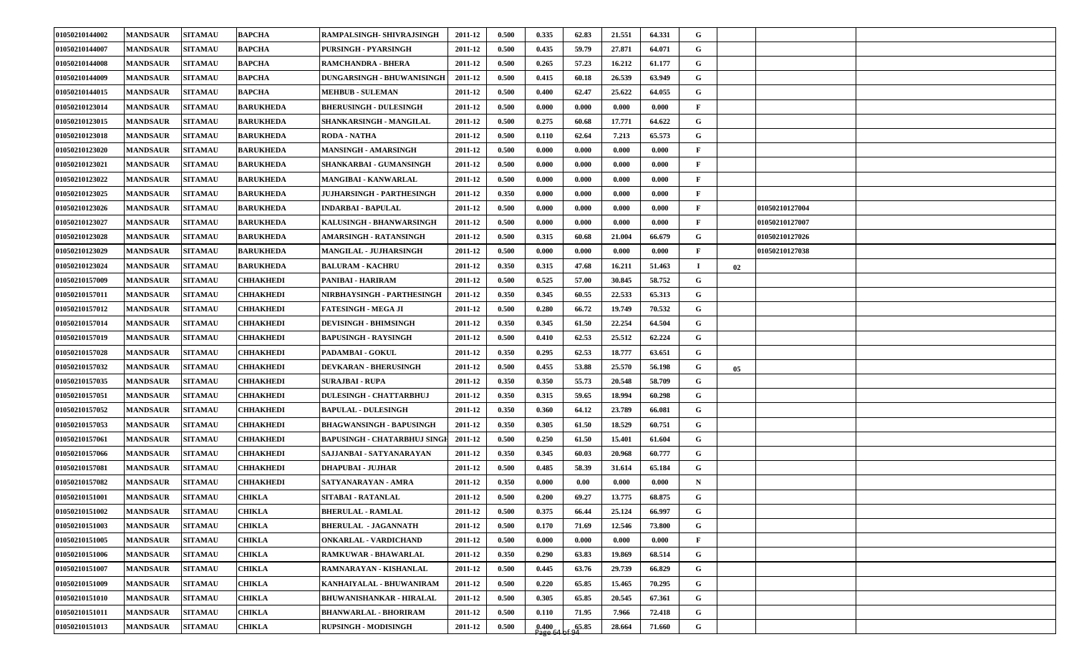| 01050210144002 | <b>MANDSAUR</b> | <b>SITAMAU</b> | <b>BAPCHA</b>    | <b>RAMPALSINGH- SHIVRAJSINGH</b>   | 2011-12 | 0.500 | 0.335              | 62.83 | 21.551 | 64.331 | G            |    |                |  |
|----------------|-----------------|----------------|------------------|------------------------------------|---------|-------|--------------------|-------|--------|--------|--------------|----|----------------|--|
| 01050210144007 | <b>MANDSAUR</b> | <b>SITAMAU</b> | <b>BAPCHA</b>    | <b>PURSINGH - PYARSINGH</b>        | 2011-12 | 0.500 | 0.435              | 59.79 | 27.871 | 64.071 | G            |    |                |  |
| 01050210144008 | <b>MANDSAUR</b> | <b>SITAMAU</b> | <b>BAPCHA</b>    | <b>RAMCHANDRA - BHERA</b>          | 2011-12 | 0.500 | 0.265              | 57.23 | 16.212 | 61.177 | G            |    |                |  |
| 01050210144009 | <b>MANDSAUR</b> | <b>SITAMAU</b> | <b>BAPCHA</b>    | DUNGARSINGH - BHUWANISINGH         | 2011-12 | 0.500 | 0.415              | 60.18 | 26.539 | 63.949 | G            |    |                |  |
| 01050210144015 | <b>MANDSAUR</b> | <b>SITAMAU</b> | <b>BAPCHA</b>    | <b>MEHBUB - SULEMAN</b>            | 2011-12 | 0.500 | 0.400              | 62.47 | 25.622 | 64.055 | G            |    |                |  |
| 01050210123014 | <b>MANDSAUR</b> | <b>SITAMAU</b> | <b>BARUKHEDA</b> | <b>BHERUSINGH - DULESINGH</b>      | 2011-12 | 0.500 | 0.000              | 0.000 | 0.000  | 0.000  | $\mathbf{F}$ |    |                |  |
| 01050210123015 | <b>MANDSAUR</b> | <b>SITAMAU</b> | <b>BARUKHEDA</b> | SHANKARSINGH - MANGILAL            | 2011-12 | 0.500 | 0.275              | 60.68 | 17.771 | 64.622 | G            |    |                |  |
| 01050210123018 | <b>MANDSAUR</b> | <b>SITAMAU</b> | <b>BARUKHEDA</b> | <b>RODA - NATHA</b>                | 2011-12 | 0.500 | 0.110              | 62.64 | 7.213  | 65.573 | G            |    |                |  |
| 01050210123020 | <b>MANDSAUR</b> | <b>SITAMAU</b> | <b>BARUKHEDA</b> | MANSINGH - AMARSINGH               | 2011-12 | 0.500 | 0.000              | 0.000 | 0.000  | 0.000  | F            |    |                |  |
| 01050210123021 | <b>MANDSAUR</b> | <b>SITAMAU</b> | <b>BARUKHEDA</b> | SHANKARBAI - GUMANSINGH            | 2011-12 | 0.500 | 0.000              | 0.000 | 0.000  | 0.000  | $\mathbf{F}$ |    |                |  |
| 01050210123022 | <b>MANDSAUR</b> | <b>SITAMAU</b> | <b>BARUKHEDA</b> | <b>MANGIBAI - KANWARLAL</b>        | 2011-12 | 0.500 | 0.000              | 0.000 | 0.000  | 0.000  | $\mathbf{F}$ |    |                |  |
| 01050210123025 | <b>MANDSAUR</b> | <b>SITAMAU</b> | <b>BARUKHEDA</b> | JUJHARSINGH - PARTHESINGH          | 2011-12 | 0.350 | 0.000              | 0.000 | 0.000  | 0.000  | $\mathbf{F}$ |    |                |  |
| 01050210123026 | <b>MANDSAUR</b> | <b>SITAMAU</b> | <b>BARUKHEDA</b> | <b>INDARBAI - BAPULAL</b>          | 2011-12 | 0.500 | 0.000              | 0.000 | 0.000  | 0.000  | F            |    | 01050210127004 |  |
| 01050210123027 | <b>MANDSAUR</b> | <b>SITAMAU</b> | <b>BARUKHEDA</b> | KALUSINGH - BHANWARSINGH           | 2011-12 | 0.500 | 0.000              | 0.000 | 0.000  | 0.000  | F            |    | 01050210127007 |  |
| 01050210123028 | <b>MANDSAUR</b> | <b>SITAMAU</b> | <b>BARUKHEDA</b> | AMARSINGH - RATANSINGH             | 2011-12 | 0.500 | 0.315              | 60.68 | 21.004 | 66.679 | G            |    | 01050210127026 |  |
| 01050210123029 | <b>MANDSAUR</b> | <b>SITAMAU</b> | <b>BARUKHEDA</b> | <b>MANGILAL - JUJHARSINGH</b>      | 2011-12 | 0.500 | 0.000              | 0.000 | 0.000  | 0.000  | F            |    | 01050210127038 |  |
| 01050210123024 | <b>MANDSAUR</b> | <b>SITAMAU</b> | <b>BARUKHEDA</b> | <b>BALURAM - KACHRU</b>            | 2011-12 | 0.350 | 0.315              | 47.68 | 16.211 | 51.463 | $\bf{I}$     | 02 |                |  |
| 01050210157009 | <b>MANDSAUR</b> | <b>SITAMAU</b> | CHHAKHEDI        | PANIBAI - HARIRAM                  | 2011-12 | 0.500 | 0.525              | 57.00 | 30.845 | 58.752 | G            |    |                |  |
| 01050210157011 | <b>MANDSAUR</b> | <b>SITAMAU</b> | CHHAKHEDI        | NIRBHAYSINGH - PARTHESINGH         | 2011-12 | 0.350 | 0.345              | 60.55 | 22.533 | 65.313 | G            |    |                |  |
| 01050210157012 | <b>MANDSAUR</b> | <b>SITAMAU</b> | CHHAKHEDI        | <b>FATESINGH - MEGA JI</b>         | 2011-12 | 0.500 | 0.280              | 66.72 | 19.749 | 70.532 | G            |    |                |  |
| 01050210157014 | <b>MANDSAUR</b> | <b>SITAMAU</b> | CHHAKHEDI        | <b>DEVISINGH - BHIMSINGH</b>       | 2011-12 | 0.350 | 0.345              | 61.50 | 22.254 | 64.504 | G            |    |                |  |
| 01050210157019 | <b>MANDSAUR</b> | <b>SITAMAU</b> | CHHAKHEDI        | <b>BAPUSINGH - RAYSINGH</b>        | 2011-12 | 0.500 | 0.410              | 62.53 | 25.512 | 62.224 | G            |    |                |  |
| 01050210157028 | <b>MANDSAUR</b> | <b>SITAMAU</b> | <b>EHHAKHEDI</b> | PADAMBAI - GOKUL                   | 2011-12 | 0.350 | 0.295              | 62.53 | 18.777 | 63.651 | G            |    |                |  |
| 01050210157032 | <b>MANDSAUR</b> | <b>SITAMAU</b> | CHHAKHEDI        | <b>DEVKARAN - BHERUSINGH</b>       | 2011-12 | 0.500 | 0.455              | 53.88 | 25.570 | 56.198 | G            | 05 |                |  |
| 01050210157035 | <b>MANDSAUR</b> | <b>SITAMAU</b> | CHHAKHEDI        | <b>SURAJBAI - RUPA</b>             | 2011-12 | 0.350 | 0.350              | 55.73 | 20.548 | 58.709 | G            |    |                |  |
| 01050210157051 | <b>MANDSAUR</b> | <b>SITAMAU</b> | CHHAKHEDI        | <b>DULESINGH - CHATTARBHUJ</b>     | 2011-12 | 0.350 | 0.315              | 59.65 | 18.994 | 60.298 | G            |    |                |  |
| 01050210157052 | <b>MANDSAUR</b> | <b>SITAMAU</b> | CHHAKHEDI        | <b>BAPULAL - DULESINGH</b>         | 2011-12 | 0.350 | 0.360              | 64.12 | 23.789 | 66.081 | G            |    |                |  |
| 01050210157053 | <b>MANDSAUR</b> | <b>SITAMAU</b> | CHHAKHEDI        | <b>BHAGWANSINGH - BAPUSINGH</b>    | 2011-12 | 0.350 | 0.305              | 61.50 | 18.529 | 60.751 | G            |    |                |  |
| 01050210157061 | <b>MANDSAUR</b> | <b>SITAMAU</b> | CHHAKHEDI        | <b>BAPUSINGH - CHATARBHUJ SING</b> | 2011-12 | 0.500 | 0.250              | 61.50 | 15.401 | 61.604 | G            |    |                |  |
| 01050210157066 | <b>MANDSAUR</b> | <b>SITAMAU</b> | CHHAKHEDI        | SAJJANBAI - SATYANARAYAN           | 2011-12 | 0.350 | 0.345              | 60.03 | 20.968 | 60.777 | G            |    |                |  |
| 01050210157081 | <b>MANDSAUR</b> | <b>SITAMAU</b> | CHHAKHEDI        | <b>DHAPUBAI - JUJHAR</b>           | 2011-12 | 0.500 | 0.485              | 58.39 | 31.614 | 65.184 | G            |    |                |  |
| 01050210157082 | <b>MANDSAUR</b> | <b>SITAMAU</b> | CHHAKHEDI        | SATYANARAYAN - AMRA                | 2011-12 | 0.350 | 0.000              | 0.00  | 0.000  | 0.000  | $\mathbf N$  |    |                |  |
| 01050210151001 | <b>MANDSAUR</b> | <b>SITAMAU</b> | CHIKLA           | SITABAI - RATANLAL                 | 2011-12 | 0.500 | 0.200              | 69.27 | 13.775 | 68.875 | G            |    |                |  |
| 01050210151002 | <b>MANDSAUR</b> | <b>SITAMAU</b> | <b>CHIKLA</b>    | <b>BHERULAL - RAMLAL</b>           | 2011-12 | 0.500 | 0.375              | 66.44 | 25.124 | 66.997 | G            |    |                |  |
| 01050210151003 | <b>MANDSAUR</b> | <b>SITAMAU</b> | CHIKLA           | <b>BHERULAL - JAGANNATH</b>        | 2011-12 | 0.500 | 0.170              | 71.69 | 12.546 | 73.800 | $\mathbf{G}$ |    |                |  |
| 01050210151005 | <b>MANDSAUR</b> | <b>SITAMAU</b> | CHIKLA           | <b>ONKARLAL - VARDICHAND</b>       | 2011-12 | 0.500 | 0.000              | 0.000 | 0.000  | 0.000  | $\mathbf{F}$ |    |                |  |
| 01050210151006 | <b>MANDSAUR</b> | <b>SITAMAU</b> | CHIKLA           | RAMKUWAR - BHAWARLAL               | 2011-12 | 0.350 | 0.290              | 63.83 | 19.869 | 68.514 | G            |    |                |  |
| 01050210151007 | <b>MANDSAUR</b> | <b>SITAMAU</b> | CHIKLA           | RAMNARAYAN - KISHANLAL             | 2011-12 | 0.500 | 0.445              | 63.76 | 29.739 | 66.829 | G            |    |                |  |
| 01050210151009 | <b>MANDSAUR</b> | <b>SITAMAU</b> | CHIKLA           | KANHAIYALAL - BHUWANIRAM           | 2011-12 | 0.500 | 0.220              | 65.85 | 15.465 | 70.295 | $\mathbf G$  |    |                |  |
| 01050210151010 | <b>MANDSAUR</b> | <b>SITAMAU</b> | CHIKLA           | <b>BHUWANISHANKAR - HIRALAL</b>    | 2011-12 | 0.500 | 0.305              | 65.85 | 20.545 | 67.361 | G            |    |                |  |
| 01050210151011 | <b>MANDSAUR</b> | <b>SITAMAU</b> | CHIKLA           | <b>BHANWARLAL - BHORIRAM</b>       | 2011-12 | 0.500 | 0.110              | 71.95 | 7.966  | 72.418 | G            |    |                |  |
| 01050210151013 | <b>MANDSAUR</b> | <b>SITAMAU</b> | CHIKLA           | <b>RUPSINGH - MODISINGH</b>        | 2011-12 | 0.500 | $0.400$<br>Page 64 | 65.85 | 28.664 | 71.660 | G            |    |                |  |
|                |                 |                |                  |                                    |         |       |                    |       |        |        |              |    |                |  |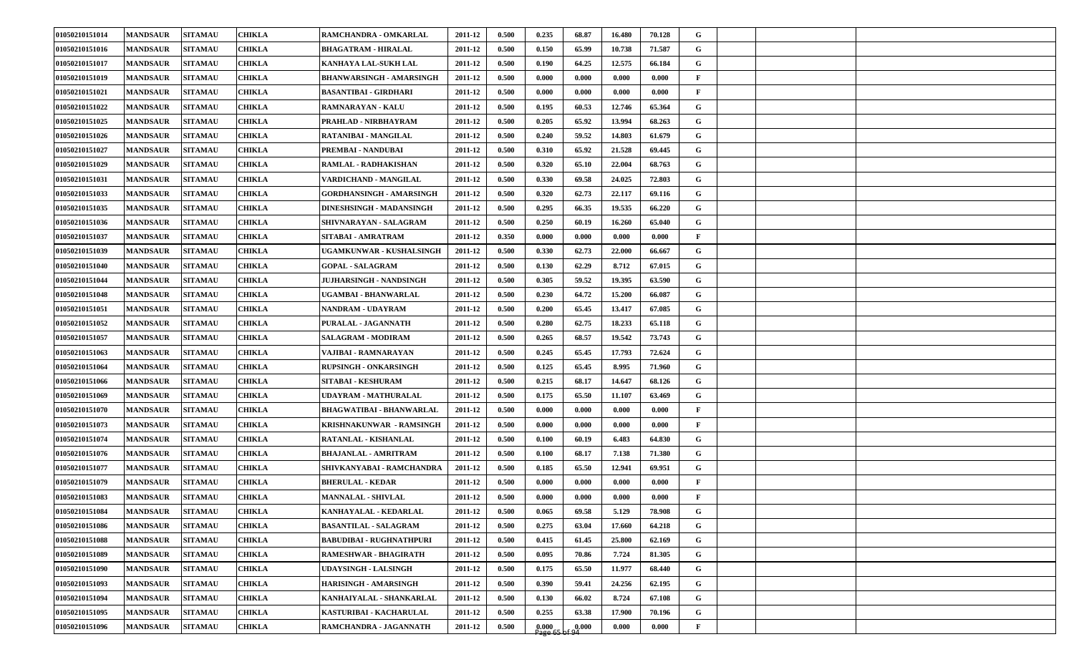| 01050210151014 | <b>MANDSAUR</b> | <b>SITAMAU</b> | <b>CHIKLA</b> | RAMCHANDRA - OMKARLAL           | 2011-12 | 0.500 | 0.235                 | 68.87 | 16.480 | 70.128 | G            |  |  |
|----------------|-----------------|----------------|---------------|---------------------------------|---------|-------|-----------------------|-------|--------|--------|--------------|--|--|
| 01050210151016 | <b>MANDSAUR</b> | <b>SITAMAU</b> | CHIKLA        | <b>BHAGATRAM - HIRALAL</b>      | 2011-12 | 0.500 | 0.150                 | 65.99 | 10.738 | 71.587 | G            |  |  |
| 01050210151017 | <b>MANDSAUR</b> | <b>SITAMAU</b> | <b>CHIKLA</b> | KANHAYA LAL-SUKH LAL            | 2011-12 | 0.500 | 0.190                 | 64.25 | 12.575 | 66.184 | G            |  |  |
| 01050210151019 | <b>MANDSAUR</b> | <b>SITAMAU</b> | <b>CHIKLA</b> | BHANWARSINGH - AMARSINGH        | 2011-12 | 0.500 | 0.000                 | 0.000 | 0.000  | 0.000  | $\mathbf{F}$ |  |  |
| 01050210151021 | <b>MANDSAUR</b> | <b>SITAMAU</b> | <b>CHIKLA</b> | <b>BASANTIBAI - GIRDHARI</b>    | 2011-12 | 0.500 | 0.000                 | 0.000 | 0.000  | 0.000  | F            |  |  |
| 01050210151022 | <b>MANDSAUR</b> | <b>SITAMAU</b> | <b>CHIKLA</b> | RAMNARAYAN - KALU               | 2011-12 | 0.500 | 0.195                 | 60.53 | 12.746 | 65.364 | G            |  |  |
| 01050210151025 | <b>MANDSAUR</b> | <b>SITAMAU</b> | <b>CHIKLA</b> | PRAHLAD - NIRBHAYRAM            | 2011-12 | 0.500 | 0.205                 | 65.92 | 13.994 | 68.263 | G            |  |  |
| 01050210151026 | <b>MANDSAUR</b> | <b>SITAMAU</b> | <b>CHIKLA</b> | RATANIBAI - MANGILAL            | 2011-12 | 0.500 | 0.240                 | 59.52 | 14.803 | 61.679 | G            |  |  |
| 01050210151027 | <b>MANDSAUR</b> | <b>SITAMAU</b> | <b>CHIKLA</b> | PREMBAI - NANDUBAI              | 2011-12 | 0.500 | 0.310                 | 65.92 | 21.528 | 69.445 | G            |  |  |
| 01050210151029 | <b>MANDSAUR</b> | <b>SITAMAU</b> | <b>CHIKLA</b> | RAMLAL - RADHAKISHAN            | 2011-12 | 0.500 | 0.320                 | 65.10 | 22.004 | 68.763 | G            |  |  |
| 01050210151031 | <b>MANDSAUR</b> | <b>SITAMAU</b> | <b>CHIKLA</b> | VARDICHAND - MANGILAL           | 2011-12 | 0.500 | 0.330                 | 69.58 | 24.025 | 72.803 | G            |  |  |
| 01050210151033 | <b>MANDSAUR</b> | <b>SITAMAU</b> | <b>CHIKLA</b> | GORDHANSINGH - AMARSINGH        | 2011-12 | 0.500 | 0.320                 | 62.73 | 22.117 | 69.116 | G            |  |  |
| 01050210151035 | <b>MANDSAUR</b> | <b>SITAMAU</b> | <b>CHIKLA</b> | DINESHSINGH - MADANSINGH        | 2011-12 | 0.500 | 0.295                 | 66.35 | 19.535 | 66.220 | G            |  |  |
| 01050210151036 | <b>MANDSAUR</b> | <b>SITAMAU</b> | <b>CHIKLA</b> | SHIVNARAYAN - SALAGRAM          | 2011-12 | 0.500 | 0.250                 | 60.19 | 16.260 | 65.040 | G            |  |  |
| 01050210151037 | <b>MANDSAUR</b> | <b>SITAMAU</b> | <b>CHIKLA</b> | SITABAI - AMRATRAM              | 2011-12 | 0.350 | 0.000                 | 0.000 | 0.000  | 0.000  | $\mathbf{F}$ |  |  |
| 01050210151039 | <b>MANDSAUR</b> | <b>SITAMAU</b> | <b>CHIKLA</b> | <b>JGAMKUNWAR - KUSHALSINGH</b> | 2011-12 | 0.500 | 0.330                 | 62.73 | 22.000 | 66.667 | G            |  |  |
| 01050210151040 | <b>MANDSAUR</b> | <b>SITAMAU</b> | <b>CHIKLA</b> | <b>GOPAL - SALAGRAM</b>         | 2011-12 | 0.500 | 0.130                 | 62.29 | 8.712  | 67.015 | G            |  |  |
| 01050210151044 | <b>MANDSAUR</b> | <b>SITAMAU</b> | <b>CHIKLA</b> | <b>JUJHARSINGH - NANDSINGH</b>  | 2011-12 | 0.500 | 0.305                 | 59.52 | 19.395 | 63.590 | G            |  |  |
| 01050210151048 | <b>MANDSAUR</b> | <b>SITAMAU</b> | <b>CHIKLA</b> | UGAMBAI - BHANWARLAL            | 2011-12 | 0.500 | 0.230                 | 64.72 | 15.200 | 66.087 | G            |  |  |
| 01050210151051 | <b>MANDSAUR</b> | <b>SITAMAU</b> | <b>CHIKLA</b> | NANDRAM - UDAYRAM               | 2011-12 | 0.500 | 0.200                 | 65.45 | 13.417 | 67.085 | G            |  |  |
| 01050210151052 | <b>MANDSAUR</b> | <b>SITAMAU</b> | <b>CHIKLA</b> | PURALAL - JAGANNATH             | 2011-12 | 0.500 | 0.280                 | 62.75 | 18.233 | 65.118 | G            |  |  |
| 01050210151057 | <b>MANDSAUR</b> | <b>SITAMAU</b> | <b>CHIKLA</b> | <b>SALAGRAM - MODIRAM</b>       | 2011-12 | 0.500 | 0.265                 | 68.57 | 19.542 | 73.743 | G            |  |  |
| 01050210151063 | <b>MANDSAUR</b> | <b>SITAMAU</b> | <b>CHIKLA</b> | VAJIBAI - RAMNARAYAN            | 2011-12 | 0.500 | 0.245                 | 65.45 | 17.793 | 72.624 | G            |  |  |
| 01050210151064 | <b>MANDSAUR</b> | <b>SITAMAU</b> | <b>CHIKLA</b> | <b>RUPSINGH - ONKARSINGH</b>    | 2011-12 | 0.500 | 0.125                 | 65.45 | 8.995  | 71.960 | G            |  |  |
| 01050210151066 | <b>MANDSAUR</b> | <b>SITAMAU</b> | <b>CHIKLA</b> | SITABAI - KESHURAM              | 2011-12 | 0.500 | 0.215                 | 68.17 | 14.647 | 68.126 | G            |  |  |
| 01050210151069 | <b>MANDSAUR</b> | <b>SITAMAU</b> | <b>CHIKLA</b> | UDAYRAM - MATHURALAL            | 2011-12 | 0.500 | 0.175                 | 65.50 | 11.107 | 63.469 | G            |  |  |
| 01050210151070 | <b>MANDSAUR</b> | <b>SITAMAU</b> | <b>CHIKLA</b> | BHAGWATIBAI - BHANWARLAL        | 2011-12 | 0.500 | 0.000                 | 0.000 | 0.000  | 0.000  | $\mathbf{F}$ |  |  |
| 01050210151073 | <b>MANDSAUR</b> | <b>SITAMAU</b> | <b>CHIKLA</b> | KRISHNAKUNWAR - RAMSINGH        | 2011-12 | 0.500 | 0.000                 | 0.000 | 0.000  | 0.000  | $\mathbf{F}$ |  |  |
| 01050210151074 | <b>MANDSAUR</b> | <b>SITAMAU</b> | <b>CHIKLA</b> | RATANLAL - KISHANLAL            | 2011-12 | 0.500 | 0.100                 | 60.19 | 6.483  | 64.830 | G            |  |  |
| 01050210151076 | <b>MANDSAUR</b> | <b>SITAMAU</b> | <b>CHIKLA</b> | <b>BHAJANLAL - AMRITRAM</b>     | 2011-12 | 0.500 | 0.100                 | 68.17 | 7.138  | 71.380 | G            |  |  |
| 01050210151077 | <b>MANDSAUR</b> | <b>SITAMAU</b> | <b>CHIKLA</b> | SHIVKANYABAI - RAMCHANDRA       | 2011-12 | 0.500 | 0.185                 | 65.50 | 12.941 | 69.951 | G            |  |  |
| 01050210151079 | <b>MANDSAUR</b> | <b>SITAMAU</b> | <b>CHIKLA</b> | <b>BHERULAL - KEDAR</b>         | 2011-12 | 0.500 | 0.000                 | 0.000 | 0.000  | 0.000  | F            |  |  |
| 01050210151083 | <b>MANDSAUR</b> | <b>SITAMAU</b> | <b>CHIKLA</b> | <b>MANNALAL - SHIVLAL</b>       | 2011-12 | 0.500 | 0.000                 | 0.000 | 0.000  | 0.000  | $\mathbf{F}$ |  |  |
| 01050210151084 | <b>MANDSAUR</b> | <b>SITAMAU</b> | <b>CHIKLA</b> | KANHAYALAL - KEDARLAL           | 2011-12 | 0.500 | 0.065                 | 69.58 | 5.129  | 78.908 | G            |  |  |
| 01050210151086 | <b>MANDSAUR</b> | <b>SITAMAU</b> | <b>CHIKLA</b> | <b>BASANTILAL - SALAGRAM</b>    | 2011-12 | 0.500 | 0.275                 | 63.04 | 17.660 | 64.218 | $\mathbf G$  |  |  |
| 01050210151088 | <b>MANDSAUR</b> | <b>SITAMAU</b> | <b>CHIKLA</b> | <b>BABUDIBAI - RUGHNATHPURI</b> | 2011-12 | 0.500 | 0.415                 | 61.45 | 25.800 | 62.169 | $\mathbf G$  |  |  |
| 01050210151089 | <b>MANDSAUR</b> | <b>SITAMAU</b> | <b>CHIKLA</b> | RAMESHWAR - BHAGIRATH           | 2011-12 | 0.500 | 0.095                 | 70.86 | 7.724  | 81.305 | $\mathbf G$  |  |  |
| 01050210151090 | <b>MANDSAUR</b> | <b>SITAMAU</b> | <b>CHIKLA</b> | UDAYSINGH - LALSINGH            | 2011-12 | 0.500 | 0.175                 | 65.50 | 11.977 | 68.440 | G            |  |  |
| 01050210151093 | <b>MANDSAUR</b> | <b>SITAMAU</b> | <b>CHIKLA</b> | HARISINGH - AMARSINGH           | 2011-12 | 0.500 | 0.390                 | 59.41 | 24.256 | 62.195 | $\mathbf G$  |  |  |
| 01050210151094 | <b>MANDSAUR</b> | <b>SITAMAU</b> | <b>CHIKLA</b> | KANHAIYALAL - SHANKARLAL        | 2011-12 | 0.500 | 0.130                 | 66.02 | 8.724  | 67.108 | G            |  |  |
| 01050210151095 | <b>MANDSAUR</b> | <b>SITAMAU</b> | <b>CHIKLA</b> | KASTURIBAI - KACHARULAL         | 2011-12 | 0.500 | 0.255                 | 63.38 | 17.900 | 70.196 | G            |  |  |
| 01050210151096 | <b>MANDSAUR</b> | <b>SITAMAU</b> | <b>CHIKLA</b> | RAMCHANDRA - JAGANNATH          | 2011-12 | 0.500 | 0.000 <sub>2000</sub> | 6.000 | 0.000  | 0.000  | $\mathbf{F}$ |  |  |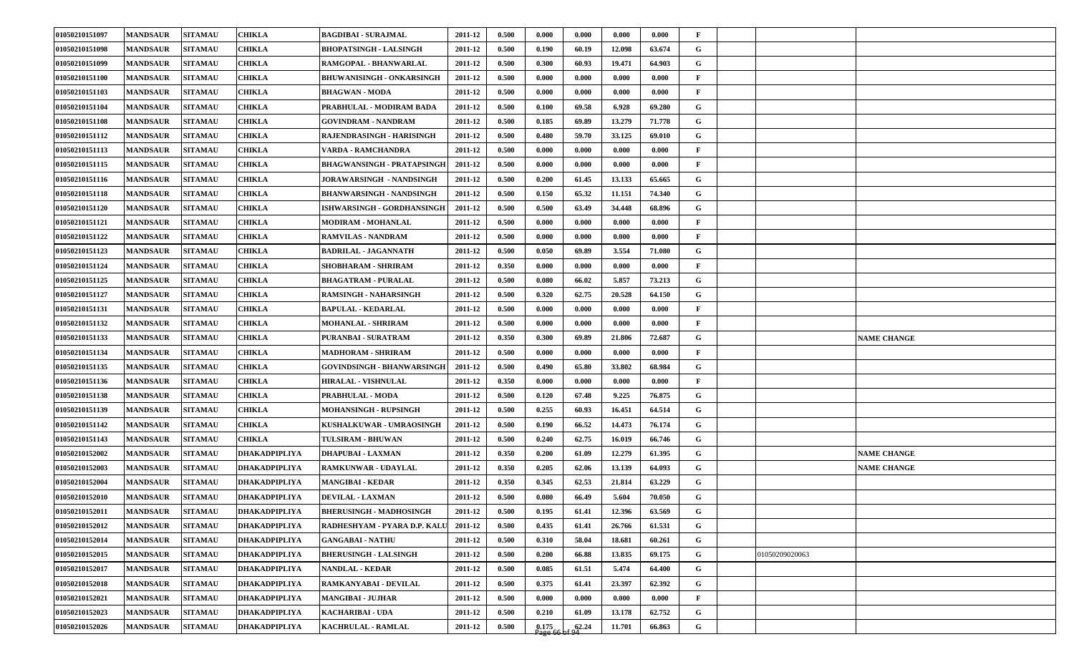| 01050210151097 | <b>MANDSAUR</b> | <b>SITAMAU</b> | <b>CHIKLA</b>        | <b>BAGDIBAI - SURAJMAL</b>        | 2011-12 | 0.500 | 0.000   | 0.000 | 0.000  | 0.000  | $\mathbf{F}$ |                    |
|----------------|-----------------|----------------|----------------------|-----------------------------------|---------|-------|---------|-------|--------|--------|--------------|--------------------|
| 01050210151098 | <b>MANDSAUR</b> | <b>SITAMAU</b> | <b>CHIKLA</b>        | <b>BHOPATSINGH - LALSINGH</b>     | 2011-12 | 0.500 | 0.190   | 60.19 | 12.098 | 63.674 | G            |                    |
| 01050210151099 | <b>MANDSAUR</b> | <b>SITAMAU</b> | <b>CHIKLA</b>        | RAMGOPAL - BHANWARLAL             | 2011-12 | 0.500 | 0.300   | 60.93 | 19.471 | 64.903 | G            |                    |
| 01050210151100 | <b>MANDSAUR</b> | <b>SITAMAU</b> | <b>CHIKLA</b>        | <b>BHUWANISINGH - ONKARSINGH</b>  | 2011-12 | 0.500 | 0.000   | 0.000 | 0.000  | 0.000  | $\mathbf{F}$ |                    |
| 01050210151103 | <b>MANDSAUR</b> | <b>SITAMAU</b> | <b>CHIKLA</b>        | <b>BHAGWAN - MODA</b>             | 2011-12 | 0.500 | 0.000   | 0.000 | 0.000  | 0.000  | $\mathbf{F}$ |                    |
| 01050210151104 | <b>MANDSAUR</b> | <b>SITAMAU</b> | <b>CHIKLA</b>        | PRABHULAL - MODIRAM BADA          | 2011-12 | 0.500 | 0.100   | 69.58 | 6.928  | 69.280 | G            |                    |
| 01050210151108 | <b>MANDSAUR</b> | <b>SITAMAU</b> | <b>CHIKLA</b>        | <b>GOVINDRAM - NANDRAM</b>        | 2011-12 | 0.500 | 0.185   | 69.89 | 13.279 | 71.778 | G            |                    |
| 01050210151112 | <b>MANDSAUR</b> | <b>SITAMAU</b> | <b>CHIKLA</b>        | RAJENDRASINGH - HARISINGH         | 2011-12 | 0.500 | 0.480   | 59.70 | 33.125 | 69.010 | G            |                    |
| 01050210151113 | <b>MANDSAUR</b> | <b>SITAMAU</b> | <b>CHIKLA</b>        | VARDA - RAMCHANDRA                | 2011-12 | 0.500 | 0.000   | 0.000 | 0.000  | 0.000  | $\mathbf{F}$ |                    |
| 01050210151115 | <b>MANDSAUR</b> | <b>SITAMAU</b> | <b>CHIKLA</b>        | <b>BHAGWANSINGH - PRATAPSINGH</b> | 2011-12 | 0.500 | 0.000   | 0.000 | 0.000  | 0.000  | $\mathbf{F}$ |                    |
| 01050210151116 | <b>MANDSAUR</b> | <b>SITAMAU</b> | <b>CHIKLA</b>        | JORAWARSINGH - NANDSINGH          | 2011-12 | 0.500 | 0.200   | 61.45 | 13.133 | 65.665 | G            |                    |
| 01050210151118 | <b>MANDSAUR</b> | <b>SITAMAU</b> | <b>CHIKLA</b>        | <b>BHANWARSINGH - NANDSINGH</b>   | 2011-12 | 0.500 | 0.150   | 65.32 | 11.151 | 74.340 | G            |                    |
| 01050210151120 | <b>MANDSAUR</b> | <b>SITAMAU</b> | <b>CHIKLA</b>        | ISHWARSINGH - GORDHANSINGH        | 2011-12 | 0.500 | 0.500   | 63.49 | 34.448 | 68.896 | G            |                    |
| 01050210151121 | <b>MANDSAUR</b> | <b>SITAMAU</b> | <b>CHIKLA</b>        | MODIRAM - MOHANLAL                | 2011-12 | 0.500 | 0.000   | 0.000 | 0.000  | 0.000  | $\mathbf{F}$ |                    |
| 01050210151122 | <b>MANDSAUR</b> | <b>SITAMAU</b> | <b>CHIKLA</b>        | <b>RAMVILAS - NANDRAM</b>         | 2011-12 | 0.500 | 0.000   | 0.000 | 0.000  | 0.000  | $\mathbf{F}$ |                    |
| 01050210151123 | <b>MANDSAUR</b> | <b>SITAMAU</b> | <b>CHIKLA</b>        | <b>BADRILAL - JAGANNATH</b>       | 2011-12 | 0.500 | 0.050   | 69.89 | 3.554  | 71.080 | G            |                    |
| 01050210151124 | <b>MANDSAUR</b> | <b>SITAMAU</b> | <b>CHIKLA</b>        | SHOBHARAM - SHRIRAM               | 2011-12 | 0.350 | 0.000   | 0.000 | 0.000  | 0.000  | $\mathbf{F}$ |                    |
| 01050210151125 | <b>MANDSAUR</b> | <b>SITAMAU</b> | <b>CHIKLA</b>        | <b>BHAGATRAM - PURALAL</b>        | 2011-12 | 0.500 | 0.080   | 66.02 | 5.857  | 73.213 | G            |                    |
| 01050210151127 | <b>MANDSAUR</b> | <b>SITAMAU</b> | <b>CHIKLA</b>        | RAMSINGH - NAHARSINGH             | 2011-12 | 0.500 | 0.320   | 62.75 | 20.528 | 64.150 | G            |                    |
| 01050210151131 | <b>MANDSAUR</b> | <b>SITAMAU</b> | <b>CHIKLA</b>        | <b>BAPULAL - KEDARLAL</b>         | 2011-12 | 0.500 | 0.000   | 0.000 | 0.000  | 0.000  | $\mathbf{F}$ |                    |
| 01050210151132 | <b>MANDSAUR</b> | <b>SITAMAU</b> | <b>CHIKLA</b>        | <b>MOHANLAL - SHRIRAM</b>         | 2011-12 | 0.500 | 0.000   | 0.000 | 0.000  | 0.000  | $\mathbf{F}$ |                    |
| 01050210151133 | <b>MANDSAUR</b> | <b>SITAMAU</b> | <b>CHIKLA</b>        | PURANBAI - SURATRAM               | 2011-12 | 0.350 | 0.300   | 69.89 | 21.806 | 72.687 | G            | <b>NAME CHANGE</b> |
| 01050210151134 | <b>MANDSAUR</b> | <b>SITAMAU</b> | <b>CHIKLA</b>        | MADHORAM - SHRIRAM                | 2011-12 | 0.500 | 0.000   | 0.000 | 0.000  | 0.000  | $\mathbf{F}$ |                    |
| 01050210151135 | <b>MANDSAUR</b> | <b>SITAMAU</b> | <b>CHIKLA</b>        | <b>GOVINDSINGH - BHANWARSINGH</b> | 2011-12 | 0.500 | 0.490   | 65.80 | 33.802 | 68.984 | G            |                    |
| 01050210151136 | <b>MANDSAUR</b> | <b>SITAMAU</b> | <b>CHIKLA</b>        | <b>HIRALAL - VISHNULAL</b>        | 2011-12 | 0.350 | 0.000   | 0.000 | 0.000  | 0.000  | $\mathbf{F}$ |                    |
| 01050210151138 | <b>MANDSAUR</b> | <b>SITAMAU</b> | <b>CHIKLA</b>        | PRABHULAL - MODA                  | 2011-12 | 0.500 | 0.120   | 67.48 | 9.225  | 76.875 | G            |                    |
| 01050210151139 | <b>MANDSAUR</b> | <b>SITAMAU</b> | <b>CHIKLA</b>        | <b>MOHANSINGH - RUPSINGH</b>      | 2011-12 | 0.500 | 0.255   | 60.93 | 16.451 | 64.514 | G            |                    |
| 01050210151142 | <b>MANDSAUR</b> | <b>SITAMAU</b> | <b>CHIKLA</b>        | KUSHALKUWAR - UMRAOSINGH          | 2011-12 | 0.500 | 0.190   | 66.52 | 14.473 | 76.174 | G            |                    |
| 01050210151143 | <b>MANDSAUR</b> | <b>SITAMAU</b> | <b>CHIKLA</b>        | <b>TULSIRAM - BHUWAN</b>          | 2011-12 | 0.500 | 0.240   | 62.75 | 16.019 | 66.746 | G            |                    |
| 01050210152002 | <b>MANDSAUR</b> | <b>SITAMAU</b> | <b>DHAKADPIPLIYA</b> | <b>DHAPUBAI - LAXMAN</b>          | 2011-12 | 0.350 | 0.200   | 61.09 | 12.279 | 61.395 | G            | <b>NAME CHANGE</b> |
| 01050210152003 | <b>MANDSAUR</b> | <b>SITAMAU</b> | <b>DHAKADPIPLIYA</b> | RAMKUNWAR - UDAYLAL               | 2011-12 | 0.350 | 0.205   | 62.06 | 13.139 | 64.093 | G            | <b>NAME CHANGE</b> |
| 01050210152004 | <b>MANDSAUR</b> | <b>SITAMAU</b> | <b>DHAKADPIPLIYA</b> | <b>MANGIBAI - KEDAR</b>           | 2011-12 | 0.350 | 0.345   | 62.53 | 21.814 | 63.229 | G            |                    |
| 01050210152010 | <b>MANDSAUR</b> | <b>SITAMAU</b> | <b>DHAKADPIPLIYA</b> | <b>DEVILAL - LAXMAN</b>           | 2011-12 | 0.500 | 0.080   | 66.49 | 5.604  | 70.050 | $\mathbf G$  |                    |
| 01050210152011 | <b>MANDSAUR</b> | <b>SITAMAU</b> | <b>DHAKADPIPLIYA</b> | <b>BHERUSINGH - MADHOSINGH</b>    | 2011-12 | 0.500 | 0.195   | 61.41 | 12.396 | 63.569 | G            |                    |
| 01050210152012 | <b>MANDSAUR</b> | <b>SITAMAU</b> | DHAKADPIPLIYA        | RADHESHYAM - PYARA D.P. KALU      | 2011-12 | 0.500 | 0.435   | 61.41 | 26.766 | 61.531 | G            |                    |
| 01050210152014 | <b>MANDSAUR</b> | <b>SITAMAU</b> | DHAKADPIPLIYA        | <b>GANGABAI - NATHU</b>           | 2011-12 | 0.500 | 0.310   | 58.04 | 18.681 | 60.261 | G            |                    |
| 01050210152015 | <b>MANDSAUR</b> | <b>SITAMAU</b> | DHAKADPIPLIYA        | <b>BHERUSINGH - LALSINGH</b>      | 2011-12 | 0.500 | 0.200   | 66.88 | 13.835 | 69.175 | G            | 01050209020063     |
| 01050210152017 | <b>MANDSAUR</b> | <b>SITAMAU</b> | DHAKADPIPLIYA        | <b>NANDLAL - KEDAR</b>            | 2011-12 | 0.500 | 0.085   | 61.51 | 5.474  | 64.400 | $\mathbf G$  |                    |
| 01050210152018 | <b>MANDSAUR</b> | <b>SITAMAU</b> | DHAKADPIPLIYA        | RAMKANYABAI - DEVILAL             | 2011-12 | 0.500 | 0.375   | 61.41 | 23.397 | 62.392 | G            |                    |
| 01050210152021 | <b>MANDSAUR</b> | <b>SITAMAU</b> | <b>DHAKADPIPLIYA</b> | <b>MANGIBAI - JUJHAR</b>          | 2011-12 | 0.500 | 0.000   | 0.000 | 0.000  | 0.000  | $\mathbf{F}$ |                    |
| 01050210152023 | <b>MANDSAUR</b> | <b>SITAMAU</b> | <b>DHAKADPIPLIYA</b> | KACHARIBAI - UDA                  | 2011-12 | 0.500 | 0.210   | 61.09 | 13.178 | 62.752 | G            |                    |
| 01050210152026 | <b>MANDSAUR</b> | <b>SITAMAU</b> | DHAKADPIPLIYA        | KACHRULAL - RAMLAL                | 2011-12 | 0.500 | [0.175] | 62.24 | 11.701 | 66.863 | $\mathbf G$  |                    |
|                |                 |                |                      |                                   |         |       |         |       |        |        |              |                    |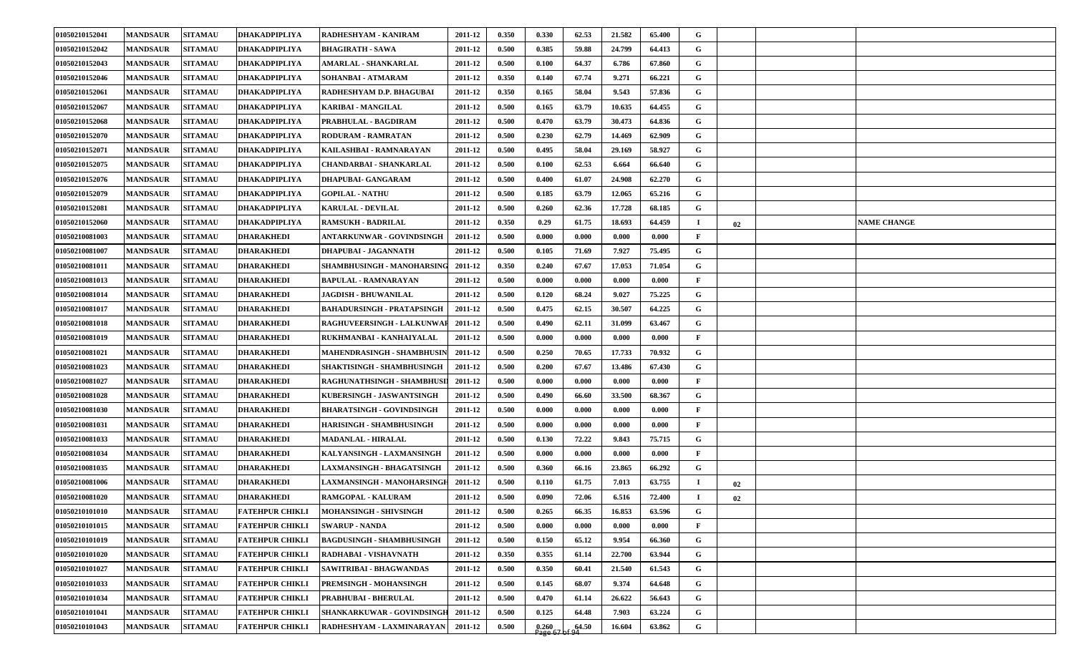| 01050210152042<br><b>MANDSAUR</b><br><b>SITAMAU</b><br>DHAKADPIPLIYA<br>0.500<br>0.385<br>59.88<br>24.799<br>64.413<br>G<br><b>BHAGIRATH - SAWA</b><br>2011-12<br>01050210152043<br><b>MANDSAUR</b><br><b>SITAMAU</b><br><b>DHAKADPIPLIYA</b><br>0.500<br>0.100<br>64.37<br>6.786<br>67.860<br>G<br>AMARLAL - SHANKARLAL<br>2011-12<br>01050210152046<br><b>SITAMAU</b><br>0.350<br>67.74<br>G<br><b>MANDSAUR</b><br>DHAKADPIPLIYA<br>SOHANBAI - ATMARAM<br>2011-12<br>0.140<br>9.271<br>66.221<br>01050210152061<br><b>SITAMAU</b><br><b>DHAKADPIPLIYA</b><br>0.350<br>58.04<br>9.543<br>57.836<br>G<br><b>MANDSAUR</b><br>RADHESHYAM D.P. BHAGUBAI<br>2011-12<br>0.165<br>01050210152067<br><b>MANDSAUR</b><br><b>SITAMAU</b><br><b>DHAKADPIPLIYA</b><br>0.500<br>10.635<br>64.455<br>G<br><b>KARIBAI - MANGILAL</b><br>2011-12<br>0.165<br>63.79<br>01050210152068<br><b>MANDSAUR</b><br><b>SITAMAU</b><br><b>DHAKADPIPLIYA</b><br>0.500<br>0.470<br>30.473<br>64.836<br>G<br>PRABHULAL - BAGDIRAM<br>2011-12<br>63.79<br>62.79<br>G<br>01050210152070<br><b>MANDSAUR</b><br><b>SITAMAU</b><br>DHAKADPIPLIYA<br><b>RODURAM - RAMRATAN</b><br>0.500<br>0.230<br>14.469<br>62.909<br>2011-12<br>01050210152071<br><b>MANDSAUR</b><br><b>SITAMAU</b><br><b>DHAKADPIPLIYA</b><br>0.500<br>0.495<br>58.04<br>58.927<br>G<br>KAILASHBAI - RAMNARAYAN<br>2011-12<br>29.169<br>DHAKADPIPLIYA<br>0.500<br>66.640<br>G<br>01050210152075<br><b>MANDSAUR</b><br><b>SITAMAU</b><br><b>CHANDARBAI - SHANKARLAL</b><br>0.100<br>62.53<br>6.664<br>2011-12<br>0.500<br>62.270<br>G<br>01050210152076<br><b>MANDSAUR</b><br><b>SITAMAU</b><br>DHAKADPIPLIYA<br><b>DHAPUBAI- GANGARAM</b><br>0.400<br>61.07<br>24.908<br>2011-12<br>01050210152079<br><b>MANDSAUR</b><br><b>SITAMAU</b><br>DHAKADPIPLIYA<br><b>GOPILAL - NATHU</b><br>0.500<br>63.79<br>12.065<br>G<br>2011-12<br>0.185<br>65.216<br>01050210152081<br>DHAKADPIPLIYA<br>0.500<br>62.36<br>G<br><b>MANDSAUR</b><br><b>SITAMAU</b><br><b>KARULAL - DEVILAL</b><br>2011-12<br>0.260<br>17.728<br>68.185<br>0.350<br>01050210152060<br><b>MANDSAUR</b><br><b>SITAMAU</b><br><b>DHAKADPIPLIYA</b><br><b>RAMSUKH - BADRILAL</b><br>2011-12<br>0.29<br>61.75<br>18.693<br>64.459<br><b>NAME CHANGE</b><br>$\mathbf I$<br>02<br><b>SITAMAU</b><br>0.500<br>0.000<br>0.000<br>0.000<br>$\mathbf{F}$<br>01050210081003<br><b>MANDSAUR</b><br><b>DHARAKHEDI</b><br>ANTARKUNWAR - GOVINDSINGH<br>2011-12<br>0.000<br>01050210081007<br><b>MANDSAUR</b><br><b>SITAMAU</b><br><b>DHARAKHEDI</b><br>DHAPUBAI - JAGANNATH<br>0.500<br>0.105<br>71.69<br>7.927<br>75.495<br>G<br>2011-12<br>G<br>01050210081011<br><b>MANDSAUR</b><br><b>SITAMAU</b><br><b>DHARAKHEDI</b><br>SHAMBHUSINGH - MANOHARSING<br>2011-12<br>0.350<br>0.240<br>67.67<br>17.053<br>71.054<br>01050210081013<br><b>MANDSAUR</b><br><b>SITAMAU</b><br><b>DHARAKHEDI</b><br><b>BAPULAL - RAMNARAYAN</b><br>0.500<br>0.000<br>0.000<br>0.000<br>0.000<br>F<br>2011-12<br>68.24<br>75.225<br>01050210081014<br><b>MANDSAUR</b><br><b>SITAMAU</b><br><b>DHARAKHEDI</b><br><b>JAGDISH - BHUWANILAL</b><br>2011-12<br>0.500<br>0.120<br>9.027<br>G<br>01050210081017<br><b>MANDSAUR</b><br><b>SITAMAU</b><br><b>DHARAKHEDI</b><br><b>BAHADURSINGH - PRATAPSINGH</b><br>2011-12<br>0.500<br>0.475<br>62.15<br>30.507<br>64.225<br>G<br>01050210081018<br>0.500<br><b>MANDSAUR</b><br><b>SITAMAU</b><br><b>DHARAKHEDI</b><br>RAGHUVEERSINGH - LALKUNWA<br>2011-12<br>0.490<br>62.11<br>31.099<br>63.467<br>G<br>01050210081019<br><b>MANDSAUR</b><br><b>SITAMAU</b><br><b>DHARAKHEDI</b><br>RUKHMANBAI - KANHAIYALAL<br>2011-12<br>0.500<br>0.000<br>0.000<br>0.000<br>0.000<br>$\mathbf{F}$<br>01050210081021<br><b>MANDSAUR</b><br><b>SITAMAU</b><br><b>DHARAKHEDI</b><br>MAHENDRASINGH - SHAMBHUSIN<br>2011-12<br>0.500<br>0.250<br>70.65<br>17.733<br>70.932<br>G<br>01050210081023<br><b>MANDSAUR</b><br><b>SITAMAU</b><br><b>DHARAKHEDI</b><br>SHAKTISINGH - SHAMBHUSINGH<br>2011-12<br>0.500<br>0.200<br>67.67<br>13.486<br>67.430<br>G<br>01050210081027<br>0.500<br>0.000<br><b>MANDSAUR</b><br><b>SITAMAU</b><br><b>DHARAKHEDI</b><br>RAGHUNATHSINGH - SHAMBHUSI<br>2011-12<br>0.000<br>0.000<br>0.000<br>F<br>01050210081028<br><b>MANDSAUR</b><br><b>SITAMAU</b><br><b>DHARAKHEDI</b><br>0.500<br>33.500<br>68.367<br>G<br>KUBERSINGH - JASWANTSINGH<br>2011-12<br>0.490<br>66.60<br><b>SITAMAU</b><br>0.500<br>01050210081030<br><b>MANDSAUR</b><br>DHARAKHEDI<br><b>BHARATSINGH - GOVINDSINGH</b><br>2011-12<br>0.000<br>0.000<br>0.000<br>0.000<br>$\mathbf{F}$<br>01050210081031<br><b>SITAMAU</b><br><b>DHARAKHEDI</b><br>0.500<br><b>MANDSAUR</b><br><b>HARISINGH - SHAMBHUSINGH</b><br>2011-12<br>0.000<br>0.000<br>0.000<br>0.000<br>$\mathbf{F}$<br>01050210081033<br><b>MANDSAUR</b><br><b>SITAMAU</b><br><b>MADANLAL - HIRALAL</b><br>0.500<br>G<br><b>DHARAKHEDI</b><br>2011-12<br>0.130<br>72.22<br>9.843<br>75.715<br>01050210081034<br><b>MANDSAUR</b><br><b>SITAMAU</b><br><b>DHARAKHEDI</b><br>KALYANSINGH - LAXMANSINGH<br>0.500<br>0.000<br>0.000<br>0.000<br>$\mathbf{F}$<br>2011-12<br>0.000<br>G<br>01050210081035<br><b>MANDSAUR</b><br><b>SITAMAU</b><br><b>DHARAKHEDI</b><br><b>LAXMANSINGH - BHAGATSINGH</b><br>2011-12<br>0.500<br>0.360<br>66.16<br>23.865<br>66.292<br>0.500<br>01050210081006<br><b>MANDSAUR</b><br><b>SITAMAU</b><br><b>DHARAKHEDI</b><br>LAXMANSINGH - MANOHARSINGI<br>2011-12<br>0.110<br>61.75<br>7.013<br>63.755<br>$\mathbf I$<br>02<br>01050210081020<br>0.500<br><b>MANDSAUR</b><br><b>SITAMAU</b><br><b>DHARAKHEDI</b><br>RAMGOPAL - KALURAM<br>0.090<br>72.06<br>6.516<br>72.400<br>2011-12<br>$\bf{I}$<br>02<br>01050210101010<br><b>MANDSAUR</b><br><b>SITAMAU</b><br><b>FATEHPUR CHIKLI</b><br>0.500<br>0.265<br>16.853<br>63.596<br>G<br>MOHANSINGH - SHIVSINGH<br>2011-12<br>66.35<br>01050210101015<br><b>MANDSAUR</b><br><b>SITAMAU</b><br>FATEHPUR CHIKLI<br>0.000<br>$\mathbf{F}$<br><b>SWARUP - NANDA</b><br>0.500<br>0.000<br>0.000<br>0.000<br>2011-12<br>01050210101019<br><b>MANDSAUR</b><br><b>SITAMAU</b><br><b>FATEHPUR CHIKLI</b><br><b>BAGDUSINGH - SHAMBHUSINGH</b><br>0.500<br>0.150<br>65.12<br>G<br>2011-12<br>9.954<br>66.360<br>G<br><b>FATEHPUR CHIKLI</b><br>0.355<br>01050210101020<br><b>MANDSAUR</b><br><b>SITAMAU</b><br>RADHABAI - VISHAVNATH<br>2011-12<br>0.350<br>61.14<br>22.700<br>63.944<br>G<br><b>SITAMAU</b><br>0.500<br>0.350<br>01050210101027<br><b>MANDSAUR</b><br>FATEHPUR CHIKLI<br><b>SAWITRIBAI - BHAGWANDAS</b><br>2011-12<br>60.41<br>21.540<br>61.543<br>G<br>01050210101033<br><b>MANDSAUR</b><br><b>SITAMAU</b><br>FATEHPUR CHIKLI<br><b>PREMSINGH - MOHANSINGH</b><br>0.500<br>0.145<br>68.07<br>9.374<br>64.648<br>2011-12<br>G<br>01050210101034<br>FATEHPUR CHIKLI<br>26.622<br><b>MANDSAUR</b><br><b>SITAMAU</b><br><b>PRABHUBAI - BHERULAL</b><br>2011-12<br>0.500<br>0.470<br>61.14<br>56.643<br><b>FATEHPUR CHIKLI</b><br>G<br>01050210101041<br><b>MANDSAUR</b><br><b>SITAMAU</b><br>SHANKARKUWAR - GOVINDSINGH 2011-12<br>0.500<br>0.125<br>64.48<br>7.903<br>63.224<br>G<br><b>SITAMAU</b><br>64.50<br>01050210101043<br><b>MANDSAUR</b><br><b>FATEHPUR CHIKLI</b><br>RADHESHYAM - LAXMINARAYAN   2011-12<br>0.500<br>0.260<br>16.604<br>63.862 | 01050210152041 | <b>MANDSAUR</b> | <b>SITAMAU</b> | <b>DHAKADPIPLIYA</b> | RADHESHYAM - KANIRAM | 2011-12 | 0.350 | 0.330  | 62.53 | 21.582 | 65.400 | G |  |  |
|-------------------------------------------------------------------------------------------------------------------------------------------------------------------------------------------------------------------------------------------------------------------------------------------------------------------------------------------------------------------------------------------------------------------------------------------------------------------------------------------------------------------------------------------------------------------------------------------------------------------------------------------------------------------------------------------------------------------------------------------------------------------------------------------------------------------------------------------------------------------------------------------------------------------------------------------------------------------------------------------------------------------------------------------------------------------------------------------------------------------------------------------------------------------------------------------------------------------------------------------------------------------------------------------------------------------------------------------------------------------------------------------------------------------------------------------------------------------------------------------------------------------------------------------------------------------------------------------------------------------------------------------------------------------------------------------------------------------------------------------------------------------------------------------------------------------------------------------------------------------------------------------------------------------------------------------------------------------------------------------------------------------------------------------------------------------------------------------------------------------------------------------------------------------------------------------------------------------------------------------------------------------------------------------------------------------------------------------------------------------------------------------------------------------------------------------------------------------------------------------------------------------------------------------------------------------------------------------------------------------------------------------------------------------------------------------------------------------------------------------------------------------------------------------------------------------------------------------------------------------------------------------------------------------------------------------------------------------------------------------------------------------------------------------------------------------------------------------------------------------------------------------------------------------------------------------------------------------------------------------------------------------------------------------------------------------------------------------------------------------------------------------------------------------------------------------------------------------------------------------------------------------------------------------------------------------------------------------------------------------------------------------------------------------------------------------------------------------------------------------------------------------------------------------------------------------------------------------------------------------------------------------------------------------------------------------------------------------------------------------------------------------------------------------------------------------------------------------------------------------------------------------------------------------------------------------------------------------------------------------------------------------------------------------------------------------------------------------------------------------------------------------------------------------------------------------------------------------------------------------------------------------------------------------------------------------------------------------------------------------------------------------------------------------------------------------------------------------------------------------------------------------------------------------------------------------------------------------------------------------------------------------------------------------------------------------------------------------------------------------------------------------------------------------------------------------------------------------------------------------------------------------------------------------------------------------------------------------------------------------------------------------------------------------------------------------------------------------------------------------------------------------------------------------------------------------------------------------------------------------------------------------------------------------------------------------------------------------------------------------------------------------------------------------------------------------------------------------------------------------------------------------------------------------------------------------------------------------------------------------------------------------------------------------------------------------------------------------------------------------------------------------------------------------------------------------------------------------------------------------------------------------------------------------------------------------------------------------------------------------------------------------------------------------------------------------------------------------------------------------------------------------------------------------------------------------------------------------------------------------------------------------------------------------------------------------------------------------------------------------------------------------------------------------------------------------------------------------------------------------------------------------------------------------------------------------------------------------------------------------------------------------------------------------------------------------------------------------------------------------------------------------------------------------------------------------------------------------------------------------------------------------------------------------------------------------------------------------------------------------------------------------------------------|----------------|-----------------|----------------|----------------------|----------------------|---------|-------|--------|-------|--------|--------|---|--|--|
|                                                                                                                                                                                                                                                                                                                                                                                                                                                                                                                                                                                                                                                                                                                                                                                                                                                                                                                                                                                                                                                                                                                                                                                                                                                                                                                                                                                                                                                                                                                                                                                                                                                                                                                                                                                                                                                                                                                                                                                                                                                                                                                                                                                                                                                                                                                                                                                                                                                                                                                                                                                                                                                                                                                                                                                                                                                                                                                                                                                                                                                                                                                                                                                                                                                                                                                                                                                                                                                                                                                                                                                                                                                                                                                                                                                                                                                                                                                                                                                                                                                                                                                                                                                                                                                                                                                                                                                                                                                                                                                                                                                                                                                                                                                                                                                                                                                                                                                                                                                                                                                                                                                                                                                                                                                                                                                                                                                                                                                                                                                                                                                                                                                                                                                                                                                                                                                                                                                                                                                                                                                                                                                                                                                                                                                                                                                                                                                                                                                                                                                                                                                                                                                                                                                                                                                                                                                                                                                                                                                                                                                                                                                                                                                                                                                                                     |                |                 |                |                      |                      |         |       |        |       |        |        |   |  |  |
|                                                                                                                                                                                                                                                                                                                                                                                                                                                                                                                                                                                                                                                                                                                                                                                                                                                                                                                                                                                                                                                                                                                                                                                                                                                                                                                                                                                                                                                                                                                                                                                                                                                                                                                                                                                                                                                                                                                                                                                                                                                                                                                                                                                                                                                                                                                                                                                                                                                                                                                                                                                                                                                                                                                                                                                                                                                                                                                                                                                                                                                                                                                                                                                                                                                                                                                                                                                                                                                                                                                                                                                                                                                                                                                                                                                                                                                                                                                                                                                                                                                                                                                                                                                                                                                                                                                                                                                                                                                                                                                                                                                                                                                                                                                                                                                                                                                                                                                                                                                                                                                                                                                                                                                                                                                                                                                                                                                                                                                                                                                                                                                                                                                                                                                                                                                                                                                                                                                                                                                                                                                                                                                                                                                                                                                                                                                                                                                                                                                                                                                                                                                                                                                                                                                                                                                                                                                                                                                                                                                                                                                                                                                                                                                                                                                                                     |                |                 |                |                      |                      |         |       |        |       |        |        |   |  |  |
|                                                                                                                                                                                                                                                                                                                                                                                                                                                                                                                                                                                                                                                                                                                                                                                                                                                                                                                                                                                                                                                                                                                                                                                                                                                                                                                                                                                                                                                                                                                                                                                                                                                                                                                                                                                                                                                                                                                                                                                                                                                                                                                                                                                                                                                                                                                                                                                                                                                                                                                                                                                                                                                                                                                                                                                                                                                                                                                                                                                                                                                                                                                                                                                                                                                                                                                                                                                                                                                                                                                                                                                                                                                                                                                                                                                                                                                                                                                                                                                                                                                                                                                                                                                                                                                                                                                                                                                                                                                                                                                                                                                                                                                                                                                                                                                                                                                                                                                                                                                                                                                                                                                                                                                                                                                                                                                                                                                                                                                                                                                                                                                                                                                                                                                                                                                                                                                                                                                                                                                                                                                                                                                                                                                                                                                                                                                                                                                                                                                                                                                                                                                                                                                                                                                                                                                                                                                                                                                                                                                                                                                                                                                                                                                                                                                                                     |                |                 |                |                      |                      |         |       |        |       |        |        |   |  |  |
|                                                                                                                                                                                                                                                                                                                                                                                                                                                                                                                                                                                                                                                                                                                                                                                                                                                                                                                                                                                                                                                                                                                                                                                                                                                                                                                                                                                                                                                                                                                                                                                                                                                                                                                                                                                                                                                                                                                                                                                                                                                                                                                                                                                                                                                                                                                                                                                                                                                                                                                                                                                                                                                                                                                                                                                                                                                                                                                                                                                                                                                                                                                                                                                                                                                                                                                                                                                                                                                                                                                                                                                                                                                                                                                                                                                                                                                                                                                                                                                                                                                                                                                                                                                                                                                                                                                                                                                                                                                                                                                                                                                                                                                                                                                                                                                                                                                                                                                                                                                                                                                                                                                                                                                                                                                                                                                                                                                                                                                                                                                                                                                                                                                                                                                                                                                                                                                                                                                                                                                                                                                                                                                                                                                                                                                                                                                                                                                                                                                                                                                                                                                                                                                                                                                                                                                                                                                                                                                                                                                                                                                                                                                                                                                                                                                                                     |                |                 |                |                      |                      |         |       |        |       |        |        |   |  |  |
|                                                                                                                                                                                                                                                                                                                                                                                                                                                                                                                                                                                                                                                                                                                                                                                                                                                                                                                                                                                                                                                                                                                                                                                                                                                                                                                                                                                                                                                                                                                                                                                                                                                                                                                                                                                                                                                                                                                                                                                                                                                                                                                                                                                                                                                                                                                                                                                                                                                                                                                                                                                                                                                                                                                                                                                                                                                                                                                                                                                                                                                                                                                                                                                                                                                                                                                                                                                                                                                                                                                                                                                                                                                                                                                                                                                                                                                                                                                                                                                                                                                                                                                                                                                                                                                                                                                                                                                                                                                                                                                                                                                                                                                                                                                                                                                                                                                                                                                                                                                                                                                                                                                                                                                                                                                                                                                                                                                                                                                                                                                                                                                                                                                                                                                                                                                                                                                                                                                                                                                                                                                                                                                                                                                                                                                                                                                                                                                                                                                                                                                                                                                                                                                                                                                                                                                                                                                                                                                                                                                                                                                                                                                                                                                                                                                                                     |                |                 |                |                      |                      |         |       |        |       |        |        |   |  |  |
|                                                                                                                                                                                                                                                                                                                                                                                                                                                                                                                                                                                                                                                                                                                                                                                                                                                                                                                                                                                                                                                                                                                                                                                                                                                                                                                                                                                                                                                                                                                                                                                                                                                                                                                                                                                                                                                                                                                                                                                                                                                                                                                                                                                                                                                                                                                                                                                                                                                                                                                                                                                                                                                                                                                                                                                                                                                                                                                                                                                                                                                                                                                                                                                                                                                                                                                                                                                                                                                                                                                                                                                                                                                                                                                                                                                                                                                                                                                                                                                                                                                                                                                                                                                                                                                                                                                                                                                                                                                                                                                                                                                                                                                                                                                                                                                                                                                                                                                                                                                                                                                                                                                                                                                                                                                                                                                                                                                                                                                                                                                                                                                                                                                                                                                                                                                                                                                                                                                                                                                                                                                                                                                                                                                                                                                                                                                                                                                                                                                                                                                                                                                                                                                                                                                                                                                                                                                                                                                                                                                                                                                                                                                                                                                                                                                                                     |                |                 |                |                      |                      |         |       |        |       |        |        |   |  |  |
|                                                                                                                                                                                                                                                                                                                                                                                                                                                                                                                                                                                                                                                                                                                                                                                                                                                                                                                                                                                                                                                                                                                                                                                                                                                                                                                                                                                                                                                                                                                                                                                                                                                                                                                                                                                                                                                                                                                                                                                                                                                                                                                                                                                                                                                                                                                                                                                                                                                                                                                                                                                                                                                                                                                                                                                                                                                                                                                                                                                                                                                                                                                                                                                                                                                                                                                                                                                                                                                                                                                                                                                                                                                                                                                                                                                                                                                                                                                                                                                                                                                                                                                                                                                                                                                                                                                                                                                                                                                                                                                                                                                                                                                                                                                                                                                                                                                                                                                                                                                                                                                                                                                                                                                                                                                                                                                                                                                                                                                                                                                                                                                                                                                                                                                                                                                                                                                                                                                                                                                                                                                                                                                                                                                                                                                                                                                                                                                                                                                                                                                                                                                                                                                                                                                                                                                                                                                                                                                                                                                                                                                                                                                                                                                                                                                                                     |                |                 |                |                      |                      |         |       |        |       |        |        |   |  |  |
|                                                                                                                                                                                                                                                                                                                                                                                                                                                                                                                                                                                                                                                                                                                                                                                                                                                                                                                                                                                                                                                                                                                                                                                                                                                                                                                                                                                                                                                                                                                                                                                                                                                                                                                                                                                                                                                                                                                                                                                                                                                                                                                                                                                                                                                                                                                                                                                                                                                                                                                                                                                                                                                                                                                                                                                                                                                                                                                                                                                                                                                                                                                                                                                                                                                                                                                                                                                                                                                                                                                                                                                                                                                                                                                                                                                                                                                                                                                                                                                                                                                                                                                                                                                                                                                                                                                                                                                                                                                                                                                                                                                                                                                                                                                                                                                                                                                                                                                                                                                                                                                                                                                                                                                                                                                                                                                                                                                                                                                                                                                                                                                                                                                                                                                                                                                                                                                                                                                                                                                                                                                                                                                                                                                                                                                                                                                                                                                                                                                                                                                                                                                                                                                                                                                                                                                                                                                                                                                                                                                                                                                                                                                                                                                                                                                                                     |                |                 |                |                      |                      |         |       |        |       |        |        |   |  |  |
|                                                                                                                                                                                                                                                                                                                                                                                                                                                                                                                                                                                                                                                                                                                                                                                                                                                                                                                                                                                                                                                                                                                                                                                                                                                                                                                                                                                                                                                                                                                                                                                                                                                                                                                                                                                                                                                                                                                                                                                                                                                                                                                                                                                                                                                                                                                                                                                                                                                                                                                                                                                                                                                                                                                                                                                                                                                                                                                                                                                                                                                                                                                                                                                                                                                                                                                                                                                                                                                                                                                                                                                                                                                                                                                                                                                                                                                                                                                                                                                                                                                                                                                                                                                                                                                                                                                                                                                                                                                                                                                                                                                                                                                                                                                                                                                                                                                                                                                                                                                                                                                                                                                                                                                                                                                                                                                                                                                                                                                                                                                                                                                                                                                                                                                                                                                                                                                                                                                                                                                                                                                                                                                                                                                                                                                                                                                                                                                                                                                                                                                                                                                                                                                                                                                                                                                                                                                                                                                                                                                                                                                                                                                                                                                                                                                                                     |                |                 |                |                      |                      |         |       |        |       |        |        |   |  |  |
|                                                                                                                                                                                                                                                                                                                                                                                                                                                                                                                                                                                                                                                                                                                                                                                                                                                                                                                                                                                                                                                                                                                                                                                                                                                                                                                                                                                                                                                                                                                                                                                                                                                                                                                                                                                                                                                                                                                                                                                                                                                                                                                                                                                                                                                                                                                                                                                                                                                                                                                                                                                                                                                                                                                                                                                                                                                                                                                                                                                                                                                                                                                                                                                                                                                                                                                                                                                                                                                                                                                                                                                                                                                                                                                                                                                                                                                                                                                                                                                                                                                                                                                                                                                                                                                                                                                                                                                                                                                                                                                                                                                                                                                                                                                                                                                                                                                                                                                                                                                                                                                                                                                                                                                                                                                                                                                                                                                                                                                                                                                                                                                                                                                                                                                                                                                                                                                                                                                                                                                                                                                                                                                                                                                                                                                                                                                                                                                                                                                                                                                                                                                                                                                                                                                                                                                                                                                                                                                                                                                                                                                                                                                                                                                                                                                                                     |                |                 |                |                      |                      |         |       |        |       |        |        |   |  |  |
|                                                                                                                                                                                                                                                                                                                                                                                                                                                                                                                                                                                                                                                                                                                                                                                                                                                                                                                                                                                                                                                                                                                                                                                                                                                                                                                                                                                                                                                                                                                                                                                                                                                                                                                                                                                                                                                                                                                                                                                                                                                                                                                                                                                                                                                                                                                                                                                                                                                                                                                                                                                                                                                                                                                                                                                                                                                                                                                                                                                                                                                                                                                                                                                                                                                                                                                                                                                                                                                                                                                                                                                                                                                                                                                                                                                                                                                                                                                                                                                                                                                                                                                                                                                                                                                                                                                                                                                                                                                                                                                                                                                                                                                                                                                                                                                                                                                                                                                                                                                                                                                                                                                                                                                                                                                                                                                                                                                                                                                                                                                                                                                                                                                                                                                                                                                                                                                                                                                                                                                                                                                                                                                                                                                                                                                                                                                                                                                                                                                                                                                                                                                                                                                                                                                                                                                                                                                                                                                                                                                                                                                                                                                                                                                                                                                                                     |                |                 |                |                      |                      |         |       |        |       |        |        |   |  |  |
|                                                                                                                                                                                                                                                                                                                                                                                                                                                                                                                                                                                                                                                                                                                                                                                                                                                                                                                                                                                                                                                                                                                                                                                                                                                                                                                                                                                                                                                                                                                                                                                                                                                                                                                                                                                                                                                                                                                                                                                                                                                                                                                                                                                                                                                                                                                                                                                                                                                                                                                                                                                                                                                                                                                                                                                                                                                                                                                                                                                                                                                                                                                                                                                                                                                                                                                                                                                                                                                                                                                                                                                                                                                                                                                                                                                                                                                                                                                                                                                                                                                                                                                                                                                                                                                                                                                                                                                                                                                                                                                                                                                                                                                                                                                                                                                                                                                                                                                                                                                                                                                                                                                                                                                                                                                                                                                                                                                                                                                                                                                                                                                                                                                                                                                                                                                                                                                                                                                                                                                                                                                                                                                                                                                                                                                                                                                                                                                                                                                                                                                                                                                                                                                                                                                                                                                                                                                                                                                                                                                                                                                                                                                                                                                                                                                                                     |                |                 |                |                      |                      |         |       |        |       |        |        |   |  |  |
|                                                                                                                                                                                                                                                                                                                                                                                                                                                                                                                                                                                                                                                                                                                                                                                                                                                                                                                                                                                                                                                                                                                                                                                                                                                                                                                                                                                                                                                                                                                                                                                                                                                                                                                                                                                                                                                                                                                                                                                                                                                                                                                                                                                                                                                                                                                                                                                                                                                                                                                                                                                                                                                                                                                                                                                                                                                                                                                                                                                                                                                                                                                                                                                                                                                                                                                                                                                                                                                                                                                                                                                                                                                                                                                                                                                                                                                                                                                                                                                                                                                                                                                                                                                                                                                                                                                                                                                                                                                                                                                                                                                                                                                                                                                                                                                                                                                                                                                                                                                                                                                                                                                                                                                                                                                                                                                                                                                                                                                                                                                                                                                                                                                                                                                                                                                                                                                                                                                                                                                                                                                                                                                                                                                                                                                                                                                                                                                                                                                                                                                                                                                                                                                                                                                                                                                                                                                                                                                                                                                                                                                                                                                                                                                                                                                                                     |                |                 |                |                      |                      |         |       |        |       |        |        |   |  |  |
|                                                                                                                                                                                                                                                                                                                                                                                                                                                                                                                                                                                                                                                                                                                                                                                                                                                                                                                                                                                                                                                                                                                                                                                                                                                                                                                                                                                                                                                                                                                                                                                                                                                                                                                                                                                                                                                                                                                                                                                                                                                                                                                                                                                                                                                                                                                                                                                                                                                                                                                                                                                                                                                                                                                                                                                                                                                                                                                                                                                                                                                                                                                                                                                                                                                                                                                                                                                                                                                                                                                                                                                                                                                                                                                                                                                                                                                                                                                                                                                                                                                                                                                                                                                                                                                                                                                                                                                                                                                                                                                                                                                                                                                                                                                                                                                                                                                                                                                                                                                                                                                                                                                                                                                                                                                                                                                                                                                                                                                                                                                                                                                                                                                                                                                                                                                                                                                                                                                                                                                                                                                                                                                                                                                                                                                                                                                                                                                                                                                                                                                                                                                                                                                                                                                                                                                                                                                                                                                                                                                                                                                                                                                                                                                                                                                                                     |                |                 |                |                      |                      |         |       |        |       |        |        |   |  |  |
|                                                                                                                                                                                                                                                                                                                                                                                                                                                                                                                                                                                                                                                                                                                                                                                                                                                                                                                                                                                                                                                                                                                                                                                                                                                                                                                                                                                                                                                                                                                                                                                                                                                                                                                                                                                                                                                                                                                                                                                                                                                                                                                                                                                                                                                                                                                                                                                                                                                                                                                                                                                                                                                                                                                                                                                                                                                                                                                                                                                                                                                                                                                                                                                                                                                                                                                                                                                                                                                                                                                                                                                                                                                                                                                                                                                                                                                                                                                                                                                                                                                                                                                                                                                                                                                                                                                                                                                                                                                                                                                                                                                                                                                                                                                                                                                                                                                                                                                                                                                                                                                                                                                                                                                                                                                                                                                                                                                                                                                                                                                                                                                                                                                                                                                                                                                                                                                                                                                                                                                                                                                                                                                                                                                                                                                                                                                                                                                                                                                                                                                                                                                                                                                                                                                                                                                                                                                                                                                                                                                                                                                                                                                                                                                                                                                                                     |                |                 |                |                      |                      |         |       |        |       |        |        |   |  |  |
|                                                                                                                                                                                                                                                                                                                                                                                                                                                                                                                                                                                                                                                                                                                                                                                                                                                                                                                                                                                                                                                                                                                                                                                                                                                                                                                                                                                                                                                                                                                                                                                                                                                                                                                                                                                                                                                                                                                                                                                                                                                                                                                                                                                                                                                                                                                                                                                                                                                                                                                                                                                                                                                                                                                                                                                                                                                                                                                                                                                                                                                                                                                                                                                                                                                                                                                                                                                                                                                                                                                                                                                                                                                                                                                                                                                                                                                                                                                                                                                                                                                                                                                                                                                                                                                                                                                                                                                                                                                                                                                                                                                                                                                                                                                                                                                                                                                                                                                                                                                                                                                                                                                                                                                                                                                                                                                                                                                                                                                                                                                                                                                                                                                                                                                                                                                                                                                                                                                                                                                                                                                                                                                                                                                                                                                                                                                                                                                                                                                                                                                                                                                                                                                                                                                                                                                                                                                                                                                                                                                                                                                                                                                                                                                                                                                                                     |                |                 |                |                      |                      |         |       |        |       |        |        |   |  |  |
|                                                                                                                                                                                                                                                                                                                                                                                                                                                                                                                                                                                                                                                                                                                                                                                                                                                                                                                                                                                                                                                                                                                                                                                                                                                                                                                                                                                                                                                                                                                                                                                                                                                                                                                                                                                                                                                                                                                                                                                                                                                                                                                                                                                                                                                                                                                                                                                                                                                                                                                                                                                                                                                                                                                                                                                                                                                                                                                                                                                                                                                                                                                                                                                                                                                                                                                                                                                                                                                                                                                                                                                                                                                                                                                                                                                                                                                                                                                                                                                                                                                                                                                                                                                                                                                                                                                                                                                                                                                                                                                                                                                                                                                                                                                                                                                                                                                                                                                                                                                                                                                                                                                                                                                                                                                                                                                                                                                                                                                                                                                                                                                                                                                                                                                                                                                                                                                                                                                                                                                                                                                                                                                                                                                                                                                                                                                                                                                                                                                                                                                                                                                                                                                                                                                                                                                                                                                                                                                                                                                                                                                                                                                                                                                                                                                                                     |                |                 |                |                      |                      |         |       |        |       |        |        |   |  |  |
|                                                                                                                                                                                                                                                                                                                                                                                                                                                                                                                                                                                                                                                                                                                                                                                                                                                                                                                                                                                                                                                                                                                                                                                                                                                                                                                                                                                                                                                                                                                                                                                                                                                                                                                                                                                                                                                                                                                                                                                                                                                                                                                                                                                                                                                                                                                                                                                                                                                                                                                                                                                                                                                                                                                                                                                                                                                                                                                                                                                                                                                                                                                                                                                                                                                                                                                                                                                                                                                                                                                                                                                                                                                                                                                                                                                                                                                                                                                                                                                                                                                                                                                                                                                                                                                                                                                                                                                                                                                                                                                                                                                                                                                                                                                                                                                                                                                                                                                                                                                                                                                                                                                                                                                                                                                                                                                                                                                                                                                                                                                                                                                                                                                                                                                                                                                                                                                                                                                                                                                                                                                                                                                                                                                                                                                                                                                                                                                                                                                                                                                                                                                                                                                                                                                                                                                                                                                                                                                                                                                                                                                                                                                                                                                                                                                                                     |                |                 |                |                      |                      |         |       |        |       |        |        |   |  |  |
|                                                                                                                                                                                                                                                                                                                                                                                                                                                                                                                                                                                                                                                                                                                                                                                                                                                                                                                                                                                                                                                                                                                                                                                                                                                                                                                                                                                                                                                                                                                                                                                                                                                                                                                                                                                                                                                                                                                                                                                                                                                                                                                                                                                                                                                                                                                                                                                                                                                                                                                                                                                                                                                                                                                                                                                                                                                                                                                                                                                                                                                                                                                                                                                                                                                                                                                                                                                                                                                                                                                                                                                                                                                                                                                                                                                                                                                                                                                                                                                                                                                                                                                                                                                                                                                                                                                                                                                                                                                                                                                                                                                                                                                                                                                                                                                                                                                                                                                                                                                                                                                                                                                                                                                                                                                                                                                                                                                                                                                                                                                                                                                                                                                                                                                                                                                                                                                                                                                                                                                                                                                                                                                                                                                                                                                                                                                                                                                                                                                                                                                                                                                                                                                                                                                                                                                                                                                                                                                                                                                                                                                                                                                                                                                                                                                                                     |                |                 |                |                      |                      |         |       |        |       |        |        |   |  |  |
|                                                                                                                                                                                                                                                                                                                                                                                                                                                                                                                                                                                                                                                                                                                                                                                                                                                                                                                                                                                                                                                                                                                                                                                                                                                                                                                                                                                                                                                                                                                                                                                                                                                                                                                                                                                                                                                                                                                                                                                                                                                                                                                                                                                                                                                                                                                                                                                                                                                                                                                                                                                                                                                                                                                                                                                                                                                                                                                                                                                                                                                                                                                                                                                                                                                                                                                                                                                                                                                                                                                                                                                                                                                                                                                                                                                                                                                                                                                                                                                                                                                                                                                                                                                                                                                                                                                                                                                                                                                                                                                                                                                                                                                                                                                                                                                                                                                                                                                                                                                                                                                                                                                                                                                                                                                                                                                                                                                                                                                                                                                                                                                                                                                                                                                                                                                                                                                                                                                                                                                                                                                                                                                                                                                                                                                                                                                                                                                                                                                                                                                                                                                                                                                                                                                                                                                                                                                                                                                                                                                                                                                                                                                                                                                                                                                                                     |                |                 |                |                      |                      |         |       |        |       |        |        |   |  |  |
|                                                                                                                                                                                                                                                                                                                                                                                                                                                                                                                                                                                                                                                                                                                                                                                                                                                                                                                                                                                                                                                                                                                                                                                                                                                                                                                                                                                                                                                                                                                                                                                                                                                                                                                                                                                                                                                                                                                                                                                                                                                                                                                                                                                                                                                                                                                                                                                                                                                                                                                                                                                                                                                                                                                                                                                                                                                                                                                                                                                                                                                                                                                                                                                                                                                                                                                                                                                                                                                                                                                                                                                                                                                                                                                                                                                                                                                                                                                                                                                                                                                                                                                                                                                                                                                                                                                                                                                                                                                                                                                                                                                                                                                                                                                                                                                                                                                                                                                                                                                                                                                                                                                                                                                                                                                                                                                                                                                                                                                                                                                                                                                                                                                                                                                                                                                                                                                                                                                                                                                                                                                                                                                                                                                                                                                                                                                                                                                                                                                                                                                                                                                                                                                                                                                                                                                                                                                                                                                                                                                                                                                                                                                                                                                                                                                                                     |                |                 |                |                      |                      |         |       |        |       |        |        |   |  |  |
|                                                                                                                                                                                                                                                                                                                                                                                                                                                                                                                                                                                                                                                                                                                                                                                                                                                                                                                                                                                                                                                                                                                                                                                                                                                                                                                                                                                                                                                                                                                                                                                                                                                                                                                                                                                                                                                                                                                                                                                                                                                                                                                                                                                                                                                                                                                                                                                                                                                                                                                                                                                                                                                                                                                                                                                                                                                                                                                                                                                                                                                                                                                                                                                                                                                                                                                                                                                                                                                                                                                                                                                                                                                                                                                                                                                                                                                                                                                                                                                                                                                                                                                                                                                                                                                                                                                                                                                                                                                                                                                                                                                                                                                                                                                                                                                                                                                                                                                                                                                                                                                                                                                                                                                                                                                                                                                                                                                                                                                                                                                                                                                                                                                                                                                                                                                                                                                                                                                                                                                                                                                                                                                                                                                                                                                                                                                                                                                                                                                                                                                                                                                                                                                                                                                                                                                                                                                                                                                                                                                                                                                                                                                                                                                                                                                                                     |                |                 |                |                      |                      |         |       |        |       |        |        |   |  |  |
|                                                                                                                                                                                                                                                                                                                                                                                                                                                                                                                                                                                                                                                                                                                                                                                                                                                                                                                                                                                                                                                                                                                                                                                                                                                                                                                                                                                                                                                                                                                                                                                                                                                                                                                                                                                                                                                                                                                                                                                                                                                                                                                                                                                                                                                                                                                                                                                                                                                                                                                                                                                                                                                                                                                                                                                                                                                                                                                                                                                                                                                                                                                                                                                                                                                                                                                                                                                                                                                                                                                                                                                                                                                                                                                                                                                                                                                                                                                                                                                                                                                                                                                                                                                                                                                                                                                                                                                                                                                                                                                                                                                                                                                                                                                                                                                                                                                                                                                                                                                                                                                                                                                                                                                                                                                                                                                                                                                                                                                                                                                                                                                                                                                                                                                                                                                                                                                                                                                                                                                                                                                                                                                                                                                                                                                                                                                                                                                                                                                                                                                                                                                                                                                                                                                                                                                                                                                                                                                                                                                                                                                                                                                                                                                                                                                                                     |                |                 |                |                      |                      |         |       |        |       |        |        |   |  |  |
|                                                                                                                                                                                                                                                                                                                                                                                                                                                                                                                                                                                                                                                                                                                                                                                                                                                                                                                                                                                                                                                                                                                                                                                                                                                                                                                                                                                                                                                                                                                                                                                                                                                                                                                                                                                                                                                                                                                                                                                                                                                                                                                                                                                                                                                                                                                                                                                                                                                                                                                                                                                                                                                                                                                                                                                                                                                                                                                                                                                                                                                                                                                                                                                                                                                                                                                                                                                                                                                                                                                                                                                                                                                                                                                                                                                                                                                                                                                                                                                                                                                                                                                                                                                                                                                                                                                                                                                                                                                                                                                                                                                                                                                                                                                                                                                                                                                                                                                                                                                                                                                                                                                                                                                                                                                                                                                                                                                                                                                                                                                                                                                                                                                                                                                                                                                                                                                                                                                                                                                                                                                                                                                                                                                                                                                                                                                                                                                                                                                                                                                                                                                                                                                                                                                                                                                                                                                                                                                                                                                                                                                                                                                                                                                                                                                                                     |                |                 |                |                      |                      |         |       |        |       |        |        |   |  |  |
|                                                                                                                                                                                                                                                                                                                                                                                                                                                                                                                                                                                                                                                                                                                                                                                                                                                                                                                                                                                                                                                                                                                                                                                                                                                                                                                                                                                                                                                                                                                                                                                                                                                                                                                                                                                                                                                                                                                                                                                                                                                                                                                                                                                                                                                                                                                                                                                                                                                                                                                                                                                                                                                                                                                                                                                                                                                                                                                                                                                                                                                                                                                                                                                                                                                                                                                                                                                                                                                                                                                                                                                                                                                                                                                                                                                                                                                                                                                                                                                                                                                                                                                                                                                                                                                                                                                                                                                                                                                                                                                                                                                                                                                                                                                                                                                                                                                                                                                                                                                                                                                                                                                                                                                                                                                                                                                                                                                                                                                                                                                                                                                                                                                                                                                                                                                                                                                                                                                                                                                                                                                                                                                                                                                                                                                                                                                                                                                                                                                                                                                                                                                                                                                                                                                                                                                                                                                                                                                                                                                                                                                                                                                                                                                                                                                                                     |                |                 |                |                      |                      |         |       |        |       |        |        |   |  |  |
|                                                                                                                                                                                                                                                                                                                                                                                                                                                                                                                                                                                                                                                                                                                                                                                                                                                                                                                                                                                                                                                                                                                                                                                                                                                                                                                                                                                                                                                                                                                                                                                                                                                                                                                                                                                                                                                                                                                                                                                                                                                                                                                                                                                                                                                                                                                                                                                                                                                                                                                                                                                                                                                                                                                                                                                                                                                                                                                                                                                                                                                                                                                                                                                                                                                                                                                                                                                                                                                                                                                                                                                                                                                                                                                                                                                                                                                                                                                                                                                                                                                                                                                                                                                                                                                                                                                                                                                                                                                                                                                                                                                                                                                                                                                                                                                                                                                                                                                                                                                                                                                                                                                                                                                                                                                                                                                                                                                                                                                                                                                                                                                                                                                                                                                                                                                                                                                                                                                                                                                                                                                                                                                                                                                                                                                                                                                                                                                                                                                                                                                                                                                                                                                                                                                                                                                                                                                                                                                                                                                                                                                                                                                                                                                                                                                                                     |                |                 |                |                      |                      |         |       |        |       |        |        |   |  |  |
|                                                                                                                                                                                                                                                                                                                                                                                                                                                                                                                                                                                                                                                                                                                                                                                                                                                                                                                                                                                                                                                                                                                                                                                                                                                                                                                                                                                                                                                                                                                                                                                                                                                                                                                                                                                                                                                                                                                                                                                                                                                                                                                                                                                                                                                                                                                                                                                                                                                                                                                                                                                                                                                                                                                                                                                                                                                                                                                                                                                                                                                                                                                                                                                                                                                                                                                                                                                                                                                                                                                                                                                                                                                                                                                                                                                                                                                                                                                                                                                                                                                                                                                                                                                                                                                                                                                                                                                                                                                                                                                                                                                                                                                                                                                                                                                                                                                                                                                                                                                                                                                                                                                                                                                                                                                                                                                                                                                                                                                                                                                                                                                                                                                                                                                                                                                                                                                                                                                                                                                                                                                                                                                                                                                                                                                                                                                                                                                                                                                                                                                                                                                                                                                                                                                                                                                                                                                                                                                                                                                                                                                                                                                                                                                                                                                                                     |                |                 |                |                      |                      |         |       |        |       |        |        |   |  |  |
|                                                                                                                                                                                                                                                                                                                                                                                                                                                                                                                                                                                                                                                                                                                                                                                                                                                                                                                                                                                                                                                                                                                                                                                                                                                                                                                                                                                                                                                                                                                                                                                                                                                                                                                                                                                                                                                                                                                                                                                                                                                                                                                                                                                                                                                                                                                                                                                                                                                                                                                                                                                                                                                                                                                                                                                                                                                                                                                                                                                                                                                                                                                                                                                                                                                                                                                                                                                                                                                                                                                                                                                                                                                                                                                                                                                                                                                                                                                                                                                                                                                                                                                                                                                                                                                                                                                                                                                                                                                                                                                                                                                                                                                                                                                                                                                                                                                                                                                                                                                                                                                                                                                                                                                                                                                                                                                                                                                                                                                                                                                                                                                                                                                                                                                                                                                                                                                                                                                                                                                                                                                                                                                                                                                                                                                                                                                                                                                                                                                                                                                                                                                                                                                                                                                                                                                                                                                                                                                                                                                                                                                                                                                                                                                                                                                                                     |                |                 |                |                      |                      |         |       |        |       |        |        |   |  |  |
|                                                                                                                                                                                                                                                                                                                                                                                                                                                                                                                                                                                                                                                                                                                                                                                                                                                                                                                                                                                                                                                                                                                                                                                                                                                                                                                                                                                                                                                                                                                                                                                                                                                                                                                                                                                                                                                                                                                                                                                                                                                                                                                                                                                                                                                                                                                                                                                                                                                                                                                                                                                                                                                                                                                                                                                                                                                                                                                                                                                                                                                                                                                                                                                                                                                                                                                                                                                                                                                                                                                                                                                                                                                                                                                                                                                                                                                                                                                                                                                                                                                                                                                                                                                                                                                                                                                                                                                                                                                                                                                                                                                                                                                                                                                                                                                                                                                                                                                                                                                                                                                                                                                                                                                                                                                                                                                                                                                                                                                                                                                                                                                                                                                                                                                                                                                                                                                                                                                                                                                                                                                                                                                                                                                                                                                                                                                                                                                                                                                                                                                                                                                                                                                                                                                                                                                                                                                                                                                                                                                                                                                                                                                                                                                                                                                                                     |                |                 |                |                      |                      |         |       |        |       |        |        |   |  |  |
|                                                                                                                                                                                                                                                                                                                                                                                                                                                                                                                                                                                                                                                                                                                                                                                                                                                                                                                                                                                                                                                                                                                                                                                                                                                                                                                                                                                                                                                                                                                                                                                                                                                                                                                                                                                                                                                                                                                                                                                                                                                                                                                                                                                                                                                                                                                                                                                                                                                                                                                                                                                                                                                                                                                                                                                                                                                                                                                                                                                                                                                                                                                                                                                                                                                                                                                                                                                                                                                                                                                                                                                                                                                                                                                                                                                                                                                                                                                                                                                                                                                                                                                                                                                                                                                                                                                                                                                                                                                                                                                                                                                                                                                                                                                                                                                                                                                                                                                                                                                                                                                                                                                                                                                                                                                                                                                                                                                                                                                                                                                                                                                                                                                                                                                                                                                                                                                                                                                                                                                                                                                                                                                                                                                                                                                                                                                                                                                                                                                                                                                                                                                                                                                                                                                                                                                                                                                                                                                                                                                                                                                                                                                                                                                                                                                                                     |                |                 |                |                      |                      |         |       |        |       |        |        |   |  |  |
|                                                                                                                                                                                                                                                                                                                                                                                                                                                                                                                                                                                                                                                                                                                                                                                                                                                                                                                                                                                                                                                                                                                                                                                                                                                                                                                                                                                                                                                                                                                                                                                                                                                                                                                                                                                                                                                                                                                                                                                                                                                                                                                                                                                                                                                                                                                                                                                                                                                                                                                                                                                                                                                                                                                                                                                                                                                                                                                                                                                                                                                                                                                                                                                                                                                                                                                                                                                                                                                                                                                                                                                                                                                                                                                                                                                                                                                                                                                                                                                                                                                                                                                                                                                                                                                                                                                                                                                                                                                                                                                                                                                                                                                                                                                                                                                                                                                                                                                                                                                                                                                                                                                                                                                                                                                                                                                                                                                                                                                                                                                                                                                                                                                                                                                                                                                                                                                                                                                                                                                                                                                                                                                                                                                                                                                                                                                                                                                                                                                                                                                                                                                                                                                                                                                                                                                                                                                                                                                                                                                                                                                                                                                                                                                                                                                                                     |                |                 |                |                      |                      |         |       |        |       |        |        |   |  |  |
|                                                                                                                                                                                                                                                                                                                                                                                                                                                                                                                                                                                                                                                                                                                                                                                                                                                                                                                                                                                                                                                                                                                                                                                                                                                                                                                                                                                                                                                                                                                                                                                                                                                                                                                                                                                                                                                                                                                                                                                                                                                                                                                                                                                                                                                                                                                                                                                                                                                                                                                                                                                                                                                                                                                                                                                                                                                                                                                                                                                                                                                                                                                                                                                                                                                                                                                                                                                                                                                                                                                                                                                                                                                                                                                                                                                                                                                                                                                                                                                                                                                                                                                                                                                                                                                                                                                                                                                                                                                                                                                                                                                                                                                                                                                                                                                                                                                                                                                                                                                                                                                                                                                                                                                                                                                                                                                                                                                                                                                                                                                                                                                                                                                                                                                                                                                                                                                                                                                                                                                                                                                                                                                                                                                                                                                                                                                                                                                                                                                                                                                                                                                                                                                                                                                                                                                                                                                                                                                                                                                                                                                                                                                                                                                                                                                                                     |                |                 |                |                      |                      |         |       |        |       |        |        |   |  |  |
|                                                                                                                                                                                                                                                                                                                                                                                                                                                                                                                                                                                                                                                                                                                                                                                                                                                                                                                                                                                                                                                                                                                                                                                                                                                                                                                                                                                                                                                                                                                                                                                                                                                                                                                                                                                                                                                                                                                                                                                                                                                                                                                                                                                                                                                                                                                                                                                                                                                                                                                                                                                                                                                                                                                                                                                                                                                                                                                                                                                                                                                                                                                                                                                                                                                                                                                                                                                                                                                                                                                                                                                                                                                                                                                                                                                                                                                                                                                                                                                                                                                                                                                                                                                                                                                                                                                                                                                                                                                                                                                                                                                                                                                                                                                                                                                                                                                                                                                                                                                                                                                                                                                                                                                                                                                                                                                                                                                                                                                                                                                                                                                                                                                                                                                                                                                                                                                                                                                                                                                                                                                                                                                                                                                                                                                                                                                                                                                                                                                                                                                                                                                                                                                                                                                                                                                                                                                                                                                                                                                                                                                                                                                                                                                                                                                                                     |                |                 |                |                      |                      |         |       |        |       |        |        |   |  |  |
|                                                                                                                                                                                                                                                                                                                                                                                                                                                                                                                                                                                                                                                                                                                                                                                                                                                                                                                                                                                                                                                                                                                                                                                                                                                                                                                                                                                                                                                                                                                                                                                                                                                                                                                                                                                                                                                                                                                                                                                                                                                                                                                                                                                                                                                                                                                                                                                                                                                                                                                                                                                                                                                                                                                                                                                                                                                                                                                                                                                                                                                                                                                                                                                                                                                                                                                                                                                                                                                                                                                                                                                                                                                                                                                                                                                                                                                                                                                                                                                                                                                                                                                                                                                                                                                                                                                                                                                                                                                                                                                                                                                                                                                                                                                                                                                                                                                                                                                                                                                                                                                                                                                                                                                                                                                                                                                                                                                                                                                                                                                                                                                                                                                                                                                                                                                                                                                                                                                                                                                                                                                                                                                                                                                                                                                                                                                                                                                                                                                                                                                                                                                                                                                                                                                                                                                                                                                                                                                                                                                                                                                                                                                                                                                                                                                                                     |                |                 |                |                      |                      |         |       |        |       |        |        |   |  |  |
|                                                                                                                                                                                                                                                                                                                                                                                                                                                                                                                                                                                                                                                                                                                                                                                                                                                                                                                                                                                                                                                                                                                                                                                                                                                                                                                                                                                                                                                                                                                                                                                                                                                                                                                                                                                                                                                                                                                                                                                                                                                                                                                                                                                                                                                                                                                                                                                                                                                                                                                                                                                                                                                                                                                                                                                                                                                                                                                                                                                                                                                                                                                                                                                                                                                                                                                                                                                                                                                                                                                                                                                                                                                                                                                                                                                                                                                                                                                                                                                                                                                                                                                                                                                                                                                                                                                                                                                                                                                                                                                                                                                                                                                                                                                                                                                                                                                                                                                                                                                                                                                                                                                                                                                                                                                                                                                                                                                                                                                                                                                                                                                                                                                                                                                                                                                                                                                                                                                                                                                                                                                                                                                                                                                                                                                                                                                                                                                                                                                                                                                                                                                                                                                                                                                                                                                                                                                                                                                                                                                                                                                                                                                                                                                                                                                                                     |                |                 |                |                      |                      |         |       |        |       |        |        |   |  |  |
|                                                                                                                                                                                                                                                                                                                                                                                                                                                                                                                                                                                                                                                                                                                                                                                                                                                                                                                                                                                                                                                                                                                                                                                                                                                                                                                                                                                                                                                                                                                                                                                                                                                                                                                                                                                                                                                                                                                                                                                                                                                                                                                                                                                                                                                                                                                                                                                                                                                                                                                                                                                                                                                                                                                                                                                                                                                                                                                                                                                                                                                                                                                                                                                                                                                                                                                                                                                                                                                                                                                                                                                                                                                                                                                                                                                                                                                                                                                                                                                                                                                                                                                                                                                                                                                                                                                                                                                                                                                                                                                                                                                                                                                                                                                                                                                                                                                                                                                                                                                                                                                                                                                                                                                                                                                                                                                                                                                                                                                                                                                                                                                                                                                                                                                                                                                                                                                                                                                                                                                                                                                                                                                                                                                                                                                                                                                                                                                                                                                                                                                                                                                                                                                                                                                                                                                                                                                                                                                                                                                                                                                                                                                                                                                                                                                                                     |                |                 |                |                      |                      |         |       |        |       |        |        |   |  |  |
|                                                                                                                                                                                                                                                                                                                                                                                                                                                                                                                                                                                                                                                                                                                                                                                                                                                                                                                                                                                                                                                                                                                                                                                                                                                                                                                                                                                                                                                                                                                                                                                                                                                                                                                                                                                                                                                                                                                                                                                                                                                                                                                                                                                                                                                                                                                                                                                                                                                                                                                                                                                                                                                                                                                                                                                                                                                                                                                                                                                                                                                                                                                                                                                                                                                                                                                                                                                                                                                                                                                                                                                                                                                                                                                                                                                                                                                                                                                                                                                                                                                                                                                                                                                                                                                                                                                                                                                                                                                                                                                                                                                                                                                                                                                                                                                                                                                                                                                                                                                                                                                                                                                                                                                                                                                                                                                                                                                                                                                                                                                                                                                                                                                                                                                                                                                                                                                                                                                                                                                                                                                                                                                                                                                                                                                                                                                                                                                                                                                                                                                                                                                                                                                                                                                                                                                                                                                                                                                                                                                                                                                                                                                                                                                                                                                                                     |                |                 |                |                      |                      |         |       |        |       |        |        |   |  |  |
|                                                                                                                                                                                                                                                                                                                                                                                                                                                                                                                                                                                                                                                                                                                                                                                                                                                                                                                                                                                                                                                                                                                                                                                                                                                                                                                                                                                                                                                                                                                                                                                                                                                                                                                                                                                                                                                                                                                                                                                                                                                                                                                                                                                                                                                                                                                                                                                                                                                                                                                                                                                                                                                                                                                                                                                                                                                                                                                                                                                                                                                                                                                                                                                                                                                                                                                                                                                                                                                                                                                                                                                                                                                                                                                                                                                                                                                                                                                                                                                                                                                                                                                                                                                                                                                                                                                                                                                                                                                                                                                                                                                                                                                                                                                                                                                                                                                                                                                                                                                                                                                                                                                                                                                                                                                                                                                                                                                                                                                                                                                                                                                                                                                                                                                                                                                                                                                                                                                                                                                                                                                                                                                                                                                                                                                                                                                                                                                                                                                                                                                                                                                                                                                                                                                                                                                                                                                                                                                                                                                                                                                                                                                                                                                                                                                                                     |                |                 |                |                      |                      |         |       |        |       |        |        |   |  |  |
|                                                                                                                                                                                                                                                                                                                                                                                                                                                                                                                                                                                                                                                                                                                                                                                                                                                                                                                                                                                                                                                                                                                                                                                                                                                                                                                                                                                                                                                                                                                                                                                                                                                                                                                                                                                                                                                                                                                                                                                                                                                                                                                                                                                                                                                                                                                                                                                                                                                                                                                                                                                                                                                                                                                                                                                                                                                                                                                                                                                                                                                                                                                                                                                                                                                                                                                                                                                                                                                                                                                                                                                                                                                                                                                                                                                                                                                                                                                                                                                                                                                                                                                                                                                                                                                                                                                                                                                                                                                                                                                                                                                                                                                                                                                                                                                                                                                                                                                                                                                                                                                                                                                                                                                                                                                                                                                                                                                                                                                                                                                                                                                                                                                                                                                                                                                                                                                                                                                                                                                                                                                                                                                                                                                                                                                                                                                                                                                                                                                                                                                                                                                                                                                                                                                                                                                                                                                                                                                                                                                                                                                                                                                                                                                                                                                                                     |                |                 |                |                      |                      |         |       |        |       |        |        |   |  |  |
|                                                                                                                                                                                                                                                                                                                                                                                                                                                                                                                                                                                                                                                                                                                                                                                                                                                                                                                                                                                                                                                                                                                                                                                                                                                                                                                                                                                                                                                                                                                                                                                                                                                                                                                                                                                                                                                                                                                                                                                                                                                                                                                                                                                                                                                                                                                                                                                                                                                                                                                                                                                                                                                                                                                                                                                                                                                                                                                                                                                                                                                                                                                                                                                                                                                                                                                                                                                                                                                                                                                                                                                                                                                                                                                                                                                                                                                                                                                                                                                                                                                                                                                                                                                                                                                                                                                                                                                                                                                                                                                                                                                                                                                                                                                                                                                                                                                                                                                                                                                                                                                                                                                                                                                                                                                                                                                                                                                                                                                                                                                                                                                                                                                                                                                                                                                                                                                                                                                                                                                                                                                                                                                                                                                                                                                                                                                                                                                                                                                                                                                                                                                                                                                                                                                                                                                                                                                                                                                                                                                                                                                                                                                                                                                                                                                                                     |                |                 |                |                      |                      |         |       |        |       |        |        |   |  |  |
|                                                                                                                                                                                                                                                                                                                                                                                                                                                                                                                                                                                                                                                                                                                                                                                                                                                                                                                                                                                                                                                                                                                                                                                                                                                                                                                                                                                                                                                                                                                                                                                                                                                                                                                                                                                                                                                                                                                                                                                                                                                                                                                                                                                                                                                                                                                                                                                                                                                                                                                                                                                                                                                                                                                                                                                                                                                                                                                                                                                                                                                                                                                                                                                                                                                                                                                                                                                                                                                                                                                                                                                                                                                                                                                                                                                                                                                                                                                                                                                                                                                                                                                                                                                                                                                                                                                                                                                                                                                                                                                                                                                                                                                                                                                                                                                                                                                                                                                                                                                                                                                                                                                                                                                                                                                                                                                                                                                                                                                                                                                                                                                                                                                                                                                                                                                                                                                                                                                                                                                                                                                                                                                                                                                                                                                                                                                                                                                                                                                                                                                                                                                                                                                                                                                                                                                                                                                                                                                                                                                                                                                                                                                                                                                                                                                                                     |                |                 |                |                      |                      |         |       | 220067 |       |        |        |   |  |  |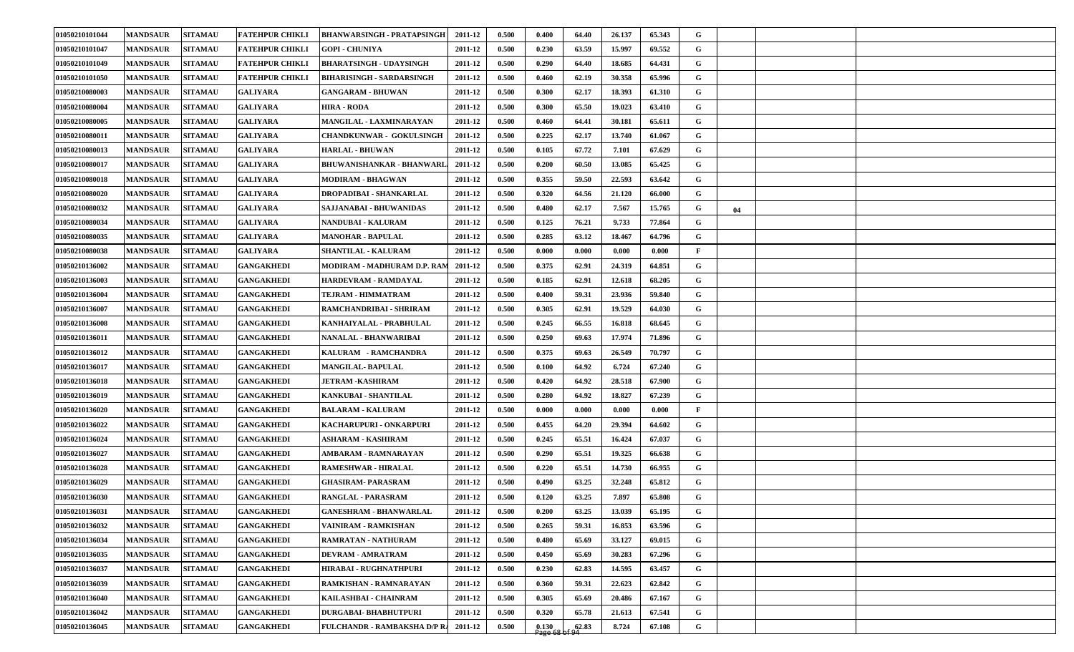| 01050210101044 | <b>MANDSAUR</b> | <b>SITAMAU</b> | <b>FATEHPUR CHIKLI</b> | <b>BHANWARSINGH - PRATAPSINGH</b>    | 2011-12 | 0.500 | 0.400                                                                             | 64.40 | 26.137 | 65.343 | G            |    |  |
|----------------|-----------------|----------------|------------------------|--------------------------------------|---------|-------|-----------------------------------------------------------------------------------|-------|--------|--------|--------------|----|--|
| 01050210101047 | <b>MANDSAUR</b> | <b>SITAMAU</b> | <b>FATEHPUR CHIKLI</b> | <b>GOPI - CHUNIYA</b>                | 2011-12 | 0.500 | 0.230                                                                             | 63.59 | 15.997 | 69.552 | G            |    |  |
| 01050210101049 | <b>MANDSAUR</b> | <b>SITAMAU</b> | <b>FATEHPUR CHIKLI</b> | <b>BHARATSINGH - UDAYSINGH</b>       | 2011-12 | 0.500 | 0.290                                                                             | 64.40 | 18.685 | 64.431 | G            |    |  |
| 01050210101050 | <b>MANDSAUR</b> | <b>SITAMAU</b> | <b>FATEHPUR CHIKLI</b> | <b>BIHARISINGH - SARDARSINGH</b>     | 2011-12 | 0.500 | 0.460                                                                             | 62.19 | 30.358 | 65.996 | G            |    |  |
| 01050210080003 | <b>MANDSAUR</b> | <b>SITAMAU</b> | <b>GALIYARA</b>        | <b>GANGARAM - BHUWAN</b>             | 2011-12 | 0.500 | 0.300                                                                             | 62.17 | 18.393 | 61.310 | G            |    |  |
| 01050210080004 | <b>MANDSAUR</b> | <b>SITAMAU</b> | <b>GALIYARA</b>        | <b>HIRA - RODA</b>                   | 2011-12 | 0.500 | 0.300                                                                             | 65.50 | 19.023 | 63.410 | G            |    |  |
| 01050210080005 | <b>MANDSAUR</b> | <b>SITAMAU</b> | <b>GALIYARA</b>        | MANGILAL - LAXMINARAYAN              | 2011-12 | 0.500 | 0.460                                                                             | 64.41 | 30.181 | 65.611 | G            |    |  |
| 01050210080011 | <b>MANDSAUR</b> | <b>SITAMAU</b> | <b>GALIYARA</b>        | <b>CHANDKUNWAR - GOKULSINGH</b>      | 2011-12 | 0.500 | 0.225                                                                             | 62.17 | 13.740 | 61.067 | G            |    |  |
| 01050210080013 | <b>MANDSAUR</b> | <b>SITAMAU</b> | <b>GALIYARA</b>        | <b>HARLAL - BHUWAN</b>               | 2011-12 | 0.500 | 0.105                                                                             | 67.72 | 7.101  | 67.629 | G            |    |  |
| 01050210080017 | <b>MANDSAUR</b> | <b>SITAMAU</b> | <b>GALIYARA</b>        | <b>BHUWANISHANKAR - BHANWARL</b>     | 2011-12 | 0.500 | 0.200                                                                             | 60.50 | 13.085 | 65.425 | G            |    |  |
| 01050210080018 | <b>MANDSAUR</b> | <b>SITAMAU</b> | <b>GALIYARA</b>        | <b>MODIRAM - BHAGWAN</b>             | 2011-12 | 0.500 | 0.355                                                                             | 59.50 | 22.593 | 63.642 | G            |    |  |
| 01050210080020 | <b>MANDSAUR</b> | <b>SITAMAU</b> | <b>GALIYARA</b>        | DROPADIBAI - SHANKARLAL              | 2011-12 | 0.500 | 0.320                                                                             | 64.56 | 21.120 | 66.000 | G            |    |  |
| 01050210080032 | <b>MANDSAUR</b> | <b>SITAMAU</b> | <b>GALIYARA</b>        | SAJJANABAI - BHUWANIDAS              | 2011-12 | 0.500 | 0.480                                                                             | 62.17 | 7.567  | 15.765 | G            | 04 |  |
| 01050210080034 | <b>MANDSAUR</b> | <b>SITAMAU</b> | <b>GALIYARA</b>        | <b>NANDUBAI - KALURAM</b>            | 2011-12 | 0.500 | 0.125                                                                             | 76.21 | 9.733  | 77.864 | G            |    |  |
| 01050210080035 | <b>MANDSAUR</b> | <b>SITAMAU</b> | <b>GALIYARA</b>        | <b>MANOHAR - BAPULAL</b>             | 2011-12 | 0.500 | 0.285                                                                             | 63.12 | 18.467 | 64.796 | G            |    |  |
| 01050210080038 | <b>MANDSAUR</b> | <b>SITAMAU</b> | <b>GALIYARA</b>        | <b>SHANTILAL - KALURAM</b>           | 2011-12 | 0.500 | 0.000                                                                             | 0.000 | 0.000  | 0.000  | F            |    |  |
| 01050210136002 | <b>MANDSAUR</b> | <b>SITAMAU</b> | <b>GANGAKHEDI</b>      | MODIRAM - MADHURAM D.P. RAM          | 2011-12 | 0.500 | 0.375                                                                             | 62.91 | 24.319 | 64.851 | G            |    |  |
| 01050210136003 | <b>MANDSAUR</b> | <b>SITAMAU</b> | <b>GANGAKHEDI</b>      | HARDEVRAM - RAMDAYAL                 | 2011-12 | 0.500 | 0.185                                                                             | 62.91 | 12.618 | 68.205 | G            |    |  |
| 01050210136004 | <b>MANDSAUR</b> | <b>SITAMAU</b> | <b>GANGAKHEDI</b>      | TEJRAM - HIMMATRAM                   | 2011-12 | 0.500 | 0.400                                                                             | 59.31 | 23.936 | 59.840 | G            |    |  |
| 01050210136007 | <b>MANDSAUR</b> | <b>SITAMAU</b> | <b>GANGAKHEDI</b>      | RAMCHANDRIBAI - SHRIRAM              | 2011-12 | 0.500 | 0.305                                                                             | 62.91 | 19.529 | 64.030 | G            |    |  |
| 01050210136008 | <b>MANDSAUR</b> | <b>SITAMAU</b> | <b>GANGAKHEDI</b>      | KANHAIYALAL - PRABHULAL              | 2011-12 | 0.500 | 0.245                                                                             | 66.55 | 16.818 | 68.645 | G            |    |  |
| 01050210136011 | <b>MANDSAUR</b> | <b>SITAMAU</b> | <b>GANGAKHEDI</b>      | NANALAL - BHANWARIBAI                | 2011-12 | 0.500 | 0.250                                                                             | 69.63 | 17.974 | 71.896 | G            |    |  |
| 01050210136012 | <b>MANDSAUR</b> | <b>SITAMAU</b> | <b>GANGAKHEDI</b>      | KALURAM - RAMCHANDRA                 | 2011-12 | 0.500 | 0.375                                                                             | 69.63 | 26.549 | 70.797 | G            |    |  |
| 01050210136017 | <b>MANDSAUR</b> | <b>SITAMAU</b> | <b>GANGAKHEDI</b>      | <b>MANGILAL-BAPULAL</b>              | 2011-12 | 0.500 | 0.100                                                                             | 64.92 | 6.724  | 67.240 | G            |    |  |
| 01050210136018 | <b>MANDSAUR</b> | <b>SITAMAU</b> | <b>GANGAKHEDI</b>      | <b>JETRAM -KASHIRAM</b>              | 2011-12 | 0.500 | 0.420                                                                             | 64.92 | 28.518 | 67.900 | G            |    |  |
| 01050210136019 | <b>MANDSAUR</b> | <b>SITAMAU</b> | <b>GANGAKHEDI</b>      | <b>KANKUBAI - SHANTILAL</b>          | 2011-12 | 0.500 | 0.280                                                                             | 64.92 | 18.827 | 67.239 | G            |    |  |
| 01050210136020 | <b>MANDSAUR</b> | <b>SITAMAU</b> | <b>GANGAKHEDI</b>      | <b>BALARAM - KALURAM</b>             | 2011-12 | 0.500 | 0.000                                                                             | 0.000 | 0.000  | 0.000  | $\mathbf{F}$ |    |  |
| 01050210136022 | <b>MANDSAUR</b> | <b>SITAMAU</b> | <b>GANGAKHEDI</b>      | KACHARUPURI - ONKARPURI              | 2011-12 | 0.500 | 0.455                                                                             | 64.20 | 29.394 | 64.602 | G            |    |  |
| 01050210136024 | <b>MANDSAUR</b> | <b>SITAMAU</b> | <b>GANGAKHEDI</b>      | ASHARAM - KASHIRAM                   | 2011-12 | 0.500 | 0.245                                                                             | 65.51 | 16.424 | 67.037 | G            |    |  |
| 01050210136027 | <b>MANDSAUR</b> | <b>SITAMAU</b> | <b>GANGAKHEDI</b>      | AMBARAM - RAMNARAYAN                 | 2011-12 | 0.500 | 0.290                                                                             | 65.51 | 19.325 | 66.638 | G            |    |  |
| 01050210136028 | <b>MANDSAUR</b> | <b>SITAMAU</b> | <b>GANGAKHEDI</b>      | RAMESHWAR - HIRALAL                  | 2011-12 | 0.500 | 0.220                                                                             | 65.51 | 14.730 | 66.955 | G            |    |  |
| 01050210136029 | <b>MANDSAUR</b> | <b>SITAMAU</b> | <b>GANGAKHEDI</b>      | <b>GHASIRAM- PARASRAM</b>            | 2011-12 | 0.500 | 0.490                                                                             | 63.25 | 32.248 | 65.812 | G            |    |  |
| 01050210136030 | <b>MANDSAUR</b> | <b>SITAMAU</b> | <b>GANGAKHEDI</b>      | <b>RANGLAL - PARASRAM</b>            | 2011-12 | 0.500 | 0.120                                                                             | 63.25 | 7.897  | 65.808 | G            |    |  |
| 01050210136031 | <b>MANDSAUR</b> | <b>SITAMAU</b> | <b>GANGAKHEDI</b>      | <b>GANESHRAM - BHANWARLAL</b>        | 2011-12 | 0.500 | 0.200                                                                             | 63.25 | 13.039 | 65.195 | G            |    |  |
| 01050210136032 | <b>MANDSAUR</b> | <b>SITAMAU</b> | <b>GANGAKHEDI</b>      | VAINIRAM - RAMKISHAN                 | 2011-12 | 0.500 | 0.265                                                                             | 59.31 | 16.853 | 63.596 | $\mathbf G$  |    |  |
| 01050210136034 | <b>MANDSAUR</b> | <b>SITAMAU</b> | <b>GANGAKHEDI</b>      | RAMRATAN - NATHURAM                  | 2011-12 | 0.500 | 0.480                                                                             | 65.69 | 33.127 | 69.015 | $\mathbf G$  |    |  |
| 01050210136035 | <b>MANDSAUR</b> | <b>SITAMAU</b> | <b>GANGAKHEDI</b>      | <b>DEVRAM - AMRATRAM</b>             | 2011-12 | 0.500 | 0.450                                                                             | 65.69 | 30.283 | 67.296 | G            |    |  |
| 01050210136037 | <b>MANDSAUR</b> | <b>SITAMAU</b> | <b>GANGAKHEDI</b>      | <b>HIRABAI - RUGHNATHPURI</b>        | 2011-12 | 0.500 | 0.230                                                                             | 62.83 | 14.595 | 63.457 | G            |    |  |
| 01050210136039 | <b>MANDSAUR</b> | <b>SITAMAU</b> | <b>GANGAKHEDI</b>      | RAMKISHAN - RAMNARAYAN               | 2011-12 | 0.500 | 0.360                                                                             | 59.31 | 22.623 | 62.842 | G            |    |  |
| 01050210136040 | <b>MANDSAUR</b> | <b>SITAMAU</b> | <b>GANGAKHEDI</b>      | KAILASHBAI - CHAINRAM                | 2011-12 | 0.500 | 0.305                                                                             | 65.69 | 20.486 | 67.167 | G            |    |  |
| 01050210136042 | <b>MANDSAUR</b> | <b>SITAMAU</b> | <b>GANGAKHEDI</b>      | <b>DURGABAI- BHABHUTPURI</b>         | 2011-12 | 0.500 | 0.320                                                                             | 65.78 | 21.613 | 67.541 | G            |    |  |
| 01050210136045 | <b>MANDSAUR</b> | <b>SITAMAU</b> | <b>GANGAKHEDI</b>      | FULCHANDR - RAMBAKSHA D/P R. 2011-12 |         | 0.500 | $\begin{array}{c c} 0.130 & 62.83 \\ \text{Page} & 68 \text{ of } 94 \end{array}$ |       | 8.724  | 67.108 | $\mathbf G$  |    |  |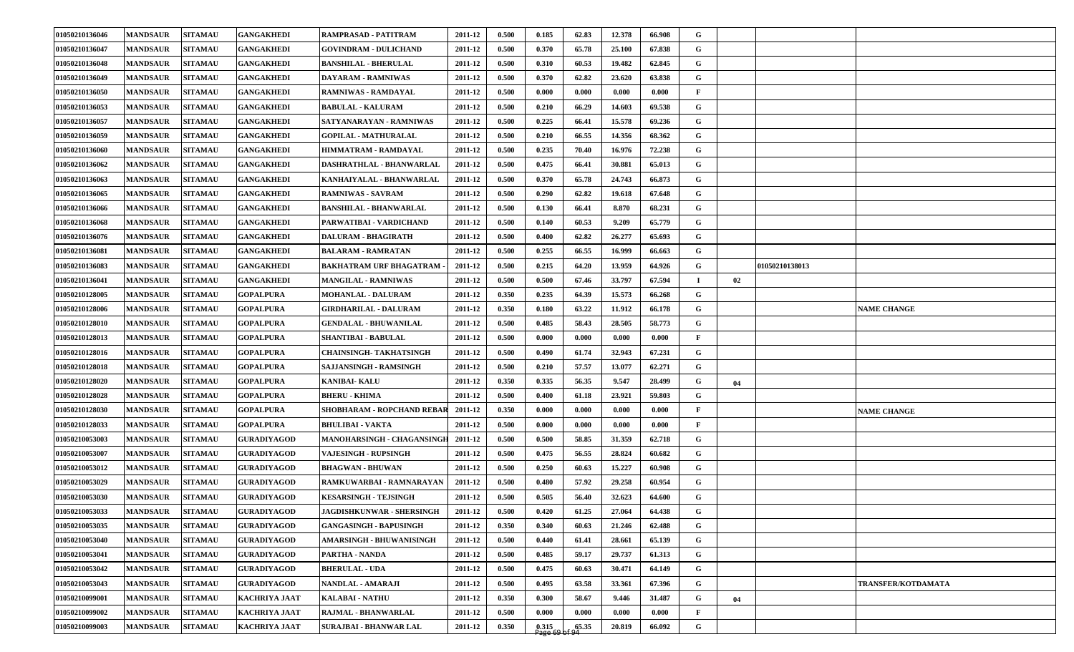| 01050210136046 | <b>MANDSAUR</b> | <b>SITAMAU</b> | <b>GANGAKHEDI</b>    | RAMPRASAD - PATITRAM            | 2011-12 | 0.500 | 0.185              | 62.83 | 12.378 | 66.908 | G            |    |                |                           |
|----------------|-----------------|----------------|----------------------|---------------------------------|---------|-------|--------------------|-------|--------|--------|--------------|----|----------------|---------------------------|
| 01050210136047 | <b>MANDSAUR</b> | <b>SITAMAU</b> | <b>GANGAKHEDI</b>    | <b>GOVINDRAM - DULICHAND</b>    | 2011-12 | 0.500 | 0.370              | 65.78 | 25.100 | 67.838 | G            |    |                |                           |
| 01050210136048 | <b>MANDSAUR</b> | <b>SITAMAU</b> | <b>GANGAKHEDI</b>    | <b>BANSHILAL - BHERULAL</b>     | 2011-12 | 0.500 | 0.310              | 60.53 | 19.482 | 62.845 | G            |    |                |                           |
| 01050210136049 | <b>MANDSAUR</b> | <b>SITAMAU</b> | <b>GANGAKHEDI</b>    | DAYARAM - RAMNIWAS              | 2011-12 | 0.500 | 0.370              | 62.82 | 23.620 | 63.838 | G            |    |                |                           |
| 01050210136050 | <b>MANDSAUR</b> | <b>SITAMAU</b> | <b>GANGAKHEDI</b>    | <b>RAMNIWAS - RAMDAYAL</b>      | 2011-12 | 0.500 | 0.000              | 0.000 | 0.000  | 0.000  | $\mathbf{F}$ |    |                |                           |
| 01050210136053 | <b>MANDSAUR</b> | <b>SITAMAU</b> | <b>GANGAKHEDI</b>    | <b>BABULAL - KALURAM</b>        | 2011-12 | 0.500 | 0.210              | 66.29 | 14.603 | 69.538 | G            |    |                |                           |
| 01050210136057 | <b>MANDSAUR</b> | <b>SITAMAU</b> | <b>GANGAKHEDI</b>    | SATYANARAYAN - RAMNIWAS         | 2011-12 | 0.500 | 0.225              | 66.41 | 15.578 | 69.236 | G            |    |                |                           |
| 01050210136059 | <b>MANDSAUR</b> | <b>SITAMAU</b> | <b>GANGAKHEDI</b>    | <b>GOPILAL - MATHURALAL</b>     | 2011-12 | 0.500 | 0.210              | 66.55 | 14.356 | 68.362 | G            |    |                |                           |
| 01050210136060 | <b>MANDSAUR</b> | <b>SITAMAU</b> | <b>GANGAKHEDI</b>    | HIMMATRAM - RAMDAYAL            | 2011-12 | 0.500 | 0.235              | 70.40 | 16.976 | 72.238 | G            |    |                |                           |
| 01050210136062 | <b>MANDSAUR</b> | <b>SITAMAU</b> | <b>GANGAKHEDI</b>    | <b>DASHRATHLAL - BHANWARLAL</b> | 2011-12 | 0.500 | 0.475              | 66.41 | 30.881 | 65.013 | G            |    |                |                           |
| 01050210136063 | <b>MANDSAUR</b> | <b>SITAMAU</b> | <b>GANGAKHEDI</b>    | KANHAIYALAL - BHANWARLAL        | 2011-12 | 0.500 | 0.370              | 65.78 | 24.743 | 66.873 | G            |    |                |                           |
| 01050210136065 | <b>MANDSAUR</b> | <b>SITAMAU</b> | <b>GANGAKHEDI</b>    | <b>RAMNIWAS - SAVRAM</b>        | 2011-12 | 0.500 | 0.290              | 62.82 | 19.618 | 67.648 | G            |    |                |                           |
| 01050210136066 | <b>MANDSAUR</b> | <b>SITAMAU</b> | <b>GANGAKHEDI</b>    | <b>BANSHILAL - BHANWARLAL</b>   | 2011-12 | 0.500 | 0.130              | 66.41 | 8.870  | 68.231 | G            |    |                |                           |
| 01050210136068 | <b>MANDSAUR</b> | <b>SITAMAU</b> | <b>GANGAKHEDI</b>    | PARWATIBAI - VARDICHAND         | 2011-12 | 0.500 | 0.140              | 60.53 | 9.209  | 65.779 | G            |    |                |                           |
| 01050210136076 | <b>MANDSAUR</b> | <b>SITAMAU</b> | <b>GANGAKHEDI</b>    | <b>DALURAM - BHAGIRATH</b>      | 2011-12 | 0.500 | 0.400              | 62.82 | 26.277 | 65.693 | G            |    |                |                           |
| 01050210136081 | <b>MANDSAUR</b> | <b>SITAMAU</b> | <b>GANGAKHEDI</b>    | <b>BALARAM - RAMRATAN</b>       | 2011-12 | 0.500 | 0.255              | 66.55 | 16.999 | 66.663 | G            |    |                |                           |
| 01050210136083 | <b>MANDSAUR</b> | <b>SITAMAU</b> | <b>GANGAKHEDI</b>    | <b>BAKHATRAM URF BHAGATRAM</b>  | 2011-12 | 0.500 | 0.215              | 64.20 | 13.959 | 64.926 | G            |    | 01050210138013 |                           |
| 01050210136041 | <b>MANDSAUR</b> | <b>SITAMAU</b> | <b>GANGAKHEDI</b>    | <b>MANGILAL - RAMNIWAS</b>      | 2011-12 | 0.500 | 0.500              | 67.46 | 33.797 | 67.594 | $\mathbf I$  | 02 |                |                           |
| 01050210128005 | <b>MANDSAUR</b> | <b>SITAMAU</b> | <b>GOPALPURA</b>     | <b>MOHANLAL - DALURAM</b>       | 2011-12 | 0.350 | 0.235              | 64.39 | 15.573 | 66.268 | G            |    |                |                           |
| 01050210128006 | <b>MANDSAUR</b> | <b>SITAMAU</b> | GOPALPURA            | GIRDHARILAL - DALURAM           | 2011-12 | 0.350 | 0.180              | 63.22 | 11.912 | 66.178 | G            |    |                | <b>NAME CHANGE</b>        |
| 01050210128010 | <b>MANDSAUR</b> | <b>SITAMAU</b> | <b>GOPALPURA</b>     | <b>GENDALAL - BHUWANILAL</b>    | 2011-12 | 0.500 | 0.485              | 58.43 | 28.505 | 58.773 | G            |    |                |                           |
| 01050210128013 | <b>MANDSAUR</b> | <b>SITAMAU</b> | <b>GOPALPURA</b>     | <b>SHANTIBAI - BABULAL</b>      | 2011-12 | 0.500 | 0.000              | 0.000 | 0.000  | 0.000  | F            |    |                |                           |
| 01050210128016 | <b>MANDSAUR</b> | <b>SITAMAU</b> | <b>GOPALPURA</b>     | CHAINSINGH- TAKHATSINGH         | 2011-12 | 0.500 | 0.490              | 61.74 | 32.943 | 67.231 | G            |    |                |                           |
| 01050210128018 | <b>MANDSAUR</b> | <b>SITAMAU</b> | <b>GOPALPURA</b>     | SAJJANSINGH - RAMSINGH          | 2011-12 | 0.500 | 0.210              | 57.57 | 13.077 | 62.271 | G            |    |                |                           |
| 01050210128020 | <b>MANDSAUR</b> | <b>SITAMAU</b> | <b>GOPALPURA</b>     | <b>KANIBAI- KALU</b>            | 2011-12 | 0.350 | 0.335              | 56.35 | 9.547  | 28.499 | G            | 04 |                |                           |
| 01050210128028 | <b>MANDSAUR</b> | <b>SITAMAU</b> | <b>GOPALPURA</b>     | <b>BHERU - KHIMA</b>            | 2011-12 | 0.500 | 0.400              | 61.18 | 23.921 | 59.803 | G            |    |                |                           |
| 01050210128030 | <b>MANDSAUR</b> | <b>SITAMAU</b> | <b>GOPALPURA</b>     | SHOBHARAM - ROPCHAND REBAR      | 2011-12 | 0.350 | 0.000              | 0.000 | 0.000  | 0.000  | $\mathbf{F}$ |    |                | <b>NAME CHANGE</b>        |
| 01050210128033 | <b>MANDSAUR</b> | <b>SITAMAU</b> | GOPALPURA            | <b>BHULIBAI - VAKTA</b>         | 2011-12 | 0.500 | 0.000              | 0.000 | 0.000  | 0.000  | $\mathbf{F}$ |    |                |                           |
| 01050210053003 | <b>MANDSAUR</b> | <b>SITAMAU</b> | <b>GURADIYAGOD</b>   | MANOHARSINGH - CHAGANSINGH      | 2011-12 | 0.500 | 0.500              | 58.85 | 31.359 | 62.718 | G            |    |                |                           |
| 01050210053007 | <b>MANDSAUR</b> | <b>SITAMAU</b> | <b>GURADIYAGOD</b>   | <b>VAJESINGH - RUPSINGH</b>     | 2011-12 | 0.500 | 0.475              | 56.55 | 28.824 | 60.682 | G            |    |                |                           |
| 01050210053012 | <b>MANDSAUR</b> | <b>SITAMAU</b> | <b>GURADIYAGOD</b>   | <b>BHAGWAN - BHUWAN</b>         | 2011-12 | 0.500 | 0.250              | 60.63 | 15.227 | 60.908 | G            |    |                |                           |
| 01050210053029 | <b>MANDSAUR</b> | <b>SITAMAU</b> | <b>GURADIYAGOD</b>   | RAMKUWARBAI - RAMNARAYAN        | 2011-12 | 0.500 | 0.480              | 57.92 | 29.258 | 60.954 | G            |    |                |                           |
| 01050210053030 | <b>MANDSAUR</b> | <b>SITAMAU</b> | <b>GURADIYAGOD</b>   | <b>KESARSINGH - TEJSINGH</b>    | 2011-12 | 0.500 | 0.505              | 56.40 | 32.623 | 64.600 | G            |    |                |                           |
| 01050210053033 | <b>MANDSAUR</b> | <b>SITAMAU</b> | <b>GURADIYAGOD</b>   | JAGDISHKUNWAR - SHERSINGH       | 2011-12 | 0.500 | 0.420              | 61.25 | 27.064 | 64.438 | G            |    |                |                           |
| 01050210053035 | <b>MANDSAUR</b> | <b>SITAMAU</b> | <b>GURADIYAGOD</b>   | <b>GANGASINGH - BAPUSINGH</b>   | 2011-12 | 0.350 | 0.340              | 60.63 | 21.246 | 62.488 | $\mathbf{G}$ |    |                |                           |
| 01050210053040 | <b>MANDSAUR</b> | <b>SITAMAU</b> | <b>GURADIYAGOD</b>   | AMARSINGH - BHUWANISINGH        | 2011-12 | 0.500 | 0.440              | 61.41 | 28.661 | 65.139 | G            |    |                |                           |
| 01050210053041 | <b>MANDSAUR</b> | <b>SITAMAU</b> | <b>GURADIYAGOD</b>   | <b>PARTHA - NANDA</b>           | 2011-12 | 0.500 | 0.485              | 59.17 | 29.737 | 61.313 | G            |    |                |                           |
| 01050210053042 | <b>MANDSAUR</b> | <b>SITAMAU</b> | <b>GURADIYAGOD</b>   | <b>BHERULAL - UDA</b>           | 2011-12 | 0.500 | 0.475              | 60.63 | 30.471 | 64.149 | $\mathbf G$  |    |                |                           |
| 01050210053043 | <b>MANDSAUR</b> | <b>SITAMAU</b> | <b>GURADIYAGOD</b>   | NANDLAL - AMARAJI               | 2011-12 | 0.500 | 0.495              | 63.58 | 33.361 | 67.396 | $\mathbf{G}$ |    |                | <b>TRANSFER/KOTDAMATA</b> |
| 01050210099001 | <b>MANDSAUR</b> | <b>SITAMAU</b> | <b>KACHRIYA JAAT</b> | <b>KALABAI - NATHU</b>          | 2011-12 | 0.350 | 0.300              | 58.67 | 9.446  | 31.487 | $\mathbf G$  | 04 |                |                           |
| 01050210099002 | <b>MANDSAUR</b> | <b>SITAMAU</b> | KACHRIYA JAAT        | RAJMAL - BHANWARLAL             | 2011-12 | 0.500 | 0.000              | 0.000 | 0.000  | 0.000  | $\mathbf{F}$ |    |                |                           |
| 01050210099003 | <b>MANDSAUR</b> | <b>SITAMAU</b> | KACHRIYA JAAT        | <b>SURAJBAI - BHANWAR LAL</b>   | 2011-12 | 0.350 | $0.315$<br>Page 69 | 65.35 | 20.819 | 66.092 | G            |    |                |                           |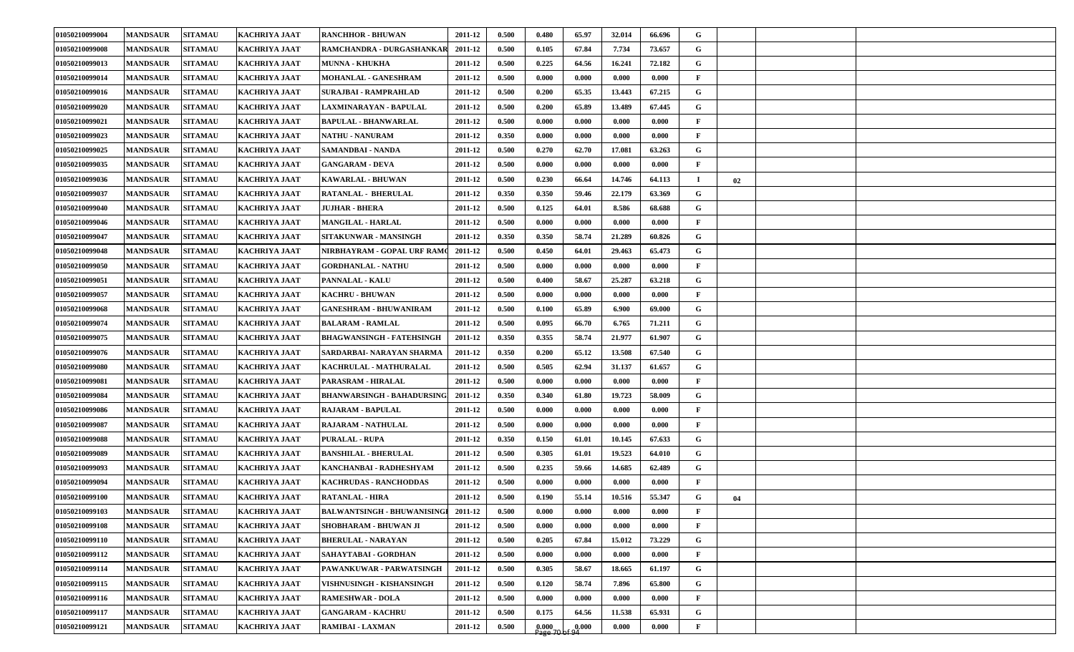| 01050210099004 | <b>MANDSAUR</b> | <b>SITAMAU</b> | <b>KACHRIYA JAAT</b> | <b>RANCHHOR - BHUWAN</b>           | 2011-12 | 0.500 | 0.480                | 65.97                  | 32.014 | 66.696 | G            |    |  |
|----------------|-----------------|----------------|----------------------|------------------------------------|---------|-------|----------------------|------------------------|--------|--------|--------------|----|--|
| 01050210099008 | <b>MANDSAUR</b> | <b>SITAMAU</b> | <b>KACHRIYA JAAT</b> | RAMCHANDRA - DURGASHANKAR          | 2011-12 | 0.500 | 0.105                | 67.84                  | 7.734  | 73.657 | G            |    |  |
| 01050210099013 | <b>MANDSAUR</b> | <b>SITAMAU</b> | <b>KACHRIYA JAAT</b> | <b>MUNNA - KHUKHA</b>              | 2011-12 | 0.500 | 0.225                | 64.56                  | 16.241 | 72.182 | G            |    |  |
| 01050210099014 | <b>MANDSAUR</b> | <b>SITAMAU</b> | <b>KACHRIYA JAAT</b> | MOHANLAL - GANESHRAM               | 2011-12 | 0.500 | 0.000                | 0.000                  | 0.000  | 0.000  | $\mathbf{F}$ |    |  |
| 01050210099016 | <b>MANDSAUR</b> | <b>SITAMAU</b> | <b>KACHRIYA JAAT</b> | SURAJBAI - RAMPRAHLAD              | 2011-12 | 0.500 | 0.200                | 65.35                  | 13.443 | 67.215 | G            |    |  |
| 01050210099020 | <b>MANDSAUR</b> | <b>SITAMAU</b> | <b>KACHRIYA JAAT</b> | LAXMINARAYAN - BAPULAL             | 2011-12 | 0.500 | 0.200                | 65.89                  | 13.489 | 67.445 | G            |    |  |
| 01050210099021 | <b>MANDSAUR</b> | <b>SITAMAU</b> | <b>KACHRIYA JAAT</b> | <b>BAPULAL - BHANWARLAL</b>        | 2011-12 | 0.500 | 0.000                | 0.000                  | 0.000  | 0.000  | $\mathbf{F}$ |    |  |
| 01050210099023 | <b>MANDSAUR</b> | <b>SITAMAU</b> | <b>KACHRIYA JAAT</b> | <b>NATHU - NANURAM</b>             | 2011-12 | 0.350 | 0.000                | 0.000                  | 0.000  | 0.000  | $\mathbf{F}$ |    |  |
| 01050210099025 | <b>MANDSAUR</b> | <b>SITAMAU</b> | <b>KACHRIYA JAAT</b> | <b>SAMANDBAI - NANDA</b>           | 2011-12 | 0.500 | 0.270                | 62.70                  | 17.081 | 63.263 | G            |    |  |
| 01050210099035 | <b>MANDSAUR</b> | <b>SITAMAU</b> | <b>KACHRIYA JAAT</b> | <b>GANGARAM - DEVA</b>             | 2011-12 | 0.500 | 0.000                | 0.000                  | 0.000  | 0.000  | $\mathbf{F}$ |    |  |
| 01050210099036 | <b>MANDSAUR</b> | <b>SITAMAU</b> | <b>KACHRIYA JAAT</b> | <b>KAWARLAL - BHUWAN</b>           | 2011-12 | 0.500 | 0.230                | 66.64                  | 14.746 | 64.113 | п.           | 02 |  |
| 01050210099037 | <b>MANDSAUR</b> | <b>SITAMAU</b> | <b>KACHRIYA JAAT</b> | RATANLAL - BHERULAL                | 2011-12 | 0.350 | 0.350                | 59.46                  | 22.179 | 63.369 | G            |    |  |
| 01050210099040 | <b>MANDSAUR</b> | <b>SITAMAU</b> | <b>KACHRIYA JAAT</b> | <b>JUJHAR - BHERA</b>              | 2011-12 | 0.500 | 0.125                | 64.01                  | 8.586  | 68.688 | G            |    |  |
| 01050210099046 | <b>MANDSAUR</b> | <b>SITAMAU</b> | <b>KACHRIYA JAAT</b> | <b>MANGILAL - HARLAL</b>           | 2011-12 | 0.500 | 0.000                | 0.000                  | 0.000  | 0.000  | $\mathbf{F}$ |    |  |
| 01050210099047 | <b>MANDSAUR</b> | <b>SITAMAU</b> | <b>KACHRIYA JAAT</b> | SITAKUNWAR - MANSINGH              | 2011-12 | 0.350 | 0.350                | 58.74                  | 21.289 | 60.826 | $\mathbf G$  |    |  |
| 01050210099048 | <b>MANDSAUR</b> | <b>SITAMAU</b> | <b>KACHRIYA JAAT</b> | NIRBHAYRAM - GOPAL URF RAMO        | 2011-12 | 0.500 | 0.450                | 64.01                  | 29.463 | 65.473 | G            |    |  |
| 01050210099050 | <b>MANDSAUR</b> | <b>SITAMAU</b> | <b>KACHRIYA JAAT</b> | <b>GORDHANLAL - NATHU</b>          | 2011-12 | 0.500 | 0.000                | 0.000                  | 0.000  | 0.000  | F            |    |  |
| 01050210099051 | <b>MANDSAUR</b> | <b>SITAMAU</b> | <b>KACHRIYA JAAT</b> | PANNALAL - KALU                    | 2011-12 | 0.500 | 0.400                | 58.67                  | 25.287 | 63.218 | G            |    |  |
| 01050210099057 | <b>MANDSAUR</b> | <b>SITAMAU</b> | <b>KACHRIYA JAAT</b> | <b>KACHRU - BHUWAN</b>             | 2011-12 | 0.500 | 0.000                | 0.000                  | 0.000  | 0.000  | F            |    |  |
| 01050210099068 | <b>MANDSAUR</b> | <b>SITAMAU</b> | <b>KACHRIYA JAAT</b> | <b>GANESHRAM - BHUWANIRAM</b>      | 2011-12 | 0.500 | 0.100                | 65.89                  | 6.900  | 69.000 | G            |    |  |
| 01050210099074 | <b>MANDSAUR</b> | <b>SITAMAU</b> | <b>KACHRIYA JAAT</b> | <b>BALARAM - RAMLAL</b>            | 2011-12 | 0.500 | 0.095                | 66.70                  | 6.765  | 71.211 | G            |    |  |
| 01050210099075 | <b>MANDSAUR</b> | <b>SITAMAU</b> | <b>KACHRIYA JAAT</b> | <b>BHAGWANSINGH - FATEHSINGH</b>   | 2011-12 | 0.350 | 0.355                | 58.74                  | 21.977 | 61.907 | G            |    |  |
| 01050210099076 | <b>MANDSAUR</b> | <b>SITAMAU</b> | <b>KACHRIYA JAAT</b> | SARDARBAI- NARAYAN SHARMA          | 2011-12 | 0.350 | 0.200                | 65.12                  | 13.508 | 67.540 | G            |    |  |
| 01050210099080 | <b>MANDSAUR</b> | <b>SITAMAU</b> | <b>KACHRIYA JAAT</b> | KACHRULAL - MATHURALAL             | 2011-12 | 0.500 | 0.505                | 62.94                  | 31.137 | 61.657 | G            |    |  |
| 01050210099081 | <b>MANDSAUR</b> | <b>SITAMAU</b> | <b>KACHRIYA JAAT</b> | PARASRAM - HIRALAL                 | 2011-12 | 0.500 | 0.000                | 0.000                  | 0.000  | 0.000  | $\mathbf{F}$ |    |  |
| 01050210099084 | <b>MANDSAUR</b> | <b>SITAMAU</b> | <b>KACHRIYA JAAT</b> | <b>BHANWARSINGH - BAHADURSING</b>  | 2011-12 | 0.350 | 0.340                | 61.80                  | 19.723 | 58.009 | G            |    |  |
| 01050210099086 | <b>MANDSAUR</b> | <b>SITAMAU</b> | <b>KACHRIYA JAAT</b> | <b>RAJARAM - BAPULAL</b>           | 2011-12 | 0.500 | 0.000                | 0.000                  | 0.000  | 0.000  | $\mathbf{F}$ |    |  |
| 01050210099087 | <b>MANDSAUR</b> | <b>SITAMAU</b> | <b>KACHRIYA JAAT</b> | <b>RAJARAM - NATHULAL</b>          | 2011-12 | 0.500 | 0.000                | 0.000                  | 0.000  | 0.000  | $\mathbf{F}$ |    |  |
| 01050210099088 | <b>MANDSAUR</b> | <b>SITAMAU</b> | <b>KACHRIYA JAAT</b> | <b>PURALAL - RUPA</b>              | 2011-12 | 0.350 | 0.150                | 61.01                  | 10.145 | 67.633 | G            |    |  |
| 01050210099089 | <b>MANDSAUR</b> | <b>SITAMAU</b> | <b>KACHRIYA JAAT</b> | <b>BANSHILAL - BHERULAL</b>        | 2011-12 | 0.500 | 0.305                | 61.01                  | 19.523 | 64.010 | G            |    |  |
| 01050210099093 | <b>MANDSAUR</b> | <b>SITAMAU</b> | <b>KACHRIYA JAAT</b> | KANCHANBAI - RADHESHYAM            | 2011-12 | 0.500 | 0.235                | 59.66                  | 14.685 | 62.489 | G            |    |  |
| 01050210099094 | <b>MANDSAUR</b> | <b>SITAMAU</b> | <b>KACHRIYA JAAT</b> | <b>KACHRUDAS - RANCHODDAS</b>      | 2011-12 | 0.500 | 0.000                | 0.000                  | 0.000  | 0.000  | F            |    |  |
| 01050210099100 | <b>MANDSAUR</b> | <b>SITAMAU</b> | <b>KACHRIYA JAAT</b> | <b>RATANLAL - HIRA</b>             | 2011-12 | 0.500 | 0.190                | 55.14                  | 10.516 | 55.347 | G            | 04 |  |
| 01050210099103 | <b>MANDSAUR</b> | <b>SITAMAU</b> | <b>KACHRIYA JAAT</b> | <b>BALWANTSINGH - BHUWANISINGI</b> | 2011-12 | 0.500 | 0.000                | 0.000                  | 0.000  | 0.000  | $\mathbf{F}$ |    |  |
| 01050210099108 | <b>MANDSAUR</b> | <b>SITAMAU</b> | KACHRIYA JAAT        | SHOBHARAM - BHUWAN JI              | 2011-12 | 0.500 | 0.000                | 0.000                  | 0.000  | 0.000  | $\mathbf{F}$ |    |  |
| 01050210099110 | <b>MANDSAUR</b> | <b>SITAMAU</b> | <b>KACHRIYA JAAT</b> | <b>BHERULAL - NARAYAN</b>          | 2011-12 | 0.500 | 0.205                | 67.84                  | 15.012 | 73.229 | G            |    |  |
| 01050210099112 | <b>MANDSAUR</b> | <b>SITAMAU</b> | <b>KACHRIYA JAAT</b> | SAHAYTABAI - GORDHAN               | 2011-12 | 0.500 | 0.000                | 0.000                  | 0.000  | 0.000  | $\mathbf{F}$ |    |  |
| 01050210099114 | <b>MANDSAUR</b> | <b>SITAMAU</b> | <b>KACHRIYA JAAT</b> | PAWANKUWAR - PARWATSINGH           | 2011-12 | 0.500 | 0.305                | 58.67                  | 18.665 | 61.197 | $\mathbf G$  |    |  |
| 01050210099115 | <b>MANDSAUR</b> | <b>SITAMAU</b> | <b>KACHRIYA JAAT</b> | VISHNUSINGH - KISHANSINGH          | 2011-12 | 0.500 | 0.120                | 58.74                  | 7.896  | 65.800 | G            |    |  |
| 01050210099116 | <b>MANDSAUR</b> | <b>SITAMAU</b> | <b>KACHRIYA JAAT</b> | <b>RAMESHWAR - DOLA</b>            | 2011-12 | 0.500 | 0.000                | 0.000                  | 0.000  | 0.000  | $\mathbf{F}$ |    |  |
| 01050210099117 | <b>MANDSAUR</b> | <b>SITAMAU</b> | <b>KACHRIYA JAAT</b> | <b>GANGARAM - KACHRU</b>           | 2011-12 | 0.500 | 0.175                | 64.56                  | 11.538 | 65.931 | G            |    |  |
| 01050210099121 | <b>MANDSAUR</b> | <b>SITAMAU</b> | <b>KACHRIYA JAAT</b> | <b>RAMIBAI - LAXMAN</b>            | 2011-12 | 0.500 | $0.000$<br>Page 70 b | $_{\rm 0.000}^{0.000}$ | 0.000  | 0.000  | $\mathbf{F}$ |    |  |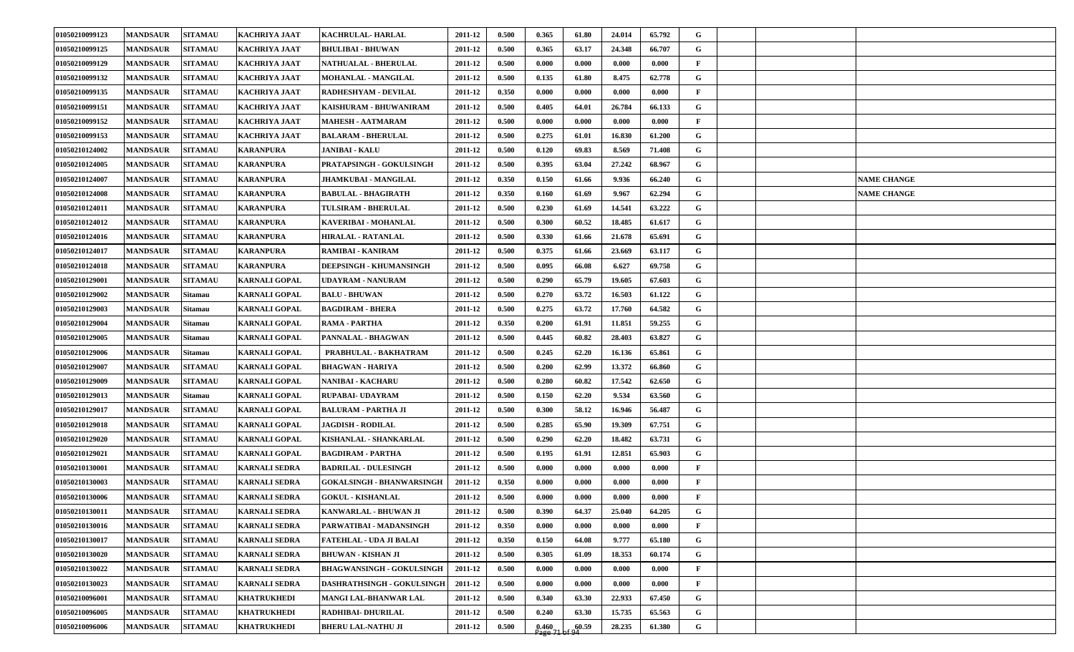| 01050210099123 | <b>MANDSAUR</b> | <b>SITAMAU</b> | <b>KACHRIYA JAAT</b> | <b>KACHRULAL-HARLAL</b>          | 2011-12 | 0.500 | 0.365 | 61.80 | 24.014 | 65.792 | G            |  |                    |
|----------------|-----------------|----------------|----------------------|----------------------------------|---------|-------|-------|-------|--------|--------|--------------|--|--------------------|
| 01050210099125 | <b>MANDSAUR</b> | <b>SITAMAU</b> | <b>KACHRIYA JAAT</b> | <b>BHULIBAI - BHUWAN</b>         | 2011-12 | 0.500 | 0.365 | 63.17 | 24.348 | 66.707 | G            |  |                    |
| 01050210099129 | <b>MANDSAUR</b> | <b>SITAMAU</b> | <b>KACHRIYA JAAT</b> | <b>NATHUALAL - BHERULAL</b>      | 2011-12 | 0.500 | 0.000 | 0.000 | 0.000  | 0.000  | F            |  |                    |
| 01050210099132 | <b>MANDSAUR</b> | <b>SITAMAU</b> | <b>KACHRIYA JAAT</b> | <b>MOHANLAL - MANGILAL</b>       | 2011-12 | 0.500 | 0.135 | 61.80 | 8.475  | 62.778 | G            |  |                    |
| 01050210099135 | <b>MANDSAUR</b> | <b>SITAMAU</b> | <b>KACHRIYA JAAT</b> | <b>RADHESHYAM - DEVILAL</b>      | 2011-12 | 0.350 | 0.000 | 0.000 | 0.000  | 0.000  | F            |  |                    |
| 01050210099151 | <b>MANDSAUR</b> | <b>SITAMAU</b> | <b>KACHRIYA JAAT</b> | KAISHURAM - BHUWANIRAM           | 2011-12 | 0.500 | 0.405 | 64.01 | 26.784 | 66.133 | G            |  |                    |
| 01050210099152 | <b>MANDSAUR</b> | <b>SITAMAU</b> | <b>KACHRIYA JAAT</b> | <b>MAHESH - AATMARAM</b>         | 2011-12 | 0.500 | 0.000 | 0.000 | 0.000  | 0.000  | $\mathbf{F}$ |  |                    |
| 01050210099153 | <b>MANDSAUR</b> | <b>SITAMAU</b> | <b>KACHRIYA JAAT</b> | <b>BALARAM - BHERULAL</b>        | 2011-12 | 0.500 | 0.275 | 61.01 | 16.830 | 61.200 | G            |  |                    |
| 01050210124002 | <b>MANDSAUR</b> | <b>SITAMAU</b> | <b>KARANPURA</b>     | <b>JANIBAI - KALU</b>            | 2011-12 | 0.500 | 0.120 | 69.83 | 8.569  | 71.408 | G            |  |                    |
| 01050210124005 | <b>MANDSAUR</b> | <b>SITAMAU</b> | <b>KARANPURA</b>     | PRATAPSINGH - GOKULSINGH         | 2011-12 | 0.500 | 0.395 | 63.04 | 27.242 | 68.967 | G            |  |                    |
| 01050210124007 | <b>MANDSAUR</b> | <b>SITAMAU</b> | <b>KARANPURA</b>     | <b>JHAMKUBAI - MANGILAL</b>      | 2011-12 | 0.350 | 0.150 | 61.66 | 9.936  | 66.240 | G            |  | <b>NAME CHANGE</b> |
| 01050210124008 | <b>MANDSAUR</b> | <b>SITAMAU</b> | <b>KARANPURA</b>     | <b>BABULAL - BHAGIRATH</b>       | 2011-12 | 0.350 | 0.160 | 61.69 | 9.967  | 62.294 | G            |  | <b>NAME CHANGE</b> |
| 01050210124011 | <b>MANDSAUR</b> | <b>SITAMAU</b> | <b>KARANPURA</b>     | TULSIRAM - BHERULAL              | 2011-12 | 0.500 | 0.230 | 61.69 | 14.541 | 63.222 | G            |  |                    |
| 01050210124012 | <b>MANDSAUR</b> | <b>SITAMAU</b> | <b>KARANPURA</b>     | <b>KAVERIBAI - MOHANLAL</b>      | 2011-12 | 0.500 | 0.300 | 60.52 | 18.485 | 61.617 | G            |  |                    |
| 01050210124016 | <b>MANDSAUR</b> | <b>SITAMAU</b> | <b>KARANPURA</b>     | <b>HIRALAL - RATANLAL</b>        | 2011-12 | 0.500 | 0.330 | 61.66 | 21.678 | 65.691 | G            |  |                    |
| 01050210124017 | <b>MANDSAUR</b> | <b>SITAMAU</b> | <b>KARANPURA</b>     | <b>RAMIBAI - KANIRAM</b>         | 2011-12 | 0.500 | 0.375 | 61.66 | 23.669 | 63.117 | G            |  |                    |
| 01050210124018 | <b>MANDSAUR</b> | <b>SITAMAU</b> | <b>KARANPURA</b>     | <b>DEEPSINGH - KHUMANSINGH</b>   | 2011-12 | 0.500 | 0.095 | 66.08 | 6.627  | 69.758 | G            |  |                    |
| 01050210129001 | <b>MANDSAUR</b> | <b>SITAMAU</b> | <b>KARNALI GOPAL</b> | <b>UDAYRAM - NANURAM</b>         | 2011-12 | 0.500 | 0.290 | 65.79 | 19.605 | 67.603 | G            |  |                    |
| 01050210129002 | <b>MANDSAUR</b> | <b>Sitamau</b> | <b>KARNALI GOPAL</b> | <b>BALU - BHUWAN</b>             | 2011-12 | 0.500 | 0.270 | 63.72 | 16.503 | 61.122 | G            |  |                    |
| 01050210129003 | <b>MANDSAUR</b> | Sitamau        | <b>KARNALI GOPAL</b> | <b>BAGDIRAM - BHERA</b>          | 2011-12 | 0.500 | 0.275 | 63.72 | 17.760 | 64.582 | G            |  |                    |
| 01050210129004 | <b>MANDSAUR</b> | Sitamau        | <b>KARNALI GOPAL</b> | <b>RAMA - PARTHA</b>             | 2011-12 | 0.350 | 0.200 | 61.91 | 11.851 | 59.255 | G            |  |                    |
| 01050210129005 | <b>MANDSAUR</b> | <b>Sitamau</b> | <b>KARNALI GOPAL</b> | PANNALAL - BHAGWAN               | 2011-12 | 0.500 | 0.445 | 60.82 | 28.403 | 63.827 | G            |  |                    |
| 01050210129006 | <b>MANDSAUR</b> | <b>Sitamau</b> | <b>KARNALI GOPAL</b> | PRABHULAL - BAKHATRAM            | 2011-12 | 0.500 | 0.245 | 62.20 | 16.136 | 65.861 | G            |  |                    |
| 01050210129007 | <b>MANDSAUR</b> | <b>SITAMAU</b> | <b>KARNALI GOPAL</b> | <b>BHAGWAN - HARIYA</b>          | 2011-12 | 0.500 | 0.200 | 62.99 | 13.372 | 66.860 | G            |  |                    |
| 01050210129009 | <b>MANDSAUR</b> | <b>SITAMAU</b> | <b>KARNALI GOPAL</b> | <b>NANIBAI - KACHARU</b>         | 2011-12 | 0.500 | 0.280 | 60.82 | 17.542 | 62.650 | G            |  |                    |
| 01050210129013 | <b>MANDSAUR</b> | <b>Sitamau</b> | <b>KARNALI GOPAL</b> | <b>RUPABAI- UDAYRAM</b>          | 2011-12 | 0.500 | 0.150 | 62.20 | 9.534  | 63.560 | G            |  |                    |
| 01050210129017 | <b>MANDSAUR</b> | <b>SITAMAU</b> | <b>KARNALI GOPAL</b> | <b>BALURAM - PARTHA JI</b>       | 2011-12 | 0.500 | 0.300 | 58.12 | 16.946 | 56.487 | G            |  |                    |
| 01050210129018 | <b>MANDSAUR</b> | <b>SITAMAU</b> | <b>KARNALI GOPAL</b> | <b>JAGDISH - RODILAL</b>         | 2011-12 | 0.500 | 0.285 | 65.90 | 19.309 | 67.751 | G            |  |                    |
| 01050210129020 | <b>MANDSAUR</b> | <b>SITAMAU</b> | <b>KARNALI GOPAL</b> | KISHANLAL - SHANKARLAL           | 2011-12 | 0.500 | 0.290 | 62.20 | 18.482 | 63.731 | G            |  |                    |
| 01050210129021 | <b>MANDSAUR</b> | <b>SITAMAU</b> | <b>KARNALI GOPAL</b> | <b>BAGDIRAM - PARTHA</b>         | 2011-12 | 0.500 | 0.195 | 61.91 | 12.851 | 65.903 | G            |  |                    |
| 01050210130001 | <b>MANDSAUR</b> | <b>SITAMAU</b> | <b>KARNALI SEDRA</b> | <b>BADRILAL - DULESINGH</b>      | 2011-12 | 0.500 | 0.000 | 0.000 | 0.000  | 0.000  | $\mathbf{F}$ |  |                    |
| 01050210130003 | <b>MANDSAUR</b> | <b>SITAMAU</b> | <b>KARNALI SEDRA</b> | <b>GOKALSINGH - BHANWARSINGH</b> | 2011-12 | 0.350 | 0.000 | 0.000 | 0.000  | 0.000  | F            |  |                    |
| 01050210130006 | <b>MANDSAUR</b> | <b>SITAMAU</b> | <b>KARNALI SEDRA</b> | <b>GOKUL - KISHANLAL</b>         | 2011-12 | 0.500 | 0.000 | 0.000 | 0.000  | 0.000  | $\mathbf{F}$ |  |                    |
| 01050210130011 | <b>MANDSAUR</b> | <b>SITAMAU</b> | <b>KARNALI SEDRA</b> | KANWARLAL - BHUWAN JI            | 2011-12 | 0.500 | 0.390 | 64.37 | 25.040 | 64.205 | G            |  |                    |
| 01050210130016 | <b>MANDSAUR</b> | <b>SITAMAU</b> | <b>KARNALI SEDRA</b> | PARWATIBAI - MADANSINGH          | 2011-12 | 0.350 | 0.000 | 0.000 | 0.000  | 0.000  | $\mathbf{F}$ |  |                    |
| 01050210130017 | <b>MANDSAUR</b> | <b>SITAMAU</b> | <b>KARNALI SEDRA</b> | <b>FATEHLAL - UDA JI BALAI</b>   | 2011-12 | 0.350 | 0.150 | 64.08 | 9.777  | 65.180 | $\mathbf G$  |  |                    |
| 01050210130020 | <b>MANDSAUR</b> | <b>SITAMAU</b> | <b>KARNALI SEDRA</b> | <b>BHUWAN - KISHAN JI</b>        | 2011-12 | 0.500 | 0.305 | 61.09 | 18.353 | 60.174 | $\mathbf G$  |  |                    |
| 01050210130022 | <b>MANDSAUR</b> | <b>SITAMAU</b> | <b>KARNALI SEDRA</b> | <b>BHAGWANSINGH - GOKULSINGH</b> | 2011-12 | 0.500 | 0.000 | 0.000 | 0.000  | 0.000  | $\mathbf{F}$ |  |                    |
| 01050210130023 | <b>MANDSAUR</b> | <b>SITAMAU</b> | <b>KARNALI SEDRA</b> | DASHRATHSINGH - GOKULSINGH       | 2011-12 | 0.500 | 0.000 | 0.000 | 0.000  | 0.000  | $\mathbf{F}$ |  |                    |
| 01050210096001 | <b>MANDSAUR</b> | <b>SITAMAU</b> | <b>KHATRUKHEDI</b>   | MANGI LAL-BHANWAR LAL            | 2011-12 | 0.500 | 0.340 | 63.30 | 22.933 | 67.450 | $\mathbf G$  |  |                    |
| 01050210096005 | <b>MANDSAUR</b> | <b>SITAMAU</b> | <b>KHATRUKHEDI</b>   | RADHIBAI- DHURILAL               | 2011-12 | 0.500 | 0.240 | 63.30 | 15.735 | 65.563 | G            |  |                    |
| 01050210096006 | <b>MANDSAUR</b> | <b>SITAMAU</b> | <b>KHATRUKHEDI</b>   | <b>BHERU LAL-NATHU JI</b>        | 2011-12 | 0.500 | 0.460 | 60.59 | 28.235 | 61.380 | $\mathbf G$  |  |                    |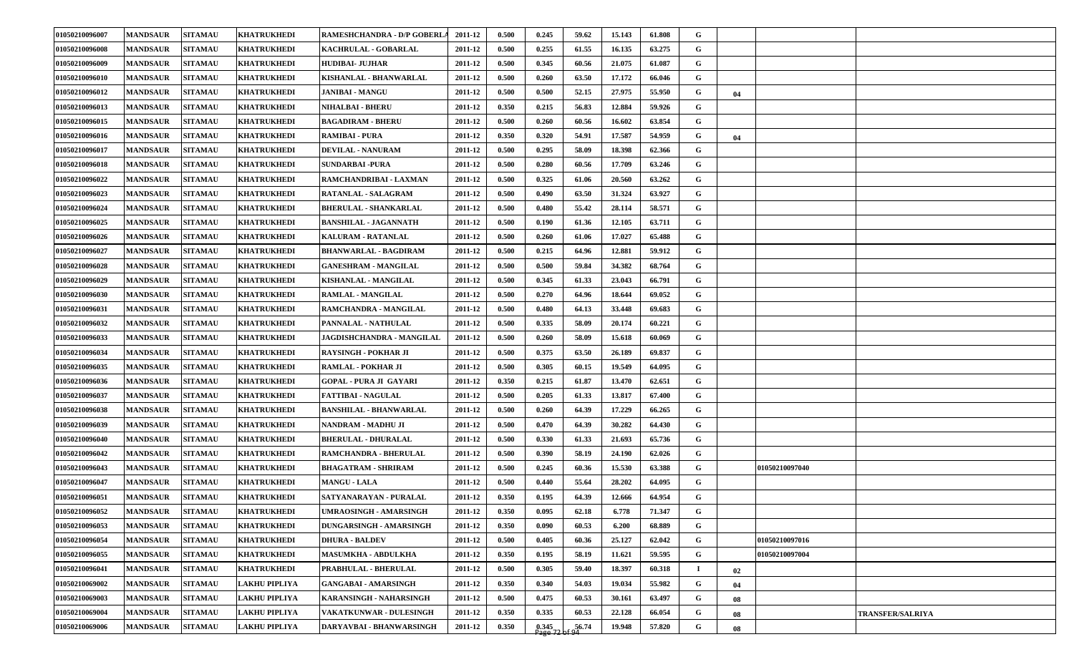| 01050210096007 | <b>MANDSAUR</b> | <b>SITAMAU</b> | <b>KHATRUKHEDI</b>   | <b>RAMESHCHANDRA - D/P GOBERLA</b> | 2011-12 | 0.500 | 0.245              | 59.62 | 15.143 | 61.808 | G           |    |                |                         |
|----------------|-----------------|----------------|----------------------|------------------------------------|---------|-------|--------------------|-------|--------|--------|-------------|----|----------------|-------------------------|
| 01050210096008 | <b>MANDSAUR</b> | <b>SITAMAU</b> | <b>KHATRUKHEDI</b>   | KACHRULAL - GOBARLAL               | 2011-12 | 0.500 | 0.255              | 61.55 | 16.135 | 63.275 | G           |    |                |                         |
| 01050210096009 | <b>MANDSAUR</b> | <b>SITAMAU</b> | <b>KHATRUKHEDI</b>   | <b>HUDIBAI- JUJHAR</b>             | 2011-12 | 0.500 | 0.345              | 60.56 | 21.075 | 61.087 | G           |    |                |                         |
| 01050210096010 | <b>MANDSAUR</b> | <b>SITAMAU</b> | <b>KHATRUKHEDI</b>   | KISHANLAL - BHANWARLAL             | 2011-12 | 0.500 | 0.260              | 63.50 | 17.172 | 66.046 | G           |    |                |                         |
| 01050210096012 | <b>MANDSAUR</b> | <b>SITAMAU</b> | <b>KHATRUKHEDI</b>   | <b>JANIBAI - MANGU</b>             | 2011-12 | 0.500 | 0.500              | 52.15 | 27.975 | 55.950 | G           | 04 |                |                         |
| 01050210096013 | <b>MANDSAUR</b> | <b>SITAMAU</b> | <b>KHATRUKHEDI</b>   | <b>NIHALBAI - BHERU</b>            | 2011-12 | 0.350 | 0.215              | 56.83 | 12.884 | 59.926 | G           |    |                |                         |
| 01050210096015 | <b>MANDSAUR</b> | <b>SITAMAU</b> | <b>KHATRUKHEDI</b>   | <b>BAGADIRAM - BHERU</b>           | 2011-12 | 0.500 | 0.260              | 60.56 | 16.602 | 63.854 | G           |    |                |                         |
| 01050210096016 | <b>MANDSAUR</b> | <b>SITAMAU</b> | KHATRUKHEDI          | RAMIBAI - PURA                     | 2011-12 | 0.350 | 0.320              | 54.91 | 17.587 | 54.959 | G           | 04 |                |                         |
| 01050210096017 | <b>MANDSAUR</b> | <b>SITAMAU</b> | <b>KHATRUKHEDI</b>   | <b>DEVILAL - NANURAM</b>           | 2011-12 | 0.500 | 0.295              | 58.09 | 18.398 | 62.366 | G           |    |                |                         |
| 01050210096018 | <b>MANDSAUR</b> | <b>SITAMAU</b> | <b>KHATRUKHEDI</b>   | <b>SUNDARBAI -PURA</b>             | 2011-12 | 0.500 | 0.280              | 60.56 | 17.709 | 63.246 | G           |    |                |                         |
| 01050210096022 | <b>MANDSAUR</b> | <b>SITAMAU</b> | <b>KHATRUKHEDI</b>   | RAMCHANDRIBAI - LAXMAN             | 2011-12 | 0.500 | 0.325              | 61.06 | 20.560 | 63.262 | G           |    |                |                         |
| 01050210096023 | <b>MANDSAUR</b> | <b>SITAMAU</b> | KHATRUKHEDI          | <b>RATANLAL - SALAGRAM</b>         | 2011-12 | 0.500 | 0.490              | 63.50 | 31.324 | 63.927 | G           |    |                |                         |
| 01050210096024 | <b>MANDSAUR</b> | <b>SITAMAU</b> | KHATRUKHEDI          | <b>BHERULAL - SHANKARLAL</b>       | 2011-12 | 0.500 | 0.480              | 55.42 | 28.114 | 58.571 | G           |    |                |                         |
| 01050210096025 | <b>MANDSAUR</b> | <b>SITAMAU</b> | <b>KHATRUKHEDI</b>   | <b>BANSHILAL - JAGANNATH</b>       | 2011-12 | 0.500 | 0.190              | 61.36 | 12.105 | 63.711 | G           |    |                |                         |
| 01050210096026 | <b>MANDSAUR</b> | <b>SITAMAU</b> | <b>KHATRUKHEDI</b>   | KALURAM - RATANLAL                 | 2011-12 | 0.500 | 0.260              | 61.06 | 17.027 | 65.488 | $\mathbf G$ |    |                |                         |
| 01050210096027 | <b>MANDSAUR</b> | <b>SITAMAU</b> | KHATRUKHEDI          | <b>BHANWARLAL - BAGDIRAM</b>       | 2011-12 | 0.500 | 0.215              | 64.96 | 12.881 | 59.912 | G           |    |                |                         |
| 01050210096028 | <b>MANDSAUR</b> | <b>SITAMAU</b> | <b>KHATRUKHEDI</b>   | <b>GANESHRAM - MANGILAL</b>        | 2011-12 | 0.500 | 0.500              | 59.84 | 34.382 | 68.764 | G           |    |                |                         |
| 01050210096029 | <b>MANDSAUR</b> | <b>SITAMAU</b> | <b>KHATRUKHEDI</b>   | KISHANLAL - MANGILAL               | 2011-12 | 0.500 | 0.345              | 61.33 | 23.043 | 66.791 | G           |    |                |                         |
| 01050210096030 | <b>MANDSAUR</b> | <b>SITAMAU</b> | <b>KHATRUKHEDI</b>   | RAMLAL - MANGILAL                  | 2011-12 | 0.500 | 0.270              | 64.96 | 18.644 | 69.052 | G           |    |                |                         |
| 01050210096031 | <b>MANDSAUR</b> | <b>SITAMAU</b> | <b>KHATRUKHEDI</b>   | RAMCHANDRA - MANGILAL              | 2011-12 | 0.500 | 0.480              | 64.13 | 33.448 | 69.683 | G           |    |                |                         |
| 01050210096032 | <b>MANDSAUR</b> | <b>SITAMAU</b> | <b>KHATRUKHEDI</b>   | PANNALAL - NATHULAL                | 2011-12 | 0.500 | 0.335              | 58.09 | 20.174 | 60.221 | G           |    |                |                         |
| 01050210096033 | <b>MANDSAUR</b> | <b>SITAMAU</b> | <b>KHATRUKHEDI</b>   | JAGDISHCHANDRA - MANGILAL          | 2011-12 | 0.500 | 0.260              | 58.09 | 15.618 | 60.069 | G           |    |                |                         |
| 01050210096034 | <b>MANDSAUR</b> | <b>SITAMAU</b> | <b>KHATRUKHEDI</b>   | <b>RAYSINGH - POKHAR JI</b>        | 2011-12 | 0.500 | 0.375              | 63.50 | 26.189 | 69.837 | G           |    |                |                         |
| 01050210096035 | <b>MANDSAUR</b> | <b>SITAMAU</b> | <b>KHATRUKHEDI</b>   | <b>RAMLAL - POKHAR JI</b>          | 2011-12 | 0.500 | 0.305              | 60.15 | 19.549 | 64.095 | G           |    |                |                         |
| 01050210096036 | <b>MANDSAUR</b> | <b>SITAMAU</b> | <b>KHATRUKHEDI</b>   | GOPAL - PURA JI GAYARI             | 2011-12 | 0.350 | 0.215              | 61.87 | 13.470 | 62.651 | G           |    |                |                         |
| 01050210096037 | <b>MANDSAUR</b> | <b>SITAMAU</b> | <b>KHATRUKHEDI</b>   | <b>FATTIBAI - NAGULAL</b>          | 2011-12 | 0.500 | 0.205              | 61.33 | 13.817 | 67.400 | G           |    |                |                         |
| 01050210096038 | <b>MANDSAUR</b> | <b>SITAMAU</b> | <b>KHATRUKHEDI</b>   | <b>BANSHILAL - BHANWARLAL</b>      | 2011-12 | 0.500 | 0.260              | 64.39 | 17.229 | 66.265 | G           |    |                |                         |
| 01050210096039 | <b>MANDSAUR</b> | <b>SITAMAU</b> | <b>KHATRUKHEDI</b>   | NANDRAM - MADHU JI                 | 2011-12 | 0.500 | 0.470              | 64.39 | 30.282 | 64.430 | G           |    |                |                         |
| 01050210096040 | <b>MANDSAUR</b> | <b>SITAMAU</b> | <b>KHATRUKHEDI</b>   | <b>BHERULAL - DHURALAL</b>         | 2011-12 | 0.500 | 0.330              | 61.33 | 21.693 | 65.736 | G           |    |                |                         |
| 01050210096042 | <b>MANDSAUR</b> | <b>SITAMAU</b> | <b>KHATRUKHEDI</b>   | <b>RAMCHANDRA - BHERULAL</b>       | 2011-12 | 0.500 | 0.390              | 58.19 | 24.190 | 62.026 | G           |    |                |                         |
| 01050210096043 | <b>MANDSAUR</b> | <b>SITAMAU</b> | KHATRUKHEDI          | BHAGATRAM - SHRIRAM                | 2011-12 | 0.500 | 0.245              | 60.36 | 15.530 | 63.388 | G           |    | 01050210097040 |                         |
| 01050210096047 | <b>MANDSAUR</b> | <b>SITAMAU</b> | KHATRUKHEDI          | <b>MANGU - LALA</b>                | 2011-12 | 0.500 | 0.440              | 55.64 | 28.202 | 64.095 | G           |    |                |                         |
| 01050210096051 | <b>MANDSAUR</b> | <b>SITAMAU</b> | <b>KHATRUKHEDI</b>   | SATYANARAYAN - PURALAL             | 2011-12 | 0.350 | 0.195              | 64.39 | 12.666 | 64.954 | G           |    |                |                         |
| 01050210096052 | <b>MANDSAUR</b> | <b>SITAMAU</b> | <b>KHATRUKHEDI</b>   | UMRAOSINGH - AMARSINGH             | 2011-12 | 0.350 | 0.095              | 62.18 | 6.778  | 71.347 | G           |    |                |                         |
| 01050210096053 | <b>MANDSAUR</b> | <b>SITAMAU</b> | <b>KHATRUKHEDI</b>   | <b>DUNGARSINGH - AMARSINGH</b>     | 2011-12 | 0.350 | 0.090              | 60.53 | 6.200  | 68.889 | G           |    |                |                         |
| 01050210096054 | <b>MANDSAUR</b> | <b>SITAMAU</b> | <b>KHATRUKHEDI</b>   | <b>DHURA - BALDEV</b>              | 2011-12 | 0.500 | 0.405              | 60.36 | 25.127 | 62.042 | $\mathbf G$ |    | 01050210097016 |                         |
| 01050210096055 | <b>MANDSAUR</b> | <b>SITAMAU</b> | <b>KHATRUKHEDI</b>   | <b>MASUMKHA - ABDULKHA</b>         | 2011-12 | 0.350 | 0.195              | 58.19 | 11.621 | 59.595 | $\mathbf G$ |    | 01050210097004 |                         |
| 01050210096041 | <b>MANDSAUR</b> | <b>SITAMAU</b> | <b>KHATRUKHEDI</b>   | PRABHULAL - BHERULAL               | 2011-12 | 0.500 | 0.305              | 59.40 | 18.397 | 60.318 | Ι.          | 02 |                |                         |
| 01050210069002 | <b>MANDSAUR</b> | <b>SITAMAU</b> | LAKHU PIPLIYA        | <b>GANGABAI - AMARSINGH</b>        | 2011-12 | 0.350 | 0.340              | 54.03 | 19.034 | 55.982 | G           | 04 |                |                         |
| 01050210069003 | <b>MANDSAUR</b> | <b>SITAMAU</b> | <b>LAKHU PIPLIYA</b> | KARANSINGH - NAHARSINGH            | 2011-12 | 0.500 | 0.475              | 60.53 | 30.161 | 63.497 | $\mathbf G$ | 08 |                |                         |
| 01050210069004 | <b>MANDSAUR</b> | <b>SITAMAU</b> | <b>LAKHU PIPLIYA</b> | VAKATKUNWAR - DULESINGH            | 2011-12 | 0.350 | 0.335              | 60.53 | 22.128 | 66.054 | G           | 08 |                | <b>TRANSFER/SALRIYA</b> |
| 01050210069006 | <b>MANDSAUR</b> | <b>SITAMAU</b> | <b>LAKHU PIPLIYA</b> | DARYAVBAI - BHANWARSINGH           | 2011-12 | 0.350 | $0.345$<br>Page 72 | 56.74 | 19.948 | 57.820 | G           | 08 |                |                         |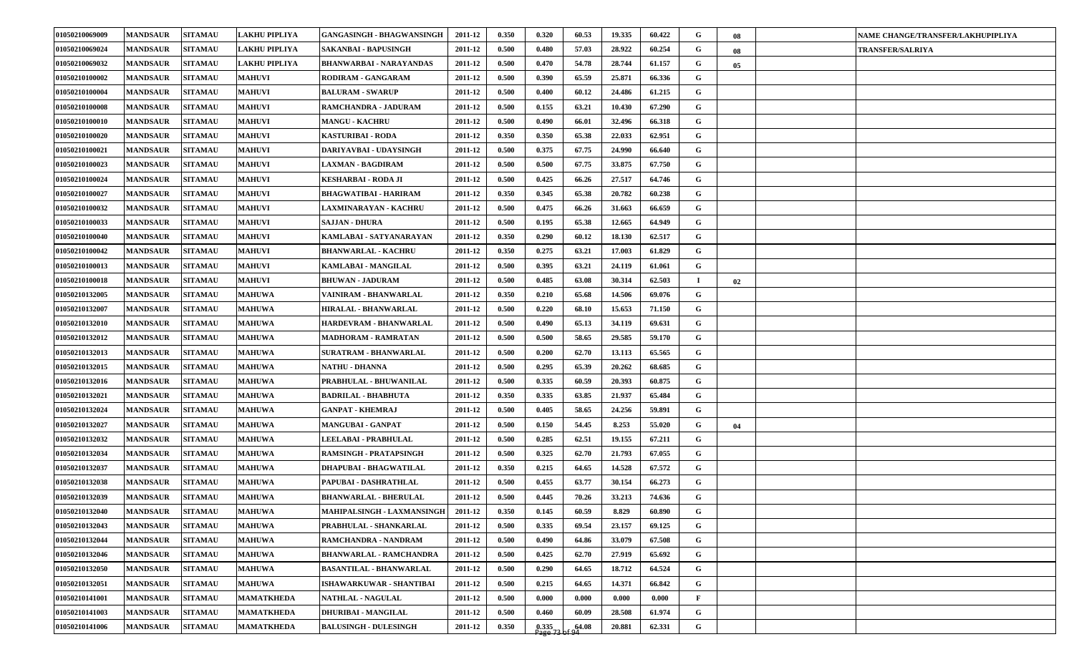| 01050210069009 | <b>MANDSAUR</b> | <b>SITAMAU</b> | LAKHU PIPLIYA     | <b>GANGASINGH - BHAGWANSINGH</b> | 2011-12 | 0.350 | 0.320              | 60.53 | 19.335 | 60.422 | G            | 08 | NAME CHANGE/TRANSFER/LAKHUPIPLIYA |
|----------------|-----------------|----------------|-------------------|----------------------------------|---------|-------|--------------------|-------|--------|--------|--------------|----|-----------------------------------|
| 01050210069024 | <b>MANDSAUR</b> | <b>SITAMAU</b> | LAKHU PIPLIYA     | SAKANBAI - BAPUSINGH             | 2011-12 | 0.500 | 0.480              | 57.03 | 28.922 | 60.254 | G            | 08 | <b>TRANSFER/SALRIYA</b>           |
| 01050210069032 | <b>MANDSAUR</b> | <b>SITAMAU</b> | LAKHU PIPLIYA     | <b>BHANWARBAI - NARAYANDAS</b>   | 2011-12 | 0.500 | 0.470              | 54.78 | 28.744 | 61.157 | G            | 05 |                                   |
| 01050210100002 | <b>MANDSAUR</b> | <b>SITAMAU</b> | <b>MAHUVI</b>     | RODIRAM - GANGARAM               | 2011-12 | 0.500 | 0.390              | 65.59 | 25.871 | 66.336 | G            |    |                                   |
| 01050210100004 | <b>MANDSAUR</b> | <b>SITAMAU</b> | <b>MAHUVI</b>     | <b>BALURAM - SWARUP</b>          | 2011-12 | 0.500 | 0.400              | 60.12 | 24.486 | 61.215 | G            |    |                                   |
| 01050210100008 | <b>MANDSAUR</b> | <b>SITAMAU</b> | <b>MAHUVI</b>     | RAMCHANDRA - JADURAM             | 2011-12 | 0.500 | 0.155              | 63.21 | 10.430 | 67.290 | G            |    |                                   |
| 01050210100010 | <b>MANDSAUR</b> | <b>SITAMAU</b> | <b>MAHUVI</b>     | <b>MANGU - KACHRU</b>            | 2011-12 | 0.500 | 0.490              | 66.01 | 32.496 | 66.318 | G            |    |                                   |
| 01050210100020 | <b>MANDSAUR</b> | <b>SITAMAU</b> | <b>MAHUVI</b>     | KASTURIBAI - RODA                | 2011-12 | 0.350 | 0.350              | 65.38 | 22.033 | 62.951 | G            |    |                                   |
| 01050210100021 | <b>MANDSAUR</b> | <b>SITAMAU</b> | <b>MAHUVI</b>     | DARIYAVBAI - UDAYSINGH           | 2011-12 | 0.500 | 0.375              | 67.75 | 24.990 | 66.640 | G            |    |                                   |
| 01050210100023 | <b>MANDSAUR</b> | <b>SITAMAU</b> | <b>MAHUVI</b>     | <b>LAXMAN - BAGDIRAM</b>         | 2011-12 | 0.500 | 0.500              | 67.75 | 33.875 | 67.750 | G            |    |                                   |
| 01050210100024 | <b>MANDSAUR</b> | <b>SITAMAU</b> | <b>MAHUVI</b>     | KESHARBAI - RODA JI              | 2011-12 | 0.500 | 0.425              | 66.26 | 27.517 | 64.746 | G            |    |                                   |
| 01050210100027 | <b>MANDSAUR</b> | <b>SITAMAU</b> | <b>MAHUVI</b>     | BHAGWATIBAI - HARIRAM            | 2011-12 | 0.350 | 0.345              | 65.38 | 20.782 | 60.238 | G            |    |                                   |
| 01050210100032 | <b>MANDSAUR</b> | <b>SITAMAU</b> | <b>MAHUVI</b>     | <b>LAXMINARAYAN - KACHRU</b>     | 2011-12 | 0.500 | 0.475              | 66.26 | 31.663 | 66.659 | G            |    |                                   |
| 01050210100033 | <b>MANDSAUR</b> | <b>SITAMAU</b> | <b>MAHUVI</b>     | <b>SAJJAN - DHURA</b>            | 2011-12 | 0.500 | 0.195              | 65.38 | 12.665 | 64.949 | G            |    |                                   |
| 01050210100040 | <b>MANDSAUR</b> | <b>SITAMAU</b> | <b>MAHUVI</b>     | KAMLABAI - SATYANARAYAN          | 2011-12 | 0.350 | 0.290              | 60.12 | 18.130 | 62.517 | G            |    |                                   |
| 01050210100042 | <b>MANDSAUR</b> | <b>SITAMAU</b> | <b>MAHUVI</b>     | <b>BHANWARLAL - KACHRU</b>       | 2011-12 | 0.350 | 0.275              | 63.21 | 17.003 | 61.829 | G            |    |                                   |
| 01050210100013 | <b>MANDSAUR</b> | <b>SITAMAU</b> | <b>MAHUVI</b>     | KAMLABAI - MANGILAL              | 2011-12 | 0.500 | 0.395              | 63.21 | 24.119 | 61.061 | G            |    |                                   |
| 01050210100018 | <b>MANDSAUR</b> | <b>SITAMAU</b> | <b>MAHUVI</b>     | <b>BHUWAN - JADURAM</b>          | 2011-12 | 0.500 | 0.485              | 63.08 | 30.314 | 62.503 | $\bf{I}$     | 02 |                                   |
| 01050210132005 | <b>MANDSAUR</b> | <b>SITAMAU</b> | <b>MAHUWA</b>     | VAINIRAM - BHANWARLAL            | 2011-12 | 0.350 | 0.210              | 65.68 | 14.506 | 69.076 | G            |    |                                   |
| 01050210132007 | <b>MANDSAUR</b> | <b>SITAMAU</b> | <b>MAHUWA</b>     | HIRALAL - BHANWARLAL             | 2011-12 | 0.500 | 0.220              | 68.10 | 15.653 | 71.150 | G            |    |                                   |
| 01050210132010 | <b>MANDSAUR</b> | <b>SITAMAU</b> | <b>MAHUWA</b>     | HARDEVRAM - BHANWARLAL           | 2011-12 | 0.500 | 0.490              | 65.13 | 34.119 | 69.631 | G            |    |                                   |
| 01050210132012 | <b>MANDSAUR</b> | <b>SITAMAU</b> | <b>MAHUWA</b>     | <b>MADHORAM - RAMRATAN</b>       | 2011-12 | 0.500 | 0.500              | 58.65 | 29.585 | 59.170 | G            |    |                                   |
| 01050210132013 | <b>MANDSAUR</b> | <b>SITAMAU</b> | <b>MAHUWA</b>     | <b>SURATRAM - BHANWARLAL</b>     | 2011-12 | 0.500 | 0.200              | 62.70 | 13.113 | 65.565 | G            |    |                                   |
| 01050210132015 | <b>MANDSAUR</b> | <b>SITAMAU</b> | <b>MAHUWA</b>     | NATHU - DHANNA                   | 2011-12 | 0.500 | 0.295              | 65.39 | 20.262 | 68.685 | G            |    |                                   |
| 01050210132016 | <b>MANDSAUR</b> | <b>SITAMAU</b> | <b>MAHUWA</b>     | PRABHULAL - BHUWANILAL           | 2011-12 | 0.500 | 0.335              | 60.59 | 20.393 | 60.875 | G            |    |                                   |
| 01050210132021 | <b>MANDSAUR</b> | <b>SITAMAU</b> | <b>MAHUWA</b>     | BADRILAL - BHABHUTA              | 2011-12 | 0.350 | 0.335              | 63.85 | 21.937 | 65.484 | G            |    |                                   |
| 01050210132024 | <b>MANDSAUR</b> | <b>SITAMAU</b> | <b>MAHUWA</b>     | <b>GANPAT - KHEMRAJ</b>          | 2011-12 | 0.500 | 0.405              | 58.65 | 24.256 | 59.891 | G            |    |                                   |
| 01050210132027 | <b>MANDSAUR</b> | <b>SITAMAU</b> | <b>MAHUWA</b>     | MANGUBAI - GANPAT                | 2011-12 | 0.500 | 0.150              | 54.45 | 8.253  | 55.020 | G            | 04 |                                   |
| 01050210132032 | <b>MANDSAUR</b> | <b>SITAMAU</b> | <b>MAHUWA</b>     | LEELABAI - PRABHULAL             | 2011-12 | 0.500 | 0.285              | 62.51 | 19.155 | 67.211 | G            |    |                                   |
| 01050210132034 | <b>MANDSAUR</b> | <b>SITAMAU</b> | <b>MAHUWA</b>     | RAMSINGH - PRATAPSINGH           | 2011-12 | 0.500 | 0.325              | 62.70 | 21.793 | 67.055 | G            |    |                                   |
| 01050210132037 | <b>MANDSAUR</b> | <b>SITAMAU</b> | <b>MAHUWA</b>     | DHAPUBAI - BHAGWATILAL           | 2011-12 | 0.350 | 0.215              | 64.65 | 14.528 | 67.572 | G            |    |                                   |
| 01050210132038 | <b>MANDSAUR</b> | <b>SITAMAU</b> | <b>MAHUWA</b>     | PAPUBAI - DASHRATHLAL            | 2011-12 | 0.500 | 0.455              | 63.77 | 30.154 | 66.273 | G            |    |                                   |
| 01050210132039 | <b>MANDSAUR</b> | <b>SITAMAU</b> | <b>MAHUWA</b>     | <b>BHANWARLAL - BHERULAL</b>     | 2011-12 | 0.500 | 0.445              | 70.26 | 33.213 | 74.636 | G            |    |                                   |
| 01050210132040 | <b>MANDSAUR</b> | <b>SITAMAU</b> | <b>MAHUWA</b>     | MAHIPALSINGH - LAXMANSINGH       | 2011-12 | 0.350 | 0.145              | 60.59 | 8.829  | 60.890 | G            |    |                                   |
| 01050210132043 | <b>MANDSAUR</b> | <b>SITAMAU</b> | <b>MAHUWA</b>     | PRABHULAL - SHANKARLAL           | 2011-12 | 0.500 | 0.335              | 69.54 | 23.157 | 69.125 | $\mathbf G$  |    |                                   |
| 01050210132044 | <b>MANDSAUR</b> | <b>SITAMAU</b> | <b>MAHUWA</b>     | RAMCHANDRA - NANDRAM             | 2011-12 | 0.500 | 0.490              | 64.86 | 33.079 | 67.508 | G            |    |                                   |
| 01050210132046 | <b>MANDSAUR</b> | <b>SITAMAU</b> | <b>MAHUWA</b>     | <b>BHANWARLAL - RAMCHANDRA</b>   | 2011-12 | 0.500 | 0.425              | 62.70 | 27.919 | 65.692 | G            |    |                                   |
| 01050210132050 | <b>MANDSAUR</b> | <b>SITAMAU</b> | <b>MAHUWA</b>     | <b>BASANTILAL - BHANWARLAL</b>   | 2011-12 | 0.500 | 0.290              | 64.65 | 18.712 | 64.524 | G            |    |                                   |
| 01050210132051 | <b>MANDSAUR</b> | <b>SITAMAU</b> | <b>MAHUWA</b>     | ISHAWARKUWAR - SHANTIBAI         | 2011-12 | 0.500 | 0.215              | 64.65 | 14.371 | 66.842 | G            |    |                                   |
| 01050210141001 | <b>MANDSAUR</b> | <b>SITAMAU</b> | MAMATKHEDA        | <b>NATHLAL - NAGULAL</b>         | 2011-12 | 0.500 | 0.000              | 0.000 | 0.000  | 0.000  | $\mathbf{F}$ |    |                                   |
| 01050210141003 | <b>MANDSAUR</b> | <b>SITAMAU</b> | <b>MAMATKHEDA</b> | <b>DHURIBAI - MANGILAL</b>       | 2011-12 | 0.500 | 0.460              | 60.09 | 28.508 | 61.974 | G            |    |                                   |
| 01050210141006 | <b>MANDSAUR</b> | <b>SITAMAU</b> | <b>MAMATKHEDA</b> | <b>BALUSINGH - DULESINGH</b>     | 2011-12 | 0.350 | $0.335$<br>Page 73 | 64.08 | 20.881 | 62.331 | G            |    |                                   |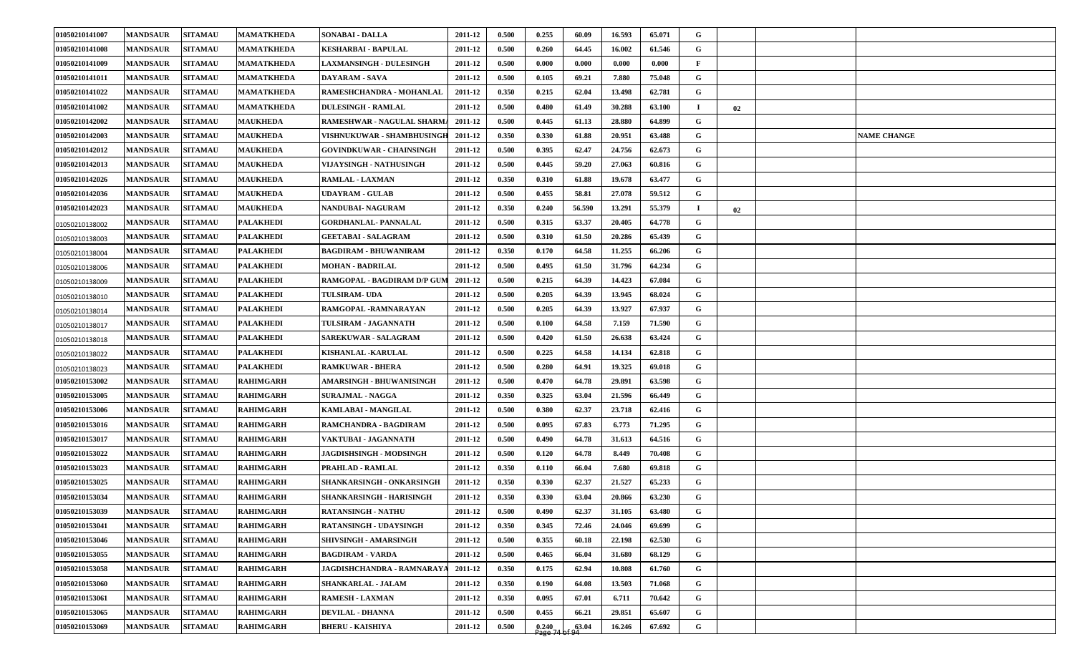| 01050210141007 | <b>MANDSAUR</b> | <b>SITAMAU</b> | <b>MAMATKHEDA</b> | <b>SONABAI - DALLA</b>          | 2011-12 | 0.500 | 0.255 | 60.09  | 16.593 | 65.071 | G            |    |                    |
|----------------|-----------------|----------------|-------------------|---------------------------------|---------|-------|-------|--------|--------|--------|--------------|----|--------------------|
| 01050210141008 | <b>MANDSAUR</b> | <b>SITAMAU</b> | <b>MAMATKHEDA</b> | KESHARBAI - BAPULAL             | 2011-12 | 0.500 | 0.260 | 64.45  | 16.002 | 61.546 | G            |    |                    |
| 01050210141009 | <b>MANDSAUR</b> | <b>SITAMAU</b> | <b>MAMATKHEDA</b> | <b>LAXMANSINGH - DULESINGH</b>  | 2011-12 | 0.500 | 0.000 | 0.000  | 0.000  | 0.000  | $\mathbf{F}$ |    |                    |
| 01050210141011 | <b>MANDSAUR</b> | <b>SITAMAU</b> | <b>MAMATKHEDA</b> | DAYARAM - SAVA                  | 2011-12 | 0.500 | 0.105 | 69.21  | 7.880  | 75.048 | G            |    |                    |
| 01050210141022 | <b>MANDSAUR</b> | <b>SITAMAU</b> | <b>MAMATKHEDA</b> | RAMESHCHANDRA - MOHANLAL        | 2011-12 | 0.350 | 0.215 | 62.04  | 13.498 | 62.781 | G            |    |                    |
| 01050210141002 | <b>MANDSAUR</b> | <b>SITAMAU</b> | <b>MAMATKHEDA</b> | <b>DULESINGH - RAMLAL</b>       | 2011-12 | 0.500 | 0.480 | 61.49  | 30.288 | 63.100 | $\bf{I}$     | 02 |                    |
| 01050210142002 | <b>MANDSAUR</b> | <b>SITAMAU</b> | <b>MAUKHEDA</b>   | RAMESHWAR - NAGULAL SHARM.      | 2011-12 | 0.500 | 0.445 | 61.13  | 28.880 | 64.899 | G            |    |                    |
| 01050210142003 | <b>MANDSAUR</b> | <b>SITAMAU</b> | <b>MAUKHEDA</b>   | VISHNUKUWAR - SHAMBHUSINGH      | 2011-12 | 0.350 | 0.330 | 61.88  | 20.951 | 63.488 | G            |    | <b>NAME CHANGE</b> |
| 01050210142012 | <b>MANDSAUR</b> | <b>SITAMAU</b> | <b>MAUKHEDA</b>   | GOVINDKUWAR - CHAINSINGH        | 2011-12 | 0.500 | 0.395 | 62.47  | 24.756 | 62.673 | G            |    |                    |
| 01050210142013 | <b>MANDSAUR</b> | <b>SITAMAU</b> | <b>MAUKHEDA</b>   | VIJAYSINGH - NATHUSINGH         | 2011-12 | 0.500 | 0.445 | 59.20  | 27.063 | 60.816 | G            |    |                    |
| 01050210142026 | <b>MANDSAUR</b> | <b>SITAMAU</b> | <b>MAUKHEDA</b>   | RAMLAL - LAXMAN                 | 2011-12 | 0.350 | 0.310 | 61.88  | 19.678 | 63.477 | G            |    |                    |
| 01050210142036 | <b>MANDSAUR</b> | <b>SITAMAU</b> | <b>MAUKHEDA</b>   | <b>JDAYRAM - GULAB</b>          | 2011-12 | 0.500 | 0.455 | 58.81  | 27.078 | 59.512 | G            |    |                    |
| 01050210142023 | <b>MANDSAUR</b> | <b>SITAMAU</b> | <b>MAUKHEDA</b>   | NANDUBAI- NAGURAM               | 2011-12 | 0.350 | 0.240 | 56.590 | 13.291 | 55.379 | и.           | 02 |                    |
| 01050210138002 | <b>MANDSAUR</b> | <b>SITAMAU</b> | <b>PALAKHEDI</b>  | <b>GORDHANLAL-PANNALAL</b>      | 2011-12 | 0.500 | 0.315 | 63.37  | 20.405 | 64.778 | G            |    |                    |
| 01050210138003 | <b>MANDSAUR</b> | <b>SITAMAU</b> | <b>PALAKHEDI</b>  | <b>GEETABAI - SALAGRAM</b>      | 2011-12 | 0.500 | 0.310 | 61.50  | 20.286 | 65.439 | $\mathbf G$  |    |                    |
| 01050210138004 | <b>MANDSAUR</b> | <b>SITAMAU</b> | <b>PALAKHEDI</b>  | <b>BAGDIRAM - BHUWANIRAM</b>    | 2011-12 | 0.350 | 0.170 | 64.58  | 11.255 | 66.206 | G            |    |                    |
| 01050210138006 | <b>MANDSAUR</b> | <b>SITAMAU</b> | <b>PALAKHEDI</b>  | <b>MOHAN - BADRILAL</b>         | 2011-12 | 0.500 | 0.495 | 61.50  | 31.796 | 64.234 | G            |    |                    |
| 01050210138009 | <b>MANDSAUR</b> | <b>SITAMAU</b> | <b>PALAKHEDI</b>  | RAMGOPAL - BAGDIRAM D/P GUN     | 2011-12 | 0.500 | 0.215 | 64.39  | 14.423 | 67.084 | G            |    |                    |
| 01050210138010 | <b>MANDSAUR</b> | <b>SITAMAU</b> | <b>PALAKHEDI</b>  | <b>TULSIRAM- UDA</b>            | 2011-12 | 0.500 | 0.205 | 64.39  | 13.945 | 68.024 | G            |    |                    |
| 01050210138014 | <b>MANDSAUR</b> | <b>SITAMAU</b> | <b>PALAKHEDI</b>  | RAMGOPAL -RAMNARAYAN            | 2011-12 | 0.500 | 0.205 | 64.39  | 13.927 | 67.937 | G            |    |                    |
| 01050210138017 | <b>MANDSAUR</b> | <b>SITAMAU</b> | <b>PALAKHEDI</b>  | TULSIRAM - JAGANNATH            | 2011-12 | 0.500 | 0.100 | 64.58  | 7.159  | 71.590 | G            |    |                    |
| 01050210138018 | <b>MANDSAUR</b> | <b>SITAMAU</b> | <b>PALAKHEDI</b>  | SAREKUWAR - SALAGRAM            | 2011-12 | 0.500 | 0.420 | 61.50  | 26.638 | 63.424 | G            |    |                    |
| 01050210138022 | <b>MANDSAUR</b> | <b>SITAMAU</b> | <b>PALAKHEDI</b>  | <b>KISHANLAL -KARULAL</b>       | 2011-12 | 0.500 | 0.225 | 64.58  | 14.134 | 62.818 | G            |    |                    |
| 01050210138023 | <b>MANDSAUR</b> | <b>SITAMAU</b> | <b>PALAKHEDI</b>  | <b>RAMKUWAR - BHERA</b>         | 2011-12 | 0.500 | 0.280 | 64.91  | 19.325 | 69.018 | G            |    |                    |
| 01050210153002 | <b>MANDSAUR</b> | <b>SITAMAU</b> | <b>RAHIMGARH</b>  | AMARSINGH - BHUWANISINGH        | 2011-12 | 0.500 | 0.470 | 64.78  | 29.891 | 63.598 | G            |    |                    |
| 01050210153005 | <b>MANDSAUR</b> | <b>SITAMAU</b> | <b>RAHIMGARH</b>  | <b>SURAJMAL - NAGGA</b>         | 2011-12 | 0.350 | 0.325 | 63.04  | 21.596 | 66.449 | G            |    |                    |
| 01050210153006 | <b>MANDSAUR</b> | <b>SITAMAU</b> | <b>RAHIMGARH</b>  | KAMLABAI - MANGILAL             | 2011-12 | 0.500 | 0.380 | 62.37  | 23.718 | 62.416 | G            |    |                    |
| 01050210153016 | <b>MANDSAUR</b> | <b>SITAMAU</b> | <b>RAHIMGARH</b>  | RAMCHANDRA - BAGDIRAM           | 2011-12 | 0.500 | 0.095 | 67.83  | 6.773  | 71.295 | G            |    |                    |
| 01050210153017 | <b>MANDSAUR</b> | <b>SITAMAU</b> | <b>RAHIMGARH</b>  | VAKTUBAI - JAGANNATH            | 2011-12 | 0.500 | 0.490 | 64.78  | 31.613 | 64.516 | G            |    |                    |
| 01050210153022 | <b>MANDSAUR</b> | <b>SITAMAU</b> | <b>RAHIMGARH</b>  | <b>JAGDISHSINGH - MODSINGH</b>  | 2011-12 | 0.500 | 0.120 | 64.78  | 8.449  | 70.408 | G            |    |                    |
| 01050210153023 | <b>MANDSAUR</b> | <b>SITAMAU</b> | <b>RAHIMGARH</b>  | PRAHLAD - RAMLAL                | 2011-12 | 0.350 | 0.110 | 66.04  | 7.680  | 69.818 | G            |    |                    |
| 01050210153025 | <b>MANDSAUR</b> | <b>SITAMAU</b> | <b>RAHIMGARH</b>  | SHANKARSINGH - ONKARSINGH       | 2011-12 | 0.350 | 0.330 | 62.37  | 21.527 | 65.233 | G            |    |                    |
| 01050210153034 | <b>MANDSAUR</b> | <b>SITAMAU</b> | <b>RAHIMGARH</b>  | <b>SHANKARSINGH - HARISINGH</b> | 2011-12 | 0.350 | 0.330 | 63.04  | 20.866 | 63.230 | $\mathbf G$  |    |                    |
| 01050210153039 | <b>MANDSAUR</b> | <b>SITAMAU</b> | <b>RAHIMGARH</b>  | <b>RATANSINGH - NATHU</b>       | 2011-12 | 0.500 | 0.490 | 62.37  | 31.105 | 63.480 | G            |    |                    |
| 01050210153041 | <b>MANDSAUR</b> | <b>SITAMAU</b> | <b>RAHIMGARH</b>  | RATANSINGH - UDAYSINGH          | 2011-12 | 0.350 | 0.345 | 72.46  | 24.046 | 69.699 | G            |    |                    |
| 01050210153046 | <b>MANDSAUR</b> | <b>SITAMAU</b> | <b>RAHIMGARH</b>  | SHIVSINGH - AMARSINGH           | 2011-12 | 0.500 | 0.355 | 60.18  | 22.198 | 62.530 | $\mathbf G$  |    |                    |
| 01050210153055 | <b>MANDSAUR</b> | <b>SITAMAU</b> | <b>RAHIMGARH</b>  | <b>BAGDIRAM - VARDA</b>         | 2011-12 | 0.500 | 0.465 | 66.04  | 31.680 | 68.129 | $\mathbf G$  |    |                    |
| 01050210153058 | <b>MANDSAUR</b> | <b>SITAMAU</b> | <b>RAHIMGARH</b>  | JAGDISHCHANDRA - RAMNARAY       | 2011-12 | 0.350 | 0.175 | 62.94  | 10.808 | 61.760 | $\mathbf G$  |    |                    |
| 01050210153060 | <b>MANDSAUR</b> | <b>SITAMAU</b> | <b>RAHIMGARH</b>  | <b>SHANKARLAL - JALAM</b>       | 2011-12 | 0.350 | 0.190 | 64.08  | 13.503 | 71.068 | G            |    |                    |
| 01050210153061 | <b>MANDSAUR</b> | <b>SITAMAU</b> | <b>RAHIMGARH</b>  | RAMESH - LAXMAN                 | 2011-12 | 0.350 | 0.095 | 67.01  | 6.711  | 70.642 | G            |    |                    |
| 01050210153065 | <b>MANDSAUR</b> | <b>SITAMAU</b> | <b>RAHIMGARH</b>  | <b>DEVILAL - DHANNA</b>         | 2011-12 | 0.500 | 0.455 | 66.21  | 29.851 | 65.607 | G            |    |                    |
| 01050210153069 | <b>MANDSAUR</b> | <b>SITAMAU</b> | <b>RAHIMGARH</b>  | <b>BHERU - KAISHIYA</b>         | 2011-12 | 0.500 | 0.240 | 63.04  | 16.246 | 67.692 | $\mathbf G$  |    |                    |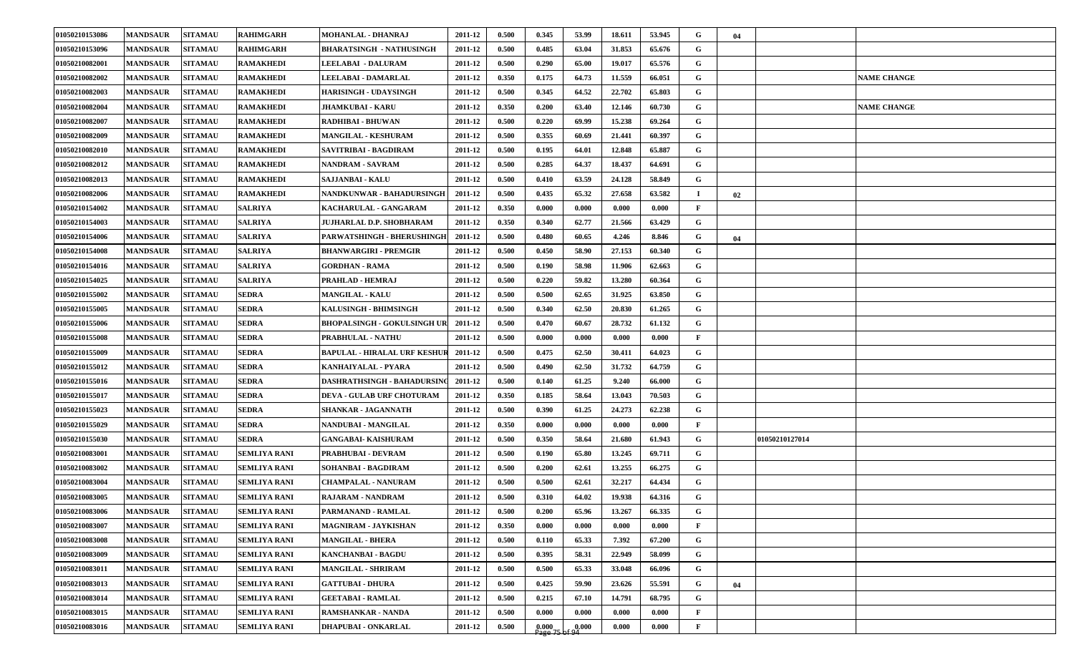| 01050210153086 | <b>MANDSAUR</b> | <b>SITAMAU</b> | <b>RAHIMGARH</b>    | <b>MOHANLAL - DHANRAJ</b>           | 2011-12 | 0.500 | 0.345   | 53.99 | 18.611 | 53.945 | G            | 04 |                |                    |
|----------------|-----------------|----------------|---------------------|-------------------------------------|---------|-------|---------|-------|--------|--------|--------------|----|----------------|--------------------|
| 01050210153096 | <b>MANDSAUR</b> | <b>SITAMAU</b> | <b>RAHIMGARH</b>    | <b>BHARATSINGH - NATHUSINGH</b>     | 2011-12 | 0.500 | 0.485   | 63.04 | 31.853 | 65.676 | G            |    |                |                    |
| 01050210082001 | <b>MANDSAUR</b> | <b>SITAMAU</b> | <b>RAMAKHEDI</b>    | <b>LEELABAI - DALURAM</b>           | 2011-12 | 0.500 | 0.290   | 65.00 | 19.017 | 65.576 | G            |    |                |                    |
| 01050210082002 | <b>MANDSAUR</b> | <b>SITAMAU</b> | <b>RAMAKHEDI</b>    | LEELABAI - DAMARLAL                 | 2011-12 | 0.350 | 0.175   | 64.73 | 11.559 | 66.051 | G            |    |                | <b>NAME CHANGE</b> |
| 01050210082003 | <b>MANDSAUR</b> | <b>SITAMAU</b> | <b>RAMAKHEDI</b>    | <b>HARISINGH - UDAYSINGH</b>        | 2011-12 | 0.500 | 0.345   | 64.52 | 22.702 | 65.803 | G            |    |                |                    |
| 01050210082004 | <b>MANDSAUR</b> | <b>SITAMAU</b> | <b>RAMAKHEDI</b>    | <b>JHAMKUBAI - KARU</b>             | 2011-12 | 0.350 | 0.200   | 63.40 | 12.146 | 60.730 | G            |    |                | <b>NAME CHANGE</b> |
| 01050210082007 | <b>MANDSAUR</b> | <b>SITAMAU</b> | <b>RAMAKHEDI</b>    | RADHIBAI - BHUWAN                   | 2011-12 | 0.500 | 0.220   | 69.99 | 15.238 | 69.264 | G            |    |                |                    |
| 01050210082009 | <b>MANDSAUR</b> | <b>SITAMAU</b> | <b>RAMAKHEDI</b>    | <b>MANGILAL - KESHURAM</b>          | 2011-12 | 0.500 | 0.355   | 60.69 | 21.441 | 60.397 | G            |    |                |                    |
| 01050210082010 | <b>MANDSAUR</b> | <b>SITAMAU</b> | <b>RAMAKHEDI</b>    | SAVITRIBAI - BAGDIRAM               | 2011-12 | 0.500 | 0.195   | 64.01 | 12.848 | 65.887 | G            |    |                |                    |
| 01050210082012 | <b>MANDSAUR</b> | <b>SITAMAU</b> | <b>RAMAKHEDI</b>    | <b>NANDRAM - SAVRAM</b>             | 2011-12 | 0.500 | 0.285   | 64.37 | 18.437 | 64.691 | G            |    |                |                    |
| 01050210082013 | <b>MANDSAUR</b> | <b>SITAMAU</b> | <b>RAMAKHEDI</b>    | <b>SAJJANBAI - KALU</b>             | 2011-12 | 0.500 | 0.410   | 63.59 | 24.128 | 58.849 | G            |    |                |                    |
| 01050210082006 | <b>MANDSAUR</b> | <b>SITAMAU</b> | <b>RAMAKHEDI</b>    | NANDKUNWAR - BAHADURSINGH           | 2011-12 | 0.500 | 0.435   | 65.32 | 27.658 | 63.582 | $\bf{I}$     | 02 |                |                    |
| 01050210154002 | <b>MANDSAUR</b> | <b>SITAMAU</b> | <b>SALRIYA</b>      | KACHARULAL - GANGARAM               | 2011-12 | 0.350 | 0.000   | 0.000 | 0.000  | 0.000  | $\mathbf{F}$ |    |                |                    |
| 01050210154003 | <b>MANDSAUR</b> | <b>SITAMAU</b> | <b>SALRIYA</b>      | <b>JUJHARLAL D.P. SHOBHARAM</b>     | 2011-12 | 0.350 | 0.340   | 62.77 | 21.566 | 63.429 | G            |    |                |                    |
| 01050210154006 | <b>MANDSAUR</b> | <b>SITAMAU</b> | <b>SALRIYA</b>      | <b>PARWATSHINGH - BHERUSHINGE</b>   | 2011-12 | 0.500 | 0.480   | 60.65 | 4.246  | 8.846  | G            | 04 |                |                    |
| 01050210154008 | <b>MANDSAUR</b> | <b>SITAMAU</b> | <b>SALRIYA</b>      | <b>BHANWARGIRI - PREMGIR</b>        | 2011-12 | 0.500 | 0.450   | 58.90 | 27.153 | 60.340 | G            |    |                |                    |
| 01050210154016 | <b>MANDSAUR</b> | <b>SITAMAU</b> | <b>SALRIYA</b>      | <b>GORDHAN - RAMA</b>               | 2011-12 | 0.500 | 0.190   | 58.98 | 11.906 | 62.663 | G            |    |                |                    |
| 01050210154025 | <b>MANDSAUR</b> | <b>SITAMAU</b> | <b>SALRIYA</b>      | PRAHLAD - HEMRAJ                    | 2011-12 | 0.500 | 0.220   | 59.82 | 13.280 | 60.364 | G            |    |                |                    |
| 01050210155002 | <b>MANDSAUR</b> | <b>SITAMAU</b> | <b>SEDRA</b>        | <b>MANGILAL - KALU</b>              | 2011-12 | 0.500 | 0.500   | 62.65 | 31.925 | 63.850 | G            |    |                |                    |
| 01050210155005 | <b>MANDSAUR</b> | <b>SITAMAU</b> | <b>SEDRA</b>        | KALUSINGH - BHIMSINGH               | 2011-12 | 0.500 | 0.340   | 62.50 | 20.830 | 61.265 | G            |    |                |                    |
| 01050210155006 | <b>MANDSAUR</b> | <b>SITAMAU</b> | <b>SEDRA</b>        | <b>BHOPALSINGH - GOKULSINGH UR</b>  | 2011-12 | 0.500 | 0.470   | 60.67 | 28.732 | 61.132 | G            |    |                |                    |
| 01050210155008 | <b>MANDSAUR</b> | <b>SITAMAU</b> | <b>SEDRA</b>        | PRABHULAL - NATHU                   | 2011-12 | 0.500 | 0.000   | 0.000 | 0.000  | 0.000  | $\mathbf{F}$ |    |                |                    |
| 01050210155009 | <b>MANDSAUR</b> | <b>SITAMAU</b> | <b>SEDRA</b>        | <b>BAPULAL - HIRALAL URF KESHUR</b> | 2011-12 | 0.500 | 0.475   | 62.50 | 30.411 | 64.023 | G            |    |                |                    |
| 01050210155012 | <b>MANDSAUR</b> | <b>SITAMAU</b> | <b>SEDRA</b>        | KANHAIYALAL - PYARA                 | 2011-12 | 0.500 | 0.490   | 62.50 | 31.732 | 64.759 | G            |    |                |                    |
| 01050210155016 | <b>MANDSAUR</b> | <b>SITAMAU</b> | <b>SEDRA</b>        | <b>DASHRATHSINGH - BAHADURSIN</b>   | 2011-12 | 0.500 | 0.140   | 61.25 | 9.240  | 66.000 | G            |    |                |                    |
| 01050210155017 | <b>MANDSAUR</b> | <b>SITAMAU</b> | <b>SEDRA</b>        | <b>DEVA - GULAB URF CHOTURAM</b>    | 2011-12 | 0.350 | 0.185   | 58.64 | 13.043 | 70.503 | G            |    |                |                    |
| 01050210155023 | <b>MANDSAUR</b> | <b>SITAMAU</b> | <b>SEDRA</b>        | <b>SHANKAR - JAGANNATH</b>          | 2011-12 | 0.500 | 0.390   | 61.25 | 24.273 | 62.238 | G            |    |                |                    |
| 01050210155029 | <b>MANDSAUR</b> | <b>SITAMAU</b> | SEDRA               | NANDUBAI - MANGILAL                 | 2011-12 | 0.350 | 0.000   | 0.000 | 0.000  | 0.000  | F            |    |                |                    |
| 01050210155030 | <b>MANDSAUR</b> | <b>SITAMAU</b> | <b>SEDRA</b>        | <b>GANGABAI- KAISHURAM</b>          | 2011-12 | 0.500 | 0.350   | 58.64 | 21.680 | 61.943 | G            |    | 01050210127014 |                    |
| 01050210083001 | <b>MANDSAUR</b> | <b>SITAMAU</b> | <b>SEMLIYA RANI</b> | PRABHUBAI - DEVRAM                  | 2011-12 | 0.500 | 0.190   | 65.80 | 13.245 | 69.711 | G            |    |                |                    |
| 01050210083002 | <b>MANDSAUR</b> | <b>SITAMAU</b> | <b>SEMLIYA RANI</b> | SOHANBAI - BAGDIRAM                 | 2011-12 | 0.500 | 0.200   | 62.61 | 13.255 | 66.275 | G            |    |                |                    |
| 01050210083004 | <b>MANDSAUR</b> | <b>SITAMAU</b> | <b>SEMLIYA RANI</b> | <b>CHAMPALAL - NANURAM</b>          | 2011-12 | 0.500 | 0.500   | 62.61 | 32.217 | 64.434 | G            |    |                |                    |
| 01050210083005 | <b>MANDSAUR</b> | <b>SITAMAU</b> | <b>SEMLIYA RANI</b> | <b>RAJARAM - NANDRAM</b>            | 2011-12 | 0.500 | 0.310   | 64.02 | 19.938 | 64.316 | $\mathbf G$  |    |                |                    |
| 01050210083006 | <b>MANDSAUR</b> | <b>SITAMAU</b> | <b>SEMLIYA RANI</b> | PARMANAND - RAMLAL                  | 2011-12 | 0.500 | 0.200   | 65.96 | 13.267 | 66.335 | G            |    |                |                    |
| 01050210083007 | <b>MANDSAUR</b> | <b>SITAMAU</b> | <b>SEMLIYA RANI</b> | <b>MAGNIRAM - JAYKISHAN</b>         | 2011-12 | 0.350 | 0.000   | 0.000 | 0.000  | 0.000  | $\mathbf{F}$ |    |                |                    |
| 01050210083008 | <b>MANDSAUR</b> | <b>SITAMAU</b> | <b>SEMLIYA RANI</b> | <b>MANGILAL - BHERA</b>             | 2011-12 | 0.500 | 0.110   | 65.33 | 7.392  | 67.200 | $\mathbf G$  |    |                |                    |
| 01050210083009 | <b>MANDSAUR</b> | <b>SITAMAU</b> | <b>SEMLIYA RANI</b> | <b>KANCHANBAI - BAGDU</b>           | 2011-12 | 0.500 | 0.395   | 58.31 | 22.949 | 58.099 | $\mathbf G$  |    |                |                    |
| 01050210083011 | <b>MANDSAUR</b> | <b>SITAMAU</b> | <b>SEMLIYA RANI</b> | <b>MANGILAL - SHRIRAM</b>           | 2011-12 | 0.500 | 0.500   | 65.33 | 33.048 | 66.096 | $\mathbf G$  |    |                |                    |
| 01050210083013 | <b>MANDSAUR</b> | <b>SITAMAU</b> | <b>SEMLIYA RANI</b> | <b>GATTUBAI - DHURA</b>             | 2011-12 | 0.500 | 0.425   | 59.90 | 23.626 | 55.591 | G            | 04 |                |                    |
| 01050210083014 | <b>MANDSAUR</b> | <b>SITAMAU</b> | <b>SEMLIYA RANI</b> | <b>GEETABAI - RAMLAL</b>            | 2011-12 | 0.500 | 0.215   | 67.10 | 14.791 | 68.795 | $\mathbf G$  |    |                |                    |
| 01050210083015 | <b>MANDSAUR</b> | <b>SITAMAU</b> | <b>SEMLIYA RANI</b> | RAMSHANKAR - NANDA                  | 2011-12 | 0.500 | 0.000   | 0.000 | 0.000  | 0.000  | $\mathbf{F}$ |    |                |                    |
| 01050210083016 | <b>MANDSAUR</b> | <b>SITAMAU</b> | SEMLIYA RANI        | <b>DHAPUBAI - ONKARLAL</b>          | 2011-12 | 0.500 | [0.000] | 6.000 | 0.000  | 0.000  | $\mathbf{F}$ |    |                |                    |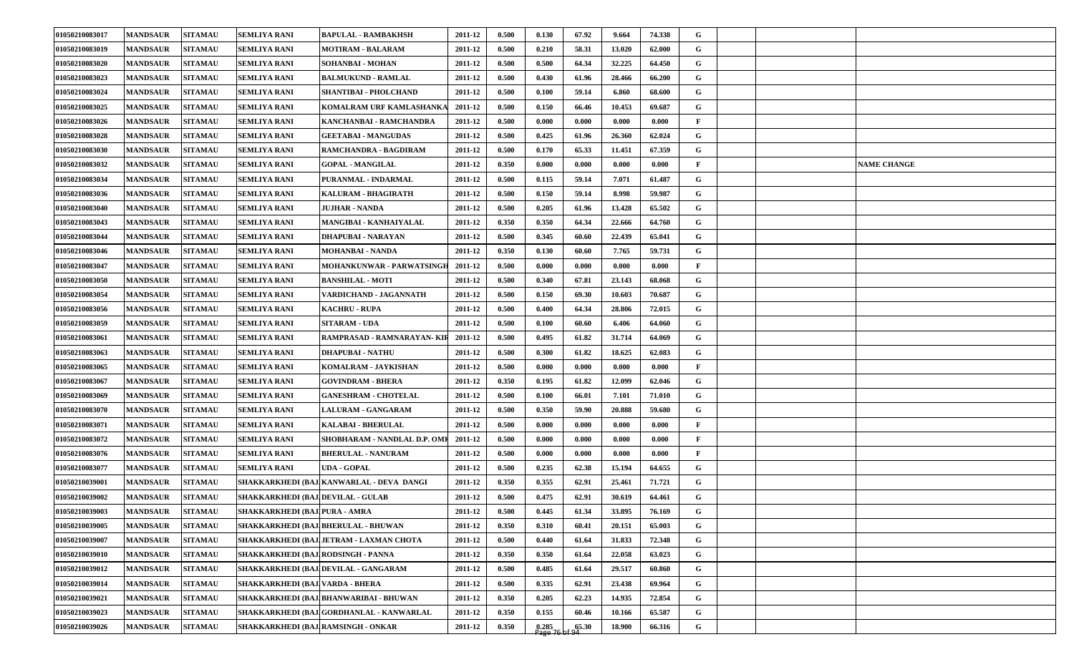| 01050210083017 | <b>MANDSAUR</b> | <b>SITAMAU</b> | <b>SEMLIYA RANI</b>                      | <b>BAPULAL - RAMBAKHSH</b>               | 2011-12 | 0.500 | 0.130                          | 67.92 | 9.664  | 74.338 | G            |  |                    |
|----------------|-----------------|----------------|------------------------------------------|------------------------------------------|---------|-------|--------------------------------|-------|--------|--------|--------------|--|--------------------|
| 01050210083019 | <b>MANDSAUR</b> | <b>SITAMAU</b> | <b>SEMLIYA RANI</b>                      | <b>MOTIRAM - BALARAM</b>                 | 2011-12 | 0.500 | 0.210                          | 58.31 | 13.020 | 62.000 | G            |  |                    |
| 01050210083020 | <b>MANDSAUR</b> | <b>SITAMAU</b> | <b>SEMLIYA RANI</b>                      | <b>SOHANBAI - MOHAN</b>                  | 2011-12 | 0.500 | 0.500                          | 64.34 | 32.225 | 64.450 | G            |  |                    |
| 01050210083023 | <b>MANDSAUR</b> | <b>SITAMAU</b> | <b>SEMLIYA RANI</b>                      | <b>BALMUKUND - RAMLAL</b>                | 2011-12 | 0.500 | 0.430                          | 61.96 | 28.466 | 66.200 | G            |  |                    |
| 01050210083024 | <b>MANDSAUR</b> | <b>SITAMAU</b> | <b>SEMLIYA RANI</b>                      | <b>SHANTIBAI - PHOLCHAND</b>             | 2011-12 | 0.500 | 0.100                          | 59.14 | 6.860  | 68.600 | G            |  |                    |
| 01050210083025 | <b>MANDSAUR</b> | <b>SITAMAU</b> | <b>SEMLIYA RANI</b>                      | <b>KOMALRAM URF KAMLASHANK</b>           | 2011-12 | 0.500 | 0.150                          | 66.46 | 10.453 | 69.687 | G            |  |                    |
| 01050210083026 | <b>MANDSAUR</b> | <b>SITAMAU</b> | <b>SEMLIYA RANI</b>                      | KANCHANBAI - RAMCHANDRA                  | 2011-12 | 0.500 | 0.000                          | 0.000 | 0.000  | 0.000  | $\mathbf{F}$ |  |                    |
| 01050210083028 | <b>MANDSAUR</b> | <b>SITAMAU</b> | <b>SEMLIYA RANI</b>                      | <b>GEETABAI - MANGUDAS</b>               | 2011-12 | 0.500 | 0.425                          | 61.96 | 26.360 | 62.024 | G            |  |                    |
| 01050210083030 | <b>MANDSAUR</b> | <b>SITAMAU</b> | <b>SEMLIYA RANI</b>                      | RAMCHANDRA - BAGDIRAM                    | 2011-12 | 0.500 | 0.170                          | 65.33 | 11.451 | 67.359 | G            |  |                    |
| 01050210083032 | <b>MANDSAUR</b> | <b>SITAMAU</b> | <b>SEMLIYA RANI</b>                      | <b>GOPAL - MANGILAL</b>                  | 2011-12 | 0.350 | 0.000                          | 0.000 | 0.000  | 0.000  | F            |  | <b>NAME CHANGE</b> |
| 01050210083034 | <b>MANDSAUR</b> | <b>SITAMAU</b> | <b>SEMLIYA RANI</b>                      | PURANMAL - INDARMAL                      | 2011-12 | 0.500 | 0.115                          | 59.14 | 7.071  | 61.487 | G            |  |                    |
| 01050210083036 | <b>MANDSAUR</b> | <b>SITAMAU</b> | <b>SEMLIYA RANI</b>                      | <b>KALURAM - BHAGIRATH</b>               | 2011-12 | 0.500 | 0.150                          | 59.14 | 8.998  | 59.987 | G            |  |                    |
| 01050210083040 | <b>MANDSAUR</b> | <b>SITAMAU</b> | <b>SEMLIYA RANI</b>                      | <b>JUJHAR - NANDA</b>                    | 2011-12 | 0.500 | 0.205                          | 61.96 | 13.428 | 65.502 | G            |  |                    |
| 01050210083043 | <b>MANDSAUR</b> | <b>SITAMAU</b> | <b>SEMLIYA RANI</b>                      | MANGIBAI - KANHAIYALAL                   | 2011-12 | 0.350 | 0.350                          | 64.34 | 22.666 | 64.760 | G            |  |                    |
| 01050210083044 | <b>MANDSAUR</b> | <b>SITAMAU</b> | <b>SEMLIYA RANI</b>                      | <b>DHAPUBAI - NARAYAN</b>                | 2011-12 | 0.500 | 0.345                          | 60.60 | 22.439 | 65.041 | G            |  |                    |
| 01050210083046 | <b>MANDSAUR</b> | <b>SITAMAU</b> | <b>SEMLIYA RANI</b>                      | <b>MOHANBAI - NANDA</b>                  | 2011-12 | 0.350 | 0.130                          | 60.60 | 7.765  | 59.731 | G            |  |                    |
| 01050210083047 | <b>MANDSAUR</b> | <b>SITAMAU</b> | <b>SEMLIYA RANI</b>                      | MOHANKUNWAR - PARWATSINGH                | 2011-12 | 0.500 | 0.000                          | 0.000 | 0.000  | 0.000  | $\mathbf{F}$ |  |                    |
| 01050210083050 | <b>MANDSAUR</b> | <b>SITAMAU</b> | <b>SEMLIYA RANI</b>                      | <b>BANSHILAL - MOTI</b>                  | 2011-12 | 0.500 | 0.340                          | 67.81 | 23.143 | 68.068 | G            |  |                    |
| 01050210083054 | <b>MANDSAUR</b> | <b>SITAMAU</b> | <b>SEMLIYA RANI</b>                      | VARDICHAND - JAGANNATH                   | 2011-12 | 0.500 | 0.150                          | 69.30 | 10.603 | 70.687 | G            |  |                    |
| 01050210083056 | <b>MANDSAUR</b> | <b>SITAMAU</b> | <b>SEMLIYA RANI</b>                      | <b>KACHRU - RUPA</b>                     | 2011-12 | 0.500 | 0.400                          | 64.34 | 28.806 | 72.015 | G            |  |                    |
| 01050210083059 | <b>MANDSAUR</b> | <b>SITAMAU</b> | <b>SEMLIYA RANI</b>                      | <b>SITARAM - UDA</b>                     | 2011-12 | 0.500 | 0.100                          | 60.60 | 6.406  | 64.060 | G            |  |                    |
| 01050210083061 | <b>MANDSAUR</b> | <b>SITAMAU</b> | <b>SEMLIYA RANI</b>                      | RAMPRASAD - RAMNARAYAN- KIF              | 2011-12 | 0.500 | 0.495                          | 61.82 | 31.714 | 64.069 | G            |  |                    |
| 01050210083063 | <b>MANDSAUR</b> | <b>SITAMAU</b> | <b>SEMLIYA RANI</b>                      | <b>DHAPUBAI - NATHU</b>                  | 2011-12 | 0.500 | 0.300                          | 61.82 | 18.625 | 62.083 | G            |  |                    |
| 01050210083065 | <b>MANDSAUR</b> | <b>SITAMAU</b> | <b>SEMLIYA RANI</b>                      | KOMALRAM - JAYKISHAN                     | 2011-12 | 0.500 | 0.000                          | 0.000 | 0.000  | 0.000  | $\mathbf{F}$ |  |                    |
| 01050210083067 | <b>MANDSAUR</b> | <b>SITAMAU</b> | <b>SEMLIYA RANI</b>                      | <b>GOVINDRAM - BHERA</b>                 | 2011-12 | 0.350 | 0.195                          | 61.82 | 12.099 | 62.046 | G            |  |                    |
| 01050210083069 | <b>MANDSAUR</b> | <b>SITAMAU</b> | <b>SEMLIYA RANI</b>                      | <b>GANESHRAM - CHOTELAL</b>              | 2011-12 | 0.500 | 0.100                          | 66.01 | 7.101  | 71.010 | G            |  |                    |
| 01050210083070 | <b>MANDSAUR</b> | <b>SITAMAU</b> | <b>SEMLIYA RANI</b>                      | <b>LALURAM - GANGARAM</b>                | 2011-12 | 0.500 | 0.350                          | 59.90 | 20.888 | 59.680 | G            |  |                    |
| 01050210083071 | <b>MANDSAUR</b> | <b>SITAMAU</b> | <b>SEMLIYA RANI</b>                      | <b>KALABAI - BHERULAL</b>                | 2011-12 | 0.500 | 0.000                          | 0.000 | 0.000  | 0.000  | $\mathbf{F}$ |  |                    |
| 01050210083072 | <b>MANDSAUR</b> | <b>SITAMAU</b> | <b>SEMLIYA RANI</b>                      | SHOBHARAM - NANDLAL D.P. OMF             | 2011-12 | 0.500 | 0.000                          | 0.000 | 0.000  | 0.000  | $\mathbf{F}$ |  |                    |
| 01050210083076 | <b>MANDSAUR</b> | <b>SITAMAU</b> | <b>SEMLIYA RANI</b>                      | <b>BHERULAL - NANURAM</b>                | 2011-12 | 0.500 | 0.000                          | 0.000 | 0.000  | 0.000  | $\mathbf{F}$ |  |                    |
| 01050210083077 | <b>MANDSAUR</b> | <b>SITAMAU</b> | <b>SEMLIYA RANI</b>                      | <b>UDA - GOPAL</b>                       | 2011-12 | 0.500 | 0.235                          | 62.38 | 15.194 | 64.655 | G            |  |                    |
| 01050210039001 | <b>MANDSAUR</b> | <b>SITAMAU</b> |                                          | SHAKKARKHEDI (BAJ KANWARLAL - DEVA DANGI | 2011-12 | 0.350 | 0.355                          | 62.91 | 25.461 | 71.721 | G            |  |                    |
| 01050210039002 | <b>MANDSAUR</b> | <b>SITAMAU</b> | <b>SHAKKARKHEDI (BAJ.DEVILAL - GULAB</b> |                                          | 2011-12 | 0.500 | 0.475                          | 62.91 | 30.619 | 64.461 | G            |  |                    |
| 01050210039003 | <b>MANDSAUR</b> | <b>SITAMAU</b> | SHAKKARKHEDI (BAJ. PURA - AMRA           |                                          | 2011-12 | 0.500 | 0.445                          | 61.34 | 33.895 | 76.169 | G            |  |                    |
| 01050210039005 | <b>MANDSAUR</b> | <b>SITAMAU</b> |                                          | SHAKKARKHEDI (BAJ.BHERULAL - BHUWAN      | 2011-12 | 0.350 | 0.310                          | 60.41 | 20.151 | 65.003 | $\mathbf G$  |  |                    |
| 01050210039007 | <b>MANDSAUR</b> | <b>SITAMAU</b> |                                          | SHAKKARKHEDI (BAJ.JETRAM - LAXMAN CHOTA  | 2011-12 | 0.500 | 0.440                          | 61.64 | 31.833 | 72.348 | $\mathbf G$  |  |                    |
| 01050210039010 | <b>MANDSAUR</b> | <b>SITAMAU</b> | SHAKKARKHEDI (BAJ.RODSINGH - PANNA       |                                          | 2011-12 | 0.350 | 0.350                          | 61.64 | 22.058 | 63.023 | G            |  |                    |
| 01050210039012 | <b>MANDSAUR</b> | <b>SITAMAU</b> |                                          | SHAKKARKHEDI (BAJ.DEVILAL - GANGARAM     | 2011-12 | 0.500 | 0.485                          | 61.64 | 29.517 | 60.860 | G            |  |                    |
| 01050210039014 | <b>MANDSAUR</b> | <b>SITAMAU</b> | SHAKKARKHEDI (BAJ. VARDA - BHERA         |                                          | 2011-12 | 0.500 | 0.335                          | 62.91 | 23.438 | 69.964 | G            |  |                    |
| 01050210039021 | <b>MANDSAUR</b> | <b>SITAMAU</b> |                                          | SHAKKARKHEDI (BAJ BHANWARIBAI - BHUWAN   | 2011-12 | 0.350 | 0.205                          | 62.23 | 14.935 | 72.854 | G            |  |                    |
| 01050210039023 | <b>MANDSAUR</b> | <b>SITAMAU</b> |                                          | SHAKKARKHEDI (BAJ GORDHANLAL - KANWARLAL | 2011-12 | 0.350 | 0.155                          | 60.46 | 10.166 | 65.587 | G            |  |                    |
| 01050210039026 | <b>MANDSAUR</b> | <b>SITAMAU</b> | SHAKKARKHEDI (BAJ.RAMSINGH - ONKAR       |                                          | 2011-12 | 0.350 | $0.285$ 65.30<br>Page 76 of 94 |       | 18.900 | 66.316 | G            |  |                    |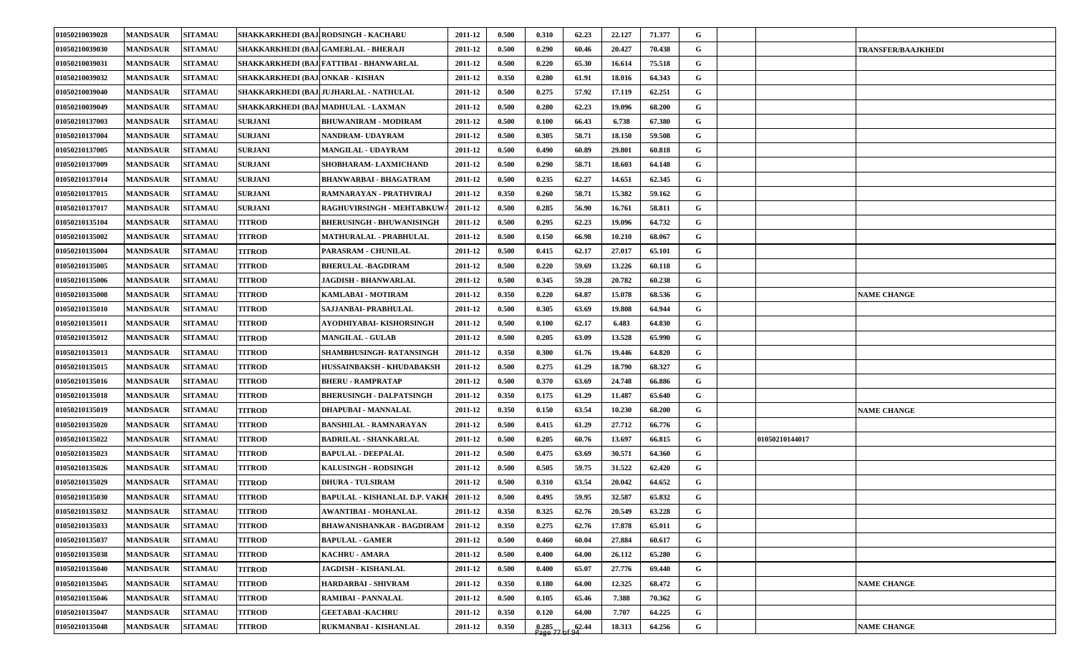| 01050210039028 | <b>MANDSAUR</b> | <b>SITAMAU</b> |                                   | SHAKKARKHEDI (BAJ.RODSINGH - KACHARU    | 2011-12 | 0.500 | 0.310              | 62.23 | 22.127 | 71.377 | G |                |                           |
|----------------|-----------------|----------------|-----------------------------------|-----------------------------------------|---------|-------|--------------------|-------|--------|--------|---|----------------|---------------------------|
| 01050210039030 | <b>MANDSAUR</b> | <b>SITAMAU</b> |                                   | SHAKKARKHEDI (BAJ.GAMERLAL - BHERAJI    | 2011-12 | 0.500 | 0.290              | 60.46 | 20.427 | 70.438 | G |                | <b>TRANSFER/BAAJKHEDI</b> |
| 01050210039031 | <b>MANDSAUR</b> | <b>SITAMAU</b> |                                   | SHAKKARKHEDI (BAJ FATTIBAI - BHANWARLAL | 2011-12 | 0.500 | 0.220              | 65.30 | 16.614 | 75.518 | G |                |                           |
| 01050210039032 | <b>MANDSAUR</b> | <b>SITAMAU</b> | SHAKKARKHEDI (BAJ. ONKAR - KISHAN |                                         | 2011-12 | 0.350 | 0.280              | 61.91 | 18.016 | 64.343 | G |                |                           |
| 01050210039040 | <b>MANDSAUR</b> | <b>SITAMAU</b> |                                   | SHAKKARKHEDI (BAJ.JUJHARLAL - NATHULAL  | 2011-12 | 0.500 | 0.275              | 57.92 | 17.119 | 62.251 | G |                |                           |
| 01050210039049 | <b>MANDSAUR</b> | <b>SITAMAU</b> |                                   | SHAKKARKHEDI (BAJ MADHULAL - LAXMAN     | 2011-12 | 0.500 | 0.280              | 62.23 | 19.096 | 68.200 | G |                |                           |
| 01050210137003 | <b>MANDSAUR</b> | <b>SITAMAU</b> | <b>SURJANI</b>                    | <b>BHUWANIRAM - MODIRAM</b>             | 2011-12 | 0.500 | 0.100              | 66.43 | 6.738  | 67.380 | G |                |                           |
| 01050210137004 | <b>MANDSAUR</b> | <b>SITAMAU</b> | <b>SURJANI</b>                    | NANDRAM- UDAYRAM                        | 2011-12 | 0.500 | 0.305              | 58.71 | 18.150 | 59.508 | G |                |                           |
| 01050210137005 | <b>MANDSAUR</b> | <b>SITAMAU</b> | <b>SURJANI</b>                    | <b>MANGILAL - UDAYRAM</b>               | 2011-12 | 0.500 | 0.490              | 60.89 | 29.801 | 60.818 | G |                |                           |
| 01050210137009 | <b>MANDSAUR</b> | <b>SITAMAU</b> | <b>SURJANI</b>                    | SHOBHARAM-LAXMICHAND                    | 2011-12 | 0.500 | 0.290              | 58.71 | 18.603 | 64.148 | G |                |                           |
| 01050210137014 | <b>MANDSAUR</b> | <b>SITAMAU</b> | <b>SURJANI</b>                    | <b>BHANWARBAI - BHAGATRAM</b>           | 2011-12 | 0.500 | 0.235              | 62.27 | 14.651 | 62.345 | G |                |                           |
| 01050210137015 | <b>MANDSAUR</b> | <b>SITAMAU</b> | <b>SURJANI</b>                    | RAMNARAYAN - PRATHVIRAJ                 | 2011-12 | 0.350 | 0.260              | 58.71 | 15.382 | 59.162 | G |                |                           |
| 01050210137017 | <b>MANDSAUR</b> | <b>SITAMAU</b> | <b>SURJANI</b>                    | RAGHUVIRSINGH - MEHTABKUV               | 2011-12 | 0.500 | 0.285              | 56.90 | 16.761 | 58.811 | G |                |                           |
| 01050210135104 | <b>MANDSAUR</b> | <b>SITAMAU</b> | <b>TITROD</b>                     | <b>BHERUSINGH - BHUWANISINGH</b>        | 2011-12 | 0.500 | 0.295              | 62.23 | 19.096 | 64.732 | G |                |                           |
| 01050210135002 | <b>MANDSAUR</b> | <b>SITAMAU</b> | <b>TITROD</b>                     | <b>MATHURALAL - PRABHULAL</b>           | 2011-12 | 0.500 | 0.150              | 66.98 | 10.210 | 68.067 | G |                |                           |
| 01050210135004 | <b>MANDSAUR</b> | <b>SITAMAU</b> | <b>TITROD</b>                     | PARASRAM - CHUNILAL                     | 2011-12 | 0.500 | 0.415              | 62.17 | 27.017 | 65.101 | G |                |                           |
| 01050210135005 | <b>MANDSAUR</b> | <b>SITAMAU</b> | <b>TITROD</b>                     | <b>BHERULAL -BAGDIRAM</b>               | 2011-12 | 0.500 | 0.220              | 59.69 | 13.226 | 60.118 | G |                |                           |
| 01050210135006 | <b>MANDSAUR</b> | <b>SITAMAU</b> | <b>TITROD</b>                     | JAGDISH - BHANWARLAL                    | 2011-12 | 0.500 | 0.345              | 59.28 | 20.782 | 60.238 | G |                |                           |
| 01050210135008 | <b>MANDSAUR</b> | <b>SITAMAU</b> | <b>TITROD</b>                     | KAMLABAI - MOTIRAM                      | 2011-12 | 0.350 | 0.220              | 64.87 | 15.078 | 68.536 | G |                | <b>NAME CHANGE</b>        |
| 01050210135010 | <b>MANDSAUR</b> | <b>SITAMAU</b> | <b>TITROD</b>                     | SAJJANBAI- PRABHULAL                    | 2011-12 | 0.500 | 0.305              | 63.69 | 19.808 | 64.944 | G |                |                           |
| 01050210135011 | <b>MANDSAUR</b> | <b>SITAMAU</b> | <b>TITROD</b>                     | AYODHIYABAI- KISHORSINGH                | 2011-12 | 0.500 | 0.100              | 62.17 | 6.483  | 64.830 | G |                |                           |
| 01050210135012 | <b>MANDSAUR</b> | <b>SITAMAU</b> | <b>TITROD</b>                     | <b>MANGILAL - GULAB</b>                 | 2011-12 | 0.500 | 0.205              | 63.09 | 13.528 | 65.990 | G |                |                           |
| 01050210135013 | <b>MANDSAUR</b> | <b>SITAMAU</b> | <b>TITROD</b>                     | SHAMBHUSINGH- RATANSINGH                | 2011-12 | 0.350 | 0.300              | 61.76 | 19.446 | 64.820 | G |                |                           |
| 01050210135015 | <b>MANDSAUR</b> | <b>SITAMAU</b> | <b>TITROD</b>                     | HUSSAINBAKSH - KHUDABAKSH               | 2011-12 | 0.500 | 0.275              | 61.29 | 18.790 | 68.327 | G |                |                           |
| 01050210135016 | <b>MANDSAUR</b> | <b>SITAMAU</b> | <b>TITROD</b>                     | BHERU - RAMPRATAP                       | 2011-12 | 0.500 | 0.370              | 63.69 | 24.748 | 66.886 | G |                |                           |
| 01050210135018 | <b>MANDSAUR</b> | <b>SITAMAU</b> | <b>TITROD</b>                     | <b>BHERUSINGH - DALPATSINGH</b>         | 2011-12 | 0.350 | 0.175              | 61.29 | 11.487 | 65.640 | G |                |                           |
| 01050210135019 | <b>MANDSAUR</b> | <b>SITAMAU</b> | <b>TITROD</b>                     | DHAPUBAI - MANNALAL                     | 2011-12 | 0.350 | 0.150              | 63.54 | 10.230 | 68.200 | G |                | <b>NAME CHANGE</b>        |
| 01050210135020 | <b>MANDSAUR</b> | <b>SITAMAU</b> | <b>TITROD</b>                     | <b>BANSHILAL - RAMNARAYAN</b>           | 2011-12 | 0.500 | 0.415              | 61.29 | 27.712 | 66.776 | G |                |                           |
| 01050210135022 | <b>MANDSAUR</b> | <b>SITAMAU</b> | <b>TITROD</b>                     | <b>BADRILAL - SHANKARLAL</b>            | 2011-12 | 0.500 | 0.205              | 60.76 | 13.697 | 66.815 | G | 01050210144017 |                           |
| 01050210135023 | <b>MANDSAUR</b> | <b>SITAMAU</b> | <b>TITROD</b>                     | <b>BAPULAL - DEEPALAL</b>               | 2011-12 | 0.500 | 0.475              | 63.69 | 30.571 | 64.360 | G |                |                           |
| 01050210135026 | <b>MANDSAUR</b> | <b>SITAMAU</b> | <b>TITROD</b>                     | <b>KALUSINGH - RODSINGH</b>             | 2011-12 | 0.500 | 0.505              | 59.75 | 31.522 | 62.420 | G |                |                           |
| 01050210135029 | <b>MANDSAUR</b> | <b>SITAMAU</b> | <b>TITROD</b>                     | <b>DHURA - TULSIRAM</b>                 | 2011-12 | 0.500 | 0.310              | 63.54 | 20.042 | 64.652 | G |                |                           |
| 01050210135030 | <b>MANDSAUR</b> | <b>SITAMAU</b> | <b>TITROD</b>                     | BAPULAL - KISHANLAL D.P. VAKH           | 2011-12 | 0.500 | 0.495              | 59.95 | 32.587 | 65.832 | G |                |                           |
| 01050210135032 | <b>MANDSAUR</b> | <b>SITAMAU</b> | <b>TITROD</b>                     | AWANTIBAI - MOHANLAL                    | 2011-12 | 0.350 | 0.325              | 62.76 | 20.549 | 63.228 | G |                |                           |
| 01050210135033 | <b>MANDSAUR</b> | <b>SITAMAU</b> | <b>TITROD</b>                     | <b>BHAWANISHANKAR - BAGDIRAM</b>        | 2011-12 | 0.350 | 0.275              | 62.76 | 17.878 | 65.011 | G |                |                           |
| 01050210135037 | <b>MANDSAUR</b> | <b>SITAMAU</b> | <b>TITROD</b>                     | <b>BAPULAL - GAMER</b>                  | 2011-12 | 0.500 | 0.460              | 60.04 | 27.884 | 60.617 | G |                |                           |
| 01050210135038 | <b>MANDSAUR</b> | <b>SITAMAU</b> | <b>TITROD</b>                     | <b>KACHRU - AMARA</b>                   | 2011-12 | 0.500 | 0.400              | 64.00 | 26.112 | 65.280 | G |                |                           |
| 01050210135040 | <b>MANDSAUR</b> | <b>SITAMAU</b> | <b>TITROD</b>                     | <b>JAGDISH - KISHANLAL</b>              | 2011-12 | 0.500 | 0.400              | 65.07 | 27.776 | 69.440 | G |                |                           |
| 01050210135045 | <b>MANDSAUR</b> | <b>SITAMAU</b> | <b>TITROD</b>                     | HARDARBAI - SHIVRAM                     | 2011-12 | 0.350 | 0.180              | 64.00 | 12.325 | 68.472 | G |                | <b>NAME CHANGE</b>        |
| 01050210135046 | <b>MANDSAUR</b> | <b>SITAMAU</b> | <b>TITROD</b>                     | <b>RAMIBAI - PANNALAL</b>               | 2011-12 | 0.500 | 0.105              | 65.46 | 7.388  | 70.362 | G |                |                           |
| 01050210135047 | <b>MANDSAUR</b> | <b>SITAMAU</b> | <b>TITROD</b>                     | <b>GEETABAI - KACHRU</b>                | 2011-12 | 0.350 | 0.120              | 64.00 | 7.707  | 64.225 | G |                |                           |
| 01050210135048 | <b>MANDSAUR</b> | <b>SITAMAU</b> | <b>TITROD</b>                     | RUKMANBAI - KISHANLAL                   | 2011-12 | 0.350 | $0.285$<br>Page 77 | 62.44 | 18.313 | 64.256 | G |                | <b>NAME CHANGE</b>        |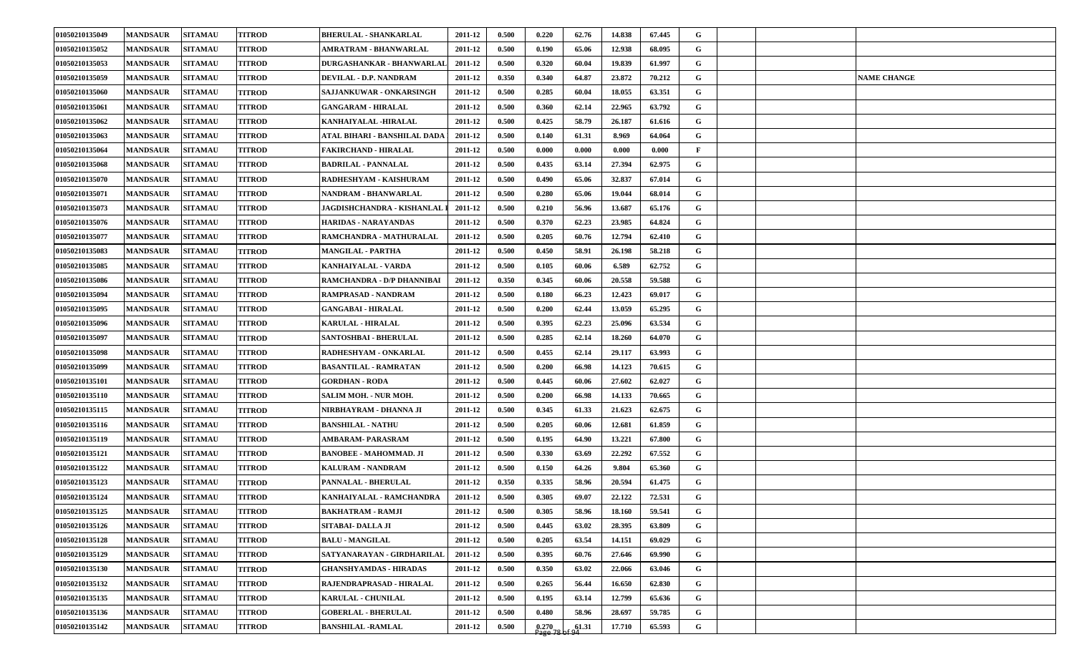| 01050210135049 | <b>MANDSAUR</b> | <b>SITAMAU</b> | <b>TITROD</b> | <b>BHERULAL - SHANKARLAL</b>     | 2011-12 | 0.500 | 0.220              | 62.76 | 14.838 | 67.445 | G            |                    |
|----------------|-----------------|----------------|---------------|----------------------------------|---------|-------|--------------------|-------|--------|--------|--------------|--------------------|
| 01050210135052 | <b>MANDSAUR</b> | <b>SITAMAU</b> | <b>TITROD</b> | AMRATRAM - BHANWARLAL            | 2011-12 | 0.500 | 0.190              | 65.06 | 12.938 | 68.095 | G            |                    |
| 01050210135053 | <b>MANDSAUR</b> | <b>SITAMAU</b> | <b>TITROD</b> | <b>DURGASHANKAR - BHANWARLAI</b> | 2011-12 | 0.500 | 0.320              | 60.04 | 19.839 | 61.997 | G            |                    |
| 01050210135059 | <b>MANDSAUR</b> | <b>SITAMAU</b> | <b>TITROD</b> | DEVILAL - D.P. NANDRAM           | 2011-12 | 0.350 | 0.340              | 64.87 | 23.872 | 70.212 | G            | <b>NAME CHANGE</b> |
| 01050210135060 | <b>MANDSAUR</b> | <b>SITAMAU</b> | <b>TITROD</b> | SAJJANKUWAR - ONKARSINGH         | 2011-12 | 0.500 | 0.285              | 60.04 | 18.055 | 63.351 | G            |                    |
| 01050210135061 | <b>MANDSAUR</b> | <b>SITAMAU</b> | <b>TITROD</b> | <b>GANGARAM - HIRALAL</b>        | 2011-12 | 0.500 | 0.360              | 62.14 | 22.965 | 63.792 | G            |                    |
| 01050210135062 | <b>MANDSAUR</b> | <b>SITAMAU</b> | <b>TITROD</b> | KANHAIYALAL -HIRALAL             | 2011-12 | 0.500 | 0.425              | 58.79 | 26.187 | 61.616 | G            |                    |
| 01050210135063 | <b>MANDSAUR</b> | <b>SITAMAU</b> | <b>TITROD</b> | ATAL BIHARI - BANSHILAL DADA     | 2011-12 | 0.500 | 0.140              | 61.31 | 8.969  | 64.064 | G            |                    |
| 01050210135064 | <b>MANDSAUR</b> | <b>SITAMAU</b> | <b>TITROD</b> | <b>FAKIRCHAND - HIRALAL</b>      | 2011-12 | 0.500 | 0.000              | 0.000 | 0.000  | 0.000  | $\mathbf{F}$ |                    |
| 01050210135068 | <b>MANDSAUR</b> | <b>SITAMAU</b> | <b>TITROD</b> | <b>BADRILAL - PANNALAL</b>       | 2011-12 | 0.500 | 0.435              | 63.14 | 27.394 | 62.975 | G            |                    |
| 01050210135070 | <b>MANDSAUR</b> | <b>SITAMAU</b> | <b>TITROD</b> | RADHESHYAM - KAISHURAM           | 2011-12 | 0.500 | 0.490              | 65.06 | 32.837 | 67.014 | G            |                    |
| 01050210135071 | <b>MANDSAUR</b> | <b>SITAMAU</b> | <b>TITROD</b> | NANDRAM - BHANWARLAL             | 2011-12 | 0.500 | 0.280              | 65.06 | 19.044 | 68.014 | G            |                    |
| 01050210135073 | <b>MANDSAUR</b> | <b>SITAMAU</b> | <b>TITROD</b> | JAGDISHCHANDRA - KISHANLAL       | 2011-12 | 0.500 | 0.210              | 56.96 | 13.687 | 65.176 | G            |                    |
| 01050210135076 | <b>MANDSAUR</b> | <b>SITAMAU</b> | <b>TITROD</b> | <b>HARIDAS - NARAYANDAS</b>      | 2011-12 | 0.500 | 0.370              | 62.23 | 23.985 | 64.824 | G            |                    |
| 01050210135077 | <b>MANDSAUR</b> | <b>SITAMAU</b> | <b>TITROD</b> | RAMCHANDRA - MATHURALAL          | 2011-12 | 0.500 | 0.205              | 60.76 | 12.794 | 62.410 | $\mathbf G$  |                    |
| 01050210135083 | <b>MANDSAUR</b> | <b>SITAMAU</b> | <b>TITROD</b> | <b>MANGILAL - PARTHA</b>         | 2011-12 | 0.500 | 0.450              | 58.91 | 26.198 | 58.218 | G            |                    |
| 01050210135085 | <b>MANDSAUR</b> | <b>SITAMAU</b> | <b>TITROD</b> | <b>KANHAIYALAL - VARDA</b>       | 2011-12 | 0.500 | 0.105              | 60.06 | 6.589  | 62.752 | G            |                    |
| 01050210135086 | <b>MANDSAUR</b> | <b>SITAMAU</b> | <b>TITROD</b> | RAMCHANDRA - D/P DHANNIBAI       | 2011-12 | 0.350 | 0.345              | 60.06 | 20.558 | 59.588 | G            |                    |
| 01050210135094 | <b>MANDSAUR</b> | <b>SITAMAU</b> | <b>TITROD</b> | RAMPRASAD - NANDRAM              | 2011-12 | 0.500 | 0.180              | 66.23 | 12.423 | 69.017 | G            |                    |
| 01050210135095 | <b>MANDSAUR</b> | <b>SITAMAU</b> | <b>TITROD</b> | <b>GANGABAI - HIRALAL</b>        | 2011-12 | 0.500 | 0.200              | 62.44 | 13.059 | 65.295 | G            |                    |
| 01050210135096 | <b>MANDSAUR</b> | <b>SITAMAU</b> | <b>TITROD</b> | <b>KARULAL - HIRALAL</b>         | 2011-12 | 0.500 | 0.395              | 62.23 | 25.096 | 63.534 | G            |                    |
| 01050210135097 | <b>MANDSAUR</b> | <b>SITAMAU</b> | <b>TITROD</b> | SANTOSHBAI - BHERULAL            | 2011-12 | 0.500 | 0.285              | 62.14 | 18.260 | 64.070 | G            |                    |
| 01050210135098 | <b>MANDSAUR</b> | <b>SITAMAU</b> | <b>TITROD</b> | RADHESHYAM - ONKARLAL            | 2011-12 | 0.500 | 0.455              | 62.14 | 29.117 | 63.993 | G            |                    |
| 01050210135099 | <b>MANDSAUR</b> | <b>SITAMAU</b> | <b>TITROD</b> | <b>BASANTILAL - RAMRATAN</b>     | 2011-12 | 0.500 | 0.200              | 66.98 | 14.123 | 70.615 | G            |                    |
| 01050210135101 | <b>MANDSAUR</b> | <b>SITAMAU</b> | <b>TITROD</b> | <b>GORDHAN - RODA</b>            | 2011-12 | 0.500 | 0.445              | 60.06 | 27.602 | 62.027 | G            |                    |
| 01050210135110 | <b>MANDSAUR</b> | <b>SITAMAU</b> | <b>TITROD</b> | <b>SALIM MOH. - NUR MOH.</b>     | 2011-12 | 0.500 | 0.200              | 66.98 | 14.133 | 70.665 | G            |                    |
| 01050210135115 | <b>MANDSAUR</b> | <b>SITAMAU</b> | <b>TITROD</b> | NIRBHAYRAM - DHANNA JI           | 2011-12 | 0.500 | 0.345              | 61.33 | 21.623 | 62.675 | G            |                    |
| 01050210135116 | <b>MANDSAUR</b> | <b>SITAMAU</b> | <b>TITROD</b> | <b>BANSHILAL - NATHU</b>         | 2011-12 | 0.500 | 0.205              | 60.06 | 12.681 | 61.859 | G            |                    |
| 01050210135119 | <b>MANDSAUR</b> | <b>SITAMAU</b> | <b>TITROD</b> | AMBARAM- PARASRAM                | 2011-12 | 0.500 | 0.195              | 64.90 | 13.221 | 67.800 | G            |                    |
| 01050210135121 | <b>MANDSAUR</b> | <b>SITAMAU</b> | <b>TITROD</b> | <b>BANOBEE - MAHOMMAD. JI</b>    | 2011-12 | 0.500 | 0.330              | 63.69 | 22,292 | 67.552 | G            |                    |
| 01050210135122 | <b>MANDSAUR</b> | <b>SITAMAU</b> | <b>TITROD</b> | <b>KALURAM - NANDRAM</b>         | 2011-12 | 0.500 | 0.150              | 64.26 | 9.804  | 65.360 | G            |                    |
| 01050210135123 | <b>MANDSAUR</b> | <b>SITAMAU</b> | <b>TITROD</b> | PANNALAL - BHERULAL              | 2011-12 | 0.350 | 0.335              | 58.96 | 20.594 | 61.475 | G            |                    |
| 01050210135124 | <b>MANDSAUR</b> | <b>SITAMAU</b> | <b>TITROD</b> | KANHAIYALAL - RAMCHANDRA         | 2011-12 | 0.500 | 0.305              | 69.07 | 22.122 | 72.531 | $\mathbf G$  |                    |
| 01050210135125 | <b>MANDSAUR</b> | <b>SITAMAU</b> | <b>TITROD</b> | <b>BAKHATRAM - RAMJI</b>         | 2011-12 | 0.500 | 0.305              | 58.96 | 18.160 | 59.541 | G            |                    |
| 01050210135126 | <b>MANDSAUR</b> | <b>SITAMAU</b> | <b>TITROD</b> | SITABAI- DALLA JI                | 2011-12 | 0.500 | 0.445              | 63.02 | 28.395 | 63.809 | G            |                    |
| 01050210135128 | <b>MANDSAUR</b> | <b>SITAMAU</b> | <b>TITROD</b> | <b>BALU - MANGILAL</b>           | 2011-12 | 0.500 | 0.205              | 63.54 | 14.151 | 69.029 | $\mathbf G$  |                    |
| 01050210135129 | <b>MANDSAUR</b> | <b>SITAMAU</b> | <b>TITROD</b> | SATYANARAYAN - GIRDHARILAL       | 2011-12 | 0.500 | 0.395              | 60.76 | 27.646 | 69.990 | G            |                    |
| 01050210135130 | <b>MANDSAUR</b> | <b>SITAMAU</b> | <b>TITROD</b> | <b>GHANSHYAMDAS - HIRADAS</b>    | 2011-12 | 0.500 | 0.350              | 63.02 | 22.066 | 63.046 | $\mathbf G$  |                    |
| 01050210135132 | <b>MANDSAUR</b> | <b>SITAMAU</b> | <b>TITROD</b> | RAJENDRAPRASAD - HIRALAL         | 2011-12 | 0.500 | 0.265              | 56.44 | 16.650 | 62.830 | $\mathbf G$  |                    |
| 01050210135135 | <b>MANDSAUR</b> | <b>SITAMAU</b> | <b>TITROD</b> | <b>KARULAL - CHUNILAL</b>        | 2011-12 | 0.500 | 0.195              | 63.14 | 12.799 | 65.636 | G            |                    |
| 01050210135136 | <b>MANDSAUR</b> | <b>SITAMAU</b> | <b>TITROD</b> | <b>GOBERLAL - BHERULAL</b>       | 2011-12 | 0.500 | 0.480              | 58.96 | 28.697 | 59.785 | G            |                    |
| 01050210135142 | <b>MANDSAUR</b> | <b>SITAMAU</b> | <b>TITROD</b> | <b>BANSHILAL -RAMLAL</b>         | 2011-12 | 0.500 | $0.270$<br>Page 78 | 61.31 | 17.710 | 65.593 | $\mathbf G$  |                    |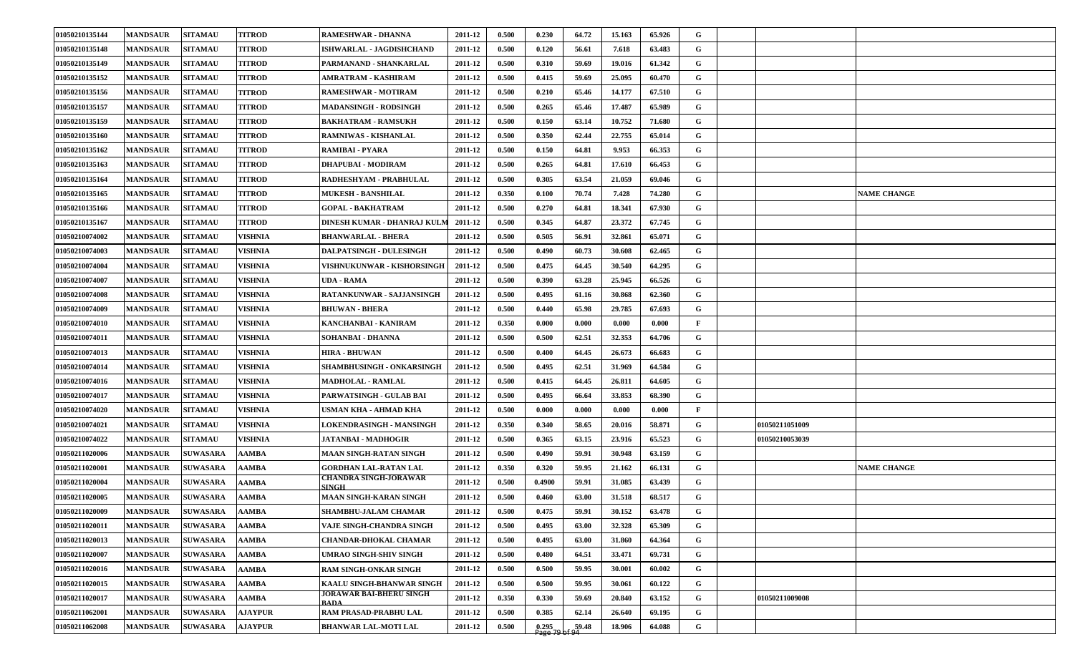| 01050210135144 | <b>MANDSAUR</b> | <b>SITAMAU</b>  | <b>TITROD</b>  | <b>RAMESHWAR - DHANNA</b>                     | 2011-12 | 0.500 | 0.230              | 64.72 | 15.163 | 65.926 | G            |                    |
|----------------|-----------------|-----------------|----------------|-----------------------------------------------|---------|-------|--------------------|-------|--------|--------|--------------|--------------------|
| 01050210135148 | <b>MANDSAUR</b> | <b>SITAMAU</b>  | <b>TITROD</b>  | ISHWARLAL - JAGDISHCHAND                      | 2011-12 | 0.500 | 0.120              | 56.61 | 7.618  | 63.483 | G            |                    |
| 01050210135149 | <b>MANDSAUR</b> | <b>SITAMAU</b>  | <b>TITROD</b>  | PARMANAND - SHANKARLAL                        | 2011-12 | 0.500 | 0.310              | 59.69 | 19.016 | 61.342 | G            |                    |
| 01050210135152 | <b>MANDSAUR</b> | <b>SITAMAU</b>  | <b>TITROD</b>  | AMRATRAM - KASHIRAM                           | 2011-12 | 0.500 | 0.415              | 59.69 | 25.095 | 60.470 | G            |                    |
| 01050210135156 | <b>MANDSAUR</b> | <b>SITAMAU</b>  | <b>TITROD</b>  | RAMESHWAR - MOTIRAM                           | 2011-12 | 0.500 | 0.210              | 65.46 | 14.177 | 67.510 | G            |                    |
| 01050210135157 | <b>MANDSAUR</b> | <b>SITAMAU</b>  | <b>TITROD</b>  | <b>MADANSINGH - RODSINGH</b>                  | 2011-12 | 0.500 | 0.265              | 65.46 | 17.487 | 65.989 | G            |                    |
| 01050210135159 | <b>MANDSAUR</b> | <b>SITAMAU</b>  | <b>TITROD</b>  | <b>BAKHATRAM - RAMSUKH</b>                    | 2011-12 | 0.500 | 0.150              | 63.14 | 10.752 | 71.680 | G            |                    |
| 01050210135160 | <b>MANDSAUR</b> | <b>SITAMAU</b>  | <b>TITROD</b>  | RAMNIWAS - KISHANLAL                          | 2011-12 | 0.500 | 0.350              | 62.44 | 22.755 | 65.014 | G            |                    |
| 01050210135162 | <b>MANDSAUR</b> | <b>SITAMAU</b>  | <b>TITROD</b>  | RAMIBAI - PYARA                               | 2011-12 | 0.500 | 0.150              | 64.81 | 9.953  | 66.353 | G            |                    |
| 01050210135163 | <b>MANDSAUR</b> | <b>SITAMAU</b>  | <b>TITROD</b>  | <b>DHAPUBAI - MODIRAM</b>                     | 2011-12 | 0.500 | 0.265              | 64.81 | 17.610 | 66.453 | G            |                    |
| 01050210135164 | <b>MANDSAUR</b> | <b>SITAMAU</b>  | <b>TITROD</b>  | RADHESHYAM - PRABHULAL                        | 2011-12 | 0.500 | 0.305              | 63.54 | 21.059 | 69.046 | G            |                    |
| 01050210135165 | <b>MANDSAUR</b> | <b>SITAMAU</b>  | <b>TITROD</b>  | <b>MUKESH - BANSHILAL</b>                     | 2011-12 | 0.350 | 0.100              | 70.74 | 7.428  | 74.280 | G            | <b>NAME CHANGE</b> |
| 01050210135166 | <b>MANDSAUR</b> | <b>SITAMAU</b>  | <b>TITROD</b>  | <b>GOPAL - BAKHATRAM</b>                      | 2011-12 | 0.500 | 0.270              | 64.81 | 18.341 | 67.930 | G            |                    |
| 01050210135167 | <b>MANDSAUR</b> | <b>SITAMAU</b>  | <b>TITROD</b>  | DINESH KUMAR - DHANRAJ KULN                   | 2011-12 | 0.500 | 0.345              | 64.87 | 23.372 | 67.745 | G            |                    |
| 01050210074002 | <b>MANDSAUR</b> | <b>SITAMAU</b>  | <b>VISHNIA</b> | <b>BHANWARLAL - BHERA</b>                     | 2011-12 | 0.500 | 0.505              | 56.91 | 32.861 | 65.071 | $\mathbf G$  |                    |
| 01050210074003 | <b>MANDSAUR</b> | <b>SITAMAU</b>  | <b>VISHNIA</b> | DALPATSINGH - DULESINGH                       | 2011-12 | 0.500 | 0.490              | 60.73 | 30.608 | 62.465 | G            |                    |
| 01050210074004 | <b>MANDSAUR</b> | <b>SITAMAU</b>  | <b>VISHNIA</b> | VISHNUKUNWAR - KISHORSINGH                    | 2011-12 | 0.500 | 0.475              | 64.45 | 30.540 | 64.295 | G            |                    |
| 01050210074007 | <b>MANDSAUR</b> | <b>SITAMAU</b>  | <b>VISHNIA</b> | UDA - RAMA                                    | 2011-12 | 0.500 | 0.390              | 63.28 | 25.945 | 66.526 | G            |                    |
| 01050210074008 | <b>MANDSAUR</b> | <b>SITAMAU</b>  | <b>VISHNIA</b> | RATANKUNWAR - SAJJANSINGH                     | 2011-12 | 0.500 | 0.495              | 61.16 | 30.868 | 62.360 | G            |                    |
| 01050210074009 | <b>MANDSAUR</b> | <b>SITAMAU</b>  | <b>VISHNIA</b> | <b>BHUWAN - BHERA</b>                         | 2011-12 | 0.500 | 0.440              | 65.98 | 29.785 | 67.693 | G            |                    |
| 01050210074010 | <b>MANDSAUR</b> | <b>SITAMAU</b>  | <b>VISHNIA</b> | KANCHANBAI - KANIRAM                          | 2011-12 | 0.350 | 0.000              | 0.000 | 0.000  | 0.000  | $\mathbf{F}$ |                    |
| 01050210074011 | <b>MANDSAUR</b> | <b>SITAMAU</b>  | <b>VISHNIA</b> | <b>SOHANBAI - DHANNA</b>                      | 2011-12 | 0.500 | 0.500              | 62.51 | 32.353 | 64.706 | G            |                    |
| 01050210074013 | <b>MANDSAUR</b> | <b>SITAMAU</b>  | <b>VISHNIA</b> | <b>HIRA - BHUWAN</b>                          | 2011-12 | 0.500 | 0.400              | 64.45 | 26.673 | 66.683 | G            |                    |
| 01050210074014 | <b>MANDSAUR</b> | <b>SITAMAU</b>  | <b>VISHNIA</b> | <b>SHAMBHUSINGH - ONKARSINGH</b>              | 2011-12 | 0.500 | 0.495              | 62.51 | 31.969 | 64.584 | G            |                    |
| 01050210074016 | <b>MANDSAUR</b> | <b>SITAMAU</b>  | <b>VISHNIA</b> | MADHOLAL - RAMLAL                             | 2011-12 | 0.500 | 0.415              | 64.45 | 26.811 | 64.605 | G            |                    |
| 01050210074017 | <b>MANDSAUR</b> | <b>SITAMAU</b>  | <b>VISHNIA</b> | PARWATSINGH - GULAB BAI                       | 2011-12 | 0.500 | 0.495              | 66.64 | 33.853 | 68.390 | G            |                    |
| 01050210074020 | <b>MANDSAUR</b> | <b>SITAMAU</b>  | <b>VISHNIA</b> | USMAN KHA - AHMAD KHA                         | 2011-12 | 0.500 | 0.000              | 0.000 | 0.000  | 0.000  | $\mathbf{F}$ |                    |
| 01050210074021 | <b>MANDSAUR</b> | <b>SITAMAU</b>  | <b>VISHNIA</b> | LOKENDRASINGH - MANSINGH                      | 2011-12 | 0.350 | 0.340              | 58.65 | 20.016 | 58.871 | G            | 01050211051009     |
| 01050210074022 | <b>MANDSAUR</b> | <b>SITAMAU</b>  | <b>VISHNIA</b> | JATANBAI - MADHOGIR                           | 2011-12 | 0.500 | 0.365              | 63.15 | 23.916 | 65.523 | G            | 01050210053039     |
| 01050211020006 | <b>MANDSAUR</b> | <b>SUWASARA</b> | <b>AAMBA</b>   | <b>MAAN SINGH-RATAN SINGH</b>                 | 2011-12 | 0.500 | 0.490              | 59.91 | 30.948 | 63.159 | G            |                    |
| 01050211020001 | <b>MANDSAUR</b> | <b>SUWASARA</b> | <b>AAMBA</b>   | GORDHAN LAL-RATAN LAL                         | 2011-12 | 0.350 | 0.320              | 59.95 | 21.162 | 66.131 | G            | <b>NAME CHANGE</b> |
| 01050211020004 | <b>MANDSAUR</b> | <b>SUWASARA</b> | <b>AAMBA</b>   | CHANDRA SINGH-JORAWAR<br>SINGH                | 2011-12 | 0.500 | 0.4900             | 59.91 | 31.085 | 63.439 | G            |                    |
| 01050211020005 | <b>MANDSAUR</b> | <b>SUWASARA</b> | <b>AAMBA</b>   | <b>MAAN SINGH-KARAN SINGH</b>                 | 2011-12 | 0.500 | 0.460              | 63.00 | 31.518 | 68.517 | $\mathbf G$  |                    |
| 01050211020009 | <b>MANDSAUR</b> | <b>SUWASARA</b> | <b>AAMBA</b>   | SHAMBHU-JALAM CHAMAR                          | 2011-12 | 0.500 | 0.475              | 59.91 | 30.152 | 63.478 | G            |                    |
| 01050211020011 | <b>MANDSAUR</b> | <b>SUWASARA</b> | <b>AAMBA</b>   | VAJE SINGH-CHANDRA SINGH                      | 2011-12 | 0.500 | 0.495              | 63.00 | 32.328 | 65.309 | G            |                    |
| 01050211020013 | <b>MANDSAUR</b> | <b>SUWASARA</b> | <b>AAMBA</b>   | CHANDAR-DHOKAL CHAMAR                         | 2011-12 | 0.500 | 0.495              | 63.00 | 31.860 | 64.364 | $\mathbf G$  |                    |
| 01050211020007 | <b>MANDSAUR</b> | <b>SUWASARA</b> | <b>AAMBA</b>   | UMRAO SINGH-SHIV SINGH                        | 2011-12 | 0.500 | 0.480              | 64.51 | 33.471 | 69.731 | G            |                    |
| 01050211020016 | <b>MANDSAUR</b> | <b>SUWASARA</b> | <b>AAMBA</b>   | <b>RAM SINGH-ONKAR SINGH</b>                  | 2011-12 | 0.500 | 0.500              | 59.95 | 30.001 | 60.002 | $\mathbf G$  |                    |
| 01050211020015 | <b>MANDSAUR</b> | <b>SUWASARA</b> | <b>AAMBA</b>   | KAALU SINGH-BHANWAR SINGH                     | 2011-12 | 0.500 | 0.500              | 59.95 | 30.061 | 60.122 | $\mathbf G$  |                    |
| 01050211020017 | <b>MANDSAUR</b> | <b>SUWASARA</b> | <b>AAMBA</b>   | <b>JORAWAR BAI-BHERU SINGH</b><br><b>BADA</b> | 2011-12 | 0.350 | 0.330              | 59.69 | 20.840 | 63.152 | G            | 01050211009008     |
| 01050211062001 | <b>MANDSAUR</b> | <b>SUWASARA</b> | <b>AJAYPUR</b> | RAM PRASAD-PRABHU LAL                         | 2011-12 | 0.500 | 0.385              | 62.14 | 26.640 | 69.195 | $\mathbf G$  |                    |
| 01050211062008 | <b>MANDSAUR</b> | <b>SUWASARA</b> | <b>AJAYPUR</b> | <b>BHANWAR LAL-MOTI LAL</b>                   | 2011-12 | 0.500 | $0.295$<br>Page 79 | 59.48 | 18.906 | 64.088 | $\mathbf G$  |                    |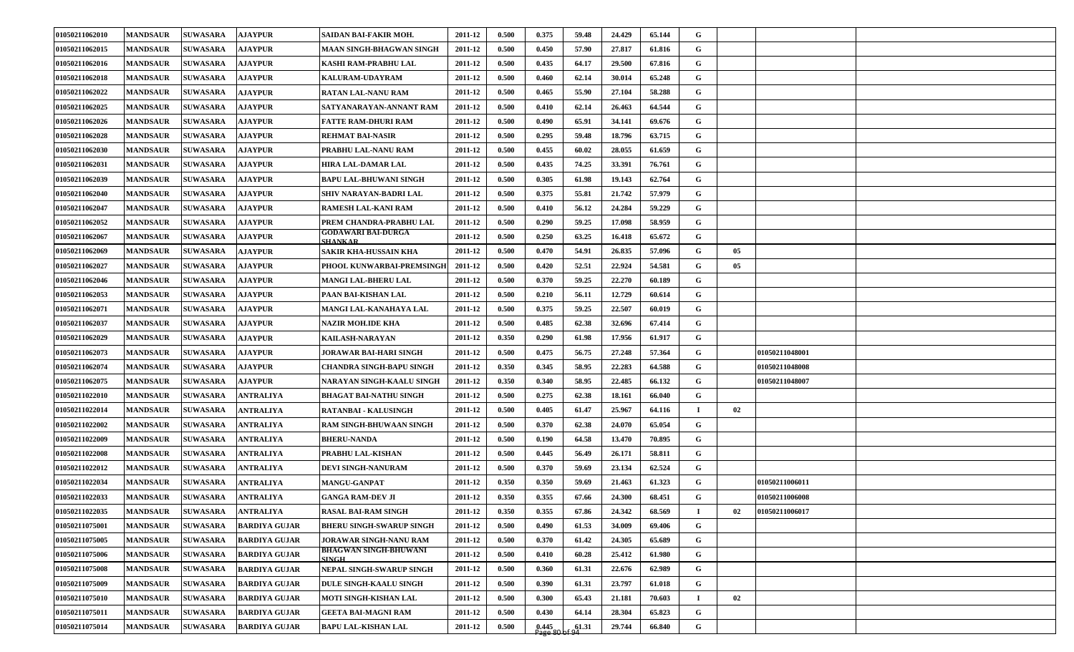| 01050211062010 | <b>MANDSAUR</b> | <b>SUWASARA</b> | <b>AJAYPUR</b>       | SAIDAN BAI-FAKIR MOH.                        | 2011-12 | 0.500 | 0.375              | 59.48 | 24.429 | 65.144 | G           |    |                |  |
|----------------|-----------------|-----------------|----------------------|----------------------------------------------|---------|-------|--------------------|-------|--------|--------|-------------|----|----------------|--|
| 01050211062015 | <b>MANDSAUR</b> | <b>SUWASARA</b> | <b>AJAYPUR</b>       | <b>MAAN SINGH-BHAGWAN SINGH</b>              | 2011-12 | 0.500 | 0.450              | 57.90 | 27.817 | 61.816 | G           |    |                |  |
| 01050211062016 | <b>MANDSAUR</b> | <b>SUWASARA</b> | <b>AJAYPUR</b>       | KASHI RAM-PRABHU LAL                         | 2011-12 | 0.500 | 0.435              | 64.17 | 29.500 | 67.816 | G           |    |                |  |
| 01050211062018 | <b>MANDSAUR</b> | <b>SUWASARA</b> | <b>AJAYPUR</b>       | <b>KALURAM-UDAYRAM</b>                       | 2011-12 | 0.500 | 0.460              | 62.14 | 30.014 | 65.248 | G           |    |                |  |
| 01050211062022 | <b>MANDSAUR</b> | <b>SUWASARA</b> | <b>AJAYPUR</b>       | <b>RATAN LAL-NANU RAM</b>                    | 2011-12 | 0.500 | 0.465              | 55.90 | 27.104 | 58.288 | G           |    |                |  |
| 01050211062025 | <b>MANDSAUR</b> | <b>SUWASARA</b> | <b>AJAYPUR</b>       | SATYANARAYAN-ANNANT RAM                      | 2011-12 | 0.500 | 0.410              | 62.14 | 26.463 | 64.544 | G           |    |                |  |
| 01050211062026 | <b>MANDSAUR</b> | <b>SUWASARA</b> | <b>AJAYPUR</b>       | <b>FATTE RAM-DHURI RAM</b>                   | 2011-12 | 0.500 | 0.490              | 65.91 | 34.141 | 69.676 | G           |    |                |  |
| 01050211062028 | <b>MANDSAUR</b> | <b>SUWASARA</b> | <b>AJAYPUR</b>       | <b>REHMAT BAI-NASIR</b>                      | 2011-12 | 0.500 | 0.295              | 59.48 | 18.796 | 63.715 | G           |    |                |  |
| 01050211062030 | <b>MANDSAUR</b> | <b>SUWASARA</b> | <b>AJAYPUR</b>       | PRABHU LAL-NANU RAM                          | 2011-12 | 0.500 | 0.455              | 60.02 | 28.055 | 61.659 | G           |    |                |  |
| 01050211062031 | <b>MANDSAUR</b> | <b>SUWASARA</b> | <b>AJAYPUR</b>       | <b>HIRA LAL-DAMAR LAL</b>                    | 2011-12 | 0.500 | 0.435              | 74.25 | 33.391 | 76.761 | G           |    |                |  |
| 01050211062039 | <b>MANDSAUR</b> | <b>SUWASARA</b> | <b>AJAYPUR</b>       | <b>BAPU LAL-BHUWANI SINGH</b>                | 2011-12 | 0.500 | 0.305              | 61.98 | 19.143 | 62.764 | G           |    |                |  |
| 01050211062040 | <b>MANDSAUR</b> | <b>SUWASARA</b> | <b>AJAYPUR</b>       | SHIV NARAYAN-BADRI LAL                       | 2011-12 | 0.500 | 0.375              | 55.81 | 21.742 | 57.979 | G           |    |                |  |
| 01050211062047 | <b>MANDSAUR</b> | <b>SUWASARA</b> | <b>AJAYPUR</b>       | <b>RAMESH LAL-KANI RAM</b>                   | 2011-12 | 0.500 | 0.410              | 56.12 | 24.284 | 59.229 | G           |    |                |  |
| 01050211062052 | <b>MANDSAUR</b> | <b>SUWASARA</b> | <b>AJAYPUR</b>       | PREM CHANDRA-PRABHU LAL                      | 2011-12 | 0.500 | 0.290              | 59.25 | 17.098 | 58.959 | G           |    |                |  |
| 01050211062067 | <b>MANDSAUR</b> | <b>SUWASARA</b> | <b>AJAYPUR</b>       | GODAWARI BAI-DURGA<br><b>SHANKAR</b>         | 2011-12 | 0.500 | 0.250              | 63.25 | 16.418 | 65.672 | G           |    |                |  |
| 01050211062069 | <b>MANDSAUR</b> | <b>SUWASARA</b> | <b>AJAYPUR</b>       | SAKIR KHA-HUSSAIN KHA                        | 2011-12 | 0.500 | 0.470              | 54.91 | 26.835 | 57.096 | G           | 05 |                |  |
| 01050211062027 | <b>MANDSAUR</b> | <b>SUWASARA</b> | <b>AJAYPUR</b>       | PHOOL KUNWARBAI-PREMSINGH                    | 2011-12 | 0.500 | 0.420              | 52.51 | 22.924 | 54.581 | G           | 05 |                |  |
| 01050211062046 | <b>MANDSAUR</b> | <b>SUWASARA</b> | <b>AJAYPUR</b>       | MANGI LAL-BHERU LAL                          | 2011-12 | 0.500 | 0.370              | 59.25 | 22.270 | 60.189 | G           |    |                |  |
| 01050211062053 | <b>MANDSAUR</b> | <b>SUWASARA</b> | <b>AJAYPUR</b>       | PAAN BAI-KISHAN LAL                          | 2011-12 | 0.500 | 0.210              | 56.11 | 12.729 | 60.614 | G           |    |                |  |
| 01050211062071 | <b>MANDSAUR</b> | <b>SUWASARA</b> | <b>AJAYPUR</b>       | MANGI LAL-KANAHAYA LAL                       | 2011-12 | 0.500 | 0.375              | 59.25 | 22.507 | 60.019 | G           |    |                |  |
| 01050211062037 | <b>MANDSAUR</b> | <b>SUWASARA</b> | <b>AJAYPUR</b>       | <b>NAZIR MOH.IDE KHA</b>                     | 2011-12 | 0.500 | 0.485              | 62.38 | 32.696 | 67.414 | G           |    |                |  |
| 01050211062029 | <b>MANDSAUR</b> | <b>SUWASARA</b> | <b>AJAYPUR</b>       | <b>KAILASH-NARAYAN</b>                       | 2011-12 | 0.350 | 0.290              | 61.98 | 17.956 | 61.917 | G           |    |                |  |
| 01050211062073 | <b>MANDSAUR</b> | <b>SUWASARA</b> | <b>AJAYPUR</b>       | JORAWAR BAI-HARI SINGH                       | 2011-12 | 0.500 | 0.475              | 56.75 | 27.248 | 57.364 | G           |    | 01050211048001 |  |
| 01050211062074 | <b>MANDSAUR</b> | <b>SUWASARA</b> | <b>AJAYPUR</b>       | CHANDRA SINGH-BAPU SINGH                     | 2011-12 | 0.350 | 0.345              | 58.95 | 22.283 | 64.588 | G           |    | 01050211048008 |  |
| 01050211062075 | <b>MANDSAUR</b> | <b>SUWASARA</b> | <b>AJAYPUR</b>       | NARAYAN SINGH-KAALU SINGH                    | 2011-12 | 0.350 | 0.340              | 58.95 | 22.485 | 66.132 | G           |    | 01050211048007 |  |
| 01050211022010 | <b>MANDSAUR</b> | <b>SUWASARA</b> | <b>ANTRALIYA</b>     | <b>BHAGAT BAI-NATHU SINGH</b>                | 2011-12 | 0.500 | 0.275              | 62.38 | 18.161 | 66.040 | G           |    |                |  |
| 01050211022014 | <b>MANDSAUR</b> | <b>SUWASARA</b> | ANTRALIYA            | <b>RATANBAI - KALUSINGH</b>                  | 2011-12 | 0.500 | 0.405              | 61.47 | 25.967 | 64.116 | $\mathbf I$ | 02 |                |  |
| 01050211022002 | <b>MANDSAUR</b> | <b>SUWASARA</b> | ANTRALIYA            | <b>RAM SINGH-BHUWAAN SINGH</b>               | 2011-12 | 0.500 | 0.370              | 62.38 | 24.070 | 65.054 | G           |    |                |  |
| 01050211022009 | <b>MANDSAUR</b> | <b>SUWASARA</b> | <b>ANTRALIYA</b>     | <b>BHERU-NANDA</b>                           | 2011-12 | 0.500 | 0.190              | 64.58 | 13.470 | 70.895 | G           |    |                |  |
| 01050211022008 | <b>MANDSAUR</b> | <b>SUWASARA</b> | <b>ANTRALIYA</b>     | PRABHU LAL-KISHAN                            | 2011-12 | 0.500 | 0.445              | 56.49 | 26.171 | 58.811 | G           |    |                |  |
| 01050211022012 | <b>MANDSAUR</b> | <b>SUWASARA</b> | <b>ANTRALIYA</b>     | DEVI SINGH-NANURAM                           | 2011-12 | 0.500 | 0.370              | 59.69 | 23.134 | 62.524 | G           |    |                |  |
| 01050211022034 | <b>MANDSAUR</b> | <b>SUWASARA</b> | <b>ANTRALIYA</b>     | <b>MANGU-GANPAT</b>                          | 2011-12 | 0.350 | 0.350              | 59.69 | 21.463 | 61.323 | G           |    | 01050211006011 |  |
| 01050211022033 | <b>MANDSAUR</b> | <b>SUWASARA</b> | <b>ANTRALIYA</b>     | <b>GANGA RAM-DEV JI</b>                      | 2011-12 | 0.350 | 0.355              | 67.66 | 24.300 | 68.451 | G           |    | 01050211006008 |  |
| 01050211022035 | <b>MANDSAUR</b> | <b>SUWASARA</b> | <b>ANTRALIYA</b>     | <b>RASAL BAI-RAM SINGH</b>                   | 2011-12 | 0.350 | 0.355              | 67.86 | 24.342 | 68.569 | $\mathbf I$ | 02 | 01050211006017 |  |
| 01050211075001 | <b>MANDSAUR</b> | <b>SUWASARA</b> | <b>BARDIYA GUJAR</b> | <b>BHERU SINGH-SWARUP SINGH</b>              | 2011-12 | 0.500 | 0.490              | 61.53 | 34.009 | 69.406 | G           |    |                |  |
| 01050211075005 | <b>MANDSAUR</b> | <b>SUWASARA</b> | <b>BARDIYA GUJAR</b> | JORAWAR SINGH-NANU RAM                       | 2011-12 | 0.500 | 0.370              | 61.42 | 24.305 | 65.689 | G           |    |                |  |
| 01050211075006 | <b>MANDSAUR</b> | <b>SUWASARA</b> | <b>BARDIYA GUJAR</b> | <b>BHAGWAN SINGH-BHUWANI</b><br><b>SINGH</b> | 2011-12 | 0.500 | 0.410              | 60.28 | 25.412 | 61.980 | G           |    |                |  |
| 01050211075008 | <b>MANDSAUR</b> | <b>SUWASARA</b> | <b>BARDIYA GUJAR</b> | NEPAL SINGH-SWARUP SINGH                     | 2011-12 | 0.500 | 0.360              | 61.31 | 22.676 | 62.989 | G           |    |                |  |
| 01050211075009 | <b>MANDSAUR</b> | <b>SUWASARA</b> | <b>BARDIYA GUJAR</b> | <b>DULE SINGH-KAALU SINGH</b>                | 2011-12 | 0.500 | 0.390              | 61.31 | 23.797 | 61.018 | G           |    |                |  |
| 01050211075010 | <b>MANDSAUR</b> | <b>SUWASARA</b> | <b>BARDIYA GUJAR</b> | <b>MOTI SINGH-KISHAN LAL</b>                 | 2011-12 | 0.500 | 0.300              | 65.43 | 21.181 | 70.603 | $\bf{I}$    | 02 |                |  |
| 01050211075011 | <b>MANDSAUR</b> | <b>SUWASARA</b> | <b>BARDIYA GUJAR</b> | <b>GEETA BAI-MAGNI RAM</b>                   | 2011-12 | 0.500 | 0.430              | 64.14 | 28.304 | 65.823 | G           |    |                |  |
| 01050211075014 | <b>MANDSAUR</b> | <b>SUWASARA</b> | <b>BARDIYA GUJAR</b> | <b>BAPU LAL-KISHAN LAL</b>                   | 2011-12 | 0.500 | $0.445$<br>Page 80 | 61.31 | 29.744 | 66.840 | $\mathbf G$ |    |                |  |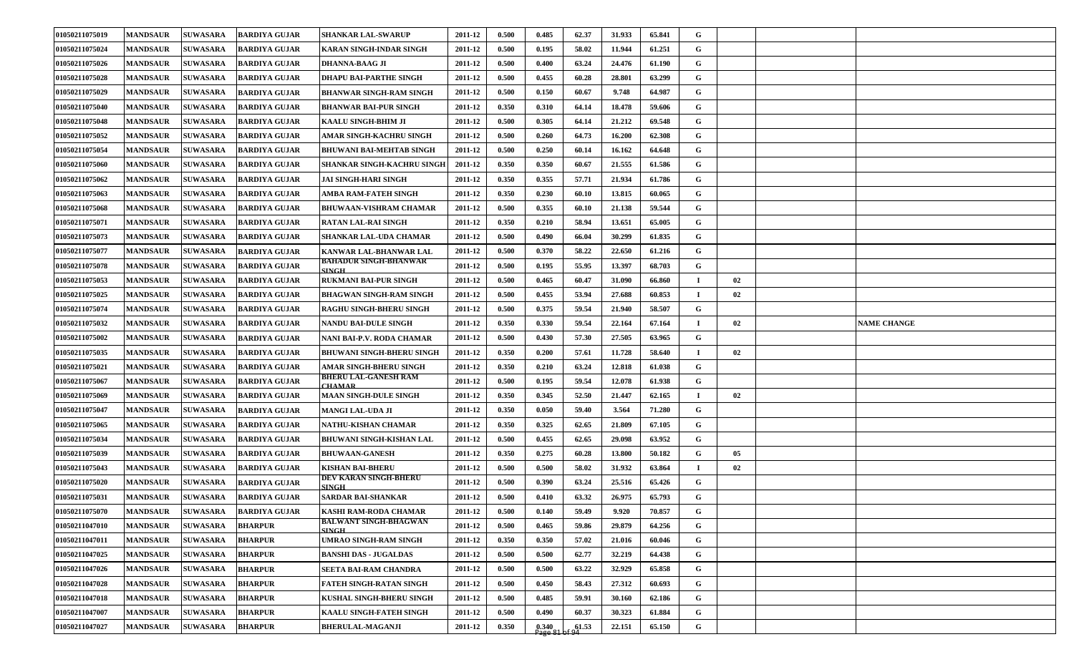| 01050211075019 | <b>MANDSAUR</b> | <b>SUWASARA</b> | <b>BARDIYA GUJAR</b> | <b>SHANKAR LAL-SWARUP</b>                    | 2011-12 | 0.500 | 0.485              | 62.37 | 31.933 | 65.841 | G           |    |                    |
|----------------|-----------------|-----------------|----------------------|----------------------------------------------|---------|-------|--------------------|-------|--------|--------|-------------|----|--------------------|
| 01050211075024 | <b>MANDSAUR</b> | <b>SUWASARA</b> | <b>BARDIYA GUJAR</b> | <b>KARAN SINGH-INDAR SINGH</b>               | 2011-12 | 0.500 | 0.195              | 58.02 | 11.944 | 61.251 | G           |    |                    |
| 01050211075026 | <b>MANDSAUR</b> | <b>SUWASARA</b> | <b>BARDIYA GUJAR</b> | <b>DHANNA-BAAG JI</b>                        | 2011-12 | 0.500 | 0.400              | 63.24 | 24.476 | 61.190 | G           |    |                    |
| 01050211075028 | <b>MANDSAUR</b> | <b>SUWASARA</b> | <b>BARDIYA GUJAR</b> | <b>DHAPU BAI-PARTHE SINGH</b>                | 2011-12 | 0.500 | 0.455              | 60.28 | 28.801 | 63.299 | G           |    |                    |
| 01050211075029 | <b>MANDSAUR</b> | <b>SUWASARA</b> | <b>BARDIYA GUJAR</b> | <b>BHANWAR SINGH-RAM SINGH</b>               | 2011-12 | 0.500 | 0.150              | 60.67 | 9.748  | 64.987 | G           |    |                    |
| 01050211075040 | <b>MANDSAUR</b> | <b>SUWASARA</b> | <b>BARDIYA GUJAR</b> | <b>BHANWAR BAI-PUR SINGH</b>                 | 2011-12 | 0.350 | 0.310              | 64.14 | 18.478 | 59.606 | G           |    |                    |
| 01050211075048 | <b>MANDSAUR</b> | <b>SUWASARA</b> | <b>BARDIYA GUJAR</b> | <b>KAALU SINGH-BHIM JI</b>                   | 2011-12 | 0.500 | 0.305              | 64.14 | 21.212 | 69.548 | G           |    |                    |
| 01050211075052 | <b>MANDSAUR</b> | <b>SUWASARA</b> | <b>BARDIYA GUJAR</b> | AMAR SINGH-KACHRU SINGH                      | 2011-12 | 0.500 | 0.260              | 64.73 | 16.200 | 62.308 | G           |    |                    |
| 01050211075054 | <b>MANDSAUR</b> | <b>SUWASARA</b> | <b>BARDIYA GUJAR</b> | <b>BHUWANI BAI-MEHTAB SINGH</b>              | 2011-12 | 0.500 | 0.250              | 60.14 | 16.162 | 64.648 | G           |    |                    |
| 01050211075060 | <b>MANDSAUR</b> | <b>SUWASARA</b> | <b>BARDIYA GUJAR</b> | <b>SHANKAR SINGH-KACHRU SINGE</b>            | 2011-12 | 0.350 | 0.350              | 60.67 | 21.555 | 61.586 | G           |    |                    |
| 01050211075062 | <b>MANDSAUR</b> | <b>SUWASARA</b> | <b>BARDIYA GUJAR</b> | <b>JAI SINGH-HARI SINGH</b>                  | 2011-12 | 0.350 | 0.355              | 57.71 | 21.934 | 61.786 | G           |    |                    |
| 01050211075063 | <b>MANDSAUR</b> | <b>SUWASARA</b> | <b>BARDIYA GUJAR</b> | AMBA RAM-FATEH SINGH                         | 2011-12 | 0.350 | 0.230              | 60.10 | 13.815 | 60.065 | G           |    |                    |
| 01050211075068 | <b>MANDSAUR</b> | <b>SUWASARA</b> | <b>BARDIYA GUJAR</b> | <b>BHUWAAN-VISHRAM CHAMAR</b>                | 2011-12 | 0.500 | 0.355              | 60.10 | 21.138 | 59.544 | G           |    |                    |
| 01050211075071 | <b>MANDSAUR</b> | <b>SUWASARA</b> | <b>BARDIYA GUJAR</b> | <b>RATAN LAL-RAI SINGH</b>                   | 2011-12 | 0.350 | 0.210              | 58.94 | 13.651 | 65.005 | G           |    |                    |
| 01050211075073 | <b>MANDSAUR</b> | <b>SUWASARA</b> | <b>BARDIYA GUJAR</b> | SHANKAR LAL-UDA CHAMAR                       | 2011-12 | 0.500 | 0.490              | 66.04 | 30.299 | 61.835 | $\mathbf G$ |    |                    |
| 01050211075077 | <b>MANDSAUR</b> | <b>SUWASARA</b> | <b>BARDIYA GUJAR</b> | KANWAR LAL-BHANWAR LAL                       | 2011-12 | 0.500 | 0.370              | 58.22 | 22.650 | 61.216 | G           |    |                    |
| 01050211075078 | <b>MANDSAUR</b> | <b>SUWASARA</b> | <b>BARDIYA GUJAR</b> | BAHADUR SINGH-BHANWAR<br><b>SINGH</b>        | 2011-12 | 0.500 | 0.195              | 55.95 | 13.397 | 68.703 | G           |    |                    |
| 01050211075053 | <b>MANDSAUR</b> | <b>SUWASARA</b> | <b>BARDIYA GUJAR</b> | <b>RUKMANI BAI-PUR SINGH</b>                 | 2011-12 | 0.500 | 0.465              | 60.47 | 31.090 | 66.860 | $\mathbf I$ | 02 |                    |
| 01050211075025 | <b>MANDSAUR</b> | <b>SUWASARA</b> | <b>BARDIYA GUJAR</b> | <b>BHAGWAN SINGH-RAM SINGH</b>               | 2011-12 | 0.500 | 0.455              | 53.94 | 27.688 | 60.853 | I           | 02 |                    |
| 01050211075074 | <b>MANDSAUR</b> | <b>SUWASARA</b> | <b>BARDIYA GUJAR</b> | <b>RAGHU SINGH-BHERU SINGH</b>               | 2011-12 | 0.500 | 0.375              | 59.54 | 21.940 | 58.507 | G           |    |                    |
| 01050211075032 | <b>MANDSAUR</b> | <b>SUWASARA</b> | <b>BARDIYA GUJAR</b> | <b>NANDU BAI-DULE SINGH</b>                  | 2011-12 | 0.350 | 0.330              | 59.54 | 22.164 | 67.164 | -1          | 02 | <b>NAME CHANGE</b> |
| 01050211075002 | <b>MANDSAUR</b> | <b>SUWASARA</b> | <b>BARDIYA GUJAR</b> | NANI BAI-P.V. RODA CHAMAR                    | 2011-12 | 0.500 | 0.430              | 57.30 | 27.505 | 63.965 | G           |    |                    |
| 01050211075035 | <b>MANDSAUR</b> | <b>SUWASARA</b> | <b>BARDIYA GUJAR</b> | <b>BHUWANI SINGH-BHERU SINGH</b>             | 2011-12 | 0.350 | 0.200              | 57.61 | 11.728 | 58.640 | $\bf{I}$    | 02 |                    |
| 01050211075021 | <b>MANDSAUR</b> | <b>SUWASARA</b> | <b>BARDIYA GUJAR</b> | AMAR SINGH-BHERU SINGH                       | 2011-12 | 0.350 | 0.210              | 63.24 | 12.818 | 61.038 | G           |    |                    |
| 01050211075067 | <b>MANDSAUR</b> | <b>SUWASARA</b> | <b>BARDIYA GUJAR</b> | BHERU LAL-GANESH RAM<br><b>CHAMAR</b>        | 2011-12 | 0.500 | 0.195              | 59.54 | 12.078 | 61.938 | G           |    |                    |
| 01050211075069 | <b>MANDSAUR</b> | <b>SUWASARA</b> | <b>BARDIYA GUJAR</b> | <b>MAAN SINGH-DULE SINGH</b>                 | 2011-12 | 0.350 | 0.345              | 52.50 | 21.447 | 62.165 | $\mathbf I$ | 02 |                    |
| 01050211075047 | <b>MANDSAUR</b> | <b>SUWASARA</b> | <b>BARDIYA GUJAR</b> | <b>MANGI LAL-UDA JI</b>                      | 2011-12 | 0.350 | 0.050              | 59.40 | 3.564  | 71.280 | G           |    |                    |
| 01050211075065 | <b>MANDSAUR</b> | <b>SUWASARA</b> | <b>BARDIYA GUJAR</b> | NATHU-KISHAN CHAMAR                          | 2011-12 | 0.350 | 0.325              | 62.65 | 21.809 | 67.105 | G           |    |                    |
| 01050211075034 | <b>MANDSAUR</b> | <b>SUWASARA</b> | <b>BARDIYA GUJAR</b> | <b>BHUWANI SINGH-KISHAN LAL</b>              | 2011-12 | 0.500 | 0.455              | 62.65 | 29.098 | 63.952 | G           |    |                    |
| 01050211075039 | <b>MANDSAUR</b> | <b>SUWASARA</b> | <b>BARDIYA GUJAR</b> | <b>BHUWAAN-GANESH</b>                        | 2011-12 | 0.350 | 0.275              | 60.28 | 13.800 | 50.182 | G           | 05 |                    |
| 01050211075043 | <b>MANDSAUR</b> | <b>SUWASARA</b> | <b>BARDIYA GUJAR</b> | KISHAN BAI-BHERU                             | 2011-12 | 0.500 | 0.500              | 58.02 | 31.932 | 63.864 | $\mathbf I$ | 02 |                    |
| 01050211075020 | <b>MANDSAUR</b> | <b>SUWASARA</b> | <b>BARDIYA GUJAR</b> | DEV KARAN SINGH-BHERU<br><b>SINGH</b>        | 2011-12 | 0.500 | 0.390              | 63.24 | 25.516 | 65.426 | G           |    |                    |
| 01050211075031 | <b>MANDSAUR</b> | <b>SUWASARA</b> | <b>BARDIYA GUJAR</b> | <b>SARDAR BAI-SHANKAR</b>                    | 2011-12 | 0.500 | 0.410              | 63.32 | 26.975 | 65.793 | G           |    |                    |
| 01050211075070 | <b>MANDSAUR</b> | <b>SUWASARA</b> | <b>BARDIYA GUJAR</b> | KASHI RAM-RODA CHAMAR                        | 2011-12 | 0.500 | 0.140              | 59.49 | 9.920  | 70.857 | G           |    |                    |
| 01050211047010 | <b>MANDSAUR</b> | <b>SUWASARA</b> | <b>BHARPUR</b>       | <b>BALWANT SINGH-BHAGWAN</b><br><b>SINGH</b> | 2011-12 | 0.500 | 0.465              | 59.86 | 29.879 | 64.256 | $\mathbf G$ |    |                    |
| 01050211047011 | <b>MANDSAUR</b> | <b>SUWASARA</b> | <b>BHARPUR</b>       | UMRAO SINGH-RAM SINGH                        | 2011-12 | 0.350 | 0.350              | 57.02 | 21.016 | 60.046 | $\mathbf G$ |    |                    |
| 01050211047025 | <b>MANDSAUR</b> | <b>SUWASARA</b> | <b>BHARPUR</b>       | <b>BANSHI DAS - JUGALDAS</b>                 | 2011-12 | 0.500 | 0.500              | 62.77 | 32.219 | 64.438 | $\mathbf G$ |    |                    |
| 01050211047026 | <b>MANDSAUR</b> | <b>SUWASARA</b> | <b>BHARPUR</b>       | SEETA BAI-RAM CHANDRA                        | 2011-12 | 0.500 | 0.500              | 63.22 | 32.929 | 65.858 | $\mathbf G$ |    |                    |
| 01050211047028 | <b>MANDSAUR</b> | <b>SUWASARA</b> | <b>BHARPUR</b>       | FATEH SINGH-RATAN SINGH                      | 2011-12 | 0.500 | 0.450              | 58.43 | 27.312 | 60.693 | $\mathbf G$ |    |                    |
| 01050211047018 | <b>MANDSAUR</b> | <b>SUWASARA</b> | <b>BHARPUR</b>       | KUSHAL SINGH-BHERU SINGH                     | 2011-12 | 0.500 | 0.485              | 59.91 | 30.160 | 62.186 | $\mathbf G$ |    |                    |
| 01050211047007 | <b>MANDSAUR</b> | <b>SUWASARA</b> | <b>BHARPUR</b>       | <b>KAALU SINGH-FATEH SINGH</b>               | 2011-12 | 0.500 | 0.490              | 60.37 | 30.323 | 61.884 | G           |    |                    |
| 01050211047027 | <b>MANDSAUR</b> | <b>SUWASARA</b> | <b>BHARPUR</b>       | <b>BHERULAL-MAGANJI</b>                      | 2011-12 | 0.350 | $0.340$<br>Page 81 | 61.53 | 22.151 | 65.150 | $\mathbf G$ |    |                    |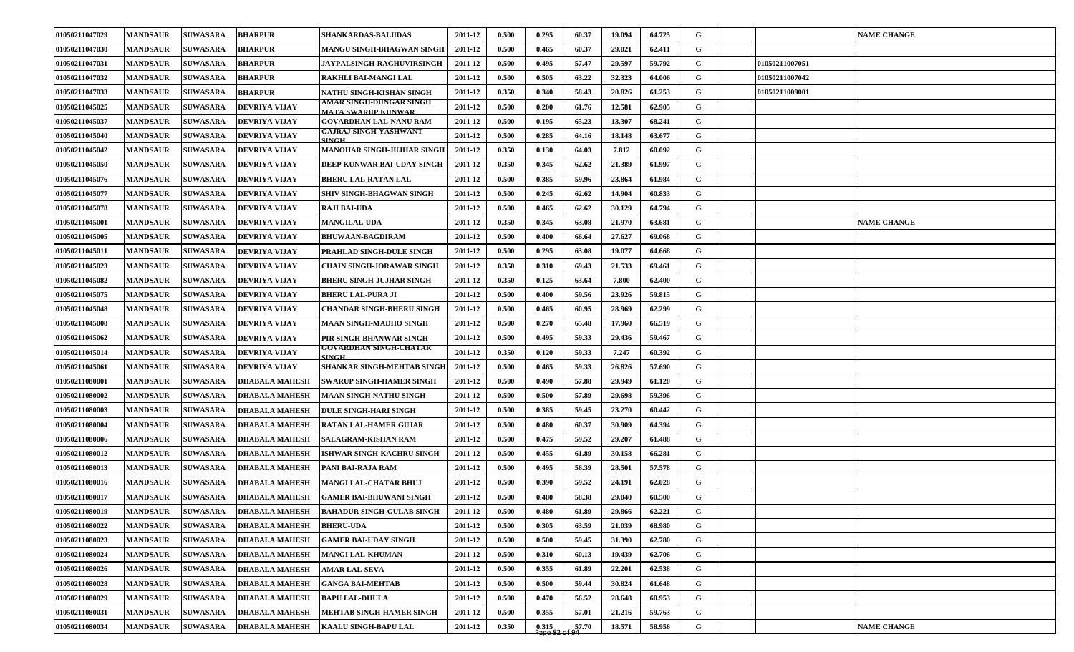| 01050211047029 | <b>MANDSAUR</b> | <b>SUWASARA</b> | <b>BHARPUR</b>        | <b>SHANKARDAS-BALUDAS</b>                       | 2011-12 | 0.500 | 0.295 | 60.37 | 19.094 | 64.725 | G           |                | <b>NAME CHANGE</b> |
|----------------|-----------------|-----------------|-----------------------|-------------------------------------------------|---------|-------|-------|-------|--------|--------|-------------|----------------|--------------------|
| 01050211047030 | <b>MANDSAUR</b> | <b>SUWASARA</b> | <b>BHARPUR</b>        | <b>MANGU SINGH-BHAGWAN SINGH</b>                | 2011-12 | 0.500 | 0.465 | 60.37 | 29.021 | 62.411 | G           |                |                    |
| 01050211047031 | <b>MANDSAUR</b> | <b>SUWASARA</b> | <b>BHARPUR</b>        | JAYPALSINGH-RAGHUVIRSINGH                       | 2011-12 | 0.500 | 0.495 | 57.47 | 29.597 | 59.792 | G           | 01050211007051 |                    |
| 01050211047032 | <b>MANDSAUR</b> | <b>SUWASARA</b> | <b>BHARPUR</b>        | RAKHLI BAI-MANGI LAL                            | 2011-12 | 0.500 | 0.505 | 63.22 | 32.323 | 64.006 | G           | 01050211007042 |                    |
| 01050211047033 | <b>MANDSAUR</b> | <b>SUWASARA</b> | <b>BHARPUR</b>        | NATHU SINGH-KISHAN SINGH                        | 2011-12 | 0.350 | 0.340 | 58.43 | 20.826 | 61.253 | G           | 01050211009001 |                    |
| 01050211045025 | <b>MANDSAUR</b> | <b>SUWASARA</b> | <b>DEVRIYA VIJAY</b>  | AMAR SINGH-DUNGAR SINGH<br>MATA SWARIJP KIJNWAR | 2011-12 | 0.500 | 0.200 | 61.76 | 12.581 | 62.905 | G           |                |                    |
| 01050211045037 | <b>MANDSAUR</b> | <b>SUWASARA</b> | <b>DEVRIYA VIJAY</b>  | GOVARDHAN LAL-NANU RAM                          | 2011-12 | 0.500 | 0.195 | 65.23 | 13.307 | 68.241 | G           |                |                    |
| 01050211045040 | <b>MANDSAUR</b> | <b>SUWASARA</b> | DEVRIYA VIJAY         | GAJRAJ SINGH-YASHWANT<br><b>SINGH</b>           | 2011-12 | 0.500 | 0.285 | 64.16 | 18.148 | 63.677 | G           |                |                    |
| 01050211045042 | <b>MANDSAUR</b> | <b>SUWASARA</b> | <b>DEVRIYA VIJAY</b>  | <b>MANOHAR SINGH-JUJHAR SINGH</b>               | 2011-12 | 0.350 | 0.130 | 64.03 | 7.812  | 60.092 | G           |                |                    |
| 01050211045050 | <b>MANDSAUR</b> | <b>SUWASARA</b> | <b>DEVRIYA VIJAY</b>  | DEEP KUNWAR BAI-UDAY SINGH                      | 2011-12 | 0.350 | 0.345 | 62.62 | 21.389 | 61.997 | G           |                |                    |
| 01050211045076 | <b>MANDSAUR</b> | <b>SUWASARA</b> | <b>DEVRIYA VIJAY</b>  | <b>BHERU LAL-RATAN LAL</b>                      | 2011-12 | 0.500 | 0.385 | 59.96 | 23.864 | 61.984 | G           |                |                    |
| 01050211045077 | <b>MANDSAUR</b> | <b>SUWASARA</b> | DEVRIYA VIJAY         | SHIV SINGH-BHAGWAN SINGH                        | 2011-12 | 0.500 | 0.245 | 62.62 | 14.904 | 60.833 | G           |                |                    |
| 01050211045078 | <b>MANDSAUR</b> | <b>SUWASARA</b> | <b>DEVRIYA VIJAY</b>  | <b>RAJI BAI-UDA</b>                             | 2011-12 | 0.500 | 0.465 | 62.62 | 30.129 | 64.794 | G           |                |                    |
| 01050211045001 | <b>MANDSAUR</b> | <b>SUWASARA</b> | <b>DEVRIYA VIJAY</b>  | <b>MANGILAL-UDA</b>                             | 2011-12 | 0.350 | 0.345 | 63.08 | 21.970 | 63.681 | G           |                | <b>NAME CHANGE</b> |
| 01050211045005 | <b>MANDSAUR</b> | <b>SUWASARA</b> | <b>DEVRIYA VIJAY</b>  | <b>BHUWAAN-BAGDIRAM</b>                         | 2011-12 | 0.500 | 0.400 | 66.64 | 27.627 | 69.068 | G           |                |                    |
| 01050211045011 | <b>MANDSAUR</b> | <b>SUWASARA</b> | <b>DEVRIYA VIJAY</b>  | PRAHLAD SINGH-DULE SINGH                        | 2011-12 | 0.500 | 0.295 | 63.08 | 19.077 | 64.668 | G           |                |                    |
| 01050211045023 | <b>MANDSAUR</b> | <b>SUWASARA</b> | <b>DEVRIYA VIJAY</b>  | CHAIN SINGH-JORAWAR SINGH                       | 2011-12 | 0.350 | 0.310 | 69.43 | 21.533 | 69.461 | G           |                |                    |
| 01050211045082 | <b>MANDSAUR</b> | <b>SUWASARA</b> | <b>DEVRIYA VIJAY</b>  | <b>BHERU SINGH-JUJHAR SINGH</b>                 | 2011-12 | 0.350 | 0.125 | 63.64 | 7.800  | 62.400 | G           |                |                    |
| 01050211045075 | <b>MANDSAUR</b> | <b>SUWASARA</b> | <b>DEVRIYA VIJAY</b>  | <b>BHERU LAL-PURA JI</b>                        | 2011-12 | 0.500 | 0.400 | 59.56 | 23.926 | 59.815 | G           |                |                    |
| 01050211045048 | <b>MANDSAUR</b> | <b>SUWASARA</b> | <b>DEVRIYA VIJAY</b>  | <b>CHANDAR SINGH-BHERU SINGH</b>                | 2011-12 | 0.500 | 0.465 | 60.95 | 28.969 | 62.299 | G           |                |                    |
| 01050211045008 | <b>MANDSAUR</b> | <b>SUWASARA</b> | <b>DEVRIYA VIJAY</b>  | <b>MAAN SINGH-MADHO SINGH</b>                   | 2011-12 | 0.500 | 0.270 | 65.48 | 17.960 | 66.519 | G           |                |                    |
| 01050211045062 | <b>MANDSAUR</b> | <b>SUWASARA</b> | <b>DEVRIYA VIJAY</b>  | PIR SINGH-BHANWAR SINGH                         | 2011-12 | 0.500 | 0.495 | 59.33 | 29.436 | 59.467 | G           |                |                    |
| 01050211045014 | <b>MANDSAUR</b> | <b>SUWASARA</b> | <b>DEVRIYA VIJAY</b>  | GOVARDHAN SINGH-CHATAR<br><b>SINGH</b>          | 2011-12 | 0.350 | 0.120 | 59.33 | 7.247  | 60.392 | G           |                |                    |
| 01050211045061 | <b>MANDSAUR</b> | <b>SUWASARA</b> | <b>DEVRIYA VIJAY</b>  | <b>SHANKAR SINGH-MEHTAB SINGE</b>               | 2011-12 | 0.500 | 0.465 | 59.33 | 26.826 | 57.690 | G           |                |                    |
| 01050211080001 | <b>MANDSAUR</b> | <b>SUWASARA</b> | <b>DHABALA MAHESH</b> | <b>SWARUP SINGH-HAMER SINGH</b>                 | 2011-12 | 0.500 | 0.490 | 57.88 | 29.949 | 61.120 | G           |                |                    |
| 01050211080002 | <b>MANDSAUR</b> | <b>SUWASARA</b> | <b>DHABALA MAHESH</b> | <b>MAAN SINGH-NATHU SINGH</b>                   | 2011-12 | 0.500 | 0.500 | 57.89 | 29.698 | 59.396 | G           |                |                    |
| 01050211080003 | <b>MANDSAUR</b> | <b>SUWASARA</b> | <b>DHABALA MAHESH</b> | <b>DULE SINGH-HARI SINGH</b>                    | 2011-12 | 0.500 | 0.385 | 59.45 | 23.270 | 60.442 | G           |                |                    |
| 01050211080004 | <b>MANDSAUR</b> | <b>SUWASARA</b> | <b>DHABALA MAHESH</b> | <b>RATAN LAL-HAMER GUJAR</b>                    | 2011-12 | 0.500 | 0.480 | 60.37 | 30.909 | 64.394 | G           |                |                    |
| 01050211080006 | <b>MANDSAUR</b> | <b>SUWASARA</b> | <b>DHABALA MAHESH</b> | <b>SALAGRAM-KISHAN RAM</b>                      | 2011-12 | 0.500 | 0.475 | 59.52 | 29.207 | 61.488 | G           |                |                    |
| 01050211080012 | <b>MANDSAUR</b> | <b>SUWASARA</b> | <b>DHABALA MAHESH</b> | <b>ISHWAR SINGH-KACHRU SINGH</b>                | 2011-12 | 0.500 | 0.455 | 61.89 | 30.158 | 66.281 | G           |                |                    |
| 01050211080013 | <b>MANDSAUR</b> | <b>SUWASARA</b> | <b>DHABALA MAHESH</b> | PANI BAI-RAJA RAM                               | 2011-12 | 0.500 | 0.495 | 56.39 | 28.501 | 57.578 | G           |                |                    |
| 01050211080016 | <b>MANDSAUR</b> | <b>SUWASARA</b> | <b>DHABALA MAHESH</b> | <b>MANGI LAL-CHATAR BHUJ</b>                    | 2011-12 | 0.500 | 0.390 | 59.52 | 24.191 | 62.028 | G           |                |                    |
| 01050211080017 | <b>MANDSAUR</b> | <b>SUWASARA</b> | <b>DHABALA MAHESH</b> | <b>GAMER BAI-BHUWANI SINGH</b>                  | 2011-12 | 0.500 | 0.480 | 58.38 | 29.040 | 60.500 | G           |                |                    |
| 01050211080019 | <b>MANDSAUR</b> | <b>SUWASARA</b> | <b>DHABALA MAHESH</b> | <b>BAHADUR SINGH-GULAB SINGH</b>                | 2011-12 | 0.500 | 0.480 | 61.89 | 29.866 | 62.221 | G           |                |                    |
| 01050211080022 | <b>MANDSAUR</b> | <b>SUWASARA</b> | <b>DHABALA MAHESH</b> | <b>BHERU-UDA</b>                                | 2011-12 | 0.500 | 0.305 | 63.59 | 21.039 | 68.980 | $\mathbf G$ |                |                    |
| 01050211080023 | <b>MANDSAUR</b> | <b>SUWASARA</b> | <b>DHABALA MAHESH</b> | <b>GAMER BAI-UDAY SINGH</b>                     | 2011-12 | 0.500 | 0.500 | 59.45 | 31.390 | 62.780 | $\mathbf G$ |                |                    |
| 01050211080024 | <b>MANDSAUR</b> | <b>SUWASARA</b> | <b>DHABALA MAHESH</b> | <b>MANGI LAL-KHUMAN</b>                         | 2011-12 | 0.500 | 0.310 | 60.13 | 19.439 | 62.706 | $\mathbf G$ |                |                    |
| 01050211080026 | <b>MANDSAUR</b> | <b>SUWASARA</b> | <b>DHABALA MAHESH</b> | <b>AMAR LAL-SEVA</b>                            | 2011-12 | 0.500 | 0.355 | 61.89 | 22.201 | 62.538 | $\mathbf G$ |                |                    |
| 01050211080028 | <b>MANDSAUR</b> | <b>SUWASARA</b> | <b>DHABALA MAHESH</b> | <b>GANGA BAI-MEHTAB</b>                         | 2011-12 | 0.500 | 0.500 | 59.44 | 30.824 | 61.648 | $\mathbf G$ |                |                    |
| 01050211080029 | <b>MANDSAUR</b> | <b>SUWASARA</b> | <b>DHABALA MAHESH</b> | <b>BAPU LAL-DHULA</b>                           | 2011-12 | 0.500 | 0.470 | 56.52 | 28.648 | 60.953 | $\mathbf G$ |                |                    |
| 01050211080031 | <b>MANDSAUR</b> | <b>SUWASARA</b> | <b>DHABALA MAHESH</b> | <b>MEHTAB SINGH-HAMER SINGH</b>                 | 2011-12 | 0.500 | 0.355 | 57.01 | 21.216 | 59.763 | G           |                |                    |
| 01050211080034 | <b>MANDSAUR</b> | <b>SUWASARA</b> | <b>DHABALA MAHESH</b> | <b>KAALU SINGH-BAPU LAL</b>                     | 2011-12 | 0.350 | 0.315 | 57.70 | 18.571 | 58.956 | $\mathbf G$ |                | <b>NAME CHANGE</b> |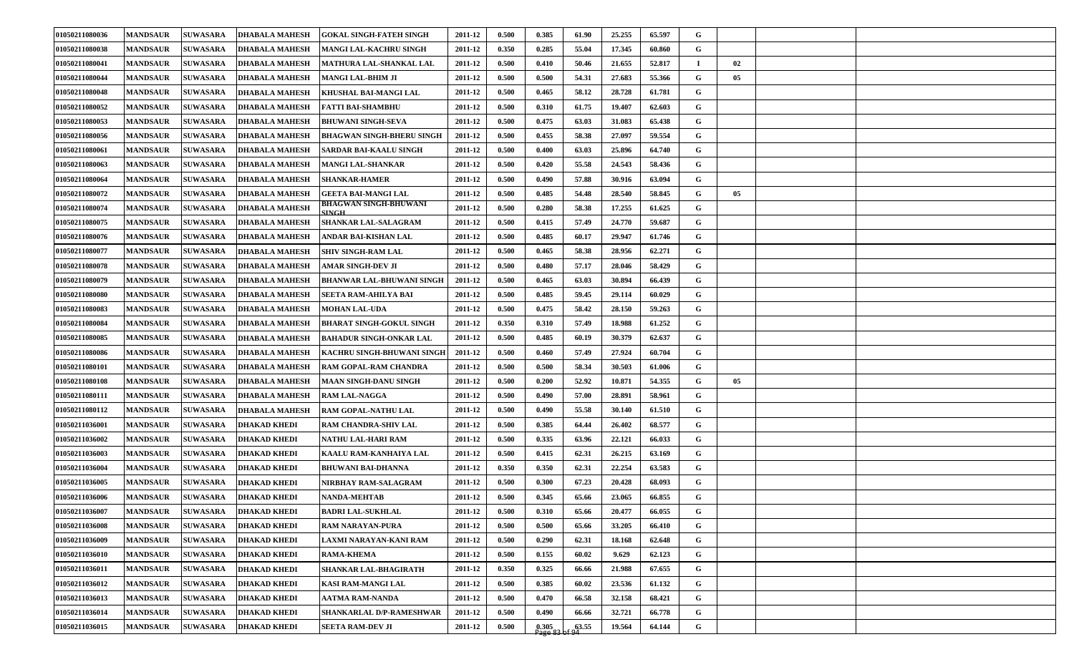| 01050211080036        | <b>MANDSAUR</b> | <b>SUWASARA</b> | <b>DHABALA MAHESH</b> | <b>GOKAL SINGH-FATEH SINGH</b>   | 2011-12 | 0.500 | 0.385 | 61.90 | 25.255 | 65.597 | G           |    |  |
|-----------------------|-----------------|-----------------|-----------------------|----------------------------------|---------|-------|-------|-------|--------|--------|-------------|----|--|
| 01050211080038        | <b>MANDSAUR</b> | <b>SUWASARA</b> | <b>DHABALA MAHESH</b> | <b>MANGI LAL-KACHRU SINGH</b>    | 2011-12 | 0.350 | 0.285 | 55.04 | 17.345 | 60.860 | G           |    |  |
| 01050211080041        | <b>MANDSAUR</b> | <b>SUWASARA</b> | <b>DHABALA MAHESH</b> | MATHURA LAL-SHANKAL LAL          | 2011-12 | 0.500 | 0.410 | 50.46 | 21.655 | 52.817 | и.          | 02 |  |
| 01050211080044        | <b>MANDSAUR</b> | <b>SUWASARA</b> | <b>DHABALA MAHESH</b> | MANGI LAL-BHIM JI                | 2011-12 | 0.500 | 0.500 | 54.31 | 27.683 | 55.366 | G           | 05 |  |
| 01050211080048        | <b>MANDSAUR</b> | <b>SUWASARA</b> | <b>DHABALA MAHESH</b> | <b>KHUSHAL BAI-MANGI LAL</b>     | 2011-12 | 0.500 | 0.465 | 58.12 | 28.728 | 61.781 | G           |    |  |
| 01050211080052        | <b>MANDSAUR</b> | <b>SUWASARA</b> | <b>DHABALA MAHESH</b> | <b>FATTI BAI-SHAMBHU</b>         | 2011-12 | 0.500 | 0.310 | 61.75 | 19.407 | 62.603 | G           |    |  |
| 01050211080053        | <b>MANDSAUR</b> | <b>SUWASARA</b> | <b>DHABALA MAHESH</b> | <b>BHUWANI SINGH-SEVA</b>        | 2011-12 | 0.500 | 0.475 | 63.03 | 31.083 | 65.438 | G           |    |  |
| 01050211080056        | <b>MANDSAUR</b> | <b>SUWASARA</b> | <b>DHABALA MAHESH</b> | <b>BHAGWAN SINGH-BHERU SINGH</b> | 2011-12 | 0.500 | 0.455 | 58.38 | 27.097 | 59.554 | G           |    |  |
| <b>01050211080061</b> | <b>MANDSAUR</b> | <b>SUWASARA</b> | <b>DHABALA MAHESH</b> | SARDAR BAI-KAALU SINGH           | 2011-12 | 0.500 | 0.400 | 63.03 | 25.896 | 64.740 | G           |    |  |
| 01050211080063        | <b>MANDSAUR</b> | <b>SUWASARA</b> | <b>DHABALA MAHESH</b> | <b>MANGI LAL-SHANKAR</b>         | 2011-12 | 0.500 | 0.420 | 55.58 | 24.543 | 58.436 | G           |    |  |
| 01050211080064        | <b>MANDSAUR</b> | <b>SUWASARA</b> | <b>DHABALA MAHESH</b> | <b>SHANKAR-HAMER</b>             | 2011-12 | 0.500 | 0.490 | 57.88 | 30.916 | 63.094 | G           |    |  |
| 01050211080072        | <b>MANDSAUR</b> | <b>SUWASARA</b> | <b>DHABALA MAHESH</b> | <b>GEETA BAI-MANGI LAL</b>       | 2011-12 | 0.500 | 0.485 | 54.48 | 28.540 | 58.845 | G           | 05 |  |
| <b>01050211080074</b> | <b>MANDSAUR</b> | <b>SUWASARA</b> | <b>DHABALA MAHESH</b> | BHAGWAN SINGH-BHUWANI<br>SINGH   | 2011-12 | 0.500 | 0.280 | 58.38 | 17.255 | 61.625 | G           |    |  |
| 01050211080075        | <b>MANDSAUR</b> | <b>SUWASARA</b> | <b>DHABALA MAHESH</b> | <b>SHANKAR LAL-SALAGRAM</b>      | 2011-12 | 0.500 | 0.415 | 57.49 | 24.770 | 59.687 | G           |    |  |
| 01050211080076        | <b>MANDSAUR</b> | <b>SUWASARA</b> | <b>DHABALA MAHESH</b> | ANDAR BAI-KISHAN LAL             | 2011-12 | 0.500 | 0.485 | 60.17 | 29.947 | 61.746 | G           |    |  |
| 01050211080077        | <b>MANDSAUR</b> | <b>SUWASARA</b> | <b>DHABALA MAHESH</b> | <b>SHIV SINGH-RAM LAL</b>        | 2011-12 | 0.500 | 0.465 | 58.38 | 28.956 | 62.271 | G           |    |  |
| 01050211080078        | <b>MANDSAUR</b> | <b>SUWASARA</b> | <b>DHABALA MAHESH</b> | AMAR SINGH-DEV JI                | 2011-12 | 0.500 | 0.480 | 57.17 | 28.046 | 58.429 | G           |    |  |
| 01050211080079        | <b>MANDSAUR</b> | <b>SUWASARA</b> | <b>DHABALA MAHESH</b> | <b>BHANWAR LAL-BHUWANI SINGH</b> | 2011-12 | 0.500 | 0.465 | 63.03 | 30.894 | 66.439 | G           |    |  |
| 01050211080080        | <b>MANDSAUR</b> | <b>SUWASARA</b> | <b>DHABALA MAHESH</b> | SEETA RAM-AHILYA BAI             | 2011-12 | 0.500 | 0.485 | 59.45 | 29.114 | 60.029 | G           |    |  |
| 01050211080083        | <b>MANDSAUR</b> | <b>SUWASARA</b> | <b>DHABALA MAHESH</b> | <b>MOHAN LAL-UDA</b>             | 2011-12 | 0.500 | 0.475 | 58.42 | 28.150 | 59.263 | G           |    |  |
| 01050211080084        | <b>MANDSAUR</b> | <b>SUWASARA</b> | <b>DHABALA MAHESH</b> | <b>BHARAT SINGH-GOKUL SINGH</b>  | 2011-12 | 0.350 | 0.310 | 57.49 | 18.988 | 61.252 | G           |    |  |
| 01050211080085        | <b>MANDSAUR</b> | <b>SUWASARA</b> | <b>DHABALA MAHESH</b> | <b>BAHADUR SINGH-ONKAR LAL</b>   | 2011-12 | 0.500 | 0.485 | 60.19 | 30.379 | 62.637 | G           |    |  |
| 01050211080086        | <b>MANDSAUR</b> | <b>SUWASARA</b> | <b>DHABALA MAHESH</b> | KACHRU SINGH-BHUWANI SINGH       | 2011-12 | 0.500 | 0.460 | 57.49 | 27.924 | 60.704 | G           |    |  |
| <b>01050211080101</b> | <b>MANDSAUR</b> | <b>SUWASARA</b> | <b>DHABALA MAHESH</b> | <b>RAM GOPAL-RAM CHANDRA</b>     | 2011-12 | 0.500 | 0.500 | 58.34 | 30.503 | 61.006 | G           |    |  |
| <b>01050211080108</b> | <b>MANDSAUR</b> | <b>SUWASARA</b> | <b>DHABALA MAHESH</b> | <b>MAAN SINGH-DANU SINGH</b>     | 2011-12 | 0.500 | 0.200 | 52.92 | 10.871 | 54.355 | G           | 05 |  |
| 01050211080111        | <b>MANDSAUR</b> | <b>SUWASARA</b> | <b>DHABALA MAHESH</b> | <b>RAM LAL-NAGGA</b>             | 2011-12 | 0.500 | 0.490 | 57.00 | 28.891 | 58.961 | G           |    |  |
| 01050211080112        | <b>MANDSAUR</b> | <b>SUWASARA</b> | <b>DHABALA MAHESH</b> | RAM GOPAL-NATHU LAL              | 2011-12 | 0.500 | 0.490 | 55.58 | 30.140 | 61.510 | G           |    |  |
| <b>01050211036001</b> | <b>MANDSAUR</b> | <b>SUWASARA</b> | <b>DHAKAD KHEDI</b>   | <b>RAM CHANDRA-SHIV LAL</b>      | 2011-12 | 0.500 | 0.385 | 64.44 | 26.402 | 68.577 | G           |    |  |
| 01050211036002        | <b>MANDSAUR</b> | <b>SUWASARA</b> | <b>DHAKAD KHEDI</b>   | <b>NATHU LAL-HARI RAM</b>        | 2011-12 | 0.500 | 0.335 | 63.96 | 22.121 | 66.033 | G           |    |  |
| 01050211036003        | <b>MANDSAUR</b> | <b>SUWASARA</b> | <b>DHAKAD KHEDI</b>   | KAALU RAM-KANHAIYA LAL           | 2011-12 | 0.500 | 0.415 | 62.31 | 26.215 | 63.169 | G           |    |  |
| <b>01050211036004</b> | <b>MANDSAUR</b> | <b>SUWASARA</b> | <b>DHAKAD KHEDI</b>   | <b>BHUWANI BAI-DHANNA</b>        | 2011-12 | 0.350 | 0.350 | 62.31 | 22.254 | 63.583 | G           |    |  |
| 01050211036005        | <b>MANDSAUR</b> | <b>SUWASARA</b> | <b>DHAKAD KHEDI</b>   | NIRBHAY RAM-SALAGRAM             | 2011-12 | 0.500 | 0.300 | 67.23 | 20.428 | 68.093 | G           |    |  |
| 01050211036006        | <b>MANDSAUR</b> | <b>SUWASARA</b> | <b>DHAKAD KHEDI</b>   | <b>NANDA-MEHTAB</b>              | 2011-12 | 0.500 | 0.345 | 65.66 | 23.065 | 66.855 | G           |    |  |
| 01050211036007        | <b>MANDSAUR</b> | <b>SUWASARA</b> | <b>DHAKAD KHEDI</b>   | <b>BADRI LAL-SUKHLAL</b>         | 2011-12 | 0.500 | 0.310 | 65.66 | 20.477 | 66.055 | G           |    |  |
| 01050211036008        | <b>MANDSAUR</b> | <b>SUWASARA</b> | <b>DHAKAD KHEDI</b>   | <b>RAM NARAYAN-PURA</b>          | 2011-12 | 0.500 | 0.500 | 65.66 | 33.205 | 66.410 | $\mathbf G$ |    |  |
| 01050211036009        | <b>MANDSAUR</b> | <b>SUWASARA</b> | <b>DHAKAD KHEDI</b>   | LAXMI NARAYAN-KANI RAM           | 2011-12 | 0.500 | 0.290 | 62.31 | 18.168 | 62.648 | G           |    |  |
| 01050211036010        | <b>MANDSAUR</b> | <b>SUWASARA</b> | <b>DHAKAD KHEDI</b>   | <b>RAMA-KHEMA</b>                | 2011-12 | 0.500 | 0.155 | 60.02 | 9.629  | 62.123 | G           |    |  |
| 01050211036011        | <b>MANDSAUR</b> | <b>SUWASARA</b> | <b>DHAKAD KHEDI</b>   | SHANKAR LAL-BHAGIRATH            | 2011-12 | 0.350 | 0.325 | 66.66 | 21.988 | 67.655 | $\mathbf G$ |    |  |
| 01050211036012        | <b>MANDSAUR</b> | <b>SUWASARA</b> | <b>DHAKAD KHEDI</b>   | KASI RAM-MANGI LAL               | 2011-12 | 0.500 | 0.385 | 60.02 | 23.536 | 61.132 | G           |    |  |
| 01050211036013        | <b>MANDSAUR</b> | <b>SUWASARA</b> | <b>DHAKAD KHEDI</b>   | AATMA RAM-NANDA                  | 2011-12 | 0.500 | 0.470 | 66.58 | 32.158 | 68.421 | G           |    |  |
| 01050211036014        | <b>MANDSAUR</b> | <b>SUWASARA</b> | <b>DHAKAD KHEDI</b>   | SHANKARLAL D/P-RAMESHWAR         | 2011-12 | 0.500 | 0.490 | 66.66 | 32.721 | 66.778 | G           |    |  |
| 01050211036015        | <b>MANDSAUR</b> | <b>SUWASARA</b> | <b>DHAKAD KHEDI</b>   | <b>SEETA RAM-DEV JI</b>          | 2011-12 | 0.500 | 0.305 | 63.55 | 19.564 | 64.144 | G           |    |  |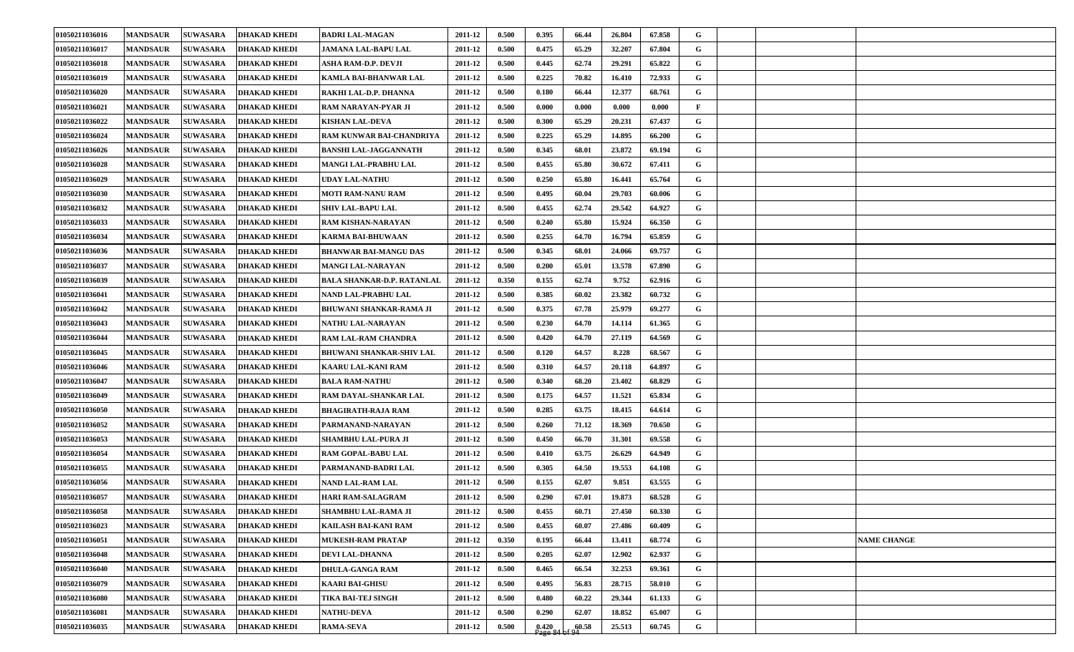| 01050211036016 | <b>MANDSAUR</b> | <b>SUWASARA</b><br><b>DHAKAD KHEDI</b> | <b>BADRI LAL-MAGAN</b>            | 2011-12 | 0.500 | 0.395   | 66.44 | 26.804 | 67.858 | G           |  |                    |
|----------------|-----------------|----------------------------------------|-----------------------------------|---------|-------|---------|-------|--------|--------|-------------|--|--------------------|
| 01050211036017 | <b>MANDSAUR</b> | <b>DHAKAD KHEDI</b><br><b>SUWASARA</b> | JAMANA LAL-BAPU LAL               | 2011-12 | 0.500 | 0.475   | 65.29 | 32.207 | 67.804 | G           |  |                    |
| 01050211036018 | <b>MANDSAUR</b> | <b>SUWASARA</b><br><b>DHAKAD KHEDI</b> | ASHA RAM-D.P. DEVJI               | 2011-12 | 0.500 | 0.445   | 62.74 | 29.291 | 65.822 | G           |  |                    |
| 01050211036019 | <b>MANDSAUR</b> | <b>SUWASARA</b><br><b>DHAKAD KHEDI</b> | KAMLA BAI-BHANWAR LAL             | 2011-12 | 0.500 | 0.225   | 70.82 | 16.410 | 72.933 | G           |  |                    |
| 01050211036020 | <b>MANDSAUR</b> | <b>SUWASARA</b><br><b>DHAKAD KHEDI</b> | RAKHI LAL-D.P. DHANNA             | 2011-12 | 0.500 | 0.180   | 66.44 | 12.377 | 68.761 | G           |  |                    |
| 01050211036021 | <b>MANDSAUR</b> | <b>SUWASARA</b><br><b>DHAKAD KHEDI</b> | RAM NARAYAN-PYAR JI               | 2011-12 | 0.500 | 0.000   | 0.000 | 0.000  | 0.000  | F           |  |                    |
| 01050211036022 | <b>MANDSAUR</b> | <b>SUWASARA</b><br><b>DHAKAD KHEDI</b> | <b>KISHAN LAL-DEVA</b>            | 2011-12 | 0.500 | 0.300   | 65.29 | 20.231 | 67.437 | G           |  |                    |
| 01050211036024 | <b>MANDSAUR</b> | <b>SUWASARA</b><br><b>DHAKAD KHEDI</b> | RAM KUNWAR BAI-CHANDRIYA          | 2011-12 | 0.500 | 0.225   | 65.29 | 14.895 | 66.200 | G           |  |                    |
| 01050211036026 | <b>MANDSAUR</b> | <b>SUWASARA</b><br><b>DHAKAD KHEDI</b> | <b>BANSHI LAL-JAGGANNATH</b>      | 2011-12 | 0.500 | 0.345   | 68.01 | 23.872 | 69.194 | G           |  |                    |
| 01050211036028 | <b>MANDSAUR</b> | <b>SUWASARA</b><br><b>DHAKAD KHEDI</b> | MANGI LAL-PRABHU LAL              | 2011-12 | 0.500 | 0.455   | 65.80 | 30.672 | 67.411 | G           |  |                    |
| 01050211036029 | <b>MANDSAUR</b> | <b>SUWASARA</b><br><b>DHAKAD KHEDI</b> | UDAY LAL-NATHU                    | 2011-12 | 0.500 | 0.250   | 65.80 | 16.441 | 65.764 | G           |  |                    |
| 01050211036030 | <b>MANDSAUR</b> | <b>SUWASARA</b><br><b>DHAKAD KHEDI</b> | MOTI RAM-NANU RAM                 | 2011-12 | 0.500 | 0.495   | 60.04 | 29.703 | 60.006 | G           |  |                    |
| 01050211036032 | <b>MANDSAUR</b> | <b>SUWASARA</b><br><b>DHAKAD KHEDI</b> | <b>SHIV LAL-BAPU LAL</b>          | 2011-12 | 0.500 | 0.455   | 62.74 | 29.542 | 64.927 | G           |  |                    |
| 01050211036033 | <b>MANDSAUR</b> | <b>SUWASARA</b><br><b>DHAKAD KHEDI</b> | RAM KISHAN-NARAYAN                | 2011-12 | 0.500 | 0.240   | 65.80 | 15.924 | 66.350 | G           |  |                    |
| 01050211036034 | <b>MANDSAUR</b> | <b>SUWASARA</b><br><b>DHAKAD KHEDI</b> | <b>KARMA BAI-BHUWAAN</b>          | 2011-12 | 0.500 | 0.255   | 64.70 | 16.794 | 65.859 | G           |  |                    |
| 01050211036036 | <b>MANDSAUR</b> | <b>SUWASARA</b><br><b>DHAKAD KHEDI</b> | BHANWAR BAI-MANGU DAS             | 2011-12 | 0.500 | 0.345   | 68.01 | 24.066 | 69.757 | G           |  |                    |
| 01050211036037 | <b>MANDSAUR</b> | <b>SUWASARA</b><br><b>DHAKAD KHEDI</b> | <b>MANGI LAL-NARAYAN</b>          | 2011-12 | 0.500 | 0.200   | 65.01 | 13.578 | 67.890 | G           |  |                    |
| 01050211036039 | <b>MANDSAUR</b> | <b>SUWASARA</b><br><b>DHAKAD KHEDI</b> | <b>BALA SHANKAR-D.P. RATANLAL</b> | 2011-12 | 0.350 | 0.155   | 62.74 | 9.752  | 62.916 | G           |  |                    |
| 01050211036041 | <b>MANDSAUR</b> | <b>SUWASARA</b><br><b>DHAKAD KHEDI</b> | NAND LAL-PRABHU LAL               | 2011-12 | 0.500 | 0.385   | 60.02 | 23.382 | 60.732 | G           |  |                    |
| 01050211036042 | <b>MANDSAUR</b> | <b>SUWASARA</b><br><b>DHAKAD KHEDI</b> | <b>BHUWANI SHANKAR-RAMA JI</b>    | 2011-12 | 0.500 | 0.375   | 67.78 | 25.979 | 69.277 | G           |  |                    |
| 01050211036043 | <b>MANDSAUR</b> | <b>SUWASARA</b><br><b>DHAKAD KHEDI</b> | NATHU LAL-NARAYAN                 | 2011-12 | 0.500 | 0.230   | 64.70 | 14.114 | 61.365 | G           |  |                    |
| 01050211036044 | <b>MANDSAUR</b> | <b>SUWASARA</b><br><b>DHAKAD KHEDI</b> | <b>RAM LAL-RAM CHANDRA</b>        | 2011-12 | 0.500 | 0.420   | 64.70 | 27.119 | 64.569 | G           |  |                    |
| 01050211036045 | <b>MANDSAUR</b> | <b>SUWASARA</b><br><b>DHAKAD KHEDI</b> | <b>BHUWANI SHANKAR-SHIV LAL</b>   | 2011-12 | 0.500 | 0.120   | 64.57 | 8.228  | 68.567 | G           |  |                    |
| 01050211036046 | <b>MANDSAUR</b> | <b>SUWASARA</b><br><b>DHAKAD KHEDI</b> | KAARU LAL-KANI RAM                | 2011-12 | 0.500 | 0.310   | 64.57 | 20.118 | 64.897 | G           |  |                    |
| 01050211036047 | <b>MANDSAUR</b> | <b>SUWASARA</b><br><b>DHAKAD KHEDI</b> | <b>BALA RAM-NATHU</b>             | 2011-12 | 0.500 | 0.340   | 68.20 | 23.402 | 68.829 | G           |  |                    |
| 01050211036049 | <b>MANDSAUR</b> | <b>SUWASARA</b><br><b>DHAKAD KHEDI</b> | RAM DAYAL-SHANKAR LAL             | 2011-12 | 0.500 | 0.175   | 64.57 | 11.521 | 65.834 | G           |  |                    |
| 01050211036050 | <b>MANDSAUR</b> | <b>SUWASARA</b><br><b>DHAKAD KHEDI</b> | <b>BHAGIRATH-RAJA RAM</b>         | 2011-12 | 0.500 | 0.285   | 63.75 | 18.415 | 64.614 | G           |  |                    |
| 01050211036052 | <b>MANDSAUR</b> | <b>SUWASARA</b><br><b>DHAKAD KHEDI</b> | PARMANAND-NARAYAN                 | 2011-12 | 0.500 | 0.260   | 71.12 | 18.369 | 70.650 | G           |  |                    |
| 01050211036053 | <b>MANDSAUR</b> | <b>SUWASARA</b><br><b>DHAKAD KHEDI</b> | <b>SHAMBHU LAL-PURA JI</b>        | 2011-12 | 0.500 | 0.450   | 66.70 | 31.301 | 69.558 | G           |  |                    |
| 01050211036054 | <b>MANDSAUR</b> | <b>SUWASARA</b><br><b>DHAKAD KHEDI</b> | RAM GOPAL-BABU LAL                | 2011-12 | 0.500 | 0.410   | 63.75 | 26.629 | 64.949 | G           |  |                    |
| 01050211036055 | <b>MANDSAUR</b> | <b>SUWASARA</b><br><b>DHAKAD KHEDI</b> | PARMANAND-BADRI LAL               | 2011-12 | 0.500 | 0.305   | 64.50 | 19.553 | 64.108 | G           |  |                    |
| 01050211036056 | <b>MANDSAUR</b> | <b>DHAKAD KHEDI</b><br><b>SUWASARA</b> | NAND LAL-RAM LAL                  | 2011-12 | 0.500 | 0.155   | 62.07 | 9.851  | 63.555 | G           |  |                    |
| 01050211036057 | <b>MANDSAUR</b> | <b>SUWASARA</b><br><b>DHAKAD KHEDI</b> | <b>HARI RAM-SALAGRAM</b>          | 2011-12 | 0.500 | 0.290   | 67.01 | 19.873 | 68.528 | G           |  |                    |
| 01050211036058 | <b>MANDSAUR</b> | <b>DHAKAD KHEDI</b><br><b>SUWASARA</b> | <b>SHAMBHU LAL-RAMA JI</b>        | 2011-12 | 0.500 | 0.455   | 60.71 | 27.450 | 60.330 | G           |  |                    |
| 01050211036023 | <b>MANDSAUR</b> | <b>SUWASARA</b><br><b>DHAKAD KHEDI</b> | KAILASH BAI-KANI RAM              | 2011-12 | 0.500 | 0.455   | 60.07 | 27.486 | 60.409 | G           |  |                    |
| 01050211036051 | <b>MANDSAUR</b> | <b>SUWASARA</b><br><b>DHAKAD KHEDI</b> | MUKESH-RAM PRATAP                 | 2011-12 | 0.350 | 0.195   | 66.44 | 13.411 | 68.774 | $\mathbf G$ |  | <b>NAME CHANGE</b> |
| 01050211036048 | <b>MANDSAUR</b> | <b>SUWASARA</b><br><b>DHAKAD KHEDI</b> | <b>DEVI LAL-DHANNA</b>            | 2011-12 | 0.500 | 0.205   | 62.07 | 12.902 | 62.937 | $\mathbf G$ |  |                    |
| 01050211036040 | <b>MANDSAUR</b> | <b>SUWASARA</b><br><b>DHAKAD KHEDI</b> | <b>DHULA-GANGA RAM</b>            | 2011-12 | 0.500 | 0.465   | 66.54 | 32.253 | 69.361 | $\mathbf G$ |  |                    |
| 01050211036079 | <b>MANDSAUR</b> | <b>SUWASARA</b><br><b>DHAKAD KHEDI</b> | <b>KAARI BAI-GHISU</b>            | 2011-12 | 0.500 | 0.495   | 56.83 | 28.715 | 58.010 | $\mathbf G$ |  |                    |
| 01050211036080 | <b>MANDSAUR</b> | <b>SUWASARA</b><br><b>DHAKAD KHEDI</b> | TIKA BAI-TEJ SINGH                | 2011-12 | 0.500 | 0.480   | 60.22 | 29.344 | 61.133 | $\mathbf G$ |  |                    |
| 01050211036081 | <b>MANDSAUR</b> | <b>SUWASARA</b><br><b>DHAKAD KHEDI</b> | <b>NATHU-DEVA</b>                 | 2011-12 | 0.500 | 0.290   | 62.07 | 18.852 | 65.007 | $\mathbf G$ |  |                    |
| 01050211036035 | <b>MANDSAUR</b> | <b>SUWASARA</b><br><b>DHAKAD KHEDI</b> | <b>RAMA-SEVA</b>                  | 2011-12 | 0.500 | [0.420] | 60.58 | 25.513 | 60.745 | G           |  |                    |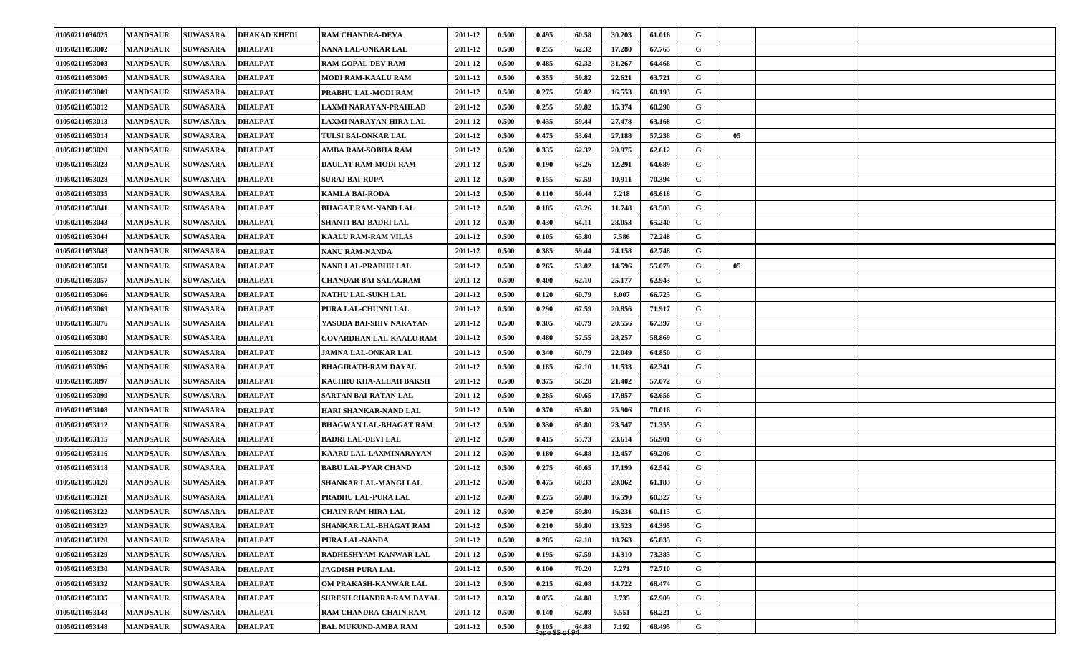| 01050211036025 | <b>MANDSAUR</b> | <b>SUWASARA</b> | <b>DHAKAD KHEDI</b> | <b>RAM CHANDRA-DEVA</b>       | 2011-12 | 0.500 | 0.495              | 60.58 | 30.203 | 61.016 | G            |    |  |
|----------------|-----------------|-----------------|---------------------|-------------------------------|---------|-------|--------------------|-------|--------|--------|--------------|----|--|
| 01050211053002 | <b>MANDSAUR</b> | <b>SUWASARA</b> | <b>DHALPAT</b>      | NANA LAL-ONKAR LAL            | 2011-12 | 0.500 | 0.255              | 62.32 | 17.280 | 67.765 | G            |    |  |
| 01050211053003 | <b>MANDSAUR</b> | <b>SUWASARA</b> | <b>DHALPAT</b>      | <b>RAM GOPAL-DEV RAM</b>      | 2011-12 | 0.500 | 0.485              | 62.32 | 31.267 | 64.468 | G            |    |  |
| 01050211053005 | <b>MANDSAUR</b> | <b>SUWASARA</b> | <b>DHALPAT</b>      | MODI RAM-KAALU RAM            | 2011-12 | 0.500 | 0.355              | 59.82 | 22.621 | 63.721 | G            |    |  |
| 01050211053009 | <b>MANDSAUR</b> | <b>SUWASARA</b> | <b>DHALPAT</b>      | PRABHU LAL-MODI RAM           | 2011-12 | 0.500 | 0.275              | 59.82 | 16.553 | 60.193 | G            |    |  |
| 01050211053012 | <b>MANDSAUR</b> | <b>SUWASARA</b> | <b>DHALPAT</b>      | LAXMI NARAYAN-PRAHLAD         | 2011-12 | 0.500 | 0.255              | 59.82 | 15.374 | 60.290 | G            |    |  |
| 01050211053013 | <b>MANDSAUR</b> | <b>SUWASARA</b> | <b>DHALPAT</b>      | LAXMI NARAYAN-HIRA LAL        | 2011-12 | 0.500 | 0.435              | 59.44 | 27.478 | 63.168 | G            |    |  |
| 01050211053014 | <b>MANDSAUR</b> | <b>SUWASARA</b> | <b>DHALPAT</b>      | TULSI BAI-ONKAR LAL           | 2011-12 | 0.500 | 0.475              | 53.64 | 27.188 | 57.238 | G            | 05 |  |
| 01050211053020 | <b>MANDSAUR</b> | <b>SUWASARA</b> | <b>DHALPAT</b>      | AMBA RAM-SOBHA RAM            | 2011-12 | 0.500 | 0.335              | 62.32 | 20.975 | 62.612 | G            |    |  |
| 01050211053023 | <b>MANDSAUR</b> | <b>SUWASARA</b> | <b>DHALPAT</b>      | DAULAT RAM-MODI RAM           | 2011-12 | 0.500 | 0.190              | 63.26 | 12.291 | 64.689 | G            |    |  |
| 01050211053028 | <b>MANDSAUR</b> | <b>SUWASARA</b> | <b>DHALPAT</b>      | <b>SURAJ BAI-RUPA</b>         | 2011-12 | 0.500 | 0.155              | 67.59 | 10.911 | 70.394 | G            |    |  |
| 01050211053035 | <b>MANDSAUR</b> | <b>SUWASARA</b> | <b>DHALPAT</b>      | <b>KAMLA BAI-RODA</b>         | 2011-12 | 0.500 | 0.110              | 59.44 | 7.218  | 65.618 | G            |    |  |
| 01050211053041 | <b>MANDSAUR</b> | <b>SUWASARA</b> | <b>DHALPAT</b>      | <b>BHAGAT RAM-NAND LAL</b>    | 2011-12 | 0.500 | 0.185              | 63.26 | 11.748 | 63.503 | G            |    |  |
| 01050211053043 | <b>MANDSAUR</b> | <b>SUWASARA</b> | <b>DHALPAT</b>      | SHANTI BAI-BADRI LAL          | 2011-12 | 0.500 | 0.430              | 64.11 | 28.053 | 65.240 | G            |    |  |
| 01050211053044 | <b>MANDSAUR</b> | <b>SUWASARA</b> | <b>DHALPAT</b>      | <b>KAALU RAM-RAM VILAS</b>    | 2011-12 | 0.500 | 0.105              | 65.80 | 7.586  | 72.248 | $\mathbf G$  |    |  |
| 01050211053048 | <b>MANDSAUR</b> | <b>SUWASARA</b> | <b>DHALPAT</b>      | NANU RAM-NANDA                | 2011-12 | 0.500 | 0.385              | 59.44 | 24.158 | 62.748 | G            |    |  |
| 01050211053051 | <b>MANDSAUR</b> | <b>SUWASARA</b> | <b>DHALPAT</b>      | NAND LAL-PRABHU LAL           | 2011-12 | 0.500 | 0.265              | 53.02 | 14.596 | 55.079 | $\mathbf G$  | 05 |  |
| 01050211053057 | <b>MANDSAUR</b> | <b>SUWASARA</b> | <b>DHALPAT</b>      | <b>CHANDAR BAI-SALAGRAM</b>   | 2011-12 | 0.500 | 0.400              | 62.10 | 25.177 | 62.943 | G            |    |  |
| 01050211053066 | <b>MANDSAUR</b> | <b>SUWASARA</b> | <b>DHALPAT</b>      | NATHU LAL-SUKH LAL            | 2011-12 | 0.500 | 0.120              | 60.79 | 8.007  | 66.725 | G            |    |  |
| 01050211053069 | <b>MANDSAUR</b> | <b>SUWASARA</b> | <b>DHALPAT</b>      | PURA LAL-CHUNNI LAL           | 2011-12 | 0.500 | 0.290              | 67.59 | 20.856 | 71.917 | G            |    |  |
| 01050211053076 | <b>MANDSAUR</b> | <b>SUWASARA</b> | <b>DHALPAT</b>      | YASODA BAI-SHIV NARAYAN       | 2011-12 | 0.500 | 0.305              | 60.79 | 20.556 | 67.397 | G            |    |  |
| 01050211053080 | <b>MANDSAUR</b> | <b>SUWASARA</b> | <b>DHALPAT</b>      | GOVARDHAN LAL-KAALU RAM       | 2011-12 | 0.500 | 0.480              | 57.55 | 28.257 | 58.869 | G            |    |  |
| 01050211053082 | <b>MANDSAUR</b> | <b>SUWASARA</b> | <b>DHALPAT</b>      | JAMNA LAL-ONKAR LAL           | 2011-12 | 0.500 | 0.340              | 60.79 | 22.049 | 64.850 | G            |    |  |
| 01050211053096 | <b>MANDSAUR</b> | <b>SUWASARA</b> | <b>DHALPAT</b>      | BHAGIRATH-RAM DAYAL           | 2011-12 | 0.500 | 0.185              | 62.10 | 11.533 | 62.341 | G            |    |  |
| 01050211053097 | <b>MANDSAUR</b> | <b>SUWASARA</b> | <b>DHALPAT</b>      | KACHRU KHA-ALLAH BAKSH        | 2011-12 | 0.500 | 0.375              | 56.28 | 21.402 | 57.072 | G            |    |  |
| 01050211053099 | <b>MANDSAUR</b> | <b>SUWASARA</b> | <b>DHALPAT</b>      | SARTAN BAI-RATAN LAL          | 2011-12 | 0.500 | 0.285              | 60.65 | 17.857 | 62.656 | G            |    |  |
| 01050211053108 | <b>MANDSAUR</b> | <b>SUWASARA</b> | <b>DHALPAT</b>      | HARI SHANKAR-NAND LAL         | 2011-12 | 0.500 | 0.370              | 65.80 | 25.906 | 70.016 | G            |    |  |
| 01050211053112 | <b>MANDSAUR</b> | <b>SUWASARA</b> | <b>DHALPAT</b>      | <b>BHAGWAN LAL-BHAGAT RAM</b> | 2011-12 | 0.500 | 0.330              | 65.80 | 23.547 | 71.355 | G            |    |  |
| 01050211053115 | <b>MANDSAUR</b> | <b>SUWASARA</b> | <b>DHALPAT</b>      | <b>BADRI LAL-DEVI LAL</b>     | 2011-12 | 0.500 | 0.415              | 55.73 | 23.614 | 56.901 | G            |    |  |
| 01050211053116 | <b>MANDSAUR</b> | <b>SUWASARA</b> | <b>DHALPAT</b>      | KAARU LAL-LAXMINARAYAN        | 2011-12 | 0.500 | 0.180              | 64.88 | 12.457 | 69.206 | G            |    |  |
| 01050211053118 | <b>MANDSAUR</b> | <b>SUWASARA</b> | <b>DHALPAT</b>      | <b>BABU LAL-PYAR CHAND</b>    | 2011-12 | 0.500 | 0.275              | 60.65 | 17.199 | 62.542 | G            |    |  |
| 01050211053120 | <b>MANDSAUR</b> | <b>SUWASARA</b> | <b>DHALPAT</b>      | SHANKAR LAL-MANGI LAL         | 2011-12 | 0.500 | 0.475              | 60.33 | 29.062 | 61.183 | G            |    |  |
| 01050211053121 | <b>MANDSAUR</b> | <b>SUWASARA</b> | <b>DHALPAT</b>      | PRABHU LAL-PURA LAL           | 2011-12 | 0.500 | 0.275              | 59.80 | 16.590 | 60.327 | G            |    |  |
| 01050211053122 | <b>MANDSAUR</b> | <b>SUWASARA</b> | <b>DHALPAT</b>      | <b>CHAIN RAM-HIRA LAL</b>     | 2011-12 | 0.500 | 0.270              | 59.80 | 16.231 | 60.115 | G            |    |  |
| 01050211053127 | <b>MANDSAUR</b> | <b>SUWASARA</b> | <b>DHALPAT</b>      | SHANKAR LAL-BHAGAT RAM        | 2011-12 | 0.500 | 0.210              | 59.80 | 13.523 | 64.395 | $\mathbf{G}$ |    |  |
| 01050211053128 | <b>MANDSAUR</b> | <b>SUWASARA</b> | <b>DHALPAT</b>      | PURA LAL-NANDA                | 2011-12 | 0.500 | 0.285              | 62.10 | 18.763 | 65.835 | $\mathbf{G}$ |    |  |
| 01050211053129 | <b>MANDSAUR</b> | <b>SUWASARA</b> | <b>DHALPAT</b>      | RADHESHYAM-KANWAR LAL         | 2011-12 | 0.500 | 0.195              | 67.59 | 14.310 | 73.385 | $\mathbf G$  |    |  |
| 01050211053130 | <b>MANDSAUR</b> | <b>SUWASARA</b> | <b>DHALPAT</b>      | <b>JAGDISH-PURA LAL</b>       | 2011-12 | 0.500 | 0.100              | 70.20 | 7.271  | 72.710 | $\mathbf G$  |    |  |
| 01050211053132 | <b>MANDSAUR</b> | <b>SUWASARA</b> | <b>DHALPAT</b>      | OM PRAKASH-KANWAR LAL         | 2011-12 | 0.500 | 0.215              | 62.08 | 14.722 | 68.474 | $\mathbf G$  |    |  |
| 01050211053135 | <b>MANDSAUR</b> | <b>SUWASARA</b> | <b>DHALPAT</b>      | SURESH CHANDRA-RAM DAYAL      | 2011-12 | 0.350 | 0.055              | 64.88 | 3.735  | 67.909 | $\mathbf G$  |    |  |
| 01050211053143 | <b>MANDSAUR</b> | <b>SUWASARA</b> | <b>DHALPAT</b>      | <b>RAM CHANDRA-CHAIN RAM</b>  | 2011-12 | 0.500 | 0.140              | 62.08 | 9.551  | 68.221 | G            |    |  |
| 01050211053148 | <b>MANDSAUR</b> | <b>SUWASARA</b> | <b>DHALPAT</b>      | <b>BAL MUKUND-AMBA RAM</b>    | 2011-12 | 0.500 | $0.105$<br>Page 85 | 64.88 | 7.192  | 68.495 | $\mathbf G$  |    |  |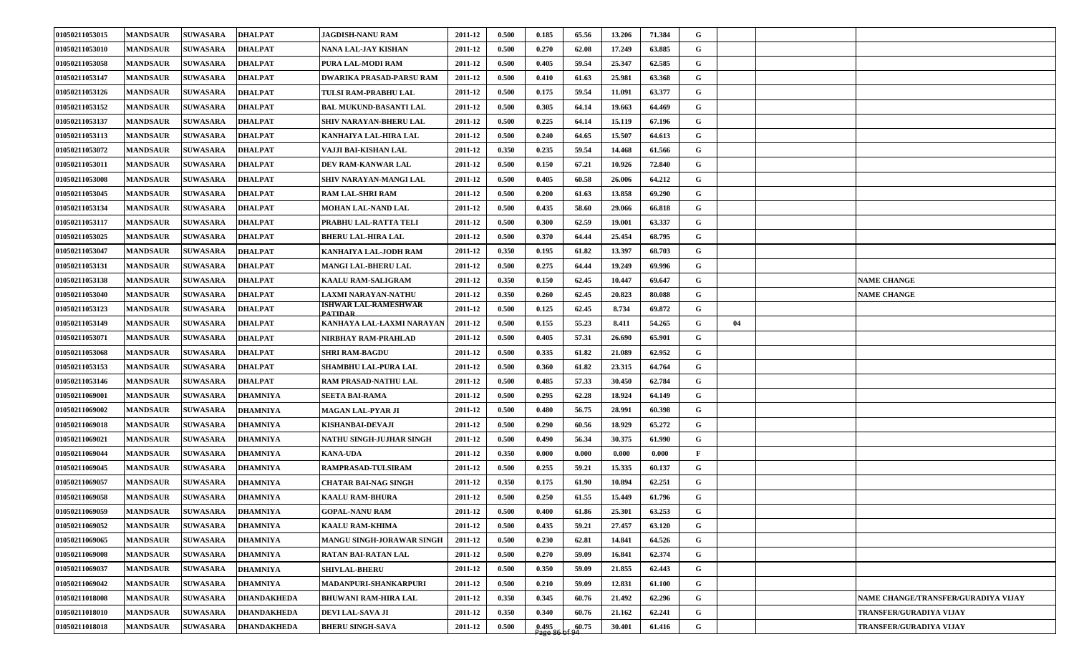| 01050211053015 | <b>MANDSAUR</b> | <b>SUWASARA</b> | <b>DHALPAT</b>     | <b>JAGDISH-NANU RAM</b>               | 2011-12 | 0.500 | 0.185 | 65.56 | 13.206 | 71.384 | G            |    |                                     |
|----------------|-----------------|-----------------|--------------------|---------------------------------------|---------|-------|-------|-------|--------|--------|--------------|----|-------------------------------------|
| 01050211053010 | <b>MANDSAUR</b> | <b>SUWASARA</b> | <b>DHALPAT</b>     | NANA LAL-JAY KISHAN                   | 2011-12 | 0.500 | 0.270 | 62.08 | 17.249 | 63.885 | G            |    |                                     |
| 01050211053058 | <b>MANDSAUR</b> | <b>SUWASARA</b> | <b>DHALPAT</b>     | PURA LAL-MODI RAM                     | 2011-12 | 0.500 | 0.405 | 59.54 | 25.347 | 62.585 | G            |    |                                     |
| 01050211053147 | <b>MANDSAUR</b> | <b>SUWASARA</b> | <b>DHALPAT</b>     | DWARIKA PRASAD-PARSU RAM              | 2011-12 | 0.500 | 0.410 | 61.63 | 25.981 | 63.368 | G            |    |                                     |
| 01050211053126 | <b>MANDSAUR</b> | <b>SUWASARA</b> | <b>DHALPAT</b>     | TULSI RAM-PRABHU LAL                  | 2011-12 | 0.500 | 0.175 | 59.54 | 11.091 | 63.377 | G            |    |                                     |
| 01050211053152 | <b>MANDSAUR</b> | <b>SUWASARA</b> | <b>DHALPAT</b>     | BAL MUKUND-BASANTI LAL                | 2011-12 | 0.500 | 0.305 | 64.14 | 19.663 | 64.469 | G            |    |                                     |
| 01050211053137 | <b>MANDSAUR</b> | <b>SUWASARA</b> | <b>DHALPAT</b>     | SHIV NARAYAN-BHERU LAL                | 2011-12 | 0.500 | 0.225 | 64.14 | 15.119 | 67.196 | G            |    |                                     |
| 01050211053113 | <b>MANDSAUR</b> | <b>SUWASARA</b> | <b>DHALPAT</b>     | KANHAIYA LAL-HIRA LAL                 | 2011-12 | 0.500 | 0.240 | 64.65 | 15.507 | 64.613 | G            |    |                                     |
| 01050211053072 | <b>MANDSAUR</b> | <b>SUWASARA</b> | <b>DHALPAT</b>     | VAJJI BAI-KISHAN LAL                  | 2011-12 | 0.350 | 0.235 | 59.54 | 14.468 | 61.566 | G            |    |                                     |
| 01050211053011 | <b>MANDSAUR</b> | <b>SUWASARA</b> | <b>DHALPAT</b>     | DEV RAM-KANWAR LAL                    | 2011-12 | 0.500 | 0.150 | 67.21 | 10.926 | 72.840 | G            |    |                                     |
| 01050211053008 | <b>MANDSAUR</b> | <b>SUWASARA</b> | <b>DHALPAT</b>     | SHIV NARAYAN-MANGI LAL                | 2011-12 | 0.500 | 0.405 | 60.58 | 26.006 | 64.212 | G            |    |                                     |
| 01050211053045 | <b>MANDSAUR</b> | <b>SUWASARA</b> | <b>DHALPAT</b>     | RAM LAL-SHRI RAM                      | 2011-12 | 0.500 | 0.200 | 61.63 | 13.858 | 69.290 | G            |    |                                     |
| 01050211053134 | <b>MANDSAUR</b> | <b>SUWASARA</b> | <b>DHALPAT</b>     | <b>MOHAN LAL-NAND LAL</b>             | 2011-12 | 0.500 | 0.435 | 58.60 | 29.066 | 66.818 | G            |    |                                     |
| 01050211053117 | <b>MANDSAUR</b> | <b>SUWASARA</b> | <b>DHALPAT</b>     | PRABHU LAL-RATTA TELI                 | 2011-12 | 0.500 | 0.300 | 62.59 | 19.001 | 63.337 | G            |    |                                     |
| 01050211053025 | <b>MANDSAUR</b> | <b>SUWASARA</b> | <b>DHALPAT</b>     | BHERU LAL-HIRA LAL                    | 2011-12 | 0.500 | 0.370 | 64.44 | 25.454 | 68.795 | G            |    |                                     |
| 01050211053047 | <b>MANDSAUR</b> | <b>SUWASARA</b> | <b>DHALPAT</b>     | KANHAIYA LAL-JODH RAM                 | 2011-12 | 0.350 | 0.195 | 61.82 | 13.397 | 68.703 | G            |    |                                     |
| 01050211053131 | <b>MANDSAUR</b> | <b>SUWASARA</b> | <b>DHALPAT</b>     | MANGI LAL-BHERU LAL                   | 2011-12 | 0.500 | 0.275 | 64.44 | 19.249 | 69.996 | G            |    |                                     |
| 01050211053138 | <b>MANDSAUR</b> | <b>SUWASARA</b> | <b>DHALPAT</b>     | <b>KAALU RAM-SALIGRAM</b>             | 2011-12 | 0.350 | 0.150 | 62.45 | 10.447 | 69.647 | G            |    | <b>NAME CHANGE</b>                  |
| 01050211053040 | <b>MANDSAUR</b> | <b>SUWASARA</b> | <b>DHALPAT</b>     | AXMI NARAYAN-NATHU                    | 2011-12 | 0.350 | 0.260 | 62.45 | 20.823 | 80.088 | G            |    | <b>NAME CHANGE</b>                  |
| 01050211053123 | <b>MANDSAUR</b> | <b>SUWASARA</b> | <b>DHALPAT</b>     | SHWAR LAL-RAMESHWAR<br><b>PATIDAR</b> | 2011-12 | 0.500 | 0.125 | 62.45 | 8.734  | 69.872 | G            |    |                                     |
| 01050211053149 | <b>MANDSAUR</b> | <b>SUWASARA</b> | <b>DHALPAT</b>     | KANHAYA LAL-LAXMI NARAYAN             | 2011-12 | 0.500 | 0.155 | 55.23 | 8.411  | 54.265 | G            | 04 |                                     |
| 01050211053071 | <b>MANDSAUR</b> | <b>SUWASARA</b> | <b>DHALPAT</b>     | NIRBHAY RAM-PRAHLAD                   | 2011-12 | 0.500 | 0.405 | 57.31 | 26.690 | 65.901 | G            |    |                                     |
| 01050211053068 | <b>MANDSAUR</b> | <b>SUWASARA</b> | <b>DHALPAT</b>     | <b>SHRI RAM-BAGDU</b>                 | 2011-12 | 0.500 | 0.335 | 61.82 | 21.089 | 62.952 | G            |    |                                     |
| 01050211053153 | <b>MANDSAUR</b> | <b>SUWASARA</b> | <b>DHALPAT</b>     | SHAMBHU LAL-PURA LAL                  | 2011-12 | 0.500 | 0.360 | 61.82 | 23.315 | 64.764 | G            |    |                                     |
| 01050211053146 | <b>MANDSAUR</b> | <b>SUWASARA</b> | <b>DHALPAT</b>     | RAM PRASAD-NATHU LAL                  | 2011-12 | 0.500 | 0.485 | 57.33 | 30.450 | 62.784 | G            |    |                                     |
| 01050211069001 | <b>MANDSAUR</b> | <b>SUWASARA</b> | <b>DHAMNIYA</b>    | <b>SEETA BAI-RAMA</b>                 | 2011-12 | 0.500 | 0.295 | 62.28 | 18.924 | 64.149 | G            |    |                                     |
| 01050211069002 | <b>MANDSAUR</b> | <b>SUWASARA</b> | <b>DHAMNIYA</b>    | MAGAN LAL-PYAR JI                     | 2011-12 | 0.500 | 0.480 | 56.75 | 28.991 | 60.398 | G            |    |                                     |
| 01050211069018 | <b>MANDSAUR</b> | <b>SUWASARA</b> | <b>DHAMNIYA</b>    | KISHANBAI-DEVAJI                      | 2011-12 | 0.500 | 0.290 | 60.56 | 18.929 | 65.272 | G            |    |                                     |
| 01050211069021 | <b>MANDSAUR</b> | <b>SUWASARA</b> | <b>DHAMNIYA</b>    | NATHU SINGH-JUJHAR SINGH              | 2011-12 | 0.500 | 0.490 | 56.34 | 30.375 | 61.990 | G            |    |                                     |
| 01050211069044 | <b>MANDSAUR</b> | <b>SUWASARA</b> | <b>DHAMNIYA</b>    | <b>KANA-UDA</b>                       | 2011-12 | 0.350 | 0.000 | 0.000 | 0.000  | 0.000  | $\mathbf{F}$ |    |                                     |
| 01050211069045 | <b>MANDSAUR</b> | <b>SUWASARA</b> | <b>DHAMNIYA</b>    | RAMPRASAD-TULSIRAM                    | 2011-12 | 0.500 | 0.255 | 59.21 | 15.335 | 60.137 | G            |    |                                     |
| 01050211069057 | <b>MANDSAUR</b> | <b>SUWASARA</b> | <b>DHAMNIYA</b>    | <b>CHATAR BAI-NAG SINGH</b>           | 2011-12 | 0.350 | 0.175 | 61.90 | 10.894 | 62.251 | G            |    |                                     |
| 01050211069058 | <b>MANDSAUR</b> | <b>SUWASARA</b> | <b>DHAMNIYA</b>    | <b>KAALU RAM-BHURA</b>                | 2011-12 | 0.500 | 0.250 | 61.55 | 15.449 | 61.796 | G            |    |                                     |
| 01050211069059 | <b>MANDSAUR</b> | <b>SUWASARA</b> | <b>DHAMNIYA</b>    | <b>GOPAL-NANU RAM</b>                 | 2011-12 | 0.500 | 0.400 | 61.86 | 25.301 | 63.253 | G            |    |                                     |
| 01050211069052 | <b>MANDSAUR</b> | <b>SUWASARA</b> | <b>DHAMNIYA</b>    | KAALU RAM-KHIMA                       | 2011-12 | 0.500 | 0.435 | 59.21 | 27.457 | 63.120 | G            |    |                                     |
| 01050211069065 | <b>MANDSAUR</b> | <b>SUWASARA</b> | <b>DHAMNIYA</b>    | MANGU SINGH-JORAWAR SINGH             | 2011-12 | 0.500 | 0.230 | 62.81 | 14.841 | 64.526 | G            |    |                                     |
| 01050211069008 | <b>MANDSAUR</b> | <b>SUWASARA</b> | <b>DHAMNIYA</b>    | RATAN BAI-RATAN LAL                   | 2011-12 | 0.500 | 0.270 | 59.09 | 16.841 | 62.374 | G            |    |                                     |
| 01050211069037 | <b>MANDSAUR</b> | <b>SUWASARA</b> | <b>DHAMNIYA</b>    | <b>SHIVLAL-BHERU</b>                  | 2011-12 | 0.500 | 0.350 | 59.09 | 21.855 | 62.443 | G            |    |                                     |
| 01050211069042 | <b>MANDSAUR</b> | <b>SUWASARA</b> | <b>DHAMNIYA</b>    | MADANPURI-SHANKARPURI                 | 2011-12 | 0.500 | 0.210 | 59.09 | 12.831 | 61.100 | G            |    |                                     |
| 01050211018008 | <b>MANDSAUR</b> | <b>SUWASARA</b> | <b>DHANDAKHEDA</b> | BHUWANI RAM-HIRA LAL                  | 2011-12 | 0.350 | 0.345 | 60.76 | 21.492 | 62.296 | G            |    | NAME CHANGE/TRANSFER/GURADIYA VIJAY |
| 01050211018010 | <b>MANDSAUR</b> | <b>SUWASARA</b> | <b>DHANDAKHEDA</b> | DEVI LAL-SAVA JI                      | 2011-12 | 0.350 | 0.340 | 60.76 | 21.162 | 62.241 | G            |    | TRANSFER/GURADIYA VIJAY             |
| 01050211018018 | <b>MANDSAUR</b> | <b>SUWASARA</b> | <b>DHANDAKHEDA</b> | <b>BHERU SINGH-SAVA</b>               | 2011-12 | 0.500 | 0.495 | 60.75 | 30.401 | 61.416 | G            |    | TRANSFER/GURADIYA VIJAY             |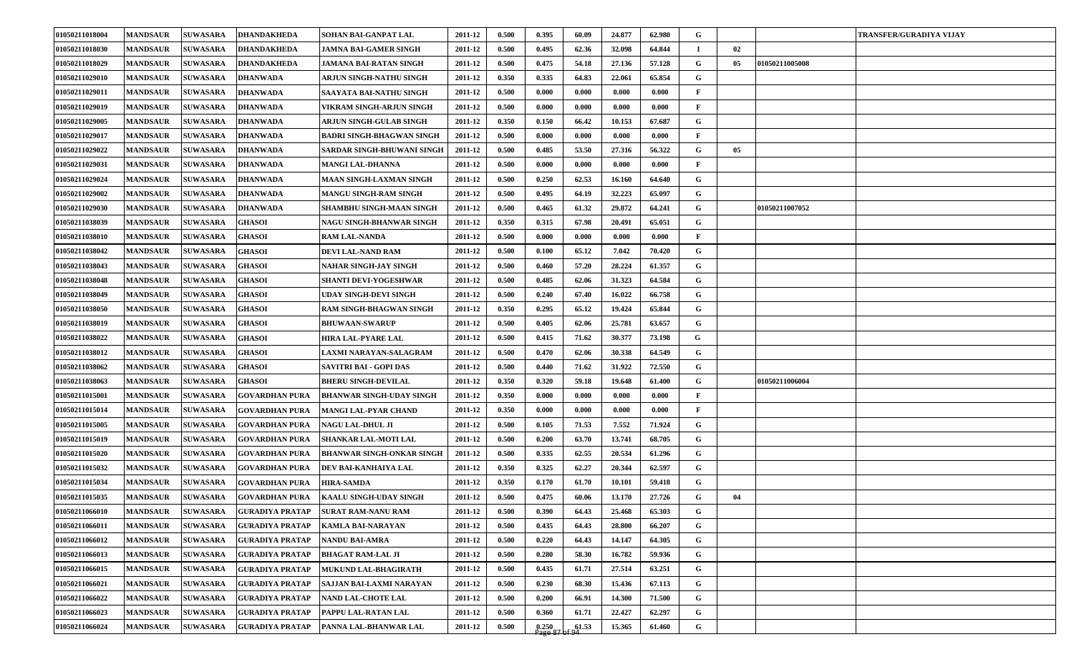| 01050211018004 | <b>MANDSAUR</b> | <b>SUWASARA</b> | <b>DHANDAKHEDA</b>     | SOHAN BAI-GANPAT LAL             | 2011-12 | 0.500 | 0.395              | 60.09 | 24.877 | 62.980 | G            |    |                | <b>TRANSFER/GURADIYA VIJAY</b> |
|----------------|-----------------|-----------------|------------------------|----------------------------------|---------|-------|--------------------|-------|--------|--------|--------------|----|----------------|--------------------------------|
| 01050211018030 | <b>MANDSAUR</b> | <b>SUWASARA</b> | <b>DHANDAKHEDA</b>     | JAMNA BAI-GAMER SINGH            | 2011-12 | 0.500 | 0.495              | 62.36 | 32.098 | 64.844 |              | 02 |                |                                |
| 01050211018029 | <b>MANDSAUR</b> | <b>SUWASARA</b> | <b>DHANDAKHEDA</b>     | JAMANA BAI-RATAN SINGH           | 2011-12 | 0.500 | 0.475              | 54.18 | 27.136 | 57.128 | G            | 05 | 01050211005008 |                                |
| 01050211029010 | <b>MANDSAUR</b> | <b>SUWASARA</b> | <b>DHANWADA</b>        | ARJUN SINGH-NATHU SINGH          | 2011-12 | 0.350 | 0.335              | 64.83 | 22.061 | 65.854 | G            |    |                |                                |
| 01050211029011 | <b>MANDSAUR</b> | <b>SUWASARA</b> | <b>DHANWADA</b>        | SAAYATA BAI-NATHU SINGH          | 2011-12 | 0.500 | 0.000              | 0.000 | 0.000  | 0.000  | $\mathbf{F}$ |    |                |                                |
| 01050211029019 | <b>MANDSAUR</b> | <b>SUWASARA</b> | <b>DHANWADA</b>        | VIKRAM SINGH-ARJUN SINGH         | 2011-12 | 0.500 | 0.000              | 0.000 | 0.000  | 0.000  | $\mathbf{F}$ |    |                |                                |
| 01050211029005 | <b>MANDSAUR</b> | <b>SUWASARA</b> | <b>DHANWADA</b>        | ARJUN SINGH-GULAB SINGH          | 2011-12 | 0.350 | 0.150              | 66.42 | 10.153 | 67.687 | G            |    |                |                                |
| 01050211029017 | <b>MANDSAUR</b> | <b>SUWASARA</b> | <b>DHANWADA</b>        | BADRI SINGH-BHAGWAN SINGH        | 2011-12 | 0.500 | 0.000              | 0.000 | 0.000  | 0.000  | F            |    |                |                                |
| 01050211029022 | <b>MANDSAUR</b> | <b>SUWASARA</b> | <b>DHANWADA</b>        | SARDAR SINGH-BHUWANI SINGH       | 2011-12 | 0.500 | 0.485              | 53.50 | 27.316 | 56.322 | G            | 05 |                |                                |
| 01050211029031 | <b>MANDSAUR</b> | <b>SUWASARA</b> | <b>DHANWADA</b>        | <b>MANGI LAL-DHANNA</b>          | 2011-12 | 0.500 | 0.000              | 0.000 | 0.000  | 0.000  | $\mathbf{F}$ |    |                |                                |
| 01050211029024 | <b>MANDSAUR</b> | <b>SUWASARA</b> | <b>DHANWADA</b>        | <b>MAAN SINGH-LAXMAN SINGH</b>   | 2011-12 | 0.500 | 0.250              | 62.53 | 16.160 | 64.640 | G            |    |                |                                |
| 01050211029002 | <b>MANDSAUR</b> | <b>SUWASARA</b> | <b>DHANWADA</b>        | <b>MANGU SINGH-RAM SINGH</b>     | 2011-12 | 0.500 | 0.495              | 64.19 | 32.223 | 65.097 | G            |    |                |                                |
| 01050211029030 | <b>MANDSAUR</b> | <b>SUWASARA</b> | <b>DHANWADA</b>        | SHAMBHU SINGH-MAAN SINGH         | 2011-12 | 0.500 | 0.465              | 61.32 | 29.872 | 64.241 | G            |    | 01050211007052 |                                |
| 01050211038039 | <b>MANDSAUR</b> | <b>SUWASARA</b> | <b>GHASOI</b>          | NAGU SINGH-BHANWAR SINGH         | 2011-12 | 0.350 | 0.315              | 67.98 | 20.491 | 65.051 | G            |    |                |                                |
| 01050211038010 | <b>MANDSAUR</b> | <b>SUWASARA</b> | <b>GHASOI</b>          | <b>RAM LAL-NANDA</b>             | 2011-12 | 0.500 | 0.000              | 0.000 | 0.000  | 0.000  | $\mathbf{F}$ |    |                |                                |
| 01050211038042 | <b>MANDSAUR</b> | <b>SUWASARA</b> | <b>GHASOI</b>          | DEVI LAL-NAND RAM                | 2011-12 | 0.500 | 0.100              | 65.12 | 7.042  | 70.420 | G            |    |                |                                |
| 01050211038043 | <b>MANDSAUR</b> | <b>SUWASARA</b> | <b>GHASOI</b>          | NAHAR SINGH-JAY SINGH            | 2011-12 | 0.500 | 0.460              | 57.20 | 28.224 | 61.357 | G            |    |                |                                |
| 01050211038048 | <b>MANDSAUR</b> | <b>SUWASARA</b> | <b>GHASOI</b>          | <b>SHANTI DEVI-YOGESHWAR</b>     | 2011-12 | 0.500 | 0.485              | 62.06 | 31.323 | 64.584 | G            |    |                |                                |
| 01050211038049 | <b>MANDSAUR</b> | <b>SUWASARA</b> | <b>GHASOI</b>          | UDAY SINGH-DEVI SINGH            | 2011-12 | 0.500 | 0.240              | 67.40 | 16.022 | 66.758 | G            |    |                |                                |
| 01050211038050 | <b>MANDSAUR</b> | <b>SUWASARA</b> | <b>GHASOI</b>          | RAM SINGH-BHAGWAN SINGH          | 2011-12 | 0.350 | 0.295              | 65.12 | 19.424 | 65.844 | G            |    |                |                                |
| 01050211038019 | <b>MANDSAUR</b> | <b>SUWASARA</b> | <b>GHASOI</b>          | <b>BHUWAAN-SWARUP</b>            | 2011-12 | 0.500 | 0.405              | 62.06 | 25.781 | 63.657 | G            |    |                |                                |
| 01050211038022 | <b>MANDSAUR</b> | <b>SUWASARA</b> | <b>GHASOI</b>          | HIRA LAL-PYARE LAL               | 2011-12 | 0.500 | 0.415              | 71.62 | 30.377 | 73.198 | G            |    |                |                                |
| 01050211038012 | <b>MANDSAUR</b> | <b>SUWASARA</b> | <b>GHASOI</b>          | AXMI NARAYAN-SALAGRAM            | 2011-12 | 0.500 | 0.470              | 62.06 | 30.338 | 64.549 | G            |    |                |                                |
| 01050211038062 | <b>MANDSAUR</b> | <b>SUWASARA</b> | <b>GHASOI</b>          | SAVITRI BAI - GOPI DAS           | 2011-12 | 0.500 | 0.440              | 71.62 | 31.922 | 72.550 | G            |    |                |                                |
| 01050211038063 | <b>MANDSAUR</b> | <b>SUWASARA</b> | <b>GHASOI</b>          | <b>BHERU SINGH-DEVILAL</b>       | 2011-12 | 0.350 | 0.320              | 59.18 | 19.648 | 61.400 | G            |    | 01050211006004 |                                |
| 01050211015001 | <b>MANDSAUR</b> | <b>SUWASARA</b> | <b>GOVARDHAN PURA</b>  | <b>BHANWAR SINGH-UDAY SINGH</b>  | 2011-12 | 0.350 | 0.000              | 0.000 | 0.000  | 0.000  | $\mathbf{F}$ |    |                |                                |
| 01050211015014 | <b>MANDSAUR</b> | <b>SUWASARA</b> | <b>GOVARDHAN PURA</b>  | MANGI LAL-PYAR CHAND             | 2011-12 | 0.350 | 0.000              | 0.000 | 0.000  | 0.000  | $\mathbf{F}$ |    |                |                                |
| 01050211015005 | <b>MANDSAUR</b> | <b>SUWASARA</b> | <b>GOVARDHAN PURA</b>  | NAGU LAL-DHUL JI                 | 2011-12 | 0.500 | 0.105              | 71.53 | 7.552  | 71.924 | G            |    |                |                                |
| 01050211015019 | <b>MANDSAUR</b> | <b>SUWASARA</b> | <b>GOVARDHAN PURA</b>  | <b>SHANKAR LAL-MOTI LAL</b>      | 2011-12 | 0.500 | 0.200              | 63.70 | 13.741 | 68.705 | G            |    |                |                                |
| 01050211015020 | <b>MANDSAUR</b> | <b>SUWASARA</b> | <b>GOVARDHAN PURA</b>  | <b>BHANWAR SINGH-ONKAR SINGH</b> | 2011-12 | 0.500 | 0.335              | 62.55 | 20.534 | 61.296 | G            |    |                |                                |
| 01050211015032 | <b>MANDSAUR</b> | <b>SUWASARA</b> | <b>GOVARDHAN PURA</b>  | DEV BAI-KANHAIYA LAL             | 2011-12 | 0.350 | 0.325              | 62.27 | 20.344 | 62.597 | G            |    |                |                                |
| 01050211015034 | <b>MANDSAUR</b> | <b>SUWASARA</b> | <b>GOVARDHAN PURA</b>  | HIRA-SAMDA                       | 2011-12 | 0.350 | 0.170              | 61.70 | 10.101 | 59.418 | G            |    |                |                                |
| 01050211015035 | <b>MANDSAUR</b> | <b>SUWASARA</b> | <b>GOVARDHAN PURA</b>  | <b>KAALU SINGH-UDAY SINGH</b>    | 2011-12 | 0.500 | 0.475              | 60.06 | 13.170 | 27.726 | G            | 04 |                |                                |
| 01050211066010 | <b>MANDSAUR</b> | <b>SUWASARA</b> | <b>GURADIYA PRATAP</b> | <b>SURAT RAM-NANU RAM</b>        | 2011-12 | 0.500 | 0.390              | 64.43 | 25.468 | 65.303 | G            |    |                |                                |
| 01050211066011 | <b>MANDSAUR</b> | <b>SUWASARA</b> | GURADIYA PRATAP        | KAMLA BAI-NARAYAN                | 2011-12 | 0.500 | 0.435              | 64.43 | 28.800 | 66.207 | G            |    |                |                                |
| 01050211066012 | <b>MANDSAUR</b> | <b>SUWASARA</b> | <b>GURADIYA PRATAP</b> | <b>NANDU BAI-AMRA</b>            | 2011-12 | 0.500 | 0.220              | 64.43 | 14.147 | 64.305 | G            |    |                |                                |
| 01050211066013 | <b>MANDSAUR</b> | <b>SUWASARA</b> | <b>GURADIYA PRATAP</b> | <b>BHAGAT RAM-LAL JI</b>         | 2011-12 | 0.500 | 0.280              | 58.30 | 16.782 | 59.936 | G            |    |                |                                |
| 01050211066015 | <b>MANDSAUR</b> | <b>SUWASARA</b> | <b>GURADIYA PRATAP</b> | <b>MUKUND LAL-BHAGIRATH</b>      | 2011-12 | 0.500 | 0.435              | 61.71 | 27.514 | 63.251 | G            |    |                |                                |
| 01050211066021 | <b>MANDSAUR</b> | <b>SUWASARA</b> | GURADIYA PRATAP        | SAJJAN BAI-LAXMI NARAYAN         | 2011-12 | 0.500 | 0.230              | 68.30 | 15.436 | 67.113 | G            |    |                |                                |
| 01050211066022 | <b>MANDSAUR</b> | <b>SUWASARA</b> | <b>GURADIYA PRATAP</b> | NAND LAL-CHOTE LAL               | 2011-12 | 0.500 | 0.200              | 66.91 | 14.300 | 71.500 | G            |    |                |                                |
| 01050211066023 | <b>MANDSAUR</b> | <b>SUWASARA</b> | <b>GURADIYA PRATAP</b> | PAPPU LAL-RATAN LAL              | 2011-12 | 0.500 | 0.360              | 61.71 | 22.427 | 62.297 | G            |    |                |                                |
| 01050211066024 | <b>MANDSAUR</b> | <b>SUWASARA</b> | <b>GURADIYA PRATAP</b> | PANNA LAL-BHANWAR LAL            | 2011-12 | 0.500 | $0.250$<br>Page 87 | 61.53 | 15.365 | 61.460 | G            |    |                |                                |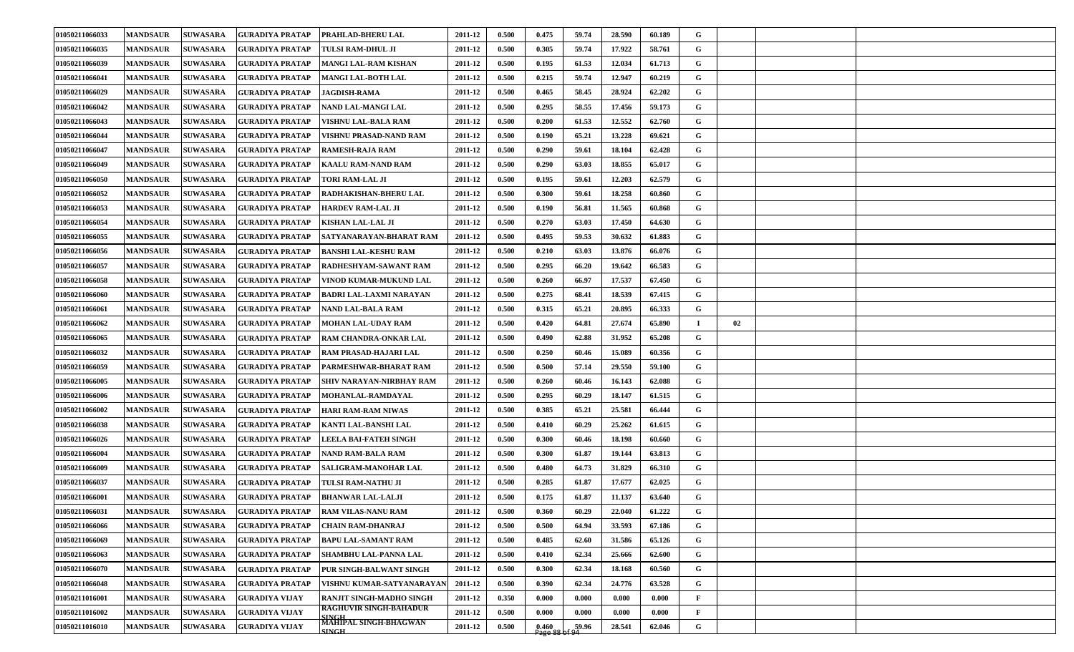| 01050211066033 | <b>MANDSAUR</b> | <b>SUWASARA</b> | <b>GURADIYA PRATAP</b> | <b>PRAHLAD-BHERU LAL</b>                       | 2011-12 | 0.500 | 0.475              | 59.74 | 28.590 | 60.189 | G            |    |  |
|----------------|-----------------|-----------------|------------------------|------------------------------------------------|---------|-------|--------------------|-------|--------|--------|--------------|----|--|
| 01050211066035 | <b>MANDSAUR</b> | <b>SUWASARA</b> | GURADIYA PRATAP        | TULSI RAM-DHUL JI                              | 2011-12 | 0.500 | 0.305              | 59.74 | 17.922 | 58.761 | G            |    |  |
| 01050211066039 | <b>MANDSAUR</b> | <b>SUWASARA</b> | <b>GURADIYA PRATAP</b> | <b>MANGI LAL-RAM KISHAN</b>                    | 2011-12 | 0.500 | 0.195              | 61.53 | 12.034 | 61.713 | G            |    |  |
| 01050211066041 | <b>MANDSAUR</b> | <b>SUWASARA</b> | GURADIYA PRATAP        | <b>MANGI LAL-BOTH LAL</b>                      | 2011-12 | 0.500 | 0.215              | 59.74 | 12.947 | 60.219 | G            |    |  |
| 01050211066029 | <b>MANDSAUR</b> | <b>SUWASARA</b> | <b>GURADIYA PRATAP</b> | <b>JAGDISH-RAMA</b>                            | 2011-12 | 0.500 | 0.465              | 58.45 | 28.924 | 62.202 | G            |    |  |
| 01050211066042 | <b>MANDSAUR</b> | <b>SUWASARA</b> | GURADIYA PRATAP        | NAND LAL-MANGI LAL                             | 2011-12 | 0.500 | 0.295              | 58.55 | 17.456 | 59.173 | G            |    |  |
| 01050211066043 | <b>MANDSAUR</b> | <b>SUWASARA</b> | <b>GURADIYA PRATAP</b> | VISHNU LAL-BALA RAM                            | 2011-12 | 0.500 | 0.200              | 61.53 | 12.552 | 62.760 | G            |    |  |
| 01050211066044 | <b>MANDSAUR</b> | <b>SUWASARA</b> | GURADIYA PRATAP        | VISHNU PRASAD-NAND RAM                         | 2011-12 | 0.500 | 0.190              | 65.21 | 13.228 | 69.621 | G            |    |  |
| 01050211066047 | <b>MANDSAUR</b> | <b>SUWASARA</b> | GURADIYA PRATAP        | <b>RAMESH-RAJA RAM</b>                         | 2011-12 | 0.500 | 0.290              | 59.61 | 18.104 | 62.428 | G            |    |  |
| 01050211066049 | <b>MANDSAUR</b> | <b>SUWASARA</b> | <b>GURADIYA PRATAP</b> | <b>KAALU RAM-NAND RAM</b>                      | 2011-12 | 0.500 | 0.290              | 63.03 | 18.855 | 65.017 | G            |    |  |
| 01050211066050 | <b>MANDSAUR</b> | <b>SUWASARA</b> | <b>GURADIYA PRATAP</b> | <b>TORI RAM-LAL JI</b>                         | 2011-12 | 0.500 | 0.195              | 59.61 | 12.203 | 62.579 | G            |    |  |
| 01050211066052 | <b>MANDSAUR</b> | <b>SUWASARA</b> | GURADIYA PRATAP        | RADHAKISHAN-BHERU LAL                          | 2011-12 | 0.500 | 0.300              | 59.61 | 18.258 | 60.860 | G            |    |  |
| 01050211066053 | <b>MANDSAUR</b> | <b>SUWASARA</b> | <b>GURADIYA PRATAP</b> | <b>HARDEV RAM-LAL JI</b>                       | 2011-12 | 0.500 | 0.190              | 56.81 | 11.565 | 60.868 | G            |    |  |
| 01050211066054 | <b>MANDSAUR</b> | <b>SUWASARA</b> | <b>GURADIYA PRATAP</b> | <b>KISHAN LAL-LAL JI</b>                       | 2011-12 | 0.500 | 0.270              | 63.03 | 17.450 | 64.630 | G            |    |  |
| 01050211066055 | <b>MANDSAUR</b> | <b>SUWASARA</b> | <b>GURADIYA PRATAP</b> | <b>SATYANARAYAN-BHARAT RAM</b>                 | 2011-12 | 0.500 | 0.495              | 59.53 | 30.632 | 61.883 | G            |    |  |
| 01050211066056 | <b>MANDSAUR</b> | <b>SUWASARA</b> | GURADIYA PRATAP        | <b>BANSHI LAL-KESHU RAM</b>                    | 2011-12 | 0.500 | 0.210              | 63.03 | 13.876 | 66.076 | G            |    |  |
| 01050211066057 | <b>MANDSAUR</b> | <b>SUWASARA</b> | <b>GURADIYA PRATAP</b> | <b>RADHESHYAM-SAWANT RAM</b>                   | 2011-12 | 0.500 | 0.295              | 66.20 | 19.642 | 66.583 | G            |    |  |
| 01050211066058 | <b>MANDSAUR</b> | <b>SUWASARA</b> | <b>GURADIYA PRATAP</b> | VINOD KUMAR-MUKUND LAL                         | 2011-12 | 0.500 | 0.260              | 66.97 | 17.537 | 67.450 | G            |    |  |
| 01050211066060 | <b>MANDSAUR</b> | <b>SUWASARA</b> | <b>GURADIYA PRATAP</b> | <b>BADRI LAL-LAXMI NARAYAN</b>                 | 2011-12 | 0.500 | 0.275              | 68.41 | 18.539 | 67.415 | G            |    |  |
| 01050211066061 | <b>MANDSAUR</b> | <b>SUWASARA</b> | GURADIYA PRATAP        | NAND LAL-BALA RAM                              | 2011-12 | 0.500 | 0.315              | 65.21 | 20.895 | 66.333 | G            |    |  |
| 01050211066062 | <b>MANDSAUR</b> | <b>SUWASARA</b> | GURADIYA PRATAP        | MOHAN LAL-UDAY RAM                             | 2011-12 | 0.500 | 0.420              | 64.81 | 27.674 | 65.890 | $\mathbf I$  | 02 |  |
| 01050211066065 | <b>MANDSAUR</b> | <b>SUWASARA</b> | <b>GURADIYA PRATAP</b> | RAM CHANDRA-ONKAR LAL                          | 2011-12 | 0.500 | 0.490              | 62.88 | 31.952 | 65.208 | G            |    |  |
| 01050211066032 | <b>MANDSAUR</b> | <b>SUWASARA</b> | <b>GURADIYA PRATAP</b> | RAM PRASAD-HAJARI LAL                          | 2011-12 | 0.500 | 0.250              | 60.46 | 15.089 | 60.356 | G            |    |  |
| 01050211066059 | <b>MANDSAUR</b> | <b>SUWASARA</b> | <b>GURADIYA PRATAP</b> | PARMESHWAR-BHARAT RAM                          | 2011-12 | 0.500 | 0.500              | 57.14 | 29.550 | 59.100 | G            |    |  |
| 01050211066005 | <b>MANDSAUR</b> | <b>SUWASARA</b> | GURADIYA PRATAP        | <b>SHIV NARAYAN-NIRBHAY RAM</b>                | 2011-12 | 0.500 | 0.260              | 60.46 | 16.143 | 62.088 | G            |    |  |
| 01050211066006 | <b>MANDSAUR</b> | <b>SUWASARA</b> | <b>GURADIYA PRATAP</b> | MOHANLAL-RAMDAYAL                              | 2011-12 | 0.500 | 0.295              | 60.29 | 18.147 | 61.515 | G            |    |  |
| 01050211066002 | <b>MANDSAUR</b> | <b>SUWASARA</b> | <b>GURADIYA PRATAP</b> | HARI RAM-RAM NIWAS                             | 2011-12 | 0.500 | 0.385              | 65.21 | 25.581 | 66.444 | G            |    |  |
| 01050211066038 | <b>MANDSAUR</b> | <b>SUWASARA</b> | GURADIYA PRATAP        | KANTI LAL-BANSHI LAL                           | 2011-12 | 0.500 | 0.410              | 60.29 | 25.262 | 61.615 | G            |    |  |
| 01050211066026 | <b>MANDSAUR</b> | <b>SUWASARA</b> | GURADIYA PRATAP        | LEELA BAI-FATEH SINGH                          | 2011-12 | 0.500 | 0.300              | 60.46 | 18.198 | 60.660 | G            |    |  |
| 01050211066004 | <b>MANDSAUR</b> | <b>SUWASARA</b> | <b>GURADIYA PRATAP</b> | NAND RAM-BALA RAM                              | 2011-12 | 0.500 | 0.300              | 61.87 | 19.144 | 63.813 | G            |    |  |
| 01050211066009 | <b>MANDSAUR</b> | <b>SUWASARA</b> | GURADIYA PRATAP        | SALIGRAM-MANOHAR LAL                           | 2011-12 | 0.500 | 0.480              | 64.73 | 31.829 | 66.310 | G            |    |  |
| 01050211066037 | <b>MANDSAUR</b> | <b>SUWASARA</b> | GURADIYA PRATAP        | TULSI RAM-NATHU JI                             | 2011-12 | 0.500 | 0.285              | 61.87 | 17.677 | 62.025 | G            |    |  |
| 01050211066001 | <b>MANDSAUR</b> | <b>SUWASARA</b> | <b>GURADIYA PRATAP</b> | <b>BHANWAR LAL-LALJI</b>                       | 2011-12 | 0.500 | 0.175              | 61.87 | 11.137 | 63.640 | G            |    |  |
| 01050211066031 | <b>MANDSAUR</b> | <b>SUWASARA</b> |                        | <b>GURADIYA PRATAP   RAM VILAS-NANU RAM</b>    | 2011-12 | 0.500 | 0.360              | 60.29 | 22.040 | 61.222 | G            |    |  |
| 01050211066066 | <b>MANDSAUR</b> | <b>SUWASARA</b> | GURADIYA PRATAP        | CHAIN RAM-DHANRAJ                              | 2011-12 | 0.500 | 0.500              | 64.94 | 33.593 | 67.186 | $\mathbf{G}$ |    |  |
| 01050211066069 | <b>MANDSAUR</b> | <b>SUWASARA</b> | GURADIYA PRATAP        | <b>BAPU LAL-SAMANT RAM</b>                     | 2011-12 | 0.500 | 0.485              | 62.60 | 31.586 | 65.126 | $\mathbf{G}$ |    |  |
| 01050211066063 | <b>MANDSAUR</b> | <b>SUWASARA</b> | <b>GURADIYA PRATAP</b> | <b>SHAMBHU LAL-PANNA LAL</b>                   | 2011-12 | 0.500 | 0.410              | 62.34 | 25.666 | 62.600 | G            |    |  |
| 01050211066070 | <b>MANDSAUR</b> | <b>SUWASARA</b> | <b>GURADIYA PRATAP</b> | PUR SINGH-BALWANT SINGH                        | 2011-12 | 0.500 | 0.300              | 62.34 | 18.168 | 60.560 | G            |    |  |
| 01050211066048 | <b>MANDSAUR</b> | <b>SUWASARA</b> | GURADIYA PRATAP        | VISHNU KUMAR-SATYANARAYAN                      | 2011-12 | 0.500 | 0.390              | 62.34 | 24.776 | 63.528 | G            |    |  |
| 01050211016001 | <b>MANDSAUR</b> | <b>SUWASARA</b> | GURADIYA VIJAY         | RANJIT SINGH-MADHO SINGH                       | 2011-12 | 0.350 | 0.000              | 0.000 | 0.000  | 0.000  | $\mathbf{F}$ |    |  |
| 01050211016002 | <b>MANDSAUR</b> | <b>SUWASARA</b> | <b>GURADIYA VIJAY</b>  | RAGHUVIR SINGH-BAHADUR                         | 2011-12 | 0.500 | 0.000              | 0.000 | 0.000  | 0.000  | $\mathbf{F}$ |    |  |
| 01050211016010 | <b>MANDSAUR</b> | <b>SUWASARA</b> | <b>GURADIYA VIJAY</b>  | SINGH<br>MAHIPAL SINGH-BHAGWAN<br><b>SINGH</b> | 2011-12 | 0.500 | $0.460$<br>Page 88 | 59.96 | 28.541 | 62.046 | G            |    |  |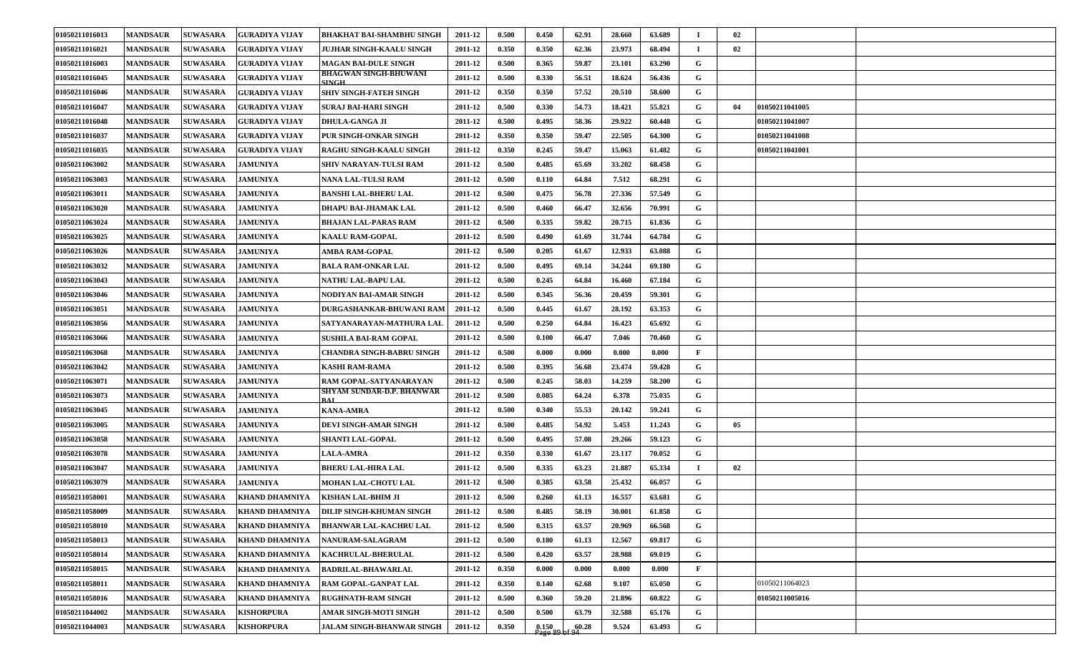| 01050211016013 | <b>MANDSAUR</b> | <b>SUWASARA</b> | GURADIYA VIJAY        | BHAKHAT BAI-SHAMBHU SINGH              | 2011-12 | 0.500 | 0.450                                                   | 62.91 | 28.660 | 63.689 | - 1          | 02                   |  |
|----------------|-----------------|-----------------|-----------------------|----------------------------------------|---------|-------|---------------------------------------------------------|-------|--------|--------|--------------|----------------------|--|
| 01050211016021 | <b>MANDSAUR</b> | <b>SUWASARA</b> | GURADIYA VIJAY        | JUJHAR SINGH-KAALU SINGH               | 2011-12 | 0.350 | 0.350                                                   | 62.36 | 23.973 | 68.494 | $\mathbf I$  | 02                   |  |
| 01050211016003 | <b>MANDSAUR</b> | <b>SUWASARA</b> | <b>GURADIYA VIJAY</b> | <b>MAGAN BAI-DULE SINGH</b>            | 2011-12 | 0.500 | 0.365                                                   | 59.87 | 23.101 | 63.290 | G            |                      |  |
| 01050211016045 | <b>MANDSAUR</b> | <b>SUWASARA</b> | GURADIYA VIJAY        | <b>BHAGWAN SINGH-BHUWANI</b><br>SING H | 2011-12 | 0.500 | 0.330                                                   | 56.51 | 18.624 | 56.436 | G            |                      |  |
| 01050211016046 | <b>MANDSAUR</b> | <b>SUWASARA</b> | GURADIYA VIJAY        | SHIV SINGH-FATEH SINGH                 | 2011-12 | 0.350 | 0.350                                                   | 57.52 | 20.510 | 58.600 | G            |                      |  |
| 01050211016047 | <b>MANDSAUR</b> | <b>SUWASARA</b> | GURADIYA VIJAY        | SURAJ BAI-HARI SINGH                   | 2011-12 | 0.500 | 0.330                                                   | 54.73 | 18.421 | 55.821 | G            | 01050211041005<br>04 |  |
| 01050211016048 | <b>MANDSAUR</b> | <b>SUWASARA</b> | <b>GURADIYA VIJAY</b> | <b>DHULA-GANGA JI</b>                  | 2011-12 | 0.500 | 0.495                                                   | 58.36 | 29.922 | 60.448 | G            | 01050211041007       |  |
| 01050211016037 | <b>MANDSAUR</b> | <b>SUWASARA</b> | GURADIYA VIJAY        | PUR SINGH-ONKAR SINGH                  | 2011-12 | 0.350 | 0.350                                                   | 59.47 | 22.505 | 64.300 | G            | 01050211041008       |  |
| 01050211016035 | <b>MANDSAUR</b> | <b>SUWASARA</b> | <b>GURADIYA VIJAY</b> | RAGHU SINGH-KAALU SINGH                | 2011-12 | 0.350 | 0.245                                                   | 59.47 | 15.063 | 61.482 | G            | 01050211041001       |  |
| 01050211063002 | <b>MANDSAUR</b> | <b>SUWASARA</b> | <b>JAMUNIYA</b>       | SHIV NARAYAN-TULSI RAM                 | 2011-12 | 0.500 | 0.485                                                   | 65.69 | 33.202 | 68.458 | G            |                      |  |
| 01050211063003 | <b>MANDSAUR</b> | <b>SUWASARA</b> | <b>JAMUNIYA</b>       | NANA LAL-TULSI RAM                     | 2011-12 | 0.500 | 0.110                                                   | 64.84 | 7.512  | 68.291 | G            |                      |  |
| 01050211063011 | <b>MANDSAUR</b> | <b>SUWASARA</b> | <b>JAMUNIYA</b>       | BANSHI LAL-BHERU LAL                   | 2011-12 | 0.500 | 0.475                                                   | 56.78 | 27.336 | 57.549 | G            |                      |  |
| 01050211063020 | <b>MANDSAUR</b> | <b>SUWASARA</b> | <b>JAMUNIYA</b>       | DHAPU BAI-JHAMAK LAL                   | 2011-12 | 0.500 | 0.460                                                   | 66.47 | 32.656 | 70.991 | G            |                      |  |
| 01050211063024 | <b>MANDSAUR</b> | <b>SUWASARA</b> | <b>JAMUNIYA</b>       | BHAJAN LAL-PARAS RAM                   | 2011-12 | 0.500 | 0.335                                                   | 59.82 | 20.715 | 61.836 | G            |                      |  |
| 01050211063025 | <b>MANDSAUR</b> | <b>SUWASARA</b> | <b>JAMUNIYA</b>       | <b>KAALU RAM-GOPAL</b>                 | 2011-12 | 0.500 | 0.490                                                   | 61.69 | 31.744 | 64.784 | G            |                      |  |
| 01050211063026 | <b>MANDSAUR</b> | <b>SUWASARA</b> | <b>JAMUNIYA</b>       | AMBA RAM-GOPAL                         | 2011-12 | 0.500 | 0.205                                                   | 61.67 | 12.933 | 63.088 | G            |                      |  |
| 01050211063032 | <b>MANDSAUR</b> | <b>SUWASARA</b> | <b>JAMUNIYA</b>       | BALA RAM-ONKAR LAL                     | 2011-12 | 0.500 | 0.495                                                   | 69.14 | 34.244 | 69.180 | G            |                      |  |
| 01050211063043 | <b>MANDSAUR</b> | <b>SUWASARA</b> | <b>JAMUNIYA</b>       | NATHU LAL-BAPU LAL                     | 2011-12 | 0.500 | 0.245                                                   | 64.84 | 16.460 | 67.184 | G            |                      |  |
| 01050211063046 | <b>MANDSAUR</b> | <b>SUWASARA</b> | <b>JAMUNIYA</b>       | NODIYAN BAI-AMAR SINGH                 | 2011-12 | 0.500 | 0.345                                                   | 56.36 | 20.459 | 59.301 | G            |                      |  |
| 01050211063051 | <b>MANDSAUR</b> | <b>SUWASARA</b> | <b>JAMUNIYA</b>       | DURGASHANKAR-BHUWANI RAM               | 2011-12 | 0.500 | 0.445                                                   | 61.67 | 28.192 | 63.353 | G            |                      |  |
| 01050211063056 | <b>MANDSAUR</b> | <b>SUWASARA</b> | <b>JAMUNIYA</b>       | SATYANARAYAN-MATHURA LAL               | 2011-12 | 0.500 | 0.250                                                   | 64.84 | 16.423 | 65.692 | G            |                      |  |
| 01050211063066 | <b>MANDSAUR</b> | <b>SUWASARA</b> | <b>JAMUNIYA</b>       | <b>SUSHILA BAI-RAM GOPAL</b>           | 2011-12 | 0.500 | 0.100                                                   | 66.47 | 7.046  | 70.460 | G            |                      |  |
| 01050211063068 | <b>MANDSAUR</b> | <b>SUWASARA</b> | <b>JAMUNIYA</b>       | CHANDRA SINGH-BABRU SINGH              | 2011-12 | 0.500 | 0.000                                                   | 0.000 | 0.000  | 0.000  | $\mathbf{F}$ |                      |  |
| 01050211063042 | <b>MANDSAUR</b> | <b>SUWASARA</b> | <b>JAMUNIYA</b>       | KASHI RAM-RAMA                         | 2011-12 | 0.500 | 0.395                                                   | 56.68 | 23.474 | 59.428 | G            |                      |  |
| 01050211063071 | <b>MANDSAUR</b> | <b>SUWASARA</b> | <b>JAMUNIYA</b>       | RAM GOPAL-SATYANARAYAN                 | 2011-12 | 0.500 | 0.245                                                   | 58.03 | 14.259 | 58.200 | G            |                      |  |
| 01050211063073 | <b>MANDSAUR</b> | <b>SUWASARA</b> | <b>JAMUNIYA</b>       | SHYAM SUNDAR-D.P. BHANWAR              | 2011-12 | 0.500 | 0.085                                                   | 64.24 | 6.378  | 75.035 | G            |                      |  |
| 01050211063045 | <b>MANDSAUR</b> | <b>SUWASARA</b> | <b>JAMUNIYA</b>       | <b>KANA-AMRA</b>                       | 2011-12 | 0.500 | 0.340                                                   | 55.53 | 20.142 | 59.241 | G            |                      |  |
| 01050211063005 | <b>MANDSAUR</b> | <b>SUWASARA</b> | <b>JAMUNIYA</b>       | DEVI SINGH-AMAR SINGH                  | 2011-12 | 0.500 | 0.485                                                   | 54.92 | 5.453  | 11.243 | G            | 05                   |  |
| 01050211063058 | <b>MANDSAUR</b> | <b>SUWASARA</b> | <b>JAMUNIYA</b>       | <b>SHANTI LAL-GOPAL</b>                | 2011-12 | 0.500 | 0.495                                                   | 57.08 | 29.266 | 59.123 | G            |                      |  |
| 01050211063078 | <b>MANDSAUR</b> | <b>SUWASARA</b> | <b>JAMUNIYA</b>       | <b>LALA-AMRA</b>                       | 2011-12 | 0.350 | 0.330                                                   | 61.67 | 23.117 | 70.052 | G            |                      |  |
| 01050211063047 | <b>MANDSAUR</b> | <b>SUWASARA</b> | <b>JAMUNIYA</b>       | BHERU LAL-HIRA LAL                     | 2011-12 | 0.500 | 0.335                                                   | 63.23 | 21.887 | 65.334 | $\bf{I}$     | 02                   |  |
| 01050211063079 | <b>MANDSAUR</b> | <b>SUWASARA</b> | <b>JAMUNIYA</b>       | <b>MOHAN LAL-CHOTU LAL</b>             | 2011-12 | 0.500 | 0.385                                                   | 63.58 | 25.432 | 66.057 | G            |                      |  |
| 01050211058001 | <b>MANDSAUR</b> | <b>SUWASARA</b> | <b>KHAND DHAMNIYA</b> | KISHAN LAL-BHIM JI                     | 2011-12 | 0.500 | 0.260                                                   | 61.13 | 16.557 | 63.681 | G            |                      |  |
| 01050211058009 | <b>MANDSAUR</b> | <b>SUWASARA</b> | <b>KHAND DHAMNIYA</b> | <b>DILIP SINGH-KHUMAN SINGH</b>        | 2011-12 | 0.500 | 0.485                                                   | 58.19 | 30.001 | 61.858 | G            |                      |  |
| 01050211058010 | <b>MANDSAUR</b> | <b>SUWASARA</b> | <b>KHAND DHAMNIYA</b> | BHANWAR LAL-KACHRU LAL                 | 2011-12 | 0.500 | 0.315                                                   | 63.57 | 20.969 | 66.568 | $\mathbf{G}$ |                      |  |
| 01050211058013 | <b>MANDSAUR</b> | <b>SUWASARA</b> | <b>KHAND DHAMNIYA</b> | NANURAM-SALAGRAM                       | 2011-12 | 0.500 | 0.180                                                   | 61.13 | 12.567 | 69.817 | G            |                      |  |
| 01050211058014 | <b>MANDSAUR</b> | <b>SUWASARA</b> | <b>KHAND DHAMNIYA</b> | KACHRULAL-BHERULAL                     | 2011-12 | 0.500 | 0.420                                                   | 63.57 | 28.988 | 69.019 | $\mathbf G$  |                      |  |
| 01050211058015 | <b>MANDSAUR</b> | <b>SUWASARA</b> | <b>KHAND DHAMNIYA</b> | <b>BADRILAL-BHAWARLAL</b>              | 2011-12 | 0.350 | 0.000                                                   | 0.000 | 0.000  | 0.000  | $\mathbf{F}$ |                      |  |
| 01050211058011 | <b>MANDSAUR</b> | <b>SUWASARA</b> | <b>KHAND DHAMNIYA</b> | RAM GOPAL-GANPAT LAL                   | 2011-12 | 0.350 | 0.140                                                   | 62.68 | 9.107  | 65.050 | G            | 01050211064023       |  |
| 01050211058016 | <b>MANDSAUR</b> | <b>SUWASARA</b> | <b>KHAND DHAMNIYA</b> | <b>RUGHNATH-RAM SINGH</b>              | 2011-12 | 0.500 | 0.360                                                   | 59.20 | 21.896 | 60.822 | G            | 01050211005016       |  |
| 01050211044002 | <b>MANDSAUR</b> | <b>SUWASARA</b> | <b>KISHORPURA</b>     | AMAR SINGH-MOTI SINGH                  | 2011-12 | 0.500 | 0.500                                                   | 63.79 | 32.588 | 65.176 | G            |                      |  |
| 01050211044003 | <b>MANDSAUR</b> | <b>SUWASARA</b> | <b>KISHORPURA</b>     | <b>JALAM SINGH-BHANWAR SINGH</b>       | 2011-12 | 0.350 | $\begin{array}{c} 0.150 \\ \text{Page } 89 \end{array}$ | 60.28 | 9.524  | 63.493 | G            |                      |  |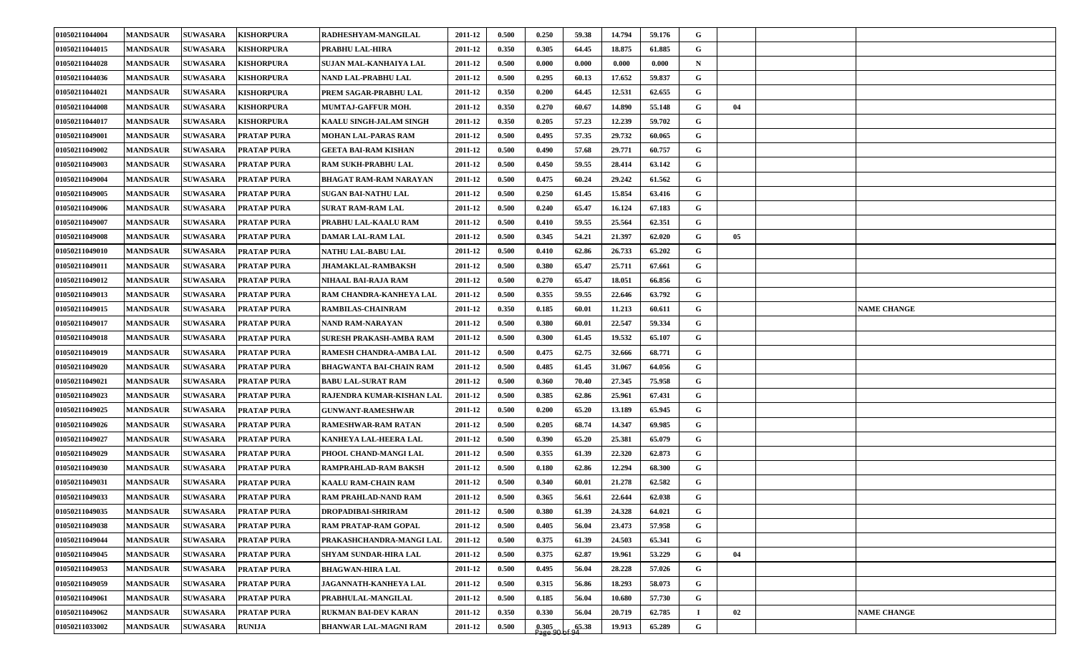| 01050211044015<br><b>MANDSAUR</b><br><b>SUWASARA</b><br><b>KISHORPURA</b><br>0.350<br>0.305<br>64.45<br>18.875<br>61.885<br>G<br>PRABHU LAL-HIRA<br>2011-12<br>01050211044028<br><b>MANDSAUR</b><br><b>SUWASARA</b><br><b>KISHORPURA</b><br>0.500<br>0.000<br>0.000<br>0.000<br>$\mathbf N$<br>SUJAN MAL-KANHAIYA LAL<br>2011-12<br>0.000<br><b>SUWASARA</b><br>0.500<br>0.295<br>60.13<br>G<br>01050211044036<br><b>MANDSAUR</b><br><b>KISHORPURA</b><br>NAND LAL-PRABHU LAL<br>2011-12<br>17.652<br>59.837<br>01050211044021<br><b>SUWASARA</b><br>0.350<br>0.200<br>64.45<br>12.531<br>62.655<br>G<br><b>MANDSAUR</b><br><b>KISHORPURA</b><br>PREM SAGAR-PRABHU LAL<br>2011-12<br>01050211044008<br>0.350<br>0.270<br>60.67<br>55.148<br>G<br>04<br><b>MANDSAUR</b><br><b>SUWASARA</b><br>2011-12<br>14.890<br><b>KISHORPURA</b><br>MUMTAJ-GAFFUR MOH.<br>01050211044017<br><b>MANDSAUR</b><br><b>SUWASARA</b><br>0.350<br>0.205<br>57.23<br>12.239<br>59.702<br>G<br><b>KISHORPURA</b><br>2011-12<br>KAALU SINGH-JALAM SINGH<br><b>SUWASARA</b><br>57.35<br>G<br>01050211049001<br><b>MANDSAUR</b><br><b>PRATAP PURA</b><br>0.500<br>0.495<br>29.732<br>60.065<br>MOHAN LAL-PARAS RAM<br>2011-12<br>01050211049002<br><b>SUWASARA</b><br>0.500<br>57.68<br>60.757<br>G<br><b>MANDSAUR</b><br><b>PRATAP PURA</b><br>GEETA BAI-RAM KISHAN<br>2011-12<br>0.490<br>29.771<br>0.500<br>0.450<br>59.55<br>G<br>01050211049003<br><b>MANDSAUR</b><br><b>SUWASARA</b><br><b>PRATAP PURA</b><br>RAM SUKH-PRABHU LAL<br>28.414<br>63.142<br>2011-12<br><b>SUWASARA</b><br>0.500<br>0.475<br>60.24<br>61.562<br>G<br>01050211049004<br><b>MANDSAUR</b><br><b>PRATAP PURA</b><br>29.242<br><b>BHAGAT RAM-RAM NARAYAN</b><br>2011-12 |  |
|-----------------------------------------------------------------------------------------------------------------------------------------------------------------------------------------------------------------------------------------------------------------------------------------------------------------------------------------------------------------------------------------------------------------------------------------------------------------------------------------------------------------------------------------------------------------------------------------------------------------------------------------------------------------------------------------------------------------------------------------------------------------------------------------------------------------------------------------------------------------------------------------------------------------------------------------------------------------------------------------------------------------------------------------------------------------------------------------------------------------------------------------------------------------------------------------------------------------------------------------------------------------------------------------------------------------------------------------------------------------------------------------------------------------------------------------------------------------------------------------------------------------------------------------------------------------------------------------------------------------------------------------------------------------------------------------------------------------------------|--|
|                                                                                                                                                                                                                                                                                                                                                                                                                                                                                                                                                                                                                                                                                                                                                                                                                                                                                                                                                                                                                                                                                                                                                                                                                                                                                                                                                                                                                                                                                                                                                                                                                                                                                                                             |  |
|                                                                                                                                                                                                                                                                                                                                                                                                                                                                                                                                                                                                                                                                                                                                                                                                                                                                                                                                                                                                                                                                                                                                                                                                                                                                                                                                                                                                                                                                                                                                                                                                                                                                                                                             |  |
|                                                                                                                                                                                                                                                                                                                                                                                                                                                                                                                                                                                                                                                                                                                                                                                                                                                                                                                                                                                                                                                                                                                                                                                                                                                                                                                                                                                                                                                                                                                                                                                                                                                                                                                             |  |
|                                                                                                                                                                                                                                                                                                                                                                                                                                                                                                                                                                                                                                                                                                                                                                                                                                                                                                                                                                                                                                                                                                                                                                                                                                                                                                                                                                                                                                                                                                                                                                                                                                                                                                                             |  |
|                                                                                                                                                                                                                                                                                                                                                                                                                                                                                                                                                                                                                                                                                                                                                                                                                                                                                                                                                                                                                                                                                                                                                                                                                                                                                                                                                                                                                                                                                                                                                                                                                                                                                                                             |  |
|                                                                                                                                                                                                                                                                                                                                                                                                                                                                                                                                                                                                                                                                                                                                                                                                                                                                                                                                                                                                                                                                                                                                                                                                                                                                                                                                                                                                                                                                                                                                                                                                                                                                                                                             |  |
|                                                                                                                                                                                                                                                                                                                                                                                                                                                                                                                                                                                                                                                                                                                                                                                                                                                                                                                                                                                                                                                                                                                                                                                                                                                                                                                                                                                                                                                                                                                                                                                                                                                                                                                             |  |
|                                                                                                                                                                                                                                                                                                                                                                                                                                                                                                                                                                                                                                                                                                                                                                                                                                                                                                                                                                                                                                                                                                                                                                                                                                                                                                                                                                                                                                                                                                                                                                                                                                                                                                                             |  |
|                                                                                                                                                                                                                                                                                                                                                                                                                                                                                                                                                                                                                                                                                                                                                                                                                                                                                                                                                                                                                                                                                                                                                                                                                                                                                                                                                                                                                                                                                                                                                                                                                                                                                                                             |  |
|                                                                                                                                                                                                                                                                                                                                                                                                                                                                                                                                                                                                                                                                                                                                                                                                                                                                                                                                                                                                                                                                                                                                                                                                                                                                                                                                                                                                                                                                                                                                                                                                                                                                                                                             |  |
| G<br>01050211049005<br><b>SUWASARA</b><br>0.500<br>0.250<br>61.45<br>15.854<br>63.416<br><b>MANDSAUR</b><br><b>PRATAP PURA</b><br>SUGAN BAI-NATHU LAL<br>2011-12                                                                                                                                                                                                                                                                                                                                                                                                                                                                                                                                                                                                                                                                                                                                                                                                                                                                                                                                                                                                                                                                                                                                                                                                                                                                                                                                                                                                                                                                                                                                                            |  |
| 0.500<br>65.47<br>G<br>01050211049006<br><b>MANDSAUR</b><br><b>SUWASARA</b><br>0.240<br>16.124<br>67.183<br><b>PRATAP PURA</b><br><b>SURAT RAM-RAM LAL</b><br>2011-12                                                                                                                                                                                                                                                                                                                                                                                                                                                                                                                                                                                                                                                                                                                                                                                                                                                                                                                                                                                                                                                                                                                                                                                                                                                                                                                                                                                                                                                                                                                                                       |  |
| 0.500<br>59.55<br>G<br>01050211049007<br><b>MANDSAUR</b><br><b>SUWASARA</b><br><b>PRATAP PURA</b><br>PRABHU LAL-KAALU RAM<br>2011-12<br>0.410<br>25.564<br>62.351                                                                                                                                                                                                                                                                                                                                                                                                                                                                                                                                                                                                                                                                                                                                                                                                                                                                                                                                                                                                                                                                                                                                                                                                                                                                                                                                                                                                                                                                                                                                                           |  |
| $\mathbf G$<br>05<br><b>SUWASARA</b><br><b>PRATAP PURA</b><br>0.500<br>0.345<br>54.21<br>21.397<br>62.020<br>01050211049008<br><b>MANDSAUR</b><br><b>DAMAR LAL-RAM LAL</b><br>2011-12                                                                                                                                                                                                                                                                                                                                                                                                                                                                                                                                                                                                                                                                                                                                                                                                                                                                                                                                                                                                                                                                                                                                                                                                                                                                                                                                                                                                                                                                                                                                       |  |
| G<br>01050211049010<br><b>MANDSAUR</b><br><b>SUWASARA</b><br><b>PRATAP PURA</b><br>NATHU LAL-BABU LAL<br>0.500<br>0.410<br>62.86<br>26.733<br>65.202<br>2011-12                                                                                                                                                                                                                                                                                                                                                                                                                                                                                                                                                                                                                                                                                                                                                                                                                                                                                                                                                                                                                                                                                                                                                                                                                                                                                                                                                                                                                                                                                                                                                             |  |
| 01050211049011<br>0.500<br>65.47<br>G<br><b>MANDSAUR</b><br><b>SUWASARA</b><br><b>PRATAP PURA</b><br><b>JHAMAKLAL-RAMBAKSH</b><br>2011-12<br>0.380<br>25.711<br>67.661                                                                                                                                                                                                                                                                                                                                                                                                                                                                                                                                                                                                                                                                                                                                                                                                                                                                                                                                                                                                                                                                                                                                                                                                                                                                                                                                                                                                                                                                                                                                                      |  |
| G<br>01050211049012<br><b>MANDSAUR</b><br><b>SUWASARA</b><br>0.500<br>0.270<br>65.47<br>18.051<br>66.856<br><b>PRATAP PURA</b><br>NIHAAL BAI-RAJA RAM<br>2011-12                                                                                                                                                                                                                                                                                                                                                                                                                                                                                                                                                                                                                                                                                                                                                                                                                                                                                                                                                                                                                                                                                                                                                                                                                                                                                                                                                                                                                                                                                                                                                            |  |
| <b>SUWASARA</b><br>0.355<br>59.55<br>22.646<br>63.792<br>G<br>01050211049013<br><b>MANDSAUR</b><br><b>PRATAP PURA</b><br>RAM CHANDRA-KANHEYA LAL<br>2011-12<br>0.500                                                                                                                                                                                                                                                                                                                                                                                                                                                                                                                                                                                                                                                                                                                                                                                                                                                                                                                                                                                                                                                                                                                                                                                                                                                                                                                                                                                                                                                                                                                                                        |  |
| 01050211049015<br><b>MANDSAUR</b><br><b>SUWASARA</b><br><b>PRATAP PURA</b><br><b>RAMBILAS-CHAINRAM</b><br>2011-12<br>0.350<br>0.185<br>60.01<br>11.213<br>60.611<br>G<br><b>NAME CHANGE</b>                                                                                                                                                                                                                                                                                                                                                                                                                                                                                                                                                                                                                                                                                                                                                                                                                                                                                                                                                                                                                                                                                                                                                                                                                                                                                                                                                                                                                                                                                                                                 |  |
| 01050211049017<br><b>SUWASARA</b><br>0.500<br>22.547<br>59.334<br>G<br><b>MANDSAUR</b><br><b>PRATAP PURA</b><br>NAND RAM-NARAYAN<br>2011-12<br>0.380<br>60.01                                                                                                                                                                                                                                                                                                                                                                                                                                                                                                                                                                                                                                                                                                                                                                                                                                                                                                                                                                                                                                                                                                                                                                                                                                                                                                                                                                                                                                                                                                                                                               |  |
| 0.500<br>G<br>01050211049018<br><b>MANDSAUR</b><br><b>SUWASARA</b><br><b>PRATAP PURA</b><br>SURESH PRAKASH-AMBA RAM<br>2011-12<br>0.300<br>61.45<br>19.532<br>65.107                                                                                                                                                                                                                                                                                                                                                                                                                                                                                                                                                                                                                                                                                                                                                                                                                                                                                                                                                                                                                                                                                                                                                                                                                                                                                                                                                                                                                                                                                                                                                        |  |
| <b>SUWASARA</b><br>32.666<br>G<br>01050211049019<br><b>MANDSAUR</b><br><b>PRATAP PURA</b><br>RAMESH CHANDRA-AMBA LAL<br>2011-12<br>0.500<br>0.475<br>62.75<br>68.771                                                                                                                                                                                                                                                                                                                                                                                                                                                                                                                                                                                                                                                                                                                                                                                                                                                                                                                                                                                                                                                                                                                                                                                                                                                                                                                                                                                                                                                                                                                                                        |  |
| 01050211049020<br><b>MANDSAUR</b><br><b>SUWASARA</b><br><b>PRATAP PURA</b><br>2011-12<br>0.500<br>0.485<br>61.45<br>31.067<br>64.056<br>G<br><b>BHAGWANTA BAI-CHAIN RAM</b>                                                                                                                                                                                                                                                                                                                                                                                                                                                                                                                                                                                                                                                                                                                                                                                                                                                                                                                                                                                                                                                                                                                                                                                                                                                                                                                                                                                                                                                                                                                                                 |  |
| 01050211049021<br>0.500<br>70.40<br>G<br><b>MANDSAUR</b><br><b>SUWASARA</b><br><b>BABU LAL-SURAT RAM</b><br>2011-12<br>0.360<br>27.345<br>75.958<br><b>PRATAP PURA</b>                                                                                                                                                                                                                                                                                                                                                                                                                                                                                                                                                                                                                                                                                                                                                                                                                                                                                                                                                                                                                                                                                                                                                                                                                                                                                                                                                                                                                                                                                                                                                      |  |
| 01050211049023<br><b>SUWASARA</b><br><b>PRATAP PURA</b><br>0.500<br>0.385<br>62.86<br>25.961<br>67.431<br>G<br><b>MANDSAUR</b><br>RAJENDRA KUMAR-KISHAN LAL<br>2011-12                                                                                                                                                                                                                                                                                                                                                                                                                                                                                                                                                                                                                                                                                                                                                                                                                                                                                                                                                                                                                                                                                                                                                                                                                                                                                                                                                                                                                                                                                                                                                      |  |
| <b>SUWASARA</b><br>0.500<br>G<br>01050211049025<br><b>MANDSAUR</b><br><b>PRATAP PURA</b><br><b>GUNWANT-RAMESHWAR</b><br>0.200<br>65.20<br>13.189<br>65.945<br>2011-12                                                                                                                                                                                                                                                                                                                                                                                                                                                                                                                                                                                                                                                                                                                                                                                                                                                                                                                                                                                                                                                                                                                                                                                                                                                                                                                                                                                                                                                                                                                                                       |  |
| 01050211049026<br><b>SUWASARA</b><br>0.500<br>0.205<br>68.74<br>G<br><b>MANDSAUR</b><br><b>PRATAP PURA</b><br><b>RAMESHWAR-RAM RATAN</b><br>2011-12<br>14.347<br>69.985                                                                                                                                                                                                                                                                                                                                                                                                                                                                                                                                                                                                                                                                                                                                                                                                                                                                                                                                                                                                                                                                                                                                                                                                                                                                                                                                                                                                                                                                                                                                                     |  |
| <b>MANDSAUR</b><br>0.500<br>25.381<br>65.079<br>G<br>01050211049027<br><b>SUWASARA</b><br>2011-12<br>0.390<br>65.20<br><b>PRATAP PURA</b><br>KANHEYA LAL-HEERA LAL                                                                                                                                                                                                                                                                                                                                                                                                                                                                                                                                                                                                                                                                                                                                                                                                                                                                                                                                                                                                                                                                                                                                                                                                                                                                                                                                                                                                                                                                                                                                                          |  |
| 01050211049029<br><b>MANDSAUR</b><br><b>SUWASARA</b><br>0.500<br>0.355<br>61.39<br>22.320<br>62.873<br>G<br><b>PRATAP PURA</b><br>2011-12<br>PHOOL CHAND-MANGI LAL                                                                                                                                                                                                                                                                                                                                                                                                                                                                                                                                                                                                                                                                                                                                                                                                                                                                                                                                                                                                                                                                                                                                                                                                                                                                                                                                                                                                                                                                                                                                                          |  |
| G<br>01050211049030<br><b>SUWASARA</b><br><b>PRATAP PURA</b><br>RAMPRAHLAD-RAM BAKSH<br>0.500<br>62.86<br>12.294<br>68.300<br><b>MANDSAUR</b><br>2011-12<br>0.180                                                                                                                                                                                                                                                                                                                                                                                                                                                                                                                                                                                                                                                                                                                                                                                                                                                                                                                                                                                                                                                                                                                                                                                                                                                                                                                                                                                                                                                                                                                                                           |  |
| 0.500<br>G<br>01050211049031<br><b>MANDSAUR</b><br><b>SUWASARA</b><br><b>PRATAP PURA</b><br><b>KAALU RAM-CHAIN RAM</b><br>2011-12<br>0.340<br>60.01<br>21.278<br>62.582                                                                                                                                                                                                                                                                                                                                                                                                                                                                                                                                                                                                                                                                                                                                                                                                                                                                                                                                                                                                                                                                                                                                                                                                                                                                                                                                                                                                                                                                                                                                                     |  |
| G<br>01050211049033<br>0.500<br>0.365<br>22.644<br>62.038<br><b>MANDSAUR</b><br><b>SUWASARA</b><br><b>PRATAP PURA</b><br><b>RAM PRAHLAD-NAND RAM</b><br>2011-12<br>56.61                                                                                                                                                                                                                                                                                                                                                                                                                                                                                                                                                                                                                                                                                                                                                                                                                                                                                                                                                                                                                                                                                                                                                                                                                                                                                                                                                                                                                                                                                                                                                    |  |
| 01050211049035<br><b>MANDSAUR</b><br><b>SUWASARA</b><br><b>PRATAP PURA</b><br>DROPADIBAI-SHRIRAM<br>0.500<br>0.380<br>24.328<br>64.021<br>G<br>2011-12<br>61.39                                                                                                                                                                                                                                                                                                                                                                                                                                                                                                                                                                                                                                                                                                                                                                                                                                                                                                                                                                                                                                                                                                                                                                                                                                                                                                                                                                                                                                                                                                                                                             |  |
| $\mathbf G$<br>01050211049038<br><b>MANDSAUR</b><br><b>SUWASARA</b><br><b>PRATAP PURA</b><br>0.500<br>0.405<br>56.04<br>23.473<br>57.958<br>RAM PRATAP-RAM GOPAL<br>2011-12                                                                                                                                                                                                                                                                                                                                                                                                                                                                                                                                                                                                                                                                                                                                                                                                                                                                                                                                                                                                                                                                                                                                                                                                                                                                                                                                                                                                                                                                                                                                                 |  |
| $\mathbf{G}$<br>01050211049044<br><b>MANDSAUR</b><br><b>SUWASARA</b><br>0.500<br>0.375<br>61.39<br>24.503<br>65.341<br><b>PRATAP PURA</b><br>PRAKASHCHANDRA-MANGI LAL<br>2011-12                                                                                                                                                                                                                                                                                                                                                                                                                                                                                                                                                                                                                                                                                                                                                                                                                                                                                                                                                                                                                                                                                                                                                                                                                                                                                                                                                                                                                                                                                                                                            |  |
| $\mathbf G$<br>0.500<br>0.375<br>53.229<br>04<br>01050211049045<br><b>MANDSAUR</b><br><b>SUWASARA</b><br><b>PRATAP PURA</b><br>SHYAM SUNDAR-HIRA LAL<br>2011-12<br>62.87<br>19.961                                                                                                                                                                                                                                                                                                                                                                                                                                                                                                                                                                                                                                                                                                                                                                                                                                                                                                                                                                                                                                                                                                                                                                                                                                                                                                                                                                                                                                                                                                                                          |  |
| $\mathbf G$<br><b>SUWASARA</b><br><b>PRATAP PURA</b><br>0.500<br>0.495<br>56.04<br>28.228<br>57.026<br>01050211049053<br><b>MANDSAUR</b><br><b>BHAGWAN-HIRA LAL</b><br>2011-12                                                                                                                                                                                                                                                                                                                                                                                                                                                                                                                                                                                                                                                                                                                                                                                                                                                                                                                                                                                                                                                                                                                                                                                                                                                                                                                                                                                                                                                                                                                                              |  |
| $\mathbf G$<br>0.500<br>01050211049059<br><b>MANDSAUR</b><br><b>SUWASARA</b><br><b>PRATAP PURA</b><br>JAGANNATH-KANHEYA LAL<br>0.315<br>56.86<br>18.293<br>58.073<br>2011-12                                                                                                                                                                                                                                                                                                                                                                                                                                                                                                                                                                                                                                                                                                                                                                                                                                                                                                                                                                                                                                                                                                                                                                                                                                                                                                                                                                                                                                                                                                                                                |  |
| $\mathbf G$<br>01050211049061<br><b>SUWASARA</b><br>0.500<br>0.185<br>56.04<br><b>MANDSAUR</b><br><b>PRATAP PURA</b><br>PRABHULAL-MANGILAL<br>2011-12<br>10.680<br>57.730                                                                                                                                                                                                                                                                                                                                                                                                                                                                                                                                                                                                                                                                                                                                                                                                                                                                                                                                                                                                                                                                                                                                                                                                                                                                                                                                                                                                                                                                                                                                                   |  |
| 0.350<br>0.330<br>02<br>01050211049062<br><b>MANDSAUR</b><br><b>SUWASARA</b><br><b>PRATAP PURA</b><br><b>RUKMAN BAI-DEV KARAN</b><br>2011-12<br>56.04<br>20.719<br>62.785<br>Ι.<br><b>NAME CHANGE</b>                                                                                                                                                                                                                                                                                                                                                                                                                                                                                                                                                                                                                                                                                                                                                                                                                                                                                                                                                                                                                                                                                                                                                                                                                                                                                                                                                                                                                                                                                                                       |  |
| <b>RUNIJA</b><br>$\mathbf G$<br><b>SUWASARA</b><br>0.500<br>65.38<br>01050211033002<br><b>MANDSAUR</b><br>2011-12<br>$\begin{array}{c} 0.305 \\ \text{Page } 90 \end{array}$<br>19.913<br>65.289<br><b>BHANWAR LAL-MAGNI RAM</b>                                                                                                                                                                                                                                                                                                                                                                                                                                                                                                                                                                                                                                                                                                                                                                                                                                                                                                                                                                                                                                                                                                                                                                                                                                                                                                                                                                                                                                                                                            |  |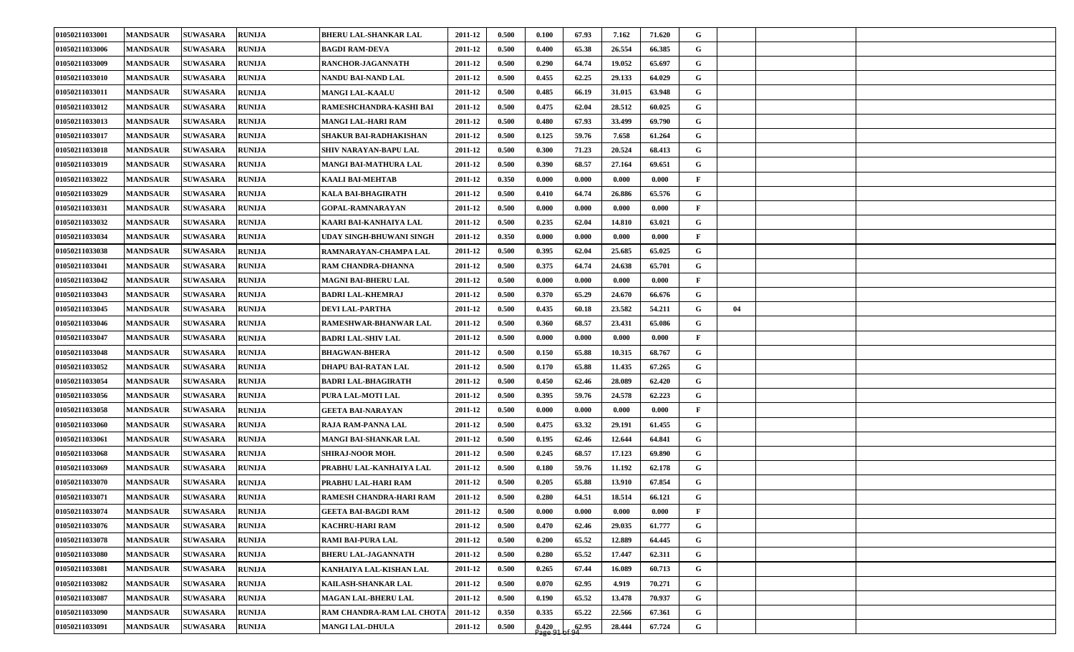| 01050211033001 | <b>MANDSAUR</b> | <b>SUWASARA</b> | <b>RUNIJA</b> | <b>BHERU LAL-SHANKAR LAL</b> | 2011-12 | 0.500 | 0.100              | 67.93              | 7.162  | 71.620 | G            |    |  |
|----------------|-----------------|-----------------|---------------|------------------------------|---------|-------|--------------------|--------------------|--------|--------|--------------|----|--|
| 01050211033006 | <b>MANDSAUR</b> | <b>SUWASARA</b> | <b>RUNIJA</b> | <b>BAGDI RAM-DEVA</b>        | 2011-12 | 0.500 | 0.400              | 65.38              | 26.554 | 66.385 | G            |    |  |
| 01050211033009 | <b>MANDSAUR</b> | <b>SUWASARA</b> | <b>RUNIJA</b> | RANCHOR-JAGANNATH            | 2011-12 | 0.500 | 0.290              | 64.74              | 19.052 | 65.697 | G            |    |  |
| 01050211033010 | <b>MANDSAUR</b> | <b>SUWASARA</b> | <b>RUNIJA</b> | NANDU BAI-NAND LAL           | 2011-12 | 0.500 | 0.455              | 62.25              | 29.133 | 64.029 | G            |    |  |
| 01050211033011 | <b>MANDSAUR</b> | <b>SUWASARA</b> | <b>RUNIJA</b> | <b>MANGI LAL-KAALU</b>       | 2011-12 | 0.500 | 0.485              | 66.19              | 31.015 | 63.948 | G            |    |  |
| 01050211033012 | <b>MANDSAUR</b> | <b>SUWASARA</b> | <b>RUNIJA</b> | RAMESHCHANDRA-KASHI BAI      | 2011-12 | 0.500 | 0.475              | 62.04              | 28.512 | 60.025 | G            |    |  |
| 01050211033013 | <b>MANDSAUR</b> | <b>SUWASARA</b> | <b>RUNIJA</b> | <b>MANGI LAL-HARI RAM</b>    | 2011-12 | 0.500 | 0.480              | 67.93              | 33.499 | 69.790 | G            |    |  |
| 01050211033017 | <b>MANDSAUR</b> | <b>SUWASARA</b> | <b>RUNIJA</b> | SHAKUR BAI-RADHAKISHAN       | 2011-12 | 0.500 | 0.125              | 59.76              | 7.658  | 61.264 | G            |    |  |
| 01050211033018 | <b>MANDSAUR</b> | <b>SUWASARA</b> | <b>RUNIJA</b> | <b>SHIV NARAYAN-BAPU LAL</b> | 2011-12 | 0.500 | 0.300              | 71.23              | 20.524 | 68.413 | G            |    |  |
| 01050211033019 | <b>MANDSAUR</b> | <b>SUWASARA</b> | <b>RUNIJA</b> | <b>MANGI BAI-MATHURA LAL</b> | 2011-12 | 0.500 | 0.390              | 68.57              | 27.164 | 69.651 | G            |    |  |
| 01050211033022 | <b>MANDSAUR</b> | <b>SUWASARA</b> | <b>RUNIJA</b> | <b>KAALI BAI-MEHTAB</b>      | 2011-12 | 0.350 | 0.000              | 0.000              | 0.000  | 0.000  | $\mathbf{F}$ |    |  |
| 01050211033029 | <b>MANDSAUR</b> | <b>SUWASARA</b> | <b>RUNIJA</b> | KALA BAI-BHAGIRATH           | 2011-12 | 0.500 | 0.410              | 64.74              | 26.886 | 65.576 | G            |    |  |
| 01050211033031 | <b>MANDSAUR</b> | <b>SUWASARA</b> | <b>RUNIJA</b> | GOPAL-RAMNARAYAN             | 2011-12 | 0.500 | 0.000              | 0.000              | 0.000  | 0.000  | $\mathbf{F}$ |    |  |
| 01050211033032 | <b>MANDSAUR</b> | <b>SUWASARA</b> | <b>RUNIJA</b> | KAARI BAI-KANHAIYA LAL       | 2011-12 | 0.500 | 0.235              | 62.04              | 14.810 | 63.021 | G            |    |  |
| 01050211033034 | <b>MANDSAUR</b> | <b>SUWASARA</b> | <b>RUNIJA</b> | UDAY SINGH-BHUWANI SINGH     | 2011-12 | 0.350 | 0.000              | 0.000              | 0.000  | 0.000  | $\mathbf{F}$ |    |  |
| 01050211033038 | <b>MANDSAUR</b> | <b>SUWASARA</b> | <b>RUNIJA</b> | RAMNARAYAN-CHAMPA LAL        | 2011-12 | 0.500 | 0.395              | 62.04              | 25.685 | 65.025 | G            |    |  |
| 01050211033041 | <b>MANDSAUR</b> | <b>SUWASARA</b> | <b>RUNIJA</b> | RAM CHANDRA-DHANNA           | 2011-12 | 0.500 | 0.375              | 64.74              | 24.638 | 65.701 | G            |    |  |
| 01050211033042 | <b>MANDSAUR</b> | <b>SUWASARA</b> | <b>RUNLJA</b> | <b>MAGNI BAI-BHERU LAL</b>   | 2011-12 | 0.500 | 0.000              | 0.000              | 0.000  | 0.000  | $\mathbf{F}$ |    |  |
| 01050211033043 | <b>MANDSAUR</b> | <b>SUWASARA</b> | <b>RUNLJA</b> | <b>BADRI LAL-KHEMRAJ</b>     | 2011-12 | 0.500 | 0.370              | 65.29              | 24.670 | 66.676 | G            |    |  |
| 01050211033045 | <b>MANDSAUR</b> | <b>SUWASARA</b> | <b>RUNIJA</b> | DEVI LAL-PARTHA              | 2011-12 | 0.500 | 0.435              | 60.18              | 23.582 | 54.211 | G            | 04 |  |
| 01050211033046 | <b>MANDSAUR</b> | <b>SUWASARA</b> | <b>RUNIJA</b> | <b>RAMESHWAR-BHANWAR LAL</b> | 2011-12 | 0.500 | 0.360              | 68.57              | 23.431 | 65.086 | G            |    |  |
| 01050211033047 | <b>MANDSAUR</b> | <b>SUWASARA</b> | <b>RUNIJA</b> | <b>BADRI LAL-SHIV LAL</b>    | 2011-12 | 0.500 | 0.000              | 0.000              | 0.000  | 0.000  | $\mathbf{F}$ |    |  |
| 01050211033048 | <b>MANDSAUR</b> | <b>SUWASARA</b> | <b>RUNIJA</b> | <b>BHAGWAN-BHERA</b>         | 2011-12 | 0.500 | 0.150              | 65.88              | 10.315 | 68.767 | G            |    |  |
| 01050211033052 | <b>MANDSAUR</b> | <b>SUWASARA</b> | <b>RUNIJA</b> | DHAPU BAI-RATAN LAL          | 2011-12 | 0.500 | 0.170              | 65.88              | 11.435 | 67.265 | G            |    |  |
| 01050211033054 | <b>MANDSAUR</b> | <b>SUWASARA</b> | <b>RUNIJA</b> | <b>BADRI LAL-BHAGIRATH</b>   | 2011-12 | 0.500 | 0.450              | 62.46              | 28.089 | 62.420 | G            |    |  |
| 01050211033056 | <b>MANDSAUR</b> | <b>SUWASARA</b> | <b>RUNIJA</b> | PURA LAL-MOTI LAL            | 2011-12 | 0.500 | 0.395              | 59.76              | 24.578 | 62.223 | G            |    |  |
| 01050211033058 | <b>MANDSAUR</b> | <b>SUWASARA</b> | <b>RUNIJA</b> | <b>GEETA BAI-NARAYAN</b>     | 2011-12 | 0.500 | 0.000              | 0.000              | 0.000  | 0.000  | $\mathbf{F}$ |    |  |
| 01050211033060 | <b>MANDSAUR</b> | <b>SUWASARA</b> | <b>RUNIJA</b> | <b>RAJA RAM-PANNA LAL</b>    | 2011-12 | 0.500 | 0.475              | 63.32              | 29.191 | 61.455 | G            |    |  |
| 01050211033061 | <b>MANDSAUR</b> | <b>SUWASARA</b> | <b>RUNIJA</b> | <b>MANGI BAI-SHANKAR LAL</b> | 2011-12 | 0.500 | 0.195              | 62.46              | 12.644 | 64.841 | G            |    |  |
| 01050211033068 | <b>MANDSAUR</b> | <b>SUWASARA</b> | <b>RUNIJA</b> | <b>SHIRAJ-NOOR MOH.</b>      | 2011-12 | 0.500 | 0.245              | 68.57              | 17.123 | 69.890 | G            |    |  |
| 01050211033069 | <b>MANDSAUR</b> | <b>SUWASARA</b> | <b>RUNIJA</b> | PRABHU LAL-KANHAIYA LAL      | 2011-12 | 0.500 | 0.180              | 59.76              | 11.192 | 62.178 | G            |    |  |
| 01050211033070 | <b>MANDSAUR</b> | <b>SUWASARA</b> | <b>RUNIJA</b> | PRABHU LAL-HARI RAM          | 2011-12 | 0.500 | 0.205              | 65.88              | 13.910 | 67.854 | G            |    |  |
| 01050211033071 | <b>MANDSAUR</b> | <b>SUWASARA</b> | <b>RUNIJA</b> | RAMESH CHANDRA-HARI RAM      | 2011-12 | 0.500 | 0.280              | 64.51              | 18.514 | 66.121 | $\mathbf G$  |    |  |
| 01050211033074 | <b>MANDSAUR</b> | <b>SUWASARA</b> | <b>RUNIJA</b> | <b>GEETA BAI-BAGDI RAM</b>   | 2011-12 | 0.500 | 0.000              | 0.000              | 0.000  | 0.000  | $\mathbf{F}$ |    |  |
| 01050211033076 | <b>MANDSAUR</b> | <b>SUWASARA</b> | <b>RUNIJA</b> | <b>KACHRU-HARI RAM</b>       | 2011-12 | 0.500 | 0.470              | 62.46              | 29.035 | 61.777 | $\mathbf G$  |    |  |
| 01050211033078 | <b>MANDSAUR</b> | <b>SUWASARA</b> | <b>RUNIJA</b> | <b>RAMI BAI-PURA LAL</b>     | 2011-12 | 0.500 | 0.200              | 65.52              | 12.889 | 64.445 | G            |    |  |
| 01050211033080 | <b>MANDSAUR</b> | <b>SUWASARA</b> | <b>RUNIJA</b> | <b>BHERU LAL-JAGANNATH</b>   | 2011-12 | 0.500 | 0.280              | 65.52              | 17.447 | 62.311 | $\mathbf G$  |    |  |
| 01050211033081 | <b>MANDSAUR</b> | <b>SUWASARA</b> | <b>RUNIJA</b> | KANHAIYA LAL-KISHAN LAL      | 2011-12 | 0.500 | 0.265              | 67.44              | 16.089 | 60.713 | $\mathbf G$  |    |  |
| 01050211033082 | <b>MANDSAUR</b> | <b>SUWASARA</b> | <b>RUNIJA</b> | <b>KAILASH-SHANKAR LAL</b>   | 2011-12 | 0.500 | 0.070              | 62.95              | 4.919  | 70.271 | $\mathbf G$  |    |  |
| 01050211033087 | <b>MANDSAUR</b> | <b>SUWASARA</b> | <b>RUNIJA</b> | MAGAN LAL-BHERU LAL          | 2011-12 | 0.500 | 0.190              | 65.52              | 13.478 | 70.937 | G            |    |  |
| 01050211033090 | <b>MANDSAUR</b> | <b>SUWASARA</b> | <b>RUNIJA</b> | RAM CHANDRA-RAM LAL CHOTA    | 2011-12 | 0.350 | 0.335              | 65.22              | 22.566 | 67.361 | G            |    |  |
| 01050211033091 | <b>MANDSAUR</b> | <b>SUWASARA</b> | <b>RUNIJA</b> | <b>MANGI LAL-DHULA</b>       | 2011-12 | 0.500 | $0.420$<br>Page 91 | $\frac{62.95}{94}$ | 28.444 | 67.724 | $\mathbf G$  |    |  |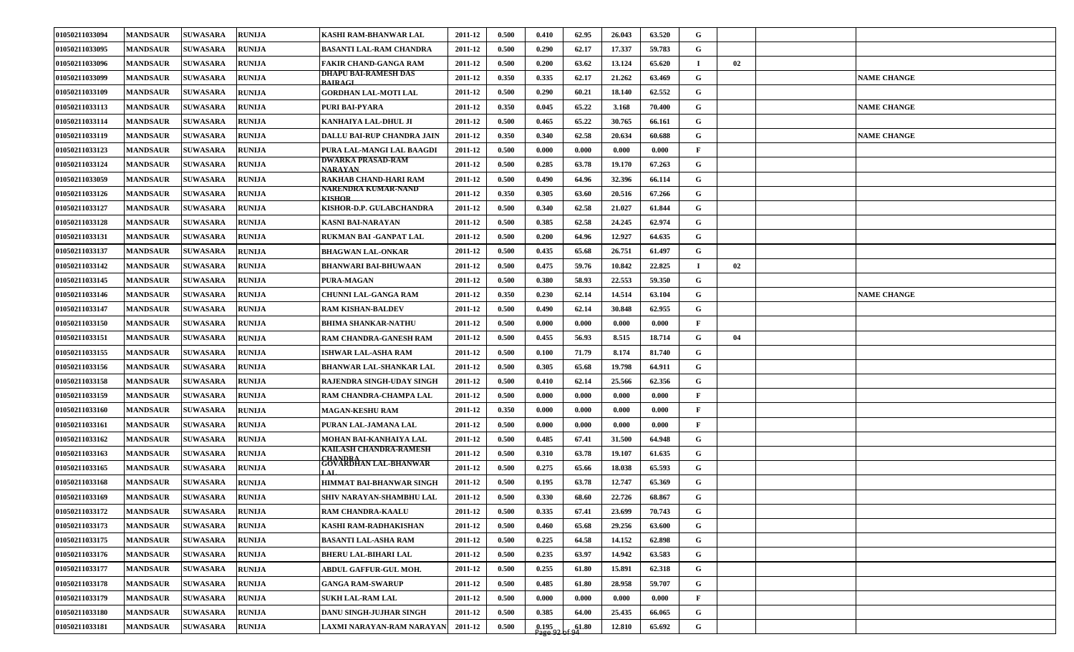| 01050211033094 | <b>MANDSAUR</b> | <b>SUWASARA</b> | <b>RUNIJA</b> | <b>KASHI RAM-BHANWAR LAL</b>           | 2011-12 | 0.500 | 0.410              | 62.95 | 26.043 | 63.520 | G            |    |                    |
|----------------|-----------------|-----------------|---------------|----------------------------------------|---------|-------|--------------------|-------|--------|--------|--------------|----|--------------------|
| 01050211033095 | <b>MANDSAUR</b> | <b>SUWASARA</b> | <b>RUNIJA</b> | <b>BASANTI LAL-RAM CHANDRA</b>         | 2011-12 | 0.500 | 0.290              | 62.17 | 17.337 | 59.783 | G            |    |                    |
| 01050211033096 | <b>MANDSAUR</b> | <b>SUWASARA</b> | <b>RUNLJA</b> | <b>FAKIR CHAND-GANGA RAM</b>           | 2011-12 | 0.500 | 0.200              | 63.62 | 13.124 | 65.620 | $\bf{I}$     | 02 |                    |
| 01050211033099 | <b>MANDSAUR</b> | <b>SUWASARA</b> | <b>RUNIJA</b> | DHAPU BAI-RAMESH DAS<br><b>BAIRAGL</b> | 2011-12 | 0.350 | 0.335              | 62.17 | 21.262 | 63.469 | G            |    | <b>NAME CHANGE</b> |
| 01050211033109 | <b>MANDSAUR</b> | <b>SUWASARA</b> | <b>RUNIJA</b> | <b>GORDHAN LAL-MOTI LAL</b>            | 2011-12 | 0.500 | 0.290              | 60.21 | 18.140 | 62.552 | G            |    |                    |
| 01050211033113 | <b>MANDSAUR</b> | <b>SUWASARA</b> | <b>RUNIJA</b> | PURI BAI-PYARA                         | 2011-12 | 0.350 | 0.045              | 65.22 | 3.168  | 70.400 | G            |    | <b>NAME CHANGE</b> |
| 01050211033114 | <b>MANDSAUR</b> | <b>SUWASARA</b> | <b>RUNIJA</b> | KANHAIYA LAL-DHUL JI                   | 2011-12 | 0.500 | 0.465              | 65.22 | 30.765 | 66.161 | G            |    |                    |
| 01050211033119 | <b>MANDSAUR</b> | <b>SUWASARA</b> | <b>RUNIJA</b> | DALLU BAI-RUP CHANDRA JAIN             | 2011-12 | 0.350 | 0.340              | 62.58 | 20.634 | 60.688 | G            |    | <b>NAME CHANGE</b> |
| 01050211033123 | <b>MANDSAUR</b> | <b>SUWASARA</b> | <b>RUNIJA</b> | PURA LAL-MANGI LAL BAAGDI              | 2011-12 | 0.500 | 0.000              | 0.000 | 0.000  | 0.000  | $\mathbf{F}$ |    |                    |
| 01050211033124 | <b>MANDSAUR</b> | <b>SUWASARA</b> | <b>RUNIJA</b> | DWARKA PRASAD-RAM<br><b>NARAYAN</b>    | 2011-12 | 0.500 | 0.285              | 63.78 | 19.170 | 67.263 | G            |    |                    |
| 01050211033059 | <b>MANDSAUR</b> | <b>SUWASARA</b> | <b>RUNIJA</b> | <b>RAKHAB CHAND-HARI RAM</b>           | 2011-12 | 0.500 | 0.490              | 64.96 | 32.396 | 66.114 | G            |    |                    |
| 01050211033126 | <b>MANDSAUR</b> | <b>SUWASARA</b> | <b>RUNLJA</b> | NARENDRA KUMAR-NAND<br><b>KISHOR</b>   | 2011-12 | 0.350 | 0.305              | 63.60 | 20.516 | 67.266 | G            |    |                    |
| 01050211033127 | <b>MANDSAUR</b> | <b>SUWASARA</b> | <b>RUNIJA</b> | KISHOR-D.P. GULABCHANDRA               | 2011-12 | 0.500 | 0.340              | 62.58 | 21.027 | 61.844 | G            |    |                    |
| 01050211033128 | <b>MANDSAUR</b> | <b>SUWASARA</b> | <b>RUNIJA</b> | <b>KASNI BAI-NARAYAN</b>               | 2011-12 | 0.500 | 0.385              | 62.58 | 24.245 | 62.974 | G            |    |                    |
| 01050211033131 | <b>MANDSAUR</b> | <b>SUWASARA</b> | <b>RUNIJA</b> | RUKMAN BAI -GANPAT LAL                 | 2011-12 | 0.500 | 0.200              | 64.96 | 12.927 | 64.635 | G            |    |                    |
| 01050211033137 | <b>MANDSAUR</b> | <b>SUWASARA</b> | <b>RUNIJA</b> | <b>BHAGWAN LAL-ONKAR</b>               | 2011-12 | 0.500 | 0.435              | 65.68 | 26.751 | 61.497 | G            |    |                    |
| 01050211033142 | <b>MANDSAUR</b> | <b>SUWASARA</b> | <b>RUNIJA</b> | <b>BHANWARI BAI-BHUWAAN</b>            | 2011-12 | 0.500 | 0.475              | 59.76 | 10.842 | 22.825 | $\mathbf I$  | 02 |                    |
| 01050211033145 | <b>MANDSAUR</b> | <b>SUWASARA</b> | <b>RUNLJA</b> | PURA-MAGAN                             | 2011-12 | 0.500 | 0.380              | 58.93 | 22.553 | 59.350 | G            |    |                    |
| 01050211033146 | <b>MANDSAUR</b> | <b>SUWASARA</b> | <b>RUNIJA</b> | CHUNNI LAL-GANGA RAM                   | 2011-12 | 0.350 | 0.230              | 62.14 | 14.514 | 63.104 | G            |    | <b>NAME CHANGE</b> |
| 01050211033147 | <b>MANDSAUR</b> | <b>SUWASARA</b> | <b>RUNIJA</b> | <b>RAM KISHAN-BALDEV</b>               | 2011-12 | 0.500 | 0.490              | 62.14 | 30.848 | 62.955 | G            |    |                    |
| 01050211033150 | <b>MANDSAUR</b> | <b>SUWASARA</b> | <b>RUNIJA</b> | <b>BHIMA SHANKAR-NATHU</b>             | 2011-12 | 0.500 | 0.000              | 0.000 | 0.000  | 0.000  | F            |    |                    |
| 01050211033151 | <b>MANDSAUR</b> | <b>SUWASARA</b> | <b>RUNIJA</b> | <b>RAM CHANDRA-GANESH RAM</b>          | 2011-12 | 0.500 | 0.455              | 56.93 | 8.515  | 18.714 | G            | 04 |                    |
| 01050211033155 | <b>MANDSAUR</b> | <b>SUWASARA</b> | <b>RUNIJA</b> | <b>ISHWAR LAL-ASHA RAM</b>             | 2011-12 | 0.500 | 0.100              | 71.79 | 8.174  | 81.740 | $\mathbf G$  |    |                    |
| 01050211033156 | <b>MANDSAUR</b> | <b>SUWASARA</b> | <b>RUNIJA</b> | <b>BHANWAR LAL-SHANKAR LAL</b>         | 2011-12 | 0.500 | 0.305              | 65.68 | 19.798 | 64.911 | G            |    |                    |
| 01050211033158 | <b>MANDSAUR</b> | <b>SUWASARA</b> | <b>RUNIJA</b> | RAJENDRA SINGH-UDAY SINGH              | 2011-12 | 0.500 | 0.410              | 62.14 | 25.566 | 62.356 | G            |    |                    |
| 01050211033159 | <b>MANDSAUR</b> | <b>SUWASARA</b> | <b>RUNLJA</b> | RAM CHANDRA-CHAMPA LAL                 | 2011-12 | 0.500 | 0.000              | 0.000 | 0.000  | 0.000  | $\mathbf{F}$ |    |                    |
| 01050211033160 | <b>MANDSAUR</b> | <b>SUWASARA</b> | <b>RUNIJA</b> | <b>MAGAN-KESHU RAM</b>                 | 2011-12 | 0.350 | 0.000              | 0.000 | 0.000  | 0.000  | $\mathbf{F}$ |    |                    |
| 01050211033161 | <b>MANDSAUR</b> | <b>SUWASARA</b> | <b>RUNIJA</b> | PURAN LAL-JAMANA LAL                   | 2011-12 | 0.500 | 0.000              | 0.000 | 0.000  | 0.000  | $\mathbf{F}$ |    |                    |
| 01050211033162 | <b>MANDSAUR</b> | <b>SUWASARA</b> | <b>RUNIJA</b> | MOHAN BAI-KANHAIYA LAL                 | 2011-12 | 0.500 | 0.485              | 67.41 | 31.500 | 64.948 | G            |    |                    |
| 01050211033163 | <b>MANDSAUR</b> | <b>SUWASARA</b> | <b>RUNIJA</b> | KAILASH CHANDRA-RAMESH                 | 2011-12 | 0.500 | 0.310              | 63.78 | 19.107 | 61.635 | G            |    |                    |
| 01050211033165 | <b>MANDSAUR</b> | <b>SUWASARA</b> | <b>RUNIJA</b> | CHANDRA<br>GOVARDHAN LAL-BHANWAR       | 2011-12 | 0.500 | 0.275              | 65.66 | 18.038 | 65.593 | G            |    |                    |
| 01050211033168 | <b>MANDSAUR</b> | <b>SUWASARA</b> | <b>RUNIJA</b> | <b>HIMMAT BAI-BHANWAR SINGH</b>        | 2011-12 | 0.500 | 0.195              | 63.78 | 12.747 | 65.369 | G            |    |                    |
| 01050211033169 | <b>MANDSAUR</b> | <b>SUWASARA</b> | <b>RUNIJA</b> | SHIV NARAYAN-SHAMBHU LAL               | 2011-12 | 0.500 | 0.330              | 68.60 | 22.726 | 68.867 | $\mathbf G$  |    |                    |
| 01050211033172 | <b>MANDSAUR</b> | <b>SUWASARA</b> | <b>RUNIJA</b> | RAM CHANDRA-KAALU                      | 2011-12 | 0.500 | 0.335              | 67.41 | 23.699 | 70.743 | G            |    |                    |
| 01050211033173 | <b>MANDSAUR</b> | <b>SUWASARA</b> | <b>RUNIJA</b> | KASHI RAM-RADHAKISHAN                  | 2011-12 | 0.500 | 0.460              | 65.68 | 29.256 | 63.600 | $\mathbf G$  |    |                    |
| 01050211033175 | <b>MANDSAUR</b> | <b>SUWASARA</b> | <b>RUNIJA</b> | <b>BASANTI LAL-ASHA RAM</b>            | 2011-12 | 0.500 | 0.225              | 64.58 | 14.152 | 62.898 | $\mathbf G$  |    |                    |
| 01050211033176 | <b>MANDSAUR</b> | <b>SUWASARA</b> | <b>RUNIJA</b> | <b>BHERU LAL-BIHARI LAL</b>            | 2011-12 | 0.500 | 0.235              | 63.97 | 14.942 | 63.583 | $\mathbf G$  |    |                    |
| 01050211033177 | <b>MANDSAUR</b> | <b>SUWASARA</b> | <b>RUNIJA</b> | ABDUL GAFFUR-GUL MOH.                  | 2011-12 | 0.500 | 0.255              | 61.80 | 15.891 | 62.318 | G            |    |                    |
| 01050211033178 | <b>MANDSAUR</b> | <b>SUWASARA</b> | <b>RUNIJA</b> | <b>GANGA RAM-SWARUP</b>                | 2011-12 | 0.500 | 0.485              | 61.80 | 28.958 | 59.707 | $\mathbf G$  |    |                    |
| 01050211033179 | <b>MANDSAUR</b> | <b>SUWASARA</b> | <b>RUNIJA</b> | <b>SUKH LAL-RAM LAL</b>                | 2011-12 | 0.500 | 0.000              | 0.000 | 0.000  | 0.000  | $\mathbf{F}$ |    |                    |
| 01050211033180 | <b>MANDSAUR</b> | <b>SUWASARA</b> | <b>RUNIJA</b> | DANU SINGH-JUJHAR SINGH                | 2011-12 | 0.500 | 0.385              | 64.00 | 25.435 | 66.065 | G            |    |                    |
| 01050211033181 | <b>MANDSAUR</b> | <b>SUWASARA</b> | <b>RUNIJA</b> | LAXMI NARAYAN-RAM NARAYAN              | 2011-12 | 0.500 | $0.195$<br>Page 92 | 61.80 | 12.810 | 65.692 | G            |    |                    |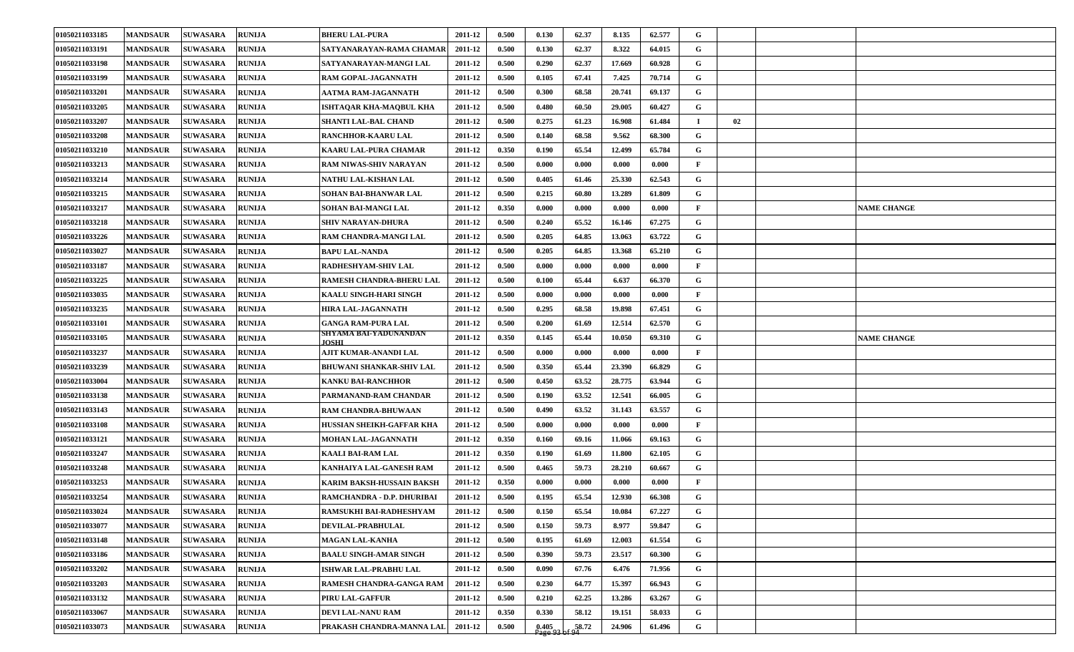| 01050211033185 | <b>MANDSAUR</b> | <b>SUWASARA</b> | <b>RUNIJA</b> | <b>BHERU LAL-PURA</b>                | 2011-12 | 0.500 | 0.130              | 62.37 | 8.135  | 62.577 | G            |    |                    |
|----------------|-----------------|-----------------|---------------|--------------------------------------|---------|-------|--------------------|-------|--------|--------|--------------|----|--------------------|
| 01050211033191 | <b>MANDSAUR</b> | <b>SUWASARA</b> | <b>RUNIJA</b> | SATYANARAYAN-RAMA CHAMAR             | 2011-12 | 0.500 | 0.130              | 62.37 | 8.322  | 64.015 | G            |    |                    |
| 01050211033198 | <b>MANDSAUR</b> | <b>SUWASARA</b> | <b>RUNIJA</b> | SATYANARAYAN-MANGI LAL               | 2011-12 | 0.500 | 0.290              | 62.37 | 17.669 | 60.928 | $\mathbf G$  |    |                    |
| 01050211033199 | <b>MANDSAUR</b> | <b>SUWASARA</b> | <b>RUNIJA</b> | <b>RAM GOPAL-JAGANNATH</b>           | 2011-12 | 0.500 | 0.105              | 67.41 | 7.425  | 70.714 | G            |    |                    |
| 01050211033201 | <b>MANDSAUR</b> | <b>SUWASARA</b> | <b>RUNIJA</b> | AATMA RAM-JAGANNATH                  | 2011-12 | 0.500 | 0.300              | 68.58 | 20.741 | 69.137 | G            |    |                    |
| 01050211033205 | <b>MANDSAUR</b> | <b>SUWASARA</b> | <b>RUNIJA</b> | ISHTAQAR KHA-MAQBUL KHA              | 2011-12 | 0.500 | 0.480              | 60.50 | 29.005 | 60.427 | G            |    |                    |
| 01050211033207 | <b>MANDSAUR</b> | <b>SUWASARA</b> | <b>RUNIJA</b> | SHANTI LAL-BAL CHAND                 | 2011-12 | 0.500 | 0.275              | 61.23 | 16.908 | 61.484 | $\mathbf I$  | 02 |                    |
| 01050211033208 | <b>MANDSAUR</b> | <b>SUWASARA</b> | <b>RUNIJA</b> | RANCHHOR-KAARU LAL                   | 2011-12 | 0.500 | 0.140              | 68.58 | 9.562  | 68.300 | G            |    |                    |
| 01050211033210 | <b>MANDSAUR</b> | <b>SUWASARA</b> | <b>RUNIJA</b> | KAARU LAL-PURA CHAMAR                | 2011-12 | 0.350 | 0.190              | 65.54 | 12.499 | 65.784 | G            |    |                    |
| 01050211033213 | <b>MANDSAUR</b> | <b>SUWASARA</b> | <b>RUNIJA</b> | RAM NIWAS-SHIV NARAYAN               | 2011-12 | 0.500 | 0.000              | 0.000 | 0.000  | 0.000  | $\mathbf{F}$ |    |                    |
| 01050211033214 | <b>MANDSAUR</b> | <b>SUWASARA</b> | <b>RUNIJA</b> | NATHU LAL-KISHAN LAL                 | 2011-12 | 0.500 | 0.405              | 61.46 | 25.330 | 62.543 | $\mathbf G$  |    |                    |
| 01050211033215 | <b>MANDSAUR</b> | <b>SUWASARA</b> | <b>RUNIJA</b> | SOHAN BAI-BHANWAR LAL                | 2011-12 | 0.500 | 0.215              | 60.80 | 13.289 | 61.809 | G            |    |                    |
| 01050211033217 | <b>MANDSAUR</b> | <b>SUWASARA</b> | <b>RUNIJA</b> | SOHAN BAI-MANGI LAL                  | 2011-12 | 0.350 | 0.000              | 0.000 | 0.000  | 0.000  | $\mathbf{F}$ |    | <b>NAME CHANGE</b> |
| 01050211033218 | <b>MANDSAUR</b> | <b>SUWASARA</b> | <b>RUNIJA</b> | <b>SHIV NARAYAN-DHURA</b>            | 2011-12 | 0.500 | 0.240              | 65.52 | 16.146 | 67.275 | G            |    |                    |
| 01050211033226 | <b>MANDSAUR</b> | <b>SUWASARA</b> | <b>RUNIJA</b> | RAM CHANDRA-MANGI LAL                | 2011-12 | 0.500 | 0.205              | 64.85 | 13.063 | 63.722 | $\mathbf G$  |    |                    |
| 01050211033027 | <b>MANDSAUR</b> | <b>SUWASARA</b> | <b>RUNIJA</b> | BAPU LAL-NANDA                       | 2011-12 | 0.500 | 0.205              | 64.85 | 13.368 | 65.210 | G            |    |                    |
| 01050211033187 | <b>MANDSAUR</b> | <b>SUWASARA</b> | <b>RUNIJA</b> | RADHESHYAM-SHIV LAL                  | 2011-12 | 0.500 | 0.000              | 0.000 | 0.000  | 0.000  | $\mathbf{F}$ |    |                    |
| 01050211033225 | <b>MANDSAUR</b> | <b>SUWASARA</b> | <b>RUNIJA</b> | RAMESH CHANDRA-BHERU LAL             | 2011-12 | 0.500 | 0.100              | 65.44 | 6.637  | 66.370 | G            |    |                    |
| 01050211033035 | <b>MANDSAUR</b> | <b>SUWASARA</b> | <b>RUNIJA</b> | KAALU SINGH-HARI SINGH               | 2011-12 | 0.500 | 0.000              | 0.000 | 0.000  | 0.000  | $\mathbf{F}$ |    |                    |
| 01050211033235 | <b>MANDSAUR</b> | <b>SUWASARA</b> | <b>RUNIJA</b> | HIRA LAL-JAGANNATH                   | 2011-12 | 0.500 | 0.295              | 68.58 | 19.898 | 67.451 | G            |    |                    |
| 01050211033101 | <b>MANDSAUR</b> | <b>SUWASARA</b> | <b>RUNIJA</b> | GANGA RAM-PURA LAL                   | 2011-12 | 0.500 | 0.200              | 61.69 | 12.514 | 62.570 | G            |    |                    |
| 01050211033105 | <b>MANDSAUR</b> | <b>SUWASARA</b> | <b>RUNIJA</b> | SHYAMA BAI-YADUNANDAN<br><b>OSHL</b> | 2011-12 | 0.350 | 0.145              | 65.44 | 10.050 | 69.310 | G            |    | <b>NAME CHANGE</b> |
| 01050211033237 | <b>MANDSAUR</b> | <b>SUWASARA</b> | <b>RUNIJA</b> | <b>AJIT KUMAR-ANANDI LAL</b>         | 2011-12 | 0.500 | 0.000              | 0.000 | 0.000  | 0.000  | $\mathbf{F}$ |    |                    |
| 01050211033239 | <b>MANDSAUR</b> | <b>SUWASARA</b> | <b>RUNIJA</b> | BHUWANI SHANKAR-SHIV LAL             | 2011-12 | 0.500 | 0.350              | 65.44 | 23.390 | 66.829 | G            |    |                    |
| 01050211033004 | <b>MANDSAUR</b> | <b>SUWASARA</b> | <b>RUNIJA</b> | <b>KANKU BAI-RANCHHOR</b>            | 2011-12 | 0.500 | 0.450              | 63.52 | 28.775 | 63.944 | G            |    |                    |
| 01050211033138 | <b>MANDSAUR</b> | <b>SUWASARA</b> | <b>RUNIJA</b> | PARMANAND-RAM CHANDAR                | 2011-12 | 0.500 | 0.190              | 63.52 | 12.541 | 66.005 | $\mathbf G$  |    |                    |
| 01050211033143 | <b>MANDSAUR</b> | <b>SUWASARA</b> | <b>RUNIJA</b> | RAM CHANDRA-BHUWAAN                  | 2011-12 | 0.500 | 0.490              | 63.52 | 31.143 | 63.557 | G            |    |                    |
| 01050211033108 | <b>MANDSAUR</b> | <b>SUWASARA</b> | <b>RUNIJA</b> | HUSSIAN SHEIKH-GAFFAR KHA            | 2011-12 | 0.500 | 0.000              | 0.000 | 0.000  | 0.000  | $\mathbf{F}$ |    |                    |
| 01050211033121 | <b>MANDSAUR</b> | <b>SUWASARA</b> | <b>RUNIJA</b> | <b>MOHAN LAL-JAGANNATH</b>           | 2011-12 | 0.350 | 0.160              | 69.16 | 11.066 | 69.163 | G            |    |                    |
| 01050211033247 | <b>MANDSAUR</b> | <b>SUWASARA</b> | <b>RUNIJA</b> | KAALI BAI-RAM LAL                    | 2011-12 | 0.350 | 0.190              | 61.69 | 11.800 | 62.105 | G            |    |                    |
| 01050211033248 | <b>MANDSAUR</b> | <b>SUWASARA</b> | <b>RUNIJA</b> | KANHAIYA LAL-GANESH RAM              | 2011-12 | 0.500 | 0.465              | 59.73 | 28.210 | 60.667 | G            |    |                    |
| 01050211033253 | <b>MANDSAUR</b> | <b>SUWASARA</b> | <b>RUNIJA</b> | KARIM BAKSH-HUSSAIN BAKSH            | 2011-12 | 0.350 | 0.000              | 0.000 | 0.000  | 0.000  | $\mathbf{F}$ |    |                    |
| 01050211033254 | <b>MANDSAUR</b> | <b>SUWASARA</b> | <b>RUNIJA</b> | RAMCHANDRA - D.P. DHURIBAI           | 2011-12 | 0.500 | 0.195              | 65.54 | 12.930 | 66.308 | $\mathbf G$  |    |                    |
| 01050211033024 | <b>MANDSAUR</b> | <b>SUWASARA</b> | <b>RUNIJA</b> | RAMSUKHI BAI-RADHESHYAM              | 2011-12 | 0.500 | 0.150              | 65.54 | 10.084 | 67.227 | $\mathbf G$  |    |                    |
| 01050211033077 | <b>MANDSAUR</b> | <b>SUWASARA</b> | <b>RUNIJA</b> | <b>DEVILAL-PRABHULAL</b>             | 2011-12 | 0.500 | 0.150              | 59.73 | 8.977  | 59.847 | G            |    |                    |
| 01050211033148 | <b>MANDSAUR</b> | <b>SUWASARA</b> | <b>RUNIJA</b> | <b>MAGAN LAL-KANHA</b>               | 2011-12 | 0.500 | 0.195              | 61.69 | 12.003 | 61.554 | $\mathbf G$  |    |                    |
| 01050211033186 | <b>MANDSAUR</b> | <b>SUWASARA</b> | <b>RUNIJA</b> | <b>BAALU SINGH-AMAR SINGH</b>        | 2011-12 | 0.500 | 0.390              | 59.73 | 23.517 | 60.300 | $\mathbf G$  |    |                    |
| 01050211033202 | <b>MANDSAUR</b> | <b>SUWASARA</b> | <b>RUNIJA</b> | ISHWAR LAL-PRABHU LAL                | 2011-12 | 0.500 | 0.090              | 67.76 | 6.476  | 71.956 | $\mathbf G$  |    |                    |
| 01050211033203 | <b>MANDSAUR</b> | <b>SUWASARA</b> | <b>RUNIJA</b> | RAMESH CHANDRA-GANGA RAM             | 2011-12 | 0.500 | 0.230              | 64.77 | 15.397 | 66.943 | $\mathbf G$  |    |                    |
| 01050211033132 | <b>MANDSAUR</b> | <b>SUWASARA</b> | <b>RUNIJA</b> | PIRU LAL-GAFFUR                      | 2011-12 | 0.500 | 0.210              | 62.25 | 13.286 | 63.267 | $\mathbf G$  |    |                    |
| 01050211033067 | <b>MANDSAUR</b> | <b>SUWASARA</b> | <b>RUNIJA</b> | DEVI LAL-NANU RAM                    | 2011-12 | 0.350 | 0.330              | 58.12 | 19.151 | 58.033 | G            |    |                    |
| 01050211033073 | <b>MANDSAUR</b> | <b>SUWASARA</b> | <b>RUNIJA</b> | PRAKASH CHANDRA-MANNA LAL            | 2011-12 | 0.500 | $0.405$<br>Page 93 | 58.72 | 24.906 | 61.496 | $\mathbf G$  |    |                    |